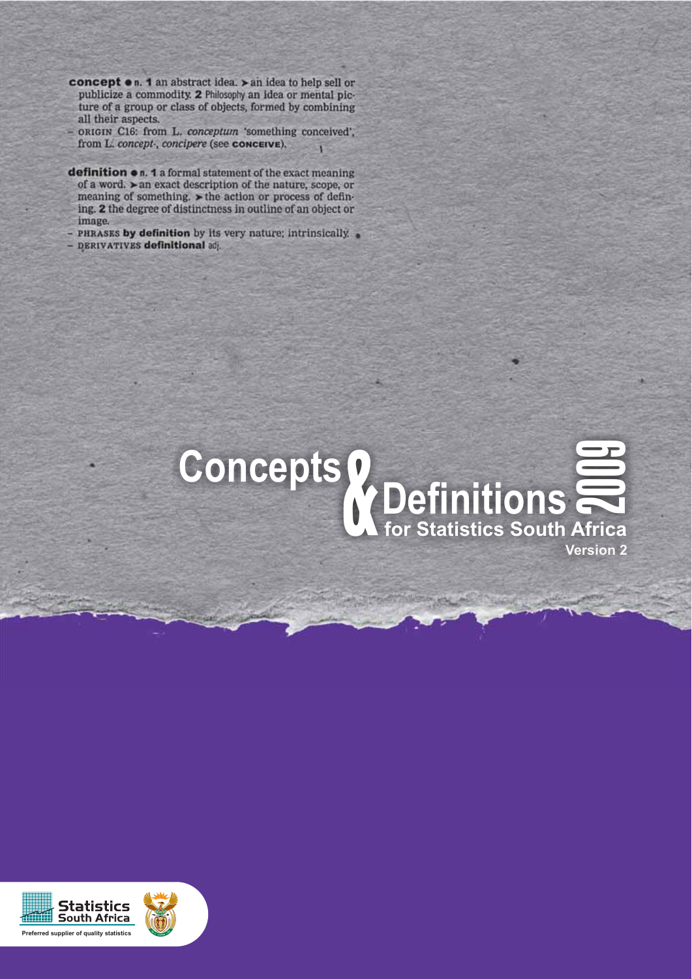concept on. 1 an abstract idea. > an idea to help sell or publicize a commodity. 2 Philosophy an idea or mental picture of a group or class of objects, formed by combining all their aspects.

- ORIGIN C16: from L. conceptum 'something conceived', from L. concept-, concipere (see CONCEIVE). п

definition on. 1 a formal statement of the exact meaning of a word. ► an exact description of the nature, scope, or meaning of something. > the action or process of defining. 2 the degree of distinctness in outline of an object or image.

- PHRASES by definition by its very nature; intrinsically. - DERIVATIVES definitional adj.



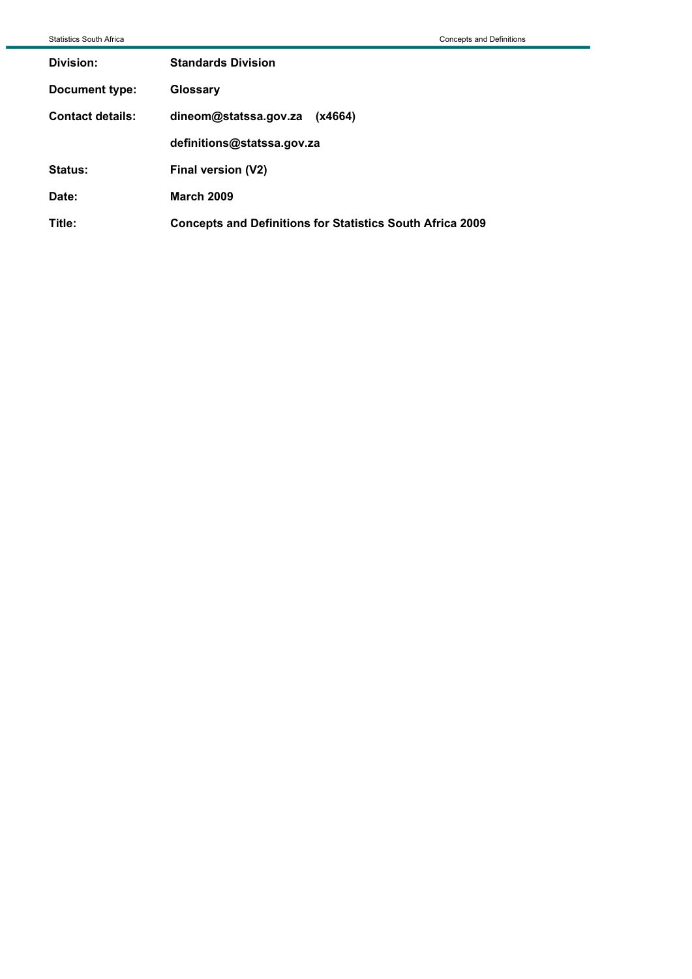| <b>Statistics South Africa</b> |                                                                  | <b>Concepts and Definitions</b> |
|--------------------------------|------------------------------------------------------------------|---------------------------------|
| Division:                      | <b>Standards Division</b>                                        |                                 |
| Document type:                 | Glossary                                                         |                                 |
| <b>Contact details:</b>        | dineom@statssa.gov.za<br>(x4664)                                 |                                 |
|                                | definitions@statssa.gov.za                                       |                                 |
| Status:                        | Final version (V2)                                               |                                 |
| Date:                          | <b>March 2009</b>                                                |                                 |
| Title:                         | <b>Concepts and Definitions for Statistics South Africa 2009</b> |                                 |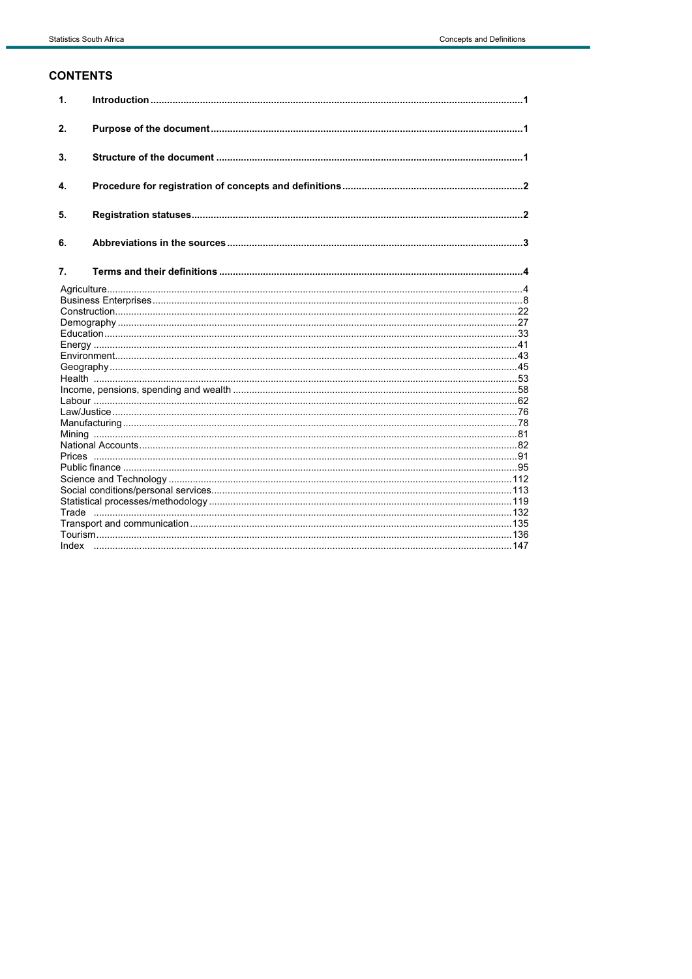## **CONTENTS**

| 1. |  |
|----|--|
| 2. |  |
| 3. |  |
| 4. |  |
| 5. |  |
| 6. |  |
| 7. |  |
|    |  |
|    |  |
|    |  |
|    |  |
|    |  |
|    |  |
|    |  |
|    |  |
|    |  |
|    |  |
|    |  |
|    |  |
|    |  |
|    |  |
|    |  |
|    |  |
|    |  |
|    |  |
|    |  |
|    |  |
|    |  |
|    |  |
|    |  |
|    |  |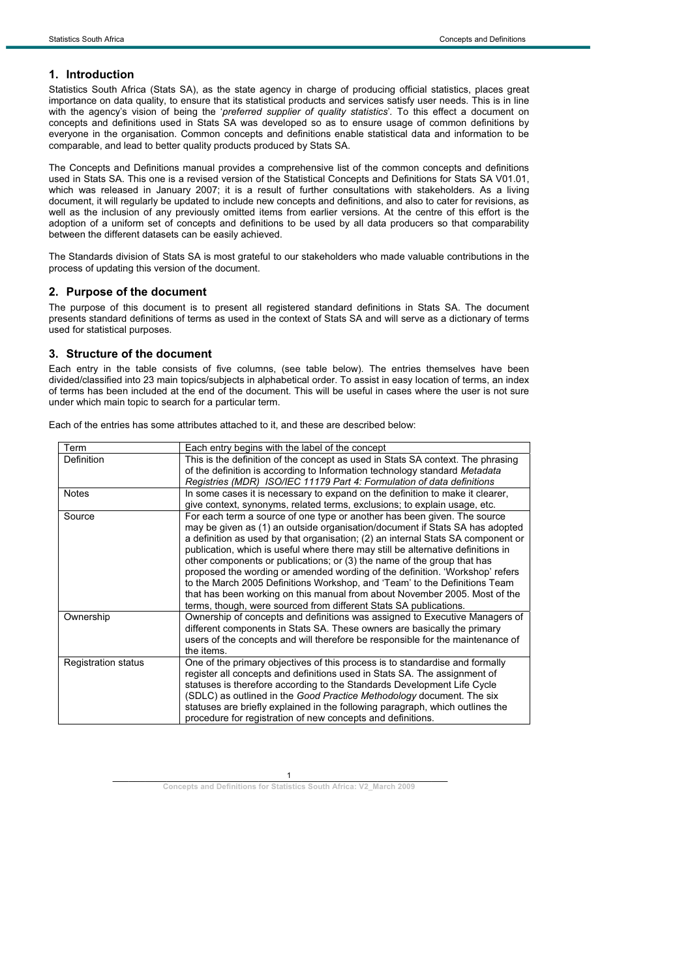### **1. Introduction**

Statistics South Africa (Stats SA), as the state agency in charge of producing official statistics, places great importance on data quality, to ensure that its statistical products and services satisfy user needs. This is in line with the agency's vision of being the '*preferred supplier of quality statistics*'*.* To this effect a document on concepts and definitions used in Stats SA was developed so as to ensure usage of common definitions by everyone in the organisation. Common concepts and definitions enable statistical data and information to be comparable, and lead to better quality products produced by Stats SA.

The Concepts and Definitions manual provides a comprehensive list of the common concepts and definitions used in Stats SA. This one is a revised version of the Statistical Concepts and Definitions for Stats SA V01.01, which was released in January 2007; it is a result of further consultations with stakeholders. As a living document, it will regularly be updated to include new concepts and definitions, and also to cater for revisions, as well as the inclusion of any previously omitted items from earlier versions. At the centre of this effort is the adoption of a uniform set of concepts and definitions to be used by all data producers so that comparability between the different datasets can be easily achieved.

The Standards division of Stats SA is most grateful to our stakeholders who made valuable contributions in the process of updating this version of the document.

#### **2. Purpose of the document**

The purpose of this document is to present all registered standard definitions in Stats SA. The document presents standard definitions of terms as used in the context of Stats SA and will serve as a dictionary of terms used for statistical purposes.

#### **3. Structure of the document**

Each entry in the table consists of five columns, (see table below). The entries themselves have been divided/classified into 23 main topics/subjects in alphabetical order. To assist in easy location of terms, an index of terms has been included at the end of the document. This will be useful in cases where the user is not sure under which main topic to search for a particular term.

| Term                       | Each entry begins with the label of the concept                                                                                                                                                                                                                                                                                                                                                                                                                                                                                                                                                                                                                                                                              |
|----------------------------|------------------------------------------------------------------------------------------------------------------------------------------------------------------------------------------------------------------------------------------------------------------------------------------------------------------------------------------------------------------------------------------------------------------------------------------------------------------------------------------------------------------------------------------------------------------------------------------------------------------------------------------------------------------------------------------------------------------------------|
| Definition                 | This is the definition of the concept as used in Stats SA context. The phrasing<br>of the definition is according to Information technology standard Metadata<br>Registries (MDR) ISO/IEC 11179 Part 4: Formulation of data definitions                                                                                                                                                                                                                                                                                                                                                                                                                                                                                      |
| <b>Notes</b>               | In some cases it is necessary to expand on the definition to make it clearer,<br>give context, synonyms, related terms, exclusions; to explain usage, etc.                                                                                                                                                                                                                                                                                                                                                                                                                                                                                                                                                                   |
| Source                     | For each term a source of one type or another has been given. The source<br>may be given as (1) an outside organisation/document if Stats SA has adopted<br>a definition as used by that organisation; (2) an internal Stats SA component or<br>publication, which is useful where there may still be alternative definitions in<br>other components or publications; or (3) the name of the group that has<br>proposed the wording or amended wording of the definition. 'Workshop' refers<br>to the March 2005 Definitions Workshop, and 'Team' to the Definitions Team<br>that has been working on this manual from about November 2005. Most of the<br>terms, though, were sourced from different Stats SA publications. |
| Ownership                  | Ownership of concepts and definitions was assigned to Executive Managers of<br>different components in Stats SA. These owners are basically the primary<br>users of the concepts and will therefore be responsible for the maintenance of<br>the items.                                                                                                                                                                                                                                                                                                                                                                                                                                                                      |
| <b>Registration status</b> | One of the primary objectives of this process is to standardise and formally<br>register all concepts and definitions used in Stats SA. The assignment of<br>statuses is therefore according to the Standards Development Life Cycle<br>(SDLC) as outlined in the Good Practice Methodology document. The six<br>statuses are briefly explained in the following paragraph, which outlines the<br>procedure for registration of new concepts and definitions.                                                                                                                                                                                                                                                                |

Each of the entries has some attributes attached to it, and these are described below: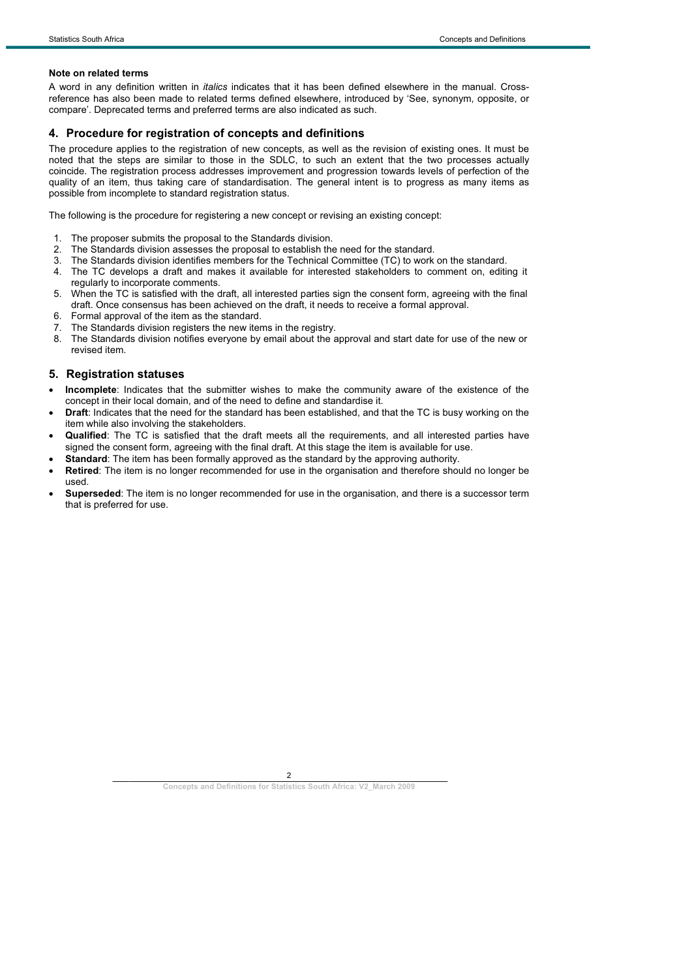#### **Note on related terms**

A word in any definition written in *italics* indicates that it has been defined elsewhere in the manual. Crossreference has also been made to related terms defined elsewhere, introduced by 'See, synonym, opposite, or compare'. Deprecated terms and preferred terms are also indicated as such.

### **4. Procedure for registration of concepts and definitions**

The procedure applies to the registration of new concepts, as well as the revision of existing ones. It must be noted that the steps are similar to those in the SDLC, to such an extent that the two processes actually coincide. The registration process addresses improvement and progression towards levels of perfection of the quality of an item, thus taking care of standardisation. The general intent is to progress as many items as possible from incomplete to standard registration status.

The following is the procedure for registering a new concept or revising an existing concept:

- 1. The proposer submits the proposal to the Standards division.
- 2. The Standards division assesses the proposal to establish the need for the standard.
- 3. The Standards division identifies members for the Technical Committee (TC) to work on the standard.
- 4. The TC develops a draft and makes it available for interested stakeholders to comment on, editing it regularly to incorporate comments.
- 5. When the TC is satisfied with the draft, all interested parties sign the consent form, agreeing with the final draft. Once consensus has been achieved on the draft, it needs to receive a formal approval.
- 6. Formal approval of the item as the standard.
- 7. The Standards division registers the new items in the registry.
- The Standards division notifies everyone by email about the approval and start date for use of the new or revised item.

#### **5. Registration statuses**

- x **Incomplete**: Indicates that the submitter wishes to make the community aware of the existence of the concept in their local domain, and of the need to define and standardise it.
- **Draft**: Indicates that the need for the standard has been established, and that the TC is busy working on the item while also involving the stakeholders.
- x **Qualified**: The TC is satisfied that the draft meets all the requirements, and all interested parties have signed the consent form, agreeing with the final draft. At this stage the item is available for use.
- **Standard:** The item has been formally approved as the standard by the approving authority.
- **Retired**: The item is no longer recommended for use in the organisation and therefore should no longer be used.
- **Superseded**: The item is no longer recommended for use in the organisation, and there is a successor term that is preferred for use.

 $\overline{\phantom{a}}$  , and the contract of  $\overline{\phantom{a}}$  ,  $\overline{\phantom{a}}$  ,  $\overline{\phantom{a}}$  ,  $\overline{\phantom{a}}$  ,  $\overline{\phantom{a}}$  ,  $\overline{\phantom{a}}$  ,  $\overline{\phantom{a}}$  ,  $\overline{\phantom{a}}$  ,  $\overline{\phantom{a}}$  ,  $\overline{\phantom{a}}$  ,  $\overline{\phantom{a}}$  ,  $\overline{\phantom{a}}$  ,  $\overline{\phantom{a}}$  ,  $\overline{\$ 2

**Concepts and Definitions for Statistics South Africa: V2\_March 2009**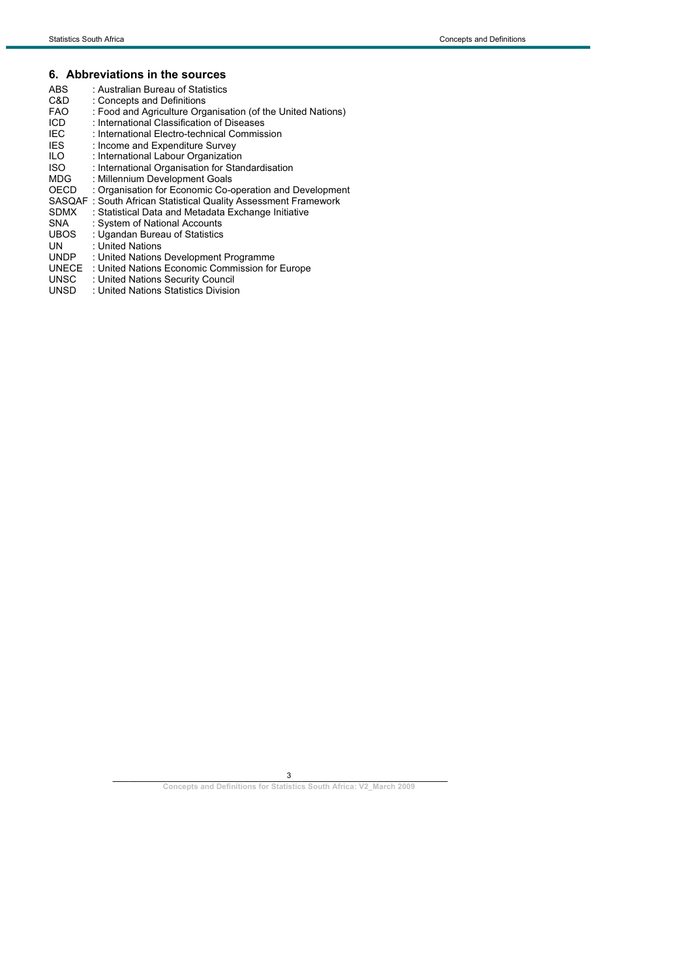## **6. Abbreviations in the sources**

| ABS<br>C&D  | : Australian Bureau of Statistics<br>: Concepts and Definitions        |
|-------------|------------------------------------------------------------------------|
| <b>FAO</b>  | : Food and Agriculture Organisation (of the United Nations)            |
| ICD         | : International Classification of Diseases                             |
| IEC         | : International Electro-technical Commission                           |
| <b>IES</b>  | : Income and Expenditure Survey                                        |
| ILO.        | : International Labour Organization                                    |
| <b>ISO</b>  | : International Organisation for Standardisation                       |
| MDG         | : Millennium Development Goals                                         |
| OECD        | : Organisation for Economic Co-operation and Development               |
|             | <b>SASQAF</b> : South African Statistical Quality Assessment Framework |
| <b>SDMX</b> | : Statistical Data and Metadata Exchange Initiative                    |
| SNA.        | : System of National Accounts                                          |
| UBOS        | : Ugandan Bureau of Statistics                                         |
| UN          | : United Nations                                                       |
| <b>UNDP</b> | : United Nations Development Programme                                 |
| UNECE       | : United Nations Economic Commission for Europe                        |
| UNSC        | : United Nations Security Council                                      |
| UNSD        | : United Nations Statistics Division                                   |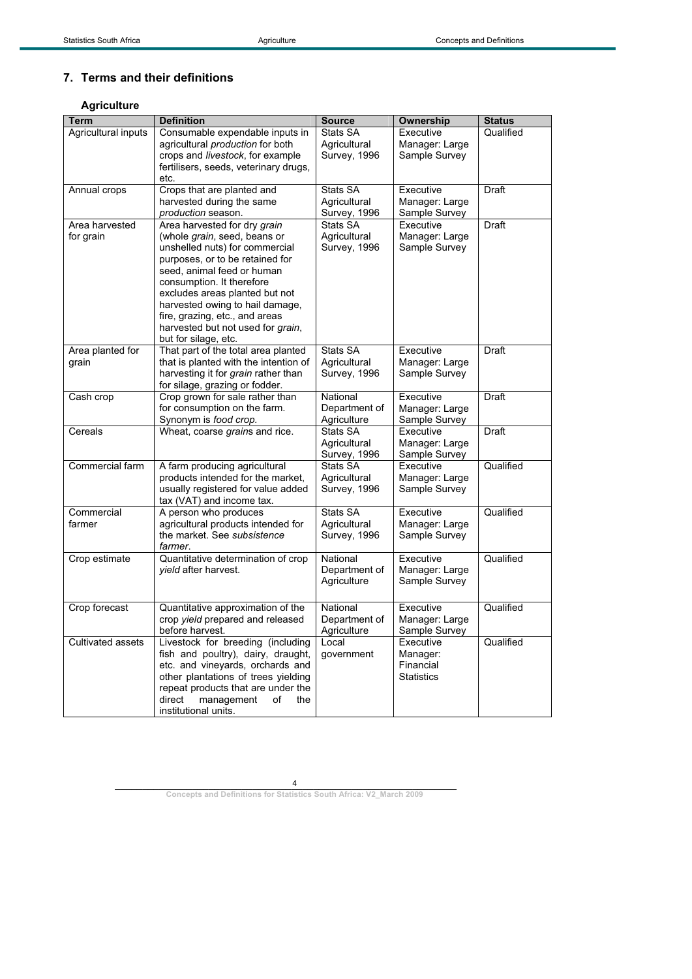# **7. Terms and their definitions**

## **Agriculture**

| <b>Term</b>                 | <b>Definition</b>                                                                                                                                                                                                                                                                                                                                                | <b>Source</b>                                   | Ownership                                               | <b>Status</b> |
|-----------------------------|------------------------------------------------------------------------------------------------------------------------------------------------------------------------------------------------------------------------------------------------------------------------------------------------------------------------------------------------------------------|-------------------------------------------------|---------------------------------------------------------|---------------|
| Agricultural inputs         | Consumable expendable inputs in<br>agricultural production for both<br>crops and livestock, for example<br>fertilisers, seeds, veterinary drugs,<br>etc.                                                                                                                                                                                                         | Stats SA<br>Agricultural<br><b>Survey, 1996</b> | Executive<br>Manager: Large<br>Sample Survey            | Qualified     |
| Annual crops                | Crops that are planted and<br>harvested during the same<br>production season.                                                                                                                                                                                                                                                                                    | Stats SA<br>Agricultural<br>Survey, 1996        | Executive<br>Manager: Large<br>Sample Survey            | Draft         |
| Area harvested<br>for grain | Area harvested for dry grain<br>(whole grain, seed, beans or<br>unshelled nuts) for commercial<br>purposes, or to be retained for<br>seed, animal feed or human<br>consumption. It therefore<br>excludes areas planted but not<br>harvested owing to hail damage,<br>fire, grazing, etc., and areas<br>harvested but not used for grain,<br>but for silage, etc. | Stats SA<br>Agricultural<br>Survey, 1996        | Executive<br>Manager: Large<br>Sample Survey            | Draft         |
| Area planted for<br>grain   | That part of the total area planted<br>that is planted with the intention of<br>harvesting it for grain rather than<br>for silage, grazing or fodder.                                                                                                                                                                                                            | Stats SA<br>Agricultural<br>Survey, 1996        | Executive<br>Manager: Large<br>Sample Survey            | Draft         |
| Cash crop                   | Crop grown for sale rather than<br>for consumption on the farm.<br>Synonym is food crop.                                                                                                                                                                                                                                                                         | National<br>Department of<br>Agriculture        | Executive<br>Manager: Large<br>Sample Survey            | Draft         |
| Cereals                     | Wheat, coarse grains and rice.                                                                                                                                                                                                                                                                                                                                   | Stats SA<br>Agricultural<br>Survey, 1996        | Executive<br>Manager: Large<br>Sample Survey            | Draft         |
| Commercial farm             | A farm producing agricultural<br>products intended for the market,<br>usually registered for value added<br>tax (VAT) and income tax.                                                                                                                                                                                                                            | Stats SA<br>Agricultural<br><b>Survey, 1996</b> | Executive<br>Manager: Large<br>Sample Survey            | Qualified     |
| Commercial<br>farmer        | A person who produces<br>agricultural products intended for<br>the market. See subsistence<br>farmer.                                                                                                                                                                                                                                                            | Stats SA<br>Agricultural<br>Survey, 1996        | Executive<br>Manager: Large<br>Sample Survey            | Qualified     |
| Crop estimate               | Quantitative determination of crop<br>yield after harvest.                                                                                                                                                                                                                                                                                                       | National<br>Department of<br>Agriculture        | Executive<br>Manager: Large<br>Sample Survey            | Qualified     |
| Crop forecast               | Quantitative approximation of the<br>crop yield prepared and released<br>before harvest.                                                                                                                                                                                                                                                                         | National<br>Department of<br>Agriculture        | Executive<br>Manager: Large<br>Sample Survey            | Qualified     |
| Cultivated assets           | Livestock for breeding (including<br>fish and poultry), dairy, draught,<br>etc. and vineyards, orchards and<br>other plantations of trees yielding<br>repeat products that are under the<br>direct<br>management<br>of<br>the<br>institutional units.                                                                                                            | Local<br>government                             | Executive<br>Manager:<br>Financial<br><b>Statistics</b> | Qualified     |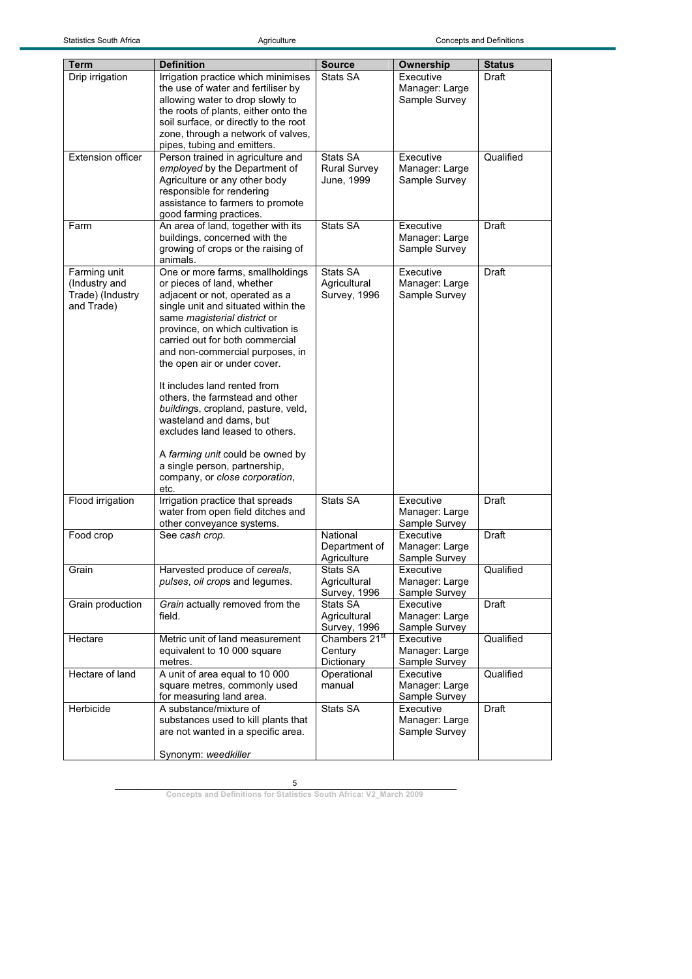| Term                          | <b>Definition</b>                                                      | <b>Source</b>             | Ownership                       | <b>Status</b> |
|-------------------------------|------------------------------------------------------------------------|---------------------------|---------------------------------|---------------|
| Drip irrigation               | Irrigation practice which minimises                                    | Stats SA                  | Executive                       | Draft         |
|                               |                                                                        |                           |                                 |               |
|                               | the use of water and fertiliser by<br>allowing water to drop slowly to |                           | Manager: Large<br>Sample Survey |               |
|                               | the roots of plants, either onto the                                   |                           |                                 |               |
|                               | soil surface, or directly to the root                                  |                           |                                 |               |
|                               | zone, through a network of valves,                                     |                           |                                 |               |
|                               |                                                                        |                           |                                 |               |
| <b>Extension officer</b>      | pipes, tubing and emitters.                                            | Stats SA                  | Executive                       | Qualified     |
|                               | Person trained in agriculture and                                      | <b>Rural Survey</b>       | Manager: Large                  |               |
|                               | employed by the Department of<br>Agriculture or any other body         | June, 1999                | Sample Survey                   |               |
|                               | responsible for rendering                                              |                           |                                 |               |
|                               | assistance to farmers to promote                                       |                           |                                 |               |
|                               | good farming practices.                                                |                           |                                 |               |
| Farm                          | An area of land, together with its                                     | Stats SA                  | Executive                       | Draft         |
|                               | buildings, concerned with the                                          |                           | Manager: Large                  |               |
|                               | growing of crops or the raising of                                     |                           | Sample Survey                   |               |
|                               | animals.                                                               |                           |                                 |               |
|                               | One or more farms, smallholdings                                       | Stats SA                  | Executive                       | Draft         |
| Farming unit<br>(Industry and | or pieces of land, whether                                             | Agricultural              | Manager: Large                  |               |
| Trade) (Industry              | adjacent or not, operated as a                                         | Survey, 1996              | Sample Survey                   |               |
| and Trade)                    | single unit and situated within the                                    |                           |                                 |               |
|                               | same <i>magisterial</i> district or                                    |                           |                                 |               |
|                               | province, on which cultivation is                                      |                           |                                 |               |
|                               | carried out for both commercial                                        |                           |                                 |               |
|                               | and non-commercial purposes, in                                        |                           |                                 |               |
|                               | the open air or under cover.                                           |                           |                                 |               |
|                               |                                                                        |                           |                                 |               |
|                               | It includes land rented from                                           |                           |                                 |               |
|                               | others, the farmstead and other                                        |                           |                                 |               |
|                               | buildings, cropland, pasture, veld,                                    |                           |                                 |               |
|                               | wasteland and dams, but                                                |                           |                                 |               |
|                               | excludes land leased to others.                                        |                           |                                 |               |
|                               |                                                                        |                           |                                 |               |
|                               | A farming unit could be owned by                                       |                           |                                 |               |
|                               | a single person, partnership,                                          |                           |                                 |               |
|                               | company, or close corporation,                                         |                           |                                 |               |
|                               | etc.                                                                   |                           |                                 |               |
| Flood irrigation              | Irrigation practice that spreads                                       | Stats SA                  | Executive                       | Draft         |
|                               | water from open field ditches and                                      |                           | Manager: Large                  |               |
|                               | other conveyance systems.                                              |                           | Sample Survey                   |               |
| Food crop                     | See cash crop.                                                         | National                  | Executive                       | Draft         |
|                               |                                                                        | Department of             | Manager: Large                  |               |
|                               |                                                                        | Agriculture               | Sample Survey                   |               |
| Grain                         | Harvested produce of cereals,                                          | Stats SA                  | Executive                       | Qualified     |
|                               | pulses, oil crops and legumes.                                         | Agricultural              | Manager: Large                  |               |
|                               |                                                                        | <b>Survey, 1996</b>       | Sample Survey                   |               |
| Grain production              | Grain actually removed from the                                        | Stats SA                  | Executive                       | Draft         |
|                               | field.                                                                 | Agricultural              | Manager: Large                  |               |
|                               |                                                                        | <b>Survey, 1996</b>       | Sample Survey                   |               |
| Hectare                       | Metric unit of land measurement                                        | Chambers 21 <sup>st</sup> | Executive                       | Qualified     |
|                               | equivalent to 10 000 square                                            | Century                   | Manager: Large                  |               |
|                               | metres.                                                                | Dictionary                | Sample Survey                   |               |
| Hectare of land               | A unit of area equal to 10 000                                         | Operational               | Executive                       | Qualified     |
|                               | square metres, commonly used                                           | manual                    | Manager: Large                  |               |
|                               | for measuring land area.                                               |                           | Sample Survey                   |               |
| Herbicide                     | A substance/mixture of                                                 | Stats SA                  | Executive                       | Draft         |
|                               | substances used to kill plants that                                    |                           | Manager: Large                  |               |
|                               | are not wanted in a specific area.                                     |                           | Sample Survey                   |               |
|                               |                                                                        |                           |                                 |               |
|                               | Synonym: weedkiller                                                    |                           |                                 |               |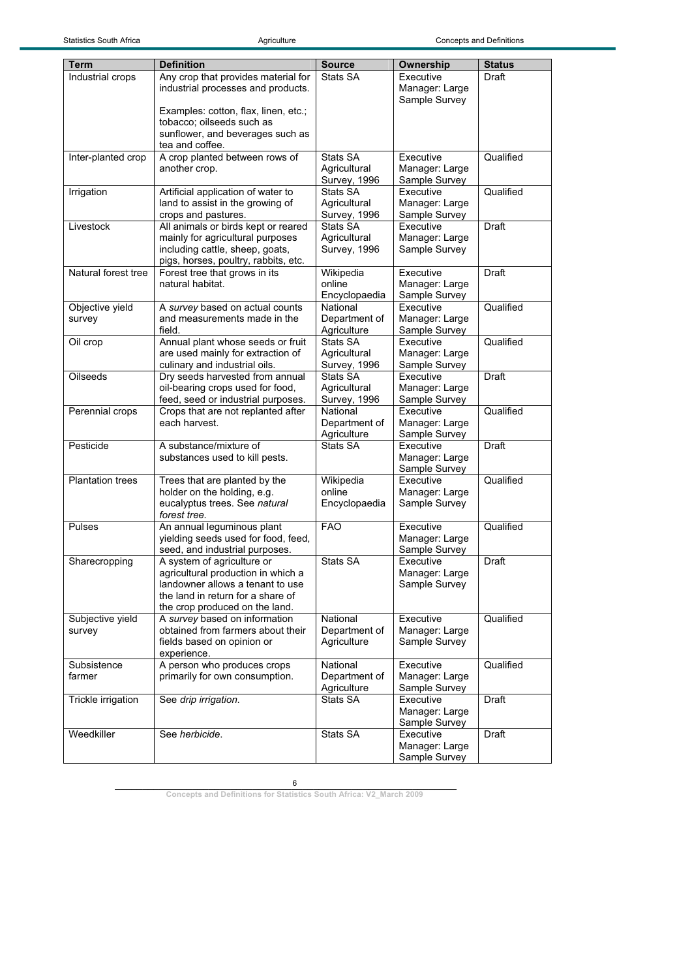| Term                    | <b>Definition</b>                                                      | <b>Source</b>                       | Ownership                       | <b>Status</b> |
|-------------------------|------------------------------------------------------------------------|-------------------------------------|---------------------------------|---------------|
| Industrial crops        | Any crop that provides material for                                    | Stats SA                            | Executive                       | Draft         |
|                         | industrial processes and products.                                     |                                     | Manager: Large                  |               |
|                         |                                                                        |                                     | Sample Survey                   |               |
|                         | Examples: cotton, flax, linen, etc.;                                   |                                     |                                 |               |
|                         | tobacco; oilseeds such as                                              |                                     |                                 |               |
|                         | sunflower, and beverages such as<br>tea and coffee.                    |                                     |                                 |               |
| Inter-planted crop      | A crop planted between rows of                                         | Stats SA                            | Executive                       | Qualified     |
|                         | another crop.                                                          | Agricultural                        | Manager: Large                  |               |
|                         |                                                                        | Survey, 1996                        | Sample Survey                   |               |
| Irrigation              | Artificial application of water to                                     | Stats SA                            | Executive                       | Qualified     |
|                         | land to assist in the growing of                                       | Agricultural                        | Manager: Large                  |               |
|                         | crops and pastures.                                                    | Survey, 1996                        | Sample Survey                   |               |
| Livestock               | All animals or birds kept or reared                                    | Stats SA                            | Executive                       | Draft         |
|                         | mainly for agricultural purposes                                       | Agricultural                        | Manager: Large                  |               |
|                         | including cattle, sheep, goats,                                        | Survey, 1996                        | Sample Survey                   |               |
|                         | pigs, horses, poultry, rabbits, etc.                                   |                                     |                                 |               |
| Natural forest tree     | Forest tree that grows in its                                          | Wikipedia                           | Executive                       | <b>Draft</b>  |
|                         | natural habitat.                                                       | online                              | Manager: Large                  |               |
|                         |                                                                        | Encyclopaedia                       | Sample Survey                   |               |
| Objective yield         | A survey based on actual counts                                        | National                            | Executive                       | Qualified     |
| survey                  | and measurements made in the                                           | Department of                       | Manager: Large                  |               |
|                         | field.                                                                 | Agriculture<br>Stats SA             | Sample Survey                   |               |
| Oil crop                | Annual plant whose seeds or fruit<br>are used mainly for extraction of |                                     | Executive                       | Qualified     |
|                         | culinary and industrial oils.                                          | Agricultural<br><b>Survey, 1996</b> | Manager: Large<br>Sample Survey |               |
| <b>Oilseeds</b>         | Dry seeds harvested from annual                                        | Stats SA                            | Executive                       | Draft         |
|                         | oil-bearing crops used for food,                                       | Agricultural                        | Manager: Large                  |               |
|                         | feed, seed or industrial purposes.                                     | Survey, 1996                        | Sample Survey                   |               |
| Perennial crops         | Crops that are not replanted after                                     | National                            | Executive                       | Qualified     |
|                         | each harvest.                                                          | Department of                       | Manager: Large                  |               |
|                         |                                                                        | Agriculture                         | Sample Survey                   |               |
| Pesticide               | A substance/mixture of                                                 | Stats SA                            | Executive                       | Draft         |
|                         | substances used to kill pests.                                         |                                     | Manager: Large                  |               |
|                         |                                                                        |                                     | Sample Survey                   |               |
| <b>Plantation trees</b> | Trees that are planted by the                                          | Wikipedia                           | Executive                       | Qualified     |
|                         | holder on the holding, e.g.                                            | online                              | Manager: Large                  |               |
|                         | eucalyptus trees. See natural                                          | Encyclopaedia                       | Sample Survey                   |               |
|                         | forest tree.                                                           |                                     |                                 |               |
| Pulses                  | An annual leguminous plant                                             | <b>FAO</b>                          | Executive                       | Qualified     |
|                         | yielding seeds used for food, feed,<br>seed, and industrial purposes.  |                                     | Manager: Large<br>Sample Survey |               |
| Sharecropping           | A system of agriculture or                                             | Stats SA                            | Executive                       | Draft         |
|                         | agricultural production in which a                                     |                                     | Manager: Large                  |               |
|                         | landowner allows a tenant to use                                       |                                     | Sample Survey                   |               |
|                         | the land in return for a share of                                      |                                     |                                 |               |
|                         | the crop produced on the land.                                         |                                     |                                 |               |
| Subjective yield        | A survey based on information                                          | National                            | Executive                       | Qualified     |
| survey                  | obtained from farmers about their                                      | Department of                       | Manager: Large                  |               |
|                         | fields based on opinion or                                             | Agriculture                         | Sample Survey                   |               |
|                         | experience.                                                            |                                     |                                 |               |
| Subsistence             | A person who produces crops                                            | National                            | Executive                       | Qualified     |
| farmer                  | primarily for own consumption.                                         | Department of                       | Manager: Large                  |               |
|                         |                                                                        | Agriculture                         | Sample Survey                   |               |
| Trickle irrigation      | See drip irrigation.                                                   | Stats SA                            | Executive                       | Draft         |
|                         |                                                                        |                                     | Manager: Large                  |               |
| Weedkiller              | See herbicide.                                                         | Stats SA                            | Sample Survey<br>Executive      | Draft         |
|                         |                                                                        |                                     | Manager: Large                  |               |
|                         |                                                                        |                                     | Sample Survey                   |               |
|                         |                                                                        |                                     |                                 |               |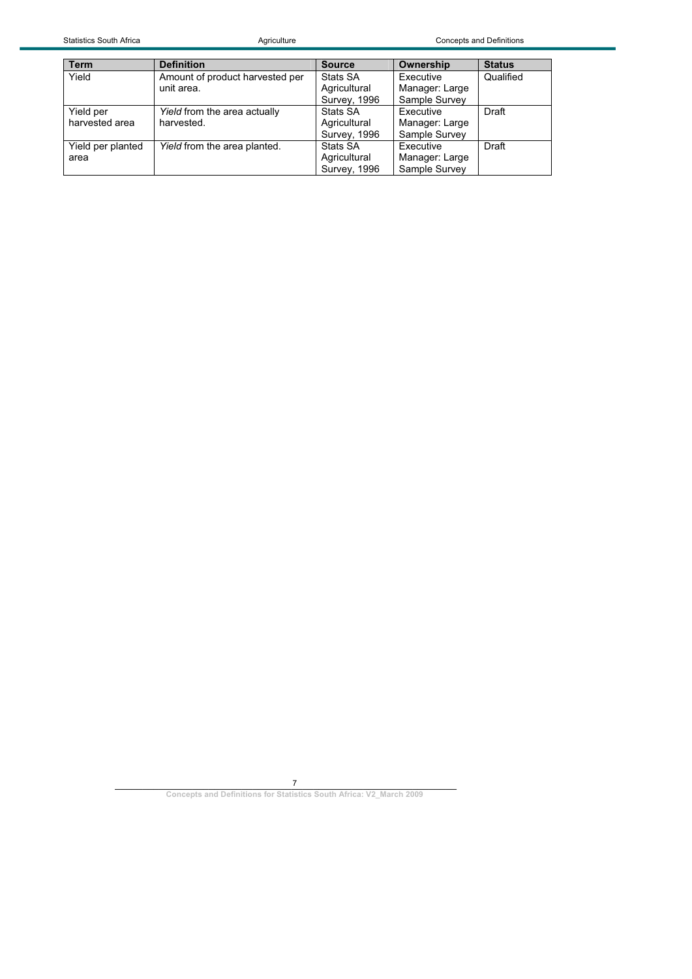| <b>Term</b>       | <b>Definition</b>               | <b>Source</b>       | Ownership      | <b>Status</b> |
|-------------------|---------------------------------|---------------------|----------------|---------------|
| Yield             | Amount of product harvested per | Stats SA            | Executive      | Qualified     |
|                   | unit area.                      | Agricultural        | Manager: Large |               |
|                   |                                 | <b>Survey, 1996</b> | Sample Survey  |               |
| Yield per         | Yield from the area actually    | Stats SA            | Executive      | Draft         |
| harvested area    | harvested.                      | Agricultural        | Manager: Large |               |
|                   |                                 | <b>Survey, 1996</b> | Sample Survey  |               |
| Yield per planted | Yield from the area planted.    | Stats SA            | Executive      | Draft         |
| area              |                                 | Agricultural        | Manager: Large |               |
|                   |                                 | <b>Survey, 1996</b> | Sample Survey  |               |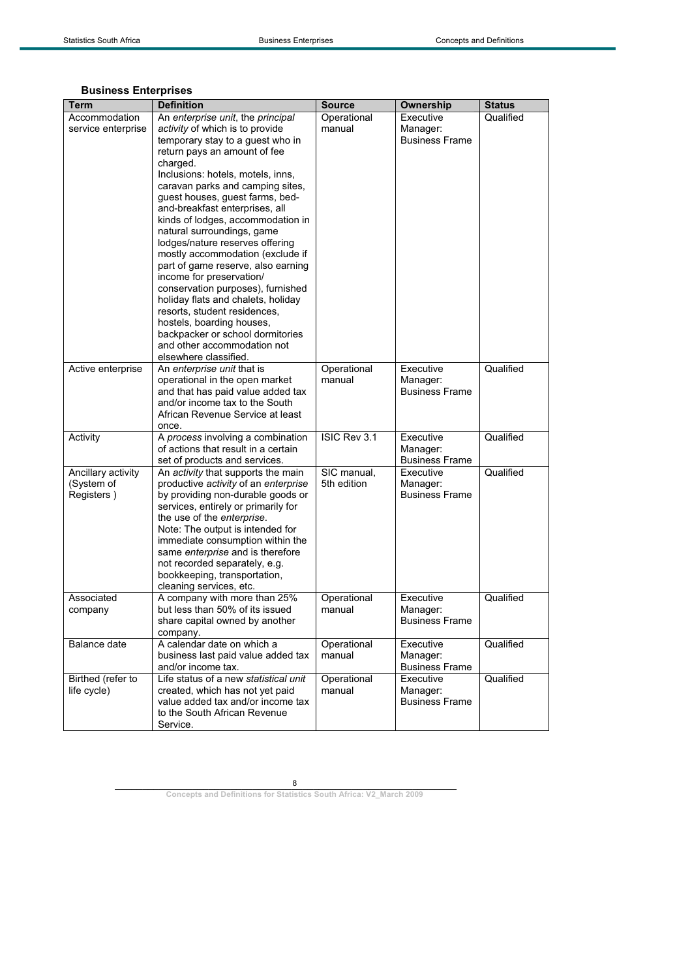## **Business Enterprises**

| Term               | <b>Definition</b>                                                        | <b>Source</b>         | <b>Ownership</b>                  | <b>Status</b> |
|--------------------|--------------------------------------------------------------------------|-----------------------|-----------------------------------|---------------|
| Accommodation      | An enterprise unit, the principal                                        | Operational           | Executive                         | Qualified     |
| service enterprise | activity of which is to provide                                          | manual                | Manager:                          |               |
|                    | temporary stay to a guest who in                                         |                       | <b>Business Frame</b>             |               |
|                    | return pays an amount of fee                                             |                       |                                   |               |
|                    | charged.                                                                 |                       |                                   |               |
|                    | Inclusions: hotels, motels, inns,                                        |                       |                                   |               |
|                    | caravan parks and camping sites,                                         |                       |                                   |               |
|                    | guest houses, guest farms, bed-                                          |                       |                                   |               |
|                    | and-breakfast enterprises, all                                           |                       |                                   |               |
|                    | kinds of lodges, accommodation in                                        |                       |                                   |               |
|                    | natural surroundings, game                                               |                       |                                   |               |
|                    | lodges/nature reserves offering                                          |                       |                                   |               |
|                    | mostly accommodation (exclude if<br>part of game reserve, also earning   |                       |                                   |               |
|                    | income for preservation/                                                 |                       |                                   |               |
|                    | conservation purposes), furnished                                        |                       |                                   |               |
|                    | holiday flats and chalets, holiday                                       |                       |                                   |               |
|                    | resorts, student residences,                                             |                       |                                   |               |
|                    | hostels, boarding houses,                                                |                       |                                   |               |
|                    | backpacker or school dormitories                                         |                       |                                   |               |
|                    | and other accommodation not                                              |                       |                                   |               |
|                    | elsewhere classified.                                                    |                       |                                   |               |
| Active enterprise  | An enterprise unit that is                                               | Operational           | Executive                         | Qualified     |
|                    | operational in the open market                                           | manual                | Manager:                          |               |
|                    | and that has paid value added tax<br>and/or income tax to the South      |                       | <b>Business Frame</b>             |               |
|                    | African Revenue Service at least                                         |                       |                                   |               |
|                    | once.                                                                    |                       |                                   |               |
| Activity           | A process involving a combination                                        | ISIC Rev 3.1          | Executive                         | Qualified     |
|                    | of actions that result in a certain                                      |                       | Manager:                          |               |
|                    | set of products and services.                                            |                       | <b>Business Frame</b>             |               |
| Ancillary activity | An activity that supports the main                                       | SIC manual,           | Executive                         | Qualified     |
| (System of         | productive activity of an enterprise                                     | 5th edition           | Manager:                          |               |
| Registers)         | by providing non-durable goods or                                        |                       | <b>Business Frame</b>             |               |
|                    | services, entirely or primarily for                                      |                       |                                   |               |
|                    | the use of the enterprise.                                               |                       |                                   |               |
|                    | Note: The output is intended for                                         |                       |                                   |               |
|                    | immediate consumption within the<br>same enterprise and is therefore     |                       |                                   |               |
|                    | not recorded separately, e.g.                                            |                       |                                   |               |
|                    | bookkeeping, transportation,                                             |                       |                                   |               |
|                    | cleaning services, etc.                                                  |                       |                                   |               |
| Associated         | A company with more than 25%                                             | Operational           | Executive                         | Qualified     |
| company            | but less than 50% of its issued                                          | manual                | Manager:                          |               |
|                    | share capital owned by another                                           |                       | <b>Business Frame</b>             |               |
|                    | company.                                                                 |                       |                                   |               |
| Balance date       | A calendar date on which a                                               | Operational           | Executive                         | Qualified     |
|                    | business last paid value added tax                                       | manual                | Manager:                          |               |
|                    | and/or income tax.                                                       |                       | <b>Business Frame</b>             |               |
| Birthed (refer to  | Life status of a new statistical unit<br>created, which has not yet paid | Operational<br>manual | Executive                         | Qualified     |
| life cycle)        | value added tax and/or income tax                                        |                       | Manager:<br><b>Business Frame</b> |               |
|                    | to the South African Revenue                                             |                       |                                   |               |
|                    | Service.                                                                 |                       |                                   |               |
|                    |                                                                          |                       |                                   |               |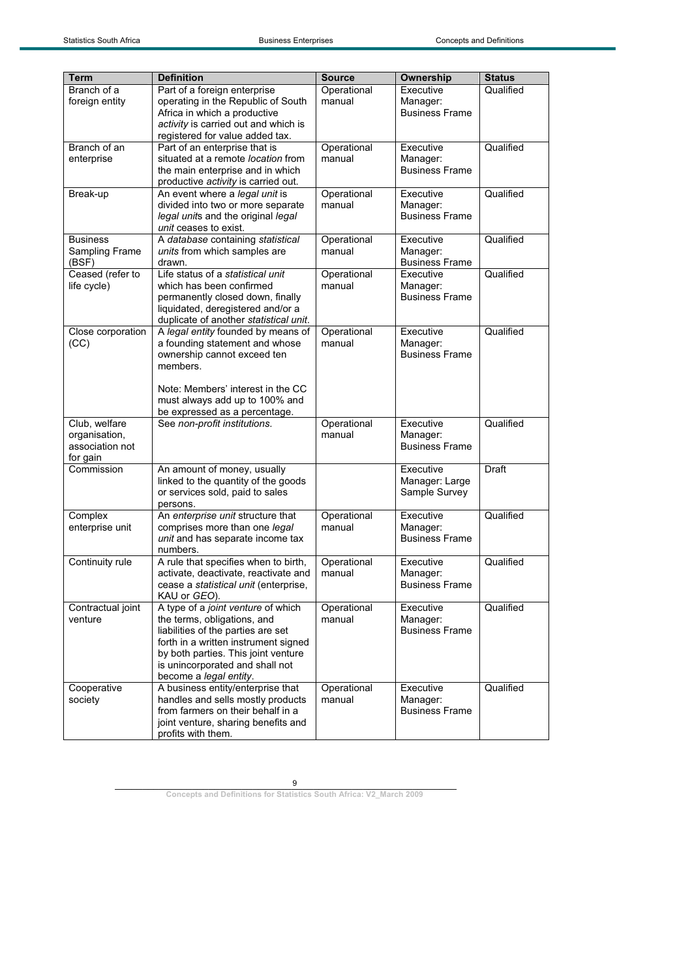| <b>Term</b><br>Branch of a       | <b>Definition</b><br>Part of a foreign enterprise | <b>Source</b> | Ownership<br>Executive            | <b>Status</b> |
|----------------------------------|---------------------------------------------------|---------------|-----------------------------------|---------------|
|                                  |                                                   | Operational   |                                   | Qualified     |
| foreign entity                   | operating in the Republic of South                | manual        | Manager:                          |               |
|                                  | Africa in which a productive                      |               | <b>Business Frame</b>             |               |
|                                  | activity is carried out and which is              |               |                                   |               |
|                                  | registered for value added tax.                   |               |                                   |               |
| Branch of an                     | Part of an enterprise that is                     | Operational   | Executive                         | Qualified     |
| enterprise                       | situated at a remote location from                | manual        | Manager:                          |               |
|                                  | the main enterprise and in which                  |               | <b>Business Frame</b>             |               |
|                                  | productive activity is carried out.               |               |                                   |               |
| Break-up                         | An event where a legal unit is                    | Operational   | Executive                         | Qualified     |
|                                  | divided into two or more separate                 | manual        | Manager:                          |               |
|                                  | legal units and the original legal                |               | <b>Business Frame</b>             |               |
|                                  | unit ceases to exist.                             |               |                                   |               |
| <b>Business</b>                  | A database containing statistical                 | Operational   | Executive                         | Qualified     |
| Sampling Frame                   | units from which samples are                      | manual        | Manager:                          |               |
| (BSF)                            | drawn.                                            |               | <b>Business Frame</b>             |               |
| Ceased (refer to                 | Life status of a statistical unit                 | Operational   | Executive                         | Qualified     |
| life cycle)                      | which has been confirmed                          | manual        | Manager:                          |               |
|                                  | permanently closed down, finally                  |               | <b>Business Frame</b>             |               |
|                                  | liquidated, deregistered and/or a                 |               |                                   |               |
|                                  | duplicate of another statistical unit.            |               |                                   |               |
| Close corporation                | A legal entity founded by means of                | Operational   | Executive                         | Qualified     |
| (CC)                             | a founding statement and whose                    | manual        | Manager:                          |               |
|                                  | ownership cannot exceed ten                       |               | <b>Business Frame</b>             |               |
|                                  | members.                                          |               |                                   |               |
|                                  | Note: Members' interest in the CC                 |               |                                   |               |
|                                  |                                                   |               |                                   |               |
|                                  | must always add up to 100% and                    |               |                                   |               |
|                                  | be expressed as a percentage.                     | Operational   | Executive                         | Qualified     |
| Club, welfare                    | See non-profit institutions.                      | manual        |                                   |               |
| organisation,<br>association not |                                                   |               | Manager:<br><b>Business Frame</b> |               |
| for gain                         |                                                   |               |                                   |               |
| Commission                       | An amount of money, usually                       |               | Executive                         | <b>Draft</b>  |
|                                  | linked to the quantity of the goods               |               | Manager: Large                    |               |
|                                  | or services sold, paid to sales                   |               | Sample Survey                     |               |
|                                  | persons.                                          |               |                                   |               |
| Complex                          | An enterprise unit structure that                 | Operational   | Executive                         | Qualified     |
| enterprise unit                  | comprises more than one legal                     | manual        | Manager:                          |               |
|                                  | unit and has separate income tax                  |               | <b>Business Frame</b>             |               |
|                                  | numbers.                                          |               |                                   |               |
| Continuity rule                  | A rule that specifies when to birth,              | Operational   | Executive                         | Qualified     |
|                                  | activate, deactivate, reactivate and              | manual        | Manager:                          |               |
|                                  | cease a statistical unit (enterprise,             |               | <b>Business Frame</b>             |               |
|                                  | KAU or GEO).                                      |               |                                   |               |
| Contractual joint                | A type of a joint venture of which                | Operational   | Executive                         | Qualified     |
| venture                          | the terms, obligations, and                       | manual        | Manager:                          |               |
|                                  | liabilities of the parties are set                |               | <b>Business Frame</b>             |               |
|                                  | forth in a written instrument signed              |               |                                   |               |
|                                  | by both parties. This joint venture               |               |                                   |               |
|                                  | is unincorporated and shall not                   |               |                                   |               |
|                                  | become a legal entity.                            |               |                                   |               |
| Cooperative                      | A business entity/enterprise that                 | Operational   | Executive                         | Qualified     |
| society                          | handles and sells mostly products                 | manual        | Manager:                          |               |
|                                  | from farmers on their behalf in a                 |               | <b>Business Frame</b>             |               |
|                                  | joint venture, sharing benefits and               |               |                                   |               |
|                                  | profits with them.                                |               |                                   |               |
|                                  |                                                   |               |                                   |               |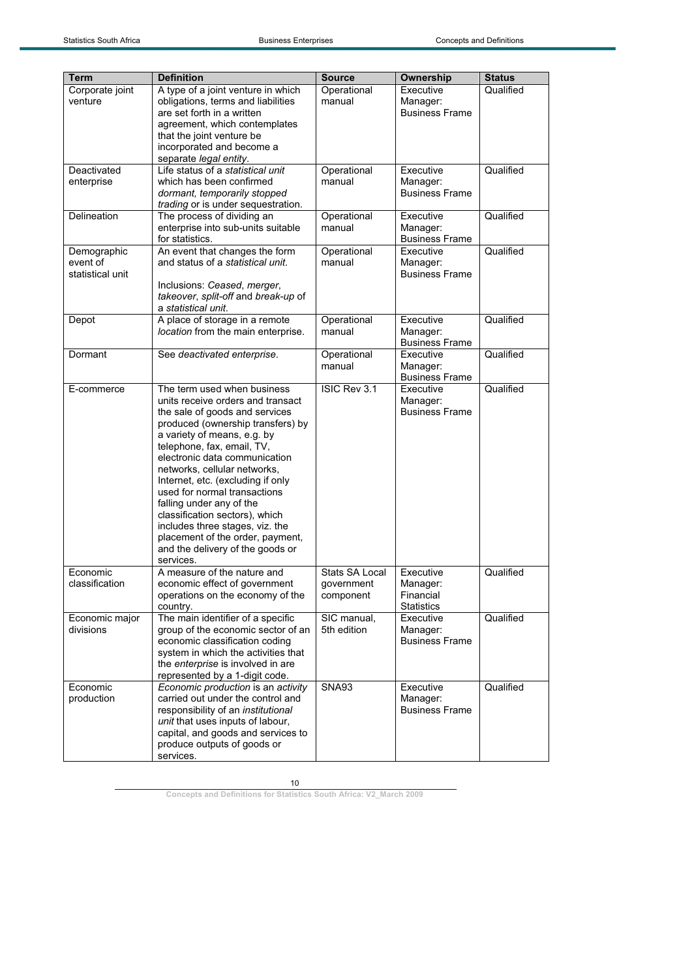| <b>Term</b>                                 | <b>Definition</b>                                                                                                                                                                                                                                                                                                                                                                                                                                                                                                                | <b>Source</b>                             | Ownership                                               | <b>Status</b> |
|---------------------------------------------|----------------------------------------------------------------------------------------------------------------------------------------------------------------------------------------------------------------------------------------------------------------------------------------------------------------------------------------------------------------------------------------------------------------------------------------------------------------------------------------------------------------------------------|-------------------------------------------|---------------------------------------------------------|---------------|
| Corporate joint<br>venture                  | A type of a joint venture in which<br>obligations, terms and liabilities<br>are set forth in a written<br>agreement, which contemplates<br>that the joint venture be<br>incorporated and become a<br>separate legal entity.                                                                                                                                                                                                                                                                                                      | Operational<br>manual                     | Executive<br>Manager:<br><b>Business Frame</b>          | Qualified     |
| Deactivated<br>enterprise                   | Life status of a statistical unit<br>which has been confirmed<br>dormant, temporarily stopped<br>trading or is under sequestration.                                                                                                                                                                                                                                                                                                                                                                                              | Operational<br>manual                     | Executive<br>Manager:<br><b>Business Frame</b>          | Qualified     |
| Delineation                                 | The process of dividing an<br>enterprise into sub-units suitable<br>for statistics.                                                                                                                                                                                                                                                                                                                                                                                                                                              | Operational<br>manual                     | Executive<br>Manager:<br><b>Business Frame</b>          | Qualified     |
| Demographic<br>event of<br>statistical unit | An event that changes the form<br>and status of a statistical unit.<br>Inclusions: Ceased, merger,<br>takeover, split-off and break-up of<br>a statistical unit.                                                                                                                                                                                                                                                                                                                                                                 | Operational<br>manual                     | Executive<br>Manager:<br><b>Business Frame</b>          | Qualified     |
| Depot                                       | A place of storage in a remote<br>location from the main enterprise.                                                                                                                                                                                                                                                                                                                                                                                                                                                             | Operational<br>manual                     | Executive<br>Manager:<br><b>Business Frame</b>          | Qualified     |
| Dormant                                     | See deactivated enterprise.                                                                                                                                                                                                                                                                                                                                                                                                                                                                                                      | Operational<br>manual                     | Executive<br>Manager:<br><b>Business Frame</b>          | Qualified     |
| E-commerce                                  | The term used when business<br>units receive orders and transact<br>the sale of goods and services<br>produced (ownership transfers) by<br>a variety of means, e.g. by<br>telephone, fax, email, TV,<br>electronic data communication<br>networks, cellular networks,<br>Internet, etc. (excluding if only<br>used for normal transactions<br>falling under any of the<br>classification sectors), which<br>includes three stages, viz. the<br>placement of the order, payment,<br>and the delivery of the goods or<br>services. | ISIC Rev 3.1                              | Executive<br>Manager:<br><b>Business Frame</b>          | Qualified     |
| Economic<br>classification                  | A measure of the nature and<br>economic effect of government<br>operations on the economy of the<br>country.                                                                                                                                                                                                                                                                                                                                                                                                                     | Stats SA Local<br>government<br>component | Executive<br>Manager:<br>Financial<br><b>Statistics</b> | Qualified     |
| Economic major<br>divisions                 | The main identifier of a specific<br>group of the economic sector of an<br>economic classification coding<br>system in which the activities that<br>the enterprise is involved in are<br>represented by a 1-digit code.                                                                                                                                                                                                                                                                                                          | SIC manual,<br>5th edition                | Executive<br>Manager:<br><b>Business Frame</b>          | Qualified     |
| Economic<br>production                      | Economic production is an activity<br>carried out under the control and<br>responsibility of an institutional<br>unit that uses inputs of labour,<br>capital, and goods and services to<br>produce outputs of goods or<br>services.                                                                                                                                                                                                                                                                                              | <b>SNA93</b>                              | Executive<br>Manager:<br><b>Business Frame</b>          | Qualified     |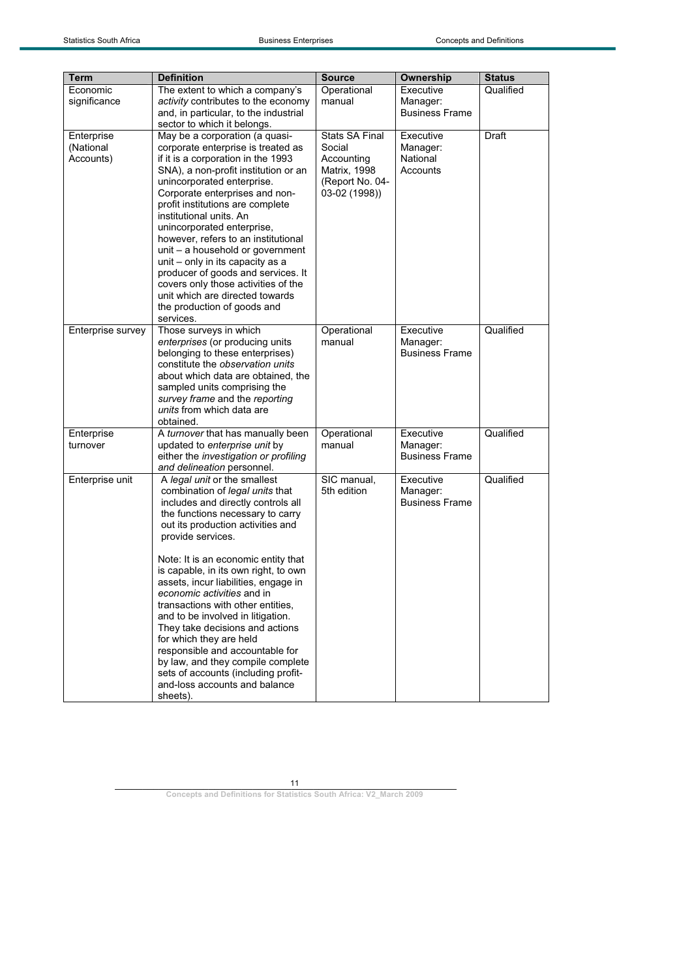| Term              | <b>Definition</b>                     | <b>Source</b>         | Ownership             | <b>Status</b> |
|-------------------|---------------------------------------|-----------------------|-----------------------|---------------|
| Economic          | The extent to which a company's       | Operational           | Executive             | Qualified     |
| significance      | activity contributes to the economy   | manual                | Manager:              |               |
|                   | and, in particular, to the industrial |                       | <b>Business Frame</b> |               |
|                   | sector to which it belongs.           |                       |                       |               |
| Enterprise        | May be a corporation (a quasi-        | <b>Stats SA Final</b> | Executive             | Draft         |
| (National         | corporate enterprise is treated as    | Social                | Manager:              |               |
| Accounts)         | if it is a corporation in the 1993    | Accounting            | National              |               |
|                   | SNA), a non-profit institution or an  | Matrix, 1998          | Accounts              |               |
|                   | unincorporated enterprise.            | (Report No. 04-       |                       |               |
|                   | Corporate enterprises and non-        | 03-02 (1998))         |                       |               |
|                   | profit institutions are complete      |                       |                       |               |
|                   | institutional units. An               |                       |                       |               |
|                   | unincorporated enterprise,            |                       |                       |               |
|                   | however, refers to an institutional   |                       |                       |               |
|                   | unit – a household or government      |                       |                       |               |
|                   | unit - only in its capacity as a      |                       |                       |               |
|                   | producer of goods and services. It    |                       |                       |               |
|                   | covers only those activities of the   |                       |                       |               |
|                   | unit which are directed towards       |                       |                       |               |
|                   | the production of goods and           |                       |                       |               |
|                   | services.                             |                       |                       |               |
| Enterprise survey | Those surveys in which                | Operational           | Executive             | Qualified     |
|                   | enterprises (or producing units       | manual                | Manager:              |               |
|                   | belonging to these enterprises)       |                       | <b>Business Frame</b> |               |
|                   | constitute the observation units      |                       |                       |               |
|                   | about which data are obtained, the    |                       |                       |               |
|                   | sampled units comprising the          |                       |                       |               |
|                   | survey frame and the reporting        |                       |                       |               |
|                   | units from which data are             |                       |                       |               |
|                   | obtained.                             |                       |                       |               |
| Enterprise        | A turnover that has manually been     | Operational           | Executive             | Qualified     |
| turnover          | updated to enterprise unit by         | manual                | Manager:              |               |
|                   | either the investigation or profiling |                       | <b>Business Frame</b> |               |
|                   | and delineation personnel.            |                       |                       |               |
| Enterprise unit   | A legal unit or the smallest          | SIC manual,           | Executive             | Qualified     |
|                   | combination of legal units that       | 5th edition           | Manager:              |               |
|                   | includes and directly controls all    |                       | <b>Business Frame</b> |               |
|                   | the functions necessary to carry      |                       |                       |               |
|                   | out its production activities and     |                       |                       |               |
|                   | provide services.                     |                       |                       |               |
|                   |                                       |                       |                       |               |
|                   | Note: It is an economic entity that   |                       |                       |               |
|                   | is capable, in its own right, to own  |                       |                       |               |
|                   | assets, incur liabilities, engage in  |                       |                       |               |
|                   | economic activities and in            |                       |                       |               |
|                   | transactions with other entities.     |                       |                       |               |
|                   | and to be involved in litigation.     |                       |                       |               |
|                   | They take decisions and actions       |                       |                       |               |
|                   | for which they are held               |                       |                       |               |
|                   | responsible and accountable for       |                       |                       |               |
|                   | by law, and they compile complete     |                       |                       |               |
|                   | sets of accounts (including profit-   |                       |                       |               |
|                   | and-loss accounts and balance         |                       |                       |               |
|                   | sheets).                              |                       |                       |               |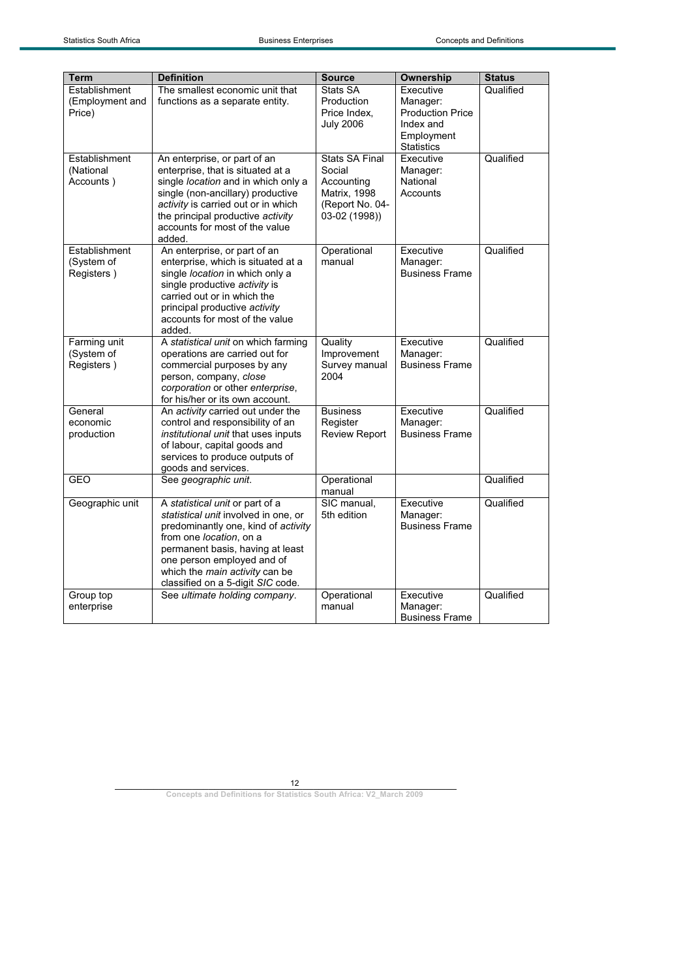| <b>Term</b>                                | <b>Definition</b>                                                                                                                                                                                                                                                                  | <b>Source</b>                                                                                     | Ownership                                                                   | <b>Status</b> |
|--------------------------------------------|------------------------------------------------------------------------------------------------------------------------------------------------------------------------------------------------------------------------------------------------------------------------------------|---------------------------------------------------------------------------------------------------|-----------------------------------------------------------------------------|---------------|
| Establishment<br>(Employment and<br>Price) | The smallest economic unit that<br>functions as a separate entity.                                                                                                                                                                                                                 | Stats SA<br>Production<br>Price Index,<br><b>July 2006</b>                                        | Executive<br>Manager:<br><b>Production Price</b><br>Index and<br>Employment | Qualified     |
| Establishment<br>(National<br>Accounts)    | An enterprise, or part of an<br>enterprise, that is situated at a<br>single location and in which only a<br>single (non-ancillary) productive<br>activity is carried out or in which<br>the principal productive activity<br>accounts for most of the value<br>added.              | <b>Stats SA Final</b><br>Social<br>Accounting<br>Matrix, 1998<br>(Report No. 04-<br>03-02 (1998)) | <b>Statistics</b><br>Executive<br>Manager:<br>National<br>Accounts          | Qualified     |
| Establishment<br>(System of<br>Registers)  | An enterprise, or part of an<br>enterprise, which is situated at a<br>single location in which only a<br>single productive activity is<br>carried out or in which the<br>principal productive activity<br>accounts for most of the value<br>added.                                 | Operational<br>manual                                                                             | Executive<br>Manager:<br><b>Business Frame</b>                              | Qualified     |
| Farming unit<br>(System of<br>Registers)   | A statistical unit on which farming<br>operations are carried out for<br>commercial purposes by any<br>person, company, close<br>corporation or other enterprise,<br>for his/her or its own account.                                                                               | Quality<br>Improvement<br>Survey manual<br>2004                                                   | Executive<br>Manager:<br><b>Business Frame</b>                              | Qualified     |
| General<br>economic<br>production          | An activity carried out under the<br>control and responsibility of an<br>institutional unit that uses inputs<br>of labour, capital goods and<br>services to produce outputs of<br>goods and services.                                                                              | <b>Business</b><br>Register<br><b>Review Report</b>                                               | Executive<br>Manager:<br><b>Business Frame</b>                              | Qualified     |
| <b>GEO</b>                                 | See geographic unit.                                                                                                                                                                                                                                                               | Operational<br>manual                                                                             |                                                                             | Qualified     |
| Geographic unit                            | A statistical unit or part of a<br>statistical unit involved in one, or<br>predominantly one, kind of activity<br>from one location, on a<br>permanent basis, having at least<br>one person employed and of<br>which the main activity can be<br>classified on a 5-digit SIC code. | SIC manual,<br>5th edition                                                                        | Executive<br>Manager:<br><b>Business Frame</b>                              | Qualified     |
| Group top<br>enterprise                    | See ultimate holding company.                                                                                                                                                                                                                                                      | Operational<br>manual                                                                             | Executive<br>Manager:<br><b>Business Frame</b>                              | Qualified     |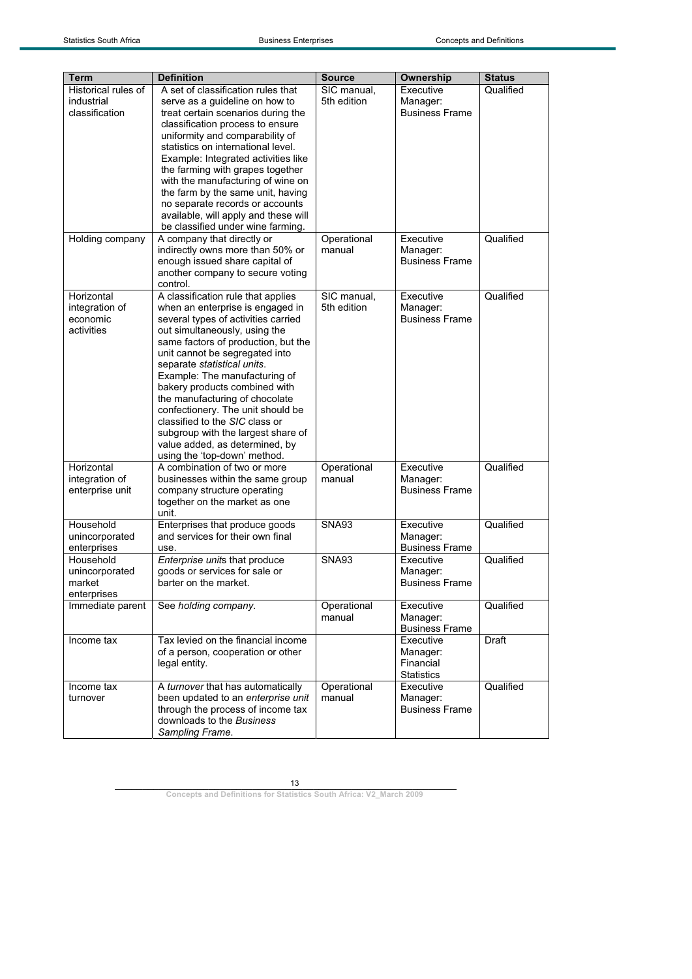| <b>Term</b>         | <b>Definition</b>                                                         | <b>Source</b> | Ownership                         | <b>Status</b> |
|---------------------|---------------------------------------------------------------------------|---------------|-----------------------------------|---------------|
| Historical rules of | A set of classification rules that                                        | SIC manual,   | Executive                         | Qualified     |
| industrial          | serve as a guideline on how to                                            | 5th edition   | Manager:                          |               |
| classification      | treat certain scenarios during the                                        |               | <b>Business Frame</b>             |               |
|                     | classification process to ensure                                          |               |                                   |               |
|                     | uniformity and comparability of                                           |               |                                   |               |
|                     | statistics on international level.                                        |               |                                   |               |
|                     | Example: Integrated activities like                                       |               |                                   |               |
|                     | the farming with grapes together                                          |               |                                   |               |
|                     | with the manufacturing of wine on                                         |               |                                   |               |
|                     | the farm by the same unit, having                                         |               |                                   |               |
|                     | no separate records or accounts                                           |               |                                   |               |
|                     | available, will apply and these will<br>be classified under wine farming. |               |                                   |               |
|                     |                                                                           |               | Executive                         | Qualified     |
| Holding company     | A company that directly or                                                | Operational   |                                   |               |
|                     | indirectly owns more than 50% or                                          | manual        | Manager:                          |               |
|                     | enough issued share capital of                                            |               | <b>Business Frame</b>             |               |
|                     | another company to secure voting                                          |               |                                   |               |
|                     | control.                                                                  |               | Executive                         |               |
| Horizontal          | A classification rule that applies                                        | SIC manual,   |                                   | Qualified     |
| integration of      | when an enterprise is engaged in                                          | 5th edition   | Manager:<br><b>Business Frame</b> |               |
| economic            | several types of activities carried                                       |               |                                   |               |
| activities          | out simultaneously, using the                                             |               |                                   |               |
|                     | same factors of production, but the                                       |               |                                   |               |
|                     | unit cannot be segregated into<br>separate statistical units.             |               |                                   |               |
|                     | Example: The manufacturing of                                             |               |                                   |               |
|                     | bakery products combined with                                             |               |                                   |               |
|                     | the manufacturing of chocolate                                            |               |                                   |               |
|                     | confectionery. The unit should be                                         |               |                                   |               |
|                     | classified to the SIC class or                                            |               |                                   |               |
|                     | subgroup with the largest share of                                        |               |                                   |               |
|                     | value added, as determined, by                                            |               |                                   |               |
|                     | using the 'top-down' method.                                              |               |                                   |               |
| Horizontal          | A combination of two or more                                              | Operational   | Executive                         | Qualified     |
| integration of      | businesses within the same group                                          | manual        | Manager:                          |               |
| enterprise unit     | company structure operating                                               |               | <b>Business Frame</b>             |               |
|                     | together on the market as one                                             |               |                                   |               |
|                     | unit.                                                                     |               |                                   |               |
| Household           | Enterprises that produce goods                                            | SNA93         | Executive                         | Qualified     |
| unincorporated      | and services for their own final                                          |               | Manager:                          |               |
| enterprises         | use.                                                                      |               | <b>Business Frame</b>             |               |
| Household           | Enterprise units that produce                                             | <b>SNA93</b>  | Executive                         | Qualified     |
| unincorporated      | goods or services for sale or                                             |               | Manager:                          |               |
| market              | barter on the market.                                                     |               | <b>Business Frame</b>             |               |
| enterprises         |                                                                           |               |                                   |               |
| Immediate parent    | See holding company.                                                      | Operational   | Executive                         | Qualified     |
|                     |                                                                           | manual        | Manager:                          |               |
|                     |                                                                           |               | <b>Business Frame</b>             |               |
| Income tax          | Tax levied on the financial income                                        |               | Executive                         | Draft         |
|                     | of a person, cooperation or other                                         |               | Manager:                          |               |
|                     | legal entity.                                                             |               | Financial                         |               |
|                     |                                                                           |               | <b>Statistics</b>                 |               |
| Income tax          | A turnover that has automatically                                         | Operational   | Executive                         | Qualified     |
| turnover            | been updated to an enterprise unit                                        | manual        | Manager:                          |               |
|                     | through the process of income tax                                         |               | <b>Business Frame</b>             |               |
|                     | downloads to the Business                                                 |               |                                   |               |
|                     | Sampling Frame.                                                           |               |                                   |               |
|                     |                                                                           |               |                                   |               |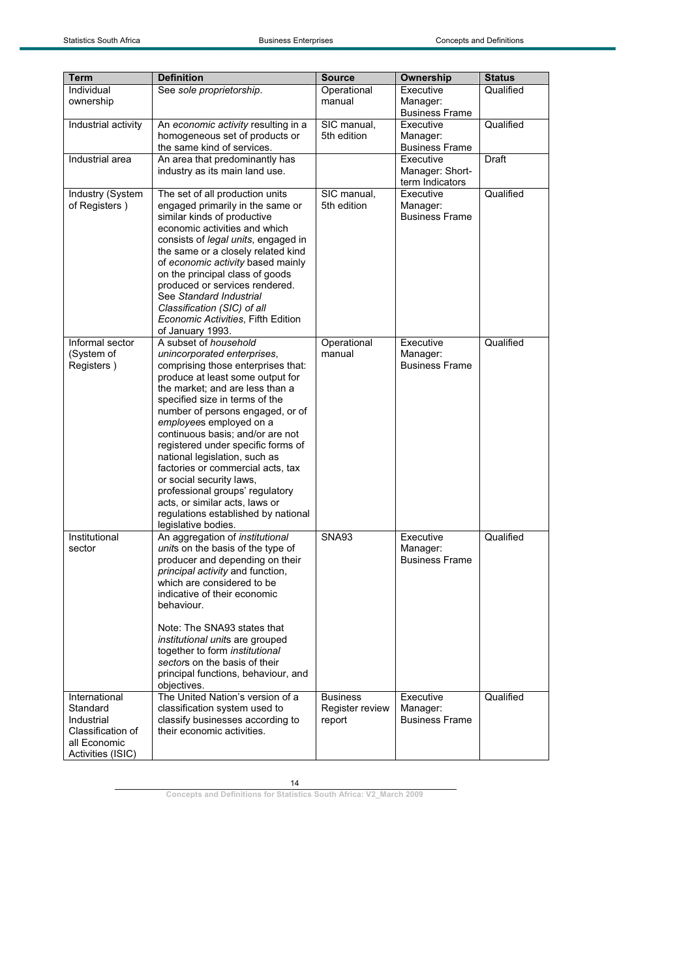| <b>Term</b>                                                                                       | <b>Definition</b>                                                                                                                                                                                                                                                                                                                                                                                                                                                                                                                                                                 | <b>Source</b>                                       | Ownership                                       | <b>Status</b> |
|---------------------------------------------------------------------------------------------------|-----------------------------------------------------------------------------------------------------------------------------------------------------------------------------------------------------------------------------------------------------------------------------------------------------------------------------------------------------------------------------------------------------------------------------------------------------------------------------------------------------------------------------------------------------------------------------------|-----------------------------------------------------|-------------------------------------------------|---------------|
| Individual<br>ownership                                                                           | See sole proprietorship.                                                                                                                                                                                                                                                                                                                                                                                                                                                                                                                                                          | Operational<br>manual                               | Executive<br>Manager:<br><b>Business Frame</b>  | Qualified     |
| Industrial activity                                                                               | An economic activity resulting in a<br>homogeneous set of products or<br>the same kind of services.                                                                                                                                                                                                                                                                                                                                                                                                                                                                               | SIC manual,<br>5th edition                          | Executive<br>Manager:<br><b>Business Frame</b>  | Qualified     |
| Industrial area                                                                                   | An area that predominantly has<br>industry as its main land use.                                                                                                                                                                                                                                                                                                                                                                                                                                                                                                                  |                                                     | Executive<br>Manager: Short-<br>term Indicators | Draft         |
| Industry (System<br>of Registers)                                                                 | The set of all production units<br>engaged primarily in the same or<br>similar kinds of productive<br>economic activities and which<br>consists of <i>legal units</i> , engaged in<br>the same or a closely related kind<br>of economic activity based mainly<br>on the principal class of goods<br>produced or services rendered.<br>See Standard Industrial<br>Classification (SIC) of all<br>Economic Activities, Fifth Edition<br>of January 1993.                                                                                                                            | SIC manual,<br>5th edition                          | Executive<br>Manager:<br><b>Business Frame</b>  | Qualified     |
| Informal sector<br>(System of<br>Registers)                                                       | A subset of household<br>unincorporated enterprises,<br>comprising those enterprises that:<br>produce at least some output for<br>the market; and are less than a<br>specified size in terms of the<br>number of persons engaged, or of<br>employees employed on a<br>continuous basis; and/or are not<br>registered under specific forms of<br>national legislation, such as<br>factories or commercial acts, tax<br>or social security laws,<br>professional groups' regulatory<br>acts, or similar acts, laws or<br>regulations established by national<br>legislative bodies. | Operational<br>manual                               | Executive<br>Manager:<br><b>Business Frame</b>  | Qualified     |
| Institutional<br>sector                                                                           | An aggregation of institutional<br>units on the basis of the type of<br>producer and depending on their<br>principal activity and function,<br>which are considered to be<br>indicative of their economic<br>behaviour.<br>Note: The SNA93 states that<br><i>institutional units are grouped</i><br>together to form institutional<br>sectors on the basis of their<br>principal functions, behaviour, and<br>objectives.                                                                                                                                                         | <b>SNA93</b>                                        | Executive<br>Manager:<br><b>Business Frame</b>  | Qualified     |
| International<br>Standard<br>Industrial<br>Classification of<br>all Economic<br>Activities (ISIC) | The United Nation's version of a<br>classification system used to<br>classify businesses according to<br>their economic activities.                                                                                                                                                                                                                                                                                                                                                                                                                                               | <b>Business</b><br><b>Register review</b><br>report | Executive<br>Manager:<br><b>Business Frame</b>  | Qualified     |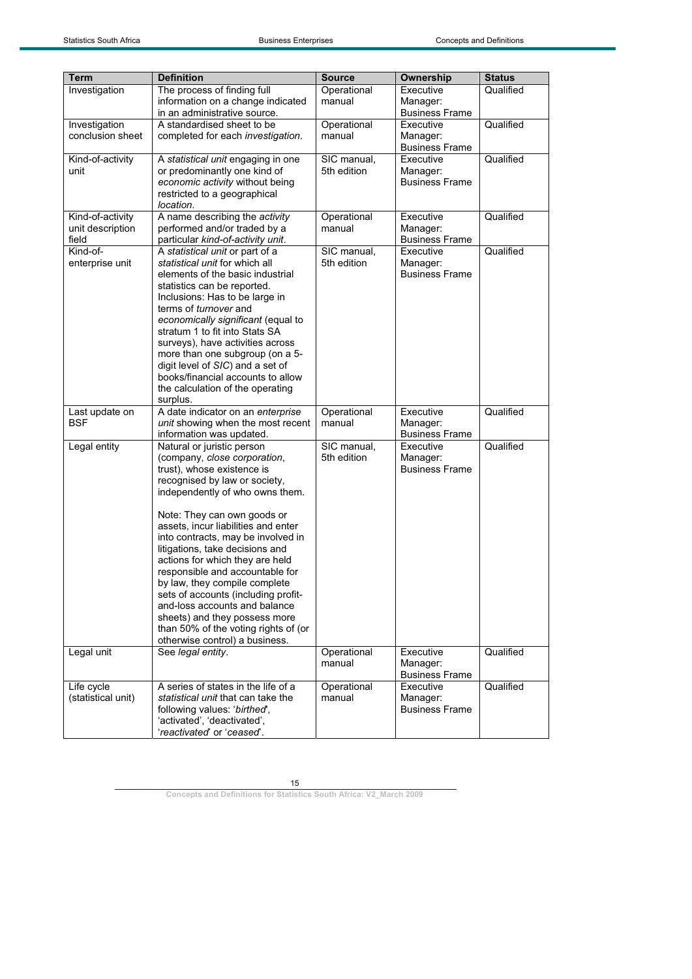$\overline{\phantom{a}}$ 

| <b>Term</b>        | <b>Definition</b>                                                    |                       |                       |               |
|--------------------|----------------------------------------------------------------------|-----------------------|-----------------------|---------------|
|                    |                                                                      | <b>Source</b>         | Ownership             | <b>Status</b> |
| Investigation      | The process of finding full<br>information on a change indicated     | Operational<br>manual | Executive<br>Manager: | Qualified     |
|                    | in an administrative source.                                         |                       | <b>Business Frame</b> |               |
| Investigation      | A standardised sheet to be                                           | Operational           | Executive             | Qualified     |
| conclusion sheet   | completed for each investigation.                                    | manual                | Manager:              |               |
|                    |                                                                      |                       | <b>Business Frame</b> |               |
| Kind-of-activity   | A statistical unit engaging in one                                   | SIC manual,           | Executive             | Qualified     |
| unit               | or predominantly one kind of                                         | 5th edition           | Manager:              |               |
|                    | economic activity without being                                      |                       | <b>Business Frame</b> |               |
|                    | restricted to a geographical                                         |                       |                       |               |
|                    | location.                                                            |                       |                       |               |
| Kind-of-activity   | A name describing the activity                                       | Operational           | Executive             | Qualified     |
| unit description   | performed and/or traded by a                                         | manual                | Manager:              |               |
| field              | particular kind-of-activity unit.                                    |                       | <b>Business Frame</b> |               |
| Kind-of-           | A statistical unit or part of a                                      | SIC manual,           | Executive             | Qualified     |
| enterprise unit    | statistical unit for which all                                       | 5th edition           | Manager:              |               |
|                    | elements of the basic industrial                                     |                       | <b>Business Frame</b> |               |
|                    | statistics can be reported.                                          |                       |                       |               |
|                    | Inclusions: Has to be large in                                       |                       |                       |               |
|                    | terms of turnover and                                                |                       |                       |               |
|                    | economically significant (equal to<br>stratum 1 to fit into Stats SA |                       |                       |               |
|                    | surveys), have activities across                                     |                       |                       |               |
|                    | more than one subgroup (on a 5-                                      |                       |                       |               |
|                    | digit level of SIC) and a set of                                     |                       |                       |               |
|                    | books/financial accounts to allow                                    |                       |                       |               |
|                    | the calculation of the operating                                     |                       |                       |               |
|                    | surplus.                                                             |                       |                       |               |
| Last update on     | A date indicator on an enterprise                                    | Operational           | Executive             | Qualified     |
| <b>BSF</b>         | unit showing when the most recent                                    | manual                | Manager:              |               |
|                    | information was updated.                                             |                       | <b>Business Frame</b> |               |
| Legal entity       | Natural or juristic person                                           | SIC manual,           | Executive             | Qualified     |
|                    | (company, close corporation,                                         | 5th edition           | Manager:              |               |
|                    | trust), whose existence is                                           |                       | <b>Business Frame</b> |               |
|                    | recognised by law or society,                                        |                       |                       |               |
|                    | independently of who owns them.                                      |                       |                       |               |
|                    |                                                                      |                       |                       |               |
|                    | Note: They can own goods or                                          |                       |                       |               |
|                    | assets, incur liabilities and enter                                  |                       |                       |               |
|                    | into contracts, may be involved in                                   |                       |                       |               |
|                    | litigations, take decisions and                                      |                       |                       |               |
|                    | actions for which they are held<br>responsible and accountable for   |                       |                       |               |
|                    | by law, they compile complete                                        |                       |                       |               |
|                    | sets of accounts (including profit-                                  |                       |                       |               |
|                    | and-loss accounts and balance                                        |                       |                       |               |
|                    | sheets) and they possess more                                        |                       |                       |               |
|                    | than 50% of the voting rights of (or                                 |                       |                       |               |
|                    | otherwise control) a business.                                       |                       |                       |               |
| Legal unit         | See legal entity.                                                    | Operational           | Executive             | Qualified     |
|                    |                                                                      | manual                | Manager:              |               |
|                    |                                                                      |                       | <b>Business Frame</b> |               |
| Life cycle         | A series of states in the life of a                                  | Operational           | Executive             | Qualified     |
| (statistical unit) | statistical unit that can take the                                   | manual                | Manager:              |               |
|                    | following values: 'birthed',                                         |                       | <b>Business Frame</b> |               |
|                    | 'activated', 'deactivated',                                          |                       |                       |               |
|                    | 'reactivated' or 'ceased'.                                           |                       |                       |               |

15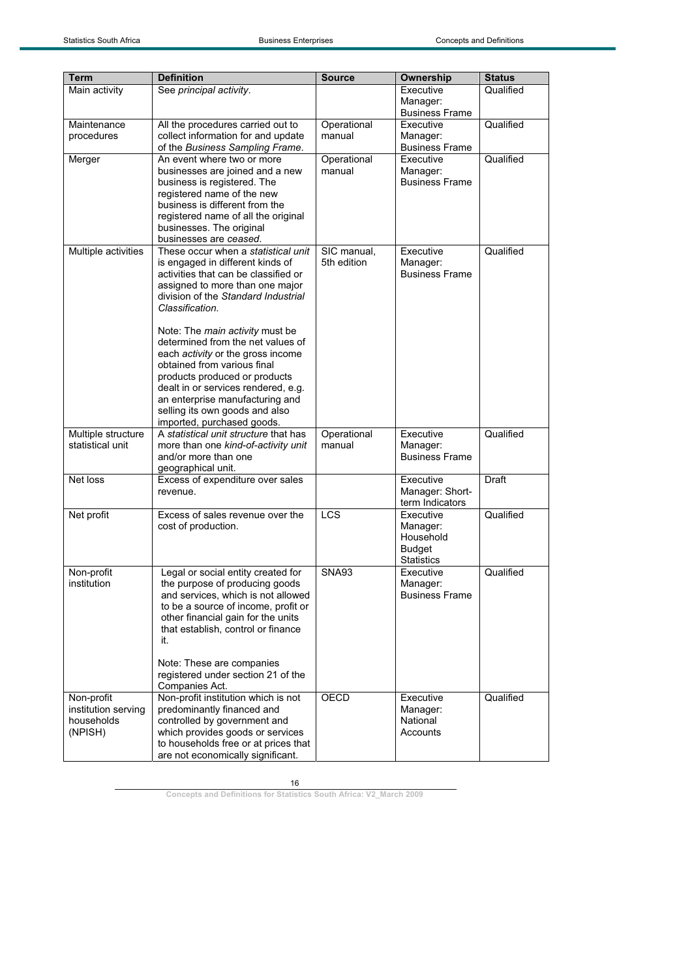| Term                                                       | <b>Definition</b>                                                                                                                                                                                                                                                                                                                                                                                                                                                                                                                   | <b>Source</b>              | Ownership                                                                | <b>Status</b> |
|------------------------------------------------------------|-------------------------------------------------------------------------------------------------------------------------------------------------------------------------------------------------------------------------------------------------------------------------------------------------------------------------------------------------------------------------------------------------------------------------------------------------------------------------------------------------------------------------------------|----------------------------|--------------------------------------------------------------------------|---------------|
| Main activity                                              | See principal activity.                                                                                                                                                                                                                                                                                                                                                                                                                                                                                                             |                            | Executive<br>Manager:<br><b>Business Frame</b>                           | Qualified     |
| Maintenance<br>procedures                                  | All the procedures carried out to<br>collect information for and update<br>of the Business Sampling Frame.                                                                                                                                                                                                                                                                                                                                                                                                                          | Operational<br>manual      | Executive<br>Manager:<br><b>Business Frame</b>                           | Qualified     |
| Merger                                                     | An event where two or more<br>businesses are joined and a new<br>business is registered. The<br>registered name of the new<br>business is different from the<br>registered name of all the original<br>businesses. The original<br>businesses are ceased.                                                                                                                                                                                                                                                                           | Operational<br>manual      | Executive<br>Manager:<br><b>Business Frame</b>                           | Qualified     |
| Multiple activities                                        | These occur when a statistical unit<br>is engaged in different kinds of<br>activities that can be classified or<br>assigned to more than one major<br>division of the Standard Industrial<br>Classification.<br>Note: The main activity must be<br>determined from the net values of<br>each activity or the gross income<br>obtained from various final<br>products produced or products<br>dealt in or services rendered, e.g.<br>an enterprise manufacturing and<br>selling its own goods and also<br>imported, purchased goods. | SIC manual,<br>5th edition | Executive<br>Manager:<br><b>Business Frame</b>                           | Qualified     |
| Multiple structure<br>statistical unit                     | A statistical unit structure that has<br>more than one kind-of-activity unit<br>and/or more than one<br>geographical unit.                                                                                                                                                                                                                                                                                                                                                                                                          | Operational<br>manual      | Executive<br>Manager:<br><b>Business Frame</b>                           | Qualified     |
| Net loss                                                   | Excess of expenditure over sales<br>revenue.                                                                                                                                                                                                                                                                                                                                                                                                                                                                                        |                            | Executive<br>Manager: Short-<br>term Indicators                          | Draft         |
| Net profit                                                 | Excess of sales revenue over the<br>cost of production.                                                                                                                                                                                                                                                                                                                                                                                                                                                                             | LCS                        | Executive<br>Manager:<br>Household<br><b>Budget</b><br><b>Statistics</b> | Qualified     |
| Non-profit<br>institution                                  | Legal or social entity created for<br>the purpose of producing goods<br>and services, which is not allowed<br>to be a source of income, profit or<br>other financial gain for the units<br>that establish, control or finance<br>it.<br>Note: These are companies<br>registered under section 21 of the<br>Companies Act.                                                                                                                                                                                                           | SNA93                      | Executive<br>Manager:<br><b>Business Frame</b>                           | Qualified     |
| Non-profit<br>institution serving<br>households<br>(NPISH) | Non-profit institution which is not<br>predominantly financed and<br>controlled by government and<br>which provides goods or services<br>to households free or at prices that<br>are not economically significant.                                                                                                                                                                                                                                                                                                                  | <b>OECD</b>                | Executive<br>Manager:<br>National<br>Accounts                            | Qualified     |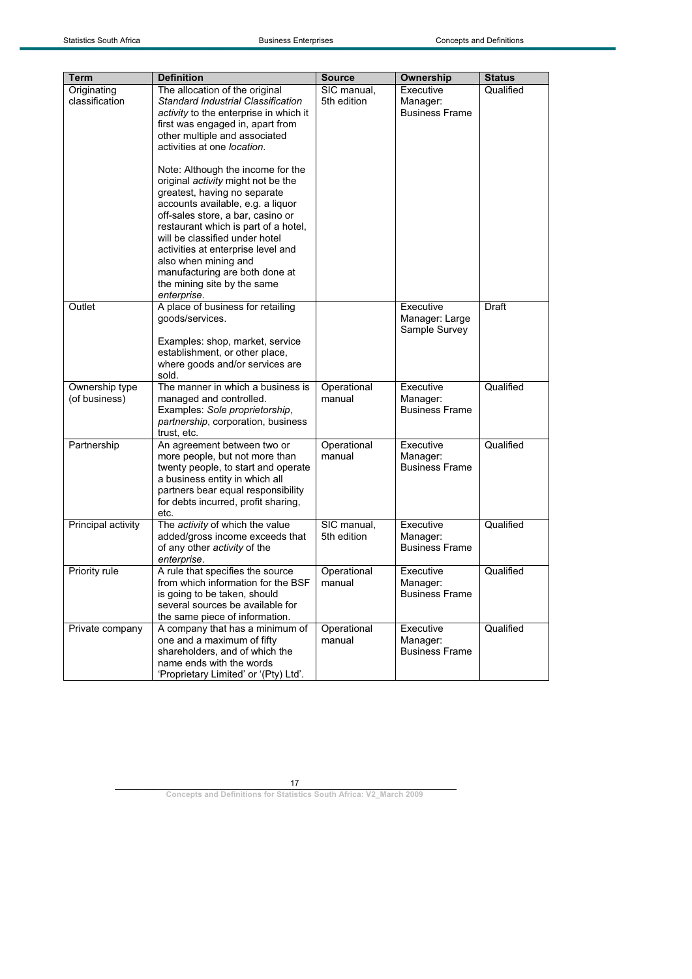| <b>Term</b>                     | <b>Definition</b>                                                                                                                                                                                                                                                                                                                                                                                                                                                                                                                                                                         | <b>Source</b>              | Ownership                                      | <b>Status</b> |
|---------------------------------|-------------------------------------------------------------------------------------------------------------------------------------------------------------------------------------------------------------------------------------------------------------------------------------------------------------------------------------------------------------------------------------------------------------------------------------------------------------------------------------------------------------------------------------------------------------------------------------------|----------------------------|------------------------------------------------|---------------|
| Originating<br>classification   | The allocation of the original<br>Standard Industrial Classification<br>activity to the enterprise in which it<br>first was engaged in, apart from<br>other multiple and associated<br>activities at one <i>location</i> .<br>Note: Although the income for the<br>original activity might not be the<br>greatest, having no separate<br>accounts available, e.g. a liquor<br>off-sales store, a bar, casino or<br>restaurant which is part of a hotel,<br>will be classified under hotel<br>activities at enterprise level and<br>also when mining and<br>manufacturing are both done at | SIC manual,<br>5th edition | Executive<br>Manager:<br><b>Business Frame</b> | Qualified     |
| Outlet                          | the mining site by the same<br>enterprise.<br>A place of business for retailing                                                                                                                                                                                                                                                                                                                                                                                                                                                                                                           |                            | Executive                                      | Draft         |
|                                 | goods/services.<br>Examples: shop, market, service<br>establishment, or other place,<br>where goods and/or services are                                                                                                                                                                                                                                                                                                                                                                                                                                                                   |                            | Manager: Large<br>Sample Survey                |               |
| Ownership type<br>(of business) | sold.<br>The manner in which a business is<br>managed and controlled.<br>Examples: Sole proprietorship,<br>partnership, corporation, business<br>trust, etc.                                                                                                                                                                                                                                                                                                                                                                                                                              | Operational<br>manual      | Executive<br>Manager:<br><b>Business Frame</b> | Qualified     |
| Partnership                     | An agreement between two or<br>more people, but not more than<br>twenty people, to start and operate<br>a business entity in which all<br>partners bear equal responsibility<br>for debts incurred, profit sharing,<br>etc.                                                                                                                                                                                                                                                                                                                                                               | Operational<br>manual      | Executive<br>Manager:<br><b>Business Frame</b> | Qualified     |
| Principal activity              | The activity of which the value<br>added/gross income exceeds that<br>of any other activity of the<br>enterprise.                                                                                                                                                                                                                                                                                                                                                                                                                                                                         | SIC manual,<br>5th edition | Executive<br>Manager:<br><b>Business Frame</b> | Qualified     |
| Priority rule                   | A rule that specifies the source<br>from which information for the BSF<br>is going to be taken, should<br>several sources be available for<br>the same piece of information.                                                                                                                                                                                                                                                                                                                                                                                                              | Operational<br>manual      | Executive<br>Manager:<br><b>Business Frame</b> | Qualified     |
| Private company                 | A company that has a minimum of<br>one and a maximum of fifty<br>shareholders, and of which the<br>name ends with the words<br>'Proprietary Limited' or '(Pty) Ltd'.                                                                                                                                                                                                                                                                                                                                                                                                                      | Operational<br>manual      | Executive<br>Manager:<br><b>Business Frame</b> | Qualified     |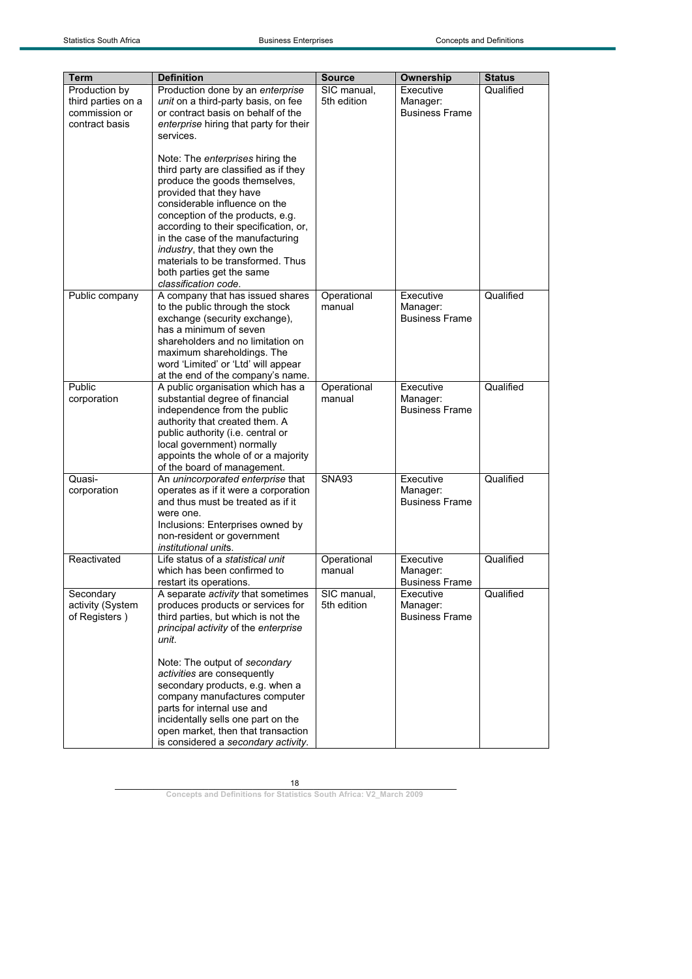| Term                                                                   | <b>Definition</b>                                                                                                                                                                                                                                                                                                                                                                                                        | <b>Source</b>              | Ownership                                      | <b>Status</b> |
|------------------------------------------------------------------------|--------------------------------------------------------------------------------------------------------------------------------------------------------------------------------------------------------------------------------------------------------------------------------------------------------------------------------------------------------------------------------------------------------------------------|----------------------------|------------------------------------------------|---------------|
| Production by<br>third parties on a<br>commission or<br>contract basis | Production done by an enterprise<br>unit on a third-party basis, on fee<br>or contract basis on behalf of the<br>enterprise hiring that party for their<br>services.                                                                                                                                                                                                                                                     | SIC manual,<br>5th edition | Executive<br>Manager:<br><b>Business Frame</b> | Qualified     |
|                                                                        | Note: The enterprises hiring the<br>third party are classified as if they<br>produce the goods themselves,<br>provided that they have<br>considerable influence on the<br>conception of the products, e.g.<br>according to their specification, or,<br>in the case of the manufacturing<br><i>industry</i> , that they own the<br>materials to be transformed. Thus<br>both parties get the same<br>classification code. |                            |                                                |               |
| Public company                                                         | A company that has issued shares<br>to the public through the stock<br>exchange (security exchange),<br>has a minimum of seven<br>shareholders and no limitation on<br>maximum shareholdings. The<br>word 'Limited' or 'Ltd' will appear<br>at the end of the company's name.                                                                                                                                            | Operational<br>manual      | Executive<br>Manager:<br><b>Business Frame</b> | Qualified     |
| Public<br>corporation                                                  | A public organisation which has a<br>substantial degree of financial<br>independence from the public<br>authority that created them. A<br>public authority (i.e. central or<br>local government) normally<br>appoints the whole of or a majority<br>of the board of management.                                                                                                                                          | Operational<br>manual      | Executive<br>Manager:<br><b>Business Frame</b> | Qualified     |
| Quasi-<br>corporation                                                  | An unincorporated enterprise that<br>operates as if it were a corporation<br>and thus must be treated as if it<br>were one.<br>Inclusions: Enterprises owned by<br>non-resident or government<br>institutional units.                                                                                                                                                                                                    | <b>SNA93</b>               | Executive<br>Manager:<br><b>Business Frame</b> | Qualified     |
| Reactivated                                                            | Life status of a statistical unit<br>which has been confirmed to<br>restart its operations.                                                                                                                                                                                                                                                                                                                              | Operational<br>manual      | Executive<br>Manager:<br><b>Business Frame</b> | Qualified     |
| Secondary<br>activity (System<br>of Registers)                         | A separate activity that sometimes<br>produces products or services for<br>third parties, but which is not the<br>principal activity of the enterprise<br>unit.                                                                                                                                                                                                                                                          | SIC manual,<br>5th edition | Executive<br>Manager:<br><b>Business Frame</b> | Qualified     |
|                                                                        | Note: The output of secondary<br>activities are consequently<br>secondary products, e.g. when a<br>company manufactures computer<br>parts for internal use and<br>incidentally sells one part on the<br>open market, then that transaction<br>is considered a secondary activity.                                                                                                                                        |                            |                                                |               |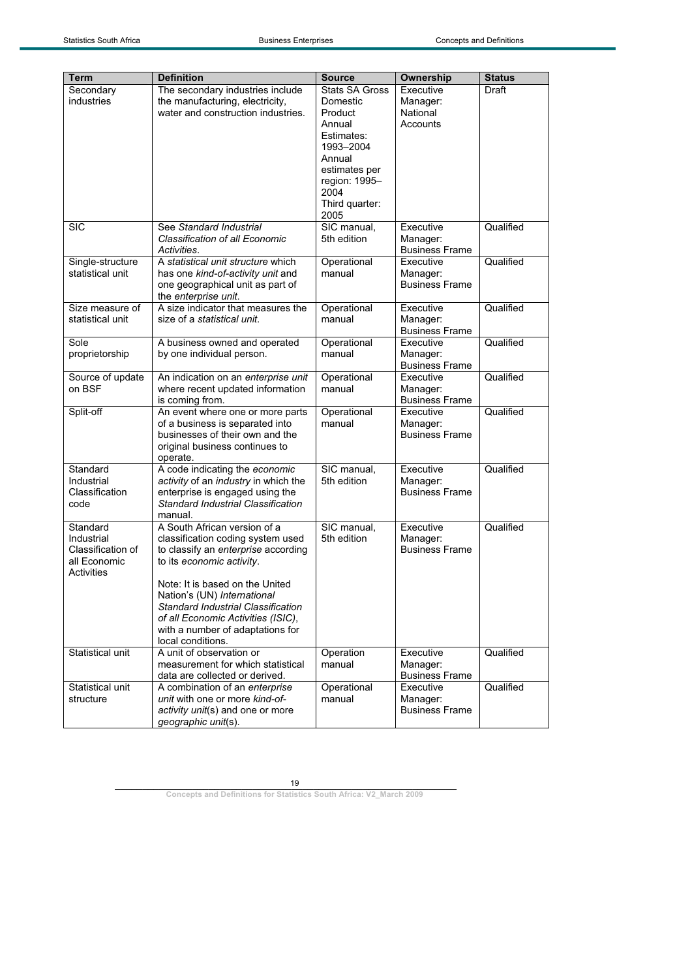| Executive<br><b>Draft</b><br>Secondary<br>The secondary industries include<br>Stats SA Gross<br>industries<br>the manufacturing, electricity,<br>Domestic<br>Manager:<br>water and construction industries.<br>National<br>Product<br>Accounts<br>Annual<br>Estimates:<br>1993-2004<br>Annual<br>estimates per<br>region: 1995-<br>2004<br>Third quarter:<br>2005<br><b>SIC</b><br>See Standard Industrial<br>SIC manual,<br>Qualified<br>Executive<br>Classification of all Economic<br>5th edition<br>Manager:<br><b>Business Frame</b><br>Activities.<br>A statistical unit structure which<br>Executive<br>Qualified<br>Single-structure<br>Operational<br>statistical unit<br>has one kind-of-activity unit and<br>manual<br>Manager:<br><b>Business Frame</b><br>one geographical unit as part of<br>the enterprise unit.<br>A size indicator that measures the<br>Operational<br>Qualified<br>Size measure of<br>Executive<br>statistical unit<br>size of a statistical unit.<br>manual<br>Manager:<br><b>Business Frame</b><br>Operational<br>Qualified<br>Sole<br>A business owned and operated<br>Executive<br>proprietorship<br>manual<br>by one individual person.<br>Manager:<br><b>Business Frame</b><br>Qualified<br>Source of update<br>An indication on an enterprise unit<br>Operational<br>Executive<br>on BSF<br>where recent updated information<br>manual<br>Manager:<br><b>Business Frame</b><br>is coming from.<br>Split-off<br>Operational<br>Qualified<br>An event where one or more parts<br>Executive<br>of a business is separated into<br>manual<br>Manager:<br>businesses of their own and the<br><b>Business Frame</b><br>original business continues to<br>operate.<br>A code indicating the economic<br>SIC manual,<br>Qualified<br>Standard<br>Executive<br>Industrial<br>activity of an industry in which the<br>5th edition<br>Manager:<br>Classification<br><b>Business Frame</b><br>enterprise is engaged using the<br>Standard Industrial Classification<br>code<br>manual.<br>Qualified<br>A South African version of a<br>SIC manual,<br>Executive<br>Standard<br>classification coding system used<br>5th edition<br>Manager:<br>Industrial<br>Classification of<br>to classify an enterprise according<br><b>Business Frame</b><br>all Economic<br>to its economic activity.<br>Activities<br>Note: It is based on the United<br>Nation's (UN) International<br>Standard Industrial Classification<br>of all Economic Activities (ISIC),<br>with a number of adaptations for<br>local conditions.<br>Statistical unit<br>A unit of observation or<br>Qualified<br>Executive<br>Operation<br>measurement for which statistical<br>manual<br>Manager:<br><b>Business Frame</b><br>data are collected or derived.<br>A combination of an enterprise<br>Executive<br>Qualified<br>Statistical unit<br>Operational<br>unit with one or more kind-of-<br>structure<br>manual<br>Manager:<br>activity unit(s) and one or more<br><b>Business Frame</b><br>geographic unit(s). | <b>Term</b> | <b>Definition</b> | <b>Source</b> | Ownership | <b>Status</b> |
|--------------------------------------------------------------------------------------------------------------------------------------------------------------------------------------------------------------------------------------------------------------------------------------------------------------------------------------------------------------------------------------------------------------------------------------------------------------------------------------------------------------------------------------------------------------------------------------------------------------------------------------------------------------------------------------------------------------------------------------------------------------------------------------------------------------------------------------------------------------------------------------------------------------------------------------------------------------------------------------------------------------------------------------------------------------------------------------------------------------------------------------------------------------------------------------------------------------------------------------------------------------------------------------------------------------------------------------------------------------------------------------------------------------------------------------------------------------------------------------------------------------------------------------------------------------------------------------------------------------------------------------------------------------------------------------------------------------------------------------------------------------------------------------------------------------------------------------------------------------------------------------------------------------------------------------------------------------------------------------------------------------------------------------------------------------------------------------------------------------------------------------------------------------------------------------------------------------------------------------------------------------------------------------------------------------------------------------------------------------------------------------------------------------------------------------------------------------------------------------------------------------------------------------------------------------------------------------------------------------------------------------------------------------------------------------------------------------------------------------------------------------------------------------------------------------------------------------------------------------------------------------------------------------------------------------------------------------------------------------------------------------------|-------------|-------------------|---------------|-----------|---------------|
|                                                                                                                                                                                                                                                                                                                                                                                                                                                                                                                                                                                                                                                                                                                                                                                                                                                                                                                                                                                                                                                                                                                                                                                                                                                                                                                                                                                                                                                                                                                                                                                                                                                                                                                                                                                                                                                                                                                                                                                                                                                                                                                                                                                                                                                                                                                                                                                                                                                                                                                                                                                                                                                                                                                                                                                                                                                                                                                                                                                                                    |             |                   |               |           |               |
|                                                                                                                                                                                                                                                                                                                                                                                                                                                                                                                                                                                                                                                                                                                                                                                                                                                                                                                                                                                                                                                                                                                                                                                                                                                                                                                                                                                                                                                                                                                                                                                                                                                                                                                                                                                                                                                                                                                                                                                                                                                                                                                                                                                                                                                                                                                                                                                                                                                                                                                                                                                                                                                                                                                                                                                                                                                                                                                                                                                                                    |             |                   |               |           |               |
|                                                                                                                                                                                                                                                                                                                                                                                                                                                                                                                                                                                                                                                                                                                                                                                                                                                                                                                                                                                                                                                                                                                                                                                                                                                                                                                                                                                                                                                                                                                                                                                                                                                                                                                                                                                                                                                                                                                                                                                                                                                                                                                                                                                                                                                                                                                                                                                                                                                                                                                                                                                                                                                                                                                                                                                                                                                                                                                                                                                                                    |             |                   |               |           |               |
|                                                                                                                                                                                                                                                                                                                                                                                                                                                                                                                                                                                                                                                                                                                                                                                                                                                                                                                                                                                                                                                                                                                                                                                                                                                                                                                                                                                                                                                                                                                                                                                                                                                                                                                                                                                                                                                                                                                                                                                                                                                                                                                                                                                                                                                                                                                                                                                                                                                                                                                                                                                                                                                                                                                                                                                                                                                                                                                                                                                                                    |             |                   |               |           |               |
|                                                                                                                                                                                                                                                                                                                                                                                                                                                                                                                                                                                                                                                                                                                                                                                                                                                                                                                                                                                                                                                                                                                                                                                                                                                                                                                                                                                                                                                                                                                                                                                                                                                                                                                                                                                                                                                                                                                                                                                                                                                                                                                                                                                                                                                                                                                                                                                                                                                                                                                                                                                                                                                                                                                                                                                                                                                                                                                                                                                                                    |             |                   |               |           |               |
|                                                                                                                                                                                                                                                                                                                                                                                                                                                                                                                                                                                                                                                                                                                                                                                                                                                                                                                                                                                                                                                                                                                                                                                                                                                                                                                                                                                                                                                                                                                                                                                                                                                                                                                                                                                                                                                                                                                                                                                                                                                                                                                                                                                                                                                                                                                                                                                                                                                                                                                                                                                                                                                                                                                                                                                                                                                                                                                                                                                                                    |             |                   |               |           |               |
|                                                                                                                                                                                                                                                                                                                                                                                                                                                                                                                                                                                                                                                                                                                                                                                                                                                                                                                                                                                                                                                                                                                                                                                                                                                                                                                                                                                                                                                                                                                                                                                                                                                                                                                                                                                                                                                                                                                                                                                                                                                                                                                                                                                                                                                                                                                                                                                                                                                                                                                                                                                                                                                                                                                                                                                                                                                                                                                                                                                                                    |             |                   |               |           |               |
|                                                                                                                                                                                                                                                                                                                                                                                                                                                                                                                                                                                                                                                                                                                                                                                                                                                                                                                                                                                                                                                                                                                                                                                                                                                                                                                                                                                                                                                                                                                                                                                                                                                                                                                                                                                                                                                                                                                                                                                                                                                                                                                                                                                                                                                                                                                                                                                                                                                                                                                                                                                                                                                                                                                                                                                                                                                                                                                                                                                                                    |             |                   |               |           |               |
|                                                                                                                                                                                                                                                                                                                                                                                                                                                                                                                                                                                                                                                                                                                                                                                                                                                                                                                                                                                                                                                                                                                                                                                                                                                                                                                                                                                                                                                                                                                                                                                                                                                                                                                                                                                                                                                                                                                                                                                                                                                                                                                                                                                                                                                                                                                                                                                                                                                                                                                                                                                                                                                                                                                                                                                                                                                                                                                                                                                                                    |             |                   |               |           |               |
|                                                                                                                                                                                                                                                                                                                                                                                                                                                                                                                                                                                                                                                                                                                                                                                                                                                                                                                                                                                                                                                                                                                                                                                                                                                                                                                                                                                                                                                                                                                                                                                                                                                                                                                                                                                                                                                                                                                                                                                                                                                                                                                                                                                                                                                                                                                                                                                                                                                                                                                                                                                                                                                                                                                                                                                                                                                                                                                                                                                                                    |             |                   |               |           |               |
|                                                                                                                                                                                                                                                                                                                                                                                                                                                                                                                                                                                                                                                                                                                                                                                                                                                                                                                                                                                                                                                                                                                                                                                                                                                                                                                                                                                                                                                                                                                                                                                                                                                                                                                                                                                                                                                                                                                                                                                                                                                                                                                                                                                                                                                                                                                                                                                                                                                                                                                                                                                                                                                                                                                                                                                                                                                                                                                                                                                                                    |             |                   |               |           |               |
|                                                                                                                                                                                                                                                                                                                                                                                                                                                                                                                                                                                                                                                                                                                                                                                                                                                                                                                                                                                                                                                                                                                                                                                                                                                                                                                                                                                                                                                                                                                                                                                                                                                                                                                                                                                                                                                                                                                                                                                                                                                                                                                                                                                                                                                                                                                                                                                                                                                                                                                                                                                                                                                                                                                                                                                                                                                                                                                                                                                                                    |             |                   |               |           |               |
|                                                                                                                                                                                                                                                                                                                                                                                                                                                                                                                                                                                                                                                                                                                                                                                                                                                                                                                                                                                                                                                                                                                                                                                                                                                                                                                                                                                                                                                                                                                                                                                                                                                                                                                                                                                                                                                                                                                                                                                                                                                                                                                                                                                                                                                                                                                                                                                                                                                                                                                                                                                                                                                                                                                                                                                                                                                                                                                                                                                                                    |             |                   |               |           |               |
|                                                                                                                                                                                                                                                                                                                                                                                                                                                                                                                                                                                                                                                                                                                                                                                                                                                                                                                                                                                                                                                                                                                                                                                                                                                                                                                                                                                                                                                                                                                                                                                                                                                                                                                                                                                                                                                                                                                                                                                                                                                                                                                                                                                                                                                                                                                                                                                                                                                                                                                                                                                                                                                                                                                                                                                                                                                                                                                                                                                                                    |             |                   |               |           |               |
|                                                                                                                                                                                                                                                                                                                                                                                                                                                                                                                                                                                                                                                                                                                                                                                                                                                                                                                                                                                                                                                                                                                                                                                                                                                                                                                                                                                                                                                                                                                                                                                                                                                                                                                                                                                                                                                                                                                                                                                                                                                                                                                                                                                                                                                                                                                                                                                                                                                                                                                                                                                                                                                                                                                                                                                                                                                                                                                                                                                                                    |             |                   |               |           |               |
|                                                                                                                                                                                                                                                                                                                                                                                                                                                                                                                                                                                                                                                                                                                                                                                                                                                                                                                                                                                                                                                                                                                                                                                                                                                                                                                                                                                                                                                                                                                                                                                                                                                                                                                                                                                                                                                                                                                                                                                                                                                                                                                                                                                                                                                                                                                                                                                                                                                                                                                                                                                                                                                                                                                                                                                                                                                                                                                                                                                                                    |             |                   |               |           |               |
|                                                                                                                                                                                                                                                                                                                                                                                                                                                                                                                                                                                                                                                                                                                                                                                                                                                                                                                                                                                                                                                                                                                                                                                                                                                                                                                                                                                                                                                                                                                                                                                                                                                                                                                                                                                                                                                                                                                                                                                                                                                                                                                                                                                                                                                                                                                                                                                                                                                                                                                                                                                                                                                                                                                                                                                                                                                                                                                                                                                                                    |             |                   |               |           |               |
|                                                                                                                                                                                                                                                                                                                                                                                                                                                                                                                                                                                                                                                                                                                                                                                                                                                                                                                                                                                                                                                                                                                                                                                                                                                                                                                                                                                                                                                                                                                                                                                                                                                                                                                                                                                                                                                                                                                                                                                                                                                                                                                                                                                                                                                                                                                                                                                                                                                                                                                                                                                                                                                                                                                                                                                                                                                                                                                                                                                                                    |             |                   |               |           |               |
|                                                                                                                                                                                                                                                                                                                                                                                                                                                                                                                                                                                                                                                                                                                                                                                                                                                                                                                                                                                                                                                                                                                                                                                                                                                                                                                                                                                                                                                                                                                                                                                                                                                                                                                                                                                                                                                                                                                                                                                                                                                                                                                                                                                                                                                                                                                                                                                                                                                                                                                                                                                                                                                                                                                                                                                                                                                                                                                                                                                                                    |             |                   |               |           |               |
|                                                                                                                                                                                                                                                                                                                                                                                                                                                                                                                                                                                                                                                                                                                                                                                                                                                                                                                                                                                                                                                                                                                                                                                                                                                                                                                                                                                                                                                                                                                                                                                                                                                                                                                                                                                                                                                                                                                                                                                                                                                                                                                                                                                                                                                                                                                                                                                                                                                                                                                                                                                                                                                                                                                                                                                                                                                                                                                                                                                                                    |             |                   |               |           |               |
|                                                                                                                                                                                                                                                                                                                                                                                                                                                                                                                                                                                                                                                                                                                                                                                                                                                                                                                                                                                                                                                                                                                                                                                                                                                                                                                                                                                                                                                                                                                                                                                                                                                                                                                                                                                                                                                                                                                                                                                                                                                                                                                                                                                                                                                                                                                                                                                                                                                                                                                                                                                                                                                                                                                                                                                                                                                                                                                                                                                                                    |             |                   |               |           |               |
|                                                                                                                                                                                                                                                                                                                                                                                                                                                                                                                                                                                                                                                                                                                                                                                                                                                                                                                                                                                                                                                                                                                                                                                                                                                                                                                                                                                                                                                                                                                                                                                                                                                                                                                                                                                                                                                                                                                                                                                                                                                                                                                                                                                                                                                                                                                                                                                                                                                                                                                                                                                                                                                                                                                                                                                                                                                                                                                                                                                                                    |             |                   |               |           |               |
|                                                                                                                                                                                                                                                                                                                                                                                                                                                                                                                                                                                                                                                                                                                                                                                                                                                                                                                                                                                                                                                                                                                                                                                                                                                                                                                                                                                                                                                                                                                                                                                                                                                                                                                                                                                                                                                                                                                                                                                                                                                                                                                                                                                                                                                                                                                                                                                                                                                                                                                                                                                                                                                                                                                                                                                                                                                                                                                                                                                                                    |             |                   |               |           |               |
|                                                                                                                                                                                                                                                                                                                                                                                                                                                                                                                                                                                                                                                                                                                                                                                                                                                                                                                                                                                                                                                                                                                                                                                                                                                                                                                                                                                                                                                                                                                                                                                                                                                                                                                                                                                                                                                                                                                                                                                                                                                                                                                                                                                                                                                                                                                                                                                                                                                                                                                                                                                                                                                                                                                                                                                                                                                                                                                                                                                                                    |             |                   |               |           |               |
|                                                                                                                                                                                                                                                                                                                                                                                                                                                                                                                                                                                                                                                                                                                                                                                                                                                                                                                                                                                                                                                                                                                                                                                                                                                                                                                                                                                                                                                                                                                                                                                                                                                                                                                                                                                                                                                                                                                                                                                                                                                                                                                                                                                                                                                                                                                                                                                                                                                                                                                                                                                                                                                                                                                                                                                                                                                                                                                                                                                                                    |             |                   |               |           |               |
|                                                                                                                                                                                                                                                                                                                                                                                                                                                                                                                                                                                                                                                                                                                                                                                                                                                                                                                                                                                                                                                                                                                                                                                                                                                                                                                                                                                                                                                                                                                                                                                                                                                                                                                                                                                                                                                                                                                                                                                                                                                                                                                                                                                                                                                                                                                                                                                                                                                                                                                                                                                                                                                                                                                                                                                                                                                                                                                                                                                                                    |             |                   |               |           |               |
|                                                                                                                                                                                                                                                                                                                                                                                                                                                                                                                                                                                                                                                                                                                                                                                                                                                                                                                                                                                                                                                                                                                                                                                                                                                                                                                                                                                                                                                                                                                                                                                                                                                                                                                                                                                                                                                                                                                                                                                                                                                                                                                                                                                                                                                                                                                                                                                                                                                                                                                                                                                                                                                                                                                                                                                                                                                                                                                                                                                                                    |             |                   |               |           |               |
|                                                                                                                                                                                                                                                                                                                                                                                                                                                                                                                                                                                                                                                                                                                                                                                                                                                                                                                                                                                                                                                                                                                                                                                                                                                                                                                                                                                                                                                                                                                                                                                                                                                                                                                                                                                                                                                                                                                                                                                                                                                                                                                                                                                                                                                                                                                                                                                                                                                                                                                                                                                                                                                                                                                                                                                                                                                                                                                                                                                                                    |             |                   |               |           |               |
|                                                                                                                                                                                                                                                                                                                                                                                                                                                                                                                                                                                                                                                                                                                                                                                                                                                                                                                                                                                                                                                                                                                                                                                                                                                                                                                                                                                                                                                                                                                                                                                                                                                                                                                                                                                                                                                                                                                                                                                                                                                                                                                                                                                                                                                                                                                                                                                                                                                                                                                                                                                                                                                                                                                                                                                                                                                                                                                                                                                                                    |             |                   |               |           |               |
|                                                                                                                                                                                                                                                                                                                                                                                                                                                                                                                                                                                                                                                                                                                                                                                                                                                                                                                                                                                                                                                                                                                                                                                                                                                                                                                                                                                                                                                                                                                                                                                                                                                                                                                                                                                                                                                                                                                                                                                                                                                                                                                                                                                                                                                                                                                                                                                                                                                                                                                                                                                                                                                                                                                                                                                                                                                                                                                                                                                                                    |             |                   |               |           |               |
|                                                                                                                                                                                                                                                                                                                                                                                                                                                                                                                                                                                                                                                                                                                                                                                                                                                                                                                                                                                                                                                                                                                                                                                                                                                                                                                                                                                                                                                                                                                                                                                                                                                                                                                                                                                                                                                                                                                                                                                                                                                                                                                                                                                                                                                                                                                                                                                                                                                                                                                                                                                                                                                                                                                                                                                                                                                                                                                                                                                                                    |             |                   |               |           |               |
|                                                                                                                                                                                                                                                                                                                                                                                                                                                                                                                                                                                                                                                                                                                                                                                                                                                                                                                                                                                                                                                                                                                                                                                                                                                                                                                                                                                                                                                                                                                                                                                                                                                                                                                                                                                                                                                                                                                                                                                                                                                                                                                                                                                                                                                                                                                                                                                                                                                                                                                                                                                                                                                                                                                                                                                                                                                                                                                                                                                                                    |             |                   |               |           |               |
|                                                                                                                                                                                                                                                                                                                                                                                                                                                                                                                                                                                                                                                                                                                                                                                                                                                                                                                                                                                                                                                                                                                                                                                                                                                                                                                                                                                                                                                                                                                                                                                                                                                                                                                                                                                                                                                                                                                                                                                                                                                                                                                                                                                                                                                                                                                                                                                                                                                                                                                                                                                                                                                                                                                                                                                                                                                                                                                                                                                                                    |             |                   |               |           |               |
|                                                                                                                                                                                                                                                                                                                                                                                                                                                                                                                                                                                                                                                                                                                                                                                                                                                                                                                                                                                                                                                                                                                                                                                                                                                                                                                                                                                                                                                                                                                                                                                                                                                                                                                                                                                                                                                                                                                                                                                                                                                                                                                                                                                                                                                                                                                                                                                                                                                                                                                                                                                                                                                                                                                                                                                                                                                                                                                                                                                                                    |             |                   |               |           |               |
|                                                                                                                                                                                                                                                                                                                                                                                                                                                                                                                                                                                                                                                                                                                                                                                                                                                                                                                                                                                                                                                                                                                                                                                                                                                                                                                                                                                                                                                                                                                                                                                                                                                                                                                                                                                                                                                                                                                                                                                                                                                                                                                                                                                                                                                                                                                                                                                                                                                                                                                                                                                                                                                                                                                                                                                                                                                                                                                                                                                                                    |             |                   |               |           |               |
|                                                                                                                                                                                                                                                                                                                                                                                                                                                                                                                                                                                                                                                                                                                                                                                                                                                                                                                                                                                                                                                                                                                                                                                                                                                                                                                                                                                                                                                                                                                                                                                                                                                                                                                                                                                                                                                                                                                                                                                                                                                                                                                                                                                                                                                                                                                                                                                                                                                                                                                                                                                                                                                                                                                                                                                                                                                                                                                                                                                                                    |             |                   |               |           |               |
|                                                                                                                                                                                                                                                                                                                                                                                                                                                                                                                                                                                                                                                                                                                                                                                                                                                                                                                                                                                                                                                                                                                                                                                                                                                                                                                                                                                                                                                                                                                                                                                                                                                                                                                                                                                                                                                                                                                                                                                                                                                                                                                                                                                                                                                                                                                                                                                                                                                                                                                                                                                                                                                                                                                                                                                                                                                                                                                                                                                                                    |             |                   |               |           |               |
|                                                                                                                                                                                                                                                                                                                                                                                                                                                                                                                                                                                                                                                                                                                                                                                                                                                                                                                                                                                                                                                                                                                                                                                                                                                                                                                                                                                                                                                                                                                                                                                                                                                                                                                                                                                                                                                                                                                                                                                                                                                                                                                                                                                                                                                                                                                                                                                                                                                                                                                                                                                                                                                                                                                                                                                                                                                                                                                                                                                                                    |             |                   |               |           |               |
|                                                                                                                                                                                                                                                                                                                                                                                                                                                                                                                                                                                                                                                                                                                                                                                                                                                                                                                                                                                                                                                                                                                                                                                                                                                                                                                                                                                                                                                                                                                                                                                                                                                                                                                                                                                                                                                                                                                                                                                                                                                                                                                                                                                                                                                                                                                                                                                                                                                                                                                                                                                                                                                                                                                                                                                                                                                                                                                                                                                                                    |             |                   |               |           |               |
|                                                                                                                                                                                                                                                                                                                                                                                                                                                                                                                                                                                                                                                                                                                                                                                                                                                                                                                                                                                                                                                                                                                                                                                                                                                                                                                                                                                                                                                                                                                                                                                                                                                                                                                                                                                                                                                                                                                                                                                                                                                                                                                                                                                                                                                                                                                                                                                                                                                                                                                                                                                                                                                                                                                                                                                                                                                                                                                                                                                                                    |             |                   |               |           |               |
|                                                                                                                                                                                                                                                                                                                                                                                                                                                                                                                                                                                                                                                                                                                                                                                                                                                                                                                                                                                                                                                                                                                                                                                                                                                                                                                                                                                                                                                                                                                                                                                                                                                                                                                                                                                                                                                                                                                                                                                                                                                                                                                                                                                                                                                                                                                                                                                                                                                                                                                                                                                                                                                                                                                                                                                                                                                                                                                                                                                                                    |             |                   |               |           |               |
|                                                                                                                                                                                                                                                                                                                                                                                                                                                                                                                                                                                                                                                                                                                                                                                                                                                                                                                                                                                                                                                                                                                                                                                                                                                                                                                                                                                                                                                                                                                                                                                                                                                                                                                                                                                                                                                                                                                                                                                                                                                                                                                                                                                                                                                                                                                                                                                                                                                                                                                                                                                                                                                                                                                                                                                                                                                                                                                                                                                                                    |             |                   |               |           |               |
|                                                                                                                                                                                                                                                                                                                                                                                                                                                                                                                                                                                                                                                                                                                                                                                                                                                                                                                                                                                                                                                                                                                                                                                                                                                                                                                                                                                                                                                                                                                                                                                                                                                                                                                                                                                                                                                                                                                                                                                                                                                                                                                                                                                                                                                                                                                                                                                                                                                                                                                                                                                                                                                                                                                                                                                                                                                                                                                                                                                                                    |             |                   |               |           |               |
|                                                                                                                                                                                                                                                                                                                                                                                                                                                                                                                                                                                                                                                                                                                                                                                                                                                                                                                                                                                                                                                                                                                                                                                                                                                                                                                                                                                                                                                                                                                                                                                                                                                                                                                                                                                                                                                                                                                                                                                                                                                                                                                                                                                                                                                                                                                                                                                                                                                                                                                                                                                                                                                                                                                                                                                                                                                                                                                                                                                                                    |             |                   |               |           |               |
|                                                                                                                                                                                                                                                                                                                                                                                                                                                                                                                                                                                                                                                                                                                                                                                                                                                                                                                                                                                                                                                                                                                                                                                                                                                                                                                                                                                                                                                                                                                                                                                                                                                                                                                                                                                                                                                                                                                                                                                                                                                                                                                                                                                                                                                                                                                                                                                                                                                                                                                                                                                                                                                                                                                                                                                                                                                                                                                                                                                                                    |             |                   |               |           |               |
|                                                                                                                                                                                                                                                                                                                                                                                                                                                                                                                                                                                                                                                                                                                                                                                                                                                                                                                                                                                                                                                                                                                                                                                                                                                                                                                                                                                                                                                                                                                                                                                                                                                                                                                                                                                                                                                                                                                                                                                                                                                                                                                                                                                                                                                                                                                                                                                                                                                                                                                                                                                                                                                                                                                                                                                                                                                                                                                                                                                                                    |             |                   |               |           |               |
|                                                                                                                                                                                                                                                                                                                                                                                                                                                                                                                                                                                                                                                                                                                                                                                                                                                                                                                                                                                                                                                                                                                                                                                                                                                                                                                                                                                                                                                                                                                                                                                                                                                                                                                                                                                                                                                                                                                                                                                                                                                                                                                                                                                                                                                                                                                                                                                                                                                                                                                                                                                                                                                                                                                                                                                                                                                                                                                                                                                                                    |             |                   |               |           |               |
|                                                                                                                                                                                                                                                                                                                                                                                                                                                                                                                                                                                                                                                                                                                                                                                                                                                                                                                                                                                                                                                                                                                                                                                                                                                                                                                                                                                                                                                                                                                                                                                                                                                                                                                                                                                                                                                                                                                                                                                                                                                                                                                                                                                                                                                                                                                                                                                                                                                                                                                                                                                                                                                                                                                                                                                                                                                                                                                                                                                                                    |             |                   |               |           |               |
|                                                                                                                                                                                                                                                                                                                                                                                                                                                                                                                                                                                                                                                                                                                                                                                                                                                                                                                                                                                                                                                                                                                                                                                                                                                                                                                                                                                                                                                                                                                                                                                                                                                                                                                                                                                                                                                                                                                                                                                                                                                                                                                                                                                                                                                                                                                                                                                                                                                                                                                                                                                                                                                                                                                                                                                                                                                                                                                                                                                                                    |             |                   |               |           |               |
|                                                                                                                                                                                                                                                                                                                                                                                                                                                                                                                                                                                                                                                                                                                                                                                                                                                                                                                                                                                                                                                                                                                                                                                                                                                                                                                                                                                                                                                                                                                                                                                                                                                                                                                                                                                                                                                                                                                                                                                                                                                                                                                                                                                                                                                                                                                                                                                                                                                                                                                                                                                                                                                                                                                                                                                                                                                                                                                                                                                                                    |             |                   |               |           |               |
|                                                                                                                                                                                                                                                                                                                                                                                                                                                                                                                                                                                                                                                                                                                                                                                                                                                                                                                                                                                                                                                                                                                                                                                                                                                                                                                                                                                                                                                                                                                                                                                                                                                                                                                                                                                                                                                                                                                                                                                                                                                                                                                                                                                                                                                                                                                                                                                                                                                                                                                                                                                                                                                                                                                                                                                                                                                                                                                                                                                                                    |             |                   |               |           |               |
|                                                                                                                                                                                                                                                                                                                                                                                                                                                                                                                                                                                                                                                                                                                                                                                                                                                                                                                                                                                                                                                                                                                                                                                                                                                                                                                                                                                                                                                                                                                                                                                                                                                                                                                                                                                                                                                                                                                                                                                                                                                                                                                                                                                                                                                                                                                                                                                                                                                                                                                                                                                                                                                                                                                                                                                                                                                                                                                                                                                                                    |             |                   |               |           |               |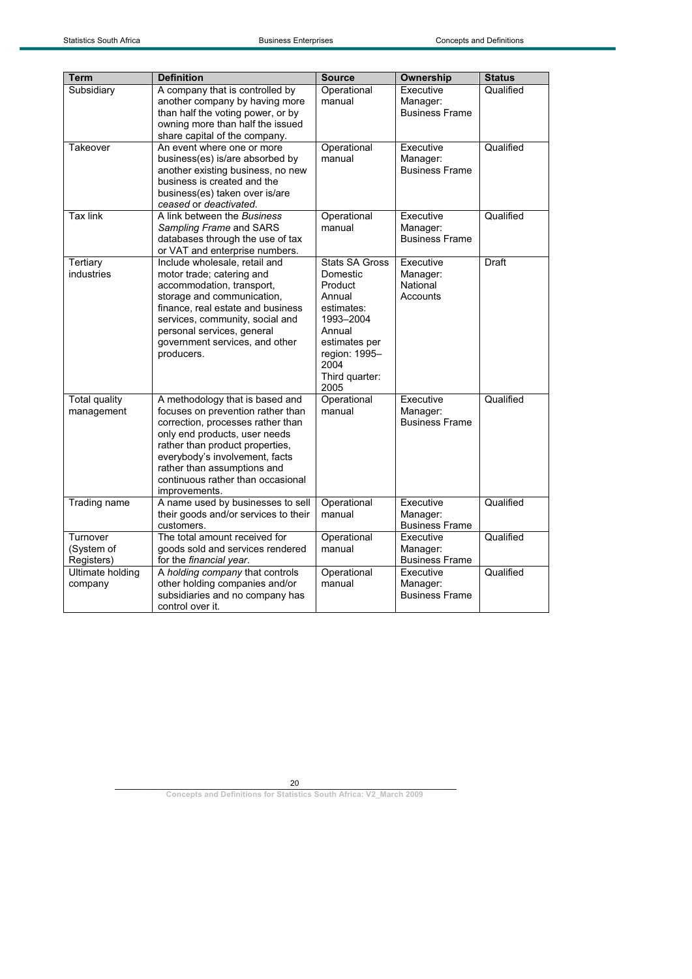| <b>Term</b>                          | <b>Definition</b>                                                                                                                                                                                                                                                                                    | <b>Source</b>                                                                                                                                                   | <b>Ownership</b>                               | <b>Status</b> |
|--------------------------------------|------------------------------------------------------------------------------------------------------------------------------------------------------------------------------------------------------------------------------------------------------------------------------------------------------|-----------------------------------------------------------------------------------------------------------------------------------------------------------------|------------------------------------------------|---------------|
| Subsidiary                           | A company that is controlled by<br>another company by having more<br>than half the voting power, or by<br>owning more than half the issued<br>share capital of the company.                                                                                                                          | Operational<br>manual                                                                                                                                           | Executive<br>Manager:<br><b>Business Frame</b> | Qualified     |
| Takeover                             | An event where one or more<br>business(es) is/are absorbed by<br>another existing business, no new<br>business is created and the<br>business(es) taken over is/are<br>ceased or deactivated.                                                                                                        | Operational<br>manual                                                                                                                                           | Executive<br>Manager:<br><b>Business Frame</b> | Qualified     |
| <b>Tax link</b>                      | A link between the Business<br>Sampling Frame and SARS<br>databases through the use of tax<br>or VAT and enterprise numbers.                                                                                                                                                                         | Operational<br>manual                                                                                                                                           | Executive<br>Manager:<br><b>Business Frame</b> | Qualified     |
| Tertiary<br>industries               | Include wholesale, retail and<br>motor trade; catering and<br>accommodation, transport,<br>storage and communication,<br>finance, real estate and business<br>services, community, social and<br>personal services, general<br>government services, and other<br>producers.                          | <b>Stats SA Gross</b><br>Domestic<br>Product<br>Annual<br>estimates:<br>1993-2004<br>Annual<br>estimates per<br>region: 1995-<br>2004<br>Third quarter:<br>2005 | Executive<br>Manager:<br>National<br>Accounts  | <b>Draft</b>  |
| <b>Total quality</b><br>management   | A methodology that is based and<br>focuses on prevention rather than<br>correction, processes rather than<br>only end products, user needs<br>rather than product properties,<br>everybody's involvement, facts<br>rather than assumptions and<br>continuous rather than occasional<br>improvements. | Operational<br>manual                                                                                                                                           | Executive<br>Manager:<br><b>Business Frame</b> | Qualified     |
| Trading name                         | A name used by businesses to sell<br>their goods and/or services to their<br>customers.                                                                                                                                                                                                              | Operational<br>manual                                                                                                                                           | Executive<br>Manager:<br><b>Business Frame</b> | Qualified     |
| Turnover<br>(System of<br>Registers) | The total amount received for<br>goods sold and services rendered<br>for the financial year.                                                                                                                                                                                                         | Operational<br>manual                                                                                                                                           | Executive<br>Manager:<br><b>Business Frame</b> | Qualified     |
| <b>Ultimate holding</b><br>company   | A holding company that controls<br>other holding companies and/or<br>subsidiaries and no company has<br>control over it.                                                                                                                                                                             | Operational<br>manual                                                                                                                                           | Executive<br>Manager:<br><b>Business Frame</b> | Qualified     |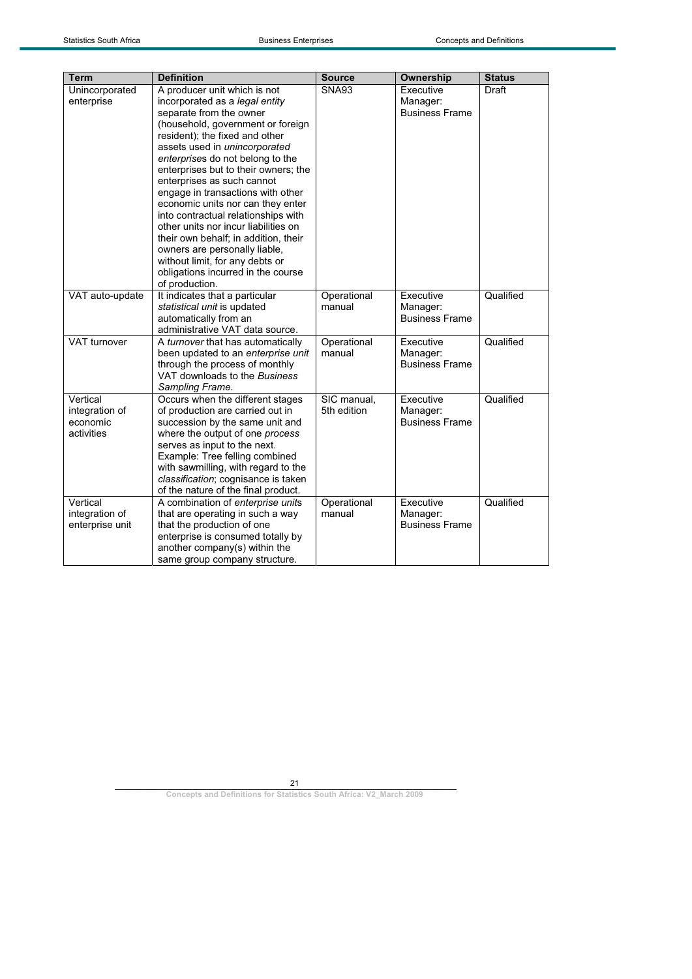| <b>Term</b>                                          | <b>Definition</b>                                                                                                                                                                                                                                                                                                                                                                                                                                                                                                                                                                                                                        | <b>Source</b>              | Ownership                                      | <b>Status</b> |
|------------------------------------------------------|------------------------------------------------------------------------------------------------------------------------------------------------------------------------------------------------------------------------------------------------------------------------------------------------------------------------------------------------------------------------------------------------------------------------------------------------------------------------------------------------------------------------------------------------------------------------------------------------------------------------------------------|----------------------------|------------------------------------------------|---------------|
| Unincorporated<br>enterprise                         | A producer unit which is not<br>incorporated as a legal entity<br>separate from the owner<br>(household, government or foreign<br>resident); the fixed and other<br>assets used in unincorporated<br>enterprises do not belong to the<br>enterprises but to their owners; the<br>enterprises as such cannot<br>engage in transactions with other<br>economic units nor can they enter<br>into contractual relationships with<br>other units nor incur liabilities on<br>their own behalf; in addition, their<br>owners are personally liable,<br>without limit, for any debts or<br>obligations incurred in the course<br>of production. | <b>SNA93</b>               | Executive<br>Manager:<br><b>Business Frame</b> | Draft         |
| VAT auto-update                                      | It indicates that a particular<br>statistical unit is updated<br>automatically from an<br>administrative VAT data source.                                                                                                                                                                                                                                                                                                                                                                                                                                                                                                                | Operational<br>manual      | Executive<br>Manager:<br><b>Business Frame</b> | Qualified     |
| VAT turnover                                         | A turnover that has automatically<br>been updated to an enterprise unit<br>through the process of monthly<br>VAT downloads to the Business<br>Sampling Frame.                                                                                                                                                                                                                                                                                                                                                                                                                                                                            | Operational<br>manual      | Executive<br>Manager:<br><b>Business Frame</b> | Qualified     |
| Vertical<br>integration of<br>economic<br>activities | Occurs when the different stages<br>of production are carried out in<br>succession by the same unit and<br>where the output of one process<br>serves as input to the next.<br>Example: Tree felling combined<br>with sawmilling, with regard to the<br>classification; cognisance is taken<br>of the nature of the final product.                                                                                                                                                                                                                                                                                                        | SIC manual.<br>5th edition | Executive<br>Manager:<br><b>Business Frame</b> | Qualified     |
| Vertical<br>integration of<br>enterprise unit        | A combination of enterprise units<br>that are operating in such a way<br>that the production of one<br>enterprise is consumed totally by<br>another company(s) within the<br>same group company structure.                                                                                                                                                                                                                                                                                                                                                                                                                               | Operational<br>manual      | Executive<br>Manager:<br><b>Business Frame</b> | Qualified     |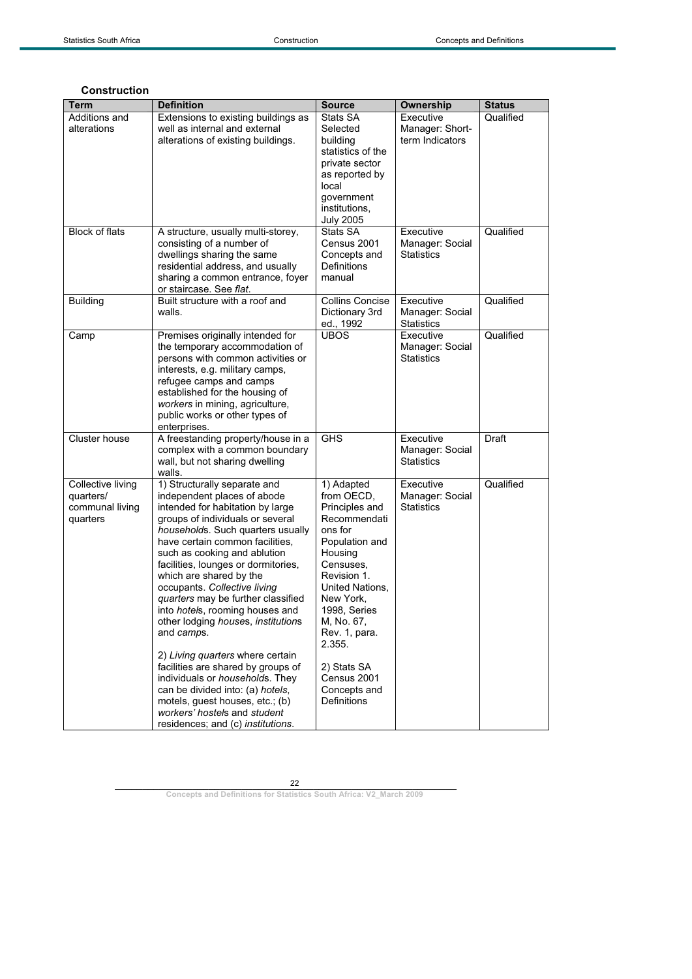## **Construction**

| Term                           | <b>Definition</b>                                                    | <b>Source</b>                     | <b>Ownership</b>             | <b>Status</b> |
|--------------------------------|----------------------------------------------------------------------|-----------------------------------|------------------------------|---------------|
| Additions and                  | Extensions to existing buildings as                                  | Stats SA                          | Executive                    | Qualified     |
| alterations                    | well as internal and external                                        | Selected                          | Manager: Short-              |               |
|                                | alterations of existing buildings.                                   | building                          | term Indicators              |               |
|                                |                                                                      | statistics of the                 |                              |               |
|                                |                                                                      | private sector                    |                              |               |
|                                |                                                                      | as reported by                    |                              |               |
|                                |                                                                      | local                             |                              |               |
|                                |                                                                      | government                        |                              |               |
|                                |                                                                      | institutions,<br><b>July 2005</b> |                              |               |
| <b>Block of flats</b>          | A structure, usually multi-storey,                                   | Stats SA                          | Executive                    | Qualified     |
|                                | consisting of a number of                                            | Census 2001                       | Manager: Social              |               |
|                                | dwellings sharing the same                                           | Concepts and                      | <b>Statistics</b>            |               |
|                                | residential address, and usually                                     | Definitions                       |                              |               |
|                                | sharing a common entrance, foyer                                     | manual                            |                              |               |
|                                | or staircase. See flat.                                              |                                   |                              |               |
| <b>Building</b>                | Built structure with a roof and                                      | <b>Collins Concise</b>            | Executive                    | Qualified     |
|                                | walls.                                                               | Dictionary 3rd                    | Manager: Social              |               |
|                                |                                                                      | ed., 1992                         | <b>Statistics</b>            |               |
| Camp                           | Premises originally intended for                                     | <b>UBOS</b>                       | Executive                    | Qualified     |
|                                | the temporary accommodation of                                       |                                   | Manager: Social              |               |
|                                | persons with common activities or<br>interests, e.g. military camps, |                                   | <b>Statistics</b>            |               |
|                                | refugee camps and camps                                              |                                   |                              |               |
|                                | established for the housing of                                       |                                   |                              |               |
|                                | workers in mining, agriculture,                                      |                                   |                              |               |
|                                | public works or other types of                                       |                                   |                              |               |
|                                | enterprises.                                                         |                                   |                              |               |
| Cluster house                  | A freestanding property/house in a                                   | <b>GHS</b>                        | Executive                    | <b>Draft</b>  |
|                                | complex with a common boundary                                       |                                   | Manager: Social              |               |
|                                | wall, but not sharing dwelling                                       |                                   | <b>Statistics</b>            |               |
|                                | walls.                                                               |                                   |                              |               |
| Collective living<br>quarters/ | 1) Structurally separate and<br>independent places of abode          | 1) Adapted<br>from OECD,          | Executive<br>Manager: Social | Qualified     |
| communal living                | intended for habitation by large                                     | Principles and                    | <b>Statistics</b>            |               |
| quarters                       | groups of individuals or several                                     | Recommendati                      |                              |               |
|                                | households. Such quarters usually                                    | ons for                           |                              |               |
|                                | have certain common facilities,                                      | Population and                    |                              |               |
|                                | such as cooking and ablution                                         | Housing                           |                              |               |
|                                | facilities, lounges or dormitories,                                  | Censuses.                         |                              |               |
|                                | which are shared by the                                              | Revision 1.                       |                              |               |
|                                | occupants. Collective living                                         | United Nations.                   |                              |               |
|                                | quarters may be further classified                                   | New York,                         |                              |               |
|                                | into hotels, rooming houses and                                      | 1998, Series                      |                              |               |
|                                | other lodging houses, institutions                                   | M, No. 67,                        |                              |               |
|                                | and camps.                                                           | Rev. 1, para.<br>2.355.           |                              |               |
|                                | 2) Living quarters where certain                                     |                                   |                              |               |
|                                | facilities are shared by groups of                                   | 2) Stats SA                       |                              |               |
|                                | individuals or households. They                                      | Census 2001                       |                              |               |
|                                | can be divided into: (a) hotels,                                     | Concepts and                      |                              |               |
|                                | motels, guest houses, etc.; (b)<br>workers' hostels and student      | <b>Definitions</b>                |                              |               |
|                                | residences; and (c) institutions.                                    |                                   |                              |               |
|                                |                                                                      |                                   |                              |               |

22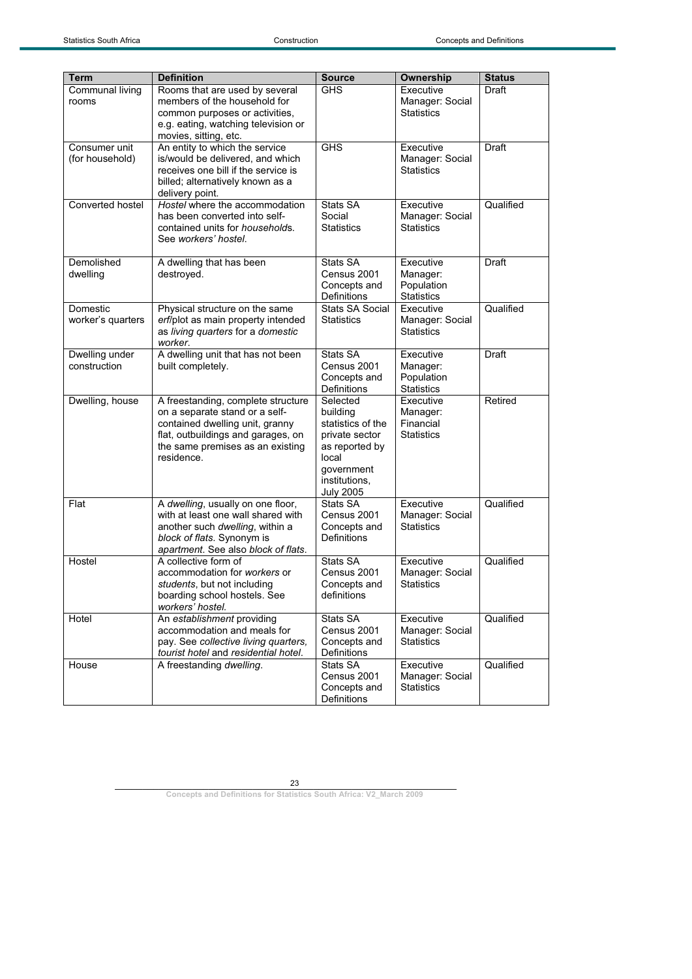| Term              | <b>Definition</b>                                                            | <b>Source</b>                         | Ownership                            | <b>Status</b> |
|-------------------|------------------------------------------------------------------------------|---------------------------------------|--------------------------------------|---------------|
| Communal living   | Rooms that are used by several                                               | <b>GHS</b>                            | Executive                            | Draft         |
| rooms             | members of the household for                                                 |                                       | Manager: Social                      |               |
|                   | common purposes or activities,                                               |                                       | <b>Statistics</b>                    |               |
|                   | e.g. eating, watching television or                                          |                                       |                                      |               |
|                   | movies, sitting, etc.                                                        |                                       |                                      |               |
| Consumer unit     | An entity to which the service                                               | <b>GHS</b>                            | Executive                            | Draft         |
| (for household)   | is/would be delivered, and which                                             |                                       | Manager: Social                      |               |
|                   | receives one bill if the service is                                          |                                       | <b>Statistics</b>                    |               |
|                   | billed; alternatively known as a                                             |                                       |                                      |               |
| Converted hostel  | delivery point.<br>Hostel where the accommodation                            | Stats SA                              | Executive                            | Qualified     |
|                   | has been converted into self-                                                | Social                                | Manager: Social                      |               |
|                   | contained units for <i>households</i> .                                      | <b>Statistics</b>                     | <b>Statistics</b>                    |               |
|                   | See workers' hostel.                                                         |                                       |                                      |               |
|                   |                                                                              |                                       |                                      |               |
| Demolished        | A dwelling that has been                                                     | Stats SA                              | Executive                            | Draft         |
| dwelling          | destroyed.                                                                   | Census 2001                           | Manager:                             |               |
|                   |                                                                              | Concepts and                          | Population                           |               |
| Domestic          |                                                                              | Definitions<br><b>Stats SA Social</b> | <b>Statistics</b><br>Executive       | Qualified     |
| worker's quarters | Physical structure on the same<br>erf/plot as main property intended         | <b>Statistics</b>                     | Manager: Social                      |               |
|                   | as living quarters for a domestic                                            |                                       | <b>Statistics</b>                    |               |
|                   | worker.                                                                      |                                       |                                      |               |
| Dwelling under    | A dwelling unit that has not been                                            | Stats SA                              | Executive                            | Draft         |
| construction      | built completely.                                                            | Census 2001                           | Manager:                             |               |
|                   |                                                                              | Concepts and                          | Population                           |               |
|                   |                                                                              | <b>Definitions</b>                    | <b>Statistics</b>                    |               |
| Dwelling, house   | A freestanding, complete structure                                           | Selected                              | Executive                            | Retired       |
|                   | on a separate stand or a self-                                               | building<br>statistics of the         | Manager:<br>Financial                |               |
|                   | contained dwelling unit, granny<br>flat, outbuildings and garages, on        | private sector                        | <b>Statistics</b>                    |               |
|                   | the same premises as an existing                                             | as reported by                        |                                      |               |
|                   | residence.                                                                   | local                                 |                                      |               |
|                   |                                                                              | government                            |                                      |               |
|                   |                                                                              | institutions,                         |                                      |               |
|                   |                                                                              | <b>July 2005</b>                      |                                      |               |
| Flat              | A dwelling, usually on one floor,                                            | Stats SA                              | Executive                            | Qualified     |
|                   | with at least one wall shared with                                           | Census 2001                           | Manager: Social<br><b>Statistics</b> |               |
|                   | another such dwelling, within a<br>block of flats. Synonym is                | Concepts and<br>Definitions           |                                      |               |
|                   | apartment. See also block of flats.                                          |                                       |                                      |               |
| Hostel            | A collective form of                                                         | Stats SA                              | Executive                            | Qualified     |
|                   | accommodation for workers or                                                 | Census 2001                           | Manager: Social                      |               |
|                   | students, but not including                                                  | Concepts and                          | Statistics                           |               |
|                   | boarding school hostels. See                                                 | definitions                           |                                      |               |
|                   | workers' hostel.                                                             |                                       |                                      |               |
| Hotel             | An establishment providing                                                   | Stats SA                              | Executive                            | Qualified     |
|                   | accommodation and meals for                                                  | Census 2001                           | Manager: Social                      |               |
|                   | pay. See collective living quarters,<br>tourist hotel and residential hotel. | Concepts and<br>Definitions           | <b>Statistics</b>                    |               |
| House             | A freestanding dwelling.                                                     | Stats SA                              | Executive                            | Qualified     |
|                   |                                                                              | Census 2001                           | Manager: Social                      |               |
|                   |                                                                              | Concepts and                          | <b>Statistics</b>                    |               |
|                   |                                                                              | Definitions                           |                                      |               |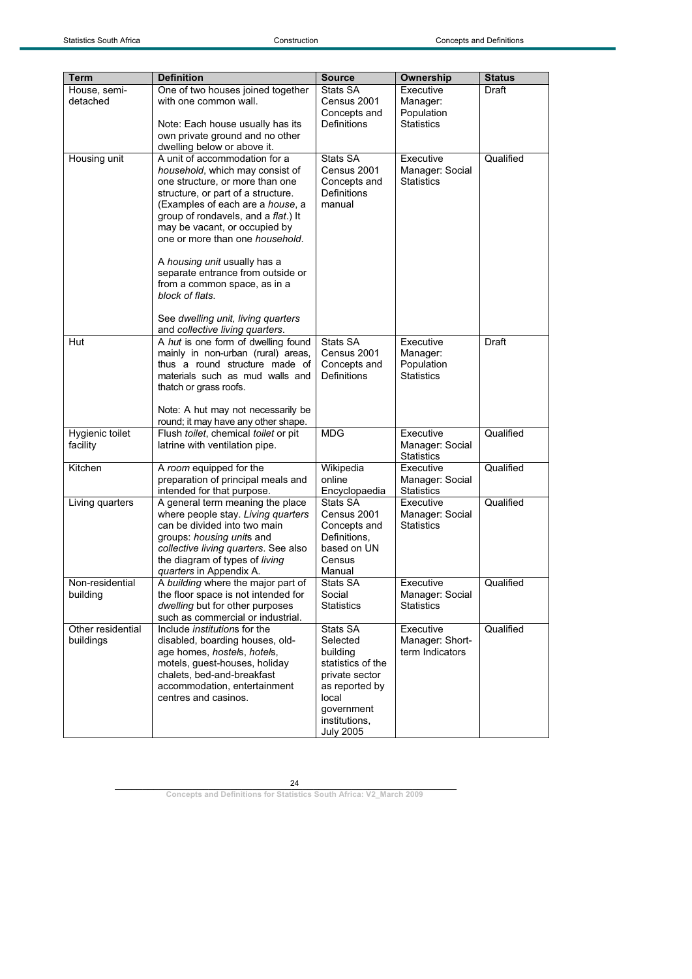| <b>Term</b><br>House, semi-    | <b>Definition</b><br>One of two houses joined together                                                                                                                                                                                                                                                                                                                                                                                                                                    | <b>Source</b><br>Stats SA                                                                                                                             | Ownership<br>Executive                                   | <b>Status</b><br>Draft |
|--------------------------------|-------------------------------------------------------------------------------------------------------------------------------------------------------------------------------------------------------------------------------------------------------------------------------------------------------------------------------------------------------------------------------------------------------------------------------------------------------------------------------------------|-------------------------------------------------------------------------------------------------------------------------------------------------------|----------------------------------------------------------|------------------------|
| detached                       | with one common wall.<br>Note: Each house usually has its<br>own private ground and no other<br>dwelling below or above it.                                                                                                                                                                                                                                                                                                                                                               | Census 2001<br>Concepts and<br>Definitions                                                                                                            | Manager:<br>Population<br><b>Statistics</b>              |                        |
| Housing unit                   | A unit of accommodation for a<br>household, which may consist of<br>one structure, or more than one<br>structure, or part of a structure.<br>(Examples of each are a house, a<br>group of rondavels, and a flat.) It<br>may be vacant, or occupied by<br>one or more than one household.<br>A housing unit usually has a<br>separate entrance from outside or<br>from a common space, as in a<br>block of flats.<br>See dwelling unit, living quarters<br>and collective living quarters. | Stats SA<br>Census 2001<br>Concepts and<br>Definitions<br>manual                                                                                      | Executive<br>Manager: Social<br><b>Statistics</b>        | Qualified              |
| Hut                            | A hut is one form of dwelling found<br>mainly in non-urban (rural) areas,<br>thus a round structure made of<br>materials such as mud walls and<br>thatch or grass roofs.<br>Note: A hut may not necessarily be<br>round; it may have any other shape.                                                                                                                                                                                                                                     | Stats SA<br>Census 2001<br>Concepts and<br>Definitions                                                                                                | Executive<br>Manager:<br>Population<br><b>Statistics</b> | Draft                  |
| Hygienic toilet<br>facility    | Flush toilet, chemical toilet or pit<br>latrine with ventilation pipe.                                                                                                                                                                                                                                                                                                                                                                                                                    | MDG                                                                                                                                                   | Executive<br>Manager: Social<br><b>Statistics</b>        | Qualified              |
| Kitchen                        | A room equipped for the<br>preparation of principal meals and<br>intended for that purpose.                                                                                                                                                                                                                                                                                                                                                                                               | Wikipedia<br>online<br>Encyclopaedia                                                                                                                  | Executive<br>Manager: Social<br><b>Statistics</b>        | Qualified              |
| Living quarters                | A general term meaning the place<br>where people stay. Living quarters<br>can be divided into two main<br>groups: housing units and<br>collective living quarters. See also<br>the diagram of types of living<br>quarters in Appendix A.                                                                                                                                                                                                                                                  | Stats SA<br>Census 2001<br>Concepts and<br>Definitions,<br>based on UN<br>Census<br>Manual                                                            | Executive<br>Manager: Social<br><b>Statistics</b>        | Qualified              |
| Non-residential<br>building    | A building where the major part of<br>the floor space is not intended for<br>dwelling but for other purposes<br>such as commercial or industrial.                                                                                                                                                                                                                                                                                                                                         | Stats SA<br>Social<br><b>Statistics</b>                                                                                                               | Executive<br>Manager: Social<br><b>Statistics</b>        | Qualified              |
| Other residential<br>buildings | Include <i>institutions</i> for the<br>disabled, boarding houses, old-<br>age homes, hostels, hotels,<br>motels, guest-houses, holiday<br>chalets, bed-and-breakfast<br>accommodation, entertainment<br>centres and casinos.                                                                                                                                                                                                                                                              | Stats SA<br>Selected<br>building<br>statistics of the<br>private sector<br>as reported by<br>local<br>government<br>institutions,<br><b>July 2005</b> | Executive<br>Manager: Short-<br>term Indicators          | Qualified              |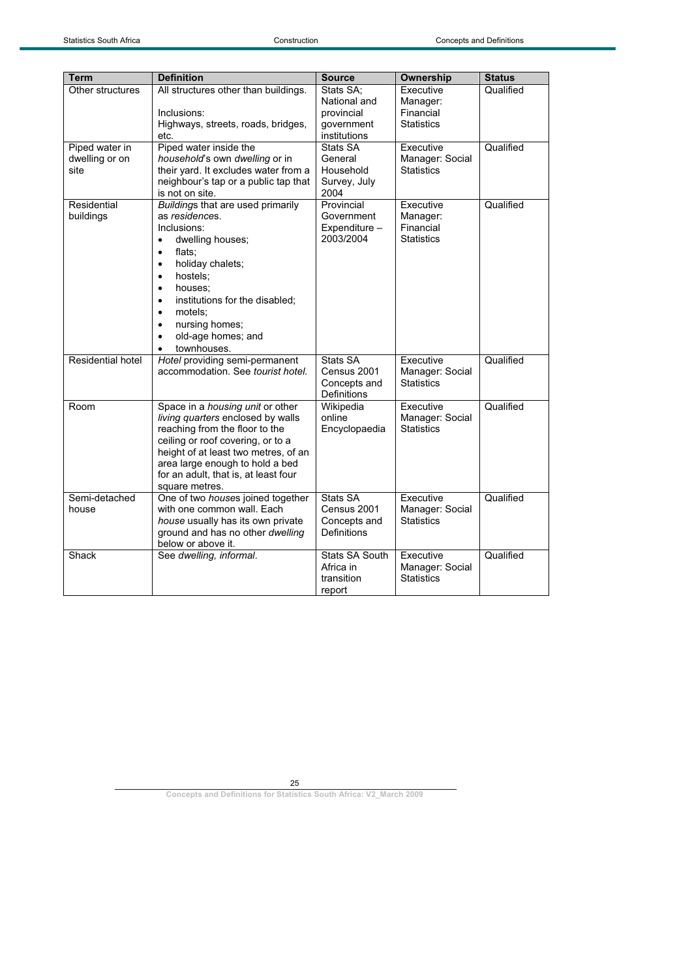| Term                                     | <b>Definition</b>                                                                                                                                                                                                                                                                                                                                       | <b>Source</b>                                                         | Ownership                                               | <b>Status</b> |
|------------------------------------------|---------------------------------------------------------------------------------------------------------------------------------------------------------------------------------------------------------------------------------------------------------------------------------------------------------------------------------------------------------|-----------------------------------------------------------------------|---------------------------------------------------------|---------------|
| Other structures                         | All structures other than buildings.<br>Inclusions:<br>Highways, streets, roads, bridges,<br>etc.                                                                                                                                                                                                                                                       | Stats SA;<br>National and<br>provincial<br>government<br>institutions | Executive<br>Manager:<br>Financial<br><b>Statistics</b> | Qualified     |
| Piped water in<br>dwelling or on<br>site | Piped water inside the<br>household's own dwelling or in<br>their yard. It excludes water from a<br>neighbour's tap or a public tap that<br>is not on site.                                                                                                                                                                                             | Stats SA<br>General<br>Household<br>Survey, July<br>2004              | Executive<br>Manager: Social<br>Statistics              | Qualified     |
| Residential<br>buildings                 | Buildings that are used primarily<br>as residences.<br>Inclusions:<br>dwelling houses;<br>$\bullet$<br>flats;<br>$\bullet$<br>holiday chalets;<br>$\bullet$<br>hostels:<br>$\bullet$<br>houses:<br>$\bullet$<br>institutions for the disabled;<br>$\bullet$<br>motels:<br>$\bullet$<br>nursing homes;<br>$\bullet$<br>old-age homes; and<br>townhouses. | Provincial<br>Government<br>Expenditure -<br>2003/2004                | Executive<br>Manager:<br>Financial<br><b>Statistics</b> | Qualified     |
| Residential hotel                        | Hotel providing semi-permanent<br>accommodation. See tourist hotel.                                                                                                                                                                                                                                                                                     | Stats SA<br>Census 2001<br>Concepts and<br>Definitions                | Executive<br>Manager: Social<br>Statistics              | Qualified     |
| Room                                     | Space in a housing unit or other<br>living quarters enclosed by walls<br>reaching from the floor to the<br>ceiling or roof covering, or to a<br>height of at least two metres, of an<br>area large enough to hold a bed<br>for an adult, that is, at least four<br>square metres.                                                                       | Wikipedia<br>online<br>Encyclopaedia                                  | Executive<br>Manager: Social<br>Statistics              | Qualified     |
| Semi-detached<br>house                   | One of two houses joined together<br>with one common wall. Each<br>house usually has its own private<br>ground and has no other dwelling<br>below or above it.                                                                                                                                                                                          | Stats SA<br>Census 2001<br>Concepts and<br><b>Definitions</b>         | Executive<br>Manager: Social<br><b>Statistics</b>       | Qualified     |
| Shack                                    | See dwelling, informal.                                                                                                                                                                                                                                                                                                                                 | Stats SA South<br>Africa in<br>transition<br>report                   | Executive<br>Manager: Social<br><b>Statistics</b>       | Qualified     |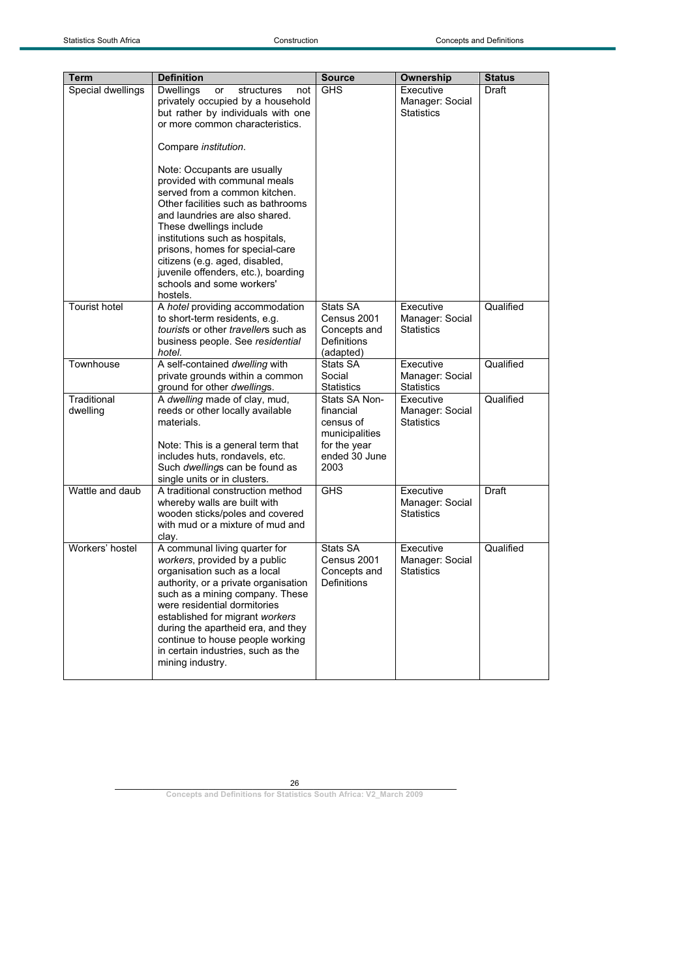| Term                    | <b>Definition</b>                                                                                                                                                                                                                                                                                                                                                                                                                                                                                                                                                                    | <b>Source</b>                                                                                      | Ownership                                         | <b>Status</b> |
|-------------------------|--------------------------------------------------------------------------------------------------------------------------------------------------------------------------------------------------------------------------------------------------------------------------------------------------------------------------------------------------------------------------------------------------------------------------------------------------------------------------------------------------------------------------------------------------------------------------------------|----------------------------------------------------------------------------------------------------|---------------------------------------------------|---------------|
| Special dwellings       | <b>Dwellings</b><br>or<br>structures<br>not<br>privately occupied by a household<br>but rather by individuals with one<br>or more common characteristics.<br>Compare <i>institution</i> .<br>Note: Occupants are usually<br>provided with communal meals<br>served from a common kitchen.<br>Other facilities such as bathrooms<br>and laundries are also shared.<br>These dwellings include<br>institutions such as hospitals,<br>prisons, homes for special-care<br>citizens (e.g. aged, disabled,<br>juvenile offenders, etc.), boarding<br>schools and some workers'<br>hostels. | <b>GHS</b>                                                                                         | Executive<br>Manager: Social<br><b>Statistics</b> | Draft         |
| <b>Tourist hotel</b>    | A hotel providing accommodation<br>to short-term residents, e.g.<br>tourists or other travellers such as<br>business people. See residential<br>hotel.                                                                                                                                                                                                                                                                                                                                                                                                                               | Stats SA<br>Census 2001<br>Concepts and<br><b>Definitions</b><br>(adapted)                         | Executive<br>Manager: Social<br><b>Statistics</b> | Qualified     |
| Townhouse               | A self-contained dwelling with<br>private grounds within a common<br>ground for other dwellings.                                                                                                                                                                                                                                                                                                                                                                                                                                                                                     | Stats SA<br>Social<br><b>Statistics</b>                                                            | Executive<br>Manager: Social<br><b>Statistics</b> | Qualified     |
| Traditional<br>dwelling | A dwelling made of clay, mud,<br>reeds or other locally available<br>materials.<br>Note: This is a general term that<br>includes huts, rondavels, etc.<br>Such dwellings can be found as<br>single units or in clusters.                                                                                                                                                                                                                                                                                                                                                             | Stats SA Non-<br>financial<br>census of<br>municipalities<br>for the year<br>ended 30 June<br>2003 | Executive<br>Manager: Social<br><b>Statistics</b> | Qualified     |
| Wattle and daub         | A traditional construction method<br>whereby walls are built with<br>wooden sticks/poles and covered<br>with mud or a mixture of mud and<br>clay.                                                                                                                                                                                                                                                                                                                                                                                                                                    | <b>GHS</b>                                                                                         | Executive<br>Manager: Social<br><b>Statistics</b> | Draft         |
| Workers' hostel         | A communal living quarter for<br>workers, provided by a public<br>organisation such as a local<br>authority, or a private organisation<br>such as a mining company. These<br>were residential dormitories<br>established for migrant workers<br>during the apartheid era, and they<br>continue to house people working<br>in certain industries, such as the<br>mining industry.                                                                                                                                                                                                     | Stats SA<br>Census 2001<br>Concepts and<br><b>Definitions</b>                                      | Executive<br>Manager: Social<br><b>Statistics</b> | Qualified     |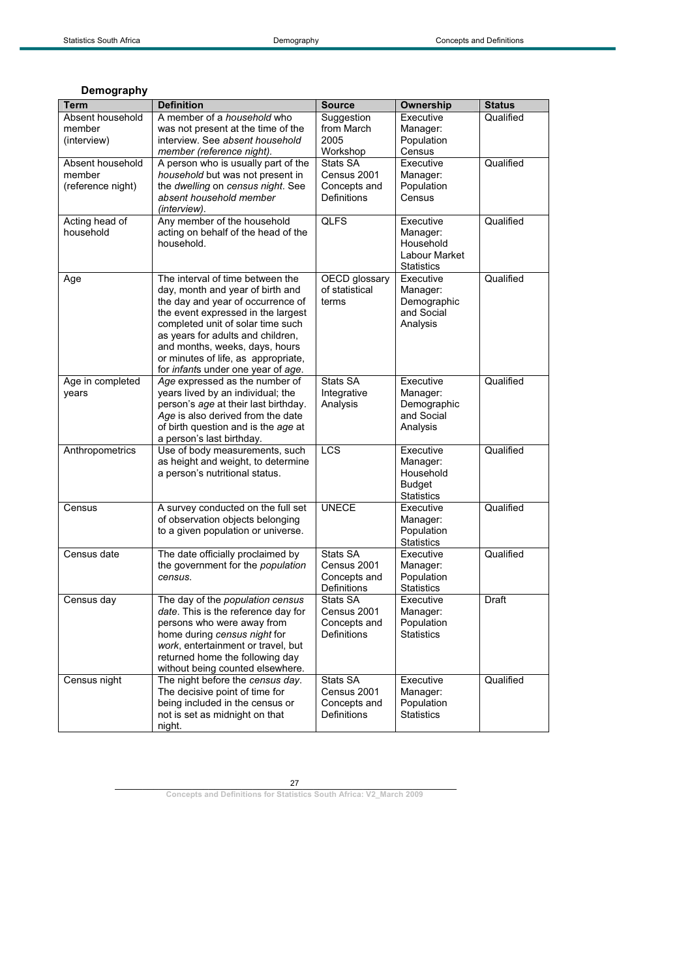| Term              | <b>Definition</b>                                           | <b>Source</b>      | <b>Ownership</b>  | <b>Status</b> |
|-------------------|-------------------------------------------------------------|--------------------|-------------------|---------------|
| Absent household  | A member of a household who                                 | Suggestion         | Executive         | Qualified     |
| member            | was not present at the time of the                          | from March         | Manager:          |               |
| (interview)       | interview. See absent household                             | 2005               | Population        |               |
|                   | member (reference night).                                   | Workshop           | Census            |               |
| Absent household  | A person who is usually part of the                         | Stats SA           | Executive         | Qualified     |
| member            | household but was not present in                            | Census 2001        | Manager:          |               |
| (reference night) | the dwelling on census night. See                           | Concepts and       | Population        |               |
|                   | absent household member                                     | Definitions        | Census            |               |
|                   | (interview).                                                |                    |                   |               |
| Acting head of    | Any member of the household                                 | <b>QLFS</b>        | Executive         | Qualified     |
| household         | acting on behalf of the head of the                         |                    | Manager:          |               |
|                   | household.                                                  |                    | Household         |               |
|                   |                                                             |                    | Labour Market     |               |
|                   |                                                             |                    | <b>Statistics</b> |               |
| Age               | The interval of time between the                            | OECD glossary      | Executive         | Qualified     |
|                   | day, month and year of birth and                            | of statistical     | Manager:          |               |
|                   | the day and year of occurrence of                           | terms              | Demographic       |               |
|                   | the event expressed in the largest                          |                    | and Social        |               |
|                   | completed unit of solar time such                           |                    | Analysis          |               |
|                   | as years for adults and children,                           |                    |                   |               |
|                   | and months, weeks, days, hours                              |                    |                   |               |
|                   | or minutes of life, as appropriate,                         |                    |                   |               |
|                   | for infants under one year of age.                          | Stats SA           | Executive         | Qualified     |
| Age in completed  | Age expressed as the number of                              |                    |                   |               |
| years             | years lived by an individual; the                           | Integrative        | Manager:          |               |
|                   | person's age at their last birthday.                        | Analysis           | Demographic       |               |
|                   | Age is also derived from the date                           |                    | and Social        |               |
|                   | of birth question and is the age at                         |                    | Analysis          |               |
| Anthropometrics   | a person's last birthday.<br>Use of body measurements, such | LCS                | Executive         | Qualified     |
|                   | as height and weight, to determine                          |                    | Manager:          |               |
|                   | a person's nutritional status.                              |                    | Household         |               |
|                   |                                                             |                    | <b>Budget</b>     |               |
|                   |                                                             |                    | <b>Statistics</b> |               |
| Census            | A survey conducted on the full set                          | <b>UNECE</b>       | Executive         | Qualified     |
|                   | of observation objects belonging                            |                    | Manager:          |               |
|                   | to a given population or universe.                          |                    | Population        |               |
|                   |                                                             |                    | <b>Statistics</b> |               |
| Census date       | The date officially proclaimed by                           | Stats SA           | Executive         | Qualified     |
|                   | the government for the population                           | Census 2001        | Manager:          |               |
|                   | census.                                                     | Concepts and       | Population        |               |
|                   |                                                             | Definitions        | <b>Statistics</b> |               |
| Census day        | The day of the population census                            | Stats SA           | Executive         | <b>Draft</b>  |
|                   | date. This is the reference day for                         | Census 2001        | Manager:          |               |
|                   | persons who were away from                                  | Concepts and       | Population        |               |
|                   | home during census night for                                | <b>Definitions</b> | <b>Statistics</b> |               |
|                   | work, entertainment or travel, but                          |                    |                   |               |
|                   | returned home the following day                             |                    |                   |               |
|                   | without being counted elsewhere.                            |                    |                   |               |
| Census night      | The night before the census day.                            | Stats SA           | Executive         | Qualified     |
|                   | The decisive point of time for                              | Census 2001        | Manager:          |               |
|                   | being included in the census or                             | Concepts and       | Population        |               |
|                   | not is set as midnight on that                              | <b>Definitions</b> | <b>Statistics</b> |               |
|                   | night.                                                      |                    |                   |               |
|                   |                                                             |                    |                   |               |

### **Demography**

27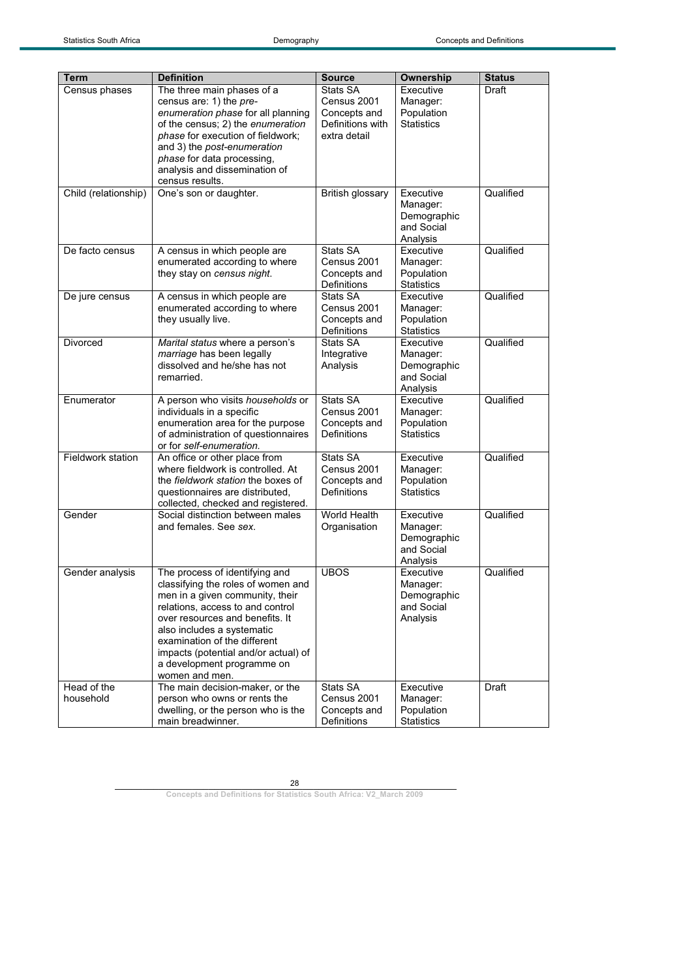| Term                 | <b>Definition</b>                                                    | <b>Source</b>    | Ownership                 | <b>Status</b> |
|----------------------|----------------------------------------------------------------------|------------------|---------------------------|---------------|
| Census phases        | The three main phases of a                                           | Stats SA         | Executive                 | Draft         |
|                      | census are: 1) the pre-                                              | Census 2001      | Manager:                  |               |
|                      | enumeration phase for all planning                                   | Concepts and     | Population                |               |
|                      | of the census; 2) the enumeration                                    | Definitions with | <b>Statistics</b>         |               |
|                      | phase for execution of fieldwork;                                    | extra detail     |                           |               |
|                      | and 3) the post-enumeration                                          |                  |                           |               |
|                      | phase for data processing,                                           |                  |                           |               |
|                      | analysis and dissemination of                                        |                  |                           |               |
|                      | census results.                                                      |                  |                           |               |
| Child (relationship) | One's son or daughter.                                               | British glossary | Executive                 | Qualified     |
|                      |                                                                      |                  | Manager:                  |               |
|                      |                                                                      |                  | Demographic               |               |
|                      |                                                                      |                  | and Social                |               |
|                      |                                                                      |                  | Analysis                  |               |
| De facto census      | A census in which people are                                         | Stats SA         | Executive                 | Qualified     |
|                      | enumerated according to where                                        | Census 2001      | Manager:                  |               |
|                      | they stay on census night.                                           | Concepts and     | Population                |               |
|                      |                                                                      | Definitions      | <b>Statistics</b>         |               |
| De jure census       | A census in which people are                                         | Stats SA         | Executive                 | Qualified     |
|                      | enumerated according to where                                        | Census 2001      | Manager:                  |               |
|                      | they usually live.                                                   | Concepts and     | Population                |               |
|                      |                                                                      | Definitions      | <b>Statistics</b>         |               |
| Divorced             | Marital status where a person's                                      | Stats SA         | Executive                 | Qualified     |
|                      | marriage has been legally                                            | Integrative      | Manager:                  |               |
|                      | dissolved and he/she has not                                         | Analysis         | Demographic<br>and Social |               |
|                      | remarried.                                                           |                  | Analysis                  |               |
| Enumerator           | A person who visits households or                                    | Stats SA         | Executive                 | Qualified     |
|                      | individuals in a specific                                            | Census 2001      | Manager:                  |               |
|                      | enumeration area for the purpose                                     | Concepts and     | Population                |               |
|                      | of administration of questionnaires                                  | Definitions      | <b>Statistics</b>         |               |
|                      | or for self-enumeration.                                             |                  |                           |               |
| Fieldwork station    | An office or other place from                                        | Stats SA         | Executive                 | Qualified     |
|                      | where fieldwork is controlled. At                                    | Census 2001      | Manager:                  |               |
|                      | the <i>fieldwork station</i> the boxes of                            | Concepts and     | Population                |               |
|                      | questionnaires are distributed,                                      | Definitions      | <b>Statistics</b>         |               |
|                      | collected, checked and registered.                                   |                  |                           |               |
| Gender               | Social distinction between males                                     | World Health     | Executive                 | Qualified     |
|                      | and females. See sex.                                                | Organisation     | Manager:                  |               |
|                      |                                                                      |                  | Demographic               |               |
|                      |                                                                      |                  | and Social                |               |
|                      |                                                                      | <b>UBOS</b>      | Analysis                  | Qualified     |
| Gender analysis      | The process of identifying and<br>classifying the roles of women and |                  | Executive                 |               |
|                      | men in a given community, their                                      |                  | Manager:<br>Demographic   |               |
|                      | relations, access to and control                                     |                  | and Social                |               |
|                      | over resources and benefits. It                                      |                  | Analysis                  |               |
|                      | also includes a systematic                                           |                  |                           |               |
|                      | examination of the different                                         |                  |                           |               |
|                      | impacts (potential and/or actual) of                                 |                  |                           |               |
|                      | a development programme on                                           |                  |                           |               |
|                      | women and men.                                                       |                  |                           |               |
| Head of the          | The main decision-maker, or the                                      | Stats SA         | Executive                 | Draft         |
| household            | person who owns or rents the                                         | Census 2001      | Manager:                  |               |
|                      | dwelling, or the person who is the                                   | Concepts and     | Population                |               |
|                      | main breadwinner.                                                    | Definitions      | <b>Statistics</b>         |               |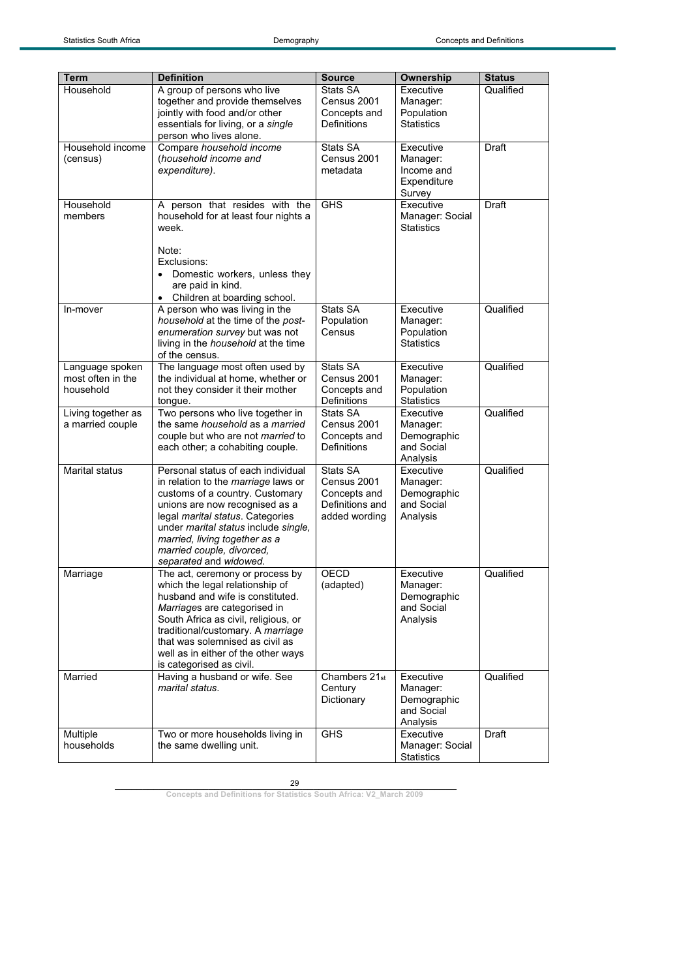| A group of persons who live<br>Stats SA<br>Household<br>Qualified<br>Executive<br>together and provide themselves<br>Census 2001<br>Manager:<br>jointly with food and/or other<br>Population<br>Concepts and<br>essentials for living, or a single<br>Definitions<br><b>Statistics</b><br>person who lives alone.<br>Household income<br>Compare household income<br>Stats SA<br>Executive<br>Draft<br>(household income and<br>Census 2001<br>(census)<br>Manager:<br>expenditure).<br>metadata<br>Income and<br>Expenditure<br>Survey<br>Household<br>A person that resides with the<br><b>GHS</b><br><b>Draft</b><br>Executive<br>members<br>household for at least four nights a<br>Manager: Social<br><b>Statistics</b><br>week.<br>Note:<br>Exclusions:<br>Domestic workers, unless they<br>$\bullet$<br>are paid in kind.<br>Children at boarding school.<br>$\bullet$<br>Stats SA<br>Qualified<br>A person who was living in the<br>Executive<br>In-mover<br>household at the time of the post-<br>Population<br>Manager:<br>enumeration survey but was not<br>Census<br>Population<br><b>Statistics</b><br>living in the household at the time<br>of the census.<br>Stats SA<br>Executive<br>Qualified<br>Language spoken<br>The language most often used by<br>Census 2001<br>most often in the<br>the individual at home, whether or<br>Manager:<br>not they consider it their mother<br>Population<br>household<br>Concepts and<br><b>Definitions</b><br><b>Statistics</b><br>tongue.<br>Two persons who live together in<br>Executive<br>Qualified<br>Living together as<br>Stats SA<br>a married couple<br>the same <i>household</i> as a <i>married</i><br>Census 2001<br>Manager:<br>couple but who are not married to<br>Concepts and<br>Demographic<br><b>Definitions</b><br>and Social<br>each other; a cohabiting couple.<br>Analysis<br>Marital status<br>Personal status of each individual<br>Stats SA<br>Executive<br>Qualified<br>Census 2001<br>in relation to the marriage laws or<br>Manager:<br>customs of a country. Customary<br>Concepts and<br>Demographic<br>Definitions and<br>and Social<br>unions are now recognised as a<br>legal marital status. Categories<br>added wording<br>Analysis<br>under marital status include single,<br>married, living together as a<br>married couple, divorced,<br>separated and widowed.<br>Qualified<br>The act, ceremony or process by<br>OECD<br>Marriage<br>Executive<br>which the legal relationship of<br>(adapted)<br>Manager:<br>husband and wife is constituted.<br>Demographic<br>and Social<br>Marriages are categorised in<br>South Africa as civil, religious, or<br>Analysis<br>traditional/customary. A marriage<br>that was solemnised as civil as<br>well as in either of the other ways<br>is categorised as civil.<br>Chambers 21st<br>Qualified<br>Married<br>Having a husband or wife. See<br>Executive<br>marital status.<br>Century<br>Manager:<br>Dictionary<br>Demographic<br>and Social<br>Analysis<br><b>GHS</b><br>Executive<br>Draft<br>Multiple<br>Two or more households living in<br>households<br>the same dwelling unit.<br>Manager: Social | <b>Term</b> | <b>Definition</b> | <b>Source</b> | Ownership         | <b>Status</b> |
|------------------------------------------------------------------------------------------------------------------------------------------------------------------------------------------------------------------------------------------------------------------------------------------------------------------------------------------------------------------------------------------------------------------------------------------------------------------------------------------------------------------------------------------------------------------------------------------------------------------------------------------------------------------------------------------------------------------------------------------------------------------------------------------------------------------------------------------------------------------------------------------------------------------------------------------------------------------------------------------------------------------------------------------------------------------------------------------------------------------------------------------------------------------------------------------------------------------------------------------------------------------------------------------------------------------------------------------------------------------------------------------------------------------------------------------------------------------------------------------------------------------------------------------------------------------------------------------------------------------------------------------------------------------------------------------------------------------------------------------------------------------------------------------------------------------------------------------------------------------------------------------------------------------------------------------------------------------------------------------------------------------------------------------------------------------------------------------------------------------------------------------------------------------------------------------------------------------------------------------------------------------------------------------------------------------------------------------------------------------------------------------------------------------------------------------------------------------------------------------------------------------------------------------------------------------------------------------------------------------------------------------------------------------------------------------------------------------------------------------------------------------------------------------------------------------------------------------------------------------------------------------------------------------------------------------------------------------------------------------------------------------------------------------------------------------------------------------------------------------------------------------------------|-------------|-------------------|---------------|-------------------|---------------|
|                                                                                                                                                                                                                                                                                                                                                                                                                                                                                                                                                                                                                                                                                                                                                                                                                                                                                                                                                                                                                                                                                                                                                                                                                                                                                                                                                                                                                                                                                                                                                                                                                                                                                                                                                                                                                                                                                                                                                                                                                                                                                                                                                                                                                                                                                                                                                                                                                                                                                                                                                                                                                                                                                                                                                                                                                                                                                                                                                                                                                                                                                                                                                      |             |                   |               |                   |               |
|                                                                                                                                                                                                                                                                                                                                                                                                                                                                                                                                                                                                                                                                                                                                                                                                                                                                                                                                                                                                                                                                                                                                                                                                                                                                                                                                                                                                                                                                                                                                                                                                                                                                                                                                                                                                                                                                                                                                                                                                                                                                                                                                                                                                                                                                                                                                                                                                                                                                                                                                                                                                                                                                                                                                                                                                                                                                                                                                                                                                                                                                                                                                                      |             |                   |               |                   |               |
|                                                                                                                                                                                                                                                                                                                                                                                                                                                                                                                                                                                                                                                                                                                                                                                                                                                                                                                                                                                                                                                                                                                                                                                                                                                                                                                                                                                                                                                                                                                                                                                                                                                                                                                                                                                                                                                                                                                                                                                                                                                                                                                                                                                                                                                                                                                                                                                                                                                                                                                                                                                                                                                                                                                                                                                                                                                                                                                                                                                                                                                                                                                                                      |             |                   |               |                   |               |
|                                                                                                                                                                                                                                                                                                                                                                                                                                                                                                                                                                                                                                                                                                                                                                                                                                                                                                                                                                                                                                                                                                                                                                                                                                                                                                                                                                                                                                                                                                                                                                                                                                                                                                                                                                                                                                                                                                                                                                                                                                                                                                                                                                                                                                                                                                                                                                                                                                                                                                                                                                                                                                                                                                                                                                                                                                                                                                                                                                                                                                                                                                                                                      |             |                   |               |                   |               |
|                                                                                                                                                                                                                                                                                                                                                                                                                                                                                                                                                                                                                                                                                                                                                                                                                                                                                                                                                                                                                                                                                                                                                                                                                                                                                                                                                                                                                                                                                                                                                                                                                                                                                                                                                                                                                                                                                                                                                                                                                                                                                                                                                                                                                                                                                                                                                                                                                                                                                                                                                                                                                                                                                                                                                                                                                                                                                                                                                                                                                                                                                                                                                      |             |                   |               |                   |               |
|                                                                                                                                                                                                                                                                                                                                                                                                                                                                                                                                                                                                                                                                                                                                                                                                                                                                                                                                                                                                                                                                                                                                                                                                                                                                                                                                                                                                                                                                                                                                                                                                                                                                                                                                                                                                                                                                                                                                                                                                                                                                                                                                                                                                                                                                                                                                                                                                                                                                                                                                                                                                                                                                                                                                                                                                                                                                                                                                                                                                                                                                                                                                                      |             |                   |               |                   |               |
|                                                                                                                                                                                                                                                                                                                                                                                                                                                                                                                                                                                                                                                                                                                                                                                                                                                                                                                                                                                                                                                                                                                                                                                                                                                                                                                                                                                                                                                                                                                                                                                                                                                                                                                                                                                                                                                                                                                                                                                                                                                                                                                                                                                                                                                                                                                                                                                                                                                                                                                                                                                                                                                                                                                                                                                                                                                                                                                                                                                                                                                                                                                                                      |             |                   |               |                   |               |
|                                                                                                                                                                                                                                                                                                                                                                                                                                                                                                                                                                                                                                                                                                                                                                                                                                                                                                                                                                                                                                                                                                                                                                                                                                                                                                                                                                                                                                                                                                                                                                                                                                                                                                                                                                                                                                                                                                                                                                                                                                                                                                                                                                                                                                                                                                                                                                                                                                                                                                                                                                                                                                                                                                                                                                                                                                                                                                                                                                                                                                                                                                                                                      |             |                   |               |                   |               |
|                                                                                                                                                                                                                                                                                                                                                                                                                                                                                                                                                                                                                                                                                                                                                                                                                                                                                                                                                                                                                                                                                                                                                                                                                                                                                                                                                                                                                                                                                                                                                                                                                                                                                                                                                                                                                                                                                                                                                                                                                                                                                                                                                                                                                                                                                                                                                                                                                                                                                                                                                                                                                                                                                                                                                                                                                                                                                                                                                                                                                                                                                                                                                      |             |                   |               |                   |               |
|                                                                                                                                                                                                                                                                                                                                                                                                                                                                                                                                                                                                                                                                                                                                                                                                                                                                                                                                                                                                                                                                                                                                                                                                                                                                                                                                                                                                                                                                                                                                                                                                                                                                                                                                                                                                                                                                                                                                                                                                                                                                                                                                                                                                                                                                                                                                                                                                                                                                                                                                                                                                                                                                                                                                                                                                                                                                                                                                                                                                                                                                                                                                                      |             |                   |               |                   |               |
|                                                                                                                                                                                                                                                                                                                                                                                                                                                                                                                                                                                                                                                                                                                                                                                                                                                                                                                                                                                                                                                                                                                                                                                                                                                                                                                                                                                                                                                                                                                                                                                                                                                                                                                                                                                                                                                                                                                                                                                                                                                                                                                                                                                                                                                                                                                                                                                                                                                                                                                                                                                                                                                                                                                                                                                                                                                                                                                                                                                                                                                                                                                                                      |             |                   |               |                   |               |
|                                                                                                                                                                                                                                                                                                                                                                                                                                                                                                                                                                                                                                                                                                                                                                                                                                                                                                                                                                                                                                                                                                                                                                                                                                                                                                                                                                                                                                                                                                                                                                                                                                                                                                                                                                                                                                                                                                                                                                                                                                                                                                                                                                                                                                                                                                                                                                                                                                                                                                                                                                                                                                                                                                                                                                                                                                                                                                                                                                                                                                                                                                                                                      |             |                   |               |                   |               |
|                                                                                                                                                                                                                                                                                                                                                                                                                                                                                                                                                                                                                                                                                                                                                                                                                                                                                                                                                                                                                                                                                                                                                                                                                                                                                                                                                                                                                                                                                                                                                                                                                                                                                                                                                                                                                                                                                                                                                                                                                                                                                                                                                                                                                                                                                                                                                                                                                                                                                                                                                                                                                                                                                                                                                                                                                                                                                                                                                                                                                                                                                                                                                      |             |                   |               |                   |               |
|                                                                                                                                                                                                                                                                                                                                                                                                                                                                                                                                                                                                                                                                                                                                                                                                                                                                                                                                                                                                                                                                                                                                                                                                                                                                                                                                                                                                                                                                                                                                                                                                                                                                                                                                                                                                                                                                                                                                                                                                                                                                                                                                                                                                                                                                                                                                                                                                                                                                                                                                                                                                                                                                                                                                                                                                                                                                                                                                                                                                                                                                                                                                                      |             |                   |               |                   |               |
|                                                                                                                                                                                                                                                                                                                                                                                                                                                                                                                                                                                                                                                                                                                                                                                                                                                                                                                                                                                                                                                                                                                                                                                                                                                                                                                                                                                                                                                                                                                                                                                                                                                                                                                                                                                                                                                                                                                                                                                                                                                                                                                                                                                                                                                                                                                                                                                                                                                                                                                                                                                                                                                                                                                                                                                                                                                                                                                                                                                                                                                                                                                                                      |             |                   |               |                   |               |
|                                                                                                                                                                                                                                                                                                                                                                                                                                                                                                                                                                                                                                                                                                                                                                                                                                                                                                                                                                                                                                                                                                                                                                                                                                                                                                                                                                                                                                                                                                                                                                                                                                                                                                                                                                                                                                                                                                                                                                                                                                                                                                                                                                                                                                                                                                                                                                                                                                                                                                                                                                                                                                                                                                                                                                                                                                                                                                                                                                                                                                                                                                                                                      |             |                   |               |                   |               |
|                                                                                                                                                                                                                                                                                                                                                                                                                                                                                                                                                                                                                                                                                                                                                                                                                                                                                                                                                                                                                                                                                                                                                                                                                                                                                                                                                                                                                                                                                                                                                                                                                                                                                                                                                                                                                                                                                                                                                                                                                                                                                                                                                                                                                                                                                                                                                                                                                                                                                                                                                                                                                                                                                                                                                                                                                                                                                                                                                                                                                                                                                                                                                      |             |                   |               |                   |               |
|                                                                                                                                                                                                                                                                                                                                                                                                                                                                                                                                                                                                                                                                                                                                                                                                                                                                                                                                                                                                                                                                                                                                                                                                                                                                                                                                                                                                                                                                                                                                                                                                                                                                                                                                                                                                                                                                                                                                                                                                                                                                                                                                                                                                                                                                                                                                                                                                                                                                                                                                                                                                                                                                                                                                                                                                                                                                                                                                                                                                                                                                                                                                                      |             |                   |               |                   |               |
|                                                                                                                                                                                                                                                                                                                                                                                                                                                                                                                                                                                                                                                                                                                                                                                                                                                                                                                                                                                                                                                                                                                                                                                                                                                                                                                                                                                                                                                                                                                                                                                                                                                                                                                                                                                                                                                                                                                                                                                                                                                                                                                                                                                                                                                                                                                                                                                                                                                                                                                                                                                                                                                                                                                                                                                                                                                                                                                                                                                                                                                                                                                                                      |             |                   |               |                   |               |
|                                                                                                                                                                                                                                                                                                                                                                                                                                                                                                                                                                                                                                                                                                                                                                                                                                                                                                                                                                                                                                                                                                                                                                                                                                                                                                                                                                                                                                                                                                                                                                                                                                                                                                                                                                                                                                                                                                                                                                                                                                                                                                                                                                                                                                                                                                                                                                                                                                                                                                                                                                                                                                                                                                                                                                                                                                                                                                                                                                                                                                                                                                                                                      |             |                   |               |                   |               |
|                                                                                                                                                                                                                                                                                                                                                                                                                                                                                                                                                                                                                                                                                                                                                                                                                                                                                                                                                                                                                                                                                                                                                                                                                                                                                                                                                                                                                                                                                                                                                                                                                                                                                                                                                                                                                                                                                                                                                                                                                                                                                                                                                                                                                                                                                                                                                                                                                                                                                                                                                                                                                                                                                                                                                                                                                                                                                                                                                                                                                                                                                                                                                      |             |                   |               |                   |               |
|                                                                                                                                                                                                                                                                                                                                                                                                                                                                                                                                                                                                                                                                                                                                                                                                                                                                                                                                                                                                                                                                                                                                                                                                                                                                                                                                                                                                                                                                                                                                                                                                                                                                                                                                                                                                                                                                                                                                                                                                                                                                                                                                                                                                                                                                                                                                                                                                                                                                                                                                                                                                                                                                                                                                                                                                                                                                                                                                                                                                                                                                                                                                                      |             |                   |               |                   |               |
|                                                                                                                                                                                                                                                                                                                                                                                                                                                                                                                                                                                                                                                                                                                                                                                                                                                                                                                                                                                                                                                                                                                                                                                                                                                                                                                                                                                                                                                                                                                                                                                                                                                                                                                                                                                                                                                                                                                                                                                                                                                                                                                                                                                                                                                                                                                                                                                                                                                                                                                                                                                                                                                                                                                                                                                                                                                                                                                                                                                                                                                                                                                                                      |             |                   |               |                   |               |
|                                                                                                                                                                                                                                                                                                                                                                                                                                                                                                                                                                                                                                                                                                                                                                                                                                                                                                                                                                                                                                                                                                                                                                                                                                                                                                                                                                                                                                                                                                                                                                                                                                                                                                                                                                                                                                                                                                                                                                                                                                                                                                                                                                                                                                                                                                                                                                                                                                                                                                                                                                                                                                                                                                                                                                                                                                                                                                                                                                                                                                                                                                                                                      |             |                   |               |                   |               |
|                                                                                                                                                                                                                                                                                                                                                                                                                                                                                                                                                                                                                                                                                                                                                                                                                                                                                                                                                                                                                                                                                                                                                                                                                                                                                                                                                                                                                                                                                                                                                                                                                                                                                                                                                                                                                                                                                                                                                                                                                                                                                                                                                                                                                                                                                                                                                                                                                                                                                                                                                                                                                                                                                                                                                                                                                                                                                                                                                                                                                                                                                                                                                      |             |                   |               |                   |               |
|                                                                                                                                                                                                                                                                                                                                                                                                                                                                                                                                                                                                                                                                                                                                                                                                                                                                                                                                                                                                                                                                                                                                                                                                                                                                                                                                                                                                                                                                                                                                                                                                                                                                                                                                                                                                                                                                                                                                                                                                                                                                                                                                                                                                                                                                                                                                                                                                                                                                                                                                                                                                                                                                                                                                                                                                                                                                                                                                                                                                                                                                                                                                                      |             |                   |               |                   |               |
|                                                                                                                                                                                                                                                                                                                                                                                                                                                                                                                                                                                                                                                                                                                                                                                                                                                                                                                                                                                                                                                                                                                                                                                                                                                                                                                                                                                                                                                                                                                                                                                                                                                                                                                                                                                                                                                                                                                                                                                                                                                                                                                                                                                                                                                                                                                                                                                                                                                                                                                                                                                                                                                                                                                                                                                                                                                                                                                                                                                                                                                                                                                                                      |             |                   |               |                   |               |
|                                                                                                                                                                                                                                                                                                                                                                                                                                                                                                                                                                                                                                                                                                                                                                                                                                                                                                                                                                                                                                                                                                                                                                                                                                                                                                                                                                                                                                                                                                                                                                                                                                                                                                                                                                                                                                                                                                                                                                                                                                                                                                                                                                                                                                                                                                                                                                                                                                                                                                                                                                                                                                                                                                                                                                                                                                                                                                                                                                                                                                                                                                                                                      |             |                   |               |                   |               |
|                                                                                                                                                                                                                                                                                                                                                                                                                                                                                                                                                                                                                                                                                                                                                                                                                                                                                                                                                                                                                                                                                                                                                                                                                                                                                                                                                                                                                                                                                                                                                                                                                                                                                                                                                                                                                                                                                                                                                                                                                                                                                                                                                                                                                                                                                                                                                                                                                                                                                                                                                                                                                                                                                                                                                                                                                                                                                                                                                                                                                                                                                                                                                      |             |                   |               |                   |               |
|                                                                                                                                                                                                                                                                                                                                                                                                                                                                                                                                                                                                                                                                                                                                                                                                                                                                                                                                                                                                                                                                                                                                                                                                                                                                                                                                                                                                                                                                                                                                                                                                                                                                                                                                                                                                                                                                                                                                                                                                                                                                                                                                                                                                                                                                                                                                                                                                                                                                                                                                                                                                                                                                                                                                                                                                                                                                                                                                                                                                                                                                                                                                                      |             |                   |               |                   |               |
|                                                                                                                                                                                                                                                                                                                                                                                                                                                                                                                                                                                                                                                                                                                                                                                                                                                                                                                                                                                                                                                                                                                                                                                                                                                                                                                                                                                                                                                                                                                                                                                                                                                                                                                                                                                                                                                                                                                                                                                                                                                                                                                                                                                                                                                                                                                                                                                                                                                                                                                                                                                                                                                                                                                                                                                                                                                                                                                                                                                                                                                                                                                                                      |             |                   |               |                   |               |
|                                                                                                                                                                                                                                                                                                                                                                                                                                                                                                                                                                                                                                                                                                                                                                                                                                                                                                                                                                                                                                                                                                                                                                                                                                                                                                                                                                                                                                                                                                                                                                                                                                                                                                                                                                                                                                                                                                                                                                                                                                                                                                                                                                                                                                                                                                                                                                                                                                                                                                                                                                                                                                                                                                                                                                                                                                                                                                                                                                                                                                                                                                                                                      |             |                   |               |                   |               |
|                                                                                                                                                                                                                                                                                                                                                                                                                                                                                                                                                                                                                                                                                                                                                                                                                                                                                                                                                                                                                                                                                                                                                                                                                                                                                                                                                                                                                                                                                                                                                                                                                                                                                                                                                                                                                                                                                                                                                                                                                                                                                                                                                                                                                                                                                                                                                                                                                                                                                                                                                                                                                                                                                                                                                                                                                                                                                                                                                                                                                                                                                                                                                      |             |                   |               |                   |               |
|                                                                                                                                                                                                                                                                                                                                                                                                                                                                                                                                                                                                                                                                                                                                                                                                                                                                                                                                                                                                                                                                                                                                                                                                                                                                                                                                                                                                                                                                                                                                                                                                                                                                                                                                                                                                                                                                                                                                                                                                                                                                                                                                                                                                                                                                                                                                                                                                                                                                                                                                                                                                                                                                                                                                                                                                                                                                                                                                                                                                                                                                                                                                                      |             |                   |               |                   |               |
|                                                                                                                                                                                                                                                                                                                                                                                                                                                                                                                                                                                                                                                                                                                                                                                                                                                                                                                                                                                                                                                                                                                                                                                                                                                                                                                                                                                                                                                                                                                                                                                                                                                                                                                                                                                                                                                                                                                                                                                                                                                                                                                                                                                                                                                                                                                                                                                                                                                                                                                                                                                                                                                                                                                                                                                                                                                                                                                                                                                                                                                                                                                                                      |             |                   |               |                   |               |
|                                                                                                                                                                                                                                                                                                                                                                                                                                                                                                                                                                                                                                                                                                                                                                                                                                                                                                                                                                                                                                                                                                                                                                                                                                                                                                                                                                                                                                                                                                                                                                                                                                                                                                                                                                                                                                                                                                                                                                                                                                                                                                                                                                                                                                                                                                                                                                                                                                                                                                                                                                                                                                                                                                                                                                                                                                                                                                                                                                                                                                                                                                                                                      |             |                   |               |                   |               |
|                                                                                                                                                                                                                                                                                                                                                                                                                                                                                                                                                                                                                                                                                                                                                                                                                                                                                                                                                                                                                                                                                                                                                                                                                                                                                                                                                                                                                                                                                                                                                                                                                                                                                                                                                                                                                                                                                                                                                                                                                                                                                                                                                                                                                                                                                                                                                                                                                                                                                                                                                                                                                                                                                                                                                                                                                                                                                                                                                                                                                                                                                                                                                      |             |                   |               |                   |               |
|                                                                                                                                                                                                                                                                                                                                                                                                                                                                                                                                                                                                                                                                                                                                                                                                                                                                                                                                                                                                                                                                                                                                                                                                                                                                                                                                                                                                                                                                                                                                                                                                                                                                                                                                                                                                                                                                                                                                                                                                                                                                                                                                                                                                                                                                                                                                                                                                                                                                                                                                                                                                                                                                                                                                                                                                                                                                                                                                                                                                                                                                                                                                                      |             |                   |               |                   |               |
|                                                                                                                                                                                                                                                                                                                                                                                                                                                                                                                                                                                                                                                                                                                                                                                                                                                                                                                                                                                                                                                                                                                                                                                                                                                                                                                                                                                                                                                                                                                                                                                                                                                                                                                                                                                                                                                                                                                                                                                                                                                                                                                                                                                                                                                                                                                                                                                                                                                                                                                                                                                                                                                                                                                                                                                                                                                                                                                                                                                                                                                                                                                                                      |             |                   |               |                   |               |
|                                                                                                                                                                                                                                                                                                                                                                                                                                                                                                                                                                                                                                                                                                                                                                                                                                                                                                                                                                                                                                                                                                                                                                                                                                                                                                                                                                                                                                                                                                                                                                                                                                                                                                                                                                                                                                                                                                                                                                                                                                                                                                                                                                                                                                                                                                                                                                                                                                                                                                                                                                                                                                                                                                                                                                                                                                                                                                                                                                                                                                                                                                                                                      |             |                   |               |                   |               |
|                                                                                                                                                                                                                                                                                                                                                                                                                                                                                                                                                                                                                                                                                                                                                                                                                                                                                                                                                                                                                                                                                                                                                                                                                                                                                                                                                                                                                                                                                                                                                                                                                                                                                                                                                                                                                                                                                                                                                                                                                                                                                                                                                                                                                                                                                                                                                                                                                                                                                                                                                                                                                                                                                                                                                                                                                                                                                                                                                                                                                                                                                                                                                      |             |                   |               |                   |               |
|                                                                                                                                                                                                                                                                                                                                                                                                                                                                                                                                                                                                                                                                                                                                                                                                                                                                                                                                                                                                                                                                                                                                                                                                                                                                                                                                                                                                                                                                                                                                                                                                                                                                                                                                                                                                                                                                                                                                                                                                                                                                                                                                                                                                                                                                                                                                                                                                                                                                                                                                                                                                                                                                                                                                                                                                                                                                                                                                                                                                                                                                                                                                                      |             |                   |               |                   |               |
|                                                                                                                                                                                                                                                                                                                                                                                                                                                                                                                                                                                                                                                                                                                                                                                                                                                                                                                                                                                                                                                                                                                                                                                                                                                                                                                                                                                                                                                                                                                                                                                                                                                                                                                                                                                                                                                                                                                                                                                                                                                                                                                                                                                                                                                                                                                                                                                                                                                                                                                                                                                                                                                                                                                                                                                                                                                                                                                                                                                                                                                                                                                                                      |             |                   |               |                   |               |
|                                                                                                                                                                                                                                                                                                                                                                                                                                                                                                                                                                                                                                                                                                                                                                                                                                                                                                                                                                                                                                                                                                                                                                                                                                                                                                                                                                                                                                                                                                                                                                                                                                                                                                                                                                                                                                                                                                                                                                                                                                                                                                                                                                                                                                                                                                                                                                                                                                                                                                                                                                                                                                                                                                                                                                                                                                                                                                                                                                                                                                                                                                                                                      |             |                   |               |                   |               |
|                                                                                                                                                                                                                                                                                                                                                                                                                                                                                                                                                                                                                                                                                                                                                                                                                                                                                                                                                                                                                                                                                                                                                                                                                                                                                                                                                                                                                                                                                                                                                                                                                                                                                                                                                                                                                                                                                                                                                                                                                                                                                                                                                                                                                                                                                                                                                                                                                                                                                                                                                                                                                                                                                                                                                                                                                                                                                                                                                                                                                                                                                                                                                      |             |                   |               |                   |               |
|                                                                                                                                                                                                                                                                                                                                                                                                                                                                                                                                                                                                                                                                                                                                                                                                                                                                                                                                                                                                                                                                                                                                                                                                                                                                                                                                                                                                                                                                                                                                                                                                                                                                                                                                                                                                                                                                                                                                                                                                                                                                                                                                                                                                                                                                                                                                                                                                                                                                                                                                                                                                                                                                                                                                                                                                                                                                                                                                                                                                                                                                                                                                                      |             |                   |               |                   |               |
|                                                                                                                                                                                                                                                                                                                                                                                                                                                                                                                                                                                                                                                                                                                                                                                                                                                                                                                                                                                                                                                                                                                                                                                                                                                                                                                                                                                                                                                                                                                                                                                                                                                                                                                                                                                                                                                                                                                                                                                                                                                                                                                                                                                                                                                                                                                                                                                                                                                                                                                                                                                                                                                                                                                                                                                                                                                                                                                                                                                                                                                                                                                                                      |             |                   |               |                   |               |
|                                                                                                                                                                                                                                                                                                                                                                                                                                                                                                                                                                                                                                                                                                                                                                                                                                                                                                                                                                                                                                                                                                                                                                                                                                                                                                                                                                                                                                                                                                                                                                                                                                                                                                                                                                                                                                                                                                                                                                                                                                                                                                                                                                                                                                                                                                                                                                                                                                                                                                                                                                                                                                                                                                                                                                                                                                                                                                                                                                                                                                                                                                                                                      |             |                   |               |                   |               |
|                                                                                                                                                                                                                                                                                                                                                                                                                                                                                                                                                                                                                                                                                                                                                                                                                                                                                                                                                                                                                                                                                                                                                                                                                                                                                                                                                                                                                                                                                                                                                                                                                                                                                                                                                                                                                                                                                                                                                                                                                                                                                                                                                                                                                                                                                                                                                                                                                                                                                                                                                                                                                                                                                                                                                                                                                                                                                                                                                                                                                                                                                                                                                      |             |                   |               |                   |               |
|                                                                                                                                                                                                                                                                                                                                                                                                                                                                                                                                                                                                                                                                                                                                                                                                                                                                                                                                                                                                                                                                                                                                                                                                                                                                                                                                                                                                                                                                                                                                                                                                                                                                                                                                                                                                                                                                                                                                                                                                                                                                                                                                                                                                                                                                                                                                                                                                                                                                                                                                                                                                                                                                                                                                                                                                                                                                                                                                                                                                                                                                                                                                                      |             |                   |               |                   |               |
|                                                                                                                                                                                                                                                                                                                                                                                                                                                                                                                                                                                                                                                                                                                                                                                                                                                                                                                                                                                                                                                                                                                                                                                                                                                                                                                                                                                                                                                                                                                                                                                                                                                                                                                                                                                                                                                                                                                                                                                                                                                                                                                                                                                                                                                                                                                                                                                                                                                                                                                                                                                                                                                                                                                                                                                                                                                                                                                                                                                                                                                                                                                                                      |             |                   |               |                   |               |
|                                                                                                                                                                                                                                                                                                                                                                                                                                                                                                                                                                                                                                                                                                                                                                                                                                                                                                                                                                                                                                                                                                                                                                                                                                                                                                                                                                                                                                                                                                                                                                                                                                                                                                                                                                                                                                                                                                                                                                                                                                                                                                                                                                                                                                                                                                                                                                                                                                                                                                                                                                                                                                                                                                                                                                                                                                                                                                                                                                                                                                                                                                                                                      |             |                   |               |                   |               |
|                                                                                                                                                                                                                                                                                                                                                                                                                                                                                                                                                                                                                                                                                                                                                                                                                                                                                                                                                                                                                                                                                                                                                                                                                                                                                                                                                                                                                                                                                                                                                                                                                                                                                                                                                                                                                                                                                                                                                                                                                                                                                                                                                                                                                                                                                                                                                                                                                                                                                                                                                                                                                                                                                                                                                                                                                                                                                                                                                                                                                                                                                                                                                      |             |                   |               |                   |               |
|                                                                                                                                                                                                                                                                                                                                                                                                                                                                                                                                                                                                                                                                                                                                                                                                                                                                                                                                                                                                                                                                                                                                                                                                                                                                                                                                                                                                                                                                                                                                                                                                                                                                                                                                                                                                                                                                                                                                                                                                                                                                                                                                                                                                                                                                                                                                                                                                                                                                                                                                                                                                                                                                                                                                                                                                                                                                                                                                                                                                                                                                                                                                                      |             |                   |               |                   |               |
|                                                                                                                                                                                                                                                                                                                                                                                                                                                                                                                                                                                                                                                                                                                                                                                                                                                                                                                                                                                                                                                                                                                                                                                                                                                                                                                                                                                                                                                                                                                                                                                                                                                                                                                                                                                                                                                                                                                                                                                                                                                                                                                                                                                                                                                                                                                                                                                                                                                                                                                                                                                                                                                                                                                                                                                                                                                                                                                                                                                                                                                                                                                                                      |             |                   |               |                   |               |
|                                                                                                                                                                                                                                                                                                                                                                                                                                                                                                                                                                                                                                                                                                                                                                                                                                                                                                                                                                                                                                                                                                                                                                                                                                                                                                                                                                                                                                                                                                                                                                                                                                                                                                                                                                                                                                                                                                                                                                                                                                                                                                                                                                                                                                                                                                                                                                                                                                                                                                                                                                                                                                                                                                                                                                                                                                                                                                                                                                                                                                                                                                                                                      |             |                   |               | <b>Statistics</b> |               |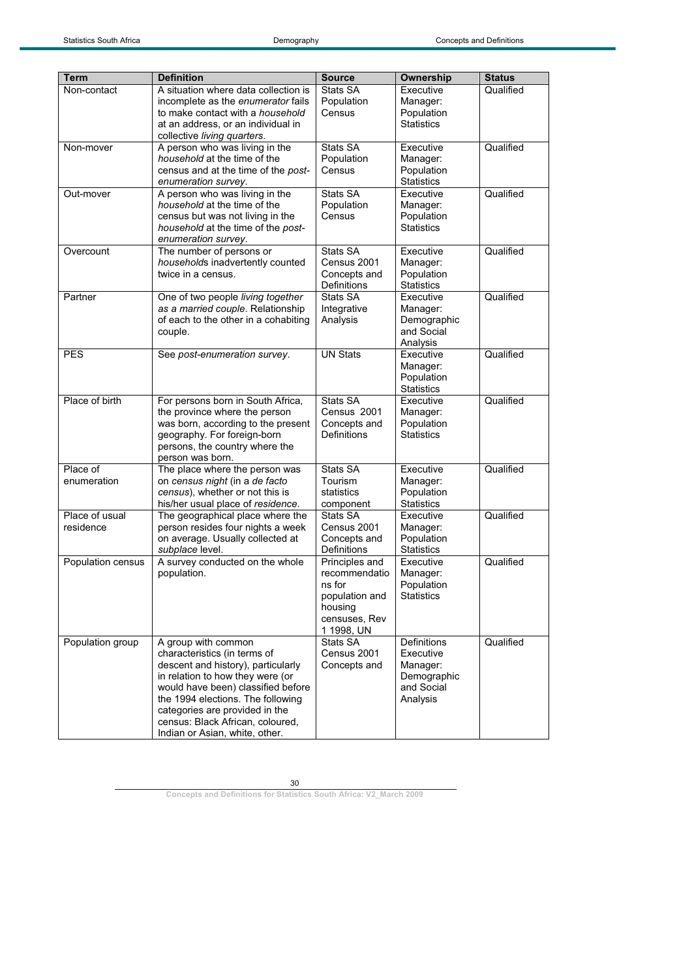| Term              | <b>Definition</b>                                                       | <b>Source</b>               | <b>Ownership</b>               | <b>Status</b> |
|-------------------|-------------------------------------------------------------------------|-----------------------------|--------------------------------|---------------|
| Non-contact       | A situation where data collection is                                    | Stats SA                    | Executive                      | Qualified     |
|                   | incomplete as the enumerator fails                                      | Population                  | Manager:                       |               |
|                   | to make contact with a household                                        | Census                      | Population                     |               |
|                   | at an address, or an individual in                                      |                             | <b>Statistics</b>              |               |
|                   | collective living quarters.                                             |                             |                                |               |
| Non-mover         | A person who was living in the                                          | Stats SA                    | Executive                      | Qualified     |
|                   | household at the time of the                                            | Population                  | Manager:                       |               |
|                   | census and at the time of the post-                                     | Census                      | Population                     |               |
|                   | enumeration survey.                                                     |                             | <b>Statistics</b>              |               |
| Out-mover         | A person who was living in the                                          | Stats SA                    | Executive                      | Qualified     |
|                   | household at the time of the                                            | Population                  | Manager:                       |               |
|                   | census but was not living in the                                        | Census                      | Population                     |               |
|                   | household at the time of the post-                                      |                             | <b>Statistics</b>              |               |
| Overcount         | enumeration survey.<br>The number of persons or                         | Stats SA                    | Executive                      | Qualified     |
|                   | households inadvertently counted                                        | Census 2001                 | Manager:                       |               |
|                   | twice in a census.                                                      | Concepts and                | Population                     |               |
|                   |                                                                         | Definitions                 | <b>Statistics</b>              |               |
| Partner           | One of two people living together                                       | Stats SA                    | Executive                      | Qualified     |
|                   | as a married couple. Relationship                                       | Integrative                 | Manager:                       |               |
|                   | of each to the other in a cohabiting                                    | Analysis                    | Demographic                    |               |
|                   | couple.                                                                 |                             | and Social                     |               |
|                   |                                                                         |                             | Analysis                       |               |
| <b>PES</b>        | See post-enumeration survey.                                            | <b>UN Stats</b>             | Executive                      | Qualified     |
|                   |                                                                         |                             | Manager:                       |               |
|                   |                                                                         |                             | Population                     |               |
|                   |                                                                         |                             | <b>Statistics</b>              |               |
| Place of birth    | For persons born in South Africa,<br>the province where the person      | Stats SA<br>Census 2001     | Executive                      | Qualified     |
|                   | was born, according to the present                                      | Concepts and                | Manager:<br>Population         |               |
|                   | geography. For foreign-born                                             | Definitions                 | <b>Statistics</b>              |               |
|                   | persons, the country where the                                          |                             |                                |               |
|                   | person was born.                                                        |                             |                                |               |
| Place of          | The place where the person was                                          | Stats SA                    | Executive                      | Qualified     |
| enumeration       | on census night (in a de facto                                          | Tourism                     | Manager:                       |               |
|                   | census), whether or not this is                                         | statistics                  | Population                     |               |
|                   | his/her usual place of residence.                                       | component                   | <b>Statistics</b>              |               |
| Place of usual    | The geographical place where the                                        | Stats SA                    | Executive                      | Qualified     |
| residence         | person resides four nights a week                                       | Census 2001                 | Manager:                       |               |
|                   | on average. Usually collected at                                        | Concepts and<br>Definitions | Population                     |               |
| Population census | subplace level.<br>A survey conducted on the whole                      | Principles and              | <b>Statistics</b><br>Executive | Qualified     |
|                   | population.                                                             | recommendatio               | Manager:                       |               |
|                   |                                                                         | ns for                      | Population                     |               |
|                   |                                                                         | population and              | <b>Statistics</b>              |               |
|                   |                                                                         | housing                     |                                |               |
|                   |                                                                         | censuses, Rev               |                                |               |
|                   |                                                                         | 1 1998, UN                  |                                |               |
| Population group  | A group with common                                                     | Stats SA                    | <b>Definitions</b>             | Qualified     |
|                   | characteristics (in terms of                                            | Census 2001                 | Executive                      |               |
|                   | descent and history), particularly                                      | Concepts and                | Manager:                       |               |
|                   | in relation to how they were (or                                        |                             | Demographic                    |               |
|                   | would have been) classified before<br>the 1994 elections. The following |                             | and Social                     |               |
|                   | categories are provided in the                                          |                             | Analysis                       |               |
|                   | census: Black African, coloured,                                        |                             |                                |               |
|                   | Indian or Asian, white, other.                                          |                             |                                |               |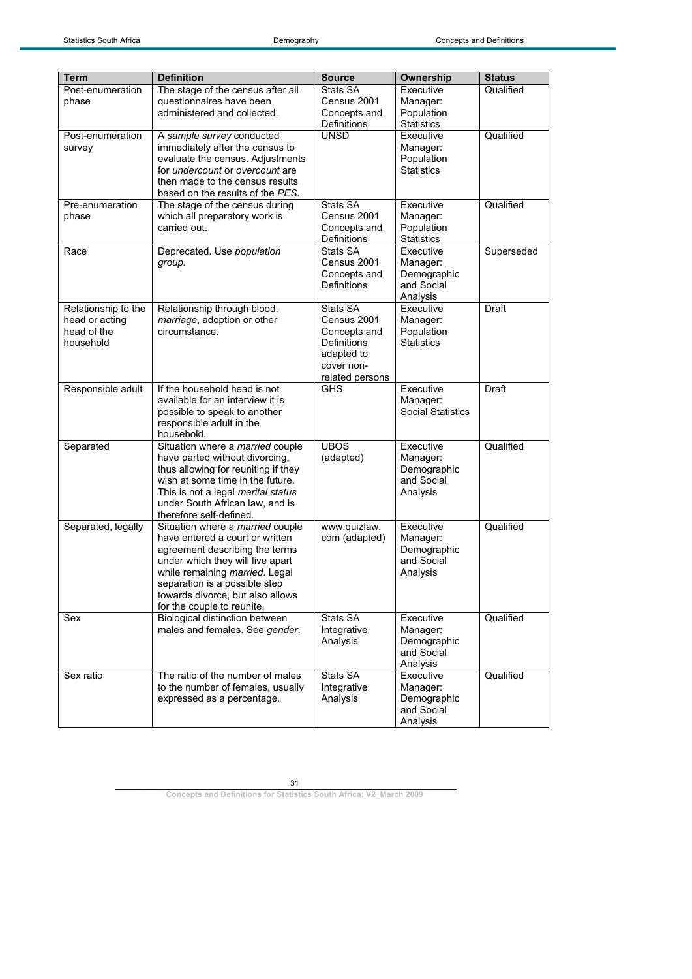| <b>Term</b>                                                       | <b>Definition</b>                                                                                                                                                                                                                                                              | <b>Source</b>                                                                                         | Ownership                                                      | <b>Status</b> |
|-------------------------------------------------------------------|--------------------------------------------------------------------------------------------------------------------------------------------------------------------------------------------------------------------------------------------------------------------------------|-------------------------------------------------------------------------------------------------------|----------------------------------------------------------------|---------------|
| Post-enumeration<br>phase                                         | The stage of the census after all<br>questionnaires have been<br>administered and collected.                                                                                                                                                                                   | Stats SA<br>Census 2001<br>Concepts and<br>Definitions                                                | Executive<br>Manager:<br>Population<br><b>Statistics</b>       | Qualified     |
| Post-enumeration<br>survey                                        | A sample survey conducted<br>immediately after the census to<br>evaluate the census. Adjustments<br>for undercount or overcount are<br>then made to the census results<br>based on the results of the PES.                                                                     | <b>UNSD</b>                                                                                           | Executive<br>Manager:<br>Population<br><b>Statistics</b>       | Qualified     |
| Pre-enumeration<br>phase                                          | The stage of the census during<br>which all preparatory work is<br>carried out.                                                                                                                                                                                                | Stats SA<br>Census 2001<br>Concepts and<br>Definitions                                                | Executive<br>Manager:<br>Population<br><b>Statistics</b>       | Qualified     |
| Race                                                              | Deprecated. Use population<br>group.                                                                                                                                                                                                                                           | Stats SA<br>Census 2001<br>Concepts and<br>Definitions                                                | Executive<br>Manager:<br>Demographic<br>and Social<br>Analysis | Superseded    |
| Relationship to the<br>head or acting<br>head of the<br>household | Relationship through blood,<br>marriage, adoption or other<br>circumstance.                                                                                                                                                                                                    | Stats SA<br>Census 2001<br>Concepts and<br>Definitions<br>adapted to<br>cover non-<br>related persons | Executive<br>Manager:<br>Population<br><b>Statistics</b>       | Draft         |
| Responsible adult                                                 | If the household head is not<br>available for an interview it is<br>possible to speak to another<br>responsible adult in the<br>household.                                                                                                                                     | <b>GHS</b>                                                                                            | Executive<br>Manager:<br><b>Social Statistics</b>              | Draft         |
| Separated                                                         | Situation where a married couple<br>have parted without divorcing,<br>thus allowing for reuniting if they<br>wish at some time in the future.<br>This is not a legal marital status<br>under South African law, and is<br>therefore self-defined.                              | <b>UBOS</b><br>(adapted)                                                                              | Executive<br>Manager:<br>Demographic<br>and Social<br>Analysis | Qualified     |
| Separated, legally                                                | Situation where a married couple<br>have entered a court or written<br>agreement describing the terms<br>under which they will live apart<br>while remaining married. Legal<br>separation is a possible step<br>towards divorce, but also allows<br>for the couple to reunite. | www.quizlaw.<br>com (adapted)                                                                         | Executive<br>Manager:<br>Demographic<br>and Social<br>Analysis | Qualified     |
| Sex                                                               | Biological distinction between<br>males and females. See gender.                                                                                                                                                                                                               | Stats SA<br>Integrative<br>Analysis                                                                   | Executive<br>Manager:<br>Demographic<br>and Social<br>Analysis | Qualified     |
| Sex ratio                                                         | The ratio of the number of males<br>to the number of females, usually<br>expressed as a percentage.                                                                                                                                                                            | Stats SA<br>Integrative<br>Analysis                                                                   | Executive<br>Manager:<br>Demographic<br>and Social<br>Analysis | Qualified     |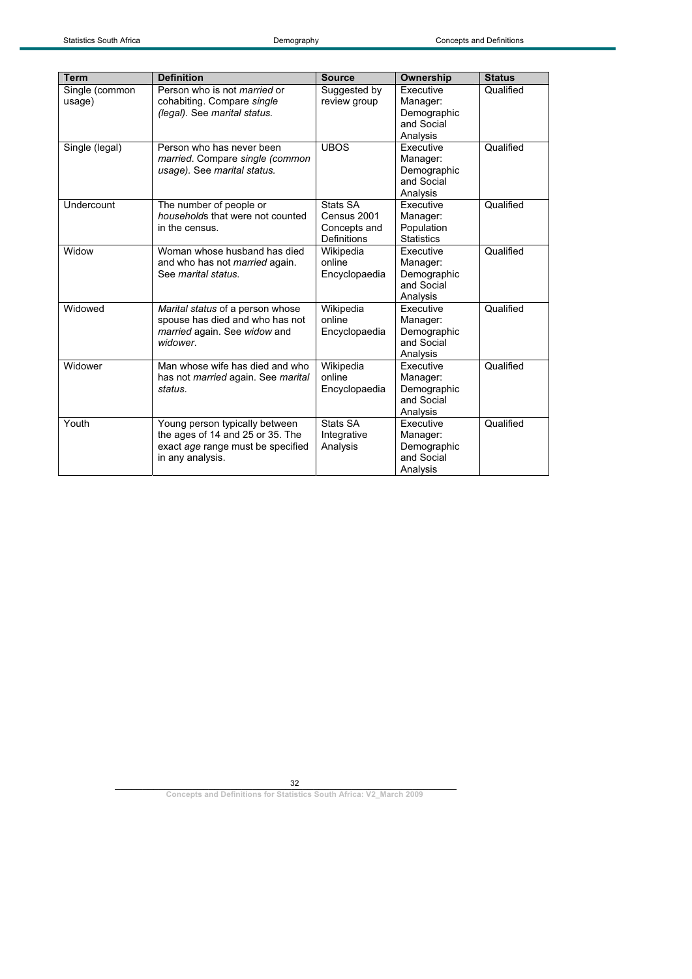| <b>Term</b>              | <b>Definition</b>                                                                                                           | <b>Source</b>                                                 | <b>Ownership</b>                                                      | <b>Status</b> |
|--------------------------|-----------------------------------------------------------------------------------------------------------------------------|---------------------------------------------------------------|-----------------------------------------------------------------------|---------------|
| Single (common<br>usage) | Person who is not <i>married</i> or<br>cohabiting. Compare single<br>(legal). See marital status.                           | Suggested by<br>review group                                  | <b>Executive</b><br>Manager:<br>Demographic<br>and Social<br>Analysis | Qualified     |
| Single (legal)           | Person who has never been<br>married. Compare single (common<br>usage). See marital status.                                 | <b>UBOS</b>                                                   | <b>Executive</b><br>Manager:<br>Demographic<br>and Social<br>Analysis | Qualified     |
| Undercount               | The number of people or<br>households that were not counted<br>in the census.                                               | Stats SA<br>Census 2001<br>Concepts and<br><b>Definitions</b> | Executive<br>Manager:<br>Population<br><b>Statistics</b>              | Qualified     |
| Widow                    | Woman whose husband has died<br>and who has not <i>married</i> again.<br>See marital status.                                | Wikipedia<br>online<br>Encyclopaedia                          | Executive<br>Manager:<br>Demographic<br>and Social<br>Analysis        | Qualified     |
| Widowed                  | Marital status of a person whose<br>spouse has died and who has not<br>married again. See widow and<br>widower.             | Wikipedia<br>online<br>Encyclopaedia                          | Executive<br>Manager:<br>Demographic<br>and Social<br>Analysis        | Qualified     |
| Widower                  | Man whose wife has died and who<br>has not <i>married</i> again. See <i>marital</i><br>status.                              | Wikipedia<br>online<br>Encyclopaedia                          | Executive<br>Manager:<br>Demographic<br>and Social<br>Analysis        | Qualified     |
| Youth                    | Young person typically between<br>the ages of 14 and 25 or 35. The<br>exact age range must be specified<br>in any analysis. | Stats SA<br>Integrative<br>Analysis                           | <b>Executive</b><br>Manager:<br>Demographic<br>and Social<br>Analysis | Qualified     |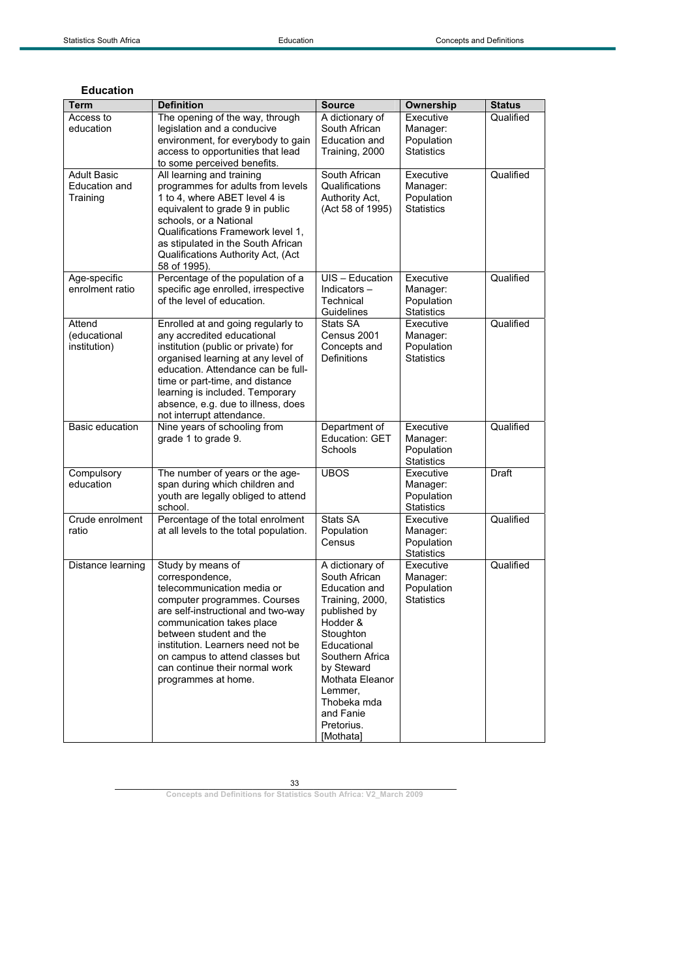| <b>Term</b><br>Access to<br>education  | <b>Definition</b><br>The opening of the way, through<br>legislation and a conducive<br>environment, for everybody to gain                                                                                                                                                                                                         | <b>Source</b><br>A dictionary of<br>South African<br>Education and                                                                                                                                                                                 | Ownership<br>Executive<br>Manager:<br>Population         | <b>Status</b><br>Qualified |
|----------------------------------------|-----------------------------------------------------------------------------------------------------------------------------------------------------------------------------------------------------------------------------------------------------------------------------------------------------------------------------------|----------------------------------------------------------------------------------------------------------------------------------------------------------------------------------------------------------------------------------------------------|----------------------------------------------------------|----------------------------|
| <b>Adult Basic</b>                     | access to opportunities that lead<br>to some perceived benefits.<br>All learning and training                                                                                                                                                                                                                                     | Training, 2000<br>South African                                                                                                                                                                                                                    | <b>Statistics</b><br>Executive                           | Qualified                  |
| Education and<br>Training              | programmes for adults from levels<br>1 to 4, where ABET level 4 is<br>equivalent to grade 9 in public<br>schools, or a National<br>Qualifications Framework level 1,<br>as stipulated in the South African<br>Qualifications Authority Act, (Act<br>58 of 1995).                                                                  | Qualifications<br>Authority Act,<br>(Act 58 of 1995)                                                                                                                                                                                               | Manager:<br>Population<br><b>Statistics</b>              |                            |
| Age-specific<br>enrolment ratio        | Percentage of the population of a<br>specific age enrolled, irrespective<br>of the level of education.                                                                                                                                                                                                                            | UIS - Education<br>Indicators $-$<br>Technical<br>Guidelines                                                                                                                                                                                       | Executive<br>Manager:<br>Population<br><b>Statistics</b> | Qualified                  |
| Attend<br>(educational<br>institution) | Enrolled at and going regularly to<br>any accredited educational<br>institution (public or private) for<br>organised learning at any level of<br>education. Attendance can be full-<br>time or part-time, and distance<br>learning is included. Temporary<br>absence, e.g. due to illness, does<br>not interrupt attendance.      | Stats SA<br>Census 2001<br>Concepts and<br><b>Definitions</b>                                                                                                                                                                                      | Executive<br>Manager:<br>Population<br><b>Statistics</b> | Qualified                  |
| <b>Basic education</b>                 | Nine years of schooling from<br>grade 1 to grade 9.                                                                                                                                                                                                                                                                               | Department of<br><b>Education: GET</b><br>Schools                                                                                                                                                                                                  | Executive<br>Manager:<br>Population<br><b>Statistics</b> | Qualified                  |
| Compulsory<br>education                | The number of years or the age-<br>span during which children and<br>youth are legally obliged to attend<br>school.                                                                                                                                                                                                               | <b>UBOS</b>                                                                                                                                                                                                                                        | Executive<br>Manager:<br>Population<br><b>Statistics</b> | Draft                      |
| Crude enrolment<br>ratio               | Percentage of the total enrolment<br>at all levels to the total population.                                                                                                                                                                                                                                                       | Stats SA<br>Population<br>Census                                                                                                                                                                                                                   | Executive<br>Manager:<br>Population<br><b>Statistics</b> | Qualified                  |
| Distance learning                      | Study by means of<br>correspondence,<br>telecommunication media or<br>computer programmes. Courses<br>are self-instructional and two-way<br>communication takes place<br>between student and the<br>institution. Learners need not be<br>on campus to attend classes but<br>can continue their normal work<br>programmes at home. | A dictionary of<br>South African<br>Education and<br>Training, 2000,<br>published by<br>Hodder &<br>Stoughton<br>Educational<br>Southern Africa<br>by Steward<br>Mothata Eleanor<br>Lemmer,<br>Thobeka mda<br>and Fanie<br>Pretorius.<br>[Mothata] | Executive<br>Manager:<br>Population<br><b>Statistics</b> | Qualified                  |

### **Education**

33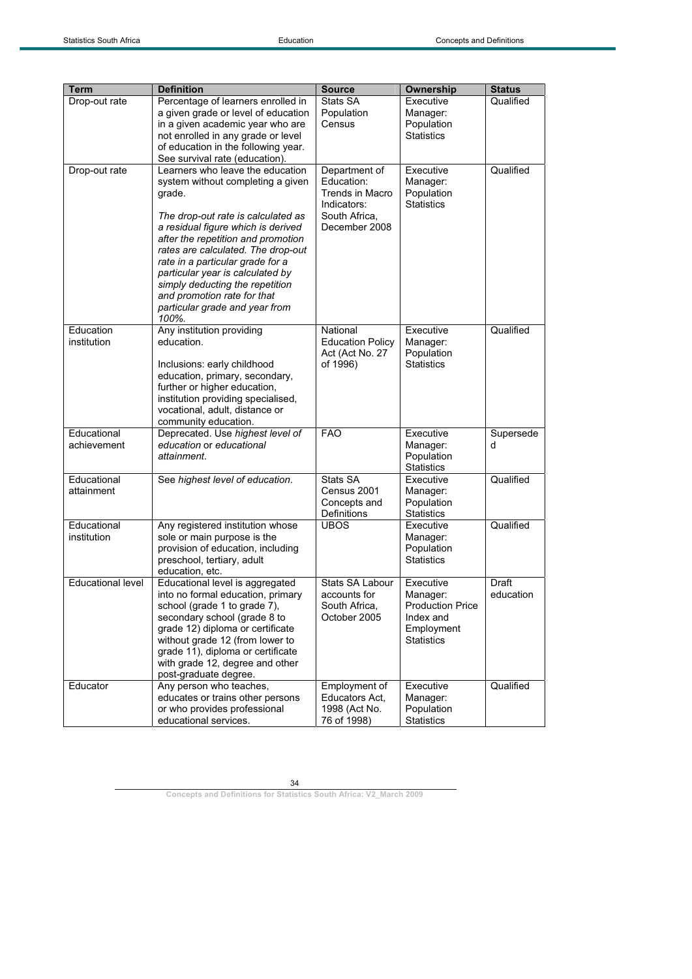| Stats SA<br>Executive<br>Qualified<br>Drop-out rate<br>Percentage of learners enrolled in<br>a given grade or level of education<br>Population<br>Manager:<br>in a given academic year who are<br>Census<br>Population<br>not enrolled in any grade or level<br><b>Statistics</b><br>of education in the following year.<br>See survival rate (education).<br>Learners who leave the education<br>Qualified<br>Executive<br>Drop-out rate<br>Department of<br>Education:<br>system without completing a given<br>Manager:<br>Trends in Macro<br>Population<br>grade.<br>Indicators:<br><b>Statistics</b><br>South Africa,<br>The drop-out rate is calculated as<br>a residual figure which is derived<br>December 2008<br>after the repetition and promotion<br>rates are calculated. The drop-out<br>rate in a particular grade for a<br>particular year is calculated by<br>simply deducting the repetition<br>and promotion rate for that<br>particular grade and year from<br>100%.<br>Education<br>Any institution providing<br>Executive<br>Qualified<br>National<br>institution<br>education.<br><b>Education Policy</b><br>Manager:<br>Act (Act No. 27<br>Population<br>of 1996)<br><b>Statistics</b><br>Inclusions: early childhood<br>education, primary, secondary,<br>further or higher education,<br>institution providing specialised,<br>vocational, adult, distance or<br>community education.<br>Educational<br><b>FAO</b><br>Executive<br>Deprecated. Use highest level of<br>Supersede<br>achievement<br>education or educational<br>Manager:<br>d<br>Population<br>attainment.<br><b>Statistics</b><br>Educational<br>Qualified<br>Stats SA<br>See highest level of education.<br>Executive<br>attainment<br>Census 2001<br>Manager:<br>Population<br>Concepts and<br>Definitions<br><b>Statistics</b><br>Educational<br>Qualified<br>Any registered institution whose<br><b>UBOS</b><br>Executive<br>sole or main purpose is the<br>institution<br>Manager:<br>Population<br>provision of education, including<br><b>Statistics</b><br>preschool, tertiary, adult<br>education, etc.<br><b>Educational level</b><br>Educational level is aggregated<br>Stats SA Labour<br>Draft<br>Executive<br>into no formal education, primary<br>education<br>accounts for<br>Manager:<br>school (grade 1 to grade 7),<br>South Africa,<br><b>Production Price</b><br>secondary school (grade 8 to<br>October 2005<br>Index and<br>grade 12) diploma or certificate<br>Employment<br>without grade 12 (from lower to<br><b>Statistics</b><br>grade 11), diploma or certificate<br>with grade 12, degree and other<br>post-graduate degree.<br>Any person who teaches,<br>Qualified<br>Executive<br>Educator<br>Employment of<br>educates or trains other persons<br>Educators Act.<br>Manager: |             |                              |               |            |               |
|---------------------------------------------------------------------------------------------------------------------------------------------------------------------------------------------------------------------------------------------------------------------------------------------------------------------------------------------------------------------------------------------------------------------------------------------------------------------------------------------------------------------------------------------------------------------------------------------------------------------------------------------------------------------------------------------------------------------------------------------------------------------------------------------------------------------------------------------------------------------------------------------------------------------------------------------------------------------------------------------------------------------------------------------------------------------------------------------------------------------------------------------------------------------------------------------------------------------------------------------------------------------------------------------------------------------------------------------------------------------------------------------------------------------------------------------------------------------------------------------------------------------------------------------------------------------------------------------------------------------------------------------------------------------------------------------------------------------------------------------------------------------------------------------------------------------------------------------------------------------------------------------------------------------------------------------------------------------------------------------------------------------------------------------------------------------------------------------------------------------------------------------------------------------------------------------------------------------------------------------------------------------------------------------------------------------------------------------------------------------------------------------------------------------------------------------------------------------------------------------------------------------------------------------------------------------------------------------------------------------------------------------------------------------------------------------------------------------------------------------------------------------------------------------------------|-------------|------------------------------|---------------|------------|---------------|
|                                                                                                                                                                                                                                                                                                                                                                                                                                                                                                                                                                                                                                                                                                                                                                                                                                                                                                                                                                                                                                                                                                                                                                                                                                                                                                                                                                                                                                                                                                                                                                                                                                                                                                                                                                                                                                                                                                                                                                                                                                                                                                                                                                                                                                                                                                                                                                                                                                                                                                                                                                                                                                                                                                                                                                                                         | <b>Term</b> | <b>Definition</b>            | <b>Source</b> | Ownership  | <b>Status</b> |
|                                                                                                                                                                                                                                                                                                                                                                                                                                                                                                                                                                                                                                                                                                                                                                                                                                                                                                                                                                                                                                                                                                                                                                                                                                                                                                                                                                                                                                                                                                                                                                                                                                                                                                                                                                                                                                                                                                                                                                                                                                                                                                                                                                                                                                                                                                                                                                                                                                                                                                                                                                                                                                                                                                                                                                                                         |             |                              |               |            |               |
|                                                                                                                                                                                                                                                                                                                                                                                                                                                                                                                                                                                                                                                                                                                                                                                                                                                                                                                                                                                                                                                                                                                                                                                                                                                                                                                                                                                                                                                                                                                                                                                                                                                                                                                                                                                                                                                                                                                                                                                                                                                                                                                                                                                                                                                                                                                                                                                                                                                                                                                                                                                                                                                                                                                                                                                                         |             |                              |               |            |               |
|                                                                                                                                                                                                                                                                                                                                                                                                                                                                                                                                                                                                                                                                                                                                                                                                                                                                                                                                                                                                                                                                                                                                                                                                                                                                                                                                                                                                                                                                                                                                                                                                                                                                                                                                                                                                                                                                                                                                                                                                                                                                                                                                                                                                                                                                                                                                                                                                                                                                                                                                                                                                                                                                                                                                                                                                         |             |                              |               |            |               |
|                                                                                                                                                                                                                                                                                                                                                                                                                                                                                                                                                                                                                                                                                                                                                                                                                                                                                                                                                                                                                                                                                                                                                                                                                                                                                                                                                                                                                                                                                                                                                                                                                                                                                                                                                                                                                                                                                                                                                                                                                                                                                                                                                                                                                                                                                                                                                                                                                                                                                                                                                                                                                                                                                                                                                                                                         |             |                              |               |            |               |
|                                                                                                                                                                                                                                                                                                                                                                                                                                                                                                                                                                                                                                                                                                                                                                                                                                                                                                                                                                                                                                                                                                                                                                                                                                                                                                                                                                                                                                                                                                                                                                                                                                                                                                                                                                                                                                                                                                                                                                                                                                                                                                                                                                                                                                                                                                                                                                                                                                                                                                                                                                                                                                                                                                                                                                                                         |             |                              |               |            |               |
|                                                                                                                                                                                                                                                                                                                                                                                                                                                                                                                                                                                                                                                                                                                                                                                                                                                                                                                                                                                                                                                                                                                                                                                                                                                                                                                                                                                                                                                                                                                                                                                                                                                                                                                                                                                                                                                                                                                                                                                                                                                                                                                                                                                                                                                                                                                                                                                                                                                                                                                                                                                                                                                                                                                                                                                                         |             |                              |               |            |               |
|                                                                                                                                                                                                                                                                                                                                                                                                                                                                                                                                                                                                                                                                                                                                                                                                                                                                                                                                                                                                                                                                                                                                                                                                                                                                                                                                                                                                                                                                                                                                                                                                                                                                                                                                                                                                                                                                                                                                                                                                                                                                                                                                                                                                                                                                                                                                                                                                                                                                                                                                                                                                                                                                                                                                                                                                         |             |                              |               |            |               |
|                                                                                                                                                                                                                                                                                                                                                                                                                                                                                                                                                                                                                                                                                                                                                                                                                                                                                                                                                                                                                                                                                                                                                                                                                                                                                                                                                                                                                                                                                                                                                                                                                                                                                                                                                                                                                                                                                                                                                                                                                                                                                                                                                                                                                                                                                                                                                                                                                                                                                                                                                                                                                                                                                                                                                                                                         |             |                              |               |            |               |
|                                                                                                                                                                                                                                                                                                                                                                                                                                                                                                                                                                                                                                                                                                                                                                                                                                                                                                                                                                                                                                                                                                                                                                                                                                                                                                                                                                                                                                                                                                                                                                                                                                                                                                                                                                                                                                                                                                                                                                                                                                                                                                                                                                                                                                                                                                                                                                                                                                                                                                                                                                                                                                                                                                                                                                                                         |             |                              |               |            |               |
|                                                                                                                                                                                                                                                                                                                                                                                                                                                                                                                                                                                                                                                                                                                                                                                                                                                                                                                                                                                                                                                                                                                                                                                                                                                                                                                                                                                                                                                                                                                                                                                                                                                                                                                                                                                                                                                                                                                                                                                                                                                                                                                                                                                                                                                                                                                                                                                                                                                                                                                                                                                                                                                                                                                                                                                                         |             |                              |               |            |               |
|                                                                                                                                                                                                                                                                                                                                                                                                                                                                                                                                                                                                                                                                                                                                                                                                                                                                                                                                                                                                                                                                                                                                                                                                                                                                                                                                                                                                                                                                                                                                                                                                                                                                                                                                                                                                                                                                                                                                                                                                                                                                                                                                                                                                                                                                                                                                                                                                                                                                                                                                                                                                                                                                                                                                                                                                         |             |                              |               |            |               |
|                                                                                                                                                                                                                                                                                                                                                                                                                                                                                                                                                                                                                                                                                                                                                                                                                                                                                                                                                                                                                                                                                                                                                                                                                                                                                                                                                                                                                                                                                                                                                                                                                                                                                                                                                                                                                                                                                                                                                                                                                                                                                                                                                                                                                                                                                                                                                                                                                                                                                                                                                                                                                                                                                                                                                                                                         |             |                              |               |            |               |
|                                                                                                                                                                                                                                                                                                                                                                                                                                                                                                                                                                                                                                                                                                                                                                                                                                                                                                                                                                                                                                                                                                                                                                                                                                                                                                                                                                                                                                                                                                                                                                                                                                                                                                                                                                                                                                                                                                                                                                                                                                                                                                                                                                                                                                                                                                                                                                                                                                                                                                                                                                                                                                                                                                                                                                                                         |             |                              |               |            |               |
|                                                                                                                                                                                                                                                                                                                                                                                                                                                                                                                                                                                                                                                                                                                                                                                                                                                                                                                                                                                                                                                                                                                                                                                                                                                                                                                                                                                                                                                                                                                                                                                                                                                                                                                                                                                                                                                                                                                                                                                                                                                                                                                                                                                                                                                                                                                                                                                                                                                                                                                                                                                                                                                                                                                                                                                                         |             |                              |               |            |               |
|                                                                                                                                                                                                                                                                                                                                                                                                                                                                                                                                                                                                                                                                                                                                                                                                                                                                                                                                                                                                                                                                                                                                                                                                                                                                                                                                                                                                                                                                                                                                                                                                                                                                                                                                                                                                                                                                                                                                                                                                                                                                                                                                                                                                                                                                                                                                                                                                                                                                                                                                                                                                                                                                                                                                                                                                         |             |                              |               |            |               |
|                                                                                                                                                                                                                                                                                                                                                                                                                                                                                                                                                                                                                                                                                                                                                                                                                                                                                                                                                                                                                                                                                                                                                                                                                                                                                                                                                                                                                                                                                                                                                                                                                                                                                                                                                                                                                                                                                                                                                                                                                                                                                                                                                                                                                                                                                                                                                                                                                                                                                                                                                                                                                                                                                                                                                                                                         |             |                              |               |            |               |
|                                                                                                                                                                                                                                                                                                                                                                                                                                                                                                                                                                                                                                                                                                                                                                                                                                                                                                                                                                                                                                                                                                                                                                                                                                                                                                                                                                                                                                                                                                                                                                                                                                                                                                                                                                                                                                                                                                                                                                                                                                                                                                                                                                                                                                                                                                                                                                                                                                                                                                                                                                                                                                                                                                                                                                                                         |             |                              |               |            |               |
|                                                                                                                                                                                                                                                                                                                                                                                                                                                                                                                                                                                                                                                                                                                                                                                                                                                                                                                                                                                                                                                                                                                                                                                                                                                                                                                                                                                                                                                                                                                                                                                                                                                                                                                                                                                                                                                                                                                                                                                                                                                                                                                                                                                                                                                                                                                                                                                                                                                                                                                                                                                                                                                                                                                                                                                                         |             |                              |               |            |               |
|                                                                                                                                                                                                                                                                                                                                                                                                                                                                                                                                                                                                                                                                                                                                                                                                                                                                                                                                                                                                                                                                                                                                                                                                                                                                                                                                                                                                                                                                                                                                                                                                                                                                                                                                                                                                                                                                                                                                                                                                                                                                                                                                                                                                                                                                                                                                                                                                                                                                                                                                                                                                                                                                                                                                                                                                         |             |                              |               |            |               |
|                                                                                                                                                                                                                                                                                                                                                                                                                                                                                                                                                                                                                                                                                                                                                                                                                                                                                                                                                                                                                                                                                                                                                                                                                                                                                                                                                                                                                                                                                                                                                                                                                                                                                                                                                                                                                                                                                                                                                                                                                                                                                                                                                                                                                                                                                                                                                                                                                                                                                                                                                                                                                                                                                                                                                                                                         |             |                              |               |            |               |
|                                                                                                                                                                                                                                                                                                                                                                                                                                                                                                                                                                                                                                                                                                                                                                                                                                                                                                                                                                                                                                                                                                                                                                                                                                                                                                                                                                                                                                                                                                                                                                                                                                                                                                                                                                                                                                                                                                                                                                                                                                                                                                                                                                                                                                                                                                                                                                                                                                                                                                                                                                                                                                                                                                                                                                                                         |             |                              |               |            |               |
|                                                                                                                                                                                                                                                                                                                                                                                                                                                                                                                                                                                                                                                                                                                                                                                                                                                                                                                                                                                                                                                                                                                                                                                                                                                                                                                                                                                                                                                                                                                                                                                                                                                                                                                                                                                                                                                                                                                                                                                                                                                                                                                                                                                                                                                                                                                                                                                                                                                                                                                                                                                                                                                                                                                                                                                                         |             |                              |               |            |               |
|                                                                                                                                                                                                                                                                                                                                                                                                                                                                                                                                                                                                                                                                                                                                                                                                                                                                                                                                                                                                                                                                                                                                                                                                                                                                                                                                                                                                                                                                                                                                                                                                                                                                                                                                                                                                                                                                                                                                                                                                                                                                                                                                                                                                                                                                                                                                                                                                                                                                                                                                                                                                                                                                                                                                                                                                         |             |                              |               |            |               |
|                                                                                                                                                                                                                                                                                                                                                                                                                                                                                                                                                                                                                                                                                                                                                                                                                                                                                                                                                                                                                                                                                                                                                                                                                                                                                                                                                                                                                                                                                                                                                                                                                                                                                                                                                                                                                                                                                                                                                                                                                                                                                                                                                                                                                                                                                                                                                                                                                                                                                                                                                                                                                                                                                                                                                                                                         |             |                              |               |            |               |
|                                                                                                                                                                                                                                                                                                                                                                                                                                                                                                                                                                                                                                                                                                                                                                                                                                                                                                                                                                                                                                                                                                                                                                                                                                                                                                                                                                                                                                                                                                                                                                                                                                                                                                                                                                                                                                                                                                                                                                                                                                                                                                                                                                                                                                                                                                                                                                                                                                                                                                                                                                                                                                                                                                                                                                                                         |             |                              |               |            |               |
|                                                                                                                                                                                                                                                                                                                                                                                                                                                                                                                                                                                                                                                                                                                                                                                                                                                                                                                                                                                                                                                                                                                                                                                                                                                                                                                                                                                                                                                                                                                                                                                                                                                                                                                                                                                                                                                                                                                                                                                                                                                                                                                                                                                                                                                                                                                                                                                                                                                                                                                                                                                                                                                                                                                                                                                                         |             |                              |               |            |               |
|                                                                                                                                                                                                                                                                                                                                                                                                                                                                                                                                                                                                                                                                                                                                                                                                                                                                                                                                                                                                                                                                                                                                                                                                                                                                                                                                                                                                                                                                                                                                                                                                                                                                                                                                                                                                                                                                                                                                                                                                                                                                                                                                                                                                                                                                                                                                                                                                                                                                                                                                                                                                                                                                                                                                                                                                         |             |                              |               |            |               |
|                                                                                                                                                                                                                                                                                                                                                                                                                                                                                                                                                                                                                                                                                                                                                                                                                                                                                                                                                                                                                                                                                                                                                                                                                                                                                                                                                                                                                                                                                                                                                                                                                                                                                                                                                                                                                                                                                                                                                                                                                                                                                                                                                                                                                                                                                                                                                                                                                                                                                                                                                                                                                                                                                                                                                                                                         |             |                              |               |            |               |
|                                                                                                                                                                                                                                                                                                                                                                                                                                                                                                                                                                                                                                                                                                                                                                                                                                                                                                                                                                                                                                                                                                                                                                                                                                                                                                                                                                                                                                                                                                                                                                                                                                                                                                                                                                                                                                                                                                                                                                                                                                                                                                                                                                                                                                                                                                                                                                                                                                                                                                                                                                                                                                                                                                                                                                                                         |             |                              |               |            |               |
|                                                                                                                                                                                                                                                                                                                                                                                                                                                                                                                                                                                                                                                                                                                                                                                                                                                                                                                                                                                                                                                                                                                                                                                                                                                                                                                                                                                                                                                                                                                                                                                                                                                                                                                                                                                                                                                                                                                                                                                                                                                                                                                                                                                                                                                                                                                                                                                                                                                                                                                                                                                                                                                                                                                                                                                                         |             |                              |               |            |               |
|                                                                                                                                                                                                                                                                                                                                                                                                                                                                                                                                                                                                                                                                                                                                                                                                                                                                                                                                                                                                                                                                                                                                                                                                                                                                                                                                                                                                                                                                                                                                                                                                                                                                                                                                                                                                                                                                                                                                                                                                                                                                                                                                                                                                                                                                                                                                                                                                                                                                                                                                                                                                                                                                                                                                                                                                         |             |                              |               |            |               |
|                                                                                                                                                                                                                                                                                                                                                                                                                                                                                                                                                                                                                                                                                                                                                                                                                                                                                                                                                                                                                                                                                                                                                                                                                                                                                                                                                                                                                                                                                                                                                                                                                                                                                                                                                                                                                                                                                                                                                                                                                                                                                                                                                                                                                                                                                                                                                                                                                                                                                                                                                                                                                                                                                                                                                                                                         |             |                              |               |            |               |
|                                                                                                                                                                                                                                                                                                                                                                                                                                                                                                                                                                                                                                                                                                                                                                                                                                                                                                                                                                                                                                                                                                                                                                                                                                                                                                                                                                                                                                                                                                                                                                                                                                                                                                                                                                                                                                                                                                                                                                                                                                                                                                                                                                                                                                                                                                                                                                                                                                                                                                                                                                                                                                                                                                                                                                                                         |             |                              |               |            |               |
|                                                                                                                                                                                                                                                                                                                                                                                                                                                                                                                                                                                                                                                                                                                                                                                                                                                                                                                                                                                                                                                                                                                                                                                                                                                                                                                                                                                                                                                                                                                                                                                                                                                                                                                                                                                                                                                                                                                                                                                                                                                                                                                                                                                                                                                                                                                                                                                                                                                                                                                                                                                                                                                                                                                                                                                                         |             |                              |               |            |               |
|                                                                                                                                                                                                                                                                                                                                                                                                                                                                                                                                                                                                                                                                                                                                                                                                                                                                                                                                                                                                                                                                                                                                                                                                                                                                                                                                                                                                                                                                                                                                                                                                                                                                                                                                                                                                                                                                                                                                                                                                                                                                                                                                                                                                                                                                                                                                                                                                                                                                                                                                                                                                                                                                                                                                                                                                         |             |                              |               |            |               |
|                                                                                                                                                                                                                                                                                                                                                                                                                                                                                                                                                                                                                                                                                                                                                                                                                                                                                                                                                                                                                                                                                                                                                                                                                                                                                                                                                                                                                                                                                                                                                                                                                                                                                                                                                                                                                                                                                                                                                                                                                                                                                                                                                                                                                                                                                                                                                                                                                                                                                                                                                                                                                                                                                                                                                                                                         |             |                              |               |            |               |
|                                                                                                                                                                                                                                                                                                                                                                                                                                                                                                                                                                                                                                                                                                                                                                                                                                                                                                                                                                                                                                                                                                                                                                                                                                                                                                                                                                                                                                                                                                                                                                                                                                                                                                                                                                                                                                                                                                                                                                                                                                                                                                                                                                                                                                                                                                                                                                                                                                                                                                                                                                                                                                                                                                                                                                                                         |             |                              |               |            |               |
|                                                                                                                                                                                                                                                                                                                                                                                                                                                                                                                                                                                                                                                                                                                                                                                                                                                                                                                                                                                                                                                                                                                                                                                                                                                                                                                                                                                                                                                                                                                                                                                                                                                                                                                                                                                                                                                                                                                                                                                                                                                                                                                                                                                                                                                                                                                                                                                                                                                                                                                                                                                                                                                                                                                                                                                                         |             |                              |               |            |               |
|                                                                                                                                                                                                                                                                                                                                                                                                                                                                                                                                                                                                                                                                                                                                                                                                                                                                                                                                                                                                                                                                                                                                                                                                                                                                                                                                                                                                                                                                                                                                                                                                                                                                                                                                                                                                                                                                                                                                                                                                                                                                                                                                                                                                                                                                                                                                                                                                                                                                                                                                                                                                                                                                                                                                                                                                         |             |                              |               |            |               |
|                                                                                                                                                                                                                                                                                                                                                                                                                                                                                                                                                                                                                                                                                                                                                                                                                                                                                                                                                                                                                                                                                                                                                                                                                                                                                                                                                                                                                                                                                                                                                                                                                                                                                                                                                                                                                                                                                                                                                                                                                                                                                                                                                                                                                                                                                                                                                                                                                                                                                                                                                                                                                                                                                                                                                                                                         |             |                              |               |            |               |
|                                                                                                                                                                                                                                                                                                                                                                                                                                                                                                                                                                                                                                                                                                                                                                                                                                                                                                                                                                                                                                                                                                                                                                                                                                                                                                                                                                                                                                                                                                                                                                                                                                                                                                                                                                                                                                                                                                                                                                                                                                                                                                                                                                                                                                                                                                                                                                                                                                                                                                                                                                                                                                                                                                                                                                                                         |             |                              |               |            |               |
|                                                                                                                                                                                                                                                                                                                                                                                                                                                                                                                                                                                                                                                                                                                                                                                                                                                                                                                                                                                                                                                                                                                                                                                                                                                                                                                                                                                                                                                                                                                                                                                                                                                                                                                                                                                                                                                                                                                                                                                                                                                                                                                                                                                                                                                                                                                                                                                                                                                                                                                                                                                                                                                                                                                                                                                                         |             |                              |               |            |               |
|                                                                                                                                                                                                                                                                                                                                                                                                                                                                                                                                                                                                                                                                                                                                                                                                                                                                                                                                                                                                                                                                                                                                                                                                                                                                                                                                                                                                                                                                                                                                                                                                                                                                                                                                                                                                                                                                                                                                                                                                                                                                                                                                                                                                                                                                                                                                                                                                                                                                                                                                                                                                                                                                                                                                                                                                         |             |                              |               |            |               |
|                                                                                                                                                                                                                                                                                                                                                                                                                                                                                                                                                                                                                                                                                                                                                                                                                                                                                                                                                                                                                                                                                                                                                                                                                                                                                                                                                                                                                                                                                                                                                                                                                                                                                                                                                                                                                                                                                                                                                                                                                                                                                                                                                                                                                                                                                                                                                                                                                                                                                                                                                                                                                                                                                                                                                                                                         |             |                              |               |            |               |
|                                                                                                                                                                                                                                                                                                                                                                                                                                                                                                                                                                                                                                                                                                                                                                                                                                                                                                                                                                                                                                                                                                                                                                                                                                                                                                                                                                                                                                                                                                                                                                                                                                                                                                                                                                                                                                                                                                                                                                                                                                                                                                                                                                                                                                                                                                                                                                                                                                                                                                                                                                                                                                                                                                                                                                                                         |             |                              |               |            |               |
|                                                                                                                                                                                                                                                                                                                                                                                                                                                                                                                                                                                                                                                                                                                                                                                                                                                                                                                                                                                                                                                                                                                                                                                                                                                                                                                                                                                                                                                                                                                                                                                                                                                                                                                                                                                                                                                                                                                                                                                                                                                                                                                                                                                                                                                                                                                                                                                                                                                                                                                                                                                                                                                                                                                                                                                                         |             |                              |               |            |               |
|                                                                                                                                                                                                                                                                                                                                                                                                                                                                                                                                                                                                                                                                                                                                                                                                                                                                                                                                                                                                                                                                                                                                                                                                                                                                                                                                                                                                                                                                                                                                                                                                                                                                                                                                                                                                                                                                                                                                                                                                                                                                                                                                                                                                                                                                                                                                                                                                                                                                                                                                                                                                                                                                                                                                                                                                         |             |                              |               |            |               |
|                                                                                                                                                                                                                                                                                                                                                                                                                                                                                                                                                                                                                                                                                                                                                                                                                                                                                                                                                                                                                                                                                                                                                                                                                                                                                                                                                                                                                                                                                                                                                                                                                                                                                                                                                                                                                                                                                                                                                                                                                                                                                                                                                                                                                                                                                                                                                                                                                                                                                                                                                                                                                                                                                                                                                                                                         |             |                              |               |            |               |
|                                                                                                                                                                                                                                                                                                                                                                                                                                                                                                                                                                                                                                                                                                                                                                                                                                                                                                                                                                                                                                                                                                                                                                                                                                                                                                                                                                                                                                                                                                                                                                                                                                                                                                                                                                                                                                                                                                                                                                                                                                                                                                                                                                                                                                                                                                                                                                                                                                                                                                                                                                                                                                                                                                                                                                                                         |             |                              |               |            |               |
|                                                                                                                                                                                                                                                                                                                                                                                                                                                                                                                                                                                                                                                                                                                                                                                                                                                                                                                                                                                                                                                                                                                                                                                                                                                                                                                                                                                                                                                                                                                                                                                                                                                                                                                                                                                                                                                                                                                                                                                                                                                                                                                                                                                                                                                                                                                                                                                                                                                                                                                                                                                                                                                                                                                                                                                                         |             |                              |               |            |               |
|                                                                                                                                                                                                                                                                                                                                                                                                                                                                                                                                                                                                                                                                                                                                                                                                                                                                                                                                                                                                                                                                                                                                                                                                                                                                                                                                                                                                                                                                                                                                                                                                                                                                                                                                                                                                                                                                                                                                                                                                                                                                                                                                                                                                                                                                                                                                                                                                                                                                                                                                                                                                                                                                                                                                                                                                         |             |                              |               |            |               |
|                                                                                                                                                                                                                                                                                                                                                                                                                                                                                                                                                                                                                                                                                                                                                                                                                                                                                                                                                                                                                                                                                                                                                                                                                                                                                                                                                                                                                                                                                                                                                                                                                                                                                                                                                                                                                                                                                                                                                                                                                                                                                                                                                                                                                                                                                                                                                                                                                                                                                                                                                                                                                                                                                                                                                                                                         |             |                              |               |            |               |
|                                                                                                                                                                                                                                                                                                                                                                                                                                                                                                                                                                                                                                                                                                                                                                                                                                                                                                                                                                                                                                                                                                                                                                                                                                                                                                                                                                                                                                                                                                                                                                                                                                                                                                                                                                                                                                                                                                                                                                                                                                                                                                                                                                                                                                                                                                                                                                                                                                                                                                                                                                                                                                                                                                                                                                                                         |             |                              |               |            |               |
|                                                                                                                                                                                                                                                                                                                                                                                                                                                                                                                                                                                                                                                                                                                                                                                                                                                                                                                                                                                                                                                                                                                                                                                                                                                                                                                                                                                                                                                                                                                                                                                                                                                                                                                                                                                                                                                                                                                                                                                                                                                                                                                                                                                                                                                                                                                                                                                                                                                                                                                                                                                                                                                                                                                                                                                                         |             |                              |               |            |               |
|                                                                                                                                                                                                                                                                                                                                                                                                                                                                                                                                                                                                                                                                                                                                                                                                                                                                                                                                                                                                                                                                                                                                                                                                                                                                                                                                                                                                                                                                                                                                                                                                                                                                                                                                                                                                                                                                                                                                                                                                                                                                                                                                                                                                                                                                                                                                                                                                                                                                                                                                                                                                                                                                                                                                                                                                         |             | or who provides professional | 1998 (Act No. | Population |               |
| educational services.<br><b>Statistics</b><br>76 of 1998)                                                                                                                                                                                                                                                                                                                                                                                                                                                                                                                                                                                                                                                                                                                                                                                                                                                                                                                                                                                                                                                                                                                                                                                                                                                                                                                                                                                                                                                                                                                                                                                                                                                                                                                                                                                                                                                                                                                                                                                                                                                                                                                                                                                                                                                                                                                                                                                                                                                                                                                                                                                                                                                                                                                                               |             |                              |               |            |               |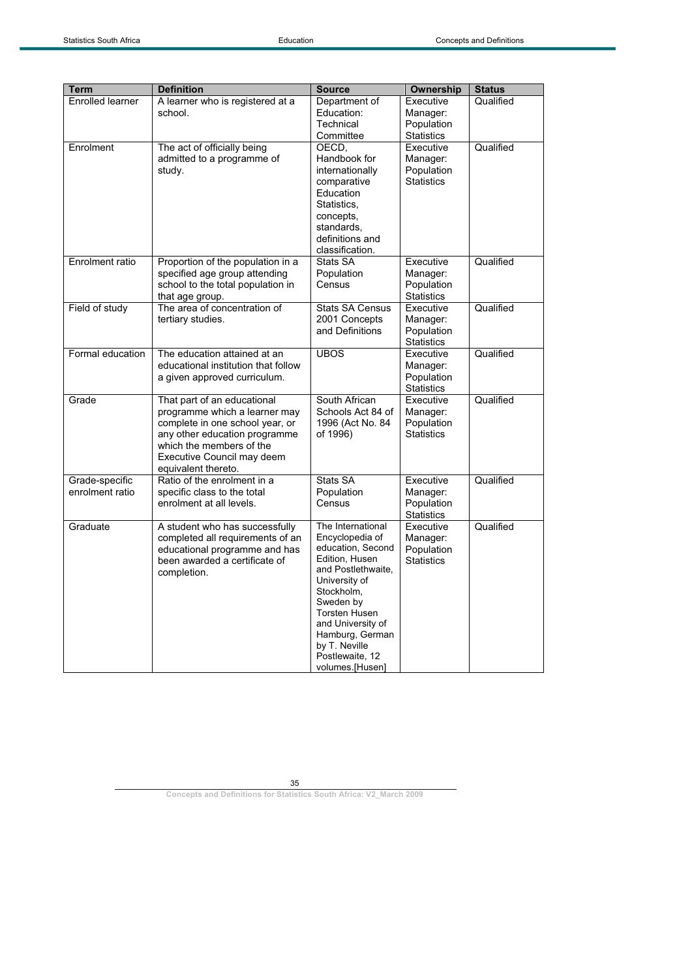| <b>Term</b>                       | <b>Definition</b>                                                                                                                                                                                                 | <b>Source</b>                                                                                                                                                                                                                                                        | <b>Ownership</b>                                         | <b>Status</b> |
|-----------------------------------|-------------------------------------------------------------------------------------------------------------------------------------------------------------------------------------------------------------------|----------------------------------------------------------------------------------------------------------------------------------------------------------------------------------------------------------------------------------------------------------------------|----------------------------------------------------------|---------------|
| <b>Enrolled learner</b>           | A learner who is registered at a<br>school.                                                                                                                                                                       | Department of<br>Education:<br>Technical<br>Committee                                                                                                                                                                                                                | Executive<br>Manager:<br>Population<br><b>Statistics</b> | Qualified     |
| Enrolment                         | The act of officially being<br>admitted to a programme of<br>study.                                                                                                                                               | OECD,<br>Handbook for<br>internationally<br>comparative<br>Education<br>Statistics,<br>concepts,<br>standards,<br>definitions and<br>classification.                                                                                                                 | Executive<br>Manager:<br>Population<br><b>Statistics</b> | Qualified     |
| Enrolment ratio                   | Proportion of the population in a<br>specified age group attending<br>school to the total population in<br>that age group.                                                                                        | Stats SA<br>Population<br>Census                                                                                                                                                                                                                                     | Executive<br>Manager:<br>Population<br><b>Statistics</b> | Qualified     |
| Field of study                    | The area of concentration of<br>tertiary studies.                                                                                                                                                                 | <b>Stats SA Census</b><br>2001 Concepts<br>and Definitions                                                                                                                                                                                                           | Executive<br>Manager:<br>Population<br><b>Statistics</b> | Qualified     |
| Formal education                  | The education attained at an<br>educational institution that follow<br>a given approved curriculum.                                                                                                               | <b>UBOS</b>                                                                                                                                                                                                                                                          | Executive<br>Manager:<br>Population<br><b>Statistics</b> | Qualified     |
| Grade                             | That part of an educational<br>programme which a learner may<br>complete in one school year, or<br>any other education programme<br>which the members of the<br>Executive Council may deem<br>equivalent thereto. | South African<br>Schools Act 84 of<br>1996 (Act No. 84<br>of 1996)                                                                                                                                                                                                   | Executive<br>Manager:<br>Population<br><b>Statistics</b> | Qualified     |
| Grade-specific<br>enrolment ratio | Ratio of the enrolment in a<br>specific class to the total<br>enrolment at all levels.                                                                                                                            | Stats SA<br>Population<br>Census                                                                                                                                                                                                                                     | Executive<br>Manager:<br>Population<br><b>Statistics</b> | Qualified     |
| Graduate                          | A student who has successfully<br>completed all requirements of an<br>educational programme and has<br>been awarded a certificate of<br>completion.                                                               | The International<br>Encyclopedia of<br>education, Second<br>Edition, Husen<br>and Postlethwaite,<br>University of<br>Stockholm,<br>Sweden by<br><b>Torsten Husen</b><br>and University of<br>Hamburg, German<br>by T. Neville<br>Postlewaite, 12<br>volumes.[Husen] | Executive<br>Manager:<br>Population<br><b>Statistics</b> | Qualified     |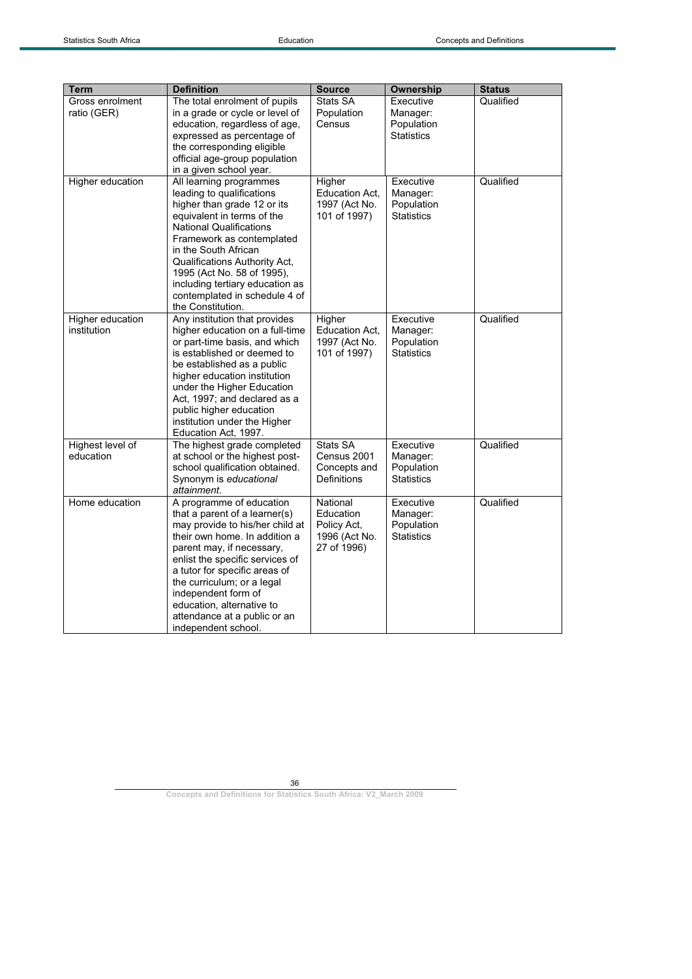| <b>Term</b>                     | <b>Definition</b>                                                                                                                                                                                                                                                                                                                                                       | <b>Source</b>                                                        | Ownership                                                | <b>Status</b> |
|---------------------------------|-------------------------------------------------------------------------------------------------------------------------------------------------------------------------------------------------------------------------------------------------------------------------------------------------------------------------------------------------------------------------|----------------------------------------------------------------------|----------------------------------------------------------|---------------|
| Gross enrolment<br>ratio (GER)  | The total enrolment of pupils<br>in a grade or cycle or level of<br>education, regardless of age,<br>expressed as percentage of<br>the corresponding eligible<br>official age-group population<br>in a given school year.                                                                                                                                               | Stats SA<br>Population<br>Census                                     | Executive<br>Manager:<br>Population<br><b>Statistics</b> | Qualified     |
| Higher education                | All learning programmes<br>leading to qualifications<br>higher than grade 12 or its<br>equivalent in terms of the<br><b>National Qualifications</b><br>Framework as contemplated<br>in the South African<br>Qualifications Authority Act,<br>1995 (Act No. 58 of 1995),<br>including tertiary education as<br>contemplated in schedule 4 of<br>the Constitution.        | Higher<br>Education Act.<br>1997 (Act No.<br>101 of 1997)            | Executive<br>Manager:<br>Population<br><b>Statistics</b> | Qualified     |
| Higher education<br>institution | Any institution that provides<br>higher education on a full-time<br>or part-time basis, and which<br>is established or deemed to<br>be established as a public<br>higher education institution<br>under the Higher Education<br>Act, 1997; and declared as a<br>public higher education<br>institution under the Higher<br>Education Act, 1997.                         | Higher<br>Education Act.<br>1997 (Act No.<br>101 of 1997)            | Executive<br>Manager:<br>Population<br><b>Statistics</b> | Qualified     |
| Highest level of<br>education   | The highest grade completed<br>at school or the highest post-<br>school qualification obtained.<br>Synonym is educational<br>attainment.                                                                                                                                                                                                                                | Stats SA<br>Census 2001<br>Concepts and<br>Definitions               | Executive<br>Manager:<br>Population<br><b>Statistics</b> | Qualified     |
| Home education                  | A programme of education<br>that a parent of a learner(s)<br>may provide to his/her child at<br>their own home. In addition a<br>parent may, if necessary,<br>enlist the specific services of<br>a tutor for specific areas of<br>the curriculum; or a legal<br>independent form of<br>education, alternative to<br>attendance at a public or an<br>independent school. | National<br>Education<br>Policy Act,<br>1996 (Act No.<br>27 of 1996) | Executive<br>Manager:<br>Population<br><b>Statistics</b> | Qualified     |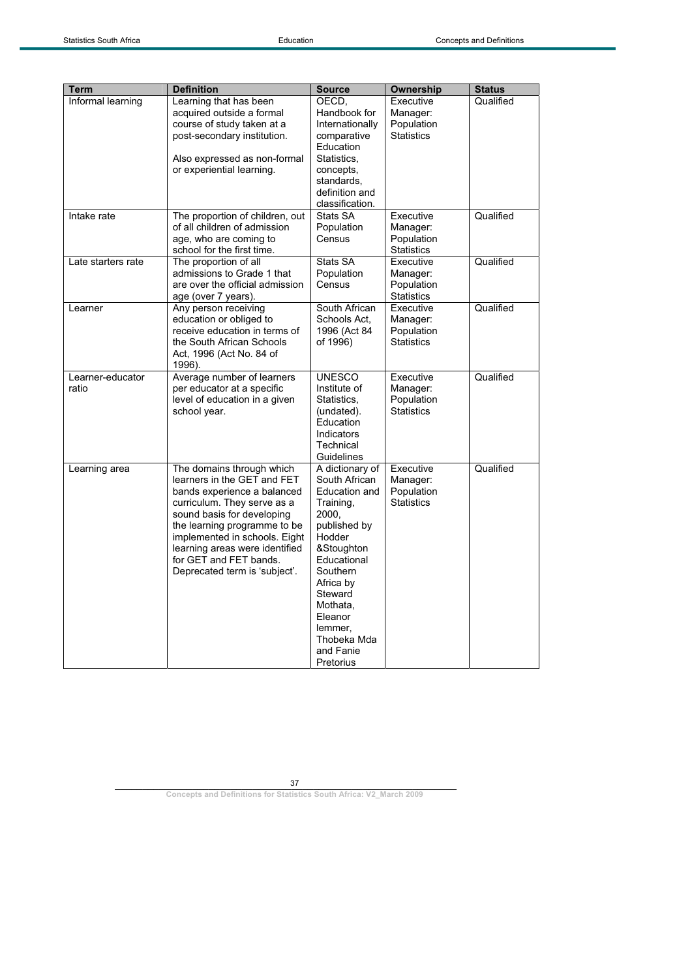| <b>Term</b>               | <b>Definition</b>                                                                                                                                                                                                                                                                                                  | <b>Source</b>                                                                                                                                                                                                                                 | Ownership                                                | <b>Status</b> |
|---------------------------|--------------------------------------------------------------------------------------------------------------------------------------------------------------------------------------------------------------------------------------------------------------------------------------------------------------------|-----------------------------------------------------------------------------------------------------------------------------------------------------------------------------------------------------------------------------------------------|----------------------------------------------------------|---------------|
| Informal learning         | Learning that has been<br>acquired outside a formal<br>course of study taken at a<br>post-secondary institution.<br>Also expressed as non-formal<br>or experiential learning.                                                                                                                                      | OECD,<br>Handbook for<br>Internationally<br>comparative<br>Education<br>Statistics,<br>concepts,<br>standards,<br>definition and<br>classification.                                                                                           | Executive<br>Manager:<br>Population<br><b>Statistics</b> | Qualified     |
| Intake rate               | The proportion of children, out<br>of all children of admission<br>age, who are coming to<br>school for the first time.                                                                                                                                                                                            | Stats SA<br>Population<br>Census                                                                                                                                                                                                              | Executive<br>Manager:<br>Population<br><b>Statistics</b> | Qualified     |
| Late starters rate        | The proportion of all<br>admissions to Grade 1 that<br>are over the official admission<br>age (over 7 years).                                                                                                                                                                                                      | Stats SA<br>Population<br>Census                                                                                                                                                                                                              | Executive<br>Manager:<br>Population<br><b>Statistics</b> | Qualified     |
| Learner                   | Any person receiving<br>education or obliged to<br>receive education in terms of<br>the South African Schools<br>Act, 1996 (Act No. 84 of<br>1996).                                                                                                                                                                | South African<br>Schools Act,<br>1996 (Act 84<br>of 1996)                                                                                                                                                                                     | Executive<br>Manager:<br>Population<br><b>Statistics</b> | Qualified     |
| Learner-educator<br>ratio | Average number of learners<br>per educator at a specific<br>level of education in a given<br>school year.                                                                                                                                                                                                          | <b>UNESCO</b><br>Institute of<br>Statistics,<br>(undated).<br>Education<br>Indicators<br>Technical<br>Guidelines                                                                                                                              | Executive<br>Manager:<br>Population<br><b>Statistics</b> | Qualified     |
| Learning area             | The domains through which<br>learners in the GET and FET<br>bands experience a balanced<br>curriculum. They serve as a<br>sound basis for developing<br>the learning programme to be<br>implemented in schools. Eight<br>learning areas were identified<br>for GET and FET bands.<br>Deprecated term is 'subject'. | A dictionary of<br>South African<br>Education and<br>Training,<br>2000,<br>published by<br>Hodder<br>&Stoughton<br>Educational<br>Southern<br>Africa by<br>Steward<br>Mothata,<br>Eleanor<br>lemmer,<br>Thobeka Mda<br>and Fanie<br>Pretorius | Executive<br>Manager:<br>Population<br><b>Statistics</b> | Qualified     |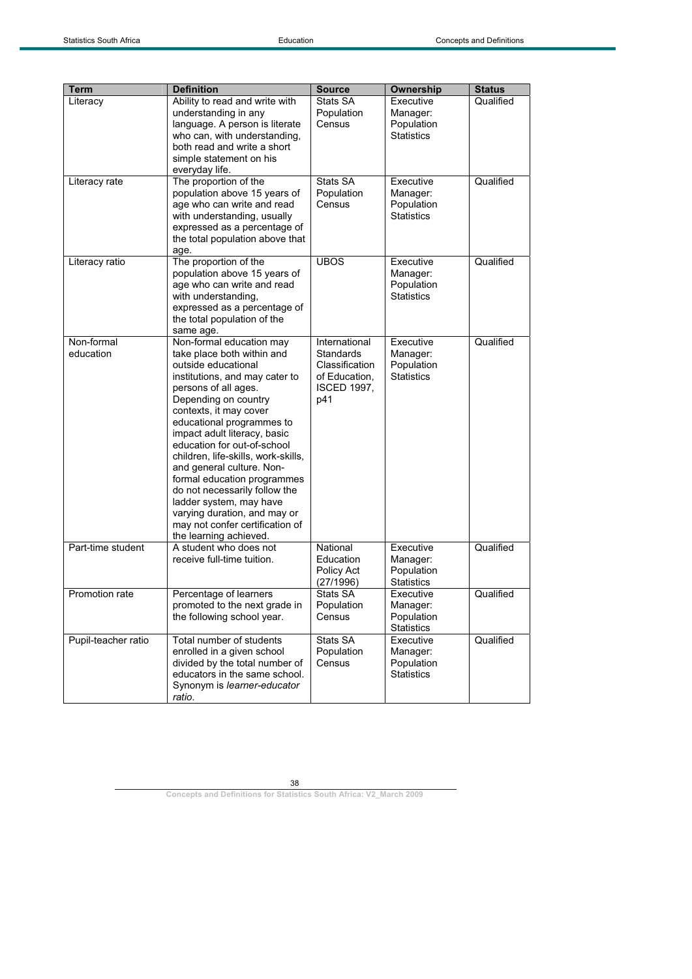| <b>Term</b>             | <b>Definition</b>                                                                                                                                                                                                                                                                                                                                                                                                                                                                                                                                 | <b>Source</b>                                                                                     | Ownership                                                | <b>Status</b> |
|-------------------------|---------------------------------------------------------------------------------------------------------------------------------------------------------------------------------------------------------------------------------------------------------------------------------------------------------------------------------------------------------------------------------------------------------------------------------------------------------------------------------------------------------------------------------------------------|---------------------------------------------------------------------------------------------------|----------------------------------------------------------|---------------|
| Literacy                | Ability to read and write with<br>understanding in any<br>language. A person is literate<br>who can, with understanding,<br>both read and write a short<br>simple statement on his<br>everyday life.                                                                                                                                                                                                                                                                                                                                              | Stats SA<br>Population<br>Census                                                                  | Executive<br>Manager:<br>Population<br><b>Statistics</b> | Qualified     |
| Literacy rate           | The proportion of the<br>population above 15 years of<br>age who can write and read<br>with understanding, usually<br>expressed as a percentage of<br>the total population above that<br>age.                                                                                                                                                                                                                                                                                                                                                     | Stats SA<br>Population<br>Census                                                                  | Executive<br>Manager:<br>Population<br><b>Statistics</b> | Qualified     |
| Literacy ratio          | The proportion of the<br>population above 15 years of<br>age who can write and read<br>with understanding,<br>expressed as a percentage of<br>the total population of the<br>same age.                                                                                                                                                                                                                                                                                                                                                            | <b>UBOS</b>                                                                                       | Executive<br>Manager:<br>Population<br><b>Statistics</b> | Qualified     |
| Non-formal<br>education | Non-formal education may<br>take place both within and<br>outside educational<br>institutions, and may cater to<br>persons of all ages.<br>Depending on country<br>contexts, it may cover<br>educational programmes to<br>impact adult literacy, basic<br>education for out-of-school<br>children, life-skills, work-skills,<br>and general culture. Non-<br>formal education programmes<br>do not necessarily follow the<br>ladder system, may have<br>varying duration, and may or<br>may not confer certification of<br>the learning achieved. | International<br><b>Standards</b><br>Classification<br>of Education,<br><b>ISCED 1997,</b><br>p41 | Executive<br>Manager:<br>Population<br><b>Statistics</b> | Qualified     |
| Part-time student       | A student who does not<br>receive full-time tuition.                                                                                                                                                                                                                                                                                                                                                                                                                                                                                              | National<br>Education<br>Policy Act<br>(27/1996)                                                  | Executive<br>Manager:<br>Population<br>Statistics        | Qualified     |
| Promotion rate          | Percentage of learners<br>promoted to the next grade in<br>the following school year.                                                                                                                                                                                                                                                                                                                                                                                                                                                             | Stats SA<br>Population<br>Census                                                                  | Executive<br>Manager:<br>Population<br><b>Statistics</b> | Qualified     |
| Pupil-teacher ratio     | Total number of students<br>enrolled in a given school<br>divided by the total number of<br>educators in the same school.<br>Synonym is learner-educator<br>ratio.                                                                                                                                                                                                                                                                                                                                                                                | Stats SA<br>Population<br>Census                                                                  | Executive<br>Manager:<br>Population<br><b>Statistics</b> | Qualified     |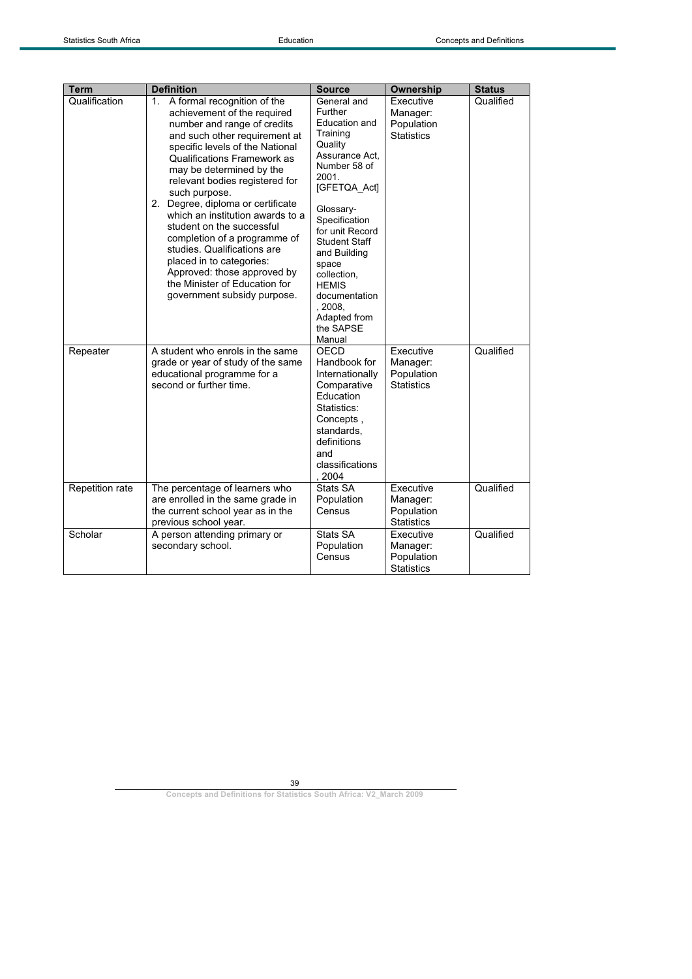| <b>Term</b>     | <b>Definition</b>                                                                                                                                                                                                                                                                                                                                                                                                                                                                                                                                                                        | <b>Source</b>                                                                                                                                                                                                                                                                                                                 | Ownership                                                | <b>Status</b> |
|-----------------|------------------------------------------------------------------------------------------------------------------------------------------------------------------------------------------------------------------------------------------------------------------------------------------------------------------------------------------------------------------------------------------------------------------------------------------------------------------------------------------------------------------------------------------------------------------------------------------|-------------------------------------------------------------------------------------------------------------------------------------------------------------------------------------------------------------------------------------------------------------------------------------------------------------------------------|----------------------------------------------------------|---------------|
| Qualification   | A formal recognition of the<br>1.<br>achievement of the required<br>number and range of credits<br>and such other requirement at<br>specific levels of the National<br><b>Qualifications Framework as</b><br>may be determined by the<br>relevant bodies registered for<br>such purpose.<br>2. Degree, diploma or certificate<br>which an institution awards to a<br>student on the successful<br>completion of a programme of<br>studies. Qualifications are<br>placed in to categories:<br>Approved: those approved by<br>the Minister of Education for<br>government subsidy purpose. | General and<br><b>Further</b><br>Education and<br>Training<br>Quality<br>Assurance Act.<br>Number 58 of<br>2001.<br>[GFETQA_Act]<br>Glossary-<br>Specification<br>for unit Record<br>Student Staff<br>and Building<br>space<br>collection,<br><b>HEMIS</b><br>documentation<br>, 2008.<br>Adapted from<br>the SAPSE<br>Manual | Executive<br>Manager:<br>Population<br><b>Statistics</b> | Qualified     |
| Repeater        | A student who enrols in the same<br>grade or year of study of the same<br>educational programme for a<br>second or further time.                                                                                                                                                                                                                                                                                                                                                                                                                                                         | OECD<br>Handbook for<br>Internationally<br>Comparative<br>Education<br>Statistics:<br>Concepts,<br>standards.<br>definitions<br>and<br>classifications<br>2004                                                                                                                                                                | Executive<br>Manager:<br>Population<br><b>Statistics</b> | Qualified     |
| Repetition rate | The percentage of learners who<br>are enrolled in the same grade in<br>the current school year as in the<br>previous school year.                                                                                                                                                                                                                                                                                                                                                                                                                                                        | Stats SA<br>Population<br>Census                                                                                                                                                                                                                                                                                              | Executive<br>Manager:<br>Population<br><b>Statistics</b> | Qualified     |
| Scholar         | A person attending primary or<br>secondary school.                                                                                                                                                                                                                                                                                                                                                                                                                                                                                                                                       | Stats SA<br>Population<br>Census                                                                                                                                                                                                                                                                                              | Executive<br>Manager:<br>Population<br><b>Statistics</b> | Qualified     |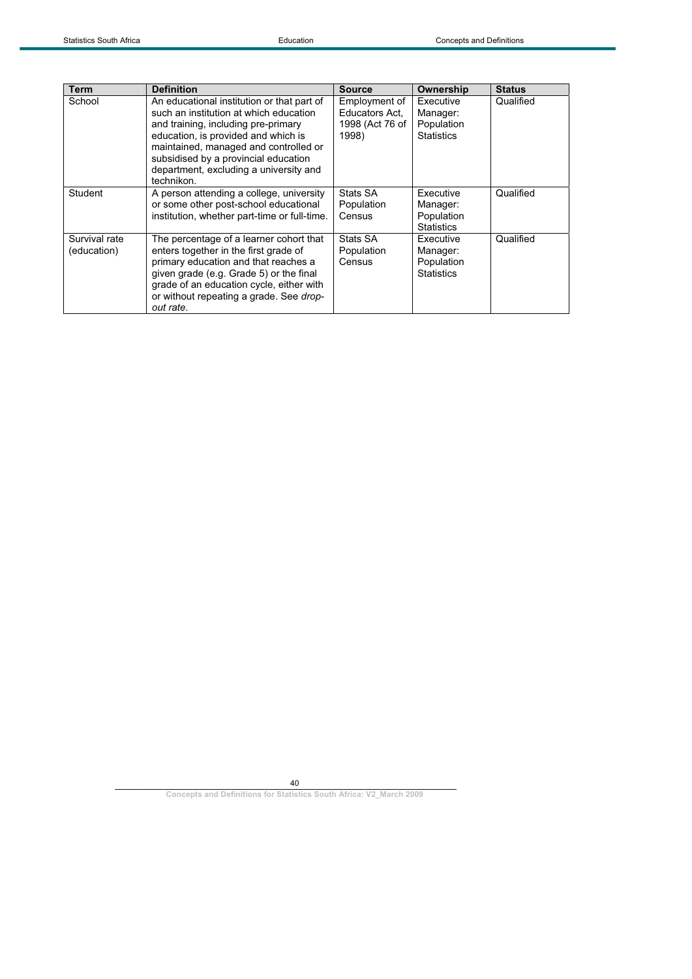| Term                         | <b>Definition</b>                                                                                                                                                                                                                                                                                           | <b>Source</b>                                               | Ownership                                                | <b>Status</b> |
|------------------------------|-------------------------------------------------------------------------------------------------------------------------------------------------------------------------------------------------------------------------------------------------------------------------------------------------------------|-------------------------------------------------------------|----------------------------------------------------------|---------------|
| School                       | An educational institution or that part of<br>such an institution at which education<br>and training, including pre-primary<br>education, is provided and which is<br>maintained, managed and controlled or<br>subsidised by a provincial education<br>department, excluding a university and<br>technikon. | Employment of<br>Educators Act.<br>1998 (Act 76 of<br>1998) | Executive<br>Manager:<br>Population<br><b>Statistics</b> | Qualified     |
| Student                      | A person attending a college, university<br>or some other post-school educational<br>institution, whether part-time or full-time.                                                                                                                                                                           | Stats SA<br>Population<br>Census                            | Executive<br>Manager:<br>Population<br><b>Statistics</b> | Qualified     |
| Survival rate<br>(education) | The percentage of a learner cohort that<br>enters together in the first grade of<br>primary education and that reaches a<br>given grade (e.g. Grade 5) or the final<br>grade of an education cycle, either with<br>or without repeating a grade. See drop-<br>out rate.                                     | Stats SA<br>Population<br>Census                            | Executive<br>Manager:<br>Population<br><b>Statistics</b> | Qualified     |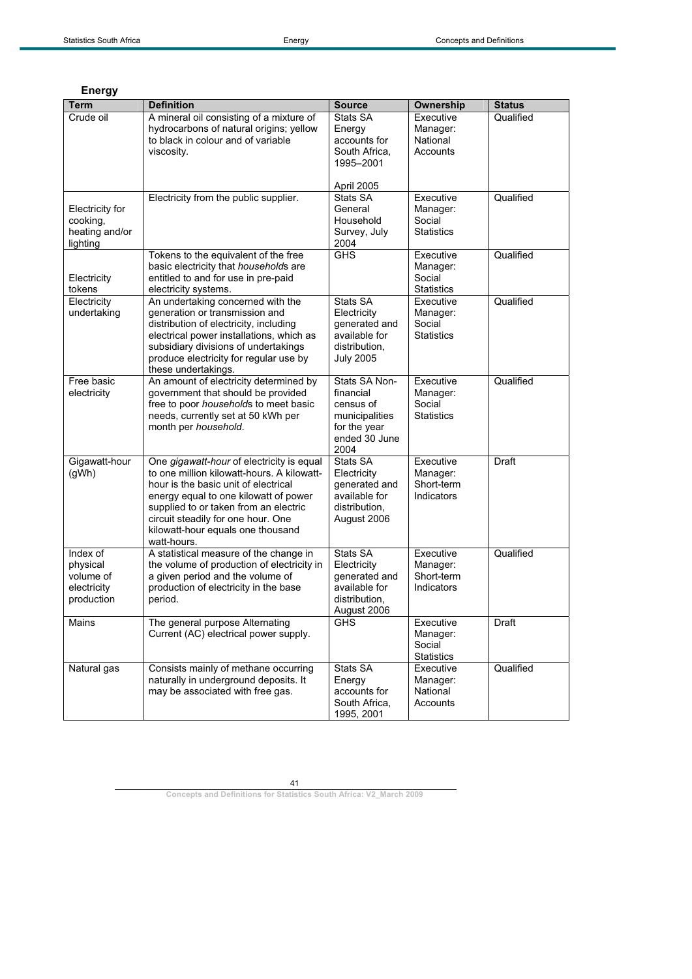| Term                                                           | <b>Definition</b>                                                                                                                                                                                                                                                                                           | <b>Source</b>                                                                                      | Ownership                                            | <b>Status</b> |
|----------------------------------------------------------------|-------------------------------------------------------------------------------------------------------------------------------------------------------------------------------------------------------------------------------------------------------------------------------------------------------------|----------------------------------------------------------------------------------------------------|------------------------------------------------------|---------------|
| Crude oil                                                      | A mineral oil consisting of a mixture of<br>hydrocarbons of natural origins; yellow<br>to black in colour and of variable<br>viscosity.                                                                                                                                                                     | Stats SA<br>Energy<br>accounts for<br>South Africa,                                                | Executive<br>Manager:<br>National<br>Accounts        | Qualified     |
|                                                                |                                                                                                                                                                                                                                                                                                             | 1995-2001<br>April 2005                                                                            |                                                      |               |
| Electricity for<br>cooking,<br>heating and/or<br>lighting      | Electricity from the public supplier.                                                                                                                                                                                                                                                                       | Stats SA<br>General<br>Household<br>Survey, July<br>2004                                           | Executive<br>Manager:<br>Social<br><b>Statistics</b> | Qualified     |
| Electricity<br>tokens                                          | Tokens to the equivalent of the free<br>basic electricity that households are<br>entitled to and for use in pre-paid<br>electricity systems.                                                                                                                                                                | <b>GHS</b>                                                                                         | Executive<br>Manager:<br>Social<br><b>Statistics</b> | Qualified     |
| Electricity<br>undertaking                                     | An undertaking concerned with the<br>generation or transmission and<br>distribution of electricity, including<br>electrical power installations, which as<br>subsidiary divisions of undertakings<br>produce electricity for regular use by<br>these undertakings.                                          | Stats SA<br>Electricity<br>generated and<br>available for<br>distribution,<br><b>July 2005</b>     | Executive<br>Manager:<br>Social<br><b>Statistics</b> | Qualified     |
| Free basic<br>electricity                                      | An amount of electricity determined by<br>government that should be provided<br>free to poor households to meet basic<br>needs, currently set at 50 kWh per<br>month per household.                                                                                                                         | Stats SA Non-<br>financial<br>census of<br>municipalities<br>for the year<br>ended 30 June<br>2004 | Executive<br>Manager:<br>Social<br><b>Statistics</b> | Qualified     |
| Gigawatt-hour<br>(gWh)                                         | One gigawatt-hour of electricity is equal<br>to one million kilowatt-hours. A kilowatt-<br>hour is the basic unit of electrical<br>energy equal to one kilowatt of power<br>supplied to or taken from an electric<br>circuit steadily for one hour. One<br>kilowatt-hour equals one thousand<br>watt-hours. | Stats SA<br>Electricity<br>generated and<br>available for<br>distribution,<br>August 2006          | Executive<br>Manager:<br>Short-term<br>Indicators    | <b>Draft</b>  |
| Index of<br>physical<br>volume of<br>electricity<br>production | A statistical measure of the change in<br>the volume of production of electricity in<br>a given period and the volume of<br>production of electricity in the base<br>period.                                                                                                                                | Stats SA<br>Electricity<br>generated and<br>available for<br>distribution,<br>August 2006          | Executive<br>Manager:<br>Short-term<br>Indicators    | Qualified     |
| Mains                                                          | The general purpose Alternating<br>Current (AC) electrical power supply.                                                                                                                                                                                                                                    | <b>GHS</b>                                                                                         | Executive<br>Manager:<br>Social<br><b>Statistics</b> | Draft         |
| Natural gas                                                    | Consists mainly of methane occurring<br>naturally in underground deposits. It<br>may be associated with free gas.                                                                                                                                                                                           | Stats SA<br>Energy<br>accounts for<br>South Africa,<br>1995, 2001                                  | Executive<br>Manager:<br>National<br>Accounts        | Qualified     |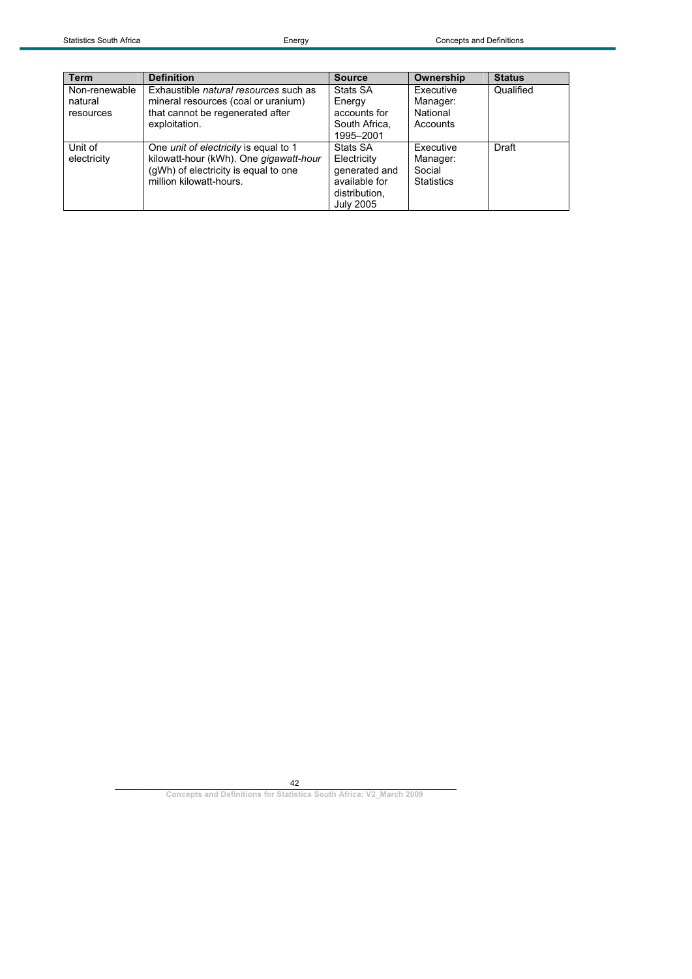| <b>Term</b>   | <b>Definition</b>                            | <b>Source</b>    | Ownership         | <b>Status</b> |
|---------------|----------------------------------------------|------------------|-------------------|---------------|
| Non-renewable | Exhaustible <i>natural resources</i> such as | Stats SA         | Executive         | Qualified     |
| natural       | mineral resources (coal or uranium)          | Energy           | Manager:          |               |
| resources     | that cannot be regenerated after             | accounts for     | National          |               |
|               | exploitation.                                | South Africa,    | Accounts          |               |
|               |                                              | 1995-2001        |                   |               |
| Unit of       | One unit of electricity is equal to 1        | Stats SA         | Executive         | Draft         |
| electricity   | kilowatt-hour (kWh). One gigawatt-hour       | Electricity      | Manager:          |               |
|               | (gWh) of electricity is equal to one         | generated and    | Social            |               |
|               | million kilowatt-hours.                      | available for    | <b>Statistics</b> |               |
|               |                                              | distribution.    |                   |               |
|               |                                              | <b>July 2005</b> |                   |               |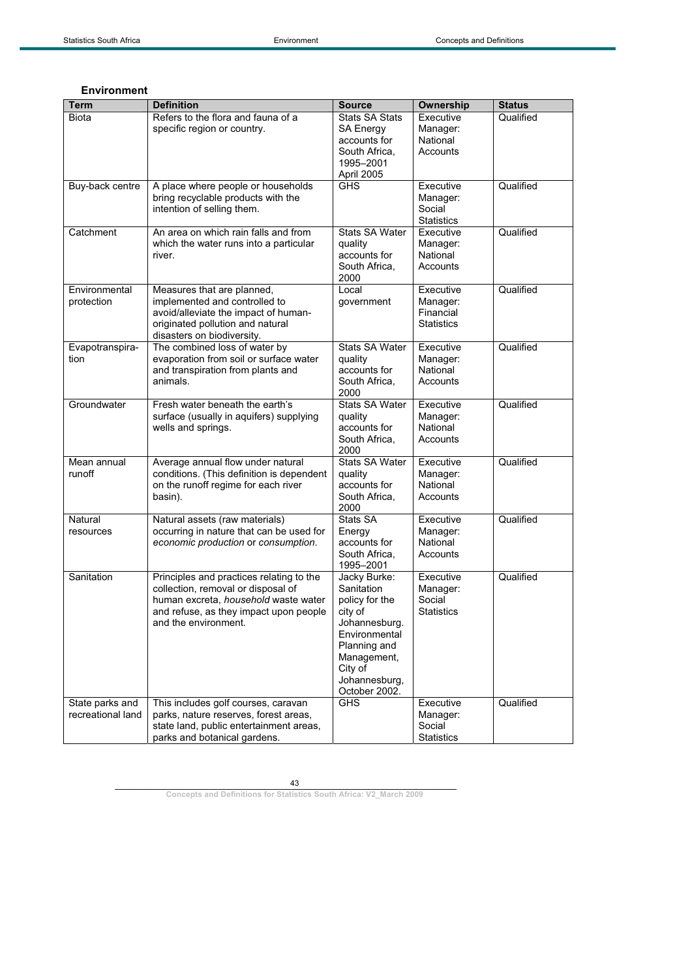## **Environment**

| Term                                 | <b>Definition</b>                                                                                                                                                                        | <b>Source</b>                                                                                                                                                         | Ownership                                               | <b>Status</b> |
|--------------------------------------|------------------------------------------------------------------------------------------------------------------------------------------------------------------------------------------|-----------------------------------------------------------------------------------------------------------------------------------------------------------------------|---------------------------------------------------------|---------------|
| <b>Biota</b>                         | Refers to the flora and fauna of a                                                                                                                                                       | <b>Stats SA Stats</b>                                                                                                                                                 | Executive                                               | Qualified     |
|                                      | specific region or country.                                                                                                                                                              | SA Energy<br>accounts for<br>South Africa,<br>1995-2001<br>April 2005                                                                                                 | Manager:<br>National<br>Accounts                        |               |
| Buy-back centre                      | A place where people or households<br>bring recyclable products with the<br>intention of selling them.                                                                                   | GHS                                                                                                                                                                   | Executive<br>Manager:<br>Social<br><b>Statistics</b>    | Qualified     |
| Catchment                            | An area on which rain falls and from<br>which the water runs into a particular<br>river.                                                                                                 | <b>Stats SA Water</b><br>quality<br>accounts for<br>South Africa,<br>2000                                                                                             | Executive<br>Manager:<br>National<br>Accounts           | Qualified     |
| Environmental<br>protection          | Measures that are planned,<br>implemented and controlled to<br>avoid/alleviate the impact of human-<br>originated pollution and natural<br>disasters on biodiversity.                    | Local<br>government                                                                                                                                                   | Executive<br>Manager:<br>Financial<br><b>Statistics</b> | Qualified     |
| Evapotranspira-<br>tion              | The combined loss of water by<br>evaporation from soil or surface water<br>and transpiration from plants and<br>animals.                                                                 | Stats SA Water<br>quality<br>accounts for<br>South Africa,<br>2000                                                                                                    | Executive<br>Manager:<br>National<br>Accounts           | Qualified     |
| Groundwater                          | Fresh water beneath the earth's<br>surface (usually in aquifers) supplying<br>wells and springs.                                                                                         | <b>Stats SA Water</b><br>quality<br>accounts for<br>South Africa,<br>2000                                                                                             | Executive<br>Manager:<br>National<br>Accounts           | Qualified     |
| Mean annual<br>runoff                | Average annual flow under natural<br>conditions. (This definition is dependent<br>on the runoff regime for each river<br>basin).                                                         | Stats SA Water<br>quality<br>accounts for<br>South Africa.<br>2000                                                                                                    | Executive<br>Manager:<br>National<br>Accounts           | Qualified     |
| Natural<br>resources                 | Natural assets (raw materials)<br>occurring in nature that can be used for<br>economic production or consumption.                                                                        | Stats SA<br>Energy<br>accounts for<br>South Africa,<br>1995-2001                                                                                                      | Executive<br>Manager:<br>National<br>Accounts           | Qualified     |
| Sanitation                           | Principles and practices relating to the<br>collection, removal or disposal of<br>human excreta, household waste water<br>and refuse, as they impact upon people<br>and the environment. | Jacky Burke:<br>Sanitation<br>policy for the<br>city of<br>Johannesburg.<br>Environmental<br>Planning and<br>Management,<br>City of<br>Johannesburg,<br>October 2002. | Executive<br>Manager:<br>Social<br><b>Statistics</b>    | Qualified     |
| State parks and<br>recreational land | This includes golf courses, caravan<br>parks, nature reserves, forest areas,<br>state land, public entertainment areas,<br>parks and botanical gardens.                                  | <b>GHS</b>                                                                                                                                                            | Executive<br>Manager:<br>Social<br><b>Statistics</b>    | Qualified     |

43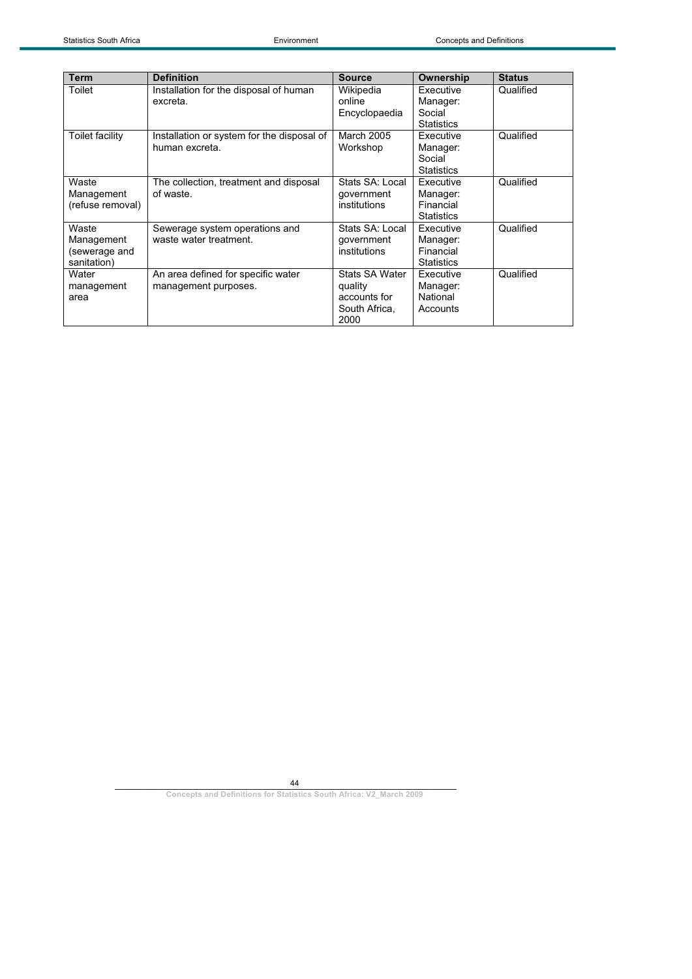| <b>Term</b>                                         | <b>Definition</b>                                            | <b>Source</b>                                                      | Ownership                                               | <b>Status</b> |
|-----------------------------------------------------|--------------------------------------------------------------|--------------------------------------------------------------------|---------------------------------------------------------|---------------|
| Toilet                                              | Installation for the disposal of human<br>excreta.           | Wikipedia<br>online<br>Encyclopaedia                               | Executive<br>Manager:<br>Social<br><b>Statistics</b>    | Qualified     |
| Toilet facility                                     | Installation or system for the disposal of<br>human excreta. | March 2005<br>Workshop                                             | Executive<br>Manager:<br>Social<br><b>Statistics</b>    | Qualified     |
| Waste<br>Management<br>(refuse removal)             | The collection, treatment and disposal<br>of waste.          | Stats SA: Local<br>government<br>institutions                      | Executive<br>Manager:<br>Financial<br><b>Statistics</b> | Qualified     |
| Waste<br>Management<br>(sewerage and<br>sanitation) | Sewerage system operations and<br>waste water treatment.     | Stats SA: Local<br>government<br>institutions                      | Executive<br>Manager:<br>Financial<br><b>Statistics</b> | Qualified     |
| Water<br>management<br>area                         | An area defined for specific water<br>management purposes.   | Stats SA Water<br>quality<br>accounts for<br>South Africa,<br>2000 | Executive<br>Manager:<br>National<br>Accounts           | Qualified     |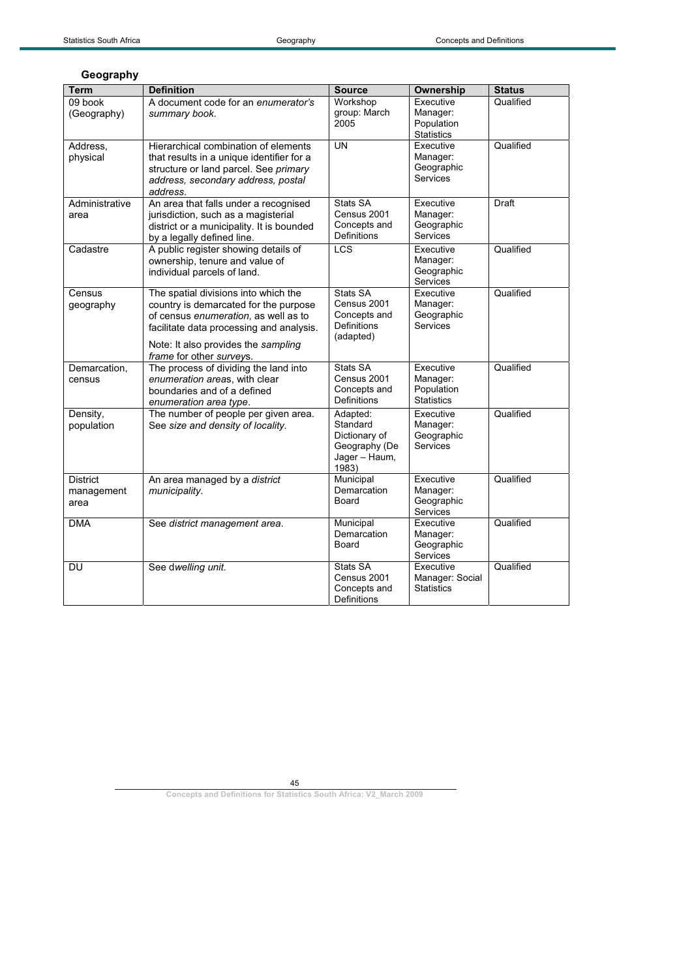## **Geography**

| <b>Term</b>                           | <b>Definition</b>                                                                                                                                                                                                                    | <b>Source</b>                                                                    | Ownership                                                | <b>Status</b> |
|---------------------------------------|--------------------------------------------------------------------------------------------------------------------------------------------------------------------------------------------------------------------------------------|----------------------------------------------------------------------------------|----------------------------------------------------------|---------------|
| 09 book<br>(Geography)                | A document code for an enumerator's<br>summary book.                                                                                                                                                                                 | Workshop<br>group: March<br>2005                                                 | Executive<br>Manager:<br>Population<br><b>Statistics</b> | Qualified     |
| Address,<br>physical                  | Hierarchical combination of elements<br>that results in a unique identifier for a<br>structure or land parcel. See primary<br>address, secondary address, postal<br>address.                                                         | <b>UN</b>                                                                        | Executive<br>Manager:<br>Geographic<br>Services          | Qualified     |
| Administrative<br>area                | An area that falls under a recognised<br>jurisdiction, such as a magisterial<br>district or a municipality. It is bounded<br>by a legally defined line.                                                                              | Stats SA<br>Census 2001<br>Concepts and<br><b>Definitions</b>                    | Executive<br>Manager:<br>Geographic<br>Services          | Draft         |
| Cadastre                              | A public register showing details of<br>ownership, tenure and value of<br>individual parcels of land.                                                                                                                                | <b>LCS</b>                                                                       | Executive<br>Manager:<br>Geographic<br>Services          | Qualified     |
| Census<br>geography                   | The spatial divisions into which the<br>country is demarcated for the purpose<br>of census enumeration, as well as to<br>facilitate data processing and analysis.<br>Note: It also provides the sampling<br>frame for other surveys. | Stats SA<br>Census 2001<br>Concepts and<br>Definitions<br>(adapted)              | Executive<br>Manager:<br>Geographic<br>Services          | Qualified     |
| Demarcation,<br>census                | The process of dividing the land into<br>enumeration areas, with clear<br>boundaries and of a defined<br>enumeration area type.                                                                                                      | Stats SA<br>Census 2001<br>Concepts and<br><b>Definitions</b>                    | Executive<br>Manager:<br>Population<br><b>Statistics</b> | Qualified     |
| Density,<br>population                | The number of people per given area.<br>See size and density of locality.                                                                                                                                                            | Adapted:<br>Standard<br>Dictionary of<br>Geography (De<br>Jager - Haum,<br>1983) | Executive<br>Manager:<br>Geographic<br>Services          | Qualified     |
| <b>District</b><br>management<br>area | An area managed by a district<br>municipality.                                                                                                                                                                                       | Municipal<br>Demarcation<br>Board                                                | Executive<br>Manager:<br>Geographic<br>Services          | Qualified     |
| <b>DMA</b>                            | See district management area.                                                                                                                                                                                                        | Municipal<br>Demarcation<br>Board                                                | Executive<br>Manager:<br>Geographic<br>Services          | Qualified     |
| DU                                    | See dwelling unit.                                                                                                                                                                                                                   | Stats SA<br>Census 2001<br>Concepts and<br><b>Definitions</b>                    | Executive<br>Manager: Social<br><b>Statistics</b>        | Qualified     |

45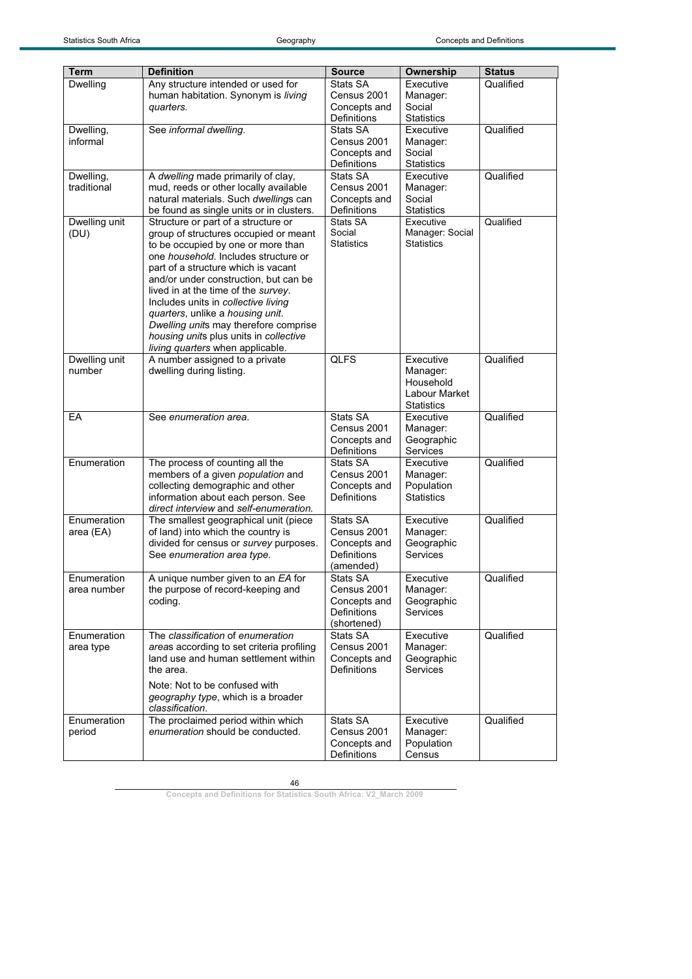| <b>Term</b>              | <b>Definition</b>                                                               | <b>Source</b>                     | Ownership              | <b>Status</b> |
|--------------------------|---------------------------------------------------------------------------------|-----------------------------------|------------------------|---------------|
| Dwelling                 | Any structure intended or used for                                              | Stats SA                          | Executive              | Qualified     |
|                          | human habitation. Synonym is living                                             | Census 2001                       | Manager:               |               |
|                          | quarters.                                                                       | Concepts and                      | Social                 |               |
|                          |                                                                                 | Definitions                       | <b>Statistics</b>      |               |
| Dwelling,                | See informal dwelling.                                                          | Stats SA                          | Executive              | Qualified     |
| informal                 |                                                                                 | Census 2001                       | Manager:               |               |
|                          |                                                                                 | Concepts and                      | Social                 |               |
|                          |                                                                                 | Definitions                       | <b>Statistics</b>      |               |
| Dwelling,<br>traditional | A dwelling made primarily of clay,<br>mud, reeds or other locally available     | Stats SA<br>Census 2001           | Executive              | Qualified     |
|                          | natural materials. Such dwellings can                                           | Concepts and                      | Manager:<br>Social     |               |
|                          | be found as single units or in clusters.                                        | Definitions                       | <b>Statistics</b>      |               |
| Dwelling unit            | Structure or part of a structure or                                             | Stats SA                          | Executive              | Qualified     |
| (DU)                     | group of structures occupied or meant                                           | Social                            | Manager: Social        |               |
|                          | to be occupied by one or more than                                              | <b>Statistics</b>                 | <b>Statistics</b>      |               |
|                          | one household. Includes structure or                                            |                                   |                        |               |
|                          | part of a structure which is vacant                                             |                                   |                        |               |
|                          | and/or under construction, but can be                                           |                                   |                        |               |
|                          | lived in at the time of the survey.                                             |                                   |                        |               |
|                          | Includes units in collective living                                             |                                   |                        |               |
|                          | quarters, unlike a housing unit.                                                |                                   |                        |               |
|                          | Dwelling units may therefore comprise<br>housing units plus units in collective |                                   |                        |               |
|                          | living quarters when applicable.                                                |                                   |                        |               |
| Dwelling unit            | A number assigned to a private                                                  | <b>QLFS</b>                       | Executive              | Qualified     |
| number                   | dwelling during listing.                                                        |                                   | Manager:               |               |
|                          |                                                                                 |                                   | Household              |               |
|                          |                                                                                 |                                   | Labour Market          |               |
|                          |                                                                                 |                                   | <b>Statistics</b>      |               |
| EA                       | See enumeration area.                                                           | Stats SA                          | Executive              | Qualified     |
|                          |                                                                                 | Census 2001                       | Manager:               |               |
|                          |                                                                                 | Concepts and                      | Geographic             |               |
|                          |                                                                                 | Definitions                       | <b>Services</b>        |               |
| Enumeration              | The process of counting all the                                                 | Stats SA<br>Census 2001           | Executive              | Qualified     |
|                          | members of a given population and<br>collecting demographic and other           | Concepts and                      | Manager:<br>Population |               |
|                          | information about each person. See                                              | <b>Definitions</b>                | <b>Statistics</b>      |               |
|                          | direct interview and self-enumeration.                                          |                                   |                        |               |
| Enumeration              | The smallest geographical unit (piece                                           | Stats SA                          | Executive              | Qualified     |
| area (EA)                | of land) into which the country is                                              | Census 2001                       | Manager:               |               |
|                          | divided for census or survey purposes.                                          | Concepts and                      | Geographic             |               |
|                          | See enumeration area type.                                                      | <b>Definitions</b>                | Services               |               |
|                          |                                                                                 | (amended)                         |                        |               |
| Enumeration              | A unique number given to an EA for                                              | Stats SA                          | Executive              | Qualified     |
| area number              | the purpose of record-keeping and                                               | Census 2001                       | Manager:               |               |
|                          | coding.                                                                         | Concepts and                      | Geographic             |               |
|                          |                                                                                 | <b>Definitions</b><br>(shortened) | Services               |               |
| Enumeration              | The classification of enumeration                                               | Stats SA                          | Executive              | Qualified     |
| area type                | areas according to set criteria profiling                                       | Census 2001                       | Manager:               |               |
|                          | land use and human settlement within                                            | Concepts and                      | Geographic             |               |
|                          | the area.                                                                       | Definitions                       | Services               |               |
|                          | Note: Not to be confused with                                                   |                                   |                        |               |
|                          | geography type, which is a broader                                              |                                   |                        |               |
|                          | classification.                                                                 |                                   |                        |               |
| Enumeration              | The proclaimed period within which                                              | Stats SA                          | Executive              | Qualified     |
| period                   | enumeration should be conducted.                                                | Census 2001                       | Manager:               |               |
|                          |                                                                                 | Concepts and                      | Population             |               |
|                          |                                                                                 | Definitions                       | Census                 |               |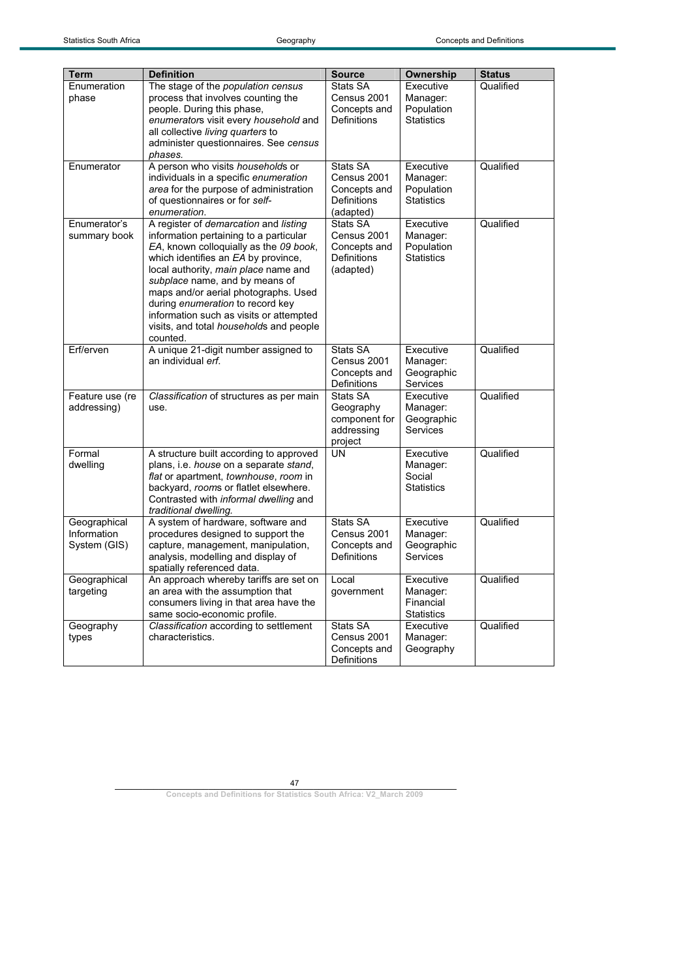| <b>Term</b>                                 | <b>Definition</b>                                                                                                                                                                                                                                                                                                                                                                                                        | <b>Source</b>                                                       | <b>Ownership</b>                                         | <b>Status</b> |
|---------------------------------------------|--------------------------------------------------------------------------------------------------------------------------------------------------------------------------------------------------------------------------------------------------------------------------------------------------------------------------------------------------------------------------------------------------------------------------|---------------------------------------------------------------------|----------------------------------------------------------|---------------|
| Enumeration<br>phase                        | The stage of the population census<br>process that involves counting the<br>people. During this phase,<br>enumerators visit every household and<br>all collective living quarters to<br>administer questionnaires. See census                                                                                                                                                                                            | Stats SA<br>Census 2001<br>Concepts and<br><b>Definitions</b>       | Executive<br>Manager:<br>Population<br><b>Statistics</b> | Qualified     |
| Enumerator                                  | phases.<br>A person who visits households or<br>individuals in a specific enumeration<br>area for the purpose of administration<br>of questionnaires or for self-<br>enumeration.                                                                                                                                                                                                                                        | Stats SA<br>Census 2001<br>Concepts and<br>Definitions<br>(adapted) | Executive<br>Manager:<br>Population<br><b>Statistics</b> | Qualified     |
| Enumerator's<br>summary book                | A register of demarcation and listing<br>information pertaining to a particular<br>EA, known colloquially as the 09 book,<br>which identifies an EA by province,<br>local authority, main place name and<br>subplace name, and by means of<br>maps and/or aerial photographs. Used<br>during enumeration to record key<br>information such as visits or attempted<br>visits, and total households and people<br>counted. | Stats SA<br>Census 2001<br>Concepts and<br>Definitions<br>(adapted) | Executive<br>Manager:<br>Population<br><b>Statistics</b> | Qualified     |
| Erf/erven                                   | A unique 21-digit number assigned to<br>an individual erf.                                                                                                                                                                                                                                                                                                                                                               | Stats SA<br>Census 2001<br>Concepts and<br>Definitions              | Executive<br>Manager:<br>Geographic<br>Services          | Qualified     |
| Feature use (re<br>addressing)              | Classification of structures as per main<br>use.                                                                                                                                                                                                                                                                                                                                                                         | Stats SA<br>Geography<br>component for<br>addressing<br>project     | Executive<br>Manager:<br>Geographic<br>Services          | Qualified     |
| Formal<br>dwelling                          | A structure built according to approved<br>plans, i.e. <i>house</i> on a separate stand,<br>flat or apartment, townhouse, room in<br>backyard, rooms or flatlet elsewhere.<br>Contrasted with informal dwelling and<br>traditional dwelling.                                                                                                                                                                             | <b>UN</b>                                                           | Executive<br>Manager:<br>Social<br><b>Statistics</b>     | Qualified     |
| Geographical<br>Information<br>System (GIS) | A system of hardware, software and<br>procedures designed to support the<br>capture, management, manipulation,<br>analysis, modelling and display of<br>spatially referenced data.                                                                                                                                                                                                                                       | Stats SA<br>Census 2001<br>Concepts and<br>Definitions              | Executive<br>Manager:<br>Geographic<br>Services          | Qualified     |
| Geographical<br>targeting                   | An approach whereby tariffs are set on<br>an area with the assumption that<br>consumers living in that area have the<br>same socio-economic profile.                                                                                                                                                                                                                                                                     | Local<br>qovernment                                                 | Executive<br>Manager:<br>Financial<br><b>Statistics</b>  | Qualified     |
| Geography<br>types                          | Classification according to settlement<br>characteristics.                                                                                                                                                                                                                                                                                                                                                               | Stats SA<br>Census 2001<br>Concepts and<br>Definitions              | Executive<br>Manager:<br>Geography                       | Qualified     |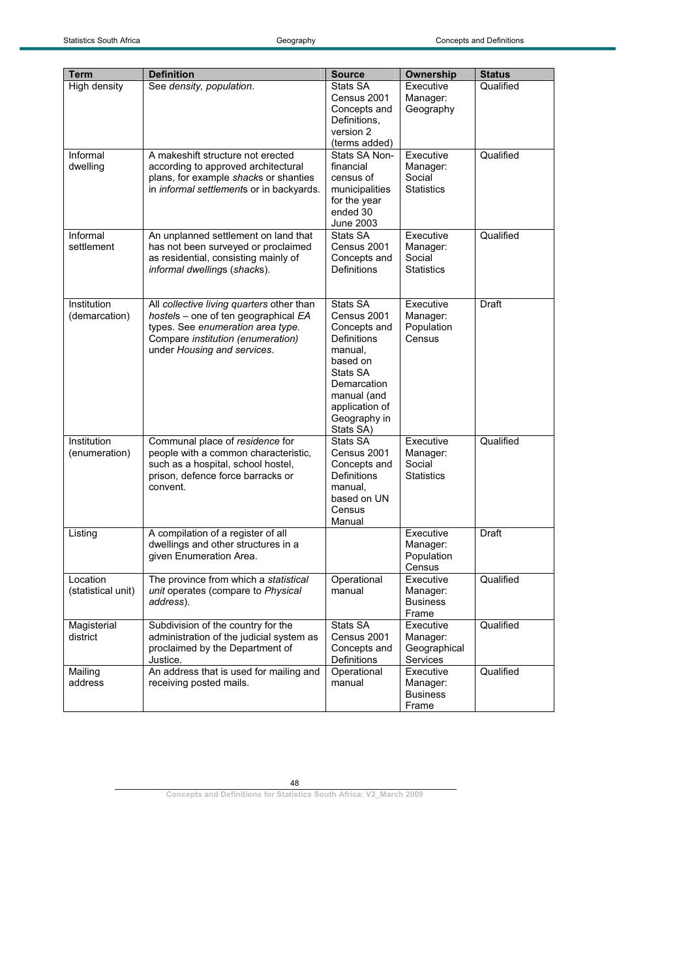| <b>Term</b>        | <b>Definition</b>                                                          | <b>Source</b>               | <b>Ownership</b>      | <b>Status</b> |
|--------------------|----------------------------------------------------------------------------|-----------------------------|-----------------------|---------------|
| High density       | See density, population.                                                   | Stats SA                    | Executive             | Qualified     |
|                    |                                                                            | Census 2001                 | Manager:              |               |
|                    |                                                                            | Concepts and                | Geography             |               |
|                    |                                                                            | Definitions,                |                       |               |
|                    |                                                                            | version 2                   |                       |               |
|                    |                                                                            | (terms added)               |                       |               |
| Informal           | A makeshift structure not erected                                          | Stats SA Non-               | Executive             | Qualified     |
| dwelling           | according to approved architectural                                        | financial                   | Manager:              |               |
|                    | plans, for example shacks or shanties                                      | census of                   | Social                |               |
|                    | in informal settlements or in backyards.                                   | municipalities              | <b>Statistics</b>     |               |
|                    |                                                                            | for the year                |                       |               |
|                    |                                                                            | ended 30                    |                       |               |
|                    |                                                                            | June 2003                   |                       |               |
| Informal           | An unplanned settlement on land that                                       | Stats SA                    | Executive             | Qualified     |
| settlement         | has not been surveyed or proclaimed                                        | Census 2001                 | Manager:              |               |
|                    | as residential, consisting mainly of                                       | Concepts and                | Social                |               |
|                    | informal dwellings (shacks).                                               | Definitions                 | <b>Statistics</b>     |               |
|                    |                                                                            |                             |                       |               |
|                    |                                                                            |                             |                       |               |
| Institution        | All collective living quarters other than                                  | Stats SA                    | Executive             | <b>Draft</b>  |
| (demarcation)      | hostels - one of ten geographical EA                                       | Census 2001                 | Manager:              |               |
|                    | types. See enumeration area type.                                          | Concepts and                | Population            |               |
|                    | Compare institution (enumeration)                                          | Definitions                 | Census                |               |
|                    | under Housing and services.                                                | manual.                     |                       |               |
|                    |                                                                            | based on                    |                       |               |
|                    |                                                                            | Stats SA                    |                       |               |
|                    |                                                                            | Demarcation                 |                       |               |
|                    |                                                                            | manual (and                 |                       |               |
|                    |                                                                            | application of              |                       |               |
|                    |                                                                            | Geography in                |                       |               |
| Institution        |                                                                            | Stats SA)<br>Stats SA       |                       | Qualified     |
|                    | Communal place of residence for                                            | Census 2001                 | Executive             |               |
| (enumeration)      | people with a common characteristic,<br>such as a hospital, school hostel, |                             | Manager:<br>Social    |               |
|                    | prison, defence force barracks or                                          | Concepts and<br>Definitions | <b>Statistics</b>     |               |
|                    | convent.                                                                   | manual,                     |                       |               |
|                    |                                                                            | based on UN                 |                       |               |
|                    |                                                                            | Census                      |                       |               |
|                    |                                                                            | Manual                      |                       |               |
| Listing            | A compilation of a register of all                                         |                             | Executive             | Draft         |
|                    | dwellings and other structures in a                                        |                             | Manager:              |               |
|                    | given Enumeration Area.                                                    |                             | Population            |               |
|                    |                                                                            |                             | Census                |               |
| Location           | The province from which a statistical                                      | Operational                 | Executive             | Qualified     |
| (statistical unit) | unit operates (compare to Physical                                         | manual                      | Manager:              |               |
|                    | address).                                                                  |                             | <b>Business</b>       |               |
|                    |                                                                            |                             | Frame                 |               |
| Magisterial        | Subdivision of the country for the                                         | Stats SA                    | Executive             | Qualified     |
| district           | administration of the judicial system as                                   | Census 2001                 | Manager:              |               |
|                    | proclaimed by the Department of                                            | Concepts and                | Geographical          |               |
|                    | Justice.<br>An address that is used for mailing and                        | Definitions<br>Operational  | Services<br>Executive | Qualified     |
| Mailing<br>address | receiving posted mails.                                                    | manual                      | Manager:              |               |
|                    |                                                                            |                             | <b>Business</b>       |               |
|                    |                                                                            |                             | Frame                 |               |
|                    |                                                                            |                             |                       |               |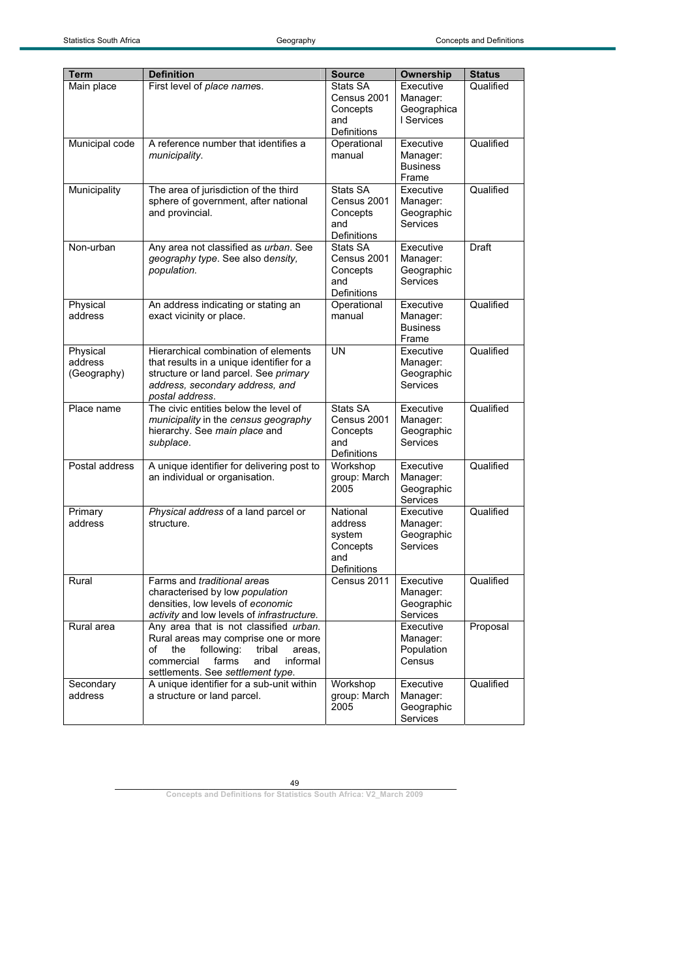| <b>Term</b>    | <b>Definition</b>                           | <b>Source</b>      | <b>Ownership</b> | <b>Status</b> |
|----------------|---------------------------------------------|--------------------|------------------|---------------|
| Main place     | First level of place names.                 | Stats SA           | Executive        | Qualified     |
|                |                                             | Census 2001        | Manager:         |               |
|                |                                             | Concepts           | Geographica      |               |
|                |                                             | and                | I Services       |               |
|                |                                             | Definitions        |                  |               |
| Municipal code | A reference number that identifies a        | Operational        | Executive        | Qualified     |
|                | municipality.                               | manual             | Manager:         |               |
|                |                                             |                    | <b>Business</b>  |               |
|                |                                             |                    | Frame            |               |
| Municipality   | The area of jurisdiction of the third       | Stats SA           | Executive        | Qualified     |
|                | sphere of government, after national        | Census 2001        | Manager:         |               |
|                | and provincial.                             | Concepts           | Geographic       |               |
|                |                                             | and                | Services         |               |
|                |                                             | <b>Definitions</b> |                  |               |
| Non-urban      | Any area not classified as urban. See       | Stats SA           | Executive        | <b>Draft</b>  |
|                | geography type. See also density,           | Census 2001        | Manager:         |               |
|                | population.                                 | Concepts           | Geographic       |               |
|                |                                             | and                | Services         |               |
|                |                                             | Definitions        |                  |               |
| Physical       | An address indicating or stating an         | Operational        | Executive        | Qualified     |
| address        | exact vicinity or place.                    | manual             | Manager:         |               |
|                |                                             |                    | <b>Business</b>  |               |
|                |                                             |                    | Frame            |               |
| Physical       | Hierarchical combination of elements        | <b>UN</b>          | Executive        | Qualified     |
| address        | that results in a unique identifier for a   |                    | Manager:         |               |
| (Geography)    | structure or land parcel. See primary       |                    | Geographic       |               |
|                | address, secondary address, and             |                    | Services         |               |
|                | postal address.                             |                    |                  |               |
| Place name     | The civic entities below the level of       | Stats SA           | Executive        | Qualified     |
|                | municipality in the census geography        | Census 2001        | Manager:         |               |
|                | hierarchy. See main place and               | Concepts           | Geographic       |               |
|                | subplace.                                   | and                | Services         |               |
|                |                                             | Definitions        |                  |               |
| Postal address | A unique identifier for delivering post to  | Workshop           | Executive        | Qualified     |
|                | an individual or organisation.              | group: March       | Manager:         |               |
|                |                                             | 2005               | Geographic       |               |
|                |                                             |                    | Services         |               |
| Primary        | Physical address of a land parcel or        | National           | Executive        | Qualified     |
| address        | structure.                                  | address            | Manager:         |               |
|                |                                             | system             | Geographic       |               |
|                |                                             | Concepts           | Services         |               |
|                |                                             | and                |                  |               |
|                |                                             | Definitions        |                  |               |
| Rural          | Farms and traditional areas                 | Census 2011        | Executive        | Qualified     |
|                | characterised by low population             |                    | Manager:         |               |
|                | densities, low levels of economic           |                    | Geographic       |               |
|                | activity and low levels of infrastructure.  |                    | Services         |               |
| Rural area     | Any area that is not classified urban.      |                    | Executive        | Proposal      |
|                | Rural areas may comprise one or more        |                    | Manager:         |               |
|                | following:<br>tribal<br>of<br>the<br>areas, |                    | Population       |               |
|                | commercial<br>farms<br>informal<br>and      |                    | Census           |               |
|                | settlements. See settlement type.           |                    |                  |               |
| Secondary      | A unique identifier for a sub-unit within   | Workshop           | Executive        | Qualified     |
| address        | a structure or land parcel.                 | group: March       | Manager:         |               |
|                |                                             | 2005               | Geographic       |               |
|                |                                             |                    | Services         |               |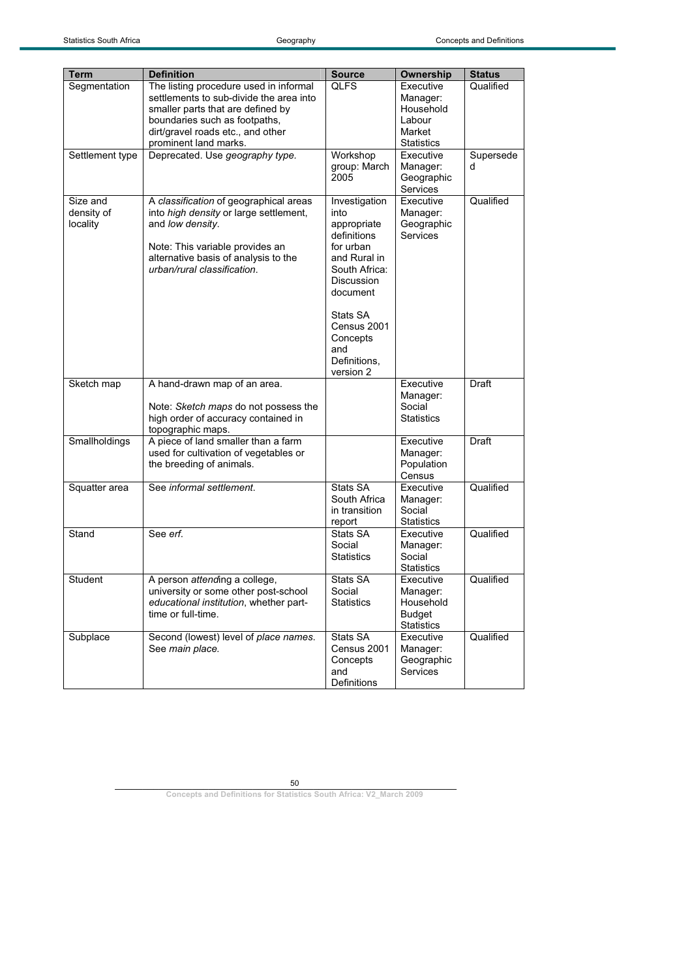| <b>Term</b>     | <b>Definition</b>                                            | <b>Source</b>              | <b>Ownership</b>            | <b>Status</b> |
|-----------------|--------------------------------------------------------------|----------------------------|-----------------------------|---------------|
| Segmentation    | The listing procedure used in informal                       | <b>QLFS</b>                | Executive                   | Qualified     |
|                 | settlements to sub-divide the area into                      |                            | Manager:                    |               |
|                 | smaller parts that are defined by                            |                            | Household                   |               |
|                 | boundaries such as footpaths,                                |                            | Labour                      |               |
|                 | dirt/gravel roads etc., and other                            |                            | Market<br><b>Statistics</b> |               |
| Settlement type | prominent land marks.<br>Deprecated. Use geography type.     | Workshop                   | Executive                   | Supersede     |
|                 |                                                              | group: March<br>2005       | Manager:<br>Geographic      | d             |
|                 |                                                              |                            | Services                    |               |
| Size and        | A classification of geographical areas                       | Investigation              | Executive                   | Qualified     |
| density of      | into high density or large settlement,                       | into                       | Manager:                    |               |
| locality        | and low density.                                             | appropriate<br>definitions | Geographic<br>Services      |               |
|                 | Note: This variable provides an                              | for urban                  |                             |               |
|                 | alternative basis of analysis to the                         | and Rural in               |                             |               |
|                 | urban/rural classification.                                  | South Africa:              |                             |               |
|                 |                                                              | <b>Discussion</b>          |                             |               |
|                 |                                                              | document                   |                             |               |
|                 |                                                              | Stats SA                   |                             |               |
|                 |                                                              | Census 2001                |                             |               |
|                 |                                                              | Concepts                   |                             |               |
|                 |                                                              | and                        |                             |               |
|                 |                                                              | Definitions.<br>version 2  |                             |               |
| Sketch map      | A hand-drawn map of an area.                                 |                            | Executive                   | Draft         |
|                 |                                                              |                            | Manager:                    |               |
|                 | Note: Sketch maps do not possess the                         |                            | Social                      |               |
|                 | high order of accuracy contained in                          |                            | <b>Statistics</b>           |               |
| Smallholdings   | topographic maps.<br>A piece of land smaller than a farm     |                            | Executive                   | Draft         |
|                 | used for cultivation of vegetables or                        |                            | Manager:                    |               |
|                 | the breeding of animals.                                     |                            | Population                  |               |
|                 |                                                              |                            | Census                      |               |
| Squatter area   | See informal settlement.                                     | Stats SA                   | Executive                   | Qualified     |
|                 |                                                              | South Africa               | Manager:                    |               |
|                 |                                                              | in transition              | Social<br><b>Statistics</b> |               |
| Stand           | See erf.                                                     | report<br>Stats SA         | Executive                   | Qualified     |
|                 |                                                              | Social                     | Manager:                    |               |
|                 |                                                              | <b>Statistics</b>          | Social                      |               |
|                 |                                                              |                            | <b>Statistics</b>           |               |
| Student         | A person attending a college,                                | Stats SA                   | Executive                   | Qualified     |
|                 | university or some other post-school                         | Social                     | Manager:                    |               |
|                 | educational institution, whether part-<br>time or full-time. | <b>Statistics</b>          | Household<br><b>Budget</b>  |               |
|                 |                                                              |                            | <b>Statistics</b>           |               |
| Subplace        | Second (lowest) level of place names.                        | Stats SA                   | Executive                   | Qualified     |
|                 | See main place.                                              | Census 2001                | Manager:                    |               |
|                 |                                                              | Concepts                   | Geographic                  |               |
|                 |                                                              | and                        | Services                    |               |
|                 |                                                              | Definitions                |                             |               |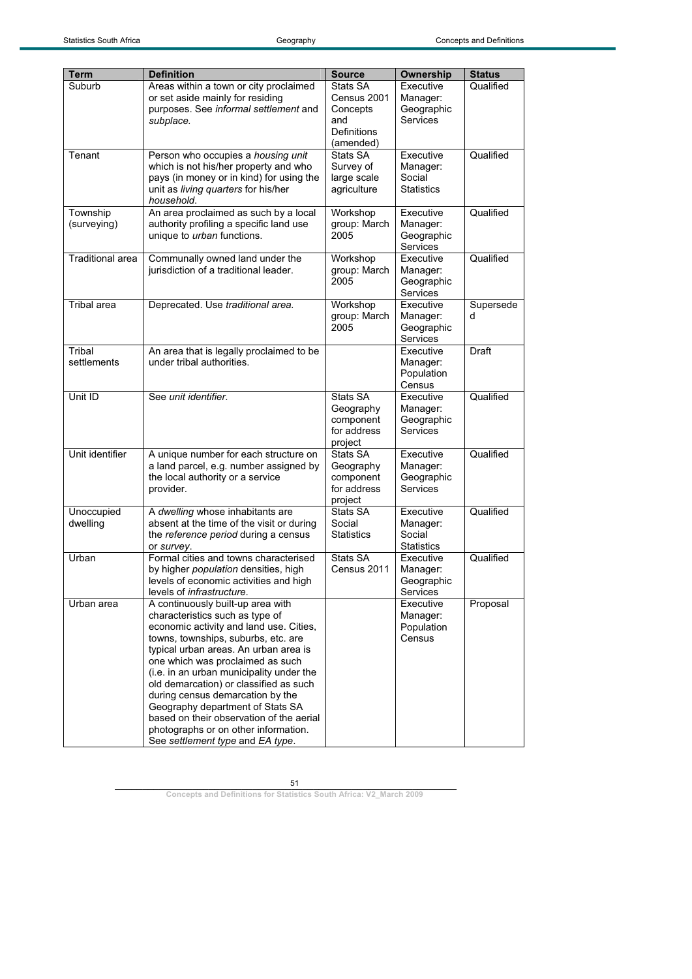| <b>Term</b>             | <b>Definition</b>                                                                                                                                                                                                                                                                                                                                                                                                                                                                                                         | <b>Source</b><br>Stats SA                                    | Ownership<br>Executive                               | <b>Status</b><br>Qualified |
|-------------------------|---------------------------------------------------------------------------------------------------------------------------------------------------------------------------------------------------------------------------------------------------------------------------------------------------------------------------------------------------------------------------------------------------------------------------------------------------------------------------------------------------------------------------|--------------------------------------------------------------|------------------------------------------------------|----------------------------|
| Suburb                  | Areas within a town or city proclaimed<br>or set aside mainly for residing<br>purposes. See informal settlement and<br>subplace.                                                                                                                                                                                                                                                                                                                                                                                          | Census 2001<br>Concepts<br>and<br>Definitions<br>(amended)   | Manager:<br>Geographic<br>Services                   |                            |
| Tenant                  | Person who occupies a housing unit<br>which is not his/her property and who<br>pays (in money or in kind) for using the<br>unit as living quarters for his/her<br>household.                                                                                                                                                                                                                                                                                                                                              | Stats SA<br>Survey of<br>large scale<br>agriculture          | Executive<br>Manager:<br>Social<br><b>Statistics</b> | Qualified                  |
| Township<br>(surveying) | An area proclaimed as such by a local<br>authority profiling a specific land use<br>unique to urban functions.                                                                                                                                                                                                                                                                                                                                                                                                            | Workshop<br>group: March<br>2005                             | Executive<br>Manager:<br>Geographic<br>Services      | Qualified                  |
| <b>Traditional area</b> | Communally owned land under the<br>jurisdiction of a traditional leader.                                                                                                                                                                                                                                                                                                                                                                                                                                                  | Workshop<br>group: March<br>2005                             | Executive<br>Manager:<br>Geographic<br>Services      | Qualified                  |
| Tribal area             | Deprecated. Use traditional area.                                                                                                                                                                                                                                                                                                                                                                                                                                                                                         | Workshop<br>group: March<br>2005                             | Executive<br>Manager:<br>Geographic<br>Services      | Supersede<br>d             |
| Tribal<br>settlements   | An area that is legally proclaimed to be<br>under tribal authorities.                                                                                                                                                                                                                                                                                                                                                                                                                                                     |                                                              | Executive<br>Manager:<br>Population<br>Census        | Draft                      |
| Unit ID                 | See unit identifier.                                                                                                                                                                                                                                                                                                                                                                                                                                                                                                      | Stats SA<br>Geography<br>component<br>for address<br>project | Executive<br>Manager:<br>Geographic<br>Services      | Qualified                  |
| Unit identifier         | A unique number for each structure on<br>a land parcel, e.g. number assigned by<br>the local authority or a service<br>provider.                                                                                                                                                                                                                                                                                                                                                                                          | Stats SA<br>Geography<br>component<br>for address<br>project | Executive<br>Manager:<br>Geographic<br>Services      | Qualified                  |
| Unoccupied<br>dwelling  | A dwelling whose inhabitants are<br>absent at the time of the visit or during<br>the reference period during a census<br>or survey.                                                                                                                                                                                                                                                                                                                                                                                       | Stats SA<br>Social<br><b>Statistics</b>                      | Executive<br>Manager:<br>Social<br><b>Statistics</b> | Qualified                  |
| Urban                   | Formal cities and towns characterised<br>by higher population densities, high<br>levels of economic activities and high<br>levels of infrastructure.                                                                                                                                                                                                                                                                                                                                                                      | Stats SA<br>Census 2011                                      | Executive<br>Manager:<br>Geographic<br>Services      | Qualified                  |
| Urban area              | A continuously built-up area with<br>characteristics such as type of<br>economic activity and land use. Cities,<br>towns, townships, suburbs, etc. are<br>typical urban areas. An urban area is<br>one which was proclaimed as such<br>(i.e. in an urban municipality under the<br>old demarcation) or classified as such<br>during census demarcation by the<br>Geography department of Stats SA<br>based on their observation of the aerial<br>photographs or on other information.<br>See settlement type and EA type. |                                                              | Executive<br>Manager:<br>Population<br>Census        | Proposal                   |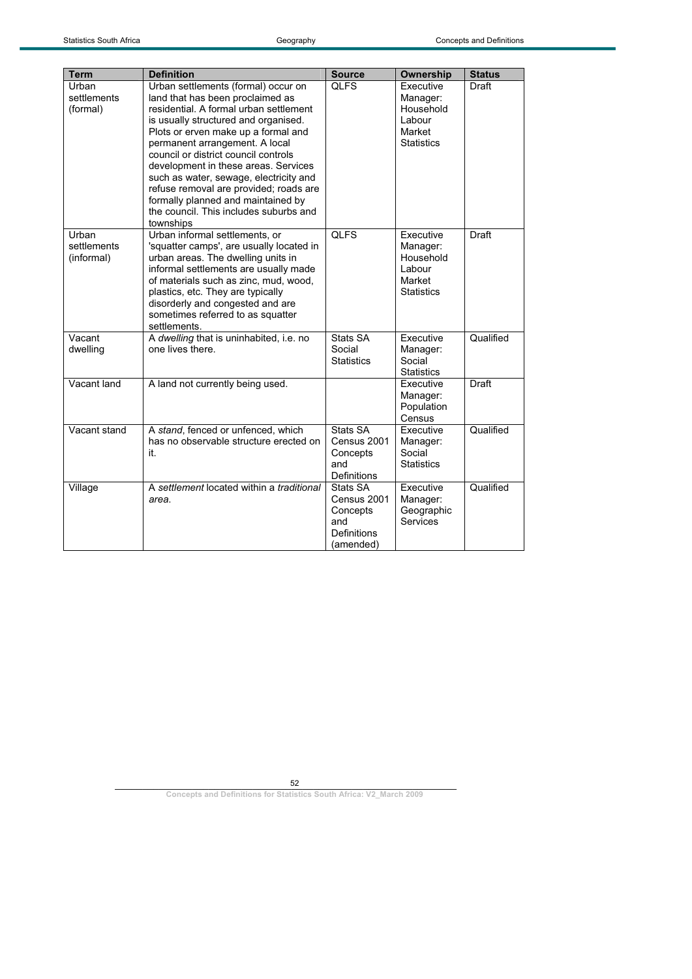| <b>Term</b>                        | <b>Definition</b>                                                                                                                                                                                                                                                                                                                                                                                                                                                                                   | <b>Source</b>                                                          | Ownership                                                                   | <b>Status</b> |
|------------------------------------|-----------------------------------------------------------------------------------------------------------------------------------------------------------------------------------------------------------------------------------------------------------------------------------------------------------------------------------------------------------------------------------------------------------------------------------------------------------------------------------------------------|------------------------------------------------------------------------|-----------------------------------------------------------------------------|---------------|
| Urban<br>settlements<br>(formal)   | Urban settlements (formal) occur on<br>land that has been proclaimed as<br>residential. A formal urban settlement<br>is usually structured and organised.<br>Plots or erven make up a formal and<br>permanent arrangement. A local<br>council or district council controls<br>development in these areas. Services<br>such as water, sewage, electricity and<br>refuse removal are provided; roads are<br>formally planned and maintained by<br>the council. This includes suburbs and<br>townships | <b>QLFS</b>                                                            | Executive<br>Manager:<br>Household<br>Labour<br>Market<br><b>Statistics</b> | Draft         |
| Urban<br>settlements<br>(informal) | Urban informal settlements, or<br>'squatter camps', are usually located in<br>urban areas. The dwelling units in<br>informal settlements are usually made<br>of materials such as zinc, mud, wood,<br>plastics, etc. They are typically<br>disorderly and congested and are<br>sometimes referred to as squatter<br>settlements.                                                                                                                                                                    | <b>QLFS</b>                                                            | Executive<br>Manager:<br>Household<br>Labour<br>Market<br><b>Statistics</b> | <b>Draft</b>  |
| Vacant<br>dwelling                 | A dwelling that is uninhabited, i.e. no<br>one lives there.                                                                                                                                                                                                                                                                                                                                                                                                                                         | Stats SA<br>Social<br><b>Statistics</b>                                | Executive<br>Manager:<br>Social<br><b>Statistics</b>                        | Qualified     |
| Vacant land                        | A land not currently being used.                                                                                                                                                                                                                                                                                                                                                                                                                                                                    |                                                                        | Executive<br>Manager:<br>Population<br>Census                               | Draft         |
| Vacant stand                       | A stand, fenced or unfenced, which<br>has no observable structure erected on<br>it.                                                                                                                                                                                                                                                                                                                                                                                                                 | Stats SA<br>Census 2001<br>Concepts<br>and<br><b>Definitions</b>       | Executive<br>Manager:<br>Social<br><b>Statistics</b>                        | Qualified     |
| Village                            | A settlement located within a traditional<br>area.                                                                                                                                                                                                                                                                                                                                                                                                                                                  | Stats SA<br>Census 2001<br>Concepts<br>and<br>Definitions<br>(amended) | Executive<br>Manager:<br>Geographic<br>Services                             | Qualified     |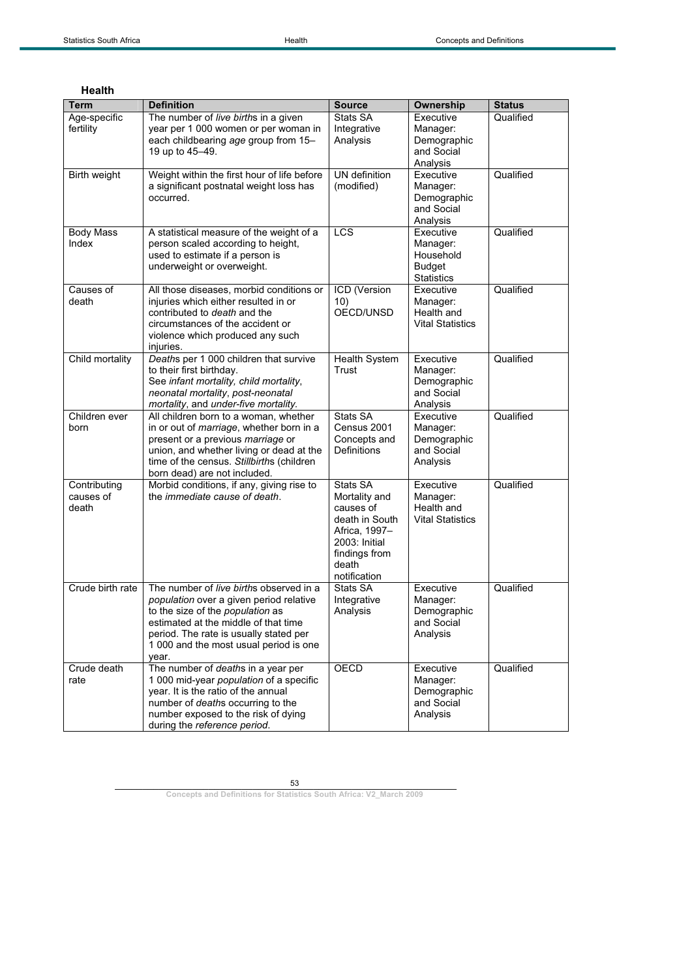| <b>Term</b>                        | <b>Definition</b>                                                                                                                                                                                                                                           | <b>Source</b>                                                                                                                        | <b>Ownership</b>                                                         | <b>Status</b> |
|------------------------------------|-------------------------------------------------------------------------------------------------------------------------------------------------------------------------------------------------------------------------------------------------------------|--------------------------------------------------------------------------------------------------------------------------------------|--------------------------------------------------------------------------|---------------|
| Age-specific                       | The number of live births in a given                                                                                                                                                                                                                        | Stats SA                                                                                                                             | Executive                                                                | Qualified     |
| fertility                          | year per 1 000 women or per woman in<br>each childbearing age group from 15-<br>19 up to 45-49.                                                                                                                                                             | Integrative<br>Analysis                                                                                                              | Manager:<br>Demographic<br>and Social<br>Analysis                        |               |
| Birth weight                       | Weight within the first hour of life before<br>a significant postnatal weight loss has<br>occurred.                                                                                                                                                         | UN definition<br>(modified)                                                                                                          | Executive<br>Manager:<br>Demographic<br>and Social<br>Analysis           | Qualified     |
| <b>Body Mass</b><br>Index          | A statistical measure of the weight of a<br>person scaled according to height,<br>used to estimate if a person is<br>underweight or overweight.                                                                                                             | <b>LCS</b>                                                                                                                           | Executive<br>Manager:<br>Household<br><b>Budget</b><br><b>Statistics</b> | Qualified     |
| Causes of<br>death                 | All those diseases, morbid conditions or<br>injuries which either resulted in or<br>contributed to <i>death</i> and the<br>circumstances of the accident or<br>violence which produced any such<br>injuries.                                                | ICD (Version<br>10)<br>OECD/UNSD                                                                                                     | Executive<br>Manager:<br>Health and<br><b>Vital Statistics</b>           | Qualified     |
| Child mortality                    | Deaths per 1 000 children that survive<br>to their first birthday.<br>See infant mortality, child mortality,<br>neonatal mortality, post-neonatal<br>mortality, and under-five mortality.                                                                   | Health System<br>Trust                                                                                                               | Executive<br>Manager:<br>Demographic<br>and Social<br>Analysis           | Qualified     |
| Children ever<br>born              | All children born to a woman, whether<br>in or out of marriage, whether born in a<br>present or a previous marriage or<br>union, and whether living or dead at the<br>time of the census. Stillbirths (children<br>born dead) are not included.             | Stats SA<br>Census 2001<br>Concepts and<br><b>Definitions</b>                                                                        | Executive<br>Manager:<br>Demographic<br>and Social<br>Analysis           | Qualified     |
| Contributing<br>causes of<br>death | Morbid conditions, if any, giving rise to<br>the <i>immediate cause of death</i> .                                                                                                                                                                          | Stats SA<br>Mortality and<br>causes of<br>death in South<br>Africa, 1997-<br>2003: Initial<br>findings from<br>death<br>notification | Executive<br>Manager:<br>Health and<br><b>Vital Statistics</b>           | Qualified     |
| Crude birth rate                   | The number of live births observed in a<br>population over a given period relative<br>to the size of the population as<br>estimated at the middle of that time<br>period. The rate is usually stated per<br>1 000 and the most usual period is one<br>year. | Stats SA<br>Integrative<br>Analysis                                                                                                  | Executive<br>Manager:<br>Demographic<br>and Social<br>Analysis           | Qualified     |
| Crude death<br>rate                | The number of deaths in a year per<br>1 000 mid-year population of a specific<br>year. It is the ratio of the annual<br>number of deaths occurring to the<br>number exposed to the risk of dying<br>during the reference period.                            | OECD                                                                                                                                 | Executive<br>Manager:<br>Demographic<br>and Social<br>Analysis           | Qualified     |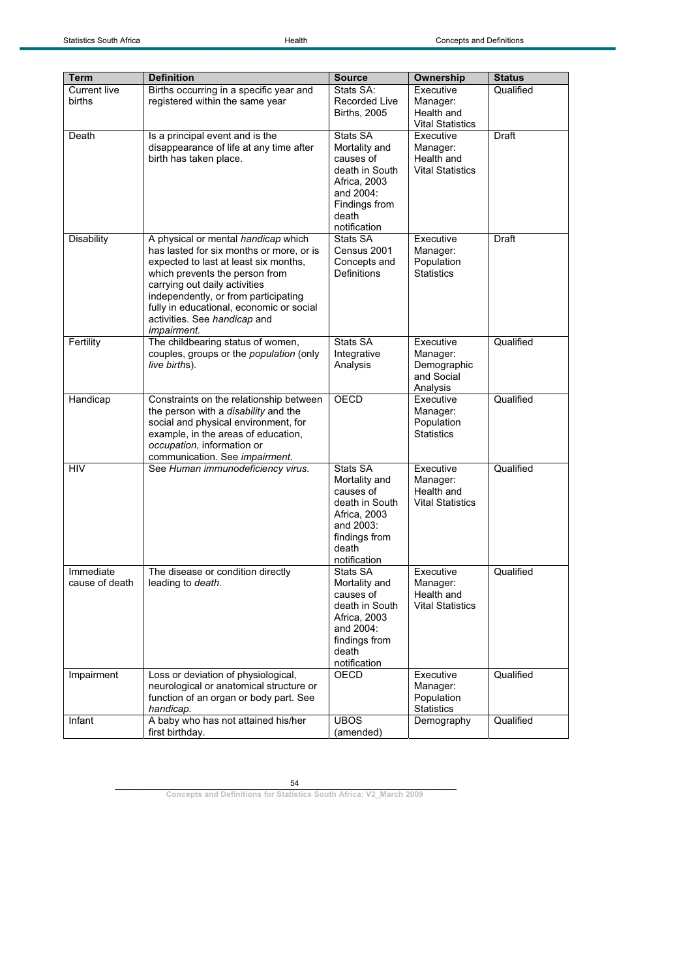| <b>Term</b>         | <b>Definition</b>                                               | <b>Source</b>                  | Ownership                       | <b>Status</b> |
|---------------------|-----------------------------------------------------------------|--------------------------------|---------------------------------|---------------|
| <b>Current live</b> | Births occurring in a specific year and                         | Stats SA:                      | Executive                       | Qualified     |
| births              | registered within the same year                                 | <b>Recorded Live</b>           | Manager:                        |               |
|                     |                                                                 | <b>Births, 2005</b>            | Health and                      |               |
|                     |                                                                 |                                | <b>Vital Statistics</b>         |               |
| Death               | Is a principal event and is the                                 | Stats SA                       | Executive                       | Draft         |
|                     | disappearance of life at any time after                         | Mortality and                  | Manager:                        |               |
|                     | birth has taken place.                                          | causes of                      | Health and                      |               |
|                     |                                                                 | death in South<br>Africa, 2003 | <b>Vital Statistics</b>         |               |
|                     |                                                                 | and 2004:                      |                                 |               |
|                     |                                                                 | Findings from                  |                                 |               |
|                     |                                                                 | death                          |                                 |               |
|                     |                                                                 | notification                   |                                 |               |
| <b>Disability</b>   | A physical or mental handicap which                             | Stats SA                       | Executive                       | Draft         |
|                     | has lasted for six months or more, or is                        | Census 2001                    | Manager:                        |               |
|                     | expected to last at least six months,                           | Concepts and                   | Population                      |               |
|                     | which prevents the person from<br>carrying out daily activities | Definitions                    | <b>Statistics</b>               |               |
|                     | independently, or from participating                            |                                |                                 |               |
|                     | fully in educational, economic or social                        |                                |                                 |               |
|                     | activities. See handicap and                                    |                                |                                 |               |
|                     | <i>impairment.</i>                                              |                                |                                 |               |
| Fertility           | The childbearing status of women,                               | Stats SA                       | Executive                       | Qualified     |
|                     | couples, groups or the population (only                         | Integrative                    | Manager:                        |               |
|                     | live births).                                                   | Analysis                       | Demographic<br>and Social       |               |
|                     |                                                                 |                                | Analysis                        |               |
| Handicap            | Constraints on the relationship between                         | <b>OECD</b>                    | Executive                       | Qualified     |
|                     | the person with a disability and the                            |                                | Manager:                        |               |
|                     | social and physical environment, for                            |                                | Population                      |               |
|                     | example, in the areas of education,                             |                                | <b>Statistics</b>               |               |
|                     | occupation, information or<br>communication. See impairment.    |                                |                                 |               |
| HIV                 | See Human immunodeficiency virus.                               | Stats SA                       | Executive                       | Qualified     |
|                     |                                                                 | Mortality and                  | Manager:                        |               |
|                     |                                                                 | causes of                      | Health and                      |               |
|                     |                                                                 | death in South                 | <b>Vital Statistics</b>         |               |
|                     |                                                                 | Africa, 2003                   |                                 |               |
|                     |                                                                 | and 2003:                      |                                 |               |
|                     |                                                                 | findings from<br>death         |                                 |               |
|                     |                                                                 | notification                   |                                 |               |
| Immediate           | The disease or condition directly                               | Stats SA                       | Executive                       | Qualified     |
| cause of death      | leading to death.                                               | Mortality and                  | Manager:                        |               |
|                     |                                                                 | causes of                      | Health and                      |               |
|                     |                                                                 | death in South                 | <b>Vital Statistics</b>         |               |
|                     |                                                                 | Africa, 2003<br>and 2004:      |                                 |               |
|                     |                                                                 | findings from                  |                                 |               |
|                     |                                                                 | death                          |                                 |               |
|                     |                                                                 | notification                   |                                 |               |
| Impairment          | Loss or deviation of physiological,                             | OECD                           | Executive                       | Qualified     |
|                     | neurological or anatomical structure or                         |                                | Manager:                        |               |
|                     | function of an organ or body part. See                          |                                | Population                      |               |
|                     | handicap.<br>A baby who has not attained his/her                | <b>UBOS</b>                    | <b>Statistics</b><br>Demography | Qualified     |
| Infant              | first birthday.                                                 | (amended)                      |                                 |               |
|                     |                                                                 |                                |                                 |               |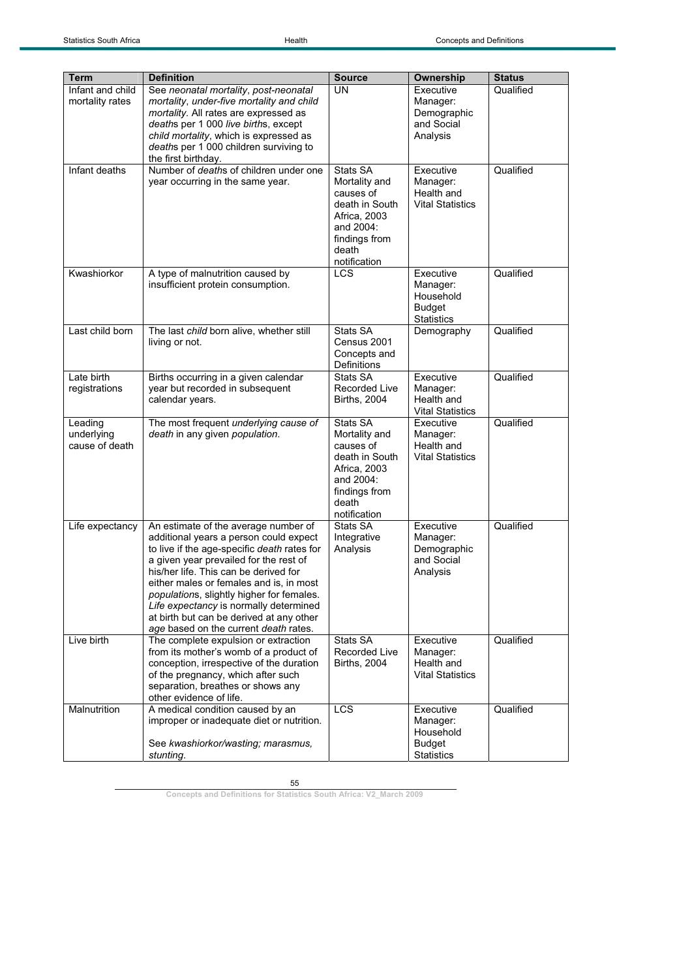| <b>Term</b><br>Infant and child | <b>Definition</b><br>See neonatal mortality, post-neonatal                           | <b>Source</b><br><b>UN</b> | Ownership<br>Executive     | <b>Status</b><br>Qualified |
|---------------------------------|--------------------------------------------------------------------------------------|----------------------------|----------------------------|----------------------------|
| mortality rates                 | mortality, under-five mortality and child                                            |                            | Manager:                   |                            |
|                                 | mortality. All rates are expressed as                                                |                            | Demographic                |                            |
|                                 | deaths per 1 000 live births, except<br>child mortality, which is expressed as       |                            | and Social<br>Analysis     |                            |
|                                 | deaths per 1 000 children surviving to                                               |                            |                            |                            |
|                                 | the first birthday.                                                                  |                            |                            |                            |
| Infant deaths                   | Number of deaths of children under one<br>year occurring in the same year.           | Stats SA<br>Mortality and  | Executive<br>Manager:      | Qualified                  |
|                                 |                                                                                      | causes of                  | Health and                 |                            |
|                                 |                                                                                      | death in South             | <b>Vital Statistics</b>    |                            |
|                                 |                                                                                      | Africa, 2003               |                            |                            |
|                                 |                                                                                      | and 2004:<br>findings from |                            |                            |
|                                 |                                                                                      | death                      |                            |                            |
|                                 |                                                                                      | notification               |                            |                            |
| Kwashiorkor                     | A type of malnutrition caused by                                                     | LCS                        | Executive                  | Qualified                  |
|                                 | insufficient protein consumption.                                                    |                            | Manager:<br>Household      |                            |
|                                 |                                                                                      |                            | <b>Budget</b>              |                            |
|                                 |                                                                                      |                            | <b>Statistics</b>          |                            |
| Last child born                 | The last child born alive, whether still<br>living or not.                           | Stats SA<br>Census 2001    | Demography                 | Qualified                  |
|                                 |                                                                                      | Concepts and               |                            |                            |
|                                 |                                                                                      | Definitions                |                            |                            |
| Late birth<br>registrations     | Births occurring in a given calendar<br>year but recorded in subsequent              | Stats SA<br>Recorded Live  | Executive<br>Manager:      | Qualified                  |
|                                 | calendar years.                                                                      | <b>Births, 2004</b>        | Health and                 |                            |
|                                 |                                                                                      |                            | <b>Vital Statistics</b>    |                            |
| Leading                         | The most frequent underlying cause of                                                | Stats SA                   | Executive                  | Qualified                  |
| underlying<br>cause of death    | death in any given population.                                                       | Mortality and<br>causes of | Manager:<br>Health and     |                            |
|                                 |                                                                                      | death in South             | <b>Vital Statistics</b>    |                            |
|                                 |                                                                                      | Africa, 2003               |                            |                            |
|                                 |                                                                                      | and 2004:<br>findings from |                            |                            |
|                                 |                                                                                      | death                      |                            |                            |
|                                 |                                                                                      | notification               |                            |                            |
| Life expectancy                 | An estimate of the average number of<br>additional years a person could expect       | Stats SA<br>Integrative    | Executive<br>Manager:      | Qualified                  |
|                                 | to live if the age-specific death rates for                                          | Analysis                   | Demographic                |                            |
|                                 | a given year prevailed for the rest of                                               |                            | and Social                 |                            |
|                                 | his/her life. This can be derived for                                                |                            | Analysis                   |                            |
|                                 | either males or females and is, in most<br>populations, slightly higher for females. |                            |                            |                            |
|                                 | Life expectancy is normally determined                                               |                            |                            |                            |
|                                 | at birth but can be derived at any other                                             |                            |                            |                            |
| Live birth                      | age based on the current death rates.<br>The complete expulsion or extraction        | Stats SA                   | Executive                  | Qualified                  |
|                                 | from its mother's womb of a product of                                               | Recorded Live              | Manager:                   |                            |
|                                 | conception, irrespective of the duration                                             | <b>Births, 2004</b>        | Health and                 |                            |
|                                 | of the pregnancy, which after such<br>separation, breathes or shows any              |                            | <b>Vital Statistics</b>    |                            |
|                                 | other evidence of life.                                                              |                            |                            |                            |
| Malnutrition                    | A medical condition caused by an                                                     | <b>LCS</b>                 | Executive                  | Qualified                  |
|                                 | improper or inadequate diet or nutrition.                                            |                            | Manager:                   |                            |
|                                 | See kwashiorkor/wasting; marasmus,                                                   |                            | Household<br><b>Budget</b> |                            |
|                                 | stunting.                                                                            |                            | <b>Statistics</b>          |                            |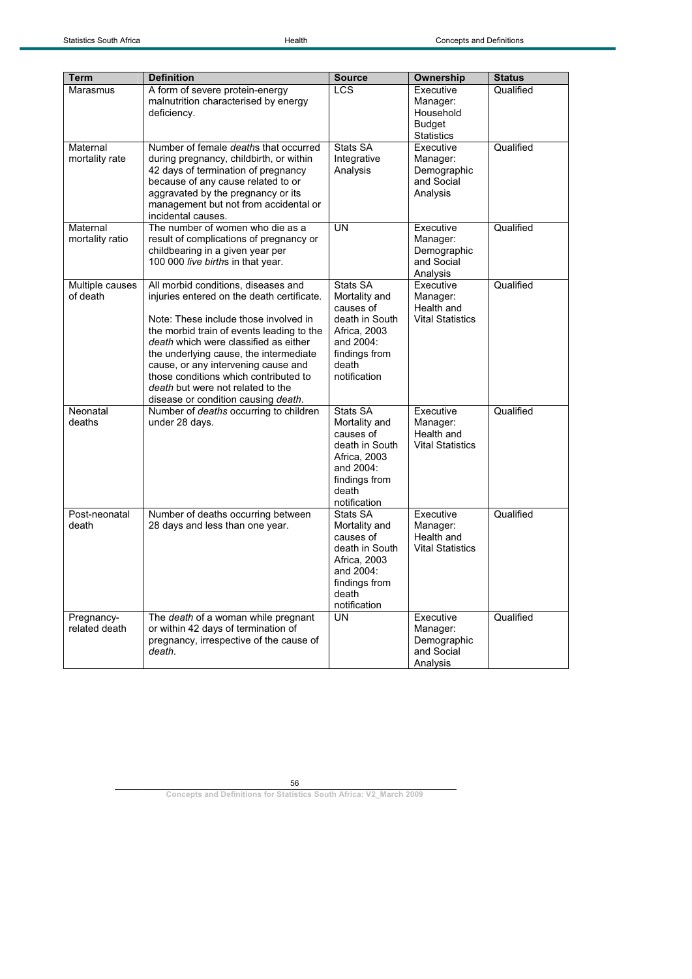| <b>Term</b>                 | <b>Definition</b>                                                                                                                                                                                                                                                                                                                                                                                                      | <b>Source</b>                                                                                                                   | Ownership                                                                | <b>Status</b> |
|-----------------------------|------------------------------------------------------------------------------------------------------------------------------------------------------------------------------------------------------------------------------------------------------------------------------------------------------------------------------------------------------------------------------------------------------------------------|---------------------------------------------------------------------------------------------------------------------------------|--------------------------------------------------------------------------|---------------|
| Marasmus                    | A form of severe protein-energy<br>malnutrition characterised by energy<br>deficiency.                                                                                                                                                                                                                                                                                                                                 | <b>LCS</b>                                                                                                                      | Executive<br>Manager:<br>Household<br><b>Budget</b><br><b>Statistics</b> | Qualified     |
| Maternal<br>mortality rate  | Number of female <i>deaths</i> that occurred<br>during pregnancy, childbirth, or within<br>42 days of termination of pregnancy<br>because of any cause related to or<br>aggravated by the pregnancy or its<br>management but not from accidental or<br>incidental causes.                                                                                                                                              | Stats SA<br>Integrative<br>Analysis                                                                                             | Executive<br>Manager:<br>Demographic<br>and Social<br>Analysis           | Qualified     |
| Maternal<br>mortality ratio | The number of women who die as a<br>result of complications of pregnancy or<br>childbearing in a given year per<br>100 000 live births in that year.                                                                                                                                                                                                                                                                   | <b>UN</b>                                                                                                                       | Executive<br>Manager:<br>Demographic<br>and Social<br>Analysis           | Qualified     |
| Multiple causes<br>of death | All morbid conditions, diseases and<br>injuries entered on the death certificate.<br>Note: These include those involved in<br>the morbid train of events leading to the<br>death which were classified as either<br>the underlying cause, the intermediate<br>cause, or any intervening cause and<br>those conditions which contributed to<br>death but were not related to the<br>disease or condition causing death. | Stats SA<br>Mortality and<br>causes of<br>death in South<br>Africa, 2003<br>and 2004:<br>findings from<br>death<br>notification | Executive<br>Manager:<br>Health and<br><b>Vital Statistics</b>           | Qualified     |
| Neonatal<br>deaths          | Number of deaths occurring to children<br>under 28 days.                                                                                                                                                                                                                                                                                                                                                               | Stats SA<br>Mortality and<br>causes of<br>death in South<br>Africa, 2003<br>and 2004:<br>findings from<br>death<br>notification | Executive<br>Manager:<br>Health and<br><b>Vital Statistics</b>           | Qualified     |
| Post-neonatal<br>death      | Number of deaths occurring between<br>28 days and less than one year.                                                                                                                                                                                                                                                                                                                                                  | Stats SA<br>Mortality and<br>causes of<br>death in South<br>Africa, 2003<br>and 2004:<br>findings from<br>death<br>notification | Executive<br>Manager:<br>Health and<br><b>Vital Statistics</b>           | Qualified     |
| Pregnancy-<br>related death | The death of a woman while pregnant<br>or within 42 days of termination of<br>pregnancy, irrespective of the cause of<br>death.                                                                                                                                                                                                                                                                                        | <b>UN</b>                                                                                                                       | Executive<br>Manager:<br>Demographic<br>and Social<br>Analysis           | Qualified     |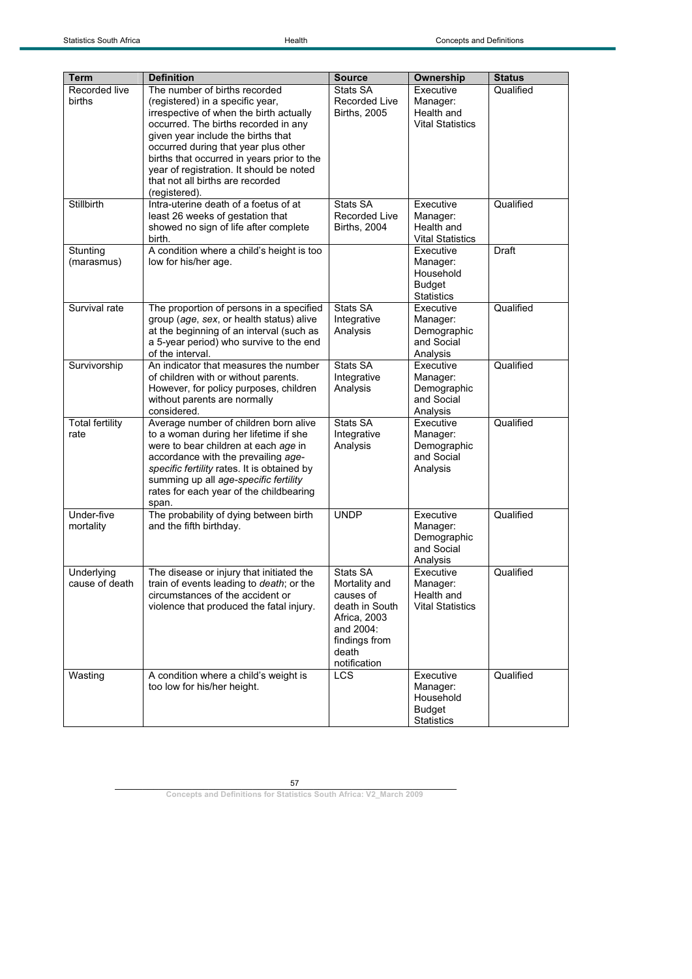| <b>Term</b>                    | <b>Definition</b>                                                                                                                                                                                                                                                                                                                                                                 | <b>Source</b>                                                                                                                   | Ownership                                                                | <b>Status</b> |
|--------------------------------|-----------------------------------------------------------------------------------------------------------------------------------------------------------------------------------------------------------------------------------------------------------------------------------------------------------------------------------------------------------------------------------|---------------------------------------------------------------------------------------------------------------------------------|--------------------------------------------------------------------------|---------------|
| Recorded live<br><b>births</b> | The number of births recorded<br>(registered) in a specific year,<br>irrespective of when the birth actually<br>occurred. The births recorded in any<br>given year include the births that<br>occurred during that year plus other<br>births that occurred in years prior to the<br>year of registration. It should be noted<br>that not all births are recorded<br>(registered). | Stats SA<br><b>Recorded Live</b><br><b>Births, 2005</b>                                                                         | Executive<br>Manager:<br>Health and<br><b>Vital Statistics</b>           | Qualified     |
| <b>Stillbirth</b>              | Intra-uterine death of a foetus of at<br>least 26 weeks of gestation that<br>showed no sign of life after complete<br>birth.                                                                                                                                                                                                                                                      | Stats SA<br><b>Recorded Live</b><br><b>Births, 2004</b>                                                                         | Executive<br>Manager:<br>Health and<br><b>Vital Statistics</b>           | Qualified     |
| Stunting<br>(marasmus)         | A condition where a child's height is too<br>low for his/her age.                                                                                                                                                                                                                                                                                                                 |                                                                                                                                 | Executive<br>Manager:<br>Household<br><b>Budget</b><br><b>Statistics</b> | Draft         |
| Survival rate                  | The proportion of persons in a specified<br>group (age, sex, or health status) alive<br>at the beginning of an interval (such as<br>a 5-year period) who survive to the end<br>of the interval.                                                                                                                                                                                   | Stats SA<br>Integrative<br>Analysis                                                                                             | Executive<br>Manager:<br>Demographic<br>and Social<br>Analysis           | Qualified     |
| Survivorship                   | An indicator that measures the number<br>of children with or without parents.<br>However, for policy purposes, children<br>without parents are normally<br>considered.                                                                                                                                                                                                            | Stats SA<br>Integrative<br>Analysis                                                                                             | Executive<br>Manager:<br>Demographic<br>and Social<br>Analysis           | Qualified     |
| <b>Total fertility</b><br>rate | Average number of children born alive<br>to a woman during her lifetime if she<br>were to bear children at each age in<br>accordance with the prevailing age-<br>specific fertility rates. It is obtained by<br>summing up all age-specific fertility<br>rates for each year of the childbearing<br>span.                                                                         | Stats SA<br>Integrative<br>Analysis                                                                                             | Executive<br>Manager:<br>Demographic<br>and Social<br>Analysis           | Qualified     |
| Under-five<br>mortality        | The probability of dying between birth<br>and the fifth birthday.                                                                                                                                                                                                                                                                                                                 | <b>UNDP</b>                                                                                                                     | Executive<br>Manager:<br>Demographic<br>and Social<br>Analysis           | Qualified     |
| Underlying<br>cause of death   | The disease or injury that initiated the<br>train of events leading to death; or the<br>circumstances of the accident or<br>violence that produced the fatal injury.                                                                                                                                                                                                              | Stats SA<br>Mortality and<br>causes of<br>death in South<br>Africa, 2003<br>and 2004:<br>findings from<br>death<br>notification | Executive<br>Manager:<br>Health and<br><b>Vital Statistics</b>           | Qualified     |
| Wasting                        | A condition where a child's weight is<br>too low for his/her height.                                                                                                                                                                                                                                                                                                              | <b>LCS</b>                                                                                                                      | Executive<br>Manager:<br>Household<br><b>Budget</b><br><b>Statistics</b> | Qualified     |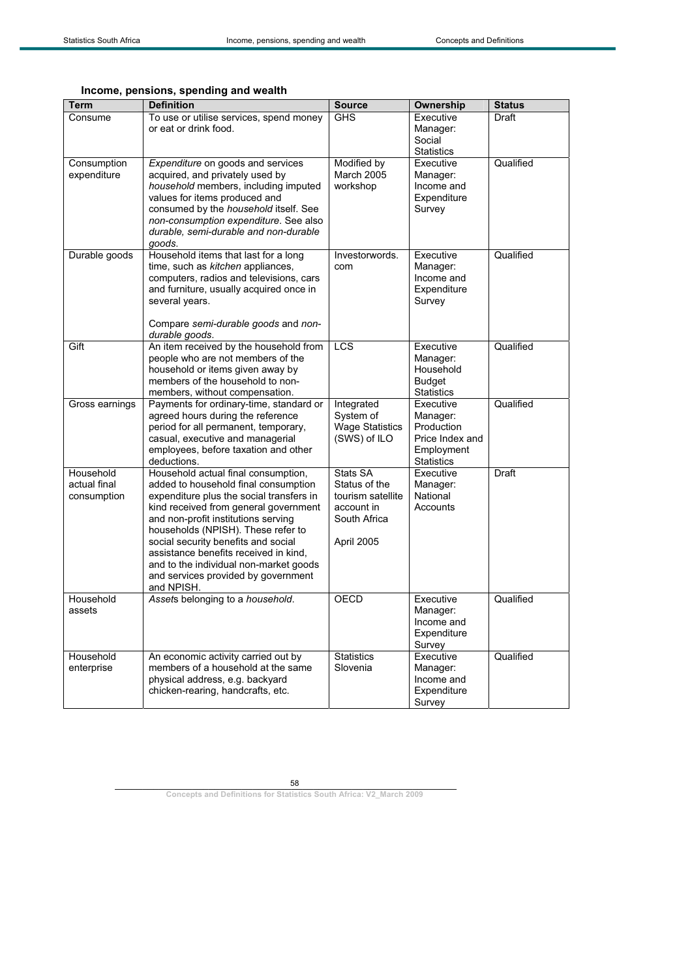## **Income, pensions, spending and wealth**

| <b>Term</b>                              | <b>Definition</b>                                                                                                                                                                                                                                                                                                                                                                                                            | <b>Source</b>                                                                              | Ownership                                                                                 | <b>Status</b> |
|------------------------------------------|------------------------------------------------------------------------------------------------------------------------------------------------------------------------------------------------------------------------------------------------------------------------------------------------------------------------------------------------------------------------------------------------------------------------------|--------------------------------------------------------------------------------------------|-------------------------------------------------------------------------------------------|---------------|
| Consume                                  | To use or utilise services, spend money<br>or eat or drink food.                                                                                                                                                                                                                                                                                                                                                             | <b>GHS</b>                                                                                 | Executive<br>Manager:<br>Social<br><b>Statistics</b>                                      | Draft         |
| Consumption<br>expenditure               | Expenditure on goods and services<br>acquired, and privately used by<br>household members, including imputed<br>values for items produced and<br>consumed by the household itself. See<br>non-consumption expenditure. See also<br>durable, semi-durable and non-durable<br>goods.                                                                                                                                           | Modified by<br>March 2005<br>workshop                                                      | Executive<br>Manager:<br>Income and<br>Expenditure<br>Survey                              | Qualified     |
| Durable goods                            | Household items that last for a long<br>time, such as kitchen appliances,<br>computers, radios and televisions, cars<br>and furniture, usually acquired once in<br>several years.<br>Compare semi-durable goods and non-<br>durable goods.                                                                                                                                                                                   | Investorwords.<br>com                                                                      | Executive<br>Manager:<br>Income and<br>Expenditure<br>Survey                              | Qualified     |
| Gift                                     | An item received by the household from<br>people who are not members of the<br>household or items given away by<br>members of the household to non-<br>members, without compensation.                                                                                                                                                                                                                                        | LCS                                                                                        | Executive<br>Manager:<br>Household<br><b>Budget</b><br><b>Statistics</b>                  | Qualified     |
| Gross earnings                           | Payments for ordinary-time, standard or<br>agreed hours during the reference<br>period for all permanent, temporary,<br>casual, executive and managerial<br>employees, before taxation and other<br>deductions.                                                                                                                                                                                                              | Integrated<br>System of<br><b>Wage Statistics</b><br>(SWS) of ILO                          | Executive<br>Manager:<br>Production<br>Price Index and<br>Employment<br><b>Statistics</b> | Qualified     |
| Household<br>actual final<br>consumption | Household actual final consumption,<br>added to household final consumption<br>expenditure plus the social transfers in<br>kind received from general government<br>and non-profit institutions serving<br>households (NPISH). These refer to<br>social security benefits and social<br>assistance benefits received in kind,<br>and to the individual non-market goods<br>and services provided by government<br>and NPISH. | Stats SA<br>Status of the<br>tourism satellite<br>account in<br>South Africa<br>April 2005 | Executive<br>Manager:<br>National<br>Accounts                                             | <b>Draft</b>  |
| Household<br>assets                      | Assets belonging to a household.                                                                                                                                                                                                                                                                                                                                                                                             | <b>OECD</b>                                                                                | Executive<br>Manager:<br>Income and<br>Expenditure<br>Survey                              | Qualified     |
| Household<br>enterprise                  | An economic activity carried out by<br>members of a household at the same<br>physical address, e.g. backyard<br>chicken-rearing, handcrafts, etc.                                                                                                                                                                                                                                                                            | <b>Statistics</b><br>Slovenia                                                              | Executive<br>Manager:<br>Income and<br>Expenditure<br>Survey                              | Qualified     |

58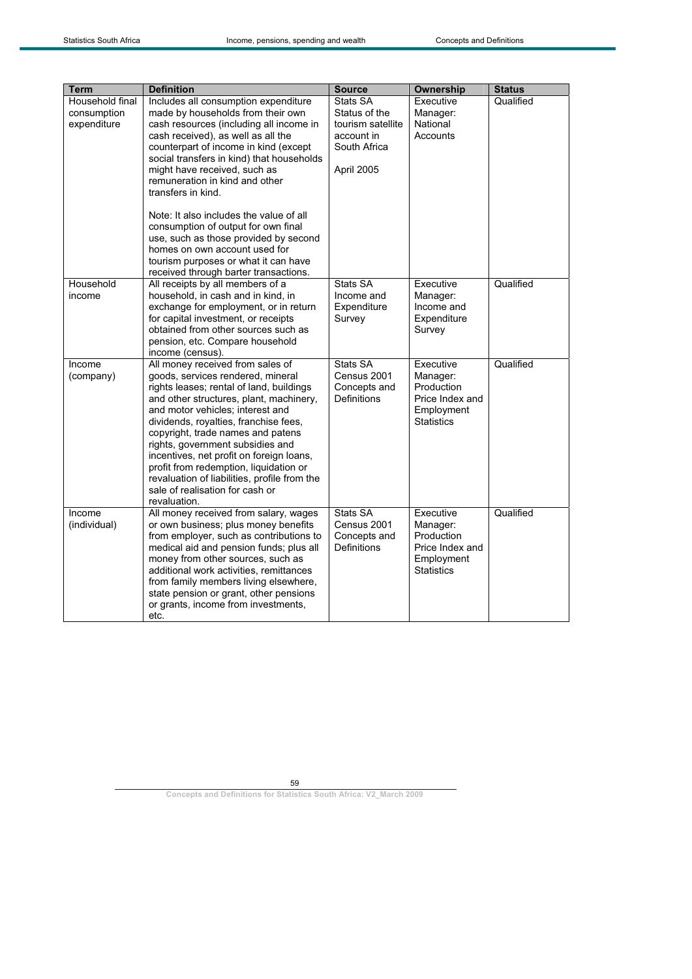| <b>Term</b>            | <b>Definition</b>                                                             | <b>Source</b>           | Ownership             | <b>Status</b> |
|------------------------|-------------------------------------------------------------------------------|-------------------------|-----------------------|---------------|
| Household final        | Includes all consumption expenditure                                          | Stats SA                | Executive             | Qualified     |
| consumption            | made by households from their own                                             | Status of the           | Manager:              |               |
| expenditure            | cash resources (including all income in                                       | tourism satellite       | National              |               |
|                        | cash received), as well as all the                                            | account in              | Accounts              |               |
|                        | counterpart of income in kind (except                                         | South Africa            |                       |               |
|                        | social transfers in kind) that households                                     |                         |                       |               |
|                        | might have received, such as                                                  | April 2005              |                       |               |
|                        | remuneration in kind and other                                                |                         |                       |               |
|                        | transfers in kind.                                                            |                         |                       |               |
|                        | Note: It also includes the value of all                                       |                         |                       |               |
|                        | consumption of output for own final                                           |                         |                       |               |
|                        | use, such as those provided by second                                         |                         |                       |               |
|                        | homes on own account used for                                                 |                         |                       |               |
|                        | tourism purposes or what it can have                                          |                         |                       |               |
|                        | received through barter transactions.                                         |                         |                       |               |
| Household              | All receipts by all members of a                                              | Stats SA                | Executive             | Qualified     |
| income                 | household, in cash and in kind, in                                            | Income and              | Manager:              |               |
|                        | exchange for employment, or in return                                         | Expenditure             | Income and            |               |
|                        | for capital investment, or receipts                                           | Survey                  | Expenditure           |               |
|                        | obtained from other sources such as                                           |                         | Survey                |               |
|                        | pension, etc. Compare household<br>income (census).                           |                         |                       |               |
| Income                 | All money received from sales of                                              | <b>Stats SA</b>         | Executive             | Qualified     |
| (company)              | goods, services rendered, mineral                                             | Census 2001             | Manager:              |               |
|                        | rights leases; rental of land, buildings                                      | Concepts and            | Production            |               |
|                        | and other structures, plant, machinery,                                       | Definitions             | Price Index and       |               |
|                        | and motor vehicles; interest and                                              |                         | Employment            |               |
|                        | dividends, royalties, franchise fees,                                         |                         | <b>Statistics</b>     |               |
|                        | copyright, trade names and patens                                             |                         |                       |               |
|                        | rights, government subsidies and                                              |                         |                       |               |
|                        | incentives, net profit on foreign loans,                                      |                         |                       |               |
|                        | profit from redemption, liquidation or                                        |                         |                       |               |
|                        | revaluation of liabilities, profile from the                                  |                         |                       |               |
|                        | sale of realisation for cash or                                               |                         |                       |               |
|                        | revaluation.                                                                  |                         |                       |               |
| Income<br>(individual) | All money received from salary, wages<br>or own business; plus money benefits | Stats SA<br>Census 2001 | Executive<br>Manager: | Qualified     |
|                        | from employer, such as contributions to                                       | Concepts and            | Production            |               |
|                        | medical aid and pension funds; plus all                                       | <b>Definitions</b>      | Price Index and       |               |
|                        | money from other sources, such as                                             |                         | Employment            |               |
|                        | additional work activities, remittances                                       |                         | <b>Statistics</b>     |               |
|                        | from family members living elsewhere,                                         |                         |                       |               |
|                        | state pension or grant, other pensions                                        |                         |                       |               |
|                        | or grants, income from investments,                                           |                         |                       |               |
|                        | etc.                                                                          |                         |                       |               |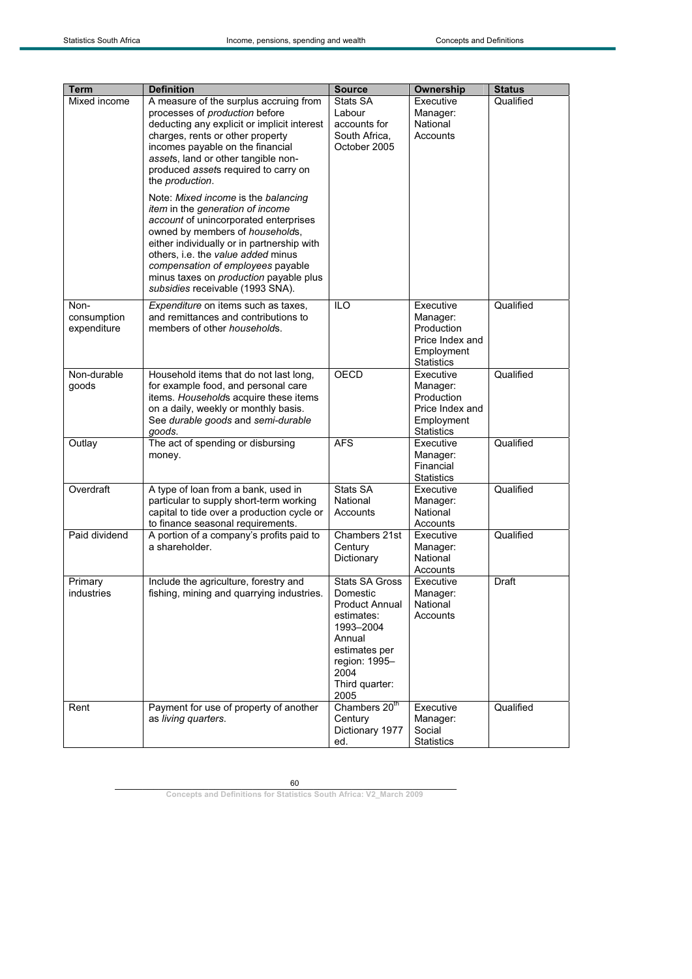| <b>Term</b><br>Mixed income        | <b>Definition</b><br>A measure of the surplus accruing from<br>processes of production before<br>deducting any explicit or implicit interest<br>charges, rents or other property<br>incomes payable on the financial<br>assets, land or other tangible non-<br>produced assets required to carry on<br>the production.<br>Note: Mixed income is the balancing<br>item in the generation of income<br>account of unincorporated enterprises<br>owned by members of households,<br>either individually or in partnership with<br>others, i.e. the value added minus<br>compensation of employees payable<br>minus taxes on <i>production</i> payable plus<br>subsidies receivable (1993 SNA). | <b>Source</b><br>Stats SA<br>Labour<br>accounts for<br>South Africa,<br>October 2005                                                                                | Ownership<br>Executive<br>Manager:<br>National<br>Accounts                                | <b>Status</b><br>Qualified |
|------------------------------------|---------------------------------------------------------------------------------------------------------------------------------------------------------------------------------------------------------------------------------------------------------------------------------------------------------------------------------------------------------------------------------------------------------------------------------------------------------------------------------------------------------------------------------------------------------------------------------------------------------------------------------------------------------------------------------------------|---------------------------------------------------------------------------------------------------------------------------------------------------------------------|-------------------------------------------------------------------------------------------|----------------------------|
| Non-<br>consumption<br>expenditure | Expenditure on items such as taxes,<br>and remittances and contributions to<br>members of other <i>households</i> .                                                                                                                                                                                                                                                                                                                                                                                                                                                                                                                                                                         | <b>ILO</b>                                                                                                                                                          | Executive<br>Manager:<br>Production<br>Price Index and<br>Employment<br><b>Statistics</b> | Qualified                  |
| Non-durable<br>qoods               | Household items that do not last long,<br>for example food, and personal care<br>items. Households acquire these items<br>on a daily, weekly or monthly basis.<br>See durable goods and semi-durable<br>goods.                                                                                                                                                                                                                                                                                                                                                                                                                                                                              | <b>OECD</b>                                                                                                                                                         | Executive<br>Manager:<br>Production<br>Price Index and<br>Employment<br><b>Statistics</b> | Qualified                  |
| Outlay                             | The act of spending or disbursing<br>money.                                                                                                                                                                                                                                                                                                                                                                                                                                                                                                                                                                                                                                                 | <b>AFS</b>                                                                                                                                                          | Executive<br>Manager:<br>Financial<br><b>Statistics</b>                                   | Qualified                  |
| Overdraft                          | A type of loan from a bank, used in<br>particular to supply short-term working<br>capital to tide over a production cycle or<br>to finance seasonal requirements.                                                                                                                                                                                                                                                                                                                                                                                                                                                                                                                           | Stats SA<br>National<br>Accounts                                                                                                                                    | Executive<br>Manager:<br>National<br>Accounts                                             | Qualified                  |
| Paid dividend                      | A portion of a company's profits paid to<br>a shareholder.                                                                                                                                                                                                                                                                                                                                                                                                                                                                                                                                                                                                                                  | Chambers 21st<br>Century<br>Dictionary                                                                                                                              | Executive<br>Manager:<br>National<br>Accounts                                             | Qualified                  |
| Primary<br>industries              | Include the agriculture, forestry and<br>fishing, mining and quarrying industries.                                                                                                                                                                                                                                                                                                                                                                                                                                                                                                                                                                                                          | <b>Stats SA Gross</b><br>Domestic<br><b>Product Annual</b><br>estimates:<br>1993-2004<br>Annual<br>estimates per<br>region: 1995-<br>2004<br>Third quarter:<br>2005 | Executive<br>Manager:<br>National<br>Accounts                                             | Draft                      |
| Rent                               | Payment for use of property of another<br>as living quarters.                                                                                                                                                                                                                                                                                                                                                                                                                                                                                                                                                                                                                               | Chambers 20 <sup>th</sup><br>Century<br>Dictionary 1977<br>ed.                                                                                                      | Executive<br>Manager:<br>Social<br><b>Statistics</b>                                      | Qualified                  |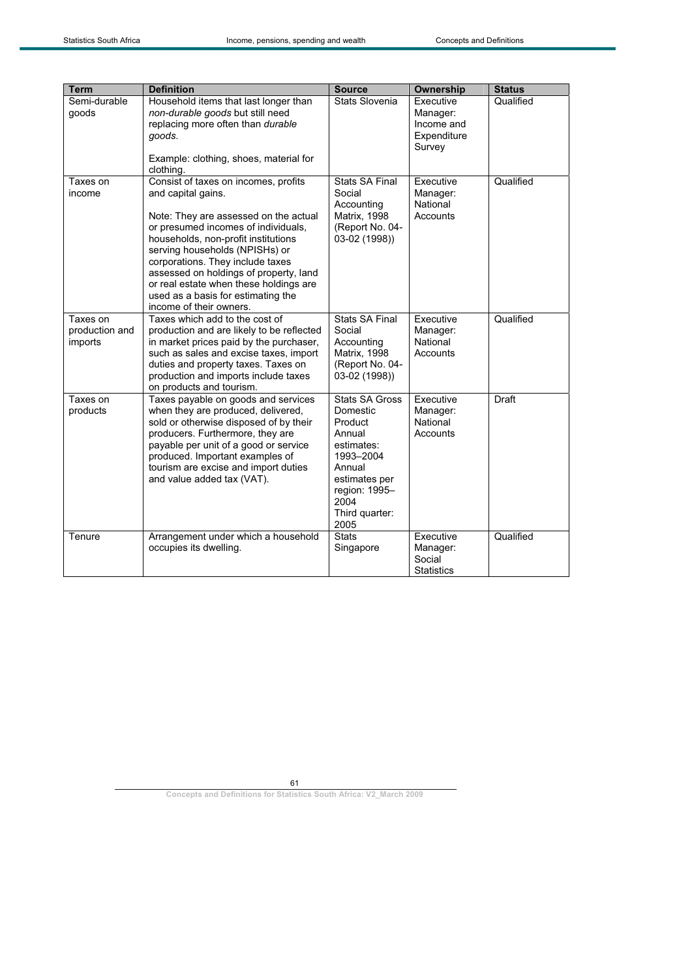| <b>Term</b>                           | <b>Definition</b>                                                                                                                                                                                                                                                                                                                                                                                            | <b>Source</b>                                                                                                                                                   | <b>Ownership</b>                                             | <b>Status</b> |
|---------------------------------------|--------------------------------------------------------------------------------------------------------------------------------------------------------------------------------------------------------------------------------------------------------------------------------------------------------------------------------------------------------------------------------------------------------------|-----------------------------------------------------------------------------------------------------------------------------------------------------------------|--------------------------------------------------------------|---------------|
| Semi-durable<br>goods                 | Household items that last longer than<br>non-durable goods but still need<br>replacing more often than durable<br>goods.<br>Example: clothing, shoes, material for<br>clothing.                                                                                                                                                                                                                              | Stats Slovenia                                                                                                                                                  | Executive<br>Manager:<br>Income and<br>Expenditure<br>Survey | Qualified     |
| Taxes on<br>income                    | Consist of taxes on incomes, profits<br>and capital gains.<br>Note: They are assessed on the actual<br>or presumed incomes of individuals,<br>households, non-profit institutions<br>serving households (NPISHs) or<br>corporations. They include taxes<br>assessed on holdings of property, land<br>or real estate when these holdings are<br>used as a basis for estimating the<br>income of their owners. | <b>Stats SA Final</b><br>Social<br>Accounting<br>Matrix, 1998<br>(Report No. 04-<br>03-02 (1998))                                                               | Executive<br>Manager:<br>National<br>Accounts                | Qualified     |
| Taxes on<br>production and<br>imports | Taxes which add to the cost of<br>production and are likely to be reflected<br>in market prices paid by the purchaser,<br>such as sales and excise taxes, import<br>duties and property taxes. Taxes on<br>production and imports include taxes<br>on products and tourism.                                                                                                                                  | <b>Stats SA Final</b><br>Social<br>Accounting<br><b>Matrix, 1998</b><br>(Report No. 04-<br>03-02 (1998))                                                        | Executive<br>Manager:<br>National<br>Accounts                | Qualified     |
| Taxes on<br>products                  | Taxes payable on goods and services<br>when they are produced, delivered,<br>sold or otherwise disposed of by their<br>producers. Furthermore, they are<br>payable per unit of a good or service<br>produced. Important examples of<br>tourism are excise and import duties<br>and value added tax (VAT).                                                                                                    | <b>Stats SA Gross</b><br>Domestic<br>Product<br>Annual<br>estimates:<br>1993-2004<br>Annual<br>estimates per<br>region: 1995-<br>2004<br>Third quarter:<br>2005 | Executive<br>Manager:<br>National<br>Accounts                | Draft         |
| Tenure                                | Arrangement under which a household<br>occupies its dwelling.                                                                                                                                                                                                                                                                                                                                                | <b>Stats</b><br>Singapore                                                                                                                                       | Executive<br>Manager:<br>Social<br><b>Statistics</b>         | Qualified     |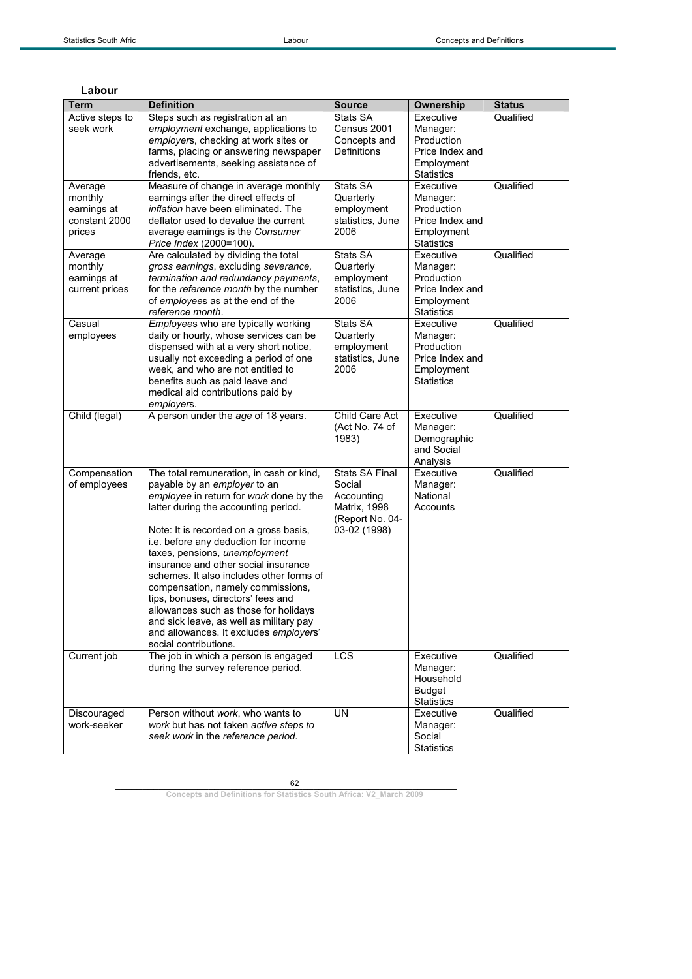| Term                                                         | <b>Definition</b>                                                                                                                                                                                                                                                                                                                                                                                                                                                                                                                                                                                    | <b>Source</b>                                                                                           | Ownership                                                                                 | <b>Status</b> |
|--------------------------------------------------------------|------------------------------------------------------------------------------------------------------------------------------------------------------------------------------------------------------------------------------------------------------------------------------------------------------------------------------------------------------------------------------------------------------------------------------------------------------------------------------------------------------------------------------------------------------------------------------------------------------|---------------------------------------------------------------------------------------------------------|-------------------------------------------------------------------------------------------|---------------|
| Active steps to<br>seek work                                 | Steps such as registration at an<br>employment exchange, applications to<br>employers, checking at work sites or<br>farms, placing or answering newspaper<br>advertisements, seeking assistance of<br>friends, etc.                                                                                                                                                                                                                                                                                                                                                                                  | Stats SA<br>Census 2001<br>Concepts and<br><b>Definitions</b>                                           | Executive<br>Manager:<br>Production<br>Price Index and<br>Employment<br><b>Statistics</b> | Qualified     |
| Average<br>monthly<br>earnings at<br>constant 2000<br>prices | Measure of change in average monthly<br>earnings after the direct effects of<br><i>inflation</i> have been eliminated. The<br>deflator used to devalue the current<br>average earnings is the Consumer<br>Price Index (2000=100).                                                                                                                                                                                                                                                                                                                                                                    | Stats SA<br>Quarterly<br>employment<br>statistics, June<br>2006                                         | Executive<br>Manager:<br>Production<br>Price Index and<br>Employment<br><b>Statistics</b> | Qualified     |
| Average<br>monthly<br>earnings at<br>current prices          | Are calculated by dividing the total<br>gross earnings, excluding severance,<br>termination and redundancy payments,<br>for the reference month by the number<br>of employees as at the end of the<br>reference month.                                                                                                                                                                                                                                                                                                                                                                               | Stats SA<br>Quarterly<br>employment<br>statistics, June<br>2006                                         | Executive<br>Manager:<br>Production<br>Price Index and<br>Employment<br><b>Statistics</b> | Qualified     |
| Casual<br>employees                                          | Employees who are typically working<br>daily or hourly, whose services can be<br>dispensed with at a very short notice,<br>usually not exceeding a period of one<br>week, and who are not entitled to<br>benefits such as paid leave and<br>medical aid contributions paid by<br>employers.                                                                                                                                                                                                                                                                                                          | Stats SA<br>Quarterly<br>employment<br>statistics, June<br>2006                                         | Executive<br>Manager:<br>Production<br>Price Index and<br>Employment<br><b>Statistics</b> | Qualified     |
| Child (legal)                                                | A person under the age of 18 years.                                                                                                                                                                                                                                                                                                                                                                                                                                                                                                                                                                  | Child Care Act<br>(Act No. 74 of<br>1983)                                                               | Executive<br>Manager:<br>Demographic<br>and Social<br>Analysis                            | Qualified     |
| Compensation<br>of employees                                 | The total remuneration, in cash or kind,<br>payable by an employer to an<br>employee in return for work done by the<br>latter during the accounting period.<br>Note: It is recorded on a gross basis,<br>i.e. before any deduction for income<br>taxes, pensions, unemployment<br>insurance and other social insurance<br>schemes. It also includes other forms of<br>compensation, namely commissions,<br>tips, bonuses, directors' fees and<br>allowances such as those for holidays<br>and sick leave, as well as military pay<br>and allowances. It excludes employers'<br>social contributions. | <b>Stats SA Final</b><br>Social<br>Accounting<br><b>Matrix, 1998</b><br>(Report No. 04-<br>03-02 (1998) | Executive<br>Manager:<br>National<br>Accounts                                             | Qualified     |
| Current job                                                  | The job in which a person is engaged<br>during the survey reference period.                                                                                                                                                                                                                                                                                                                                                                                                                                                                                                                          | <b>LCS</b>                                                                                              | Executive<br>Manager:<br>Household<br><b>Budget</b><br>Statistics                         | Qualified     |
| Discouraged<br>work-seeker                                   | Person without work, who wants to<br>work but has not taken active steps to<br>seek work in the reference period.                                                                                                                                                                                                                                                                                                                                                                                                                                                                                    | <b>UN</b>                                                                                               | Executive<br>Manager:<br>Social                                                           | Qualified     |

## **Labour**

62

**Statistics**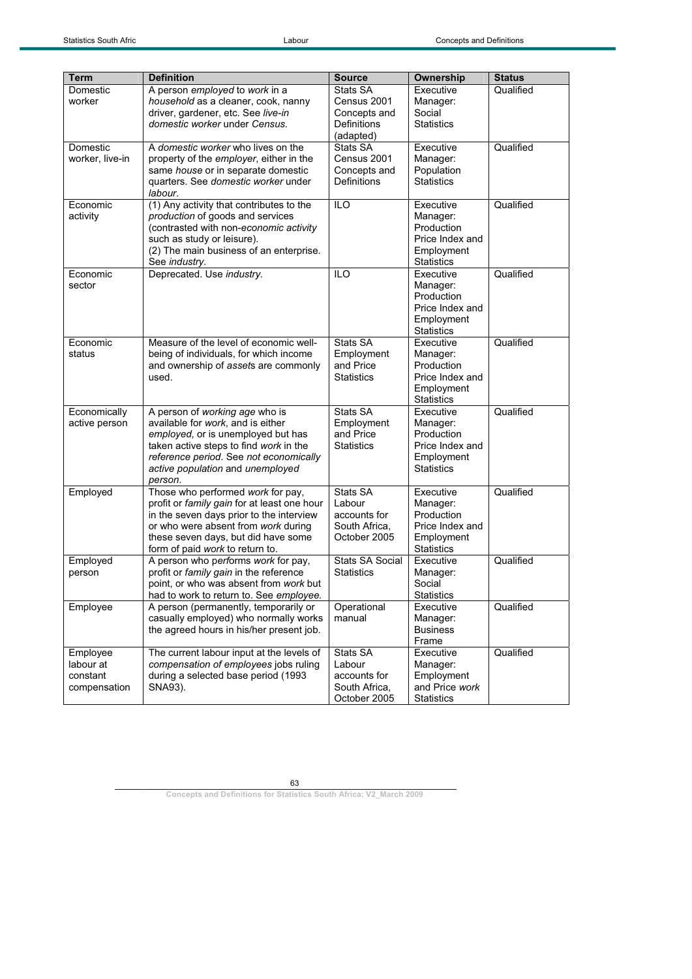| <b>Term</b>     | <b>Definition</b>                                                             | <b>Source</b>                               | Ownership                       | <b>Status</b> |
|-----------------|-------------------------------------------------------------------------------|---------------------------------------------|---------------------------------|---------------|
| Domestic        | A person employed to work in a                                                | Stats SA                                    | Executive                       | Qualified     |
| worker          | household as a cleaner, cook, nanny                                           | Census 2001                                 | Manager:                        |               |
|                 | driver, gardener, etc. See live-in                                            | Concepts and                                | Social                          |               |
|                 | domestic worker under Census.                                                 | Definitions                                 | <b>Statistics</b>               |               |
|                 |                                                                               | (adapted)                                   |                                 |               |
| Domestic        | A domestic worker who lives on the                                            | Stats SA                                    | Executive                       | Qualified     |
| worker, live-in | property of the <i>employer</i> , either in the                               | Census 2001                                 | Manager:                        |               |
|                 | same house or in separate domestic                                            | Concepts and                                | Population                      |               |
|                 | quarters. See domestic worker under                                           | Definitions                                 | <b>Statistics</b>               |               |
|                 | labour.                                                                       |                                             |                                 |               |
| Economic        | (1) Any activity that contributes to the                                      | ILO                                         | Executive                       | Qualified     |
| activity        | production of goods and services                                              |                                             | Manager:                        |               |
|                 | (contrasted with non-economic activity                                        |                                             | Production                      |               |
|                 | such as study or leisure).                                                    |                                             | Price Index and                 |               |
|                 | (2) The main business of an enterprise.                                       |                                             | Employment<br><b>Statistics</b> |               |
| Economic        | See industry.<br>Deprecated. Use industry.                                    | <b>ILO</b>                                  | Executive                       | Qualified     |
| sector          |                                                                               |                                             | Manager:                        |               |
|                 |                                                                               |                                             | Production                      |               |
|                 |                                                                               |                                             | Price Index and                 |               |
|                 |                                                                               |                                             | Employment                      |               |
|                 |                                                                               |                                             | <b>Statistics</b>               |               |
| Economic        | Measure of the level of economic well-                                        | Stats SA                                    | Executive                       | Qualified     |
| status          | being of individuals, for which income                                        | Employment                                  | Manager:                        |               |
|                 | and ownership of assets are commonly                                          | and Price                                   | Production                      |               |
|                 | used.                                                                         | <b>Statistics</b>                           | Price Index and                 |               |
|                 |                                                                               |                                             | Employment                      |               |
|                 |                                                                               |                                             | <b>Statistics</b>               |               |
| Economically    | A person of working age who is                                                | Stats SA                                    | Executive                       | Qualified     |
| active person   | available for work, and is either<br>employed, or is unemployed but has       | Employment<br>and Price                     | Manager:<br>Production          |               |
|                 | taken active steps to find work in the                                        | <b>Statistics</b>                           | Price Index and                 |               |
|                 | reference period. See not economically                                        |                                             | Employment                      |               |
|                 | active population and unemployed                                              |                                             | <b>Statistics</b>               |               |
|                 | person.                                                                       |                                             |                                 |               |
| Employed        | Those who performed work for pay,                                             | Stats SA                                    | Executive                       | Qualified     |
|                 | profit or family gain for at least one hour                                   | Labour                                      | Manager:                        |               |
|                 | in the seven days prior to the interview                                      | accounts for                                | Production                      |               |
|                 | or who were absent from work during                                           | South Africa,                               | Price Index and                 |               |
|                 | these seven days, but did have some                                           | October 2005                                | Employment                      |               |
|                 | form of paid work to return to.                                               |                                             | <b>Statistics</b>               |               |
| Employed        | A person who performs work for pay,<br>profit or family gain in the reference | <b>Stats SA Social</b><br><b>Statistics</b> | Executive                       | Qualified     |
| person          | point, or who was absent from work but                                        |                                             | Manager:<br>Social              |               |
|                 | had to work to return to. See employee.                                       |                                             | <b>Statistics</b>               |               |
| Employee        | A person (permanently, temporarily or                                         | Operational                                 | Executive                       | Qualified     |
|                 | casually employed) who normally works                                         | manual                                      | Manager:                        |               |
|                 | the agreed hours in his/her present job.                                      |                                             | <b>Business</b>                 |               |
|                 |                                                                               |                                             | Frame                           |               |
| Employee        | The current labour input at the levels of                                     | Stats SA                                    | Executive                       | Qualified     |
| labour at       | compensation of employees jobs ruling                                         | Labour                                      | Manager:                        |               |
| constant        | during a selected base period (1993                                           | accounts for                                | Employment                      |               |
| compensation    | SNA93).                                                                       | South Africa,                               | and Price work                  |               |
|                 |                                                                               | October 2005                                | <b>Statistics</b>               |               |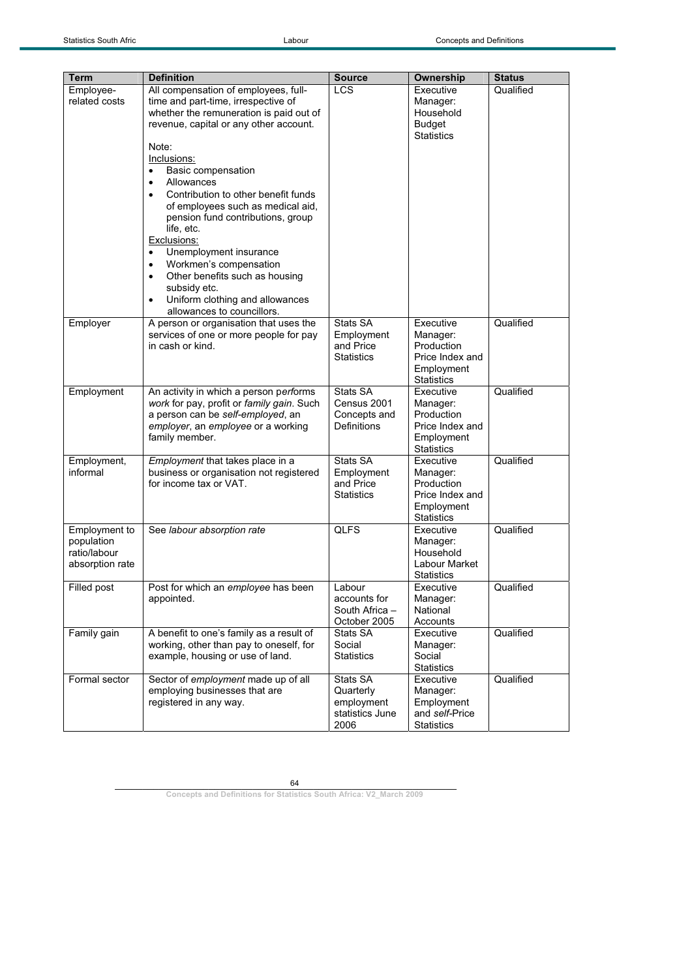|                                                                |                                                                                                                                                                                                                                                                                                                                                         | <b>Source</b>                                                  |                                                                                           |                            |
|----------------------------------------------------------------|---------------------------------------------------------------------------------------------------------------------------------------------------------------------------------------------------------------------------------------------------------------------------------------------------------------------------------------------------------|----------------------------------------------------------------|-------------------------------------------------------------------------------------------|----------------------------|
| Term<br>Employee-<br>related costs                             | <b>Definition</b><br>All compensation of employees, full-<br>time and part-time, irrespective of<br>whether the remuneration is paid out of<br>revenue, capital or any other account.<br>Note:<br>Inclusions:<br>Basic compensation<br>Allowances<br>$\bullet$<br>Contribution to other benefit funds<br>$\bullet$<br>of employees such as medical aid, | <b>LCS</b>                                                     | Ownership<br>Executive<br>Manager:<br>Household<br><b>Budget</b><br><b>Statistics</b>     | <b>Status</b><br>Qualified |
|                                                                | pension fund contributions, group<br>life, etc.<br>Exclusions:<br>Unemployment insurance<br>Workmen's compensation<br>$\bullet$<br>Other benefits such as housing<br>$\bullet$<br>subsidy etc.<br>Uniform clothing and allowances<br>$\bullet$<br>allowances to councillors.                                                                            |                                                                |                                                                                           |                            |
| Employer                                                       | A person or organisation that uses the<br>services of one or more people for pay<br>in cash or kind.                                                                                                                                                                                                                                                    | Stats SA<br>Employment<br>and Price<br><b>Statistics</b>       | Executive<br>Manager:<br>Production<br>Price Index and<br>Employment<br><b>Statistics</b> | Qualified                  |
| Employment                                                     | An activity in which a person performs<br>work for pay, profit or family gain. Such<br>a person can be self-employed, an<br>employer, an employee or a working<br>family member.                                                                                                                                                                        | Stats SA<br>Census 2001<br>Concepts and<br>Definitions         | Executive<br>Manager:<br>Production<br>Price Index and<br>Employment<br><b>Statistics</b> | Qualified                  |
| Employment,<br>informal                                        | Employment that takes place in a<br>business or organisation not registered<br>for income tax or VAT.                                                                                                                                                                                                                                                   | Stats SA<br>Employment<br>and Price<br><b>Statistics</b>       | Executive<br>Manager:<br>Production<br>Price Index and<br>Employment<br><b>Statistics</b> | Qualified                  |
| Employment to<br>population<br>ratio/labour<br>absorption rate | See labour absorption rate                                                                                                                                                                                                                                                                                                                              | <b>QLFS</b>                                                    | Executive<br>Manager:<br>Household<br>Labour Market<br>Statistics                         | Qualified                  |
| Filled post                                                    | Post for which an employee has been<br>appointed.                                                                                                                                                                                                                                                                                                       | Labour<br>accounts for<br>South Africa -<br>October 2005       | Executive<br>Manager:<br>National<br>Accounts                                             | Qualified                  |
| Family gain                                                    | A benefit to one's family as a result of<br>working, other than pay to oneself, for<br>example, housing or use of land.                                                                                                                                                                                                                                 | Stats SA<br>Social<br>Statistics                               | Executive<br>Manager:<br>Social<br><b>Statistics</b>                                      | Qualified                  |
| Formal sector                                                  | Sector of employment made up of all<br>employing businesses that are<br>registered in any way.                                                                                                                                                                                                                                                          | Stats SA<br>Quarterly<br>employment<br>statistics June<br>2006 | Executive<br>Manager:<br>Employment<br>and self-Price<br><b>Statistics</b>                | Qualified                  |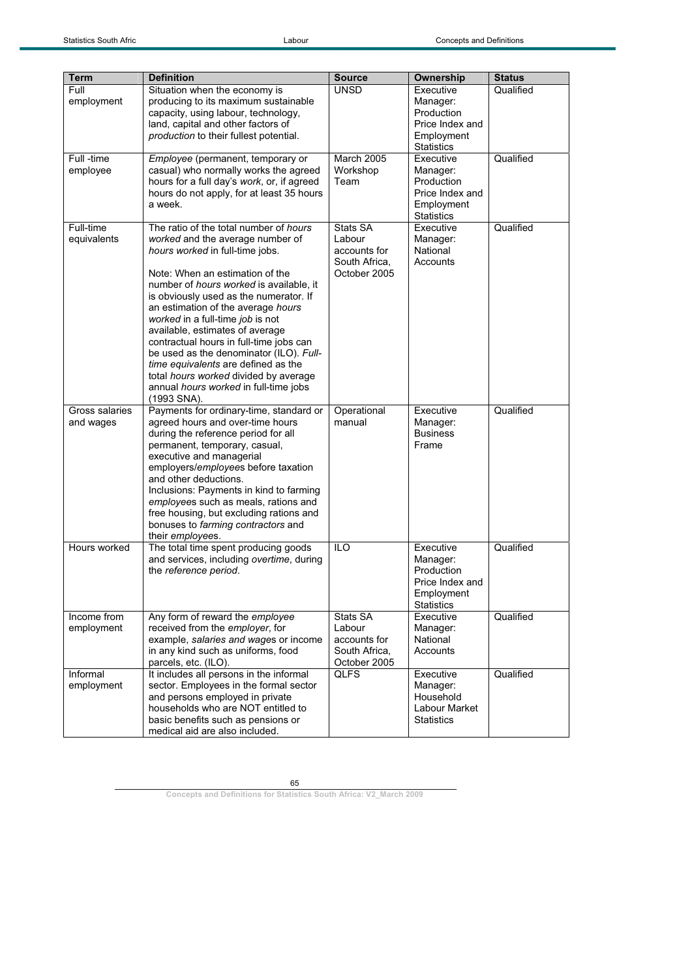| <b>Term</b>                 | <b>Definition</b>                                                                                                                                                                                                                                                                                                                                                                                                                                                                                                                                                                       | <b>Source</b>                                                       | <b>Ownership</b>                                                                          | <b>Status</b> |
|-----------------------------|-----------------------------------------------------------------------------------------------------------------------------------------------------------------------------------------------------------------------------------------------------------------------------------------------------------------------------------------------------------------------------------------------------------------------------------------------------------------------------------------------------------------------------------------------------------------------------------------|---------------------------------------------------------------------|-------------------------------------------------------------------------------------------|---------------|
| Full<br>employment          | Situation when the economy is<br>producing to its maximum sustainable<br>capacity, using labour, technology,<br>land, capital and other factors of<br>production to their fullest potential.                                                                                                                                                                                                                                                                                                                                                                                            | <b>UNSD</b>                                                         | Executive<br>Manager:<br>Production<br>Price Index and<br>Employment<br><b>Statistics</b> | Qualified     |
| Full -time<br>employee      | Employee (permanent, temporary or<br>casual) who normally works the agreed<br>hours for a full day's work, or, if agreed<br>hours do not apply, for at least 35 hours<br>a week.                                                                                                                                                                                                                                                                                                                                                                                                        | March 2005<br>Workshop<br>Team                                      | Executive<br>Manager:<br>Production<br>Price Index and<br>Employment<br><b>Statistics</b> | Qualified     |
| Full-time<br>equivalents    | The ratio of the total number of hours<br>worked and the average number of<br>hours worked in full-time jobs.<br>Note: When an estimation of the<br>number of <i>hours</i> worked is available, it<br>is obviously used as the numerator. If<br>an estimation of the average hours<br>worked in a full-time job is not<br>available, estimates of average<br>contractual hours in full-time jobs can<br>be used as the denominator (ILO). Full-<br>time equivalents are defined as the<br>total hours worked divided by average<br>annual hours worked in full-time jobs<br>(1993 SNA). | Stats SA<br>Labour<br>accounts for<br>South Africa,<br>October 2005 | Executive<br>Manager:<br>National<br>Accounts                                             | Qualified     |
| Gross salaries<br>and wages | Payments for ordinary-time, standard or<br>agreed hours and over-time hours<br>during the reference period for all<br>permanent, temporary, casual,<br>executive and managerial<br>employers/employees before taxation<br>and other deductions.<br>Inclusions: Payments in kind to farming<br>employees such as meals, rations and<br>free housing, but excluding rations and<br>bonuses to farming contractors and<br>their employees.                                                                                                                                                 | Operational<br>manual                                               | Executive<br>Manager:<br><b>Business</b><br>Frame                                         | Qualified     |
| Hours worked                | The total time spent producing goods<br>and services, including overtime, during<br>the reference period.                                                                                                                                                                                                                                                                                                                                                                                                                                                                               | <b>ILO</b>                                                          | Executive<br>Manager:<br>Production<br>Price Index and<br>Employment<br><b>Statistics</b> | Qualified     |
| Income from<br>employment   | Any form of reward the employee<br>received from the employer, for<br>example, salaries and wages or income<br>in any kind such as uniforms, food<br>parcels, etc. (ILO).                                                                                                                                                                                                                                                                                                                                                                                                               | Stats SA<br>Labour<br>accounts for<br>South Africa,<br>October 2005 | Executive<br>Manager:<br>National<br>Accounts                                             | Qualified     |
| Informal<br>employment      | It includes all persons in the informal<br>sector. Employees in the formal sector<br>and persons employed in private<br>households who are NOT entitled to<br>basic benefits such as pensions or<br>medical aid are also included.                                                                                                                                                                                                                                                                                                                                                      | <b>QLFS</b>                                                         | Executive<br>Manager:<br>Household<br>Labour Market<br><b>Statistics</b>                  | Qualified     |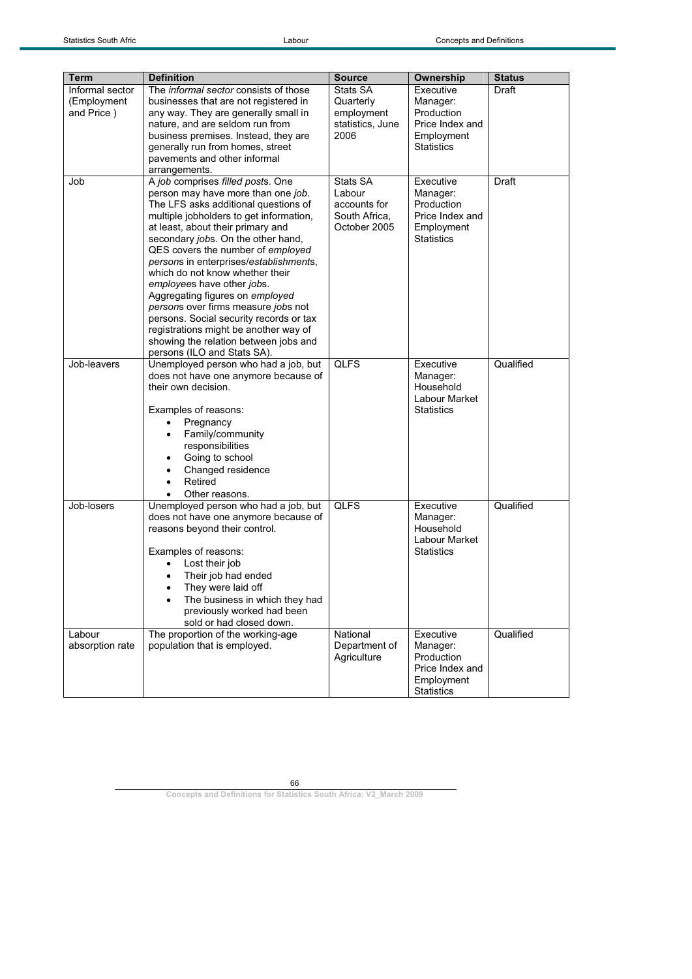| Term            | <b>Definition</b>                           | <b>Source</b>    | Ownership                     | <b>Status</b> |
|-----------------|---------------------------------------------|------------------|-------------------------------|---------------|
| Informal sector | The informal sector consists of those       | Stats SA         | Executive                     | Draft         |
| (Employment     | businesses that are not registered in       | Quarterly        | Manager:                      |               |
| and Price)      | any way. They are generally small in        | employment       | Production                    |               |
|                 | nature, and are seldom run from             | statistics, June | Price Index and               |               |
|                 | business premises. Instead, they are        | 2006             | Employment                    |               |
|                 | generally run from homes, street            |                  | <b>Statistics</b>             |               |
|                 | pavements and other informal                |                  |                               |               |
|                 | arrangements.                               |                  |                               |               |
| Job             | A job comprises filled posts. One           | Stats SA         | Executive                     | Draft         |
|                 | person may have more than one job.          | Labour           | Manager:                      |               |
|                 | The LFS asks additional questions of        | accounts for     | Production                    |               |
|                 | multiple jobholders to get information,     | South Africa,    | Price Index and               |               |
|                 | at least, about their primary and           | October 2005     | Employment                    |               |
|                 | secondary jobs. On the other hand,          |                  | <b>Statistics</b>             |               |
|                 | QES covers the number of employed           |                  |                               |               |
|                 | persons in enterprises/establishments,      |                  |                               |               |
|                 | which do not know whether their             |                  |                               |               |
|                 | employees have other jobs.                  |                  |                               |               |
|                 | Aggregating figures on employed             |                  |                               |               |
|                 | persons over firms measure jobs not         |                  |                               |               |
|                 | persons. Social security records or tax     |                  |                               |               |
|                 | registrations might be another way of       |                  |                               |               |
|                 | showing the relation between jobs and       |                  |                               |               |
|                 | persons (ILO and Stats SA).                 |                  |                               |               |
| Job-leavers     | Unemployed person who had a job, but        | <b>QLFS</b>      | Executive                     | Qualified     |
|                 | does not have one anymore because of        |                  | Manager:                      |               |
|                 | their own decision.                         |                  | Household                     |               |
|                 |                                             |                  | Labour Market                 |               |
|                 | Examples of reasons:                        |                  | <b>Statistics</b>             |               |
|                 | Pregnancy<br>٠                              |                  |                               |               |
|                 | Family/community                            |                  |                               |               |
|                 | responsibilities                            |                  |                               |               |
|                 | Going to school<br>٠                        |                  |                               |               |
|                 | Changed residence<br>٠                      |                  |                               |               |
|                 | Retired                                     |                  |                               |               |
|                 | Other reasons.                              |                  |                               |               |
| Job-losers      | Unemployed person who had a job, but        | <b>QLFS</b>      | Executive                     | Qualified     |
|                 | does not have one anymore because of        |                  | Manager:                      |               |
|                 | reasons beyond their control.               |                  | Household                     |               |
|                 |                                             |                  | Labour Market                 |               |
|                 | Examples of reasons:                        |                  | <b>Statistics</b>             |               |
|                 | Lost their job<br>$\bullet$                 |                  |                               |               |
|                 | Their job had ended<br>$\bullet$            |                  |                               |               |
|                 | They were laid off                          |                  |                               |               |
|                 | The business in which they had<br>$\bullet$ |                  |                               |               |
|                 | previously worked had been                  |                  |                               |               |
|                 | sold or had closed down.                    |                  |                               |               |
| Labour          | The proportion of the working-age           | National         | Executive                     | Qualified     |
| absorption rate | population that is employed.                | Department of    | Manager:                      |               |
|                 |                                             | Agriculture      | Production                    |               |
|                 |                                             |                  | Price Index and<br>Employment |               |
|                 |                                             |                  | <b>Statistics</b>             |               |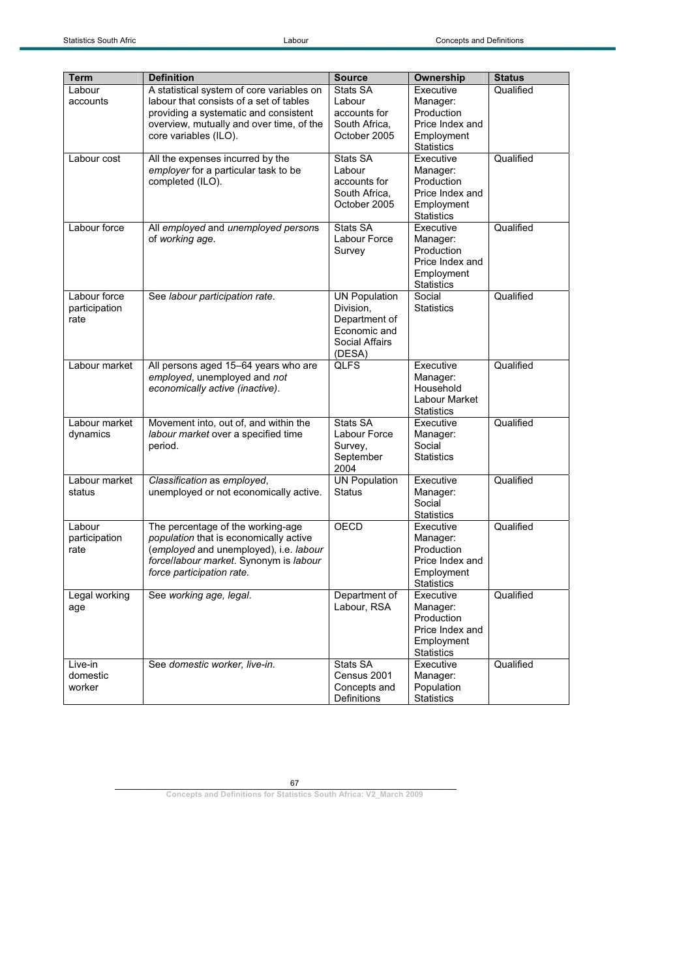| <b>Term</b>   | <b>Definition</b>                         | <b>Source</b>                 | Ownership                       | <b>Status</b> |
|---------------|-------------------------------------------|-------------------------------|---------------------------------|---------------|
| Labour        | A statistical system of core variables on | Stats SA                      | Executive                       | Qualified     |
| accounts      | labour that consists of a set of tables   | Labour                        | Manager:                        |               |
|               | providing a systematic and consistent     | accounts for                  | Production                      |               |
|               | overview, mutually and over time, of the  | South Africa,                 | Price Index and                 |               |
|               | core variables (ILO).                     | October 2005                  | Employment                      |               |
|               |                                           |                               | <b>Statistics</b>               |               |
| Labour cost   | All the expenses incurred by the          | Stats SA                      | Executive                       | Qualified     |
|               | employer for a particular task to be      | Labour                        | Manager:                        |               |
|               | completed (ILO).                          | accounts for                  | Production                      |               |
|               |                                           | South Africa,                 | Price Index and                 |               |
|               |                                           | October 2005                  | Employment                      |               |
|               |                                           |                               | <b>Statistics</b>               |               |
| Labour force  | All employed and unemployed persons       | Stats SA                      | Executive                       | Qualified     |
|               | of working age.                           | Labour Force                  | Manager:                        |               |
|               |                                           | Survey                        | Production                      |               |
|               |                                           |                               | Price Index and                 |               |
|               |                                           |                               | Employment                      |               |
|               |                                           |                               | <b>Statistics</b>               |               |
| Labour force  | See labour participation rate.            | <b>UN Population</b>          | Social                          | Qualified     |
| participation |                                           | Division.                     | <b>Statistics</b>               |               |
| rate          |                                           | Department of<br>Economic and |                                 |               |
|               |                                           | Social Affairs                |                                 |               |
|               |                                           | (DESA)                        |                                 |               |
| Labour market | All persons aged 15-64 years who are      | <b>QLFS</b>                   | Executive                       | Qualified     |
|               | employed, unemployed and not              |                               | Manager:                        |               |
|               | economically active (inactive).           |                               | Household                       |               |
|               |                                           |                               | Labour Market                   |               |
|               |                                           |                               | <b>Statistics</b>               |               |
| Labour market | Movement into, out of, and within the     | Stats SA                      | Executive                       | Qualified     |
| dynamics      | labour market over a specified time       | Labour Force                  | Manager:                        |               |
|               | period.                                   | Survey,                       | Social                          |               |
|               |                                           | September                     | <b>Statistics</b>               |               |
| Labour market | Classification as employed,               | 2004<br><b>UN Population</b>  | Executive                       | Qualified     |
| status        | unemployed or not economically active.    | <b>Status</b>                 | Manager:                        |               |
|               |                                           |                               | Social                          |               |
|               |                                           |                               | <b>Statistics</b>               |               |
| Labour        | The percentage of the working-age         | OECD                          | Executive                       | Qualified     |
| participation | population that is economically active    |                               | Manager:                        |               |
| rate          | (employed and unemployed), i.e. labour    |                               | Production                      |               |
|               | forcellabour market. Synonym is labour    |                               | Price Index and                 |               |
|               | force participation rate.                 |                               | Employment                      |               |
|               |                                           |                               | Statistics                      |               |
| Legal working | See working age, legal.                   | Department of                 | Executive                       | Qualified     |
| age           |                                           | Labour, RSA                   | Manager:                        |               |
|               |                                           |                               | Production                      |               |
|               |                                           |                               | Price Index and                 |               |
|               |                                           |                               | Employment<br><b>Statistics</b> |               |
| Live-in       | See domestic worker, live-in.             | <b>Stats SA</b>               | Executive                       | Qualified     |
| domestic      |                                           | Census 2001                   | Manager:                        |               |
| worker        |                                           | Concepts and                  | Population                      |               |
|               |                                           | Definitions                   | <b>Statistics</b>               |               |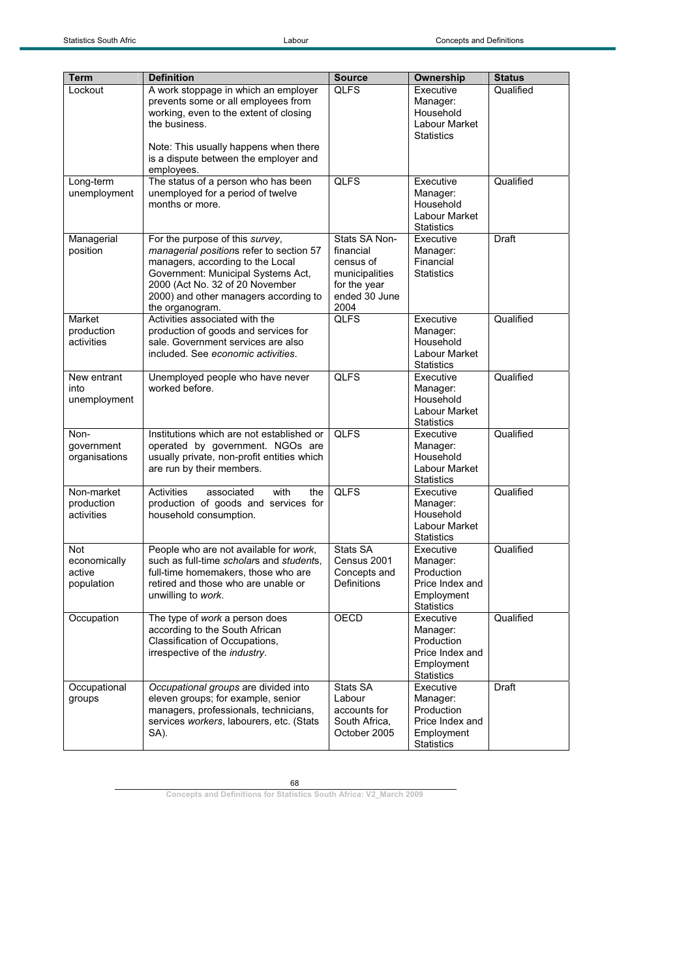| <b>Term</b>                                 | <b>Definition</b>                                                                                                                                                                                                                                    | <b>Source</b>                                                                                      | <b>Ownership</b>                                                                          | <b>Status</b> |
|---------------------------------------------|------------------------------------------------------------------------------------------------------------------------------------------------------------------------------------------------------------------------------------------------------|----------------------------------------------------------------------------------------------------|-------------------------------------------------------------------------------------------|---------------|
| Lockout                                     | A work stoppage in which an employer<br>prevents some or all employees from<br>working, even to the extent of closing<br>the business.<br>Note: This usually happens when there<br>is a dispute between the employer and<br>employees.               | <b>QLFS</b>                                                                                        | Executive<br>Manager:<br>Household<br>Labour Market<br><b>Statistics</b>                  | Qualified     |
| Long-term<br>unemployment                   | The status of a person who has been<br>unemployed for a period of twelve<br>months or more.                                                                                                                                                          | <b>QLFS</b>                                                                                        | Executive<br>Manager:<br>Household<br>Labour Market<br><b>Statistics</b>                  | Qualified     |
| Managerial<br>position                      | For the purpose of this survey,<br>managerial positions refer to section 57<br>managers, according to the Local<br>Government: Municipal Systems Act,<br>2000 (Act No. 32 of 20 November<br>2000) and other managers according to<br>the organogram. | Stats SA Non-<br>financial<br>census of<br>municipalities<br>for the year<br>ended 30 June<br>2004 | Executive<br>Manager:<br>Financial<br><b>Statistics</b>                                   | <b>Draft</b>  |
| Market<br>production<br>activities          | Activities associated with the<br>production of goods and services for<br>sale. Government services are also<br>included. See economic activities.                                                                                                   | <b>QLFS</b>                                                                                        | Executive<br>Manager:<br>Household<br>Labour Market<br><b>Statistics</b>                  | Qualified     |
| New entrant<br>into<br>unemployment         | Unemployed people who have never<br>worked before.                                                                                                                                                                                                   | <b>QLFS</b>                                                                                        | Executive<br>Manager:<br>Household<br>Labour Market<br><b>Statistics</b>                  | Qualified     |
| Non-<br>government<br>organisations         | Institutions which are not established or<br>operated by government. NGOs are<br>usually private, non-profit entities which<br>are run by their members.                                                                                             | <b>QLFS</b>                                                                                        | Executive<br>Manager:<br>Household<br>Labour Market<br><b>Statistics</b>                  | Qualified     |
| Non-market<br>production<br>activities      | <b>Activities</b><br>associated<br>with<br>the<br>production of goods and services for<br>household consumption.                                                                                                                                     | <b>QLFS</b>                                                                                        | Executive<br>Manager:<br>Household<br>Labour Market<br><b>Statistics</b>                  | Qualified     |
| Not<br>economically<br>active<br>population | People who are not available for work,<br>such as full-time scholars and students.<br>full-time homemakers, those who are<br>retired and those who are unable or<br>unwilling to work.                                                               | Stats SA<br>Census 2001<br>Concepts and<br>Definitions                                             | Executive<br>Manager:<br>Production<br>Price Index and<br>Employment<br><b>Statistics</b> | Qualified     |
| Occupation                                  | The type of work a person does<br>according to the South African<br>Classification of Occupations,<br>irrespective of the industry.                                                                                                                  | OECD                                                                                               | Executive<br>Manager:<br>Production<br>Price Index and<br>Employment<br><b>Statistics</b> | Qualified     |
| Occupational<br>groups                      | Occupational groups are divided into<br>eleven groups; for example, senior<br>managers, professionals, technicians,<br>services workers, labourers, etc. (Stats<br>SA).                                                                              | Stats SA<br>Labour<br>accounts for<br>South Africa,<br>October 2005                                | Executive<br>Manager:<br>Production<br>Price Index and<br>Employment<br><b>Statistics</b> | Draft         |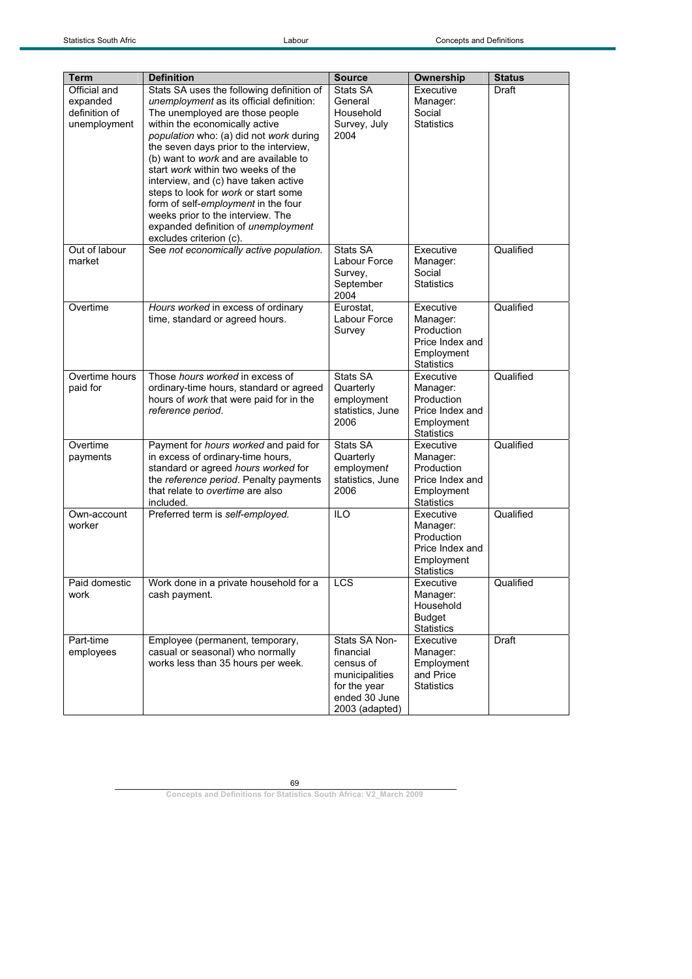| Term                  | <b>Definition</b>                         | <b>Source</b>    | Ownership             | <b>Status</b> |
|-----------------------|-------------------------------------------|------------------|-----------------------|---------------|
| Official and          | Stats SA uses the following definition of | Stats SA         | Executive             | Draft         |
| expanded              | unemployment as its official definition:  | General          | Manager:              |               |
| definition of         | The unemployed are those people           | Household        | Social                |               |
|                       |                                           | Survey, July     | <b>Statistics</b>     |               |
| unemployment          | within the economically active            |                  |                       |               |
|                       | population who: (a) did not work during   | 2004             |                       |               |
|                       | the seven days prior to the interview,    |                  |                       |               |
|                       | (b) want to work and are available to     |                  |                       |               |
|                       | start work within two weeks of the        |                  |                       |               |
|                       | interview, and (c) have taken active      |                  |                       |               |
|                       | steps to look for work or start some      |                  |                       |               |
|                       | form of self-employment in the four       |                  |                       |               |
|                       | weeks prior to the interview. The         |                  |                       |               |
|                       | expanded definition of unemployment       |                  |                       |               |
|                       | excludes criterion (c).                   |                  |                       |               |
| Out of labour         | See not economically active population.   | Stats SA         | Executive             | Qualified     |
| market                |                                           | Labour Force     | Manager:              |               |
|                       |                                           | Survey,          | Social                |               |
|                       |                                           | September        | <b>Statistics</b>     |               |
|                       |                                           | 2004             |                       |               |
| Overtime              | Hours worked in excess of ordinary        | Eurostat.        | Executive             | Qualified     |
|                       | time, standard or agreed hours.           | Labour Force     | Manager:              |               |
|                       |                                           | Survey           | Production            |               |
|                       |                                           |                  | Price Index and       |               |
|                       |                                           |                  | Employment            |               |
|                       |                                           |                  | <b>Statistics</b>     |               |
| Overtime hours        | Those hours worked in excess of           | Stats SA         | Executive             | Qualified     |
| paid for              | ordinary-time hours, standard or agreed   | Quarterly        | Manager:              |               |
|                       | hours of work that were paid for in the   | employment       | Production            |               |
|                       | reference period.                         | statistics, June | Price Index and       |               |
|                       |                                           | 2006             | Employment            |               |
|                       |                                           |                  | <b>Statistics</b>     |               |
| Overtime              | Payment for hours worked and paid for     | Stats SA         | Executive             | Qualified     |
| payments              | in excess of ordinary-time hours,         | Quarterly        | Manager:              |               |
|                       | standard or agreed hours worked for       | employment       | Production            |               |
|                       | the reference period. Penalty payments    | statistics, June | Price Index and       |               |
|                       | that relate to overtime are also          | 2006             | Employment            |               |
|                       | included.                                 |                  | <b>Statistics</b>     |               |
| Own-account           | Preferred term is self-employed.          | <b>ILO</b>       | Executive             | Qualified     |
| worker                |                                           |                  | Manager:              |               |
|                       |                                           |                  | Production            |               |
|                       |                                           |                  | Price Index and       |               |
|                       |                                           |                  | Employment            |               |
|                       | Work done in a private household for a    | $\mathsf{CS}$    | <b>Statistics</b>     | Qualified     |
| Paid domestic<br>work | cash payment.                             |                  | Executive<br>Manager: |               |
|                       |                                           |                  | Household             |               |
|                       |                                           |                  | <b>Budget</b>         |               |
|                       |                                           |                  | <b>Statistics</b>     |               |
| Part-time             | Employee (permanent, temporary,           | Stats SA Non-    | Executive             | Draft         |
| employees             | casual or seasonal) who normally          | financial        | Manager:              |               |
|                       | works less than 35 hours per week.        | census of        | Employment            |               |
|                       |                                           | municipalities   | and Price             |               |
|                       |                                           | for the year     | <b>Statistics</b>     |               |
|                       |                                           | ended 30 June    |                       |               |
|                       |                                           | 2003 (adapted)   |                       |               |
|                       |                                           |                  |                       |               |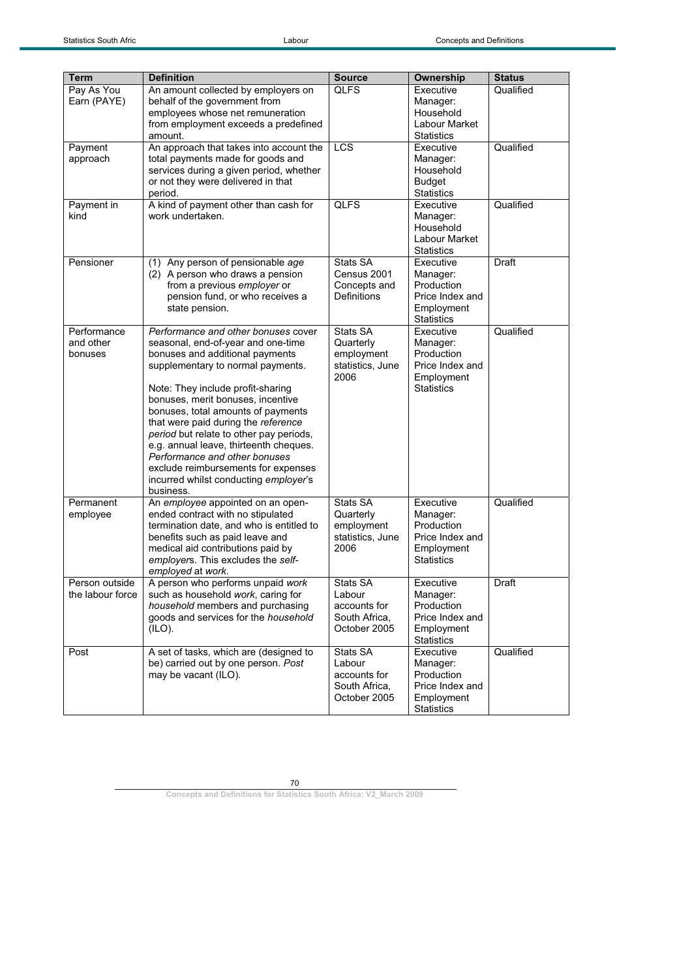| Term                                | <b>Definition</b>                                                                                                                                                                                                                                                                                                                                                                                                                                                                                                           | <b>Source</b>                                                       | <b>Ownership</b>                                                                          | <b>Status</b> |
|-------------------------------------|-----------------------------------------------------------------------------------------------------------------------------------------------------------------------------------------------------------------------------------------------------------------------------------------------------------------------------------------------------------------------------------------------------------------------------------------------------------------------------------------------------------------------------|---------------------------------------------------------------------|-------------------------------------------------------------------------------------------|---------------|
| Pay As You<br>Earn (PAYE)           | An amount collected by employers on<br>behalf of the government from<br>employees whose net remuneration<br>from employment exceeds a predefined<br>amount.                                                                                                                                                                                                                                                                                                                                                                 | <b>QLFS</b>                                                         | Executive<br>Manager:<br>Household<br>Labour Market<br><b>Statistics</b>                  | Qualified     |
| Payment<br>approach                 | An approach that takes into account the<br>total payments made for goods and<br>services during a given period, whether<br>or not they were delivered in that<br>period.                                                                                                                                                                                                                                                                                                                                                    | LCS                                                                 | Executive<br>Manager:<br>Household<br><b>Budget</b><br><b>Statistics</b>                  | Qualified     |
| Payment in<br>kind                  | A kind of payment other than cash for<br>work undertaken.                                                                                                                                                                                                                                                                                                                                                                                                                                                                   | <b>QLFS</b>                                                         | Executive<br>Manager:<br>Household<br>Labour Market<br><b>Statistics</b>                  | Qualified     |
| Pensioner                           | (1) Any person of pensionable age<br>(2) A person who draws a pension<br>from a previous employer or<br>pension fund, or who receives a<br>state pension.                                                                                                                                                                                                                                                                                                                                                                   | Stats SA<br>Census 2001<br>Concepts and<br>Definitions              | Executive<br>Manager:<br>Production<br>Price Index and<br>Employment<br><b>Statistics</b> | Draft         |
| Performance<br>and other<br>bonuses | Performance and other bonuses cover<br>seasonal, end-of-year and one-time<br>bonuses and additional payments<br>supplementary to normal payments.<br>Note: They include profit-sharing<br>bonuses, merit bonuses, incentive<br>bonuses, total amounts of payments<br>that were paid during the reference<br>period but relate to other pay periods,<br>e.g. annual leave, thirteenth cheques.<br>Performance and other bonuses<br>exclude reimbursements for expenses<br>incurred whilst conducting employer's<br>business. | Stats SA<br>Quarterly<br>employment<br>statistics, June<br>2006     | Executive<br>Manager:<br>Production<br>Price Index and<br>Employment<br><b>Statistics</b> | Qualified     |
| Permanent<br>employee               | An employee appointed on an open-<br>ended contract with no stipulated<br>termination date, and who is entitled to<br>benefits such as paid leave and<br>medical aid contributions paid by<br>employers. This excludes the self-<br>employed at work.                                                                                                                                                                                                                                                                       | Stats SA<br>Quarterly<br>employment<br>statistics, June<br>2006     | Executive<br>Manager:<br>Production<br>Price Index and<br>Employment<br><b>Statistics</b> | Qualified     |
| Person outside<br>the labour force  | A person who performs unpaid work<br>such as household work, caring for<br>household members and purchasing<br>goods and services for the household<br>(ILO).                                                                                                                                                                                                                                                                                                                                                               | Stats SA<br>Labour<br>accounts for<br>South Africa,<br>October 2005 | Executive<br>Manager:<br>Production<br>Price Index and<br>Employment<br><b>Statistics</b> | Draft         |
| Post                                | A set of tasks, which are (designed to<br>be) carried out by one person. Post<br>may be vacant (ILO).                                                                                                                                                                                                                                                                                                                                                                                                                       | Stats SA<br>Labour<br>accounts for<br>South Africa,<br>October 2005 | Executive<br>Manager:<br>Production<br>Price Index and<br>Employment<br><b>Statistics</b> | Qualified     |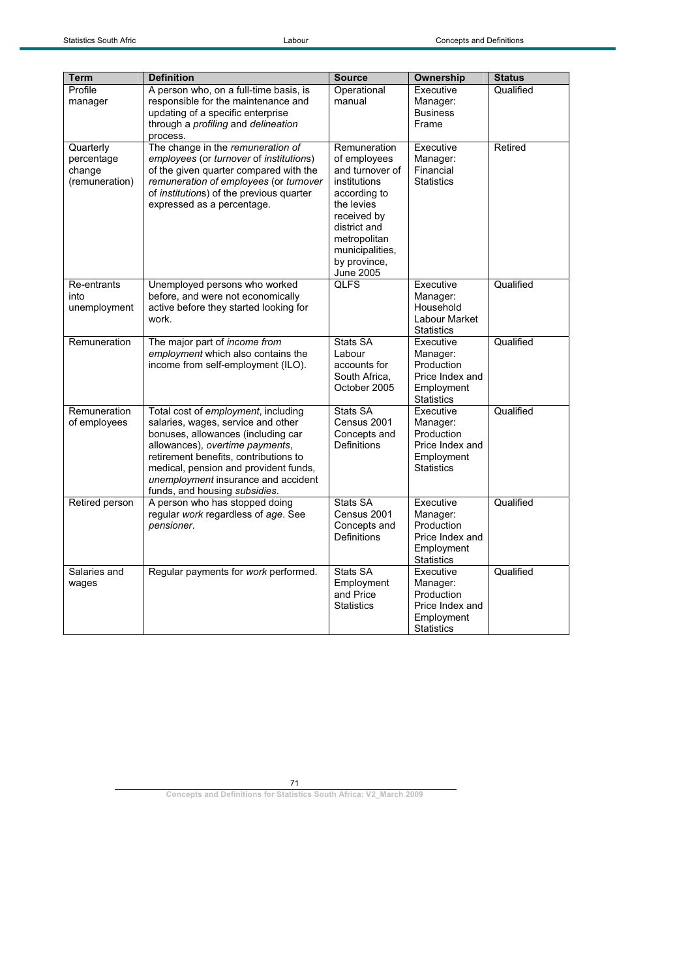| <b>Term</b>                                         | <b>Definition</b>                                                                                                                                                                                                                                                                                            | <b>Source</b>                                                                                                                                                                                       | Ownership                                                                                 | <b>Status</b> |
|-----------------------------------------------------|--------------------------------------------------------------------------------------------------------------------------------------------------------------------------------------------------------------------------------------------------------------------------------------------------------------|-----------------------------------------------------------------------------------------------------------------------------------------------------------------------------------------------------|-------------------------------------------------------------------------------------------|---------------|
| Profile<br>manager                                  | A person who, on a full-time basis, is<br>responsible for the maintenance and<br>updating of a specific enterprise<br>through a profiling and delineation<br>process.                                                                                                                                        | Operational<br>manual                                                                                                                                                                               | Executive<br>Manager:<br><b>Business</b><br>Frame                                         | Qualified     |
| Quarterly<br>percentage<br>change<br>(remuneration) | The change in the remuneration of<br>employees (or turnover of institutions)<br>of the given quarter compared with the<br>remuneration of employees (or turnover<br>of institutions) of the previous quarter<br>expressed as a percentage.                                                                   | Remuneration<br>of employees<br>and turnover of<br>institutions<br>according to<br>the levies<br>received by<br>district and<br>metropolitan<br>municipalities,<br>by province,<br><b>June 2005</b> | Executive<br>Manager:<br>Financial<br><b>Statistics</b>                                   | Retired       |
| Re-entrants<br>into<br>unemployment                 | Unemployed persons who worked<br>before, and were not economically<br>active before they started looking for<br>work.                                                                                                                                                                                        | <b>QLFS</b>                                                                                                                                                                                         | Executive<br>Manager:<br>Household<br>Labour Market<br><b>Statistics</b>                  | Qualified     |
| Remuneration                                        | The major part of income from<br>employment which also contains the<br>income from self-employment (ILO).                                                                                                                                                                                                    | Stats SA<br>Labour<br>accounts for<br>South Africa,<br>October 2005                                                                                                                                 | Executive<br>Manager:<br>Production<br>Price Index and<br>Employment<br><b>Statistics</b> | Qualified     |
| Remuneration<br>of employees                        | Total cost of employment, including<br>salaries, wages, service and other<br>bonuses, allowances (including car<br>allowances), overtime payments,<br>retirement benefits, contributions to<br>medical, pension and provident funds,<br>unemployment insurance and accident<br>funds, and housing subsidies. | Stats SA<br>Census 2001<br>Concepts and<br>Definitions                                                                                                                                              | Executive<br>Manager:<br>Production<br>Price Index and<br>Employment<br><b>Statistics</b> | Qualified     |
| Retired person                                      | A person who has stopped doing<br>regular work regardless of age. See<br>pensioner.                                                                                                                                                                                                                          | Stats SA<br>Census 2001<br>Concepts and<br><b>Definitions</b>                                                                                                                                       | Executive<br>Manager:<br>Production<br>Price Index and<br>Employment<br><b>Statistics</b> | Qualified     |
| Salaries and<br>wages                               | Regular payments for work performed.                                                                                                                                                                                                                                                                         | Stats SA<br>Employment<br>and Price<br><b>Statistics</b>                                                                                                                                            | Executive<br>Manager:<br>Production<br>Price Index and<br>Employment<br><b>Statistics</b> | Qualified     |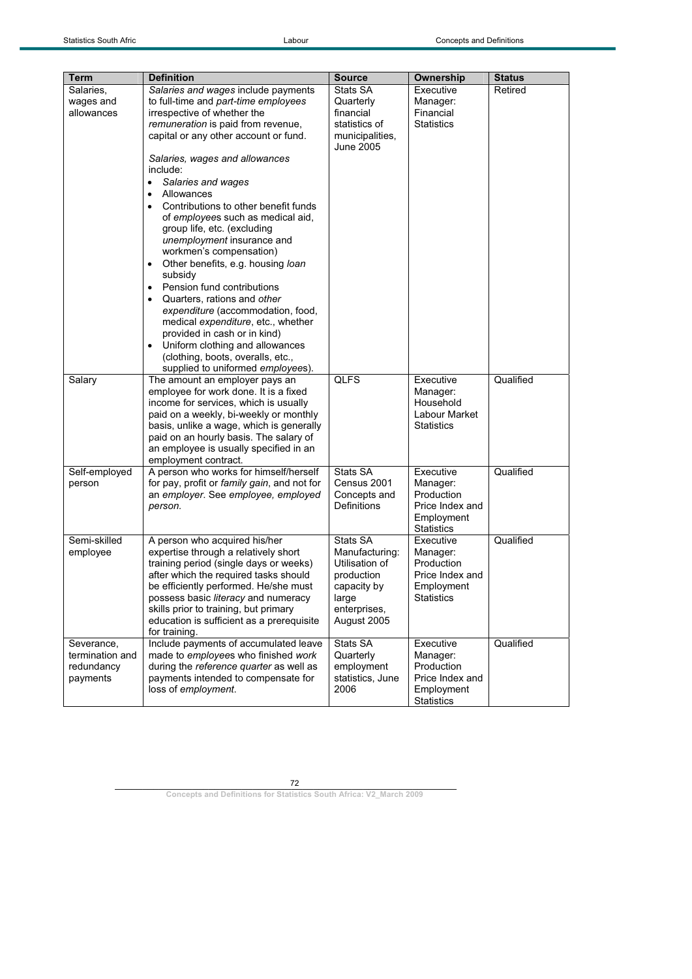| Salaries.<br>Salaries and wages include payments<br>Stats SA<br>Executive<br>Retired<br>to full-time and part-time employees<br>Manager:<br>wages and<br>Quarterly<br>Financial<br>allowances<br>irrespective of whether the<br>financial<br>remuneration is paid from revenue,<br>statistics of<br><b>Statistics</b><br>capital or any other account or fund.<br>municipalities,<br>June 2005<br>Salaries, wages and allowances<br>include:<br>Salaries and wages<br>$\bullet$<br>Allowances<br>$\bullet$<br>Contributions to other benefit funds<br>of employees such as medical aid,<br>group life, etc. (excluding<br>unemployment insurance and<br>workmen's compensation)<br>Other benefits, e.g. housing loan<br>$\bullet$<br>subsidy<br>Pension fund contributions<br>Quarters, rations and other<br>$\bullet$<br>expenditure (accommodation, food,<br>medical expenditure, etc., whether<br>provided in cash or in kind)<br>Uniform clothing and allowances<br>$\bullet$<br>(clothing, boots, overalls, etc.,<br>supplied to uniformed employees).<br><b>QLFS</b><br>Qualified<br>Salary<br>The amount an employer pays an<br>Executive<br>employee for work done. It is a fixed<br>Manager:<br>income for services, which is usually<br>Household<br>Labour Market<br>paid on a weekly, bi-weekly or monthly<br>basis, unlike a wage, which is generally<br><b>Statistics</b><br>paid on an hourly basis. The salary of<br>an employee is usually specified in an<br>employment contract.<br>Stats SA<br>Executive<br>Qualified<br>A person who works for himself/herself<br>Self-employed<br>for pay, profit or family gain, and not for<br>Census 2001<br>Manager:<br>person<br>an employer. See employee, employed<br>Concepts and<br>Production<br><b>Definitions</b><br>Price Index and<br>person.<br>Employment<br><b>Statistics</b><br>Semi-skilled<br>Stats SA<br>Qualified<br>A person who acquired his/her<br>Executive<br>expertise through a relatively short<br>Manufacturing:<br>Manager:<br>employee<br>training period (single days or weeks)<br>Utilisation of<br>Production<br>after which the required tasks should<br>production<br>Price Index and<br>be efficiently performed. He/she must<br>capacity by<br>Employment<br>possess basic literacy and numeracy<br><b>Statistics</b><br>large<br>skills prior to training, but primary<br>enterprises,<br>education is sufficient as a prerequisite<br>August 2005<br>for training.<br>Include payments of accumulated leave<br>Qualified<br>Stats SA<br>Executive<br>Severance,<br>made to employees who finished work<br>termination and<br>Quarterly<br>Manager:<br>during the reference quarter as well as<br>employment<br>Production<br>redundancy<br>payments intended to compensate for<br>Price Index and<br>payments<br>statistics, June<br>loss of employment.<br>2006<br>Employment | <b>Term</b> | <b>Definition</b> | <b>Source</b> |                   |               |
|--------------------------------------------------------------------------------------------------------------------------------------------------------------------------------------------------------------------------------------------------------------------------------------------------------------------------------------------------------------------------------------------------------------------------------------------------------------------------------------------------------------------------------------------------------------------------------------------------------------------------------------------------------------------------------------------------------------------------------------------------------------------------------------------------------------------------------------------------------------------------------------------------------------------------------------------------------------------------------------------------------------------------------------------------------------------------------------------------------------------------------------------------------------------------------------------------------------------------------------------------------------------------------------------------------------------------------------------------------------------------------------------------------------------------------------------------------------------------------------------------------------------------------------------------------------------------------------------------------------------------------------------------------------------------------------------------------------------------------------------------------------------------------------------------------------------------------------------------------------------------------------------------------------------------------------------------------------------------------------------------------------------------------------------------------------------------------------------------------------------------------------------------------------------------------------------------------------------------------------------------------------------------------------------------------------------------------------------------------------------------------------------------------------------------------------------------------------------------------------------------------------------------------------------------------------------------------------------------------------------------------------------------------------------------------------------------------------------------------------------------------------------------------------------------------------------------------------------------------------------------------|-------------|-------------------|---------------|-------------------|---------------|
|                                                                                                                                                                                                                                                                                                                                                                                                                                                                                                                                                                                                                                                                                                                                                                                                                                                                                                                                                                                                                                                                                                                                                                                                                                                                                                                                                                                                                                                                                                                                                                                                                                                                                                                                                                                                                                                                                                                                                                                                                                                                                                                                                                                                                                                                                                                                                                                                                                                                                                                                                                                                                                                                                                                                                                                                                                                                                |             |                   |               | Ownership         | <b>Status</b> |
|                                                                                                                                                                                                                                                                                                                                                                                                                                                                                                                                                                                                                                                                                                                                                                                                                                                                                                                                                                                                                                                                                                                                                                                                                                                                                                                                                                                                                                                                                                                                                                                                                                                                                                                                                                                                                                                                                                                                                                                                                                                                                                                                                                                                                                                                                                                                                                                                                                                                                                                                                                                                                                                                                                                                                                                                                                                                                |             |                   |               |                   |               |
|                                                                                                                                                                                                                                                                                                                                                                                                                                                                                                                                                                                                                                                                                                                                                                                                                                                                                                                                                                                                                                                                                                                                                                                                                                                                                                                                                                                                                                                                                                                                                                                                                                                                                                                                                                                                                                                                                                                                                                                                                                                                                                                                                                                                                                                                                                                                                                                                                                                                                                                                                                                                                                                                                                                                                                                                                                                                                |             |                   |               |                   |               |
|                                                                                                                                                                                                                                                                                                                                                                                                                                                                                                                                                                                                                                                                                                                                                                                                                                                                                                                                                                                                                                                                                                                                                                                                                                                                                                                                                                                                                                                                                                                                                                                                                                                                                                                                                                                                                                                                                                                                                                                                                                                                                                                                                                                                                                                                                                                                                                                                                                                                                                                                                                                                                                                                                                                                                                                                                                                                                |             |                   |               |                   |               |
|                                                                                                                                                                                                                                                                                                                                                                                                                                                                                                                                                                                                                                                                                                                                                                                                                                                                                                                                                                                                                                                                                                                                                                                                                                                                                                                                                                                                                                                                                                                                                                                                                                                                                                                                                                                                                                                                                                                                                                                                                                                                                                                                                                                                                                                                                                                                                                                                                                                                                                                                                                                                                                                                                                                                                                                                                                                                                |             |                   |               |                   |               |
|                                                                                                                                                                                                                                                                                                                                                                                                                                                                                                                                                                                                                                                                                                                                                                                                                                                                                                                                                                                                                                                                                                                                                                                                                                                                                                                                                                                                                                                                                                                                                                                                                                                                                                                                                                                                                                                                                                                                                                                                                                                                                                                                                                                                                                                                                                                                                                                                                                                                                                                                                                                                                                                                                                                                                                                                                                                                                |             |                   |               |                   |               |
|                                                                                                                                                                                                                                                                                                                                                                                                                                                                                                                                                                                                                                                                                                                                                                                                                                                                                                                                                                                                                                                                                                                                                                                                                                                                                                                                                                                                                                                                                                                                                                                                                                                                                                                                                                                                                                                                                                                                                                                                                                                                                                                                                                                                                                                                                                                                                                                                                                                                                                                                                                                                                                                                                                                                                                                                                                                                                |             |                   |               |                   |               |
|                                                                                                                                                                                                                                                                                                                                                                                                                                                                                                                                                                                                                                                                                                                                                                                                                                                                                                                                                                                                                                                                                                                                                                                                                                                                                                                                                                                                                                                                                                                                                                                                                                                                                                                                                                                                                                                                                                                                                                                                                                                                                                                                                                                                                                                                                                                                                                                                                                                                                                                                                                                                                                                                                                                                                                                                                                                                                |             |                   |               |                   |               |
|                                                                                                                                                                                                                                                                                                                                                                                                                                                                                                                                                                                                                                                                                                                                                                                                                                                                                                                                                                                                                                                                                                                                                                                                                                                                                                                                                                                                                                                                                                                                                                                                                                                                                                                                                                                                                                                                                                                                                                                                                                                                                                                                                                                                                                                                                                                                                                                                                                                                                                                                                                                                                                                                                                                                                                                                                                                                                |             |                   |               |                   |               |
|                                                                                                                                                                                                                                                                                                                                                                                                                                                                                                                                                                                                                                                                                                                                                                                                                                                                                                                                                                                                                                                                                                                                                                                                                                                                                                                                                                                                                                                                                                                                                                                                                                                                                                                                                                                                                                                                                                                                                                                                                                                                                                                                                                                                                                                                                                                                                                                                                                                                                                                                                                                                                                                                                                                                                                                                                                                                                |             |                   |               |                   |               |
|                                                                                                                                                                                                                                                                                                                                                                                                                                                                                                                                                                                                                                                                                                                                                                                                                                                                                                                                                                                                                                                                                                                                                                                                                                                                                                                                                                                                                                                                                                                                                                                                                                                                                                                                                                                                                                                                                                                                                                                                                                                                                                                                                                                                                                                                                                                                                                                                                                                                                                                                                                                                                                                                                                                                                                                                                                                                                |             |                   |               |                   |               |
|                                                                                                                                                                                                                                                                                                                                                                                                                                                                                                                                                                                                                                                                                                                                                                                                                                                                                                                                                                                                                                                                                                                                                                                                                                                                                                                                                                                                                                                                                                                                                                                                                                                                                                                                                                                                                                                                                                                                                                                                                                                                                                                                                                                                                                                                                                                                                                                                                                                                                                                                                                                                                                                                                                                                                                                                                                                                                |             |                   |               |                   |               |
|                                                                                                                                                                                                                                                                                                                                                                                                                                                                                                                                                                                                                                                                                                                                                                                                                                                                                                                                                                                                                                                                                                                                                                                                                                                                                                                                                                                                                                                                                                                                                                                                                                                                                                                                                                                                                                                                                                                                                                                                                                                                                                                                                                                                                                                                                                                                                                                                                                                                                                                                                                                                                                                                                                                                                                                                                                                                                |             |                   |               |                   |               |
|                                                                                                                                                                                                                                                                                                                                                                                                                                                                                                                                                                                                                                                                                                                                                                                                                                                                                                                                                                                                                                                                                                                                                                                                                                                                                                                                                                                                                                                                                                                                                                                                                                                                                                                                                                                                                                                                                                                                                                                                                                                                                                                                                                                                                                                                                                                                                                                                                                                                                                                                                                                                                                                                                                                                                                                                                                                                                |             |                   |               |                   |               |
|                                                                                                                                                                                                                                                                                                                                                                                                                                                                                                                                                                                                                                                                                                                                                                                                                                                                                                                                                                                                                                                                                                                                                                                                                                                                                                                                                                                                                                                                                                                                                                                                                                                                                                                                                                                                                                                                                                                                                                                                                                                                                                                                                                                                                                                                                                                                                                                                                                                                                                                                                                                                                                                                                                                                                                                                                                                                                |             |                   |               |                   |               |
|                                                                                                                                                                                                                                                                                                                                                                                                                                                                                                                                                                                                                                                                                                                                                                                                                                                                                                                                                                                                                                                                                                                                                                                                                                                                                                                                                                                                                                                                                                                                                                                                                                                                                                                                                                                                                                                                                                                                                                                                                                                                                                                                                                                                                                                                                                                                                                                                                                                                                                                                                                                                                                                                                                                                                                                                                                                                                |             |                   |               |                   |               |
|                                                                                                                                                                                                                                                                                                                                                                                                                                                                                                                                                                                                                                                                                                                                                                                                                                                                                                                                                                                                                                                                                                                                                                                                                                                                                                                                                                                                                                                                                                                                                                                                                                                                                                                                                                                                                                                                                                                                                                                                                                                                                                                                                                                                                                                                                                                                                                                                                                                                                                                                                                                                                                                                                                                                                                                                                                                                                |             |                   |               |                   |               |
|                                                                                                                                                                                                                                                                                                                                                                                                                                                                                                                                                                                                                                                                                                                                                                                                                                                                                                                                                                                                                                                                                                                                                                                                                                                                                                                                                                                                                                                                                                                                                                                                                                                                                                                                                                                                                                                                                                                                                                                                                                                                                                                                                                                                                                                                                                                                                                                                                                                                                                                                                                                                                                                                                                                                                                                                                                                                                |             |                   |               |                   |               |
|                                                                                                                                                                                                                                                                                                                                                                                                                                                                                                                                                                                                                                                                                                                                                                                                                                                                                                                                                                                                                                                                                                                                                                                                                                                                                                                                                                                                                                                                                                                                                                                                                                                                                                                                                                                                                                                                                                                                                                                                                                                                                                                                                                                                                                                                                                                                                                                                                                                                                                                                                                                                                                                                                                                                                                                                                                                                                |             |                   |               |                   |               |
|                                                                                                                                                                                                                                                                                                                                                                                                                                                                                                                                                                                                                                                                                                                                                                                                                                                                                                                                                                                                                                                                                                                                                                                                                                                                                                                                                                                                                                                                                                                                                                                                                                                                                                                                                                                                                                                                                                                                                                                                                                                                                                                                                                                                                                                                                                                                                                                                                                                                                                                                                                                                                                                                                                                                                                                                                                                                                |             |                   |               |                   |               |
|                                                                                                                                                                                                                                                                                                                                                                                                                                                                                                                                                                                                                                                                                                                                                                                                                                                                                                                                                                                                                                                                                                                                                                                                                                                                                                                                                                                                                                                                                                                                                                                                                                                                                                                                                                                                                                                                                                                                                                                                                                                                                                                                                                                                                                                                                                                                                                                                                                                                                                                                                                                                                                                                                                                                                                                                                                                                                |             |                   |               |                   |               |
|                                                                                                                                                                                                                                                                                                                                                                                                                                                                                                                                                                                                                                                                                                                                                                                                                                                                                                                                                                                                                                                                                                                                                                                                                                                                                                                                                                                                                                                                                                                                                                                                                                                                                                                                                                                                                                                                                                                                                                                                                                                                                                                                                                                                                                                                                                                                                                                                                                                                                                                                                                                                                                                                                                                                                                                                                                                                                |             |                   |               |                   |               |
|                                                                                                                                                                                                                                                                                                                                                                                                                                                                                                                                                                                                                                                                                                                                                                                                                                                                                                                                                                                                                                                                                                                                                                                                                                                                                                                                                                                                                                                                                                                                                                                                                                                                                                                                                                                                                                                                                                                                                                                                                                                                                                                                                                                                                                                                                                                                                                                                                                                                                                                                                                                                                                                                                                                                                                                                                                                                                |             |                   |               |                   |               |
|                                                                                                                                                                                                                                                                                                                                                                                                                                                                                                                                                                                                                                                                                                                                                                                                                                                                                                                                                                                                                                                                                                                                                                                                                                                                                                                                                                                                                                                                                                                                                                                                                                                                                                                                                                                                                                                                                                                                                                                                                                                                                                                                                                                                                                                                                                                                                                                                                                                                                                                                                                                                                                                                                                                                                                                                                                                                                |             |                   |               |                   |               |
|                                                                                                                                                                                                                                                                                                                                                                                                                                                                                                                                                                                                                                                                                                                                                                                                                                                                                                                                                                                                                                                                                                                                                                                                                                                                                                                                                                                                                                                                                                                                                                                                                                                                                                                                                                                                                                                                                                                                                                                                                                                                                                                                                                                                                                                                                                                                                                                                                                                                                                                                                                                                                                                                                                                                                                                                                                                                                |             |                   |               |                   |               |
|                                                                                                                                                                                                                                                                                                                                                                                                                                                                                                                                                                                                                                                                                                                                                                                                                                                                                                                                                                                                                                                                                                                                                                                                                                                                                                                                                                                                                                                                                                                                                                                                                                                                                                                                                                                                                                                                                                                                                                                                                                                                                                                                                                                                                                                                                                                                                                                                                                                                                                                                                                                                                                                                                                                                                                                                                                                                                |             |                   |               |                   |               |
|                                                                                                                                                                                                                                                                                                                                                                                                                                                                                                                                                                                                                                                                                                                                                                                                                                                                                                                                                                                                                                                                                                                                                                                                                                                                                                                                                                                                                                                                                                                                                                                                                                                                                                                                                                                                                                                                                                                                                                                                                                                                                                                                                                                                                                                                                                                                                                                                                                                                                                                                                                                                                                                                                                                                                                                                                                                                                |             |                   |               |                   |               |
|                                                                                                                                                                                                                                                                                                                                                                                                                                                                                                                                                                                                                                                                                                                                                                                                                                                                                                                                                                                                                                                                                                                                                                                                                                                                                                                                                                                                                                                                                                                                                                                                                                                                                                                                                                                                                                                                                                                                                                                                                                                                                                                                                                                                                                                                                                                                                                                                                                                                                                                                                                                                                                                                                                                                                                                                                                                                                |             |                   |               |                   |               |
|                                                                                                                                                                                                                                                                                                                                                                                                                                                                                                                                                                                                                                                                                                                                                                                                                                                                                                                                                                                                                                                                                                                                                                                                                                                                                                                                                                                                                                                                                                                                                                                                                                                                                                                                                                                                                                                                                                                                                                                                                                                                                                                                                                                                                                                                                                                                                                                                                                                                                                                                                                                                                                                                                                                                                                                                                                                                                |             |                   |               |                   |               |
|                                                                                                                                                                                                                                                                                                                                                                                                                                                                                                                                                                                                                                                                                                                                                                                                                                                                                                                                                                                                                                                                                                                                                                                                                                                                                                                                                                                                                                                                                                                                                                                                                                                                                                                                                                                                                                                                                                                                                                                                                                                                                                                                                                                                                                                                                                                                                                                                                                                                                                                                                                                                                                                                                                                                                                                                                                                                                |             |                   |               |                   |               |
|                                                                                                                                                                                                                                                                                                                                                                                                                                                                                                                                                                                                                                                                                                                                                                                                                                                                                                                                                                                                                                                                                                                                                                                                                                                                                                                                                                                                                                                                                                                                                                                                                                                                                                                                                                                                                                                                                                                                                                                                                                                                                                                                                                                                                                                                                                                                                                                                                                                                                                                                                                                                                                                                                                                                                                                                                                                                                |             |                   |               |                   |               |
|                                                                                                                                                                                                                                                                                                                                                                                                                                                                                                                                                                                                                                                                                                                                                                                                                                                                                                                                                                                                                                                                                                                                                                                                                                                                                                                                                                                                                                                                                                                                                                                                                                                                                                                                                                                                                                                                                                                                                                                                                                                                                                                                                                                                                                                                                                                                                                                                                                                                                                                                                                                                                                                                                                                                                                                                                                                                                |             |                   |               |                   |               |
|                                                                                                                                                                                                                                                                                                                                                                                                                                                                                                                                                                                                                                                                                                                                                                                                                                                                                                                                                                                                                                                                                                                                                                                                                                                                                                                                                                                                                                                                                                                                                                                                                                                                                                                                                                                                                                                                                                                                                                                                                                                                                                                                                                                                                                                                                                                                                                                                                                                                                                                                                                                                                                                                                                                                                                                                                                                                                |             |                   |               |                   |               |
|                                                                                                                                                                                                                                                                                                                                                                                                                                                                                                                                                                                                                                                                                                                                                                                                                                                                                                                                                                                                                                                                                                                                                                                                                                                                                                                                                                                                                                                                                                                                                                                                                                                                                                                                                                                                                                                                                                                                                                                                                                                                                                                                                                                                                                                                                                                                                                                                                                                                                                                                                                                                                                                                                                                                                                                                                                                                                |             |                   |               |                   |               |
|                                                                                                                                                                                                                                                                                                                                                                                                                                                                                                                                                                                                                                                                                                                                                                                                                                                                                                                                                                                                                                                                                                                                                                                                                                                                                                                                                                                                                                                                                                                                                                                                                                                                                                                                                                                                                                                                                                                                                                                                                                                                                                                                                                                                                                                                                                                                                                                                                                                                                                                                                                                                                                                                                                                                                                                                                                                                                |             |                   |               |                   |               |
|                                                                                                                                                                                                                                                                                                                                                                                                                                                                                                                                                                                                                                                                                                                                                                                                                                                                                                                                                                                                                                                                                                                                                                                                                                                                                                                                                                                                                                                                                                                                                                                                                                                                                                                                                                                                                                                                                                                                                                                                                                                                                                                                                                                                                                                                                                                                                                                                                                                                                                                                                                                                                                                                                                                                                                                                                                                                                |             |                   |               |                   |               |
|                                                                                                                                                                                                                                                                                                                                                                                                                                                                                                                                                                                                                                                                                                                                                                                                                                                                                                                                                                                                                                                                                                                                                                                                                                                                                                                                                                                                                                                                                                                                                                                                                                                                                                                                                                                                                                                                                                                                                                                                                                                                                                                                                                                                                                                                                                                                                                                                                                                                                                                                                                                                                                                                                                                                                                                                                                                                                |             |                   |               |                   |               |
|                                                                                                                                                                                                                                                                                                                                                                                                                                                                                                                                                                                                                                                                                                                                                                                                                                                                                                                                                                                                                                                                                                                                                                                                                                                                                                                                                                                                                                                                                                                                                                                                                                                                                                                                                                                                                                                                                                                                                                                                                                                                                                                                                                                                                                                                                                                                                                                                                                                                                                                                                                                                                                                                                                                                                                                                                                                                                |             |                   |               |                   |               |
|                                                                                                                                                                                                                                                                                                                                                                                                                                                                                                                                                                                                                                                                                                                                                                                                                                                                                                                                                                                                                                                                                                                                                                                                                                                                                                                                                                                                                                                                                                                                                                                                                                                                                                                                                                                                                                                                                                                                                                                                                                                                                                                                                                                                                                                                                                                                                                                                                                                                                                                                                                                                                                                                                                                                                                                                                                                                                |             |                   |               |                   |               |
|                                                                                                                                                                                                                                                                                                                                                                                                                                                                                                                                                                                                                                                                                                                                                                                                                                                                                                                                                                                                                                                                                                                                                                                                                                                                                                                                                                                                                                                                                                                                                                                                                                                                                                                                                                                                                                                                                                                                                                                                                                                                                                                                                                                                                                                                                                                                                                                                                                                                                                                                                                                                                                                                                                                                                                                                                                                                                |             |                   |               |                   |               |
|                                                                                                                                                                                                                                                                                                                                                                                                                                                                                                                                                                                                                                                                                                                                                                                                                                                                                                                                                                                                                                                                                                                                                                                                                                                                                                                                                                                                                                                                                                                                                                                                                                                                                                                                                                                                                                                                                                                                                                                                                                                                                                                                                                                                                                                                                                                                                                                                                                                                                                                                                                                                                                                                                                                                                                                                                                                                                |             |                   |               |                   |               |
|                                                                                                                                                                                                                                                                                                                                                                                                                                                                                                                                                                                                                                                                                                                                                                                                                                                                                                                                                                                                                                                                                                                                                                                                                                                                                                                                                                                                                                                                                                                                                                                                                                                                                                                                                                                                                                                                                                                                                                                                                                                                                                                                                                                                                                                                                                                                                                                                                                                                                                                                                                                                                                                                                                                                                                                                                                                                                |             |                   |               |                   |               |
|                                                                                                                                                                                                                                                                                                                                                                                                                                                                                                                                                                                                                                                                                                                                                                                                                                                                                                                                                                                                                                                                                                                                                                                                                                                                                                                                                                                                                                                                                                                                                                                                                                                                                                                                                                                                                                                                                                                                                                                                                                                                                                                                                                                                                                                                                                                                                                                                                                                                                                                                                                                                                                                                                                                                                                                                                                                                                |             |                   |               |                   |               |
|                                                                                                                                                                                                                                                                                                                                                                                                                                                                                                                                                                                                                                                                                                                                                                                                                                                                                                                                                                                                                                                                                                                                                                                                                                                                                                                                                                                                                                                                                                                                                                                                                                                                                                                                                                                                                                                                                                                                                                                                                                                                                                                                                                                                                                                                                                                                                                                                                                                                                                                                                                                                                                                                                                                                                                                                                                                                                |             |                   |               |                   |               |
|                                                                                                                                                                                                                                                                                                                                                                                                                                                                                                                                                                                                                                                                                                                                                                                                                                                                                                                                                                                                                                                                                                                                                                                                                                                                                                                                                                                                                                                                                                                                                                                                                                                                                                                                                                                                                                                                                                                                                                                                                                                                                                                                                                                                                                                                                                                                                                                                                                                                                                                                                                                                                                                                                                                                                                                                                                                                                |             |                   |               |                   |               |
|                                                                                                                                                                                                                                                                                                                                                                                                                                                                                                                                                                                                                                                                                                                                                                                                                                                                                                                                                                                                                                                                                                                                                                                                                                                                                                                                                                                                                                                                                                                                                                                                                                                                                                                                                                                                                                                                                                                                                                                                                                                                                                                                                                                                                                                                                                                                                                                                                                                                                                                                                                                                                                                                                                                                                                                                                                                                                |             |                   |               |                   |               |
|                                                                                                                                                                                                                                                                                                                                                                                                                                                                                                                                                                                                                                                                                                                                                                                                                                                                                                                                                                                                                                                                                                                                                                                                                                                                                                                                                                                                                                                                                                                                                                                                                                                                                                                                                                                                                                                                                                                                                                                                                                                                                                                                                                                                                                                                                                                                                                                                                                                                                                                                                                                                                                                                                                                                                                                                                                                                                |             |                   |               |                   |               |
|                                                                                                                                                                                                                                                                                                                                                                                                                                                                                                                                                                                                                                                                                                                                                                                                                                                                                                                                                                                                                                                                                                                                                                                                                                                                                                                                                                                                                                                                                                                                                                                                                                                                                                                                                                                                                                                                                                                                                                                                                                                                                                                                                                                                                                                                                                                                                                                                                                                                                                                                                                                                                                                                                                                                                                                                                                                                                |             |                   |               |                   |               |
|                                                                                                                                                                                                                                                                                                                                                                                                                                                                                                                                                                                                                                                                                                                                                                                                                                                                                                                                                                                                                                                                                                                                                                                                                                                                                                                                                                                                                                                                                                                                                                                                                                                                                                                                                                                                                                                                                                                                                                                                                                                                                                                                                                                                                                                                                                                                                                                                                                                                                                                                                                                                                                                                                                                                                                                                                                                                                |             |                   |               |                   |               |
|                                                                                                                                                                                                                                                                                                                                                                                                                                                                                                                                                                                                                                                                                                                                                                                                                                                                                                                                                                                                                                                                                                                                                                                                                                                                                                                                                                                                                                                                                                                                                                                                                                                                                                                                                                                                                                                                                                                                                                                                                                                                                                                                                                                                                                                                                                                                                                                                                                                                                                                                                                                                                                                                                                                                                                                                                                                                                |             |                   |               |                   |               |
|                                                                                                                                                                                                                                                                                                                                                                                                                                                                                                                                                                                                                                                                                                                                                                                                                                                                                                                                                                                                                                                                                                                                                                                                                                                                                                                                                                                                                                                                                                                                                                                                                                                                                                                                                                                                                                                                                                                                                                                                                                                                                                                                                                                                                                                                                                                                                                                                                                                                                                                                                                                                                                                                                                                                                                                                                                                                                |             |                   |               |                   |               |
|                                                                                                                                                                                                                                                                                                                                                                                                                                                                                                                                                                                                                                                                                                                                                                                                                                                                                                                                                                                                                                                                                                                                                                                                                                                                                                                                                                                                                                                                                                                                                                                                                                                                                                                                                                                                                                                                                                                                                                                                                                                                                                                                                                                                                                                                                                                                                                                                                                                                                                                                                                                                                                                                                                                                                                                                                                                                                |             |                   |               |                   |               |
|                                                                                                                                                                                                                                                                                                                                                                                                                                                                                                                                                                                                                                                                                                                                                                                                                                                                                                                                                                                                                                                                                                                                                                                                                                                                                                                                                                                                                                                                                                                                                                                                                                                                                                                                                                                                                                                                                                                                                                                                                                                                                                                                                                                                                                                                                                                                                                                                                                                                                                                                                                                                                                                                                                                                                                                                                                                                                |             |                   |               |                   |               |
|                                                                                                                                                                                                                                                                                                                                                                                                                                                                                                                                                                                                                                                                                                                                                                                                                                                                                                                                                                                                                                                                                                                                                                                                                                                                                                                                                                                                                                                                                                                                                                                                                                                                                                                                                                                                                                                                                                                                                                                                                                                                                                                                                                                                                                                                                                                                                                                                                                                                                                                                                                                                                                                                                                                                                                                                                                                                                |             |                   |               |                   |               |
|                                                                                                                                                                                                                                                                                                                                                                                                                                                                                                                                                                                                                                                                                                                                                                                                                                                                                                                                                                                                                                                                                                                                                                                                                                                                                                                                                                                                                                                                                                                                                                                                                                                                                                                                                                                                                                                                                                                                                                                                                                                                                                                                                                                                                                                                                                                                                                                                                                                                                                                                                                                                                                                                                                                                                                                                                                                                                |             |                   |               | <b>Statistics</b> |               |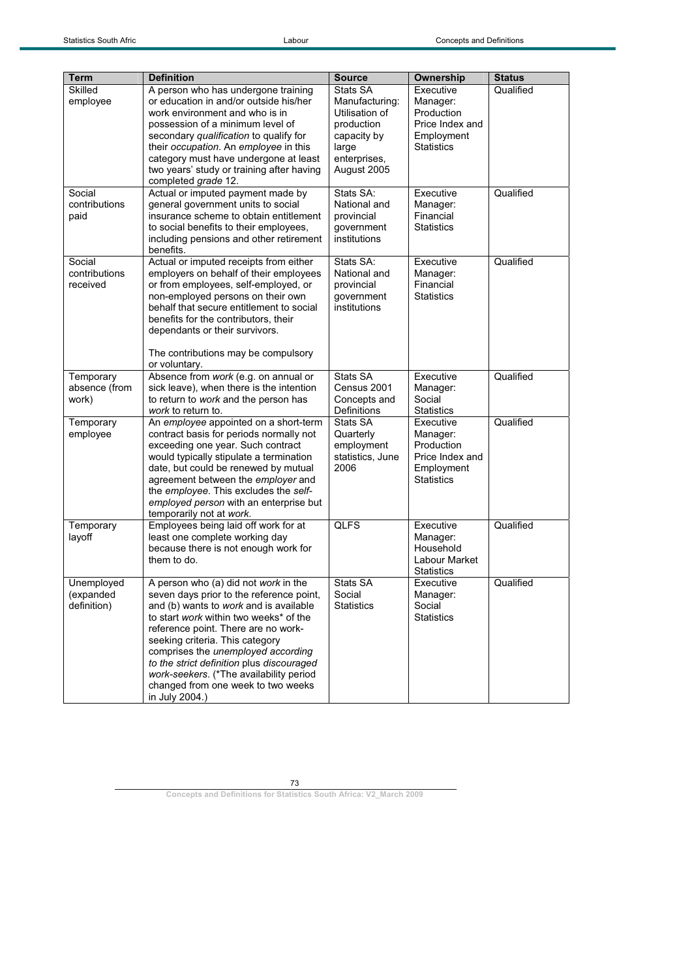| <b>Term</b>             | <b>Definition</b>                                                                | <b>Source</b>                    | Ownership                      | <b>Status</b> |
|-------------------------|----------------------------------------------------------------------------------|----------------------------------|--------------------------------|---------------|
| Skilled                 | A person who has undergone training                                              | Stats SA                         | Executive                      | Qualified     |
| employee                | or education in and/or outside his/her<br>work environment and who is in         | Manufacturing:<br>Utilisation of | Manager:<br>Production         |               |
|                         | possession of a minimum level of                                                 | production                       | Price Index and                |               |
|                         | secondary qualification to qualify for                                           | capacity by                      | Employment                     |               |
|                         | their occupation. An employee in this<br>category must have undergone at least   | large<br>enterprises,            | <b>Statistics</b>              |               |
|                         | two years' study or training after having                                        | August 2005                      |                                |               |
|                         | completed grade 12.                                                              |                                  |                                |               |
| Social<br>contributions | Actual or imputed payment made by<br>general government units to social          | Stats SA:<br>National and        | Executive<br>Manager:          | Qualified     |
| paid                    | insurance scheme to obtain entitlement                                           | provincial                       | Financial                      |               |
|                         | to social benefits to their employees.                                           | qovernment                       | <b>Statistics</b>              |               |
|                         | including pensions and other retirement<br>benefits.                             | institutions                     |                                |               |
| Social                  | Actual or imputed receipts from either                                           | Stats SA:                        | Executive                      | Qualified     |
| contributions           | employers on behalf of their employees                                           | National and                     | Manager:                       |               |
| received                | or from employees, self-employed, or<br>non-employed persons on their own        | provincial<br>government         | Financial<br><b>Statistics</b> |               |
|                         | behalf that secure entitlement to social                                         | institutions                     |                                |               |
|                         | benefits for the contributors, their                                             |                                  |                                |               |
|                         | dependants or their survivors.                                                   |                                  |                                |               |
|                         | The contributions may be compulsory<br>or voluntary.                             |                                  |                                |               |
| Temporary               | Absence from work (e.g. on annual or                                             | Stats SA                         | Executive                      | Qualified     |
| absence (from<br>work)  | sick leave), when there is the intention<br>to return to work and the person has | Census 2001<br>Concepts and      | Manager:<br>Social             |               |
|                         | work to return to.                                                               | <b>Definitions</b>               | <b>Statistics</b>              |               |
| Temporary               | An employee appointed on a short-term                                            | Stats SA                         | Executive                      | Qualified     |
| employee                | contract basis for periods normally not<br>exceeding one year. Such contract     | Quarterly<br>employment          | Manager:<br>Production         |               |
|                         | would typically stipulate a termination                                          | statistics, June                 | Price Index and                |               |
|                         | date, but could be renewed by mutual                                             | 2006                             | Employment                     |               |
|                         | agreement between the employer and<br>the employee. This excludes the self-      |                                  | <b>Statistics</b>              |               |
|                         | employed person with an enterprise but                                           |                                  |                                |               |
|                         | temporarily not at work.                                                         |                                  |                                |               |
| Temporary<br>layoff     | Employees being laid off work for at<br>least one complete working day           | <b>QLFS</b>                      | Executive<br>Manager:          | Qualified     |
|                         | because there is not enough work for                                             |                                  | Household                      |               |
|                         | them to do.                                                                      |                                  | Labour Market                  |               |
| Unemployed              | A person who (a) did not work in the                                             | Stats SA                         | <b>Statistics</b><br>Executive | Qualified     |
| (expanded               | seven days prior to the reference point,                                         | Social                           | Manager:                       |               |
| definition)             | and (b) wants to work and is available                                           | <b>Statistics</b>                | Social                         |               |
|                         | to start work within two weeks* of the<br>reference point. There are no work-    |                                  | <b>Statistics</b>              |               |
|                         | seeking criteria. This category                                                  |                                  |                                |               |
|                         | comprises the unemployed according                                               |                                  |                                |               |
|                         | to the strict definition plus discouraged                                        |                                  |                                |               |
|                         | work-seekers. (*The availability period<br>changed from one week to two weeks    |                                  |                                |               |
|                         | in July 2004.)                                                                   |                                  |                                |               |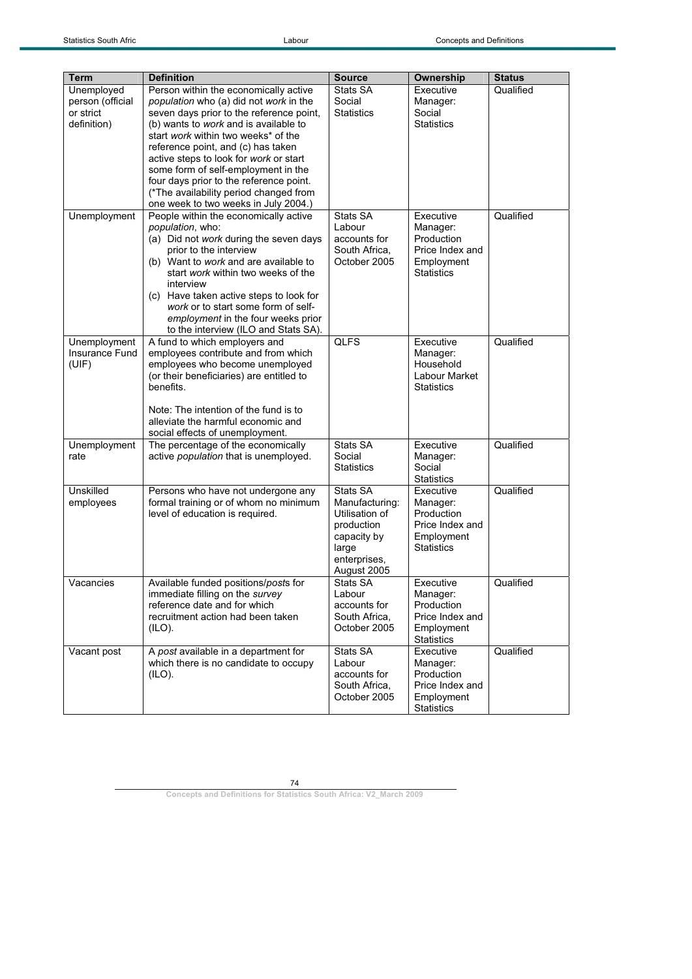| <b>Term</b>                                                | <b>Definition</b>                                                                                                                                                                                                                                                                                                                                                                                                                                               | <b>Source</b>                                                                                                     | Ownership                                                                                 | <b>Status</b> |
|------------------------------------------------------------|-----------------------------------------------------------------------------------------------------------------------------------------------------------------------------------------------------------------------------------------------------------------------------------------------------------------------------------------------------------------------------------------------------------------------------------------------------------------|-------------------------------------------------------------------------------------------------------------------|-------------------------------------------------------------------------------------------|---------------|
| Unemployed<br>person (official<br>or strict<br>definition) | Person within the economically active<br>population who (a) did not work in the<br>seven days prior to the reference point,<br>(b) wants to work and is available to<br>start work within two weeks* of the<br>reference point, and (c) has taken<br>active steps to look for work or start<br>some form of self-employment in the<br>four days prior to the reference point.<br>(*The availability period changed from<br>one week to two weeks in July 2004.) | Stats SA<br>Social<br><b>Statistics</b>                                                                           | Executive<br>Manager:<br>Social<br><b>Statistics</b>                                      | Qualified     |
| Unemployment                                               | People within the economically active<br>population, who:<br>(a) Did not work during the seven days<br>prior to the interview<br>(b) Want to work and are available to<br>start work within two weeks of the<br>interview<br>(c) Have taken active steps to look for<br>work or to start some form of self-<br>employment in the four weeks prior<br>to the interview (ILO and Stats SA).                                                                       | Stats SA<br>Labour<br>accounts for<br>South Africa,<br>October 2005                                               | Executive<br>Manager:<br>Production<br>Price Index and<br>Employment<br><b>Statistics</b> | Qualified     |
| Unemployment<br>Insurance Fund<br>(UIF)                    | A fund to which employers and<br>employees contribute and from which<br>employees who become unemployed<br>(or their beneficiaries) are entitled to<br>benefits.<br>Note: The intention of the fund is to<br>alleviate the harmful economic and<br>social effects of unemployment.                                                                                                                                                                              | <b>QLFS</b>                                                                                                       | Executive<br>Manager:<br>Household<br>Labour Market<br><b>Statistics</b>                  | Qualified     |
| Unemployment<br>rate                                       | The percentage of the economically<br>active population that is unemployed.                                                                                                                                                                                                                                                                                                                                                                                     | Stats SA<br>Social<br><b>Statistics</b>                                                                           | Executive<br>Manager:<br>Social<br><b>Statistics</b>                                      | Qualified     |
| Unskilled<br>employees                                     | Persons who have not undergone any<br>formal training or of whom no minimum<br>level of education is required.                                                                                                                                                                                                                                                                                                                                                  | Stats SA<br>Manufacturing:<br>Utilisation of<br>production<br>capacity by<br>large<br>enterprises,<br>August 2005 | Executive<br>Manager:<br>Production<br>Price Index and<br>Employment<br><b>Statistics</b> | Qualified     |
| Vacancies                                                  | Available funded positions/posts for<br>immediate filling on the survey<br>reference date and for which<br>recruitment action had been taken<br>(ILO).                                                                                                                                                                                                                                                                                                          | Stats SA<br>Labour<br>accounts for<br>South Africa,<br>October 2005                                               | Executive<br>Manager:<br>Production<br>Price Index and<br>Employment<br><b>Statistics</b> | Qualified     |
| Vacant post                                                | A post available in a department for<br>which there is no candidate to occupy<br>(ILO).                                                                                                                                                                                                                                                                                                                                                                         | Stats SA<br>Labour<br>accounts for<br>South Africa,<br>October 2005                                               | Executive<br>Manager:<br>Production<br>Price Index and<br>Employment<br><b>Statistics</b> | Qualified     |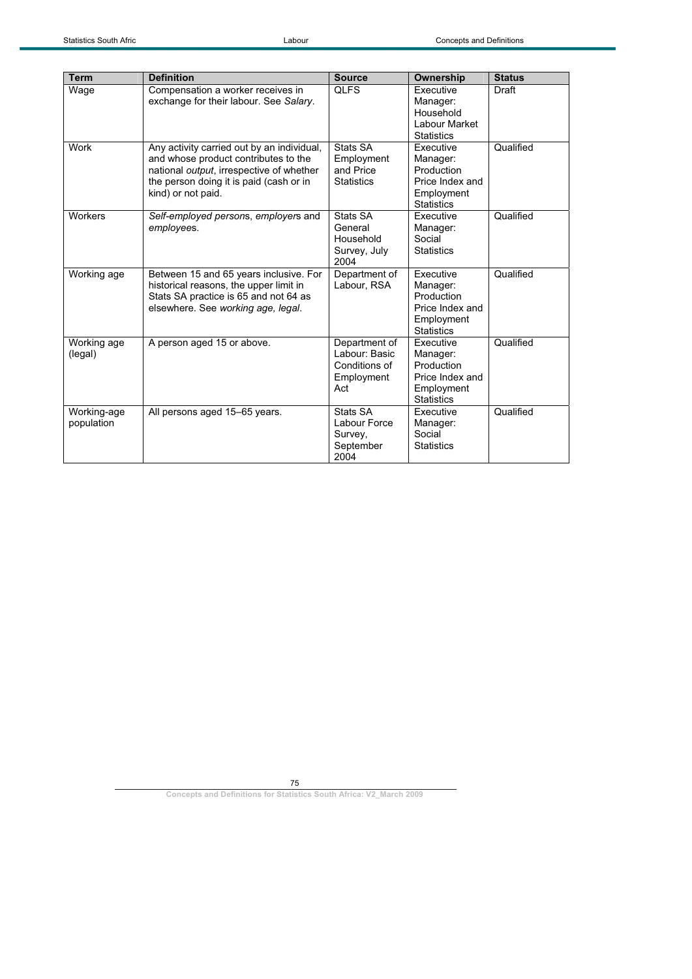| <b>Term</b>               | <b>Definition</b>                                                                                                                                                                               | <b>Source</b>                                                        | Ownership                                                                                 | <b>Status</b> |
|---------------------------|-------------------------------------------------------------------------------------------------------------------------------------------------------------------------------------------------|----------------------------------------------------------------------|-------------------------------------------------------------------------------------------|---------------|
| Wage                      | Compensation a worker receives in<br>exchange for their labour. See Salary.                                                                                                                     | <b>QLFS</b>                                                          | <b>Executive</b><br>Manager:<br>Household<br>Labour Market<br><b>Statistics</b>           | Draft         |
| Work                      | Any activity carried out by an individual,<br>and whose product contributes to the<br>national output, irrespective of whether<br>the person doing it is paid (cash or in<br>kind) or not paid. | Stats SA<br>Employment<br>and Price<br><b>Statistics</b>             | Executive<br>Manager:<br>Production<br>Price Index and<br>Employment<br><b>Statistics</b> | Qualified     |
| Workers                   | Self-employed persons, employers and<br>employees.                                                                                                                                              | Stats SA<br>General<br>Household<br>Survey, July<br>2004             | Executive<br>Manager:<br>Social<br><b>Statistics</b>                                      | Qualified     |
| Working age               | Between 15 and 65 years inclusive. For<br>historical reasons, the upper limit in<br>Stats SA practice is 65 and not 64 as<br>elsewhere. See working age, legal.                                 | Department of<br>Labour, RSA                                         | Executive<br>Manager:<br>Production<br>Price Index and<br>Employment<br><b>Statistics</b> | Qualified     |
| Working age<br>(legal)    | A person aged 15 or above.                                                                                                                                                                      | Department of<br>Labour: Basic<br>Conditions of<br>Employment<br>Act | Executive<br>Manager:<br>Production<br>Price Index and<br>Employment<br><b>Statistics</b> | Qualified     |
| Working-age<br>population | All persons aged 15-65 years.                                                                                                                                                                   | Stats SA<br>Labour Force<br>Survey,<br>September<br>2004             | Executive<br>Manager:<br>Social<br><b>Statistics</b>                                      | Qualified     |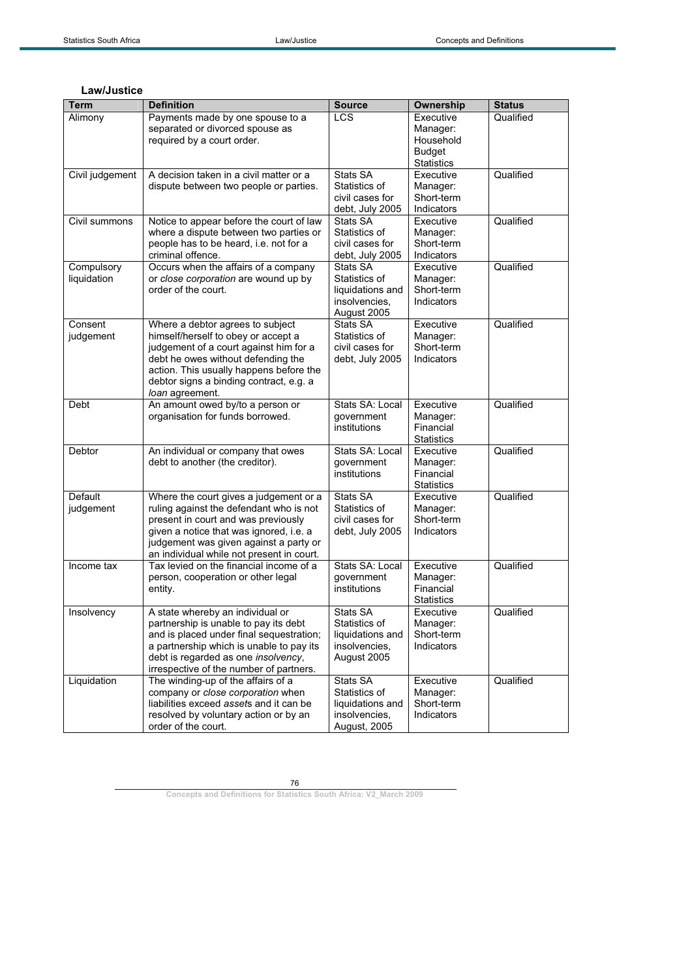## **Law/Justice**

| <b>Term</b>     | <b>Definition</b>                         | <b>Source</b>                 | Ownership             | <b>Status</b> |
|-----------------|-------------------------------------------|-------------------------------|-----------------------|---------------|
| Alimony         | Payments made by one spouse to a          | <b>LCS</b>                    | Executive             | Qualified     |
|                 | separated or divorced spouse as           |                               | Manager:              |               |
|                 | required by a court order.                |                               | Household             |               |
|                 |                                           |                               | <b>Budget</b>         |               |
|                 |                                           |                               | <b>Statistics</b>     |               |
| Civil judgement | A decision taken in a civil matter or a   | Stats SA                      | Executive             | Qualified     |
|                 | dispute between two people or parties.    | Statistics of                 | Manager:              |               |
|                 |                                           | civil cases for               | Short-term            |               |
|                 |                                           | debt, July 2005               | Indicators            |               |
| Civil summons   | Notice to appear before the court of law  | Stats SA                      | Executive             | Qualified     |
|                 | where a dispute between two parties or    | Statistics of                 | Manager:              |               |
|                 | people has to be heard, i.e. not for a    | civil cases for               | Short-term            |               |
|                 | criminal offence.                         | debt, July 2005               | Indicators            |               |
| Compulsory      | Occurs when the affairs of a company      | Stats SA                      | Executive             | Qualified     |
| liquidation     | or close corporation are wound up by      | Statistics of                 | Manager:              |               |
|                 | order of the court.                       | liquidations and              | Short-term            |               |
|                 |                                           | insolvencies.                 | Indicators            |               |
|                 |                                           | August 2005                   |                       |               |
| Consent         | Where a debtor agrees to subject          | Stats SA                      | Executive             | Qualified     |
| judgement       | himself/herself to obey or accept a       | Statistics of                 | Manager:              |               |
|                 | judgement of a court against him for a    | civil cases for               | Short-term            |               |
|                 | debt he owes without defending the        | debt, July 2005               | Indicators            |               |
|                 | action. This usually happens before the   |                               |                       |               |
|                 | debtor signs a binding contract, e.g. a   |                               |                       |               |
|                 | loan agreement.                           |                               |                       |               |
| Debt            | An amount owed by/to a person or          | Stats SA: Local<br>qovernment | Executive             | Qualified     |
|                 | organisation for funds borrowed.          | institutions                  | Manager:<br>Financial |               |
|                 |                                           |                               | <b>Statistics</b>     |               |
| Debtor          | An individual or company that owes        | Stats SA: Local               | Executive             | Qualified     |
|                 | debt to another (the creditor).           | government                    | Manager:              |               |
|                 |                                           | institutions                  | Financial             |               |
|                 |                                           |                               | <b>Statistics</b>     |               |
| Default         | Where the court gives a judgement or a    | Stats SA                      | Executive             | Qualified     |
| judgement       | ruling against the defendant who is not   | Statistics of                 | Manager:              |               |
|                 | present in court and was previously       | civil cases for               | Short-term            |               |
|                 | given a notice that was ignored, i.e. a   | debt, July 2005               | Indicators            |               |
|                 | judgement was given against a party or    |                               |                       |               |
|                 | an individual while not present in court. |                               |                       |               |
| Income tax      | Tax levied on the financial income of a   | Stats SA: Local               | Executive             | Qualified     |
|                 | person, cooperation or other legal        | qovernment                    | Manager:              |               |
|                 | entity.                                   | institutions                  | Financial             |               |
|                 |                                           |                               | <b>Statistics</b>     |               |
| Insolvency      | A state whereby an individual or          | Stats SA                      | Executive             | Qualified     |
|                 | partnership is unable to pay its debt     | Statistics of                 | Manager:              |               |
|                 | and is placed under final sequestration;  | liquidations and              | Short-term            |               |
|                 | a partnership which is unable to pay its  | insolvencies,                 | Indicators            |               |
|                 | debt is regarded as one insolvency,       | August 2005                   |                       |               |
|                 | irrespective of the number of partners.   |                               |                       |               |
| Liquidation     | The winding-up of the affairs of a        | Stats SA                      | Executive             | Qualified     |
|                 | company or close corporation when         | Statistics of                 | Manager:              |               |
|                 | liabilities exceed assets and it can be   | liquidations and              | Short-term            |               |
|                 | resolved by voluntary action or by an     | insolvencies.                 | Indicators            |               |
|                 | order of the court.                       | August, 2005                  |                       |               |

76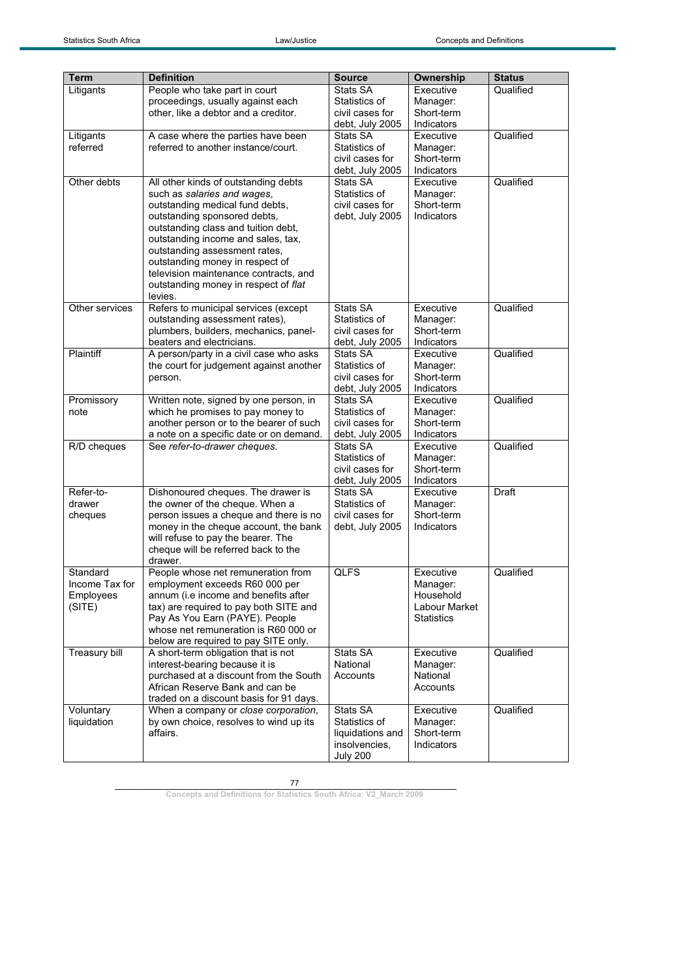| <b>Term</b>    | <b>Definition</b>                       | <b>Source</b>    | Ownership            | <b>Status</b> |
|----------------|-----------------------------------------|------------------|----------------------|---------------|
|                | People who take part in court           | Stats SA         | Executive            | Qualified     |
| Litigants      |                                         |                  |                      |               |
|                | proceedings, usually against each       | Statistics of    | Manager:             |               |
|                | other, like a debtor and a creditor.    | civil cases for  | Short-term           |               |
|                |                                         | debt, July 2005  | Indicators           |               |
| Litigants      | A case where the parties have been      | Stats SA         | Executive            | Qualified     |
| referred       | referred to another instance/court.     | Statistics of    | Manager:             |               |
|                |                                         | civil cases for  | Short-term           |               |
|                |                                         | debt, July 2005  | Indicators           |               |
| Other debts    | All other kinds of outstanding debts    | Stats SA         | Executive            | Qualified     |
|                | such as salaries and wages,             | Statistics of    | Manager:             |               |
|                | outstanding medical fund debts,         | civil cases for  | Short-term           |               |
|                | outstanding sponsored debts,            | debt, July 2005  | Indicators           |               |
|                | outstanding class and tuition debt,     |                  |                      |               |
|                | outstanding income and sales, tax,      |                  |                      |               |
|                | outstanding assessment rates,           |                  |                      |               |
|                | outstanding money in respect of         |                  |                      |               |
|                | television maintenance contracts, and   |                  |                      |               |
|                | outstanding money in respect of flat    |                  |                      |               |
|                | levies.                                 |                  |                      |               |
| Other services | Refers to municipal services (except    | Stats SA         | Executive            | Qualified     |
|                | outstanding assessment rates),          | Statistics of    | Manager:             |               |
|                | plumbers, builders, mechanics, panel-   | civil cases for  | Short-term           |               |
|                | beaters and electricians.               | debt, July 2005  | Indicators           |               |
| Plaintiff      | A person/party in a civil case who asks | Stats SA         | Executive            | Qualified     |
|                | the court for judgement against another | Statistics of    | Manager:             |               |
|                | person.                                 | civil cases for  | Short-term           |               |
|                |                                         | debt, July 2005  | Indicators           |               |
| Promissory     | Written note, signed by one person, in  | Stats SA         | Executive            | Qualified     |
| note           | which he promises to pay money to       | Statistics of    | Manager:             |               |
|                | another person or to the bearer of such | civil cases for  | Short-term           |               |
|                | a note on a specific date or on demand. | debt, July 2005  | Indicators           |               |
| R/D cheques    | See refer-to-drawer cheques.            | Stats SA         | Executive            | Qualified     |
|                |                                         | Statistics of    | Manager:             |               |
|                |                                         | civil cases for  | Short-term           |               |
|                |                                         | debt, July 2005  | Indicators           |               |
| Refer-to-      | Dishonoured cheques. The drawer is      | Stats SA         | Executive            | Draft         |
| drawer         | the owner of the cheque. When a         | Statistics of    | Manager:             |               |
| cheques        | person issues a cheque and there is no  | civil cases for  | Short-term           |               |
|                | money in the cheque account, the bank   | debt, July 2005  | Indicators           |               |
|                | will refuse to pay the bearer. The      |                  |                      |               |
|                | cheque will be referred back to the     |                  |                      |               |
|                | drawer.                                 |                  |                      |               |
| Standard       | People whose net remuneration from      | <b>QLFS</b>      | Executive            | Qualified     |
| Income Tax for | employment exceeds R60 000 per          |                  | Manager:             |               |
| Employees      | annum (i.e income and benefits after    |                  | Household            |               |
| (SITE)         | tax) are required to pay both SITE and  |                  | <b>Labour Market</b> |               |
|                | Pay As You Earn (PAYE). People          |                  | <b>Statistics</b>    |               |
|                | whose net remuneration is R60 000 or    |                  |                      |               |
|                | below are required to pay SITE only.    |                  |                      |               |
| Treasury bill  | A short-term obligation that is not     | Stats SA         | Executive            | Qualified     |
|                | interest-bearing because it is          | National         | Manager:             |               |
|                | purchased at a discount from the South  | Accounts         | National             |               |
|                | African Reserve Bank and can be         |                  | Accounts             |               |
|                | traded on a discount basis for 91 days. |                  |                      |               |
| Voluntary      | When a company or close corporation,    | Stats SA         | Executive            | Qualified     |
| liquidation    | by own choice, resolves to wind up its  | Statistics of    | Manager:             |               |
|                | affairs.                                | liquidations and | Short-term           |               |
|                |                                         | insolvencies.    | Indicators           |               |
|                |                                         | <b>July 200</b>  |                      |               |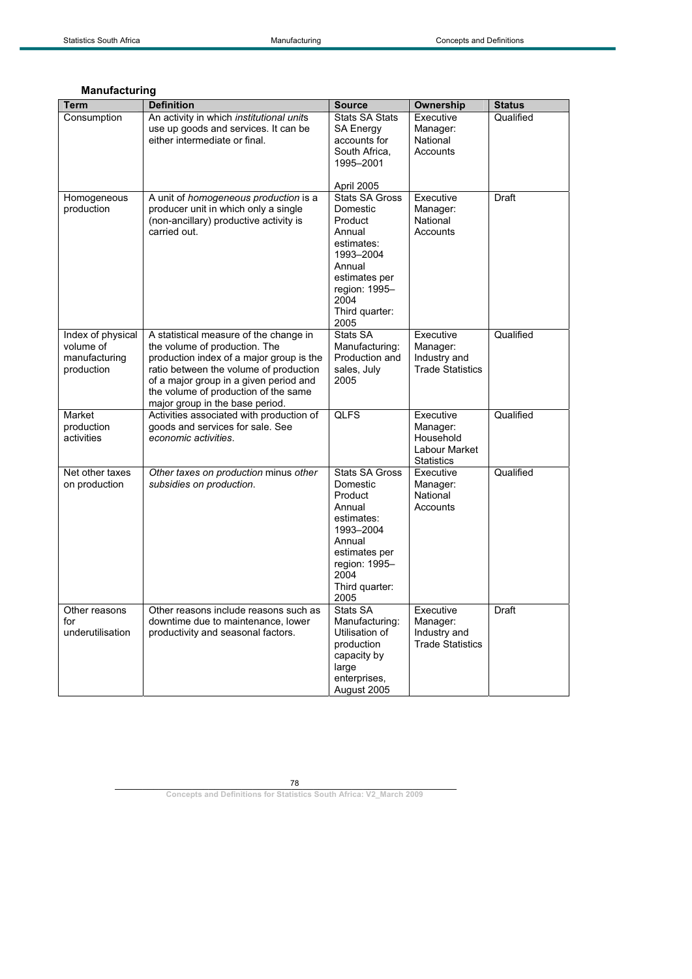| Term                                                          | <b>Definition</b>                                                                                                                                                                                                                                                                  | <b>Source</b>                                                                                                                                                   | Ownership                                                                | <b>Status</b> |
|---------------------------------------------------------------|------------------------------------------------------------------------------------------------------------------------------------------------------------------------------------------------------------------------------------------------------------------------------------|-----------------------------------------------------------------------------------------------------------------------------------------------------------------|--------------------------------------------------------------------------|---------------|
| Consumption                                                   | An activity in which <i>institutional units</i><br>use up goods and services. It can be<br>either intermediate or final.                                                                                                                                                           | <b>Stats SA Stats</b><br><b>SA Energy</b><br>accounts for<br>South Africa.<br>1995-2001<br>April 2005                                                           | Executive<br>Manager:<br>National<br>Accounts                            | Qualified     |
| Homogeneous<br>production                                     | A unit of homogeneous production is a<br>producer unit in which only a single<br>(non-ancillary) productive activity is<br>carried out.                                                                                                                                            | <b>Stats SA Gross</b><br>Domestic<br>Product<br>Annual<br>estimates:<br>1993-2004<br>Annual<br>estimates per<br>region: 1995-<br>2004<br>Third quarter:<br>2005 | Executive<br>Manager:<br>National<br>Accounts                            | Draft         |
| Index of physical<br>volume of<br>manufacturing<br>production | A statistical measure of the change in<br>the volume of production. The<br>production index of a major group is the<br>ratio between the volume of production<br>of a major group in a given period and<br>the volume of production of the same<br>major group in the base period. | Stats SA<br>Manufacturing:<br>Production and<br>sales, July<br>2005                                                                                             | Executive<br>Manager:<br>Industry and<br><b>Trade Statistics</b>         | Qualified     |
| Market<br>production<br>activities                            | Activities associated with production of<br>goods and services for sale. See<br>economic activities.                                                                                                                                                                               | <b>QLFS</b>                                                                                                                                                     | Executive<br>Manager:<br>Household<br>Labour Market<br><b>Statistics</b> | Qualified     |
| Net other taxes<br>on production                              | Other taxes on production minus other<br>subsidies on production.                                                                                                                                                                                                                  | <b>Stats SA Gross</b><br>Domestic<br>Product<br>Annual<br>estimates:<br>1993-2004<br>Annual<br>estimates per<br>region: 1995-<br>2004<br>Third quarter:<br>2005 | Executive<br>Manager:<br>National<br>Accounts                            | Qualified     |
| Other reasons<br>for<br>underutilisation                      | Other reasons include reasons such as<br>downtime due to maintenance, lower<br>productivity and seasonal factors.                                                                                                                                                                  | Stats SA<br>Manufacturing:<br>Utilisation of<br>production<br>capacity by<br>large<br>enterprises,<br>August 2005                                               | Executive<br>Manager:<br>Industry and<br><b>Trade Statistics</b>         | <b>Draft</b>  |

## **Manufacturing**

78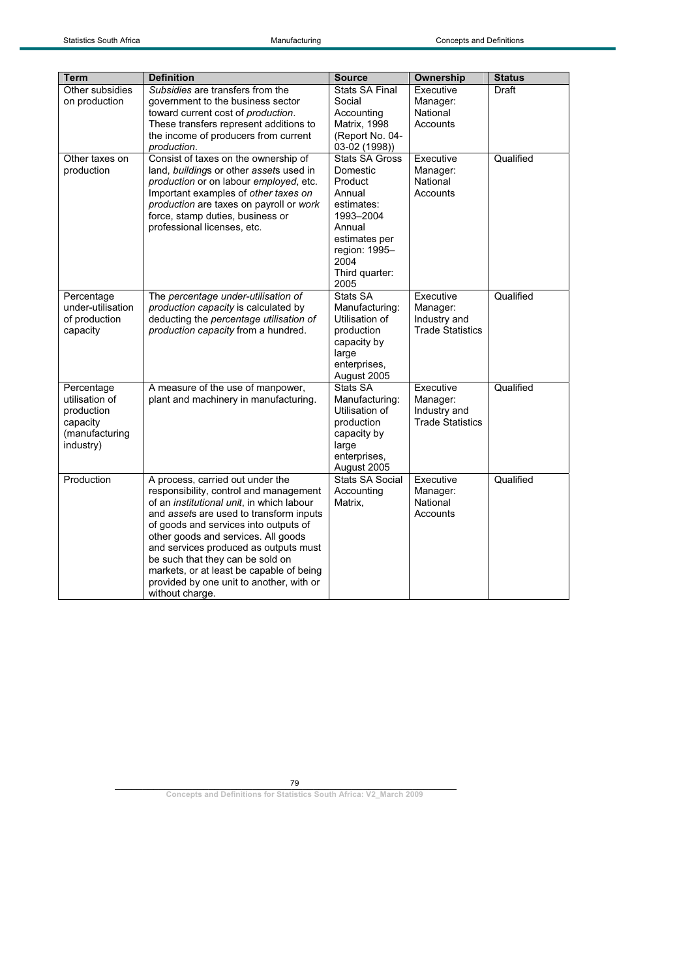| <b>Term</b>                     | <b>Definition</b>                                                               | <b>Source</b>                     | Ownership               | <b>Status</b> |
|---------------------------------|---------------------------------------------------------------------------------|-----------------------------------|-------------------------|---------------|
| Other subsidies                 | Subsidies are transfers from the                                                | <b>Stats SA Final</b>             | Executive               | Draft         |
| on production                   | government to the business sector                                               | Social                            | Manager:                |               |
|                                 | toward current cost of production.                                              | Accounting                        | National                |               |
|                                 | These transfers represent additions to                                          | Matrix, 1998                      | Accounts                |               |
|                                 | the income of producers from current                                            | (Report No. 04-                   |                         |               |
|                                 | production.                                                                     | 03-02 (1998))                     | Executive               | Qualified     |
| Other taxes on<br>production    | Consist of taxes on the ownership of<br>land, buildings or other assets used in | <b>Stats SA Gross</b><br>Domestic | Manager:                |               |
|                                 | production or on labour employed, etc.                                          | Product                           | National                |               |
|                                 | Important examples of other taxes on                                            | Annual                            | Accounts                |               |
|                                 | production are taxes on payroll or work                                         | estimates:                        |                         |               |
|                                 | force, stamp duties, business or                                                | 1993-2004                         |                         |               |
|                                 | professional licenses, etc.                                                     | Annual                            |                         |               |
|                                 |                                                                                 | estimates per                     |                         |               |
|                                 |                                                                                 | region: 1995-                     |                         |               |
|                                 |                                                                                 | 2004                              |                         |               |
|                                 |                                                                                 | Third quarter:                    |                         |               |
|                                 |                                                                                 | 2005<br>Stats SA                  | Executive               | Qualified     |
| Percentage<br>under-utilisation | The percentage under-utilisation of<br>production capacity is calculated by     | Manufacturing:                    | Manager:                |               |
| of production                   | deducting the percentage utilisation of                                         | Utilisation of                    | Industry and            |               |
| capacity                        | production capacity from a hundred.                                             | production                        | <b>Trade Statistics</b> |               |
|                                 |                                                                                 | capacity by                       |                         |               |
|                                 |                                                                                 | large                             |                         |               |
|                                 |                                                                                 | enterprises,                      |                         |               |
|                                 |                                                                                 | August 2005                       |                         |               |
| Percentage                      | A measure of the use of manpower,                                               | Stats SA                          | Executive               | Qualified     |
| utilisation of                  | plant and machinery in manufacturing.                                           | Manufacturing:                    | Manager:                |               |
| production                      |                                                                                 | Utilisation of                    | Industry and            |               |
| capacity                        |                                                                                 | production                        | <b>Trade Statistics</b> |               |
| (manufacturing                  |                                                                                 | capacity by                       |                         |               |
| industry)                       |                                                                                 | large                             |                         |               |
|                                 |                                                                                 | enterprises,<br>August 2005       |                         |               |
| Production                      | A process, carried out under the                                                | <b>Stats SA Social</b>            | Executive               | Qualified     |
|                                 | responsibility, control and management                                          | Accounting                        | Manager:                |               |
|                                 | of an <i>institutional unit</i> , in which labour                               | Matrix,                           | National                |               |
|                                 | and assets are used to transform inputs                                         |                                   | Accounts                |               |
|                                 | of goods and services into outputs of                                           |                                   |                         |               |
|                                 | other goods and services. All goods                                             |                                   |                         |               |
|                                 | and services produced as outputs must                                           |                                   |                         |               |
|                                 | be such that they can be sold on                                                |                                   |                         |               |
|                                 | markets, or at least be capable of being                                        |                                   |                         |               |
|                                 | provided by one unit to another, with or                                        |                                   |                         |               |
|                                 | without charge.                                                                 |                                   |                         |               |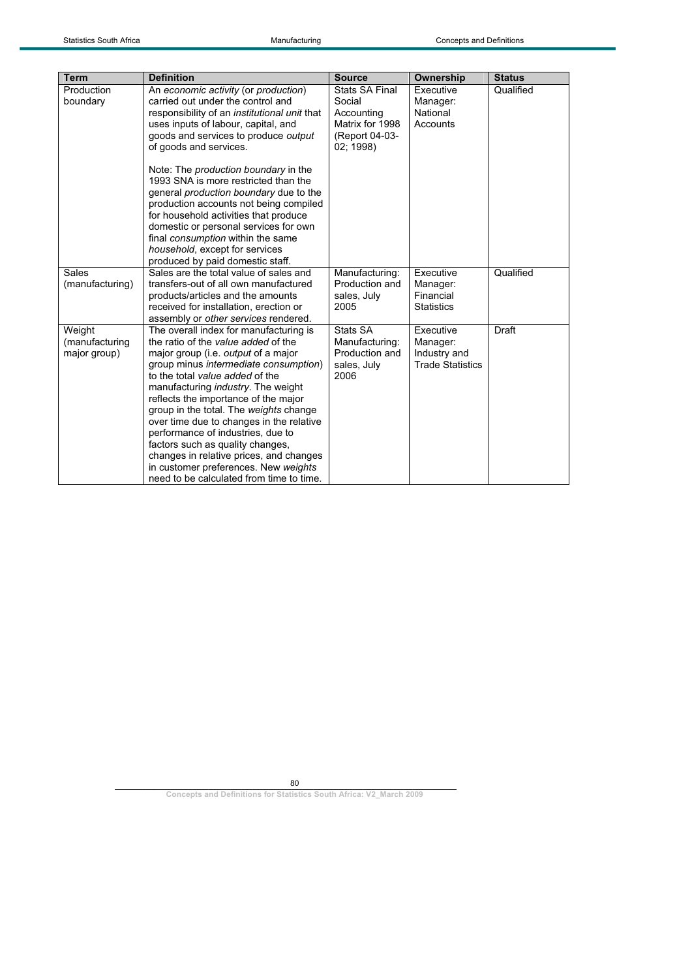| <b>Term</b>                              | <b>Definition</b>                                                                                                                                                                                                                                                                                                                                                                                                                                                                                                                                                                                          | <b>Source</b>                                                                            | Ownership                                                        | <b>Status</b> |
|------------------------------------------|------------------------------------------------------------------------------------------------------------------------------------------------------------------------------------------------------------------------------------------------------------------------------------------------------------------------------------------------------------------------------------------------------------------------------------------------------------------------------------------------------------------------------------------------------------------------------------------------------------|------------------------------------------------------------------------------------------|------------------------------------------------------------------|---------------|
| Production<br>boundary                   | An economic activity (or production)<br>carried out under the control and<br>responsibility of an <i>institutional unit</i> that<br>uses inputs of labour, capital, and<br>goods and services to produce output<br>of goods and services.<br>Note: The production boundary in the<br>1993 SNA is more restricted than the<br>general production boundary due to the<br>production accounts not being compiled<br>for household activities that produce<br>domestic or personal services for own<br>final consumption within the same<br>household, except for services<br>produced by paid domestic staff. | Stats SA Final<br>Social<br>Accounting<br>Matrix for 1998<br>(Report 04-03-<br>02: 1998) | Executive<br>Manager:<br>National<br>Accounts                    | Qualified     |
| Sales<br>(manufacturing)                 | Sales are the total value of sales and<br>transfers-out of all own manufactured<br>products/articles and the amounts<br>received for installation, erection or<br>assembly or other services rendered.                                                                                                                                                                                                                                                                                                                                                                                                     | Manufacturing:<br>Production and<br>sales, July<br>2005                                  | Executive<br>Manager:<br>Financial<br><b>Statistics</b>          | Qualified     |
| Weight<br>(manufacturing<br>major group) | The overall index for manufacturing is<br>the ratio of the value added of the<br>major group (i.e. <i>output</i> of a major<br>group minus intermediate consumption)<br>to the total value added of the<br>manufacturing <i>industry</i> . The weight<br>reflects the importance of the major<br>group in the total. The weights change<br>over time due to changes in the relative<br>performance of industries, due to<br>factors such as quality changes,<br>changes in relative prices, and changes<br>in customer preferences. New weights<br>need to be calculated from time to time.                | Stats SA<br>Manufacturing:<br>Production and<br>sales, July<br>2006                      | Executive<br>Manager:<br>Industry and<br><b>Trade Statistics</b> | Draft         |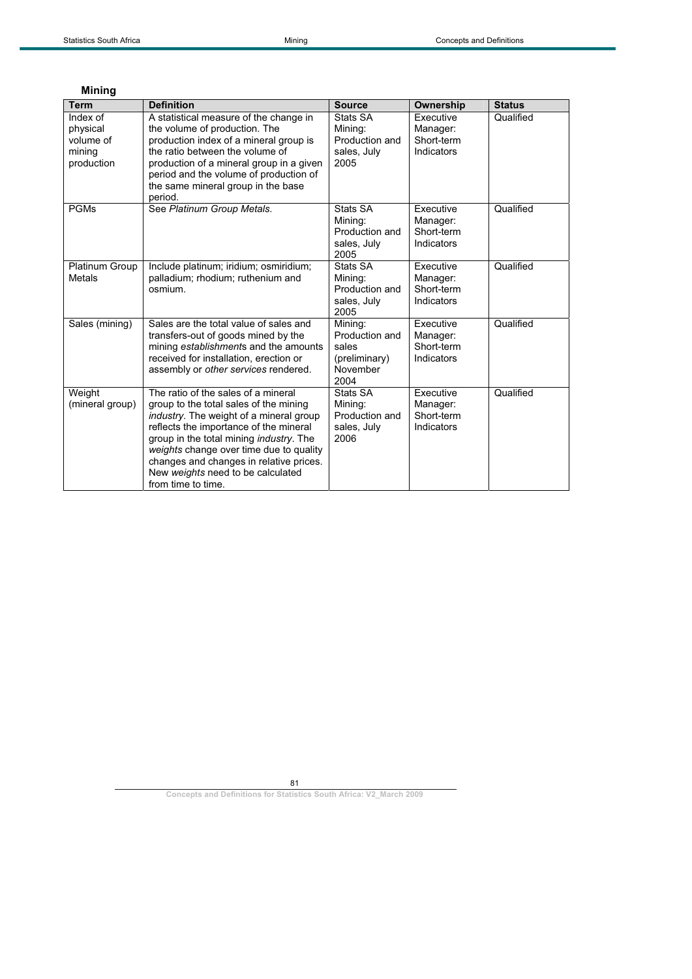|  | Minina |  |
|--|--------|--|
|  |        |  |
|  |        |  |

| <b>Term</b>                                               | <b>Definition</b>                                                                                                                                                                                                                                                                                                                                                              | <b>Source</b>                                                           | Ownership                                         | <b>Status</b> |
|-----------------------------------------------------------|--------------------------------------------------------------------------------------------------------------------------------------------------------------------------------------------------------------------------------------------------------------------------------------------------------------------------------------------------------------------------------|-------------------------------------------------------------------------|---------------------------------------------------|---------------|
| Index of<br>physical<br>volume of<br>mining<br>production | A statistical measure of the change in<br>the volume of production. The<br>production index of a mineral group is<br>the ratio between the volume of<br>production of a mineral group in a given<br>period and the volume of production of<br>the same mineral group in the base<br>period.                                                                                    | Stats SA<br>Mining:<br>Production and<br>sales, July<br>2005            | Executive<br>Manager:<br>Short-term<br>Indicators | Qualified     |
| <b>PGMs</b>                                               | See Platinum Group Metals.                                                                                                                                                                                                                                                                                                                                                     | Stats SA<br>Mining:<br>Production and<br>sales, July<br>2005            | Executive<br>Manager:<br>Short-term<br>Indicators | Qualified     |
| Platinum Group<br>Metals                                  | Include platinum; iridium; osmiridium;<br>palladium; rhodium; ruthenium and<br>osmium.                                                                                                                                                                                                                                                                                         | Stats SA<br>Mining:<br>Production and<br>sales, July<br>2005            | Executive<br>Manager:<br>Short-term<br>Indicators | Qualified     |
| Sales (mining)                                            | Sales are the total value of sales and<br>transfers-out of goods mined by the<br>mining establishments and the amounts<br>received for installation, erection or<br>assembly or other services rendered.                                                                                                                                                                       | Mining:<br>Production and<br>sales<br>(preliminary)<br>November<br>2004 | Executive<br>Manager:<br>Short-term<br>Indicators | Qualified     |
| Weight<br>(mineral group)                                 | The ratio of the sales of a mineral<br>group to the total sales of the mining<br><i>industry</i> . The weight of a mineral group<br>reflects the importance of the mineral<br>group in the total mining <i>industry</i> . The<br>weights change over time due to quality<br>changes and changes in relative prices.<br>New weights need to be calculated<br>from time to time. | Stats SA<br>Mining:<br>Production and<br>sales, July<br>2006            | Executive<br>Manager:<br>Short-term<br>Indicators | Qualified     |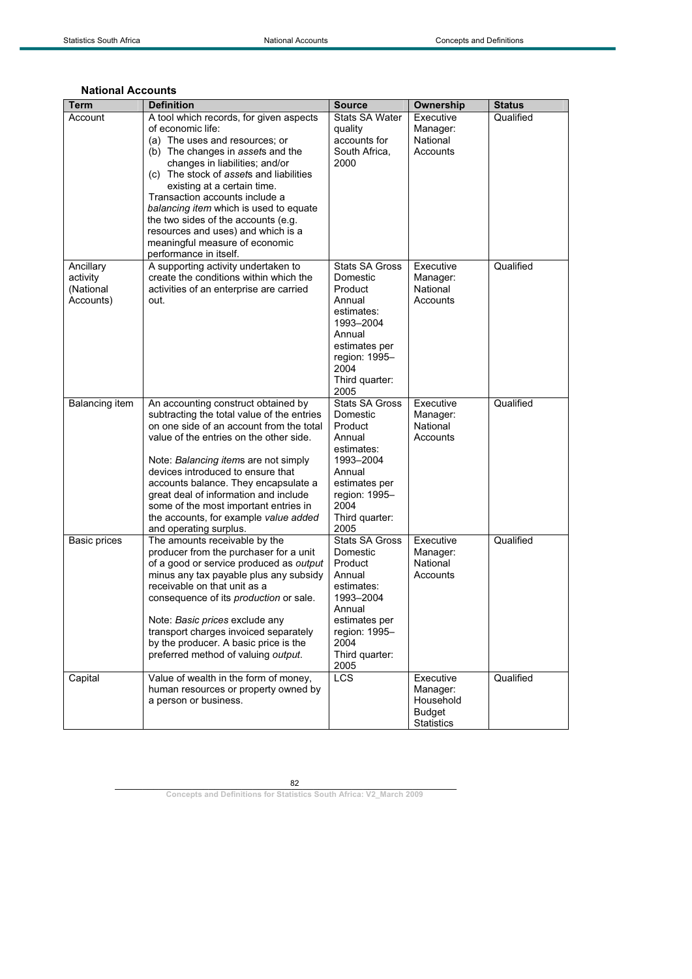## **National Accounts**

| Term                                            | <b>Definition</b>                                                                                                                                                                                                                                                                                                                                                                                                                                  | <b>Source</b>                                                                                                                                                   | Ownership                                                                | <b>Status</b> |
|-------------------------------------------------|----------------------------------------------------------------------------------------------------------------------------------------------------------------------------------------------------------------------------------------------------------------------------------------------------------------------------------------------------------------------------------------------------------------------------------------------------|-----------------------------------------------------------------------------------------------------------------------------------------------------------------|--------------------------------------------------------------------------|---------------|
| Account                                         | A tool which records, for given aspects<br>of economic life:<br>(a) The uses and resources; or<br>(b) The changes in assets and the<br>changes in liabilities; and/or<br>(c) The stock of assets and liabilities<br>existing at a certain time.<br>Transaction accounts include a                                                                                                                                                                  | <b>Stats SA Water</b><br>quality<br>accounts for<br>South Africa,<br>2000                                                                                       | Executive<br>Manager:<br>National<br>Accounts                            | Qualified     |
|                                                 | balancing item which is used to equate<br>the two sides of the accounts (e.g.<br>resources and uses) and which is a<br>meaningful measure of economic<br>performance in itself.                                                                                                                                                                                                                                                                    |                                                                                                                                                                 |                                                                          |               |
| Ancillary<br>activity<br>(National<br>Accounts) | A supporting activity undertaken to<br>create the conditions within which the<br>activities of an enterprise are carried<br>out.                                                                                                                                                                                                                                                                                                                   | <b>Stats SA Gross</b><br>Domestic<br>Product<br>Annual<br>estimates:<br>1993-2004<br>Annual<br>estimates per<br>region: 1995-<br>2004<br>Third quarter:<br>2005 | Executive<br>Manager:<br>National<br>Accounts                            | Qualified     |
| Balancing item                                  | An accounting construct obtained by<br>subtracting the total value of the entries<br>on one side of an account from the total<br>value of the entries on the other side.<br>Note: Balancing items are not simply<br>devices introduced to ensure that<br>accounts balance. They encapsulate a<br>great deal of information and include<br>some of the most important entries in<br>the accounts, for example value added<br>and operating surplus. | <b>Stats SA Gross</b><br>Domestic<br>Product<br>Annual<br>estimates:<br>1993-2004<br>Annual<br>estimates per<br>region: 1995-<br>2004<br>Third quarter:<br>2005 | Executive<br>Manager:<br>National<br>Accounts                            | Qualified     |
| <b>Basic prices</b>                             | The amounts receivable by the<br>producer from the purchaser for a unit<br>of a good or service produced as output<br>minus any tax payable plus any subsidy<br>receivable on that unit as a<br>consequence of its production or sale.<br>Note: Basic prices exclude any<br>transport charges invoiced separately<br>by the producer. A basic price is the<br>preferred method of valuing output.                                                  | <b>Stats SA Gross</b><br>Domestic<br>Product<br>Annual<br>estimates:<br>1993-2004<br>Annual<br>estimates per<br>region: 1995-<br>2004<br>Third quarter:<br>2005 | Executive<br>Manager:<br>National<br>Accounts                            | Qualified     |
| Capital                                         | Value of wealth in the form of money,<br>human resources or property owned by<br>a person or business.                                                                                                                                                                                                                                                                                                                                             | <b>LCS</b>                                                                                                                                                      | Executive<br>Manager:<br>Household<br><b>Budget</b><br><b>Statistics</b> | Qualified     |

82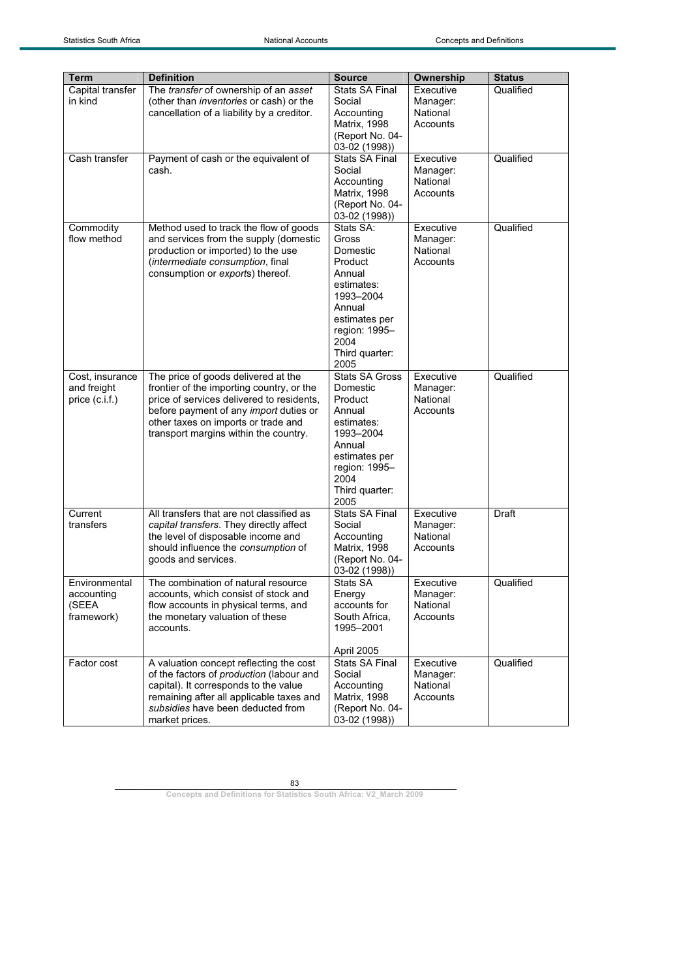| <b>Term</b>                                        | <b>Definition</b>                                                                                                                                                                                                                                       | <b>Source</b>                                                                                                                                                   | Ownership                                     | <b>Status</b> |
|----------------------------------------------------|---------------------------------------------------------------------------------------------------------------------------------------------------------------------------------------------------------------------------------------------------------|-----------------------------------------------------------------------------------------------------------------------------------------------------------------|-----------------------------------------------|---------------|
| Capital transfer<br>in kind                        | The transfer of ownership of an asset<br>(other than inventories or cash) or the<br>cancellation of a liability by a creditor.                                                                                                                          | <b>Stats SA Final</b><br>Social<br>Accounting<br>Matrix, 1998<br>(Report No. 04-<br>03-02 (1998))                                                               | Executive<br>Manager:<br>National<br>Accounts | Qualified     |
| Cash transfer                                      | Payment of cash or the equivalent of<br>cash.                                                                                                                                                                                                           | <b>Stats SA Final</b><br>Social<br>Accounting<br><b>Matrix, 1998</b><br>(Report No. 04-<br>03-02 (1998))                                                        | Executive<br>Manager:<br>National<br>Accounts | Qualified     |
| Commodity<br>flow method                           | Method used to track the flow of goods<br>and services from the supply (domestic<br>production or imported) to the use<br>(intermediate consumption, final<br>consumption or exports) thereof.                                                          | Stats SA:<br>Gross<br>Domestic<br>Product<br>Annual<br>estimates:<br>1993-2004<br>Annual<br>estimates per<br>region: 1995-<br>2004<br>Third quarter:<br>2005    | Executive<br>Manager:<br>National<br>Accounts | Qualified     |
| Cost, insurance<br>and freight<br>price $(c.i.f.)$ | The price of goods delivered at the<br>frontier of the importing country, or the<br>price of services delivered to residents,<br>before payment of any import duties or<br>other taxes on imports or trade and<br>transport margins within the country. | <b>Stats SA Gross</b><br>Domestic<br>Product<br>Annual<br>estimates:<br>1993-2004<br>Annual<br>estimates per<br>region: 1995-<br>2004<br>Third quarter:<br>2005 | Executive<br>Manager:<br>National<br>Accounts | Qualified     |
| Current<br>transfers                               | All transfers that are not classified as<br>capital transfers. They directly affect<br>the level of disposable income and<br>should influence the consumption of<br>goods and services.                                                                 | <b>Stats SA Final</b><br>Social<br>Accounting<br>Matrix, 1998<br>(Report No. 04-<br>03-02 (1998))                                                               | Executive<br>Manager:<br>National<br>Accounts | Draft         |
| Environmental<br>accounting<br>(SEEA<br>framework) | The combination of natural resource<br>accounts, which consist of stock and<br>flow accounts in physical terms, and<br>the monetary valuation of these<br>accounts.                                                                                     | Stats SA<br>Energy<br>accounts for<br>South Africa,<br>1995-2001<br>April 2005                                                                                  | Executive<br>Manager:<br>National<br>Accounts | Qualified     |
| Factor cost                                        | A valuation concept reflecting the cost<br>of the factors of production (labour and<br>capital). It corresponds to the value<br>remaining after all applicable taxes and<br>subsidies have been deducted from<br>market prices.                         | Stats SA Final<br>Social<br>Accounting<br><b>Matrix, 1998</b><br>(Report No. 04-<br>03-02 (1998))                                                               | Executive<br>Manager:<br>National<br>Accounts | Qualified     |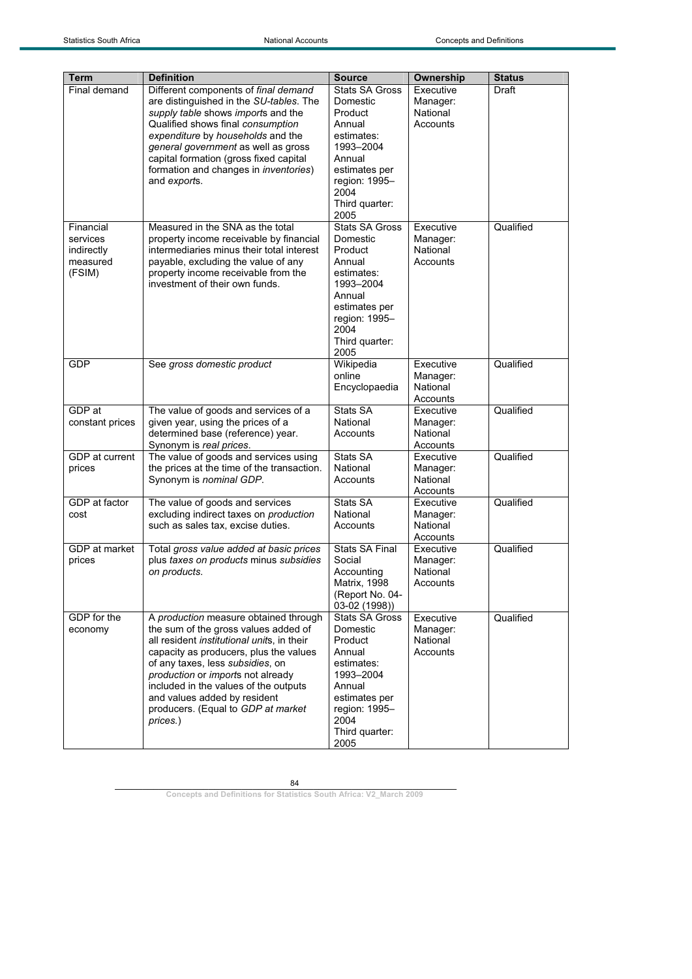| Term            | <b>Definition</b>                                                | <b>Source</b>                   | Ownership             | <b>Status</b> |
|-----------------|------------------------------------------------------------------|---------------------------------|-----------------------|---------------|
| Final demand    | Different components of final demand                             | <b>Stats SA Gross</b>           | Executive             | Draft         |
|                 | are distinguished in the SU-tables. The                          | Domestic                        | Manager:              |               |
|                 | supply table shows imports and the                               | Product                         | National              |               |
|                 | Qualified shows final consumption                                | Annual                          | Accounts              |               |
|                 | expenditure by households and the                                | estimates:                      |                       |               |
|                 | general government as well as gross                              | 1993-2004                       |                       |               |
|                 | capital formation (gross fixed capital                           | Annual                          |                       |               |
|                 | formation and changes in <i>inventories</i> )                    | estimates per                   |                       |               |
|                 | and exports.                                                     | region: 1995-                   |                       |               |
|                 |                                                                  | 2004<br>Third quarter:          |                       |               |
|                 |                                                                  | 2005                            |                       |               |
| Financial       | Measured in the SNA as the total                                 | <b>Stats SA Gross</b>           | Executive             | Qualified     |
| services        | property income receivable by financial                          | Domestic                        | Manager:              |               |
| indirectly      | intermediaries minus their total interest                        | Product                         | National              |               |
| measured        | payable, excluding the value of any                              | Annual                          | Accounts              |               |
| (FSIM)          | property income receivable from the                              | estimates:                      |                       |               |
|                 | investment of their own funds.                                   | 1993-2004                       |                       |               |
|                 |                                                                  | Annual                          |                       |               |
|                 |                                                                  | estimates per                   |                       |               |
|                 |                                                                  | region: 1995-<br>2004           |                       |               |
|                 |                                                                  | Third quarter:                  |                       |               |
|                 |                                                                  | 2005                            |                       |               |
| <b>GDP</b>      | See gross domestic product                                       | Wikipedia                       | Executive             | Qualified     |
|                 |                                                                  | online                          | Manager:              |               |
|                 |                                                                  | Encyclopaedia                   | National              |               |
|                 |                                                                  |                                 | Accounts              |               |
| GDP at          | The value of goods and services of a                             | Stats SA                        | Executive             | Qualified     |
| constant prices | given year, using the prices of a                                | National                        | Manager:              |               |
|                 | determined base (reference) year.                                | Accounts                        | National              |               |
| GDP at current  | Synonym is real prices.<br>The value of goods and services using | Stats SA                        | Accounts<br>Executive | Qualified     |
| prices          | the prices at the time of the transaction.                       | National                        | Manager:              |               |
|                 | Synonym is nominal GDP.                                          | Accounts                        | National              |               |
|                 |                                                                  |                                 | Accounts              |               |
| GDP at factor   | The value of goods and services                                  | Stats SA                        | Executive             | Qualified     |
| cost            | excluding indirect taxes on production                           | National                        | Manager:              |               |
|                 | such as sales tax, excise duties.                                | Accounts                        | National              |               |
|                 |                                                                  |                                 | Accounts              |               |
| GDP at market   | Total gross value added at basic prices                          | <b>Stats SA Final</b>           | Executive             | Qualified     |
| prices          | plus taxes on products minus subsidies                           | Social                          | Manager:              |               |
|                 | on products.                                                     | Accounting                      | National              |               |
|                 |                                                                  | Matrix, 1998<br>(Report No. 04- | Accounts              |               |
|                 |                                                                  | 03-02 (1998))                   |                       |               |
| GDP for the     | A production measure obtained through                            | Stats SA Gross                  | Executive             | Qualified     |
| economy         | the sum of the gross values added of                             | Domestic                        | Manager:              |               |
|                 | all resident institutional units, in their                       | Product                         | National              |               |
|                 | capacity as producers, plus the values                           | Annual                          | Accounts              |               |
|                 | of any taxes, less subsidies, on                                 | estimates:                      |                       |               |
|                 | production or imports not already                                | 1993-2004                       |                       |               |
|                 | included in the values of the outputs                            | Annual                          |                       |               |
|                 | and values added by resident                                     | estimates per                   |                       |               |
|                 | producers. (Equal to GDP at market<br>prices.)                   | region: 1995-<br>2004           |                       |               |
|                 |                                                                  | Third quarter:                  |                       |               |
|                 |                                                                  | 2005                            |                       |               |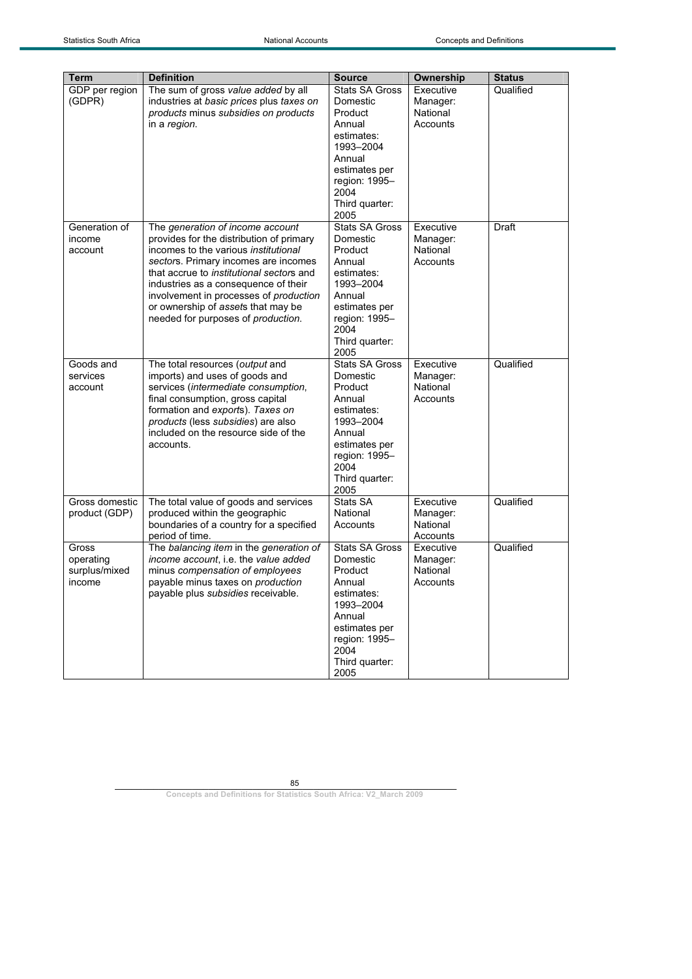| Term                                          | <b>Definition</b>                                                                                                                                                                                                                                                                                                                                                             | <b>Source</b>                                                                                                                                                   | Ownership                                     | <b>Status</b> |
|-----------------------------------------------|-------------------------------------------------------------------------------------------------------------------------------------------------------------------------------------------------------------------------------------------------------------------------------------------------------------------------------------------------------------------------------|-----------------------------------------------------------------------------------------------------------------------------------------------------------------|-----------------------------------------------|---------------|
| GDP per region<br>(GDPR)                      | The sum of gross value added by all<br>industries at basic prices plus taxes on<br>products minus subsidies on products<br>in a region.                                                                                                                                                                                                                                       | <b>Stats SA Gross</b><br>Domestic<br>Product<br>Annual<br>estimates:<br>1993-2004<br>Annual<br>estimates per<br>region: 1995-<br>2004<br>Third quarter:<br>2005 | Executive<br>Manager:<br>National<br>Accounts | Qualified     |
| Generation of<br>income<br>account            | The generation of income account<br>provides for the distribution of primary<br>incomes to the various <i>institutional</i><br>sectors. Primary incomes are incomes<br>that accrue to institutional sectors and<br>industries as a consequence of their<br>involvement in processes of production<br>or ownership of assets that may be<br>needed for purposes of production. | <b>Stats SA Gross</b><br>Domestic<br>Product<br>Annual<br>estimates:<br>1993-2004<br>Annual<br>estimates per<br>region: 1995-<br>2004<br>Third quarter:<br>2005 | Executive<br>Manager:<br>National<br>Accounts | Draft         |
| Goods and<br>services<br>account              | The total resources (output and<br>imports) and uses of goods and<br>services (intermediate consumption,<br>final consumption, gross capital<br>formation and exports). Taxes on<br>products (less subsidies) are also<br>included on the resource side of the<br>accounts.                                                                                                   | <b>Stats SA Gross</b><br>Domestic<br>Product<br>Annual<br>estimates:<br>1993-2004<br>Annual<br>estimates per<br>region: 1995-<br>2004<br>Third quarter:<br>2005 | Executive<br>Manager:<br>National<br>Accounts | Qualified     |
| Gross domestic<br>product (GDP)               | The total value of goods and services<br>produced within the geographic<br>boundaries of a country for a specified<br>period of time.                                                                                                                                                                                                                                         | Stats SA<br>National<br>Accounts                                                                                                                                | Executive<br>Manager:<br>National<br>Accounts | Qualified     |
| Gross<br>operating<br>surplus/mixed<br>income | The balancing item in the generation of<br>income account, i.e. the value added<br>minus compensation of employees<br>payable minus taxes on production<br>payable plus subsidies receivable.                                                                                                                                                                                 | Stats SA Gross<br>Domestic<br>Product<br>Annual<br>estimates:<br>1993-2004<br>Annual<br>estimates per<br>region: 1995-<br>2004<br>Third quarter:<br>2005        | Executive<br>Manager:<br>National<br>Accounts | Qualified     |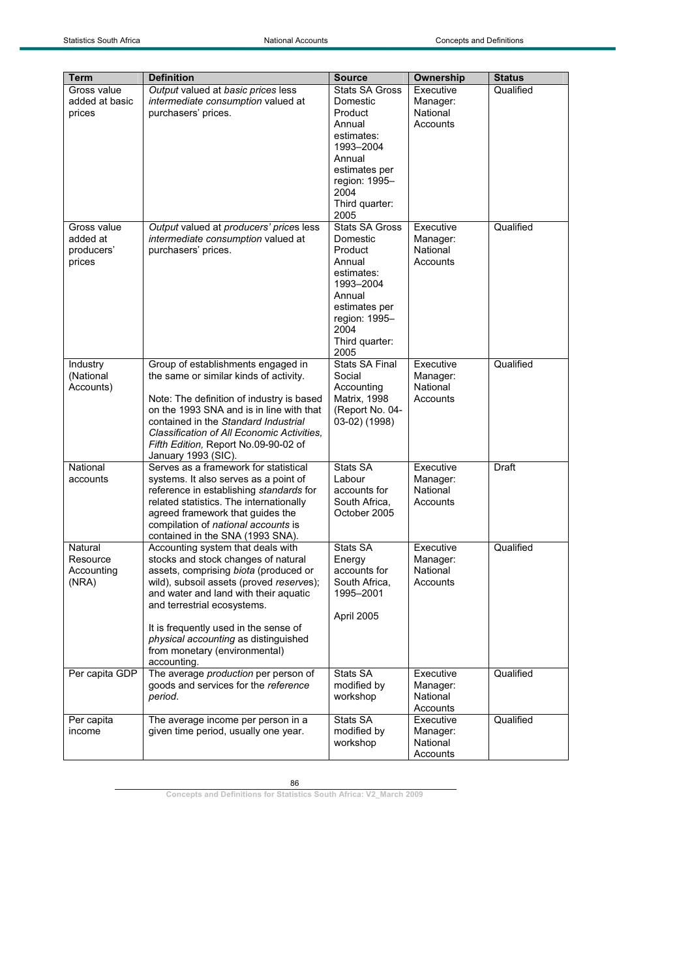| Term           | <b>Definition</b>                                                                     | <b>Source</b>                   | Ownership            | <b>Status</b> |
|----------------|---------------------------------------------------------------------------------------|---------------------------------|----------------------|---------------|
| Gross value    | Output valued at basic prices less                                                    | <b>Stats SA Gross</b>           | Executive            | Qualified     |
| added at basic | intermediate consumption valued at                                                    | Domestic                        | Manager:             |               |
| prices         | purchasers' prices.                                                                   | Product                         | National             |               |
|                |                                                                                       | Annual                          | Accounts             |               |
|                |                                                                                       | estimates:                      |                      |               |
|                |                                                                                       | 1993-2004                       |                      |               |
|                |                                                                                       | Annual                          |                      |               |
|                |                                                                                       | estimates per                   |                      |               |
|                |                                                                                       | region: 1995-                   |                      |               |
|                |                                                                                       | 2004<br>Third quarter:          |                      |               |
|                |                                                                                       | 2005                            |                      |               |
| Gross value    | Output valued at producers' prices less                                               | <b>Stats SA Gross</b>           | Executive            | Qualified     |
| added at       | intermediate consumption valued at                                                    | Domestic                        | Manager:             |               |
| producers'     | purchasers' prices.                                                                   | Product                         | National             |               |
| prices         |                                                                                       | Annual                          | Accounts             |               |
|                |                                                                                       | estimates:                      |                      |               |
|                |                                                                                       | 1993-2004                       |                      |               |
|                |                                                                                       | Annual<br>estimates per         |                      |               |
|                |                                                                                       | region: 1995-                   |                      |               |
|                |                                                                                       | 2004                            |                      |               |
|                |                                                                                       | Third quarter:                  |                      |               |
|                |                                                                                       | 2005                            |                      |               |
| Industry       | Group of establishments engaged in                                                    | <b>Stats SA Final</b>           | Executive            | Qualified     |
| (National      | the same or similar kinds of activity.                                                | Social                          | Manager:             |               |
| Accounts)      |                                                                                       | Accounting                      | National             |               |
|                | Note: The definition of industry is based<br>on the 1993 SNA and is in line with that | Matrix, 1998<br>(Report No. 04- | Accounts             |               |
|                | contained in the Standard Industrial                                                  | 03-02) (1998)                   |                      |               |
|                | Classification of All Economic Activities,                                            |                                 |                      |               |
|                | Fifth Edition, Report No.09-90-02 of                                                  |                                 |                      |               |
|                | January 1993 (SIC).                                                                   |                                 |                      |               |
| National       | Serves as a framework for statistical                                                 | Stats SA                        | Executive            | Draft         |
| accounts       | systems. It also serves as a point of                                                 | Labour                          | Manager:             |               |
|                | reference in establishing standards for                                               | accounts for                    | National             |               |
|                | related statistics. The internationally<br>agreed framework that guides the           | South Africa,<br>October 2005   | Accounts             |               |
|                | compilation of national accounts is                                                   |                                 |                      |               |
|                | contained in the SNA (1993 SNA).                                                      |                                 |                      |               |
| Natural        | Accounting system that deals with                                                     | Stats SA                        | Executive            | Qualified     |
| Resource       | stocks and stock changes of natural                                                   | Energy                          | Manager:             |               |
| Accounting     | assets, comprising biota (produced or                                                 | accounts for                    | National             |               |
| (NRA)          | wild), subsoil assets (proved reserves);                                              | South Africa.                   | Accounts             |               |
|                | and water and land with their aquatic                                                 | 1995-2001                       |                      |               |
|                | and terrestrial ecosystems.                                                           | April 2005                      |                      |               |
|                | It is frequently used in the sense of                                                 |                                 |                      |               |
|                | physical accounting as distinguished                                                  |                                 |                      |               |
|                | from monetary (environmental)                                                         |                                 |                      |               |
|                | accounting.                                                                           |                                 |                      |               |
| Per capita GDP | The average production per person of                                                  | Stats SA                        | Executive            | Qualified     |
|                | goods and services for the reference                                                  | modified by                     | Manager:             |               |
|                | period.                                                                               | workshop                        | National<br>Accounts |               |
| Per capita     | The average income per person in a                                                    | Stats SA                        | Executive            | Qualified     |
| income         | given time period, usually one year.                                                  | modified by                     | Manager:             |               |
|                |                                                                                       | workshop                        | National             |               |
|                |                                                                                       |                                 | Accounts             |               |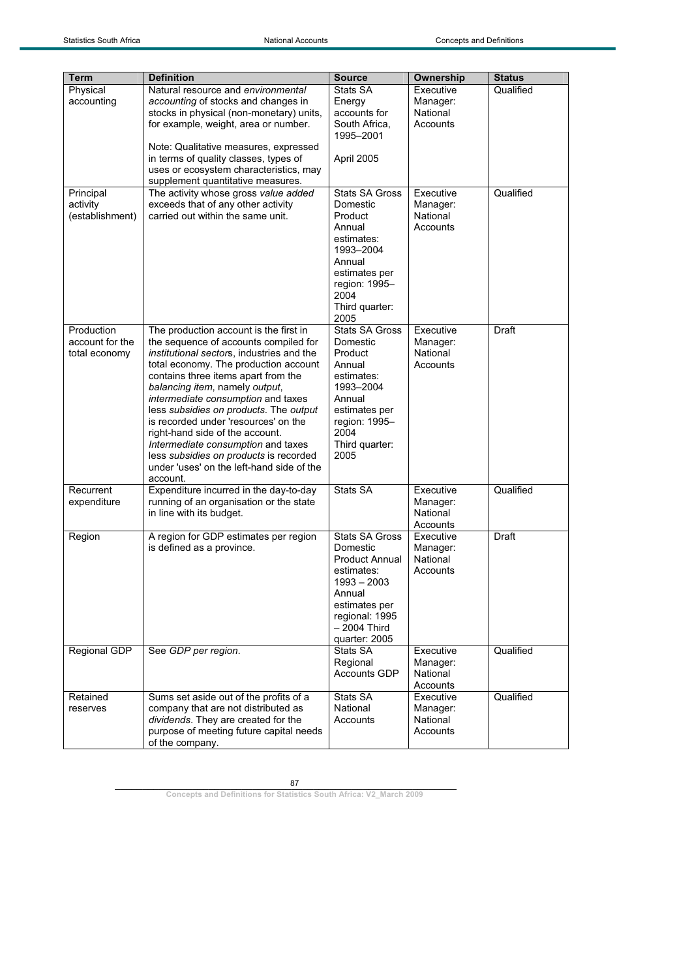| <b>Term</b>     | <b>Definition</b>                         | <b>Source</b>         | Ownership            | <b>Status</b> |
|-----------------|-------------------------------------------|-----------------------|----------------------|---------------|
| Physical        | Natural resource and environmental        | Stats SA              | Executive            | Qualified     |
| accounting      | accounting of stocks and changes in       | Energy                | Manager:             |               |
|                 | stocks in physical (non-monetary) units,  | accounts for          | National             |               |
|                 | for example, weight, area or number.      | South Africa.         | Accounts             |               |
|                 |                                           | 1995-2001             |                      |               |
|                 | Note: Qualitative measures, expressed     |                       |                      |               |
|                 | in terms of quality classes, types of     | April 2005            |                      |               |
|                 | uses or ecosystem characteristics, may    |                       |                      |               |
|                 | supplement quantitative measures.         |                       |                      |               |
| Principal       | The activity whose gross value added      | <b>Stats SA Gross</b> | Executive            | Qualified     |
| activity        | exceeds that of any other activity        | Domestic              | Manager:             |               |
| (establishment) | carried out within the same unit.         | Product               | National             |               |
|                 |                                           | Annual                | Accounts             |               |
|                 |                                           | estimates:            |                      |               |
|                 |                                           | 1993-2004             |                      |               |
|                 |                                           | Annual                |                      |               |
|                 |                                           | estimates per         |                      |               |
|                 |                                           | region: 1995-         |                      |               |
|                 |                                           | 2004                  |                      |               |
|                 |                                           | Third quarter:        |                      |               |
|                 |                                           | 2005                  |                      |               |
| Production      | The production account is the first in    | <b>Stats SA Gross</b> | Executive            | Draft         |
| account for the | the sequence of accounts compiled for     | Domestic              | Manager:             |               |
| total economy   | institutional sectors, industries and the | Product               | National             |               |
|                 | total economy. The production account     | Annual                | Accounts             |               |
|                 | contains three items apart from the       | estimates:            |                      |               |
|                 | balancing item, namely output,            | 1993-2004             |                      |               |
|                 | intermediate consumption and taxes        | Annual                |                      |               |
|                 | less subsidies on products. The output    | estimates per         |                      |               |
|                 | is recorded under 'resources' on the      | region: 1995-         |                      |               |
|                 | right-hand side of the account.           | 2004                  |                      |               |
|                 | Intermediate consumption and taxes        | Third quarter:        |                      |               |
|                 | less subsidies on products is recorded    | 2005                  |                      |               |
|                 | under 'uses' on the left-hand side of the |                       |                      |               |
|                 | account.                                  | Stats SA              |                      | Qualified     |
| Recurrent       | Expenditure incurred in the day-to-day    |                       | Executive            |               |
| expenditure     | running of an organisation or the state   |                       | Manager:<br>National |               |
|                 | in line with its budget.                  |                       | Accounts             |               |
| Region          | A region for GDP estimates per region     | <b>Stats SA Gross</b> | Executive            | Draft         |
|                 | is defined as a province.                 | Domestic              | Manager:             |               |
|                 |                                           | <b>Product Annual</b> | National             |               |
|                 |                                           | estimates:            | Accounts             |               |
|                 |                                           | $1993 - 2003$         |                      |               |
|                 |                                           | Annual                |                      |               |
|                 |                                           | estimates per         |                      |               |
|                 |                                           | regional: 1995        |                      |               |
|                 |                                           | - 2004 Third          |                      |               |
|                 |                                           | quarter: 2005         |                      |               |
| Regional GDP    | See GDP per region.                       | Stats SA              | Executive            | Qualified     |
|                 |                                           | Regional              | Manager:             |               |
|                 |                                           | <b>Accounts GDP</b>   | National             |               |
|                 |                                           |                       | Accounts             |               |
| Retained        | Sums set aside out of the profits of a    | Stats SA              | Executive            | Qualified     |
| reserves        | company that are not distributed as       | National              | Manager:             |               |
|                 | dividends. They are created for the       | Accounts              | National             |               |
|                 | purpose of meeting future capital needs   |                       | Accounts             |               |
|                 | of the company.                           |                       |                      |               |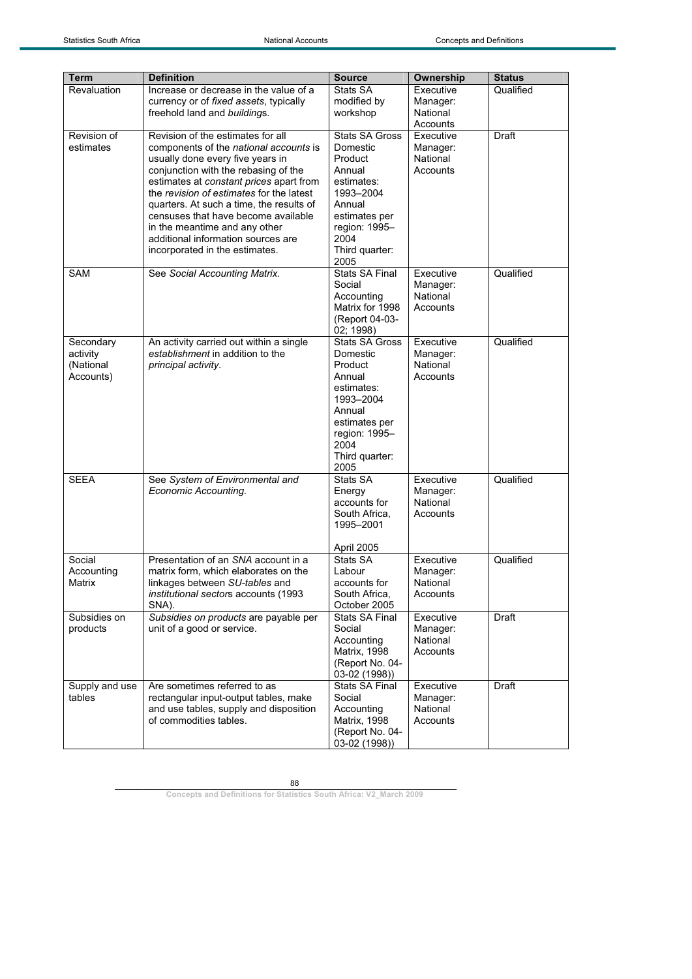| Term           | <b>Definition</b>                                                                   | <b>Source</b>                   | Ownership            | <b>Status</b> |
|----------------|-------------------------------------------------------------------------------------|---------------------------------|----------------------|---------------|
| Revaluation    | Increase or decrease in the value of a                                              | Stats SA                        | Executive            | Qualified     |
|                | currency or of fixed assets, typically                                              | modified by                     | Manager:             |               |
|                | freehold land and buildings.                                                        | workshop                        | National             |               |
|                |                                                                                     |                                 | Accounts             |               |
| Revision of    | Revision of the estimates for all                                                   | <b>Stats SA Gross</b>           | Executive            | Draft         |
| estimates      | components of the <i>national accounts</i> is                                       | Domestic                        | Manager:             |               |
|                | usually done every five years in                                                    | Product                         | National             |               |
|                | conjunction with the rebasing of the                                                | Annual                          | Accounts             |               |
|                | estimates at constant prices apart from<br>the revision of estimates for the latest | estimates:<br>1993-2004         |                      |               |
|                | quarters. At such a time, the results of                                            | Annual                          |                      |               |
|                | censuses that have become available                                                 | estimates per                   |                      |               |
|                | in the meantime and any other                                                       | region: 1995-                   |                      |               |
|                | additional information sources are                                                  | 2004                            |                      |               |
|                | incorporated in the estimates.                                                      | Third quarter:                  |                      |               |
|                |                                                                                     | 2005                            |                      |               |
| SAM            | See Social Accounting Matrix.                                                       | <b>Stats SA Final</b>           | Executive            | Qualified     |
|                |                                                                                     | Social                          | Manager:             |               |
|                |                                                                                     | Accounting                      | National             |               |
|                |                                                                                     | Matrix for 1998                 | Accounts             |               |
|                |                                                                                     | (Report 04-03-                  |                      |               |
|                |                                                                                     | 02; 1998)                       |                      |               |
| Secondary      | An activity carried out within a single                                             | <b>Stats SA Gross</b>           | Executive            | Qualified     |
| activity       | establishment in addition to the                                                    | Domestic                        | Manager:             |               |
| (National      | principal activity.                                                                 | Product                         | National             |               |
| Accounts)      |                                                                                     | Annual<br>estimates:            | Accounts             |               |
|                |                                                                                     | 1993-2004                       |                      |               |
|                |                                                                                     | Annual                          |                      |               |
|                |                                                                                     | estimates per                   |                      |               |
|                |                                                                                     | region: 1995-                   |                      |               |
|                |                                                                                     | 2004                            |                      |               |
|                |                                                                                     | Third quarter:                  |                      |               |
|                |                                                                                     | 2005                            |                      |               |
| <b>SEEA</b>    | See System of Environmental and                                                     | Stats SA                        | Executive            | Qualified     |
|                | Economic Accounting.                                                                | Energy                          | Manager:             |               |
|                |                                                                                     | accounts for                    | National             |               |
|                |                                                                                     | South Africa,                   | Accounts             |               |
|                |                                                                                     | 1995-2001                       |                      |               |
|                |                                                                                     | April 2005                      |                      |               |
| Social         | Presentation of an SNA account in a                                                 | Stats SA                        | Executive            | Qualified     |
| Accounting     | matrix form, which elaborates on the                                                | Labour                          | Manager:             |               |
| Matrix         | linkages between SU-tables and                                                      | accounts for                    | National             |               |
|                | institutional sectors accounts (1993                                                | South Africa,                   | Accounts             |               |
|                | SNA).                                                                               | October 2005                    |                      |               |
| Subsidies on   | Subsidies on products are payable per                                               | <b>Stats SA Final</b>           | Executive            | Draft         |
| products       | unit of a good or service.                                                          | Social                          | Manager:             |               |
|                |                                                                                     | Accounting                      | National             |               |
|                |                                                                                     | <b>Matrix, 1998</b>             | Accounts             |               |
|                |                                                                                     | (Report No. 04-                 |                      |               |
|                |                                                                                     | 03-02 (1998))                   |                      |               |
| Supply and use | Are sometimes referred to as                                                        | Stats SA Final                  | Executive            | Draft         |
| tables         | rectangular input-output tables, make                                               | Social                          | Manager:<br>National |               |
|                | and use tables, supply and disposition<br>of commodities tables.                    | Accounting                      | Accounts             |               |
|                |                                                                                     | Matrix, 1998<br>(Report No. 04- |                      |               |
|                |                                                                                     | 03-02 (1998))                   |                      |               |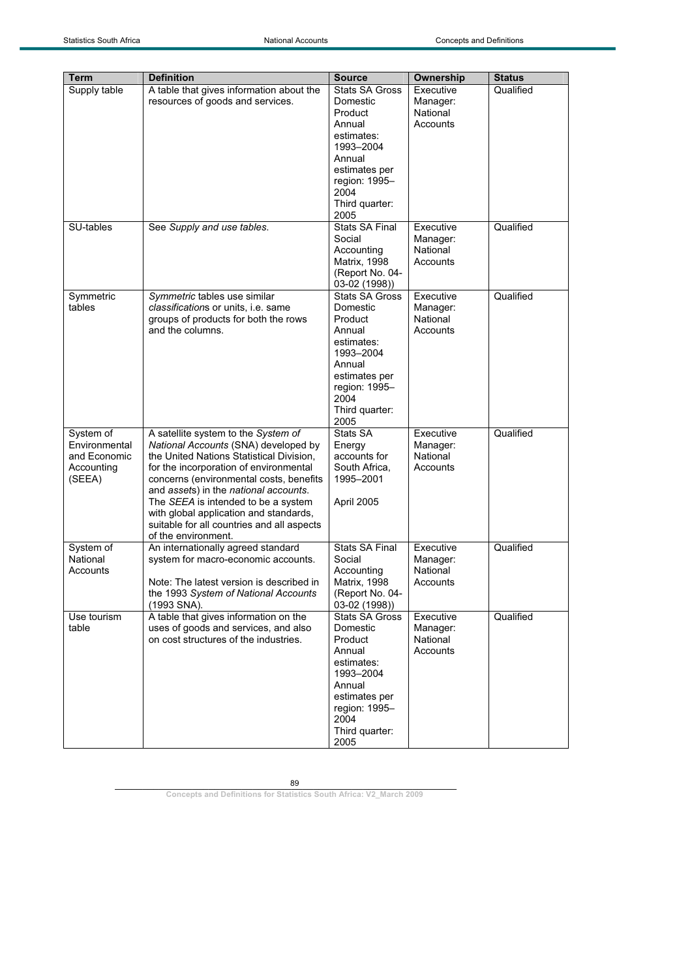| Term                       | <b>Definition</b>                                                                | <b>Source</b>                          | <b>Ownership</b>     | <b>Status</b> |
|----------------------------|----------------------------------------------------------------------------------|----------------------------------------|----------------------|---------------|
| Supply table               | A table that gives information about the                                         | <b>Stats SA Gross</b>                  | Executive            | Qualified     |
|                            | resources of goods and services.                                                 | Domestic                               | Manager:             |               |
|                            |                                                                                  | Product                                | National             |               |
|                            |                                                                                  | Annual                                 | Accounts             |               |
|                            |                                                                                  | estimates:                             |                      |               |
|                            |                                                                                  | 1993-2004                              |                      |               |
|                            |                                                                                  | Annual                                 |                      |               |
|                            |                                                                                  | estimates per                          |                      |               |
|                            |                                                                                  | region: 1995-                          |                      |               |
|                            |                                                                                  | 2004                                   |                      |               |
|                            |                                                                                  | Third quarter:                         |                      |               |
|                            |                                                                                  | 2005                                   |                      |               |
| SU-tables                  | See Supply and use tables.                                                       | <b>Stats SA Final</b>                  | Executive            | Qualified     |
|                            |                                                                                  | Social                                 | Manager:             |               |
|                            |                                                                                  | Accounting                             | National             |               |
|                            |                                                                                  | Matrix, 1998                           | Accounts             |               |
|                            |                                                                                  | (Report No. 04-                        |                      |               |
| Symmetric                  | Symmetric tables use similar                                                     | 03-02 (1998))<br><b>Stats SA Gross</b> | Executive            | Qualified     |
| tables                     | classifications or units, i.e. same                                              | Domestic                               | Manager:             |               |
|                            | groups of products for both the rows                                             | Product                                | National             |               |
|                            | and the columns.                                                                 | Annual                                 | Accounts             |               |
|                            |                                                                                  | estimates:                             |                      |               |
|                            |                                                                                  | 1993-2004                              |                      |               |
|                            |                                                                                  | Annual                                 |                      |               |
|                            |                                                                                  | estimates per                          |                      |               |
|                            |                                                                                  | region: 1995-                          |                      |               |
|                            |                                                                                  | 2004                                   |                      |               |
|                            |                                                                                  | Third quarter:                         |                      |               |
|                            |                                                                                  | 2005<br>Stats SA                       |                      | Qualified     |
| System of<br>Environmental | A satellite system to the System of                                              |                                        | Executive            |               |
| and Economic               | National Accounts (SNA) developed by<br>the United Nations Statistical Division, | Energy<br>accounts for                 | Manager:<br>National |               |
| Accounting                 | for the incorporation of environmental                                           | South Africa,                          | Accounts             |               |
| (SEEA)                     | concerns (environmental costs, benefits                                          | 1995-2001                              |                      |               |
|                            | and assets) in the national accounts.                                            |                                        |                      |               |
|                            | The SEEA is intended to be a system                                              | April 2005                             |                      |               |
|                            | with global application and standards,                                           |                                        |                      |               |
|                            | suitable for all countries and all aspects                                       |                                        |                      |               |
|                            | of the environment.                                                              |                                        |                      |               |
| System of                  | An internationally agreed standard                                               | <b>Stats SA Final</b>                  | Executive            | Qualified     |
| National                   | system for macro-economic accounts.                                              | Social                                 | Manager:             |               |
| Accounts                   |                                                                                  | Accounting                             | National             |               |
|                            | Note: The latest version is described in                                         | <b>Matrix, 1998</b>                    | Accounts             |               |
|                            | the 1993 System of National Accounts<br>(1993 SNA).                              | (Report No. 04-<br>03-02 (1998))       |                      |               |
| Use tourism                | A table that gives information on the                                            | Stats SA Gross                         | Executive            | Qualified     |
| table                      | uses of goods and services, and also                                             | Domestic                               | Manager:             |               |
|                            | on cost structures of the industries.                                            | Product                                | National             |               |
|                            |                                                                                  | Annual                                 | Accounts             |               |
|                            |                                                                                  | estimates:                             |                      |               |
|                            |                                                                                  | 1993-2004                              |                      |               |
|                            |                                                                                  | Annual                                 |                      |               |
|                            |                                                                                  | estimates per                          |                      |               |
|                            |                                                                                  | region: 1995-                          |                      |               |
|                            |                                                                                  | 2004                                   |                      |               |
|                            |                                                                                  | Third quarter:                         |                      |               |
|                            |                                                                                  | 2005                                   |                      |               |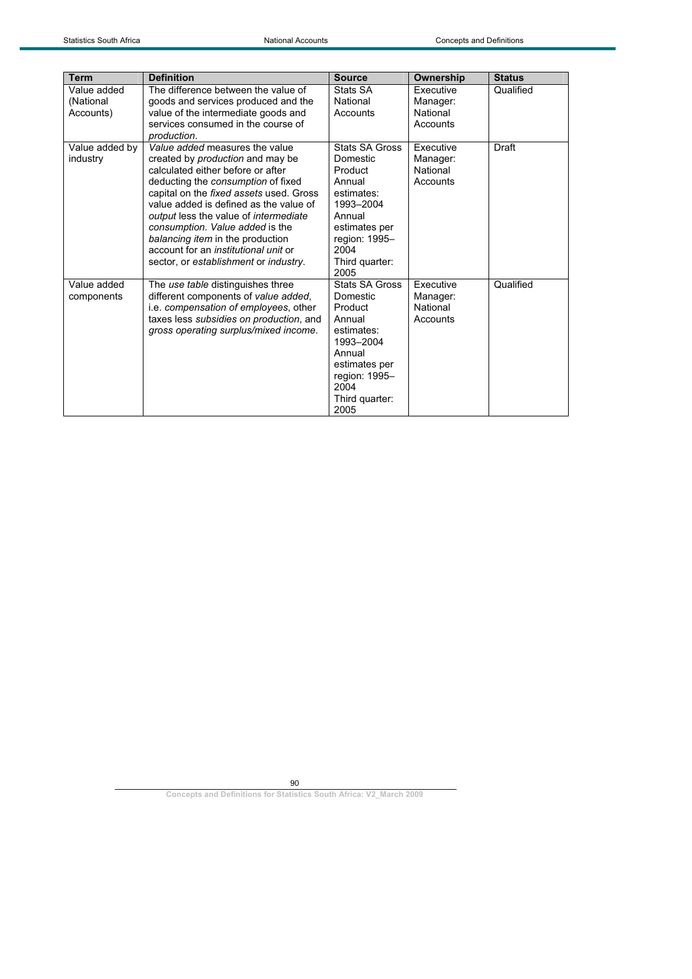| <b>Term</b>                           | <b>Definition</b>                                                                                                                                                                                                                                                                                                                                                                                                                                 | <b>Source</b>                                                                                                                                            | Ownership                                            | <b>Status</b> |
|---------------------------------------|---------------------------------------------------------------------------------------------------------------------------------------------------------------------------------------------------------------------------------------------------------------------------------------------------------------------------------------------------------------------------------------------------------------------------------------------------|----------------------------------------------------------------------------------------------------------------------------------------------------------|------------------------------------------------------|---------------|
| Value added<br>(National<br>Accounts) | The difference between the value of<br>goods and services produced and the<br>value of the intermediate goods and<br>services consumed in the course of<br>production.                                                                                                                                                                                                                                                                            | Stats SA<br>National<br>Accounts                                                                                                                         | <b>Executive</b><br>Manager:<br>National<br>Accounts | Qualified     |
| Value added by<br>industry            | Value added measures the value<br>created by <i>production</i> and may be<br>calculated either before or after<br>deducting the consumption of fixed<br>capital on the fixed assets used. Gross<br>value added is defined as the value of<br>output less the value of intermediate<br>consumption. Value added is the<br>balancing item in the production<br>account for an <i>institutional unit</i> or<br>sector, or establishment or industry. | Stats SA Gross<br>Domestic<br>Product<br>Annual<br>estimates:<br>1993-2004<br>Annual<br>estimates per<br>region: 1995-<br>2004<br>Third quarter:<br>2005 | Executive<br>Manager:<br>National<br>Accounts        | Draft         |
| Value added<br>components             | The use table distinguishes three<br>different components of value added,<br>i.e. compensation of employees, other<br>taxes less subsidies on production, and<br>gross operating surplus/mixed income.                                                                                                                                                                                                                                            | Stats SA Gross<br>Domestic<br>Product<br>Annual<br>estimates:<br>1993-2004<br>Annual<br>estimates per<br>region: 1995-<br>2004<br>Third quarter:<br>2005 | Executive<br>Manager:<br>National<br>Accounts        | Qualified     |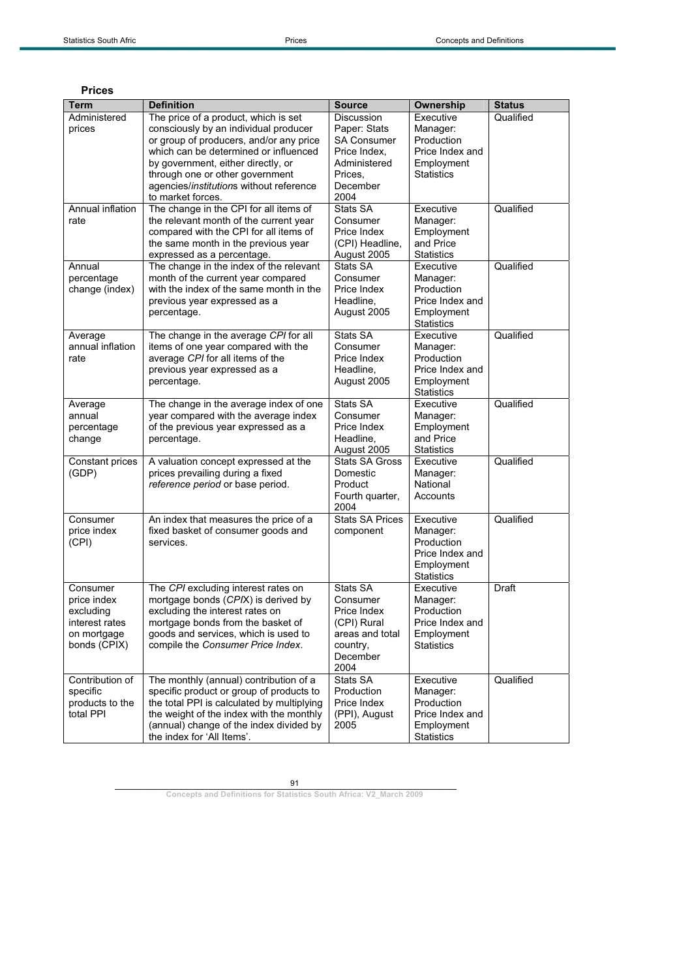| Prices |
|--------|
|        |

| Term                        | <b>Definition</b>                                                                | <b>Source</b>                      | Ownership              | <b>Status</b> |
|-----------------------------|----------------------------------------------------------------------------------|------------------------------------|------------------------|---------------|
| Administered                | The price of a product, which is set                                             | Discussion                         | Executive              | Qualified     |
| prices                      | consciously by an individual producer<br>or group of producers, and/or any price | Paper: Stats<br><b>SA Consumer</b> | Manager:<br>Production |               |
|                             | which can be determined or influenced                                            | Price Index,                       | Price Index and        |               |
|                             | by government, either directly, or                                               | Administered                       | Employment             |               |
|                             | through one or other government                                                  | Prices.                            | <b>Statistics</b>      |               |
|                             | agencies/institutions without reference                                          | December                           |                        |               |
|                             | to market forces.                                                                | 2004                               |                        |               |
| Annual inflation            | The change in the CPI for all items of                                           | Stats SA                           | Executive              | Qualified     |
| rate                        | the relevant month of the current year                                           | Consumer                           | Manager:               |               |
|                             | compared with the CPI for all items of                                           | Price Index                        | Employment             |               |
|                             | the same month in the previous year                                              | (CPI) Headline,                    | and Price              |               |
|                             | expressed as a percentage.                                                       | August 2005                        | <b>Statistics</b>      |               |
| Annual                      | The change in the index of the relevant                                          | Stats SA                           | Executive              | Qualified     |
| percentage                  | month of the current year compared                                               | Consumer                           | Manager:               |               |
| change (index)              | with the index of the same month in the                                          | Price Index                        | Production             |               |
|                             | previous year expressed as a                                                     | Headline,                          | Price Index and        |               |
|                             | percentage.                                                                      | August 2005                        | Employment             |               |
|                             |                                                                                  |                                    | <b>Statistics</b>      |               |
| Average<br>annual inflation | The change in the average CPI for all                                            | Stats SA                           | Executive              | Qualified     |
|                             | items of one year compared with the<br>average CPI for all items of the          | Consumer<br>Price Index            | Manager:<br>Production |               |
| rate                        | previous year expressed as a                                                     | Headline.                          | Price Index and        |               |
|                             | percentage.                                                                      | August 2005                        | Employment             |               |
|                             |                                                                                  |                                    | <b>Statistics</b>      |               |
| Average                     | The change in the average index of one                                           | Stats SA                           | Executive              | Qualified     |
| annual                      | year compared with the average index                                             | Consumer                           | Manager:               |               |
| percentage                  | of the previous year expressed as a                                              | Price Index                        | Employment             |               |
| change                      | percentage.                                                                      | Headline,                          | and Price              |               |
|                             |                                                                                  | August 2005                        | <b>Statistics</b>      |               |
| Constant prices             | A valuation concept expressed at the                                             | <b>Stats SA Gross</b>              | Executive              | Qualified     |
| (GDP)                       | prices prevailing during a fixed                                                 | Domestic                           | Manager:               |               |
|                             | reference period or base period.                                                 | Product                            | National               |               |
|                             |                                                                                  | Fourth quarter,                    | Accounts               |               |
|                             |                                                                                  | 2004<br><b>Stats SA Prices</b>     |                        |               |
| Consumer<br>price index     | An index that measures the price of a<br>fixed basket of consumer goods and      | component                          | Executive<br>Manager:  | Qualified     |
| (CPI)                       | services.                                                                        |                                    | Production             |               |
|                             |                                                                                  |                                    | Price Index and        |               |
|                             |                                                                                  |                                    | Employment             |               |
|                             |                                                                                  |                                    | <b>Statistics</b>      |               |
| Consumer                    | The CPI excluding interest rates on                                              | Stats SA                           | Executive              | Draft         |
| price index                 | mortgage bonds (CPIX) is derived by                                              | Consumer                           | Manager:               |               |
| excluding                   | excluding the interest rates on                                                  | Price Index                        | Production             |               |
| interest rates              | mortgage bonds from the basket of                                                | (CPI) Rural                        | Price Index and        |               |
| on mortgage                 | goods and services, which is used to                                             | areas and total                    | Employment             |               |
| bonds (CPIX)                | compile the Consumer Price Index.                                                | country,                           | <b>Statistics</b>      |               |
|                             |                                                                                  | December<br>2004                   |                        |               |
| Contribution of             | The monthly (annual) contribution of a                                           | Stats SA                           | Executive              | Qualified     |
| specific                    | specific product or group of products to                                         | Production                         | Manager:               |               |
| products to the             | the total PPI is calculated by multiplying                                       | Price Index                        | Production             |               |
| total PPI                   | the weight of the index with the monthly                                         | (PPI), August                      | Price Index and        |               |
|                             | (annual) change of the index divided by                                          | 2005                               | Employment             |               |
|                             | the index for 'All Items'.                                                       |                                    | <b>Statistics</b>      |               |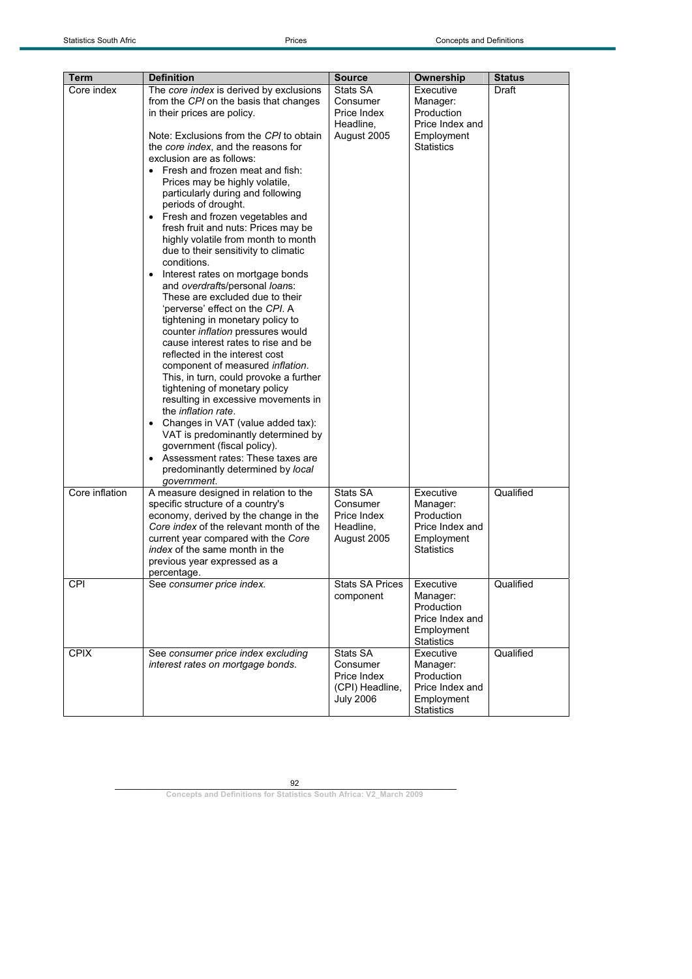| Term           | <b>Definition</b>                            | <b>Source</b>    | Ownership              | Status    |
|----------------|----------------------------------------------|------------------|------------------------|-----------|
| Core index     | The core index is derived by exclusions      | Stats SA         | Executive              | Draft     |
|                | from the CPI on the basis that changes       | Consumer         | Manager:               |           |
|                | in their prices are policy.                  | Price Index      | Production             |           |
|                |                                              | Headline.        | Price Index and        |           |
|                | Note: Exclusions from the CPI to obtain      | August 2005      | Employment             |           |
|                | the core index, and the reasons for          |                  | <b>Statistics</b>      |           |
|                | exclusion are as follows:                    |                  |                        |           |
|                | • Fresh and frozen meat and fish:            |                  |                        |           |
|                | Prices may be highly volatile,               |                  |                        |           |
|                | particularly during and following            |                  |                        |           |
|                | periods of drought.                          |                  |                        |           |
|                | Fresh and frozen vegetables and<br>$\bullet$ |                  |                        |           |
|                | fresh fruit and nuts: Prices may be          |                  |                        |           |
|                | highly volatile from month to month          |                  |                        |           |
|                | due to their sensitivity to climatic         |                  |                        |           |
|                | conditions.                                  |                  |                        |           |
|                | Interest rates on mortgage bonds             |                  |                        |           |
|                | and overdrafts/personal loans:               |                  |                        |           |
|                | These are excluded due to their              |                  |                        |           |
|                | 'perverse' effect on the CPI. A              |                  |                        |           |
|                | tightening in monetary policy to             |                  |                        |           |
|                | counter inflation pressures would            |                  |                        |           |
|                | cause interest rates to rise and be          |                  |                        |           |
|                | reflected in the interest cost               |                  |                        |           |
|                | component of measured inflation.             |                  |                        |           |
|                | This, in turn, could provoke a further       |                  |                        |           |
|                | tightening of monetary policy                |                  |                        |           |
|                | resulting in excessive movements in          |                  |                        |           |
|                | the <i>inflation rate</i> .                  |                  |                        |           |
|                | Changes in VAT (value added tax):            |                  |                        |           |
|                | VAT is predominantly determined by           |                  |                        |           |
|                | government (fiscal policy).                  |                  |                        |           |
|                | Assessment rates: These taxes are            |                  |                        |           |
|                | predominantly determined by local            |                  |                        |           |
|                | government.                                  |                  |                        |           |
| Core inflation | A measure designed in relation to the        | Stats SA         | Executive              | Qualified |
|                | specific structure of a country's            | Consumer         | Manager:               |           |
|                | economy, derived by the change in the        | Price Index      | Production             |           |
|                | Core index of the relevant month of the      | Headline,        | Price Index and        |           |
|                | current year compared with the Core          | August 2005      | Employment             |           |
|                | <i>index</i> of the same month in the        |                  | Statistics             |           |
|                | previous year expressed as a                 |                  |                        |           |
|                | percentage.                                  |                  |                        |           |
| CPI            |                                              | Stats SA Prices  | Executive              | Qualified |
|                | See consumer price index.                    | component        | Manager:               |           |
|                |                                              |                  | Production             |           |
|                |                                              |                  | Price Index and        |           |
|                |                                              |                  | Employment             |           |
|                |                                              |                  | <b>Statistics</b>      |           |
| <b>CPIX</b>    | See consumer price index excluding           | Stats SA         | Executive              | Qualified |
|                | interest rates on mortgage bonds.            | Consumer         |                        |           |
|                |                                              | Price Index      | Manager:<br>Production |           |
|                |                                              |                  | Price Index and        |           |
|                |                                              | (CPI) Headline,  |                        |           |
|                |                                              | <b>July 2006</b> | Employment             |           |
|                |                                              |                  | <b>Statistics</b>      |           |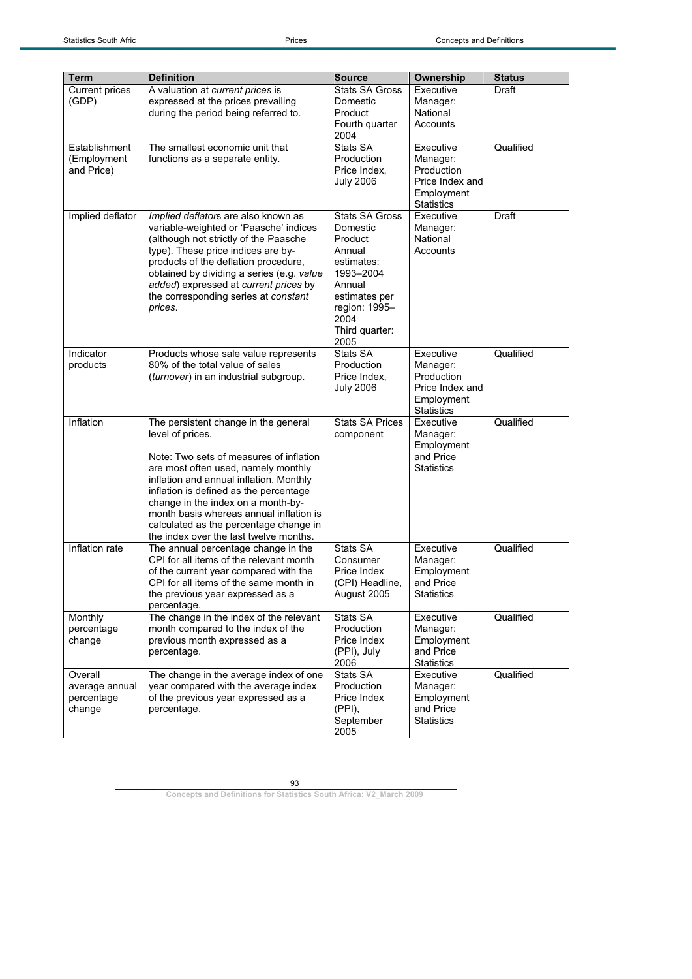| Term                                              | <b>Definition</b>                                                                                                                                                                                                                                                                                                                                                                                    | <b>Source</b>                                                                                                                                                   | Ownership                                                                                 | <b>Status</b> |
|---------------------------------------------------|------------------------------------------------------------------------------------------------------------------------------------------------------------------------------------------------------------------------------------------------------------------------------------------------------------------------------------------------------------------------------------------------------|-----------------------------------------------------------------------------------------------------------------------------------------------------------------|-------------------------------------------------------------------------------------------|---------------|
| Current prices<br>(GDP)                           | A valuation at current prices is<br>expressed at the prices prevailing<br>during the period being referred to.                                                                                                                                                                                                                                                                                       | <b>Stats SA Gross</b><br>Domestic<br>Product<br>Fourth quarter<br>2004                                                                                          | Executive<br>Manager:<br>National<br>Accounts                                             | Draft         |
| Establishment<br>(Employment<br>and Price)        | The smallest economic unit that<br>functions as a separate entity.                                                                                                                                                                                                                                                                                                                                   | Stats SA<br>Production<br>Price Index,<br><b>July 2006</b>                                                                                                      | Executive<br>Manager:<br>Production<br>Price Index and<br>Employment<br><b>Statistics</b> | Qualified     |
| Implied deflator                                  | Implied deflators are also known as<br>variable-weighted or 'Paasche' indices<br>(although not strictly of the Paasche<br>type). These price indices are by-<br>products of the deflation procedure,<br>obtained by dividing a series (e.g. value<br>added) expressed at current prices by<br>the corresponding series at constant<br>prices.                                                        | <b>Stats SA Gross</b><br>Domestic<br>Product<br>Annual<br>estimates:<br>1993-2004<br>Annual<br>estimates per<br>region: 1995-<br>2004<br>Third quarter:<br>2005 | Executive<br>Manager:<br>National<br>Accounts                                             | Draft         |
| Indicator<br>products                             | Products whose sale value represents<br>80% of the total value of sales<br><i>(turnover)</i> in an industrial subgroup.                                                                                                                                                                                                                                                                              | Stats SA<br>Production<br>Price Index,<br><b>July 2006</b>                                                                                                      | Executive<br>Manager:<br>Production<br>Price Index and<br>Employment<br><b>Statistics</b> | Qualified     |
| Inflation                                         | The persistent change in the general<br>level of prices.<br>Note: Two sets of measures of inflation<br>are most often used, namely monthly<br>inflation and annual inflation. Monthly<br>inflation is defined as the percentage<br>change in the index on a month-by-<br>month basis whereas annual inflation is<br>calculated as the percentage change in<br>the index over the last twelve months. | <b>Stats SA Prices</b><br>component                                                                                                                             | Executive<br>Manager:<br>Employment<br>and Price<br><b>Statistics</b>                     | Qualified     |
| Inflation rate                                    | The annual percentage change in the<br>CPI for all items of the relevant month<br>of the current year compared with the<br>CPI for all items of the same month in<br>the previous year expressed as a<br>percentage.                                                                                                                                                                                 | Stats SA<br>Consumer<br>Price Index<br>(CPI) Headline,<br>August 2005                                                                                           | Executive<br>Manager:<br>Employment<br>and Price<br><b>Statistics</b>                     | Qualified     |
| Monthly<br>percentage<br>change                   | The change in the index of the relevant<br>month compared to the index of the<br>previous month expressed as a<br>percentage.                                                                                                                                                                                                                                                                        | Stats SA<br>Production<br>Price Index<br>(PPI), July<br>2006                                                                                                    | Executive<br>Manager:<br>Employment<br>and Price<br><b>Statistics</b>                     | Qualified     |
| Overall<br>average annual<br>percentage<br>change | The change in the average index of one<br>year compared with the average index<br>of the previous year expressed as a<br>percentage.                                                                                                                                                                                                                                                                 | Stats SA<br>Production<br>Price Index<br>$(PPI)$ ,<br>September<br>2005                                                                                         | Executive<br>Manager:<br>Employment<br>and Price<br><b>Statistics</b>                     | Qualified     |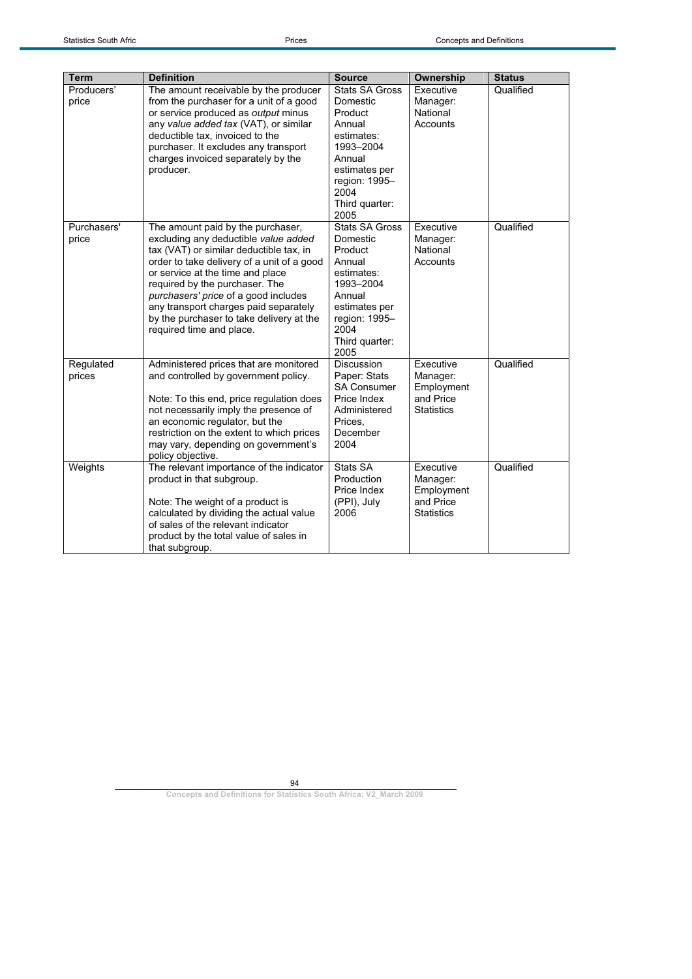| <b>Term</b>          | <b>Definition</b>                                                                                                                                                                                                                                                                                                                                                                                 | <b>Source</b>                                                                                                                                                   | Ownership                                                             | <b>Status</b> |
|----------------------|---------------------------------------------------------------------------------------------------------------------------------------------------------------------------------------------------------------------------------------------------------------------------------------------------------------------------------------------------------------------------------------------------|-----------------------------------------------------------------------------------------------------------------------------------------------------------------|-----------------------------------------------------------------------|---------------|
| Producers'<br>price  | The amount receivable by the producer<br>from the purchaser for a unit of a good<br>or service produced as output minus<br>any value added tax (VAT), or similar<br>deductible tax, invoiced to the<br>purchaser. It excludes any transport<br>charges invoiced separately by the<br>producer.                                                                                                    | <b>Stats SA Gross</b><br>Domestic<br>Product<br>Annual<br>estimates:<br>1993-2004<br>Annual<br>estimates per<br>region: 1995-<br>2004<br>Third quarter:<br>2005 | Executive<br>Manager:<br>National<br>Accounts                         | Qualified     |
| Purchasers'<br>price | The amount paid by the purchaser,<br>excluding any deductible value added<br>tax (VAT) or similar deductible tax, in<br>order to take delivery of a unit of a good<br>or service at the time and place<br>required by the purchaser. The<br>purchasers' price of a good includes<br>any transport charges paid separately<br>by the purchaser to take delivery at the<br>required time and place. | Stats SA Gross<br>Domestic<br>Product<br>Annual<br>estimates:<br>1993-2004<br>Annual<br>estimates per<br>region: 1995-<br>2004<br>Third quarter:<br>2005        | Executive<br>Manager:<br>National<br>Accounts                         | Qualified     |
| Regulated<br>prices  | Administered prices that are monitored<br>and controlled by government policy.<br>Note: To this end, price regulation does<br>not necessarily imply the presence of<br>an economic regulator, but the<br>restriction on the extent to which prices<br>may vary, depending on government's<br>policy objective.                                                                                    | <b>Discussion</b><br>Paper: Stats<br><b>SA Consumer</b><br>Price Index<br>Administered<br>Prices.<br>December<br>2004                                           | Executive<br>Manager:<br>Employment<br>and Price<br><b>Statistics</b> | Qualified     |
| Weights              | The relevant importance of the indicator<br>product in that subgroup.<br>Note: The weight of a product is<br>calculated by dividing the actual value<br>of sales of the relevant indicator<br>product by the total value of sales in<br>that subgroup.                                                                                                                                            | Stats SA<br>Production<br>Price Index<br>(PPI), July<br>2006                                                                                                    | Executive<br>Manager:<br>Employment<br>and Price<br><b>Statistics</b> | Qualified     |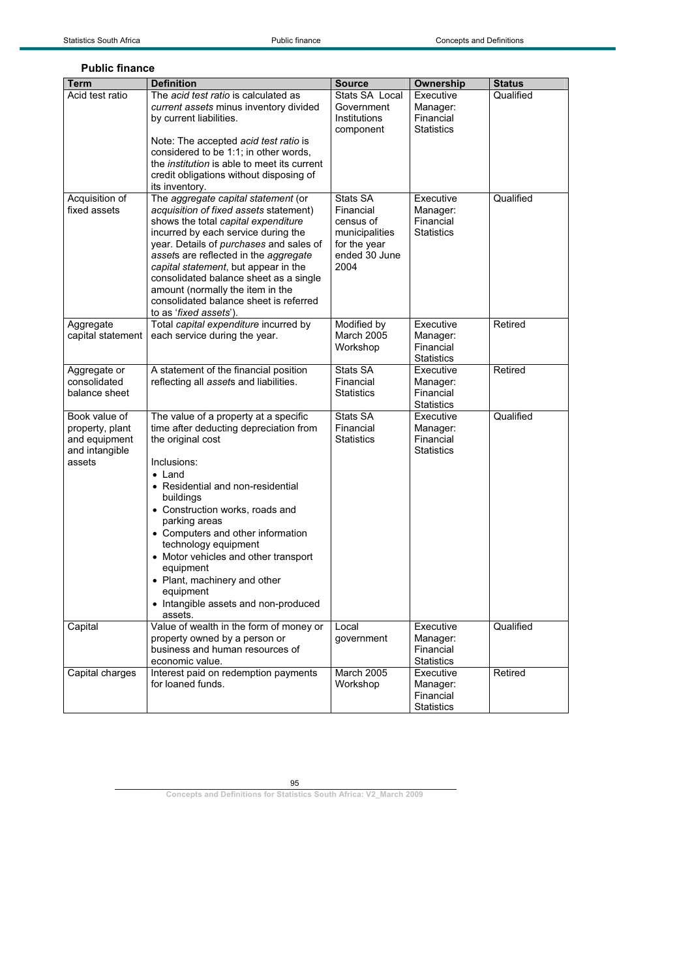| <b>Public finance</b>                                                         |                                                                                                                                                                                                                                                                                                                                                                                                                                                               |                                                                                               |                                                         |               |
|-------------------------------------------------------------------------------|---------------------------------------------------------------------------------------------------------------------------------------------------------------------------------------------------------------------------------------------------------------------------------------------------------------------------------------------------------------------------------------------------------------------------------------------------------------|-----------------------------------------------------------------------------------------------|---------------------------------------------------------|---------------|
| <b>Term</b>                                                                   | <b>Definition</b>                                                                                                                                                                                                                                                                                                                                                                                                                                             | <b>Source</b>                                                                                 | Ownership                                               | <b>Status</b> |
| Acid test ratio                                                               | The acid test ratio is calculated as<br>current assets minus inventory divided<br>by current liabilities.<br>Note: The accepted acid test ratio is<br>considered to be 1:1; in other words,<br>the <i>institution</i> is able to meet its current<br>credit obligations without disposing of<br>its inventory.                                                                                                                                                | Stats SA Local<br>Government<br>Institutions<br>component                                     | Executive<br>Manager:<br>Financial<br><b>Statistics</b> | Qualified     |
| Acquisition of<br>fixed assets                                                | The aggregate capital statement (or<br>acquisition of fixed assets statement)<br>shows the total capital expenditure<br>incurred by each service during the<br>year. Details of purchases and sales of<br>assets are reflected in the aggregate<br>capital statement, but appear in the<br>consolidated balance sheet as a single<br>amount (normally the item in the<br>consolidated balance sheet is referred<br>to as 'fixed assets').                     | Stats SA<br>Financial<br>census of<br>municipalities<br>for the year<br>ended 30 June<br>2004 | Executive<br>Manager:<br>Financial<br><b>Statistics</b> | Qualified     |
| Aggregate<br>capital statement                                                | Total capital expenditure incurred by<br>each service during the year.                                                                                                                                                                                                                                                                                                                                                                                        | Modified by<br><b>March 2005</b><br>Workshop                                                  | Executive<br>Manager:<br>Financial<br><b>Statistics</b> | Retired       |
| Aggregate or<br>consolidated<br>balance sheet                                 | A statement of the financial position<br>reflecting all assets and liabilities.                                                                                                                                                                                                                                                                                                                                                                               | Stats SA<br>Financial<br><b>Statistics</b>                                                    | Executive<br>Manager:<br>Financial<br><b>Statistics</b> | Retired       |
| Book value of<br>property, plant<br>and equipment<br>and intangible<br>assets | The value of a property at a specific<br>time after deducting depreciation from<br>the original cost<br>Inclusions:<br>$\bullet$ Land<br>• Residential and non-residential<br>buildings<br>• Construction works, roads and<br>parking areas<br>• Computers and other information<br>technology equipment<br>• Motor vehicles and other transport<br>equipment<br>• Plant, machinery and other<br>equipment<br>• Intangible assets and non-produced<br>assets. | Stats SA<br>Financial<br>Statistics                                                           | Executive<br>Manager:<br>Financial<br><b>Statistics</b> | Qualified     |
| Capital                                                                       | Value of wealth in the form of money or<br>property owned by a person or<br>business and human resources of<br>economic value.                                                                                                                                                                                                                                                                                                                                | Local<br>government                                                                           | Executive<br>Manager:<br>Financial<br>Statistics        | Qualified     |
| Capital charges                                                               | Interest paid on redemption payments<br>for loaned funds.                                                                                                                                                                                                                                                                                                                                                                                                     | March 2005<br>Workshop                                                                        | Executive<br>Manager:<br>Financial                      | Retired       |

## **Public final**

95

Statistics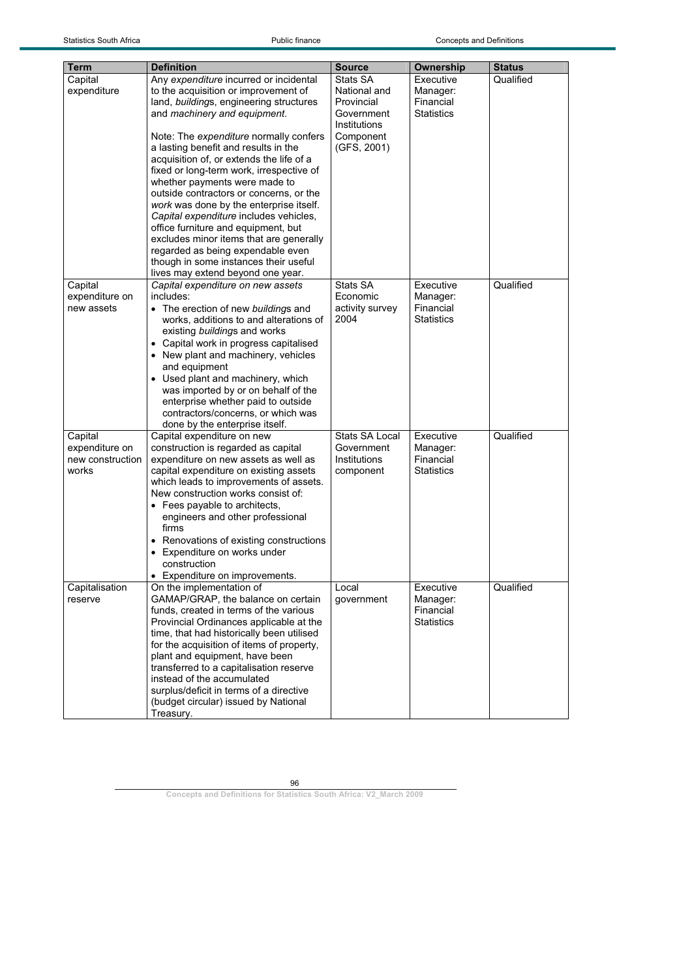| <b>Term</b>      | <b>Definition</b>                                                             | <b>Source</b>              | Ownership                      | <b>Status</b> |
|------------------|-------------------------------------------------------------------------------|----------------------------|--------------------------------|---------------|
| Capital          | Any expenditure incurred or incidental                                        | Stats SA                   | Executive                      | Qualified     |
| expenditure      | to the acquisition or improvement of                                          | National and               | Manager:                       |               |
|                  | land, buildings, engineering structures                                       | Provincial                 | Financial                      |               |
|                  | and machinery and equipment.                                                  | Government<br>Institutions | <b>Statistics</b>              |               |
|                  | Note: The expenditure normally confers                                        | Component                  |                                |               |
|                  | a lasting benefit and results in the                                          | (GFS, 2001)                |                                |               |
|                  | acquisition of, or extends the life of a                                      |                            |                                |               |
|                  | fixed or long-term work, irrespective of                                      |                            |                                |               |
|                  | whether payments were made to                                                 |                            |                                |               |
|                  | outside contractors or concerns, or the                                       |                            |                                |               |
|                  | work was done by the enterprise itself.                                       |                            |                                |               |
|                  | Capital expenditure includes vehicles,                                        |                            |                                |               |
|                  | office furniture and equipment, but                                           |                            |                                |               |
|                  | excludes minor items that are generally                                       |                            |                                |               |
|                  | regarded as being expendable even                                             |                            |                                |               |
|                  | though in some instances their useful                                         |                            |                                |               |
|                  | lives may extend beyond one year.                                             |                            |                                |               |
| Capital          | Capital expenditure on new assets                                             | Stats SA                   | Executive                      | Qualified     |
| expenditure on   | includes:                                                                     | Economic                   | Manager:                       |               |
| new assets       | • The erection of new buildings and                                           | activity survey<br>2004    | Financial<br><b>Statistics</b> |               |
|                  | works, additions to and alterations of                                        |                            |                                |               |
|                  | existing buildings and works                                                  |                            |                                |               |
|                  | • Capital work in progress capitalised<br>• New plant and machinery, vehicles |                            |                                |               |
|                  | and equipment                                                                 |                            |                                |               |
|                  | • Used plant and machinery, which                                             |                            |                                |               |
|                  | was imported by or on behalf of the                                           |                            |                                |               |
|                  | enterprise whether paid to outside                                            |                            |                                |               |
|                  | contractors/concerns, or which was                                            |                            |                                |               |
|                  | done by the enterprise itself.                                                |                            |                                |               |
| Capital          | Capital expenditure on new                                                    | <b>Stats SA Local</b>      | Executive                      | Qualified     |
| expenditure on   | construction is regarded as capital                                           | Government                 | Manager:                       |               |
| new construction | expenditure on new assets as well as                                          | Institutions               | Financial                      |               |
| works            | capital expenditure on existing assets                                        | component                  | <b>Statistics</b>              |               |
|                  | which leads to improvements of assets.                                        |                            |                                |               |
|                  | New construction works consist of:                                            |                            |                                |               |
|                  | • Fees payable to architects,                                                 |                            |                                |               |
|                  | engineers and other professional<br>firms                                     |                            |                                |               |
|                  | • Renovations of existing constructions                                       |                            |                                |               |
|                  | • Expenditure on works under                                                  |                            |                                |               |
|                  | construction                                                                  |                            |                                |               |
|                  | • Expenditure on improvements.                                                |                            |                                |               |
| Capitalisation   | On the implementation of                                                      | Local                      | Executive                      | Qualified     |
| reserve          | GAMAP/GRAP, the balance on certain                                            | government                 | Manager:                       |               |
|                  | funds, created in terms of the various                                        |                            | Financial                      |               |
|                  | Provincial Ordinances applicable at the                                       |                            | <b>Statistics</b>              |               |
|                  | time, that had historically been utilised                                     |                            |                                |               |
|                  | for the acquisition of items of property,                                     |                            |                                |               |
|                  | plant and equipment, have been                                                |                            |                                |               |
|                  | transferred to a capitalisation reserve                                       |                            |                                |               |
|                  | instead of the accumulated                                                    |                            |                                |               |
|                  | surplus/deficit in terms of a directive                                       |                            |                                |               |
|                  | (budget circular) issued by National<br>Treasury.                             |                            |                                |               |
|                  |                                                                               |                            |                                |               |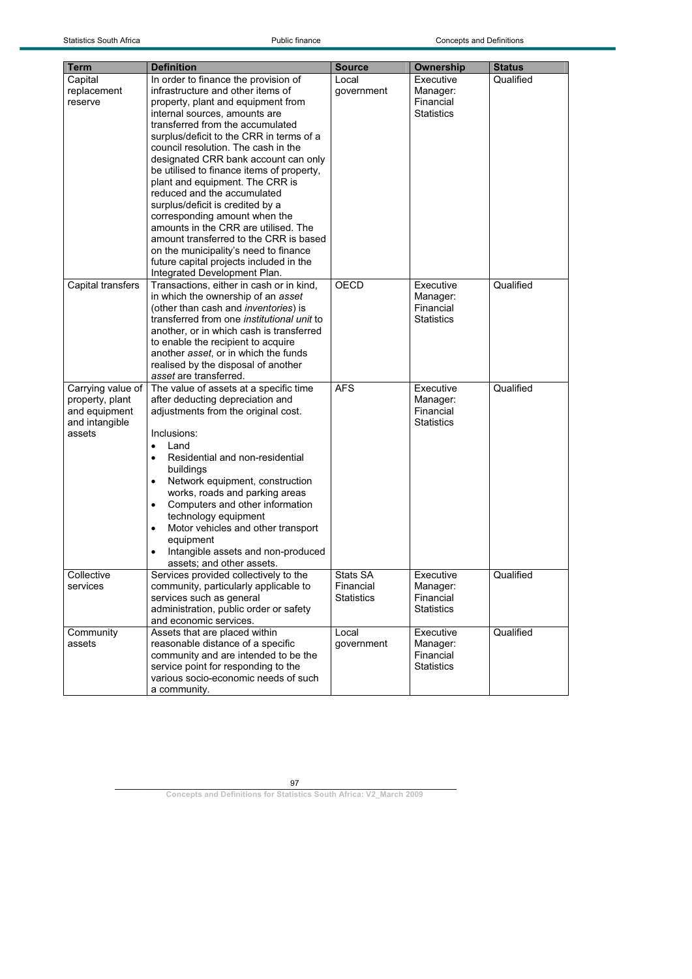| <b>Term</b>       | <b>Definition</b>                                                          | <b>Source</b>     | Ownership         | <b>Status</b> |
|-------------------|----------------------------------------------------------------------------|-------------------|-------------------|---------------|
| Capital           | In order to finance the provision of                                       | Local             | Executive         | Qualified     |
| replacement       | infrastructure and other items of                                          | government        | Manager:          |               |
| reserve           | property, plant and equipment from                                         |                   | Financial         |               |
|                   | internal sources, amounts are                                              |                   | <b>Statistics</b> |               |
|                   | transferred from the accumulated                                           |                   |                   |               |
|                   | surplus/deficit to the CRR in terms of a                                   |                   |                   |               |
|                   | council resolution. The cash in the                                        |                   |                   |               |
|                   | designated CRR bank account can only                                       |                   |                   |               |
|                   | be utilised to finance items of property,                                  |                   |                   |               |
|                   | plant and equipment. The CRR is                                            |                   |                   |               |
|                   | reduced and the accumulated                                                |                   |                   |               |
|                   | surplus/deficit is credited by a                                           |                   |                   |               |
|                   | corresponding amount when the                                              |                   |                   |               |
|                   | amounts in the CRR are utilised. The                                       |                   |                   |               |
|                   | amount transferred to the CRR is based                                     |                   |                   |               |
|                   | on the municipality's need to finance                                      |                   |                   |               |
|                   | future capital projects included in the                                    |                   |                   |               |
|                   | Integrated Development Plan.                                               |                   |                   |               |
| Capital transfers | Transactions, either in cash or in kind,                                   | <b>OECD</b>       | Executive         | Qualified     |
|                   | in which the ownership of an asset                                         |                   | Manager:          |               |
|                   | (other than cash and <i>inventories</i> ) is                               |                   | Financial         |               |
|                   | transferred from one <i>institutional unit</i> to                          |                   | <b>Statistics</b> |               |
|                   | another, or in which cash is transferred                                   |                   |                   |               |
|                   | to enable the recipient to acquire<br>another asset, or in which the funds |                   |                   |               |
|                   | realised by the disposal of another                                        |                   |                   |               |
|                   | asset are transferred.                                                     |                   |                   |               |
| Carrying value of | The value of assets at a specific time                                     | <b>AFS</b>        | Executive         | Qualified     |
| property, plant   | after deducting depreciation and                                           |                   | Manager:          |               |
| and equipment     | adjustments from the original cost.                                        |                   | Financial         |               |
| and intangible    |                                                                            |                   | <b>Statistics</b> |               |
| assets            | Inclusions:                                                                |                   |                   |               |
|                   | Land<br>$\bullet$                                                          |                   |                   |               |
|                   | Residential and non-residential<br>$\bullet$                               |                   |                   |               |
|                   | buildings                                                                  |                   |                   |               |
|                   | Network equipment, construction<br>$\bullet$                               |                   |                   |               |
|                   | works, roads and parking areas                                             |                   |                   |               |
|                   | Computers and other information<br>٠                                       |                   |                   |               |
|                   | technology equipment                                                       |                   |                   |               |
|                   | Motor vehicles and other transport<br>$\bullet$                            |                   |                   |               |
|                   | equipment                                                                  |                   |                   |               |
|                   | Intangible assets and non-produced                                         |                   |                   |               |
|                   | assets; and other assets.                                                  |                   |                   |               |
| Collective        | Services provided collectively to the                                      | Stats SA          | Executive         | Qualified     |
| services          | community, particularly applicable to                                      | Financial         | Manager:          |               |
|                   | services such as general                                                   | <b>Statistics</b> | Financial         |               |
|                   | administration, public order or safety                                     |                   | <b>Statistics</b> |               |
|                   | and economic services.                                                     |                   |                   |               |
| Community         | Assets that are placed within                                              | Local             | Executive         | Qualified     |
| assets            | reasonable distance of a specific                                          | government        | Manager:          |               |
|                   | community and are intended to be the                                       |                   | Financial         |               |
|                   | service point for responding to the                                        |                   | <b>Statistics</b> |               |
|                   | various socio-economic needs of such                                       |                   |                   |               |
|                   | a community.                                                               |                   |                   |               |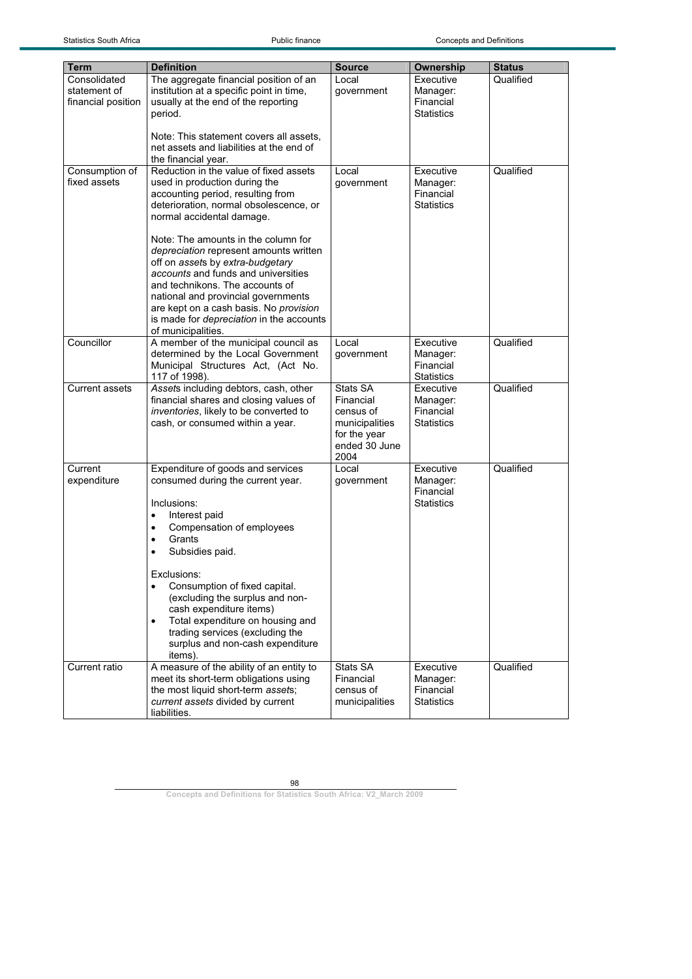| Term                         | <b>Definition</b>                                                                  | <b>Source</b>       | Ownership                      | <b>Status</b> |
|------------------------------|------------------------------------------------------------------------------------|---------------------|--------------------------------|---------------|
| Consolidated<br>statement of | The aggregate financial position of an<br>institution at a specific point in time, | Local<br>government | Executive<br>Manager:          | Qualified     |
| financial position           | usually at the end of the reporting                                                |                     | Financial                      |               |
|                              | period.                                                                            |                     | <b>Statistics</b>              |               |
|                              |                                                                                    |                     |                                |               |
|                              | Note: This statement covers all assets,                                            |                     |                                |               |
|                              | net assets and liabilities at the end of                                           |                     |                                |               |
|                              | the financial year.                                                                |                     |                                |               |
| Consumption of               | Reduction in the value of fixed assets                                             | Local               | Executive                      | Qualified     |
| fixed assets                 | used in production during the                                                      | government          | Manager:<br>Financial          |               |
|                              | accounting period, resulting from<br>deterioration, normal obsolescence, or        |                     | <b>Statistics</b>              |               |
|                              | normal accidental damage.                                                          |                     |                                |               |
|                              |                                                                                    |                     |                                |               |
|                              | Note: The amounts in the column for                                                |                     |                                |               |
|                              | depreciation represent amounts written                                             |                     |                                |               |
|                              | off on assets by extra-budgetary                                                   |                     |                                |               |
|                              | accounts and funds and universities<br>and technikons. The accounts of             |                     |                                |               |
|                              | national and provincial governments                                                |                     |                                |               |
|                              | are kept on a cash basis. No provision                                             |                     |                                |               |
|                              | is made for depreciation in the accounts                                           |                     |                                |               |
|                              | of municipalities.                                                                 |                     |                                |               |
| Councillor                   | A member of the municipal council as                                               | Local               | Executive                      | Qualified     |
|                              | determined by the Local Government                                                 | government          | Manager:                       |               |
|                              | Municipal Structures Act, (Act No.                                                 |                     | Financial<br><b>Statistics</b> |               |
| <b>Current assets</b>        | 117 of 1998).<br>Assets including debtors, cash, other                             | Stats SA            | Executive                      | Qualified     |
|                              | financial shares and closing values of                                             | Financial           | Manager:                       |               |
|                              | inventories, likely to be converted to                                             | census of           | Financial                      |               |
|                              | cash, or consumed within a year.                                                   | municipalities      | <b>Statistics</b>              |               |
|                              |                                                                                    | for the year        |                                |               |
|                              |                                                                                    | ended 30 June       |                                |               |
| Current                      | Expenditure of goods and services                                                  | 2004<br>Local       | Executive                      | Qualified     |
| expenditure                  | consumed during the current year.                                                  | government          | Manager:                       |               |
|                              |                                                                                    |                     | Financial                      |               |
|                              | Inclusions:                                                                        |                     | <b>Statistics</b>              |               |
|                              | Interest paid<br>$\bullet$                                                         |                     |                                |               |
|                              | Compensation of employees<br>$\bullet$                                             |                     |                                |               |
|                              | Grants<br>٠                                                                        |                     |                                |               |
|                              | Subsidies paid.<br>٠                                                               |                     |                                |               |
|                              | Exclusions:                                                                        |                     |                                |               |
|                              | Consumption of fixed capital.<br>$\bullet$                                         |                     |                                |               |
|                              | (excluding the surplus and non-                                                    |                     |                                |               |
|                              | cash expenditure items)                                                            |                     |                                |               |
|                              | Total expenditure on housing and<br>$\bullet$                                      |                     |                                |               |
|                              | trading services (excluding the                                                    |                     |                                |               |
|                              | surplus and non-cash expenditure                                                   |                     |                                |               |
| Current ratio                | items).                                                                            | Stats SA            | Executive                      | Qualified     |
|                              | A measure of the ability of an entity to<br>meet its short-term obligations using  | Financial           | Manager:                       |               |
|                              | the most liquid short-term assets;                                                 | census of           | Financial                      |               |
|                              | current assets divided by current                                                  | municipalities      | <b>Statistics</b>              |               |
|                              | liabilities.                                                                       |                     |                                |               |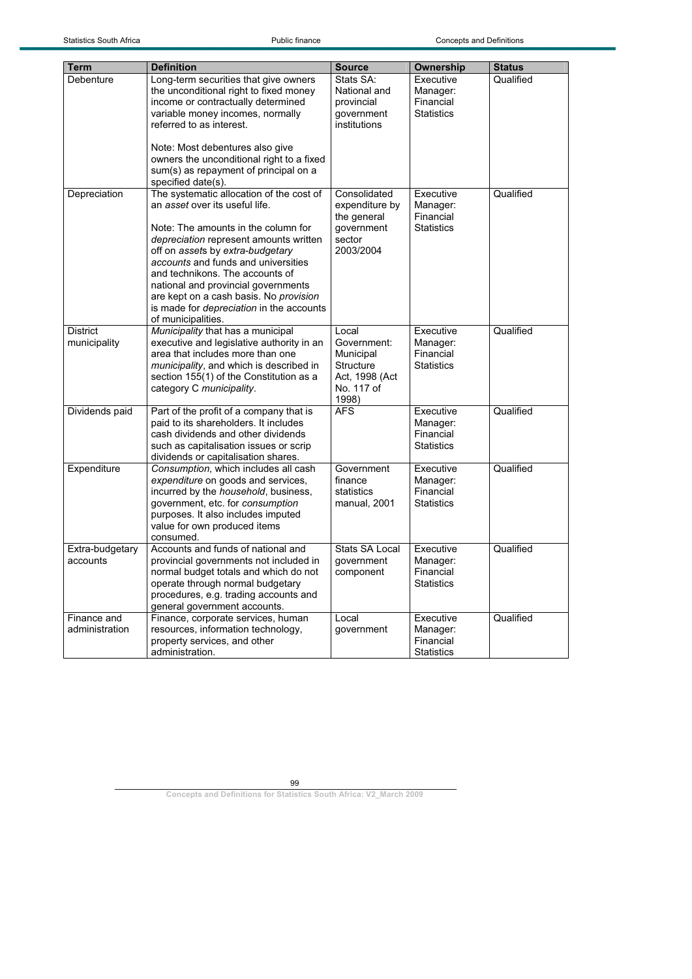| <b>Term</b>     | <b>Definition</b>                                                                | <b>Source</b>         |                        | <b>Status</b> |
|-----------------|----------------------------------------------------------------------------------|-----------------------|------------------------|---------------|
| Debenture       | Long-term securities that give owners                                            | Stats SA:             | Ownership<br>Executive | Qualified     |
|                 | the unconditional right to fixed money                                           | National and          | Manager:               |               |
|                 | income or contractually determined                                               | provincial            | Financial              |               |
|                 | variable money incomes, normally                                                 | government            | <b>Statistics</b>      |               |
|                 | referred to as interest.                                                         | institutions          |                        |               |
|                 |                                                                                  |                       |                        |               |
|                 | Note: Most debentures also give                                                  |                       |                        |               |
|                 | owners the unconditional right to a fixed                                        |                       |                        |               |
|                 | sum(s) as repayment of principal on a                                            |                       |                        |               |
|                 | specified date(s).                                                               |                       |                        |               |
| Depreciation    | The systematic allocation of the cost of                                         | Consolidated          | Executive              | Qualified     |
|                 | an asset over its useful life.                                                   | expenditure by        | Manager:               |               |
|                 |                                                                                  | the general           | Financial              |               |
|                 | Note: The amounts in the column for                                              | government            | <b>Statistics</b>      |               |
|                 | depreciation represent amounts written                                           | sector                |                        |               |
|                 | off on assets by extra-budgetary                                                 | 2003/2004             |                        |               |
|                 | accounts and funds and universities                                              |                       |                        |               |
|                 | and technikons. The accounts of                                                  |                       |                        |               |
|                 | national and provincial governments                                              |                       |                        |               |
|                 | are kept on a cash basis. No provision                                           |                       |                        |               |
|                 | is made for depreciation in the accounts                                         |                       |                        |               |
|                 | of municipalities.                                                               |                       |                        |               |
| <b>District</b> | Municipality that has a municipal                                                | Local                 | Executive              | Qualified     |
| municipality    | executive and legislative authority in an                                        | Government:           | Manager:               |               |
|                 | area that includes more than one                                                 | Municipal             | Financial              |               |
|                 | municipality, and which is described in                                          | Structure             | <b>Statistics</b>      |               |
|                 | section 155(1) of the Constitution as a                                          | Act, 1998 (Act        |                        |               |
|                 | category C municipality.                                                         | No. 117 of            |                        |               |
|                 |                                                                                  | 1998)                 |                        |               |
| Dividends paid  | Part of the profit of a company that is<br>paid to its shareholders. It includes | <b>AFS</b>            | Executive<br>Manager:  | Qualified     |
|                 | cash dividends and other dividends                                               |                       | Financial              |               |
|                 | such as capitalisation issues or scrip                                           |                       | <b>Statistics</b>      |               |
|                 | dividends or capitalisation shares.                                              |                       |                        |               |
| Expenditure     | Consumption, which includes all cash                                             | Government            | Executive              | Qualified     |
|                 | expenditure on goods and services,                                               | finance               | Manager:               |               |
|                 | incurred by the household, business,                                             | statistics            | Financial              |               |
|                 | government, etc. for consumption                                                 | manual, 2001          | <b>Statistics</b>      |               |
|                 | purposes. It also includes imputed                                               |                       |                        |               |
|                 | value for own produced items                                                     |                       |                        |               |
|                 | consumed.                                                                        |                       |                        |               |
| Extra-budgetary | Accounts and funds of national and                                               | <b>Stats SA Local</b> | Executive              | Qualified     |
| accounts        | provincial governments not included in                                           | qovernment            | Manager:               |               |
|                 | normal budget totals and which do not                                            | component             | Financial              |               |
|                 | operate through normal budgetary                                                 |                       | <b>Statistics</b>      |               |
|                 | procedures, e.g. trading accounts and                                            |                       |                        |               |
|                 | general government accounts.                                                     |                       |                        |               |
| Finance and     | Finance, corporate services, human                                               | Local                 | Executive              | Qualified     |
| administration  | resources, information technology,                                               | government            | Manager:               |               |
|                 | property services, and other                                                     |                       | Financial              |               |
|                 | administration.                                                                  |                       | <b>Statistics</b>      |               |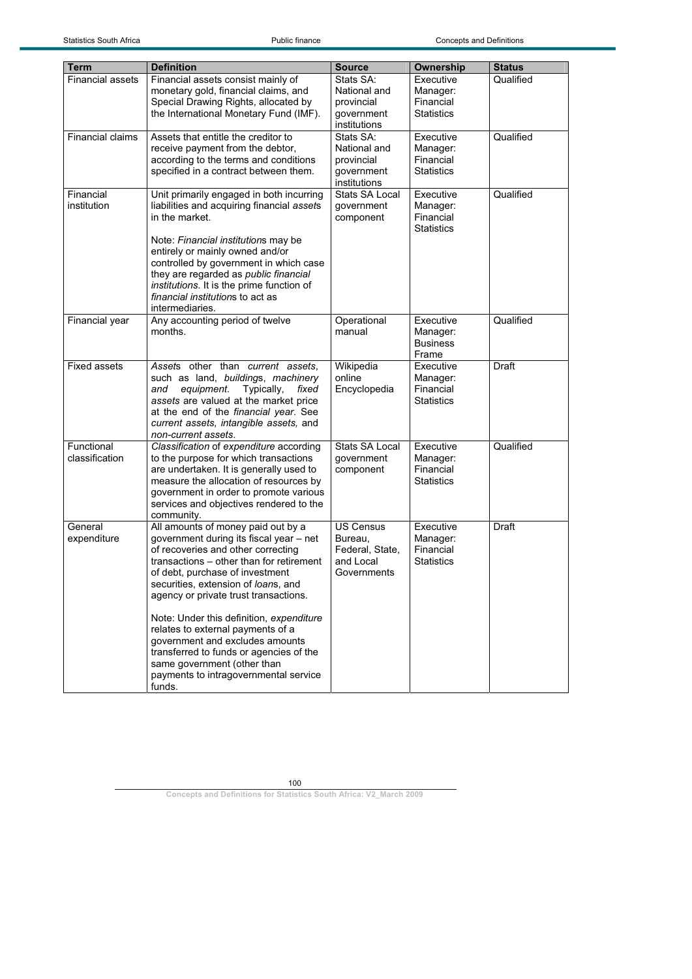| Term                    | <b>Definition</b>                                                                 | <b>Source</b>           | Ownership             | <b>Status</b> |
|-------------------------|-----------------------------------------------------------------------------------|-------------------------|-----------------------|---------------|
| <b>Financial assets</b> | Financial assets consist mainly of                                                | Stats SA:               | Executive             | Qualified     |
|                         | monetary gold, financial claims, and                                              | National and            | Manager:              |               |
|                         | Special Drawing Rights, allocated by                                              | provincial              | Financial             |               |
|                         | the International Monetary Fund (IMF).                                            | government              | <b>Statistics</b>     |               |
|                         |                                                                                   | institutions            |                       |               |
| Financial claims        | Assets that entitle the creditor to                                               | Stats SA:               | Executive             | Qualified     |
|                         | receive payment from the debtor,                                                  | National and            | Manager:              |               |
|                         | according to the terms and conditions                                             | provincial              | Financial             |               |
|                         | specified in a contract between them.                                             | qovernment              | <b>Statistics</b>     |               |
|                         |                                                                                   | institutions            |                       |               |
| Financial               | Unit primarily engaged in both incurring                                          | <b>Stats SA Local</b>   | Executive             | Qualified     |
| institution             | liabilities and acquiring financial assets<br>in the market.                      | qovernment<br>component | Manager:<br>Financial |               |
|                         |                                                                                   |                         | <b>Statistics</b>     |               |
|                         | Note: Financial institutions may be                                               |                         |                       |               |
|                         | entirely or mainly owned and/or                                                   |                         |                       |               |
|                         | controlled by government in which case                                            |                         |                       |               |
|                         | they are regarded as public financial                                             |                         |                       |               |
|                         | institutions. It is the prime function of                                         |                         |                       |               |
|                         | financial institutions to act as                                                  |                         |                       |               |
|                         | intermediaries.                                                                   |                         |                       |               |
| Financial year          | Any accounting period of twelve                                                   | Operational             | Executive             | Qualified     |
|                         | months.                                                                           | manual                  | Manager:              |               |
|                         |                                                                                   |                         | <b>Business</b>       |               |
| <b>Fixed assets</b>     |                                                                                   | Wikipedia               | Frame<br>Executive    | Draft         |
|                         | Assets other than current assets,<br>such as land, buildings, machinery           | online                  | Manager:              |               |
|                         | equipment.<br>Typically,<br>fixed<br>and                                          | Encyclopedia            | Financial             |               |
|                         | assets are valued at the market price                                             |                         | Statistics            |               |
|                         | at the end of the financial year. See                                             |                         |                       |               |
|                         | current assets, intangible assets, and                                            |                         |                       |               |
|                         | non-current assets.                                                               |                         |                       |               |
| Functional              | Classification of expenditure according                                           | Stats SA Local          | Executive             | Qualified     |
| classification          | to the purpose for which transactions                                             | government              | Manager:              |               |
|                         | are undertaken. It is generally used to                                           | component               | Financial             |               |
|                         | measure the allocation of resources by                                            |                         | Statistics            |               |
|                         | government in order to promote various<br>services and objectives rendered to the |                         |                       |               |
|                         | community.                                                                        |                         |                       |               |
| General                 | All amounts of money paid out by a                                                | <b>US Census</b>        | Executive             | Draft         |
| expenditure             | government during its fiscal year - net                                           | Bureau.                 | Manager:              |               |
|                         | of recoveries and other correcting                                                | Federal, State,         | Financial             |               |
|                         | transactions - other than for retirement                                          | and Local               | Statistics            |               |
|                         | of debt, purchase of investment                                                   | Governments             |                       |               |
|                         | securities, extension of loans, and                                               |                         |                       |               |
|                         | agency or private trust transactions.                                             |                         |                       |               |
|                         |                                                                                   |                         |                       |               |
|                         | Note: Under this definition, expenditure                                          |                         |                       |               |
|                         | relates to external payments of a<br>government and excludes amounts              |                         |                       |               |
|                         | transferred to funds or agencies of the                                           |                         |                       |               |
|                         | same government (other than                                                       |                         |                       |               |
|                         | payments to intragovernmental service                                             |                         |                       |               |
|                         | funds.                                                                            |                         |                       |               |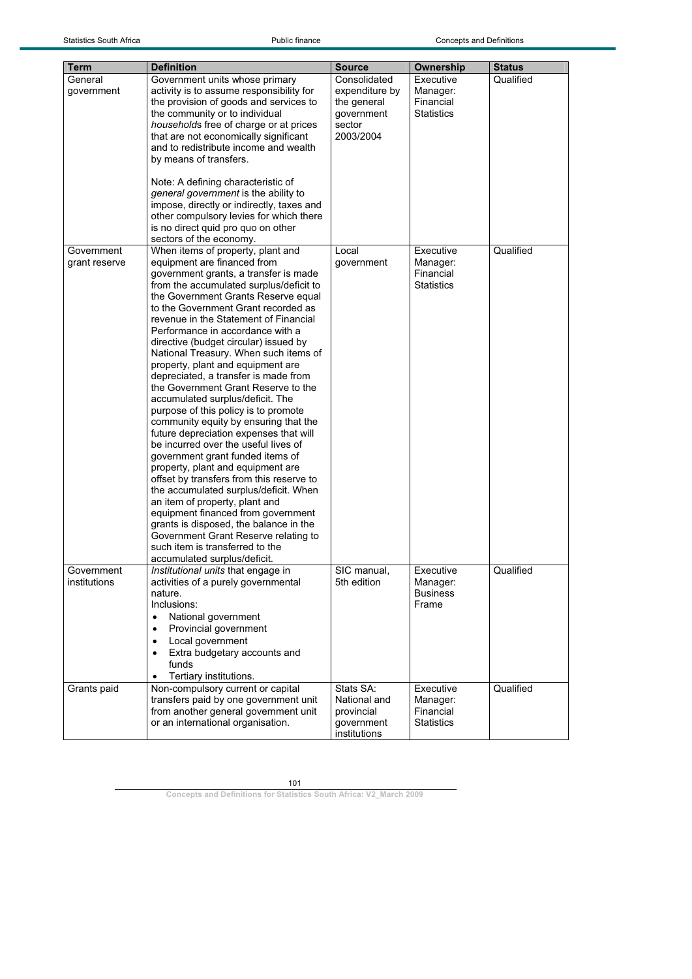| <b>Term</b>                 | <b>Definition</b>                                                                                                                                                                                                                                                                                                                                                                                                                                                                                                                                                                                                                                                                                                                                                                                                                                                                                                                                                                                                                                                                                                       | <b>Source</b>                                                                      | Ownership                                               | Status    |  |
|-----------------------------|-------------------------------------------------------------------------------------------------------------------------------------------------------------------------------------------------------------------------------------------------------------------------------------------------------------------------------------------------------------------------------------------------------------------------------------------------------------------------------------------------------------------------------------------------------------------------------------------------------------------------------------------------------------------------------------------------------------------------------------------------------------------------------------------------------------------------------------------------------------------------------------------------------------------------------------------------------------------------------------------------------------------------------------------------------------------------------------------------------------------------|------------------------------------------------------------------------------------|---------------------------------------------------------|-----------|--|
| General<br>qovernment       | Government units whose primary<br>activity is to assume responsibility for<br>the provision of goods and services to<br>the community or to individual<br>households free of charge or at prices<br>that are not economically significant<br>and to redistribute income and wealth<br>by means of transfers.<br>Note: A defining characteristic of<br>general government is the ability to<br>impose, directly or indirectly, taxes and<br>other compulsory levies for which there<br>is no direct quid pro quo on other<br>sectors of the economy.                                                                                                                                                                                                                                                                                                                                                                                                                                                                                                                                                                     | Consolidated<br>expenditure by<br>the general<br>qovernment<br>sector<br>2003/2004 | Executive<br>Manager:<br>Financial<br><b>Statistics</b> | Qualified |  |
| Government<br>grant reserve | When items of property, plant and<br>equipment are financed from<br>government grants, a transfer is made<br>from the accumulated surplus/deficit to<br>the Government Grants Reserve equal<br>to the Government Grant recorded as<br>revenue in the Statement of Financial<br>Performance in accordance with a<br>directive (budget circular) issued by<br>National Treasury. When such items of<br>property, plant and equipment are<br>depreciated, a transfer is made from<br>the Government Grant Reserve to the<br>accumulated surplus/deficit. The<br>purpose of this policy is to promote<br>community equity by ensuring that the<br>future depreciation expenses that will<br>be incurred over the useful lives of<br>government grant funded items of<br>property, plant and equipment are<br>offset by transfers from this reserve to<br>the accumulated surplus/deficit. When<br>an item of property, plant and<br>equipment financed from government<br>grants is disposed, the balance in the<br>Government Grant Reserve relating to<br>such item is transferred to the<br>accumulated surplus/deficit. | Local<br>government                                                                | Executive<br>Manager:<br>Financial<br><b>Statistics</b> | Qualified |  |
| Government<br>institutions  | Institutional units that engage in<br>activities of a purely governmental<br>nature.<br>Inclusions:<br>National government<br>$\bullet$<br>Provincial government<br>$\bullet$<br>Local government<br>$\bullet$<br>Extra budgetary accounts and<br>$\bullet$<br>funds<br>Tertiary institutions.                                                                                                                                                                                                                                                                                                                                                                                                                                                                                                                                                                                                                                                                                                                                                                                                                          | SIC manual,<br>5th edition                                                         | Executive<br>Manager:<br><b>Business</b><br>Frame       | Qualified |  |
| Grants paid                 | Non-compulsory current or capital<br>transfers paid by one government unit<br>from another general government unit<br>or an international organisation.                                                                                                                                                                                                                                                                                                                                                                                                                                                                                                                                                                                                                                                                                                                                                                                                                                                                                                                                                                 | Stats SA:<br>National and<br>provincial<br>government<br>institutions              | Executive<br>Manager:<br>Financial<br>Statistics        | Qualified |  |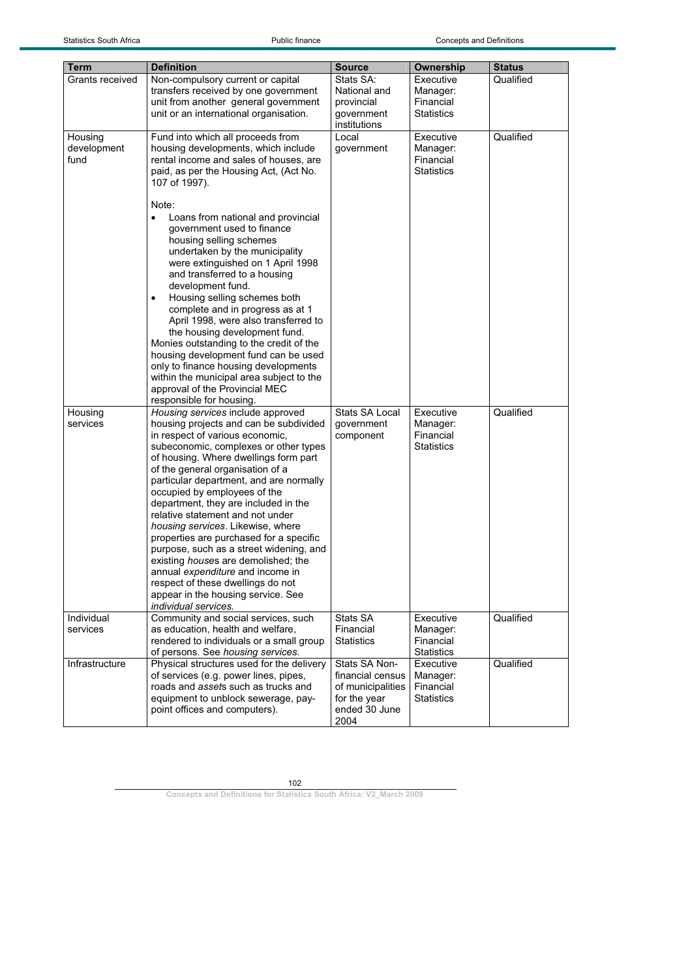Statistics South Africa **Public finance** Public finance Concepts and Definitions

| Term            | <b>Definition</b>                                                     | <b>Source</b>     | Ownership         | <b>Status</b> |
|-----------------|-----------------------------------------------------------------------|-------------------|-------------------|---------------|
| Grants received | Non-compulsory current or capital                                     | Stats SA:         | Executive         | Qualified     |
|                 | transfers received by one government                                  | National and      | Manager:          |               |
|                 | unit from another general government                                  | provincial        | Financial         |               |
|                 | unit or an international organisation.                                | government        | Statistics        |               |
|                 |                                                                       | institutions      |                   |               |
| Housing         | Fund into which all proceeds from                                     | Local             | Executive         | Qualified     |
| development     | housing developments, which include                                   | government        | Manager:          |               |
| fund            | rental income and sales of houses, are                                |                   | Financial         |               |
|                 | paid, as per the Housing Act, (Act No.                                |                   | <b>Statistics</b> |               |
|                 | 107 of 1997).                                                         |                   |                   |               |
|                 |                                                                       |                   |                   |               |
|                 | Note:                                                                 |                   |                   |               |
|                 | Loans from national and provincial<br>$\bullet$                       |                   |                   |               |
|                 | government used to finance                                            |                   |                   |               |
|                 | housing selling schemes                                               |                   |                   |               |
|                 | undertaken by the municipality                                        |                   |                   |               |
|                 | were extinguished on 1 April 1998<br>and transferred to a housing     |                   |                   |               |
|                 |                                                                       |                   |                   |               |
|                 | development fund.<br>Housing selling schemes both                     |                   |                   |               |
|                 | $\bullet$<br>complete and in progress as at 1                         |                   |                   |               |
|                 |                                                                       |                   |                   |               |
|                 | April 1998, were also transferred to<br>the housing development fund. |                   |                   |               |
|                 | Monies outstanding to the credit of the                               |                   |                   |               |
|                 | housing development fund can be used                                  |                   |                   |               |
|                 | only to finance housing developments                                  |                   |                   |               |
|                 | within the municipal area subject to the                              |                   |                   |               |
|                 | approval of the Provincial MEC                                        |                   |                   |               |
|                 | responsible for housing.                                              |                   |                   |               |
| Housing         | Housing services include approved                                     | Stats SA Local    | Executive         | Qualified     |
| services        | housing projects and can be subdivided                                | government        | Manager:          |               |
|                 | in respect of various economic,                                       | component         | Financial         |               |
|                 | subeconomic, complexes or other types                                 |                   | Statistics        |               |
|                 | of housing. Where dwellings form part                                 |                   |                   |               |
|                 | of the general organisation of a                                      |                   |                   |               |
|                 | particular department, and are normally                               |                   |                   |               |
|                 | occupied by employees of the                                          |                   |                   |               |
|                 | department, they are included in the                                  |                   |                   |               |
|                 | relative statement and not under                                      |                   |                   |               |
|                 | housing services. Likewise, where                                     |                   |                   |               |
|                 | properties are purchased for a specific                               |                   |                   |               |
|                 | purpose, such as a street widening, and                               |                   |                   |               |
|                 | existing <i>houses</i> are demolished; the                            |                   |                   |               |
|                 | annual expenditure and income in                                      |                   |                   |               |
|                 | respect of these dwellings do not                                     |                   |                   |               |
|                 | appear in the housing service. See                                    |                   |                   |               |
|                 | individual services.                                                  |                   |                   |               |
| Individual      | Community and social services, such                                   | Stats SA          | Executive         | Qualified     |
| services        | as education, health and welfare,                                     | Financial         | Manager:          |               |
|                 | rendered to individuals or a small group                              | <b>Statistics</b> | Financial         |               |
|                 | of persons. See housing services.                                     |                   | <b>Statistics</b> |               |
| Infrastructure  | Physical structures used for the delivery                             | Stats SA Non-     | Executive         | Qualified     |
|                 | of services (e.g. power lines, pipes,                                 | financial census  | Manager:          |               |
|                 | roads and assets such as trucks and                                   | of municipalities | Financial         |               |
|                 | equipment to unblock sewerage, pay-                                   | for the year      | Statistics        |               |
|                 | point offices and computers).                                         | ended 30 June     |                   |               |
|                 |                                                                       | 2004              |                   |               |

102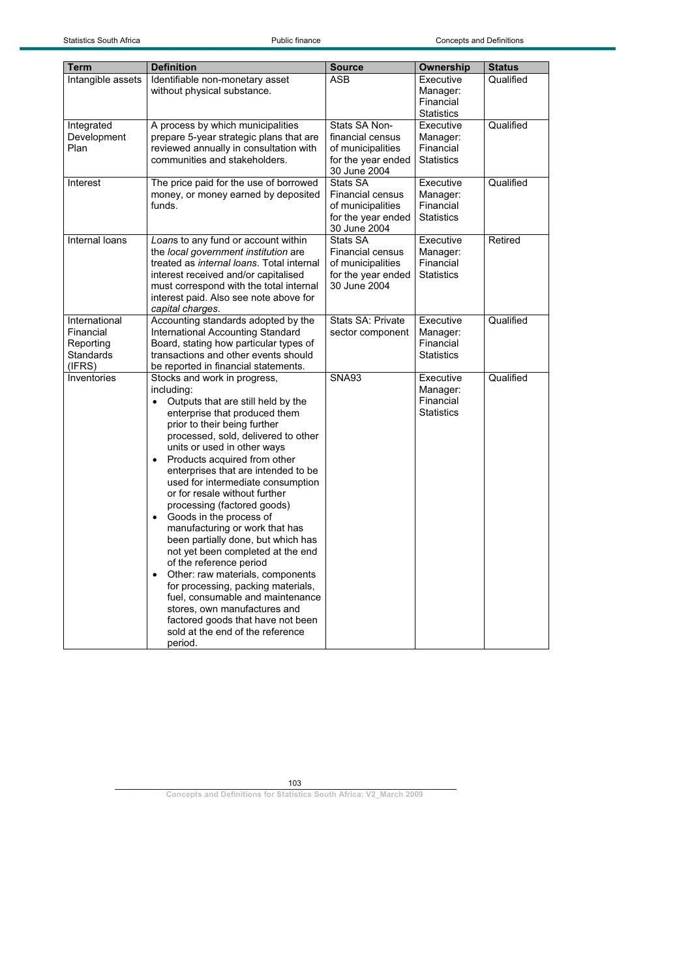| <b>Term</b>                                                           | <b>Definition</b>                                                                                                                                                                                                                                                                                                                                                                                                                                                                                                                                                                                                                                                                                                                                                                                                                                            | <b>Source</b>                                                                                  | Ownership                                               | <b>Status</b> |
|-----------------------------------------------------------------------|--------------------------------------------------------------------------------------------------------------------------------------------------------------------------------------------------------------------------------------------------------------------------------------------------------------------------------------------------------------------------------------------------------------------------------------------------------------------------------------------------------------------------------------------------------------------------------------------------------------------------------------------------------------------------------------------------------------------------------------------------------------------------------------------------------------------------------------------------------------|------------------------------------------------------------------------------------------------|---------------------------------------------------------|---------------|
| Intangible assets                                                     | Identifiable non-monetary asset<br>without physical substance.                                                                                                                                                                                                                                                                                                                                                                                                                                                                                                                                                                                                                                                                                                                                                                                               | <b>ASB</b>                                                                                     | Executive<br>Manager:<br>Financial<br><b>Statistics</b> | Qualified     |
| Integrated<br>Development<br>Plan                                     | A process by which municipalities<br>prepare 5-year strategic plans that are<br>reviewed annually in consultation with<br>communities and stakeholders.                                                                                                                                                                                                                                                                                                                                                                                                                                                                                                                                                                                                                                                                                                      | Stats SA Non-<br>financial census<br>of municipalities<br>for the year ended<br>30 June 2004   | Executive<br>Manager:<br>Financial<br><b>Statistics</b> | Qualified     |
| Interest                                                              | The price paid for the use of borrowed<br>money, or money earned by deposited<br>funds.                                                                                                                                                                                                                                                                                                                                                                                                                                                                                                                                                                                                                                                                                                                                                                      | Stats SA<br><b>Financial census</b><br>of municipalities<br>for the year ended<br>30 June 2004 | Executive<br>Manager:<br>Financial<br><b>Statistics</b> | Qualified     |
| Internal loans                                                        | Loans to any fund or account within<br>the local government institution are<br>treated as <i>internal loans</i> . Total internal<br>interest received and/or capitalised<br>must correspond with the total internal<br>interest paid. Also see note above for<br>capital charges.                                                                                                                                                                                                                                                                                                                                                                                                                                                                                                                                                                            | Stats SA<br><b>Financial census</b><br>of municipalities<br>for the year ended<br>30 June 2004 | Executive<br>Manager:<br>Financial<br><b>Statistics</b> | Retired       |
| International<br>Financial<br>Reporting<br><b>Standards</b><br>(IFRS) | Accounting standards adopted by the<br>International Accounting Standard<br>Board, stating how particular types of<br>transactions and other events should<br>be reported in financial statements.                                                                                                                                                                                                                                                                                                                                                                                                                                                                                                                                                                                                                                                           | Stats SA: Private<br>sector component                                                          | Executive<br>Manager:<br>Financial<br><b>Statistics</b> | Qualified     |
| Inventories                                                           | Stocks and work in progress,<br>including:<br>Outputs that are still held by the<br>$\bullet$<br>enterprise that produced them<br>prior to their being further<br>processed, sold, delivered to other<br>units or used in other ways<br>Products acquired from other<br>$\bullet$<br>enterprises that are intended to be<br>used for intermediate consumption<br>or for resale without further<br>processing (factored goods)<br>Goods in the process of<br>$\bullet$<br>manufacturing or work that has<br>been partially done, but which has<br>not yet been completed at the end<br>of the reference period<br>Other: raw materials, components<br>$\bullet$<br>for processing, packing materials,<br>fuel, consumable and maintenance<br>stores, own manufactures and<br>factored goods that have not been<br>sold at the end of the reference<br>period. | <b>SNA93</b>                                                                                   | Executive<br>Manager:<br>Financial<br><b>Statistics</b> | Qualified     |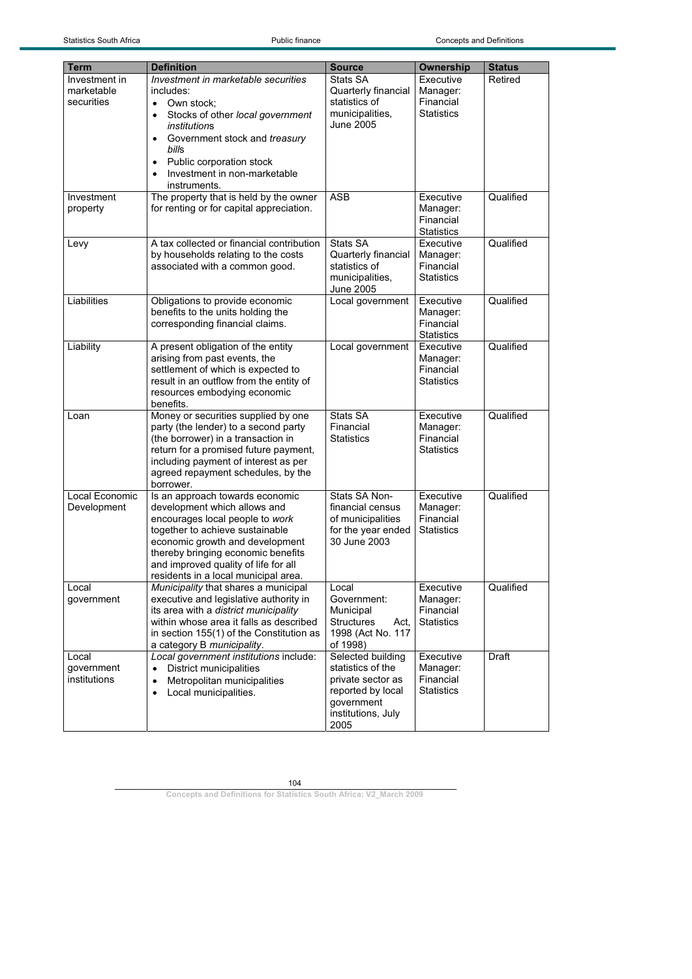| Term                                      | <b>Definition</b>                                                                                                                                                                                                                                                                              | <b>Source</b>                                                                                                                | <b>Ownership</b>                                        | <b>Status</b> |
|-------------------------------------------|------------------------------------------------------------------------------------------------------------------------------------------------------------------------------------------------------------------------------------------------------------------------------------------------|------------------------------------------------------------------------------------------------------------------------------|---------------------------------------------------------|---------------|
| Investment in<br>marketable<br>securities | <b>Investment in marketable securities</b><br>includes:<br>• Own stock:<br>Stocks of other local government<br>$\bullet$                                                                                                                                                                       | Stats SA<br>Quarterly financial<br>statistics of<br>municipalities,                                                          | Executive<br>Manager:<br>Financial<br><b>Statistics</b> | Retired       |
|                                           | institutions<br>Government stock and treasury<br>$\bullet$<br>bills<br>Public corporation stock<br>$\bullet$<br>Investment in non-marketable<br>instruments.                                                                                                                                   | June 2005                                                                                                                    |                                                         |               |
| Investment<br>property                    | The property that is held by the owner<br>for renting or for capital appreciation.                                                                                                                                                                                                             | <b>ASB</b>                                                                                                                   | Executive<br>Manager:<br>Financial<br><b>Statistics</b> | Qualified     |
| Levy                                      | A tax collected or financial contribution<br>by households relating to the costs<br>associated with a common good.                                                                                                                                                                             | Stats SA<br>Quarterly financial<br>statistics of<br>municipalities,<br>June 2005                                             | Executive<br>Manager:<br>Financial<br><b>Statistics</b> | Qualified     |
| Liabilities                               | Obligations to provide economic<br>benefits to the units holding the<br>corresponding financial claims.                                                                                                                                                                                        | Local government                                                                                                             | Executive<br>Manager:<br>Financial<br><b>Statistics</b> | Qualified     |
| Liability                                 | A present obligation of the entity<br>arising from past events, the<br>settlement of which is expected to<br>result in an outflow from the entity of<br>resources embodying economic<br>benefits.                                                                                              | Local government                                                                                                             | Executive<br>Manager:<br>Financial<br><b>Statistics</b> | Qualified     |
| Loan                                      | Money or securities supplied by one<br>party (the lender) to a second party<br>(the borrower) in a transaction in<br>return for a promised future payment,<br>including payment of interest as per<br>agreed repayment schedules, by the<br>borrower.                                          | Stats SA<br>Financial<br><b>Statistics</b>                                                                                   | Executive<br>Manager:<br>Financial<br><b>Statistics</b> | Qualified     |
| Local Economic<br>Development             | Is an approach towards economic<br>development which allows and<br>encourages local people to work<br>together to achieve sustainable<br>economic growth and development<br>thereby bringing economic benefits<br>and improved quality of life for all<br>residents in a local municipal area. | Stats SA Non-<br>financial census<br>of municipalities<br>for the year ended<br>30 June 2003                                 | Executive<br>Manager:<br>Financial<br><b>Statistics</b> | Qualified     |
| Local<br>government                       | Municipality that shares a municipal<br>executive and legislative authority in<br>its area with a district municipality<br>within whose area it falls as described<br>in section 155(1) of the Constitution as<br>a category B municipality.                                                   | Local<br>Government:<br>Municipal<br><b>Structures</b><br>Act.<br>1998 (Act No. 117<br>of 1998)                              | Executive<br>Manager:<br>Financial<br><b>Statistics</b> | Qualified     |
| Local<br>government<br>institutions       | Local government institutions include:<br><b>District municipalities</b><br>Metropolitan municipalities<br>$\bullet$<br>Local municipalities.<br>$\bullet$                                                                                                                                     | Selected building<br>statistics of the<br>private sector as<br>reported by local<br>government<br>institutions, July<br>2005 | Executive<br>Manager:<br>Financial<br><b>Statistics</b> | Draft         |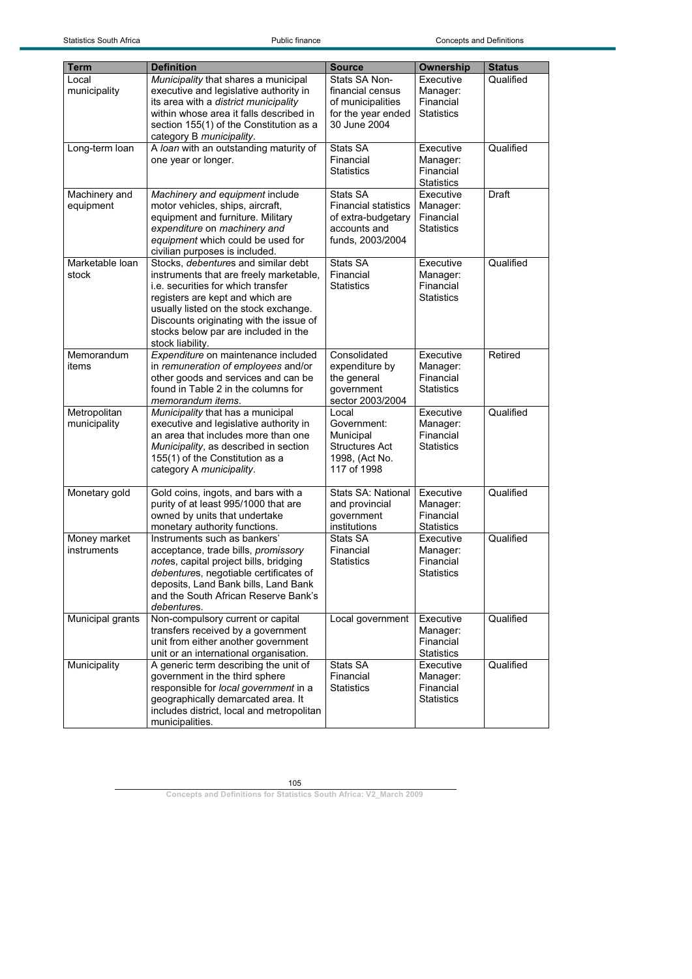| <b>Term</b>      | <b>Definition</b>                                                             | <b>Source</b>                  | <b>Ownership</b>      | <b>Status</b> |
|------------------|-------------------------------------------------------------------------------|--------------------------------|-----------------------|---------------|
| Local            | Municipality that shares a municipal                                          | Stats SA Non-                  | Executive             | Qualified     |
| municipality     | executive and legislative authority in                                        | financial census               | Manager:              |               |
|                  | its area with a district municipality                                         | of municipalities              | Financial             |               |
|                  | within whose area it falls described in                                       | for the year ended             | <b>Statistics</b>     |               |
|                  | section 155(1) of the Constitution as a                                       | 30 June 2004                   |                       |               |
|                  | category B municipality.                                                      |                                |                       |               |
| Long-term loan   | A loan with an outstanding maturity of                                        | Stats SA                       | Executive             | Qualified     |
|                  | one year or longer.                                                           | Financial                      | Manager:              |               |
|                  |                                                                               | <b>Statistics</b>              | Financial             |               |
|                  |                                                                               |                                | <b>Statistics</b>     |               |
| Machinery and    | Machinery and equipment include                                               | Stats SA                       | Executive             | <b>Draft</b>  |
| equipment        | motor vehicles, ships, aircraft,                                              | <b>Financial statistics</b>    | Manager:              |               |
|                  | equipment and furniture. Military                                             | of extra-budgetary             | Financial             |               |
|                  | expenditure on machinery and                                                  | accounts and                   | <b>Statistics</b>     |               |
|                  | equipment which could be used for                                             | funds, 2003/2004               |                       |               |
|                  | civilian purposes is included.                                                |                                |                       |               |
| Marketable loan  | Stocks, <i>debentures</i> and similar debt                                    | Stats SA                       | Executive             | Qualified     |
| stock            | instruments that are freely marketable,<br>i.e. securities for which transfer | Financial<br><b>Statistics</b> | Manager:<br>Financial |               |
|                  | registers are kept and which are                                              |                                | <b>Statistics</b>     |               |
|                  | usually listed on the stock exchange.                                         |                                |                       |               |
|                  | Discounts originating with the issue of                                       |                                |                       |               |
|                  | stocks below par are included in the                                          |                                |                       |               |
|                  | stock liability.                                                              |                                |                       |               |
| Memorandum       | Expenditure on maintenance included                                           | Consolidated                   | Executive             | Retired       |
| items            | in remuneration of employees and/or                                           | expenditure by                 | Manager:              |               |
|                  | other goods and services and can be                                           | the general                    | Financial             |               |
|                  | found in Table 2 in the columns for                                           | government                     | <b>Statistics</b>     |               |
|                  | memorandum items.                                                             | sector 2003/2004               |                       |               |
| Metropolitan     | Municipality that has a municipal                                             | Local                          | Executive             | Qualified     |
| municipality     | executive and legislative authority in                                        | Government:                    | Manager:              |               |
|                  | an area that includes more than one                                           | Municipal                      | Financial             |               |
|                  | Municipality, as described in section                                         | <b>Structures Act</b>          | <b>Statistics</b>     |               |
|                  | 155(1) of the Constitution as a<br>category A municipality.                   | 1998, (Act No.<br>117 of 1998  |                       |               |
|                  |                                                                               |                                |                       |               |
| Monetary gold    | Gold coins, ingots, and bars with a                                           | <b>Stats SA: National</b>      | Executive             | Qualified     |
|                  | purity of at least 995/1000 that are                                          | and provincial                 | Manager:              |               |
|                  | owned by units that undertake                                                 | government                     | Financial             |               |
|                  | monetary authority functions.                                                 | institutions                   | <b>Statistics</b>     |               |
| Money market     | Instruments such as bankers'                                                  | Stats SA                       | Executive             | Qualified     |
| instruments      | acceptance, trade bills, promissory                                           | Financial                      | Manager:              |               |
|                  | notes, capital project bills, bridging                                        | <b>Statistics</b>              | Financial             |               |
|                  | debentures, negotiable certificates of                                        |                                | <b>Statistics</b>     |               |
|                  | deposits, Land Bank bills, Land Bank<br>and the South African Reserve Bank's  |                                |                       |               |
|                  | debentures.                                                                   |                                |                       |               |
| Municipal grants | Non-compulsory current or capital                                             | Local government               | Executive             | Qualified     |
|                  | transfers received by a government                                            |                                | Manager:              |               |
|                  | unit from either another government                                           |                                | Financial             |               |
|                  | unit or an international organisation.                                        |                                | <b>Statistics</b>     |               |
| Municipality     | A generic term describing the unit of                                         | Stats SA                       | Executive             | Qualified     |
|                  | government in the third sphere                                                | Financial                      | Manager:              |               |
|                  | responsible for local government in a                                         | <b>Statistics</b>              | Financial             |               |
|                  | geographically demarcated area. It                                            |                                | <b>Statistics</b>     |               |
|                  | includes district, local and metropolitan                                     |                                |                       |               |
|                  | municipalities.                                                               |                                |                       |               |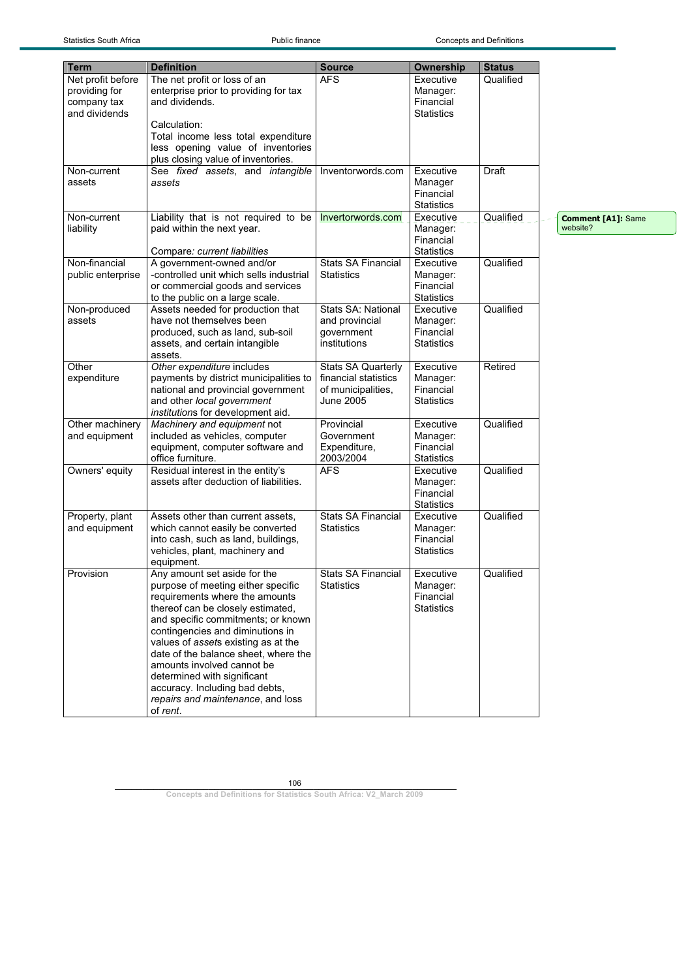Statistics South Africa **Public finance** Public finance Concepts and Definitions

| <b>Term</b>       | <b>Definition</b>                                                           | <b>Source</b>             | Ownership         | <b>Status</b> |                           |
|-------------------|-----------------------------------------------------------------------------|---------------------------|-------------------|---------------|---------------------------|
| Net profit before | The net profit or loss of an                                                | <b>AFS</b>                | Executive         | Qualified     |                           |
| providing for     | enterprise prior to providing for tax                                       |                           | Manager:          |               |                           |
| company tax       | and dividends.                                                              |                           | Financial         |               |                           |
| and dividends     |                                                                             |                           | <b>Statistics</b> |               |                           |
|                   | Calculation:                                                                |                           |                   |               |                           |
|                   | Total income less total expenditure                                         |                           |                   |               |                           |
|                   | less opening value of inventories                                           |                           |                   |               |                           |
|                   | plus closing value of inventories.                                          |                           |                   |               |                           |
| Non-current       | See fixed assets, and intangible                                            | Inventorwords.com         | Executive         | Draft         |                           |
| assets            | assets                                                                      |                           | Manager           |               |                           |
|                   |                                                                             |                           | Financial         |               |                           |
|                   |                                                                             |                           | <b>Statistics</b> |               |                           |
| Non-current       | Liability that is not required to be                                        | Invertorwords.com         | Executive         | Qualified     | <b>Comment [A1]: Same</b> |
| liability         | paid within the next year.                                                  |                           | Manager:          |               | website?                  |
|                   |                                                                             |                           | Financial         |               |                           |
|                   | Compare: current liabilities                                                |                           | <b>Statistics</b> |               |                           |
| Non-financial     | A government-owned and/or                                                   | <b>Stats SA Financial</b> | Executive         | Qualified     |                           |
| public enterprise | -controlled unit which sells industrial                                     | <b>Statistics</b>         | Manager:          |               |                           |
|                   | or commercial goods and services                                            |                           | Financial         |               |                           |
|                   | to the public on a large scale.                                             |                           | <b>Statistics</b> |               |                           |
| Non-produced      | Assets needed for production that<br>have not themselves been               | Stats SA: National        | Executive         | Qualified     |                           |
| assets            |                                                                             | and provincial            | Manager:          |               |                           |
|                   | produced, such as land, sub-soil                                            | government                | Financial         |               |                           |
|                   | assets, and certain intangible<br>assets.                                   | institutions              | <b>Statistics</b> |               |                           |
| Other             | Other expenditure includes                                                  | <b>Stats SA Quarterly</b> | Executive         | Retired       |                           |
| expenditure       | payments by district municipalities to                                      | financial statistics      | Manager:          |               |                           |
|                   | national and provincial government                                          | of municipalities,        | Financial         |               |                           |
|                   | and other local government                                                  | <b>June 2005</b>          | <b>Statistics</b> |               |                           |
|                   | institutions for development aid.                                           |                           |                   |               |                           |
| Other machinery   | Machinery and equipment not                                                 | Provincial                | Executive         | Qualified     |                           |
| and equipment     | included as vehicles, computer                                              | Government                | Manager:          |               |                           |
|                   | equipment, computer software and                                            | Expenditure,              | Financial         |               |                           |
|                   | office furniture.                                                           | 2003/2004                 | <b>Statistics</b> |               |                           |
| Owners' equity    | Residual interest in the entity's                                           | <b>AFS</b>                | Executive         | Qualified     |                           |
|                   | assets after deduction of liabilities.                                      |                           | Manager:          |               |                           |
|                   |                                                                             |                           | Financial         |               |                           |
|                   |                                                                             |                           | <b>Statistics</b> |               |                           |
| Property, plant   | Assets other than current assets,                                           | <b>Stats SA Financial</b> | Executive         | Qualified     |                           |
| and equipment     | which cannot easily be converted                                            | Statistics                | Manager:          |               |                           |
|                   | into cash, such as land, buildings,                                         |                           | Financial         |               |                           |
|                   | vehicles, plant, machinery and                                              |                           | <b>Statistics</b> |               |                           |
|                   | equipment.                                                                  |                           |                   |               |                           |
| Provision         | Any amount set aside for the                                                | <b>Stats SA Financial</b> | Executive         | Qualified     |                           |
|                   | purpose of meeting either specific                                          | Statistics                | Manager:          |               |                           |
|                   | requirements where the amounts                                              |                           | Financial         |               |                           |
|                   | thereof can be closely estimated,                                           |                           | <b>Statistics</b> |               |                           |
|                   | and specific commitments; or known                                          |                           |                   |               |                           |
|                   | contingencies and diminutions in                                            |                           |                   |               |                           |
|                   | values of assets existing as at the<br>date of the balance sheet, where the |                           |                   |               |                           |
|                   | amounts involved cannot be                                                  |                           |                   |               |                           |
|                   | determined with significant                                                 |                           |                   |               |                           |
|                   | accuracy. Including bad debts,                                              |                           |                   |               |                           |
|                   | repairs and maintenance, and loss                                           |                           |                   |               |                           |
|                   | of rent.                                                                    |                           |                   |               |                           |

106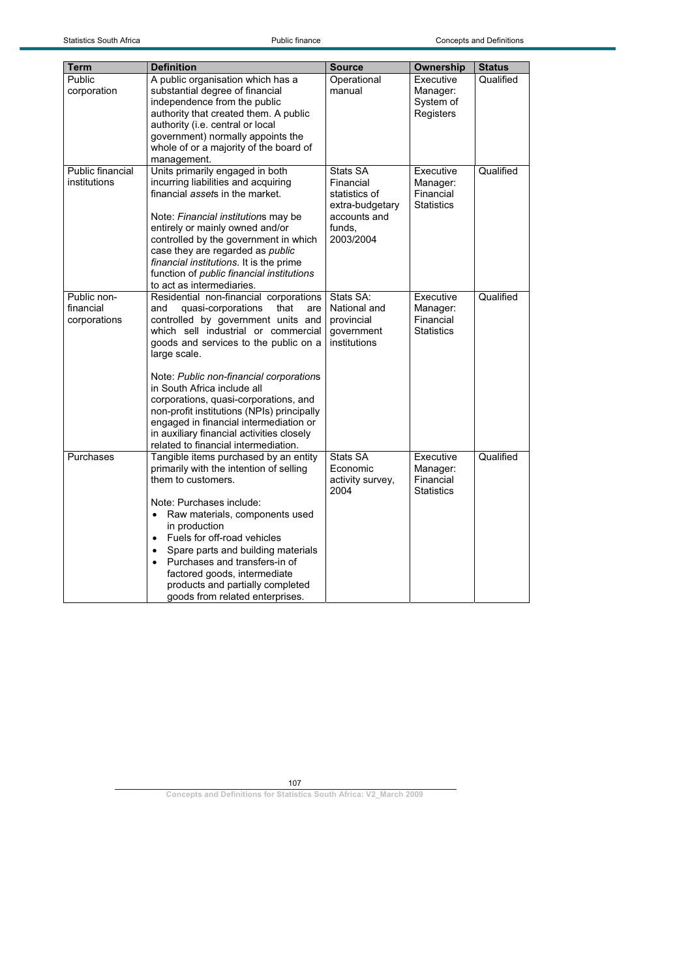| <b>Term</b>                              | <b>Definition</b>                                                                                                                                                                                                                                                                                                                                                                                                                                                                                                        | <b>Source</b>                                                                                    | Ownership                                               | <b>Status</b> |
|------------------------------------------|--------------------------------------------------------------------------------------------------------------------------------------------------------------------------------------------------------------------------------------------------------------------------------------------------------------------------------------------------------------------------------------------------------------------------------------------------------------------------------------------------------------------------|--------------------------------------------------------------------------------------------------|---------------------------------------------------------|---------------|
| Public<br>corporation                    | A public organisation which has a<br>substantial degree of financial<br>independence from the public<br>authority that created them. A public<br>authority (i.e. central or local<br>government) normally appoints the<br>whole of or a majority of the board of<br>management.                                                                                                                                                                                                                                          | Operational<br>manual                                                                            | Executive<br>Manager:<br>System of<br>Registers         | Qualified     |
| Public financial<br>institutions         | Units primarily engaged in both<br>incurring liabilities and acquiring<br>financial assets in the market.<br>Note: Financial institutions may be<br>entirely or mainly owned and/or<br>controlled by the government in which<br>case they are regarded as public<br>financial institutions. It is the prime<br>function of public financial institutions<br>to act as intermediaries.                                                                                                                                    | Stats SA<br>Financial<br>statistics of<br>extra-budgetary<br>accounts and<br>funds.<br>2003/2004 | Executive<br>Manager:<br>Financial<br><b>Statistics</b> | Qualified     |
| Public non-<br>financial<br>corporations | Residential non-financial corporations<br>quasi-corporations<br>and<br>that<br>are<br>controlled by government units and<br>which sell industrial or commercial<br>goods and services to the public on a<br>large scale.<br>Note: Public non-financial corporations<br>in South Africa include all<br>corporations, quasi-corporations, and<br>non-profit institutions (NPIs) principally<br>engaged in financial intermediation or<br>in auxiliary financial activities closely<br>related to financial intermediation. | Stats SA:<br>National and<br>provincial<br>government<br>institutions                            | Executive<br>Manager:<br>Financial<br><b>Statistics</b> | Qualified     |
| Purchases                                | Tangible items purchased by an entity<br>primarily with the intention of selling<br>them to customers.<br>Note: Purchases include:<br>Raw materials, components used<br>$\bullet$<br>in production<br>Fuels for off-road vehicles<br>$\bullet$<br>Spare parts and building materials<br>$\bullet$<br>Purchases and transfers-in of<br>$\bullet$<br>factored goods, intermediate<br>products and partially completed<br>goods from related enterprises.                                                                   | Stats SA<br>Economic<br>activity survey,<br>2004                                                 | Executive<br>Manager:<br>Financial<br>Statistics        | Qualified     |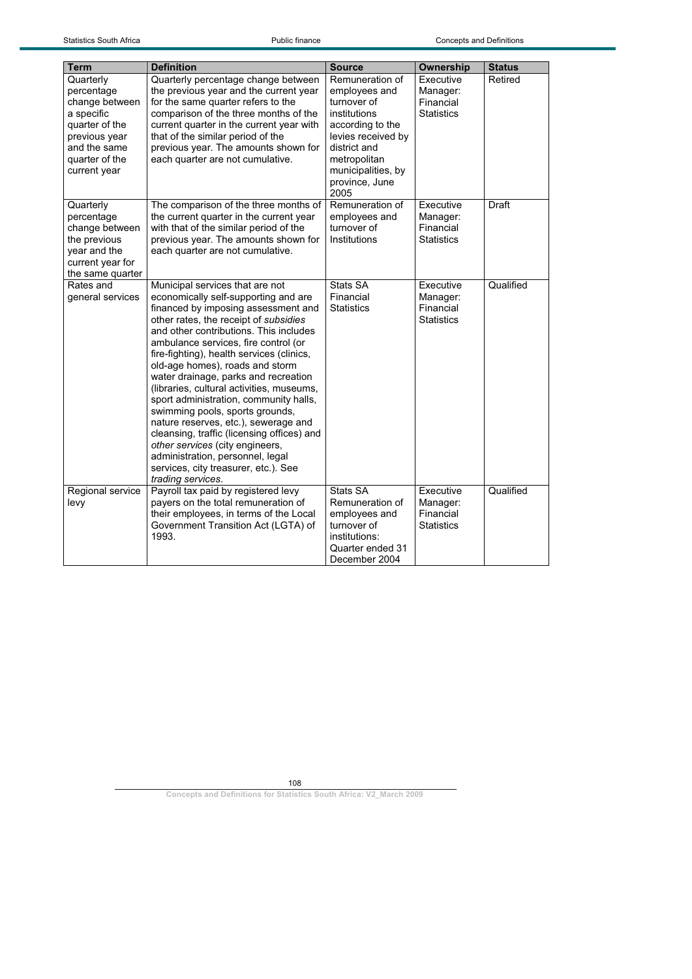| <b>Term</b>                                                                                                                                  | <b>Definition</b>                                                                                                                                                                                                                                                                                                                                                                                                                                                                                                                                                                                                                                                                                                     | <b>Source</b>                                                                                                                                                                             | Ownership                                               | <b>Status</b> |
|----------------------------------------------------------------------------------------------------------------------------------------------|-----------------------------------------------------------------------------------------------------------------------------------------------------------------------------------------------------------------------------------------------------------------------------------------------------------------------------------------------------------------------------------------------------------------------------------------------------------------------------------------------------------------------------------------------------------------------------------------------------------------------------------------------------------------------------------------------------------------------|-------------------------------------------------------------------------------------------------------------------------------------------------------------------------------------------|---------------------------------------------------------|---------------|
| Quarterly<br>percentage<br>change between<br>a specific<br>quarter of the<br>previous year<br>and the same<br>quarter of the<br>current year | Quarterly percentage change between<br>the previous year and the current year<br>for the same quarter refers to the<br>comparison of the three months of the<br>current quarter in the current year with<br>that of the similar period of the<br>previous year. The amounts shown for<br>each quarter are not cumulative.                                                                                                                                                                                                                                                                                                                                                                                             | Remuneration of<br>employees and<br>turnover of<br>institutions<br>according to the<br>levies received by<br>district and<br>metropolitan<br>municipalities, by<br>province, June<br>2005 | Executive<br>Manager:<br>Financial<br><b>Statistics</b> | Retired       |
| Quarterly<br>percentage<br>change between<br>the previous<br>year and the<br>current year for<br>the same quarter                            | The comparison of the three months of<br>the current quarter in the current year<br>with that of the similar period of the<br>previous year. The amounts shown for<br>each quarter are not cumulative.                                                                                                                                                                                                                                                                                                                                                                                                                                                                                                                | Remuneration of<br>employees and<br>turnover of<br>Institutions                                                                                                                           | Executive<br>Manager:<br>Financial<br><b>Statistics</b> | Draft         |
| Rates and<br>general services                                                                                                                | Municipal services that are not<br>economically self-supporting and are<br>financed by imposing assessment and<br>other rates, the receipt of subsidies<br>and other contributions. This includes<br>ambulance services, fire control (or<br>fire-fighting), health services (clinics,<br>old-age homes), roads and storm<br>water drainage, parks and recreation<br>(libraries, cultural activities, museums,<br>sport administration, community halls,<br>swimming pools, sports grounds,<br>nature reserves, etc.), sewerage and<br>cleansing, traffic (licensing offices) and<br>other services (city engineers,<br>administration, personnel, legal<br>services, city treasurer, etc.). See<br>trading services. | Stats SA<br>Financial<br><b>Statistics</b>                                                                                                                                                | Executive<br>Manager:<br>Financial<br><b>Statistics</b> | Qualified     |
| Regional service<br>levy                                                                                                                     | Payroll tax paid by registered levy<br>payers on the total remuneration of<br>their employees, in terms of the Local<br>Government Transition Act (LGTA) of<br>1993.                                                                                                                                                                                                                                                                                                                                                                                                                                                                                                                                                  | Stats SA<br>Remuneration of<br>employees and<br>turnover of<br>institutions:<br>Quarter ended 31<br>December 2004                                                                         | Executive<br>Manager:<br>Financial<br><b>Statistics</b> | Qualified     |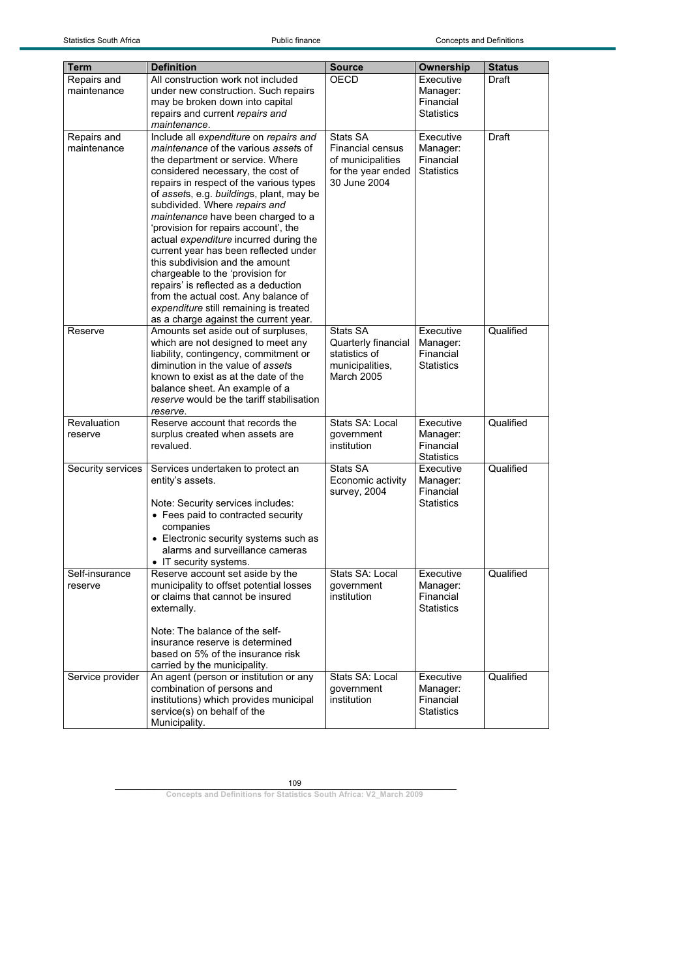| Term              | <b>Definition</b>                                                              | <b>Source</b>                 | Ownership                      | <b>Status</b> |
|-------------------|--------------------------------------------------------------------------------|-------------------------------|--------------------------------|---------------|
| Repairs and       | All construction work not included                                             | OECD                          | Executive                      | Draft         |
| maintenance       | under new construction. Such repairs                                           |                               | Manager:                       |               |
|                   | may be broken down into capital                                                |                               | Financial                      |               |
|                   | repairs and current repairs and                                                |                               | <b>Statistics</b>              |               |
|                   | maintenance.                                                                   |                               |                                |               |
| Repairs and       | Include all expenditure on repairs and                                         | Stats SA                      | Executive                      | Draft         |
| maintenance       | <i>maintenance</i> of the various assets of                                    | <b>Financial census</b>       | Manager:                       |               |
|                   | the department or service. Where                                               | of municipalities             | Financial                      |               |
|                   | considered necessary, the cost of                                              | for the year ended            | <b>Statistics</b>              |               |
|                   | repairs in respect of the various types                                        | 30 June 2004                  |                                |               |
|                   | of assets, e.g. buildings, plant, may be                                       |                               |                                |               |
|                   | subdivided. Where repairs and                                                  |                               |                                |               |
|                   | maintenance have been charged to a                                             |                               |                                |               |
|                   | 'provision for repairs account', the<br>actual expenditure incurred during the |                               |                                |               |
|                   | current year has been reflected under                                          |                               |                                |               |
|                   | this subdivision and the amount                                                |                               |                                |               |
|                   | chargeable to the 'provision for                                               |                               |                                |               |
|                   | repairs' is reflected as a deduction                                           |                               |                                |               |
|                   | from the actual cost. Any balance of                                           |                               |                                |               |
|                   | expenditure still remaining is treated                                         |                               |                                |               |
|                   | as a charge against the current year.                                          |                               |                                |               |
| Reserve           | Amounts set aside out of surpluses,                                            | Stats SA                      | Executive                      | Qualified     |
|                   | which are not designed to meet any                                             | Quarterly financial           | Manager:                       |               |
|                   | liability, contingency, commitment or<br>diminution in the value of assets     | statistics of                 | Financial<br><b>Statistics</b> |               |
|                   | known to exist as at the date of the                                           | municipalities,<br>March 2005 |                                |               |
|                   | balance sheet. An example of a                                                 |                               |                                |               |
|                   | reserve would be the tariff stabilisation                                      |                               |                                |               |
|                   | reserve.                                                                       |                               |                                |               |
| Revaluation       | Reserve account that records the                                               | Stats SA: Local               | Executive                      | Qualified     |
| reserve           | surplus created when assets are                                                | government                    | Manager:                       |               |
|                   | revalued.                                                                      | institution                   | Financial                      |               |
|                   |                                                                                |                               | <b>Statistics</b>              |               |
| Security services | Services undertaken to protect an                                              | Stats SA                      | Executive                      | Qualified     |
|                   | entity's assets.                                                               | Economic activity             | Manager:                       |               |
|                   |                                                                                | survey, 2004                  | Financial<br><b>Statistics</b> |               |
|                   | Note: Security services includes:<br>• Fees paid to contracted security        |                               |                                |               |
|                   | companies                                                                      |                               |                                |               |
|                   | • Electronic security systems such as                                          |                               |                                |               |
|                   | alarms and surveillance cameras                                                |                               |                                |               |
|                   | • IT security systems.                                                         |                               |                                |               |
| Self-insurance    | Reserve account set aside by the                                               | Stats SA: Local               | Executive                      | Qualified     |
| reserve           | municipality to offset potential losses                                        | government                    | Manager:                       |               |
|                   | or claims that cannot be insured                                               | institution                   | Financial                      |               |
|                   | externally.                                                                    |                               | <b>Statistics</b>              |               |
|                   |                                                                                |                               |                                |               |
|                   | Note: The balance of the self-                                                 |                               |                                |               |
|                   | insurance reserve is determined                                                |                               |                                |               |
|                   | based on 5% of the insurance risk<br>carried by the municipality.              |                               |                                |               |
| Service provider  | An agent (person or institution or any                                         | Stats SA: Local               | Executive                      | Qualified     |
|                   | combination of persons and                                                     | government                    | Manager:                       |               |
|                   | institutions) which provides municipal                                         | institution                   | Financial                      |               |
|                   | service(s) on behalf of the                                                    |                               | <b>Statistics</b>              |               |
|                   | Municipality.                                                                  |                               |                                |               |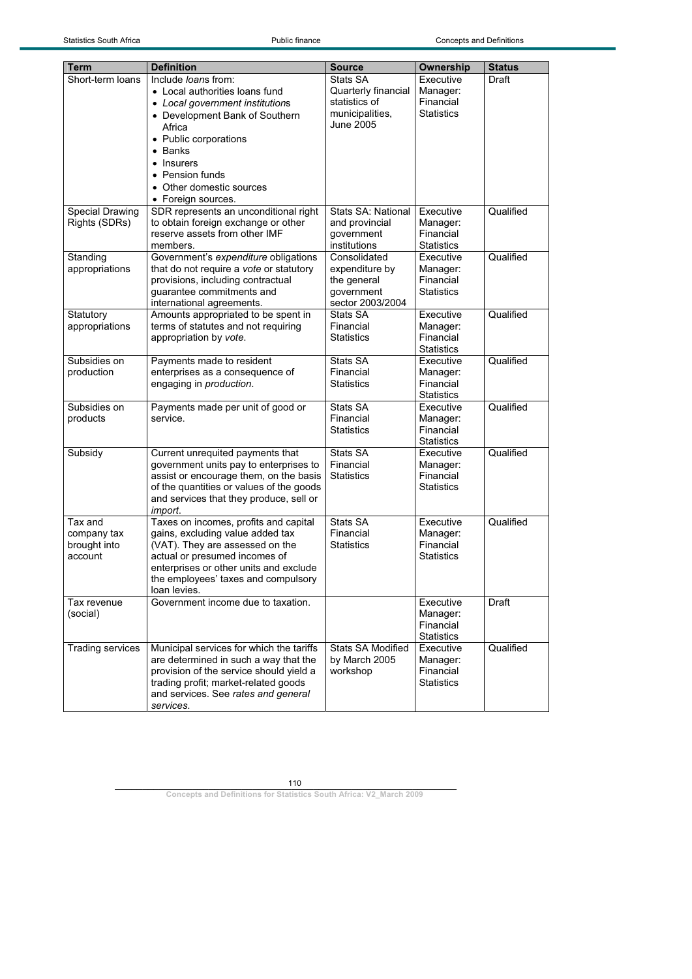| Term                   | <b>Definition</b>                                                           | <b>Source</b>             | Ownership             | <b>Status</b> |
|------------------------|-----------------------------------------------------------------------------|---------------------------|-----------------------|---------------|
| Short-term loans       | Include loans from:                                                         | Stats SA                  | Executive             | Draft         |
|                        | • Local authorities loans fund                                              | Quarterly financial       | Manager:              |               |
|                        | • Local government institutions                                             | statistics of             | Financial             |               |
|                        | • Development Bank of Southern                                              | municipalities,           | <b>Statistics</b>     |               |
|                        | Africa                                                                      | June 2005                 |                       |               |
|                        | • Public corporations                                                       |                           |                       |               |
|                        | • Banks                                                                     |                           |                       |               |
|                        | • Insurers                                                                  |                           |                       |               |
|                        | • Pension funds                                                             |                           |                       |               |
|                        | • Other domestic sources                                                    |                           |                       |               |
|                        | • Foreign sources.                                                          |                           |                       |               |
| <b>Special Drawing</b> | SDR represents an unconditional right                                       | <b>Stats SA: National</b> | Executive             | Qualified     |
| Rights (SDRs)          | to obtain foreign exchange or other                                         | and provincial            | Manager:              |               |
|                        | reserve assets from other IMF                                               | government                | Financial             |               |
|                        | members.                                                                    | institutions              | <b>Statistics</b>     |               |
| Standing               | Government's expenditure obligations                                        | Consolidated              | Executive             | Qualified     |
| appropriations         | that do not require a vote or statutory                                     | expenditure by            | Manager:              |               |
|                        | provisions, including contractual                                           | the general               | Financial             |               |
|                        | guarantee commitments and                                                   | government                | <b>Statistics</b>     |               |
|                        | international agreements.                                                   | sector 2003/2004          |                       |               |
| Statutory              | Amounts appropriated to be spent in<br>terms of statutes and not requiring  | Stats SA<br>Financial     | Executive             | Qualified     |
| appropriations         | appropriation by vote.                                                      | <b>Statistics</b>         | Manager:<br>Financial |               |
|                        |                                                                             |                           | <b>Statistics</b>     |               |
| Subsidies on           | Payments made to resident                                                   | Stats SA                  | Executive             | Qualified     |
| production             | enterprises as a consequence of                                             | Financial                 | Manager:              |               |
|                        | engaging in production.                                                     | <b>Statistics</b>         | Financial             |               |
|                        |                                                                             |                           | <b>Statistics</b>     |               |
| Subsidies on           | Payments made per unit of good or                                           | Stats SA                  | Executive             | Qualified     |
| products               | service.                                                                    | Financial                 | Manager:              |               |
|                        |                                                                             | <b>Statistics</b>         | Financial             |               |
|                        |                                                                             |                           | <b>Statistics</b>     |               |
| Subsidy                | Current unrequited payments that                                            | Stats SA                  | Executive             | Qualified     |
|                        | government units pay to enterprises to                                      | Financial                 | Manager:              |               |
|                        | assist or encourage them, on the basis                                      | <b>Statistics</b>         | Financial             |               |
|                        | of the quantities or values of the goods                                    |                           | <b>Statistics</b>     |               |
|                        | and services that they produce, sell or<br>import.                          |                           |                       |               |
| Tax and                | Taxes on incomes, profits and capital                                       | Stats SA                  | Executive             | Qualified     |
| company tax            | gains, excluding value added tax                                            | Financial                 | Manager:              |               |
| brought into           | (VAT). They are assessed on the                                             | <b>Statistics</b>         | Financial             |               |
| account                | actual or presumed incomes of                                               |                           | <b>Statistics</b>     |               |
|                        | enterprises or other units and exclude                                      |                           |                       |               |
|                        | the employees' taxes and compulsory                                         |                           |                       |               |
|                        | loan levies.                                                                |                           |                       |               |
| Tax revenue            | Government income due to taxation.                                          |                           | Executive             | Draft         |
| (social)               |                                                                             |                           | Manager:              |               |
|                        |                                                                             |                           | Financial             |               |
|                        |                                                                             |                           | <b>Statistics</b>     |               |
| Trading services       | Municipal services for which the tariffs                                    | Stats SA Modified         | Executive             | Qualified     |
|                        | are determined in such a way that the                                       | by March 2005             | Manager:              |               |
|                        | provision of the service should yield a                                     | workshop                  | Financial             |               |
|                        | trading profit; market-related goods<br>and services. See rates and general |                           | <b>Statistics</b>     |               |
|                        | services.                                                                   |                           |                       |               |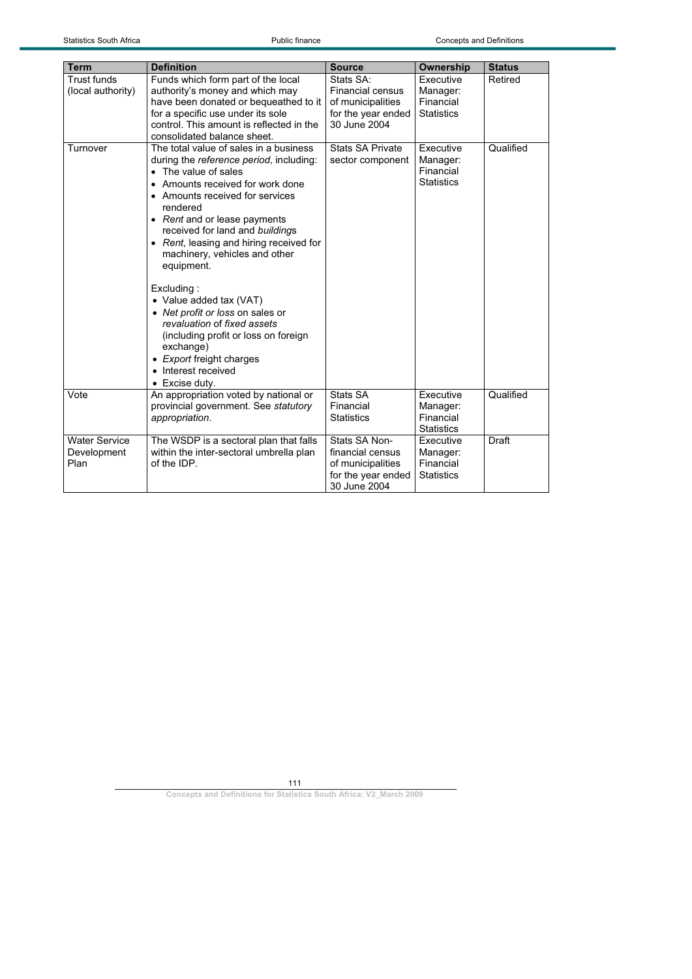| <b>Term</b>                                 | <b>Definition</b>                                                                                                                                                                                                                                                                                                                                                                                                                                                                                                                                                                               | <b>Source</b>                                                                                   | Ownership                                               | <b>Status</b> |
|---------------------------------------------|-------------------------------------------------------------------------------------------------------------------------------------------------------------------------------------------------------------------------------------------------------------------------------------------------------------------------------------------------------------------------------------------------------------------------------------------------------------------------------------------------------------------------------------------------------------------------------------------------|-------------------------------------------------------------------------------------------------|---------------------------------------------------------|---------------|
| <b>Trust funds</b><br>(local authority)     | Funds which form part of the local<br>authority's money and which may<br>have been donated or bequeathed to it<br>for a specific use under its sole<br>control. This amount is reflected in the<br>consolidated balance sheet.                                                                                                                                                                                                                                                                                                                                                                  | Stats SA:<br><b>Financial census</b><br>of municipalities<br>for the year ended<br>30 June 2004 | Executive<br>Manager:<br>Financial<br><b>Statistics</b> | Retired       |
| Turnover                                    | The total value of sales in a business<br>during the reference period, including:<br>• The value of sales<br>• Amounts received for work done<br>• Amounts received for services<br>rendered<br>• Rent and or lease payments<br>received for land and buildings<br>• Rent, leasing and hiring received for<br>machinery, vehicles and other<br>equipment.<br>Excluding:<br>• Value added tax (VAT)<br>• Net profit or loss on sales or<br>revaluation of fixed assets<br>(including profit or loss on foreign<br>exchange)<br>• Export freight charges<br>• Interest received<br>• Excise duty. | <b>Stats SA Private</b><br>sector component                                                     | Executive<br>Manager:<br>Financial<br><b>Statistics</b> | Qualified     |
| Vote                                        | An appropriation voted by national or<br>provincial government. See statutory<br>appropriation.                                                                                                                                                                                                                                                                                                                                                                                                                                                                                                 | Stats SA<br>Financial<br><b>Statistics</b>                                                      | Executive<br>Manager:<br>Financial<br><b>Statistics</b> | Qualified     |
| <b>Water Service</b><br>Development<br>Plan | The WSDP is a sectoral plan that falls<br>within the inter-sectoral umbrella plan<br>of the IDP.                                                                                                                                                                                                                                                                                                                                                                                                                                                                                                | Stats SA Non-<br>financial census<br>of municipalities<br>for the year ended<br>30 June 2004    | Executive<br>Manager:<br>Financial<br><b>Statistics</b> | Draft         |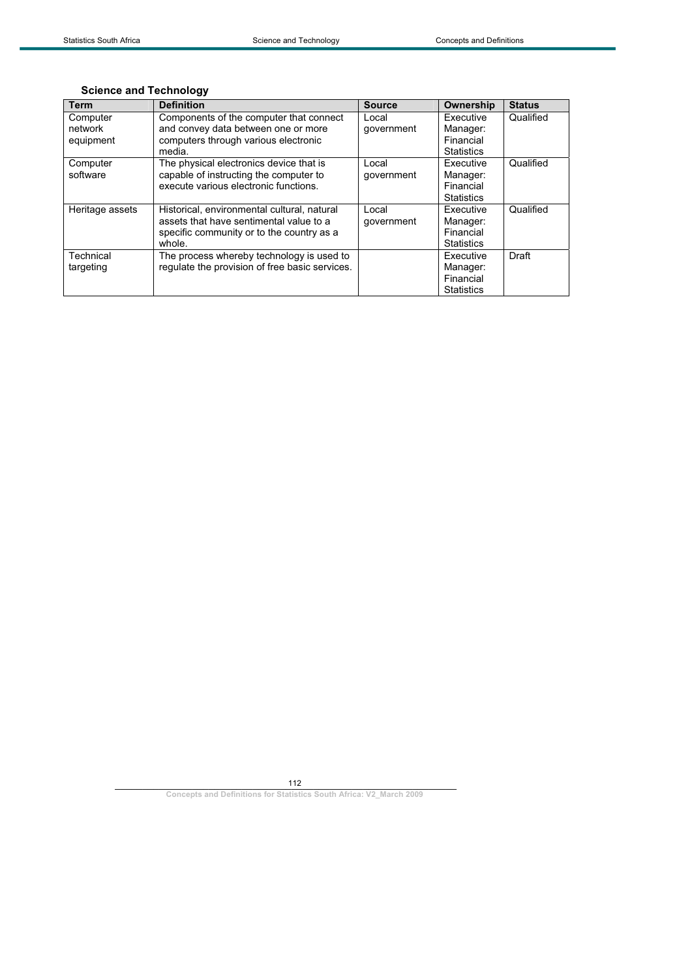|  |  | <b>Science and Technology</b> |
|--|--|-------------------------------|
|--|--|-------------------------------|

| <b>Term</b>     | <b>Definition</b>                              | <b>Source</b> | Ownership         | <b>Status</b> |
|-----------------|------------------------------------------------|---------------|-------------------|---------------|
| Computer        | Components of the computer that connect        | Local         | Executive         | Qualified     |
| network         | and convey data between one or more            | government    | Manager:          |               |
| equipment       | computers through various electronic           |               | Financial         |               |
|                 | media.                                         |               | <b>Statistics</b> |               |
| Computer        | The physical electronics device that is        | Local         | Executive         | Qualified     |
| software        | capable of instructing the computer to         | qovernment    | Manager:          |               |
|                 | execute various electronic functions.          |               | Financial         |               |
|                 |                                                |               | <b>Statistics</b> |               |
| Heritage assets | Historical, environmental cultural, natural    | Local         | <b>Fxecutive</b>  | Qualified     |
|                 | assets that have sentimental value to a        | government    | Manager:          |               |
|                 | specific community or to the country as a      |               | Financial         |               |
|                 | whole.                                         |               | <b>Statistics</b> |               |
| Technical       | The process whereby technology is used to      |               | Executive         | Draft         |
| targeting       | regulate the provision of free basic services. |               | Manager:          |               |
|                 |                                                |               | Financial         |               |
|                 |                                                |               | <b>Statistics</b> |               |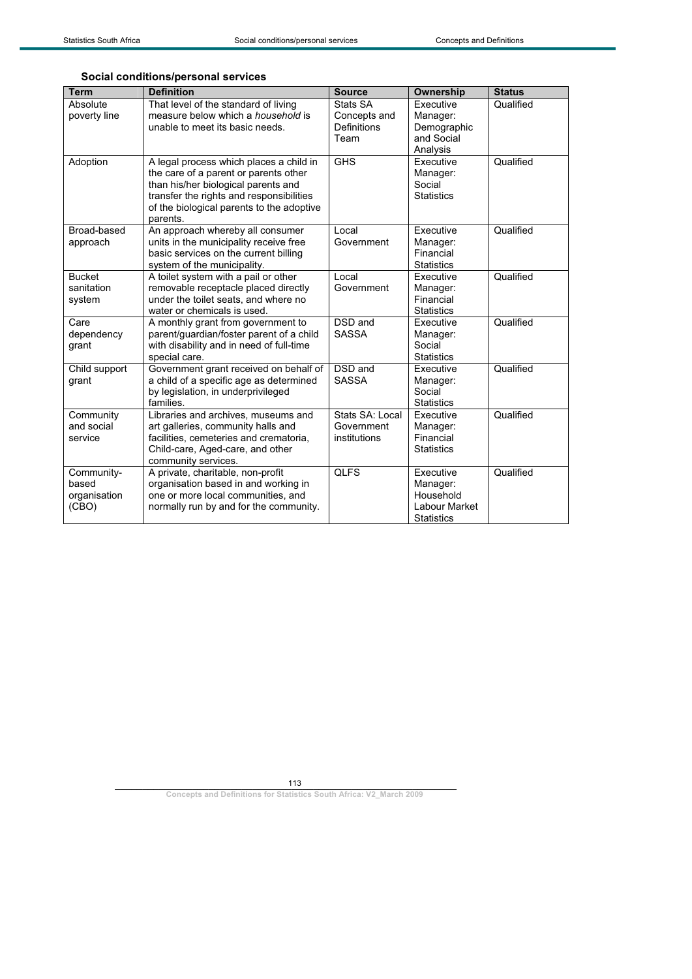## **Social conditions/personal services**

| <b>Term</b>                                  | <b>Definition</b>                                                                                                                                                                                                            | <b>Source</b>                                   | Ownership                                                                | <b>Status</b> |
|----------------------------------------------|------------------------------------------------------------------------------------------------------------------------------------------------------------------------------------------------------------------------------|-------------------------------------------------|--------------------------------------------------------------------------|---------------|
| Absolute<br>poverty line                     | That level of the standard of living<br>measure below which a <i>household</i> is<br>unable to meet its basic needs.                                                                                                         | Stats SA<br>Concepts and<br>Definitions<br>Team | Executive<br>Manager:<br>Demographic<br>and Social<br>Analysis           | Qualified     |
| Adoption                                     | A legal process which places a child in<br>the care of a parent or parents other<br>than his/her biological parents and<br>transfer the rights and responsibilities<br>of the biological parents to the adoptive<br>parents. | <b>GHS</b>                                      | Executive<br>Manager:<br>Social<br><b>Statistics</b>                     | Qualified     |
| Broad-based<br>approach                      | An approach whereby all consumer<br>units in the municipality receive free<br>basic services on the current billing<br>system of the municipality.                                                                           | Local<br>Government                             | Executive<br>Manager:<br>Financial<br><b>Statistics</b>                  | Qualified     |
| <b>Bucket</b><br>sanitation<br>system        | A toilet system with a pail or other<br>removable receptacle placed directly<br>under the toilet seats, and where no<br>water or chemicals is used.                                                                          | Local<br>Government                             | Executive<br>Manager:<br>Financial<br><b>Statistics</b>                  | Qualified     |
| Care<br>dependency<br>grant                  | A monthly grant from government to<br>parent/guardian/foster parent of a child<br>with disability and in need of full-time<br>special care.                                                                                  | DSD and<br><b>SASSA</b>                         | Executive<br>Manager:<br>Social<br><b>Statistics</b>                     | Qualified     |
| Child support<br>grant                       | Government grant received on behalf of<br>a child of a specific age as determined<br>by legislation, in underprivileged<br>families.                                                                                         | DSD and<br><b>SASSA</b>                         | Executive<br>Manager:<br>Social<br><b>Statistics</b>                     | Qualified     |
| Community<br>and social<br>service           | Libraries and archives, museums and<br>art galleries, community halls and<br>facilities, cemeteries and crematoria,<br>Child-care, Aged-care, and other<br>community services.                                               | Stats SA: Local<br>Government<br>institutions   | Executive<br>Manager:<br>Financial<br><b>Statistics</b>                  | Qualified     |
| Community-<br>based<br>organisation<br>(CBO) | A private, charitable, non-profit<br>organisation based in and working in<br>one or more local communities, and<br>normally run by and for the community.                                                                    | <b>QLFS</b>                                     | Executive<br>Manager:<br>Household<br>Labour Market<br><b>Statistics</b> | Qualified     |

113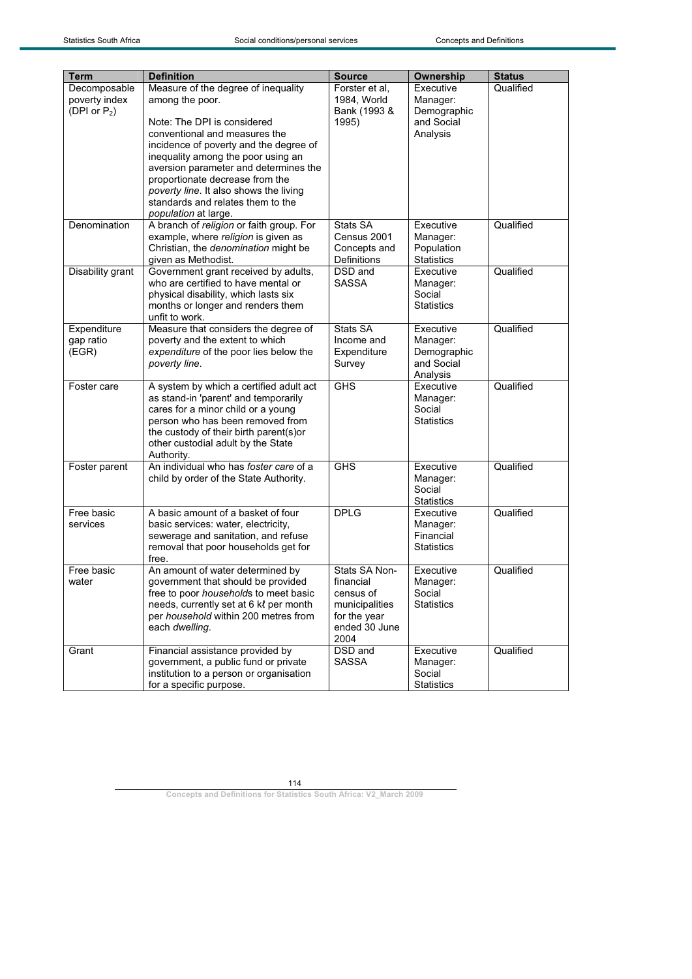| Term                                             | <b>Definition</b>                                                                                                                                                                                                                                                                                                                                                                         | <b>Source</b>                                                                                      | Ownership                                                      | <b>Status</b> |
|--------------------------------------------------|-------------------------------------------------------------------------------------------------------------------------------------------------------------------------------------------------------------------------------------------------------------------------------------------------------------------------------------------------------------------------------------------|----------------------------------------------------------------------------------------------------|----------------------------------------------------------------|---------------|
| Decomposable<br>poverty index<br>(DPI or $P_2$ ) | Measure of the degree of inequality<br>among the poor.<br>Note: The DPI is considered<br>conventional and measures the<br>incidence of poverty and the degree of<br>inequality among the poor using an<br>aversion parameter and determines the<br>proportionate decrease from the<br>poverty line. It also shows the living<br>standards and relates them to the<br>population at large. | Forster et al.<br>1984, World<br>Bank (1993 &<br>1995)                                             | Executive<br>Manager:<br>Demographic<br>and Social<br>Analysis | Qualified     |
| Denomination                                     | A branch of religion or faith group. For<br>example, where religion is given as<br>Christian, the denomination might be<br>given as Methodist.                                                                                                                                                                                                                                            | Stats SA<br>Census 2001<br>Concepts and<br><b>Definitions</b>                                      | Executive<br>Manager:<br>Population<br><b>Statistics</b>       | Qualified     |
| Disability grant                                 | Government grant received by adults,<br>who are certified to have mental or<br>physical disability, which lasts six<br>months or longer and renders them<br>unfit to work.                                                                                                                                                                                                                | DSD and<br><b>SASSA</b>                                                                            | Executive<br>Manager:<br>Social<br><b>Statistics</b>           | Qualified     |
| Expenditure<br>gap ratio<br>(EGR)                | Measure that considers the degree of<br>poverty and the extent to which<br>expenditure of the poor lies below the<br>poverty line.                                                                                                                                                                                                                                                        | Stats SA<br>Income and<br>Expenditure<br>Survey                                                    | Executive<br>Manager:<br>Demographic<br>and Social<br>Analysis | Qualified     |
| Foster care                                      | A system by which a certified adult act<br>as stand-in 'parent' and temporarily<br>cares for a minor child or a young<br>person who has been removed from<br>the custody of their birth parent(s)or<br>other custodial adult by the State<br>Authority.                                                                                                                                   | <b>GHS</b>                                                                                         | Executive<br>Manager:<br>Social<br><b>Statistics</b>           | Qualified     |
| Foster parent                                    | An individual who has foster care of a<br>child by order of the State Authority.                                                                                                                                                                                                                                                                                                          | <b>GHS</b>                                                                                         | Executive<br>Manager:<br>Social<br><b>Statistics</b>           | Qualified     |
| Free basic<br>services                           | A basic amount of a basket of four<br>basic services: water, electricity,<br>sewerage and sanitation, and refuse<br>removal that poor households get for<br>free.                                                                                                                                                                                                                         | <b>DPLG</b>                                                                                        | Executive<br>Manager:<br>Financial<br><b>Statistics</b>        | Qualified     |
| Free basic<br>water                              | An amount of water determined by<br>government that should be provided<br>free to poor households to meet basic<br>needs, currently set at 6 kl per month<br>per household within 200 metres from<br>each dwelling.                                                                                                                                                                       | Stats SA Non-<br>financial<br>census of<br>municipalities<br>for the year<br>ended 30 June<br>2004 | Executive<br>Manager:<br>Social<br><b>Statistics</b>           | Qualified     |
| Grant                                            | Financial assistance provided by<br>government, a public fund or private<br>institution to a person or organisation<br>for a specific purpose.                                                                                                                                                                                                                                            | DSD and<br><b>SASSA</b>                                                                            | Executive<br>Manager:<br>Social<br>Statistics                  | Qualified     |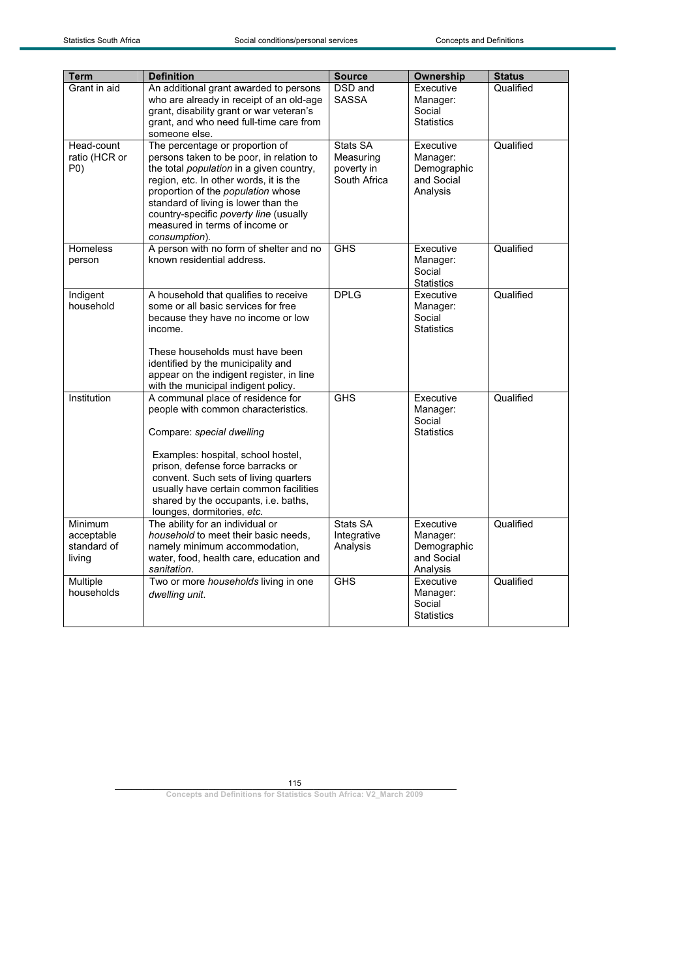| <b>Term</b>                                    | <b>Definition</b>                                                                                                                                                                                                                                                                                                                            | <b>Source</b>                                       | Ownership                                                      | <b>Status</b> |
|------------------------------------------------|----------------------------------------------------------------------------------------------------------------------------------------------------------------------------------------------------------------------------------------------------------------------------------------------------------------------------------------------|-----------------------------------------------------|----------------------------------------------------------------|---------------|
| Grant in aid                                   | An additional grant awarded to persons<br>who are already in receipt of an old-age<br>grant, disability grant or war veteran's<br>grant, and who need full-time care from<br>someone else.                                                                                                                                                   | DSD and<br><b>SASSA</b>                             | Executive<br>Manager:<br>Social<br><b>Statistics</b>           | Qualified     |
| Head-count<br>ratio (HCR or<br>P(0)            | The percentage or proportion of<br>persons taken to be poor, in relation to<br>the total population in a given country,<br>region, etc. In other words, it is the<br>proportion of the population whose<br>standard of living is lower than the<br>country-specific poverty line (usually<br>measured in terms of income or<br>consumption). | Stats SA<br>Measuring<br>poverty in<br>South Africa | Executive<br>Manager:<br>Demographic<br>and Social<br>Analysis | Qualified     |
| Homeless<br>person                             | A person with no form of shelter and no<br>known residential address.                                                                                                                                                                                                                                                                        | <b>GHS</b>                                          | Executive<br>Manager:<br>Social<br><b>Statistics</b>           | Qualified     |
| Indigent<br>household                          | A household that qualifies to receive<br>some or all basic services for free<br>because they have no income or low<br>income.<br>These households must have been<br>identified by the municipality and<br>appear on the indigent register, in line<br>with the municipal indigent policy.                                                    | <b>DPLG</b>                                         | Executive<br>Manager:<br>Social<br><b>Statistics</b>           | Qualified     |
| Institution                                    | A communal place of residence for<br>people with common characteristics.<br>Compare: special dwelling<br>Examples: hospital, school hostel,<br>prison, defense force barracks or<br>convent. Such sets of living quarters<br>usually have certain common facilities<br>shared by the occupants, i.e. baths,<br>lounges, dormitories, etc.    | <b>GHS</b>                                          | Executive<br>Manager:<br>Social<br><b>Statistics</b>           | Qualified     |
| Minimum<br>acceptable<br>standard of<br>living | The ability for an individual or<br>household to meet their basic needs,<br>namely minimum accommodation,<br>water, food, health care, education and<br>sanitation.                                                                                                                                                                          | Stats SA<br>Integrative<br>Analysis                 | Executive<br>Manager:<br>Demographic<br>and Social<br>Analysis | Qualified     |
| Multiple<br>households                         | Two or more households living in one<br>dwelling unit.                                                                                                                                                                                                                                                                                       | <b>GHS</b>                                          | Executive<br>Manager:<br>Social<br><b>Statistics</b>           | Qualified     |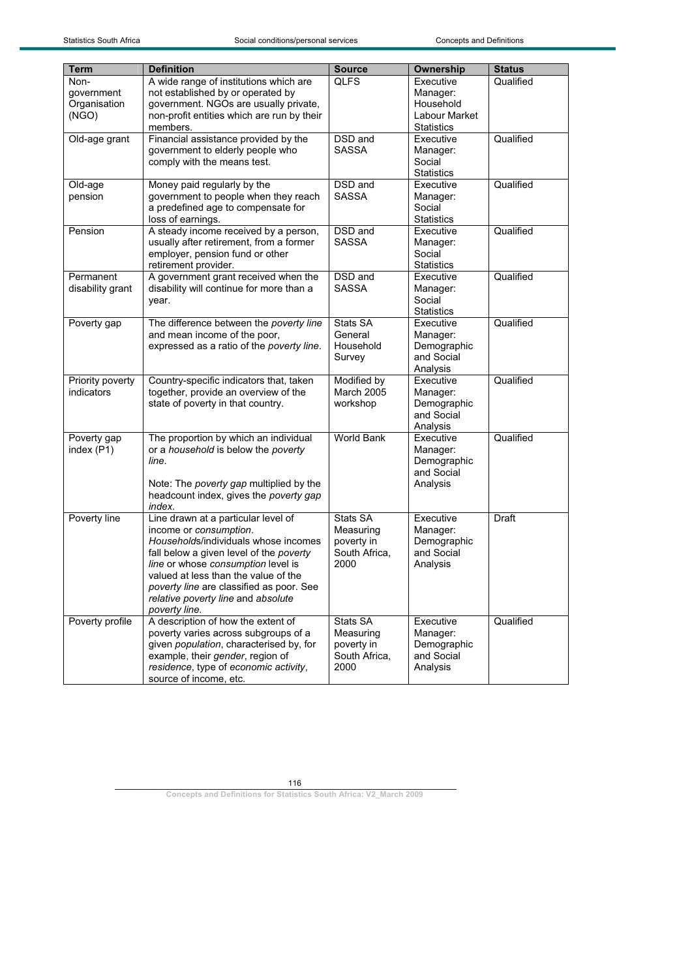| <b>Term</b>                                 | <b>Definition</b>                                                                                                                                                                                                                                                                                                                 | <b>Source</b>                                                | Ownership                                                                | <b>Status</b> |
|---------------------------------------------|-----------------------------------------------------------------------------------------------------------------------------------------------------------------------------------------------------------------------------------------------------------------------------------------------------------------------------------|--------------------------------------------------------------|--------------------------------------------------------------------------|---------------|
| Non-<br>government<br>Organisation<br>(NGO) | A wide range of institutions which are<br>not established by or operated by<br>government. NGOs are usually private,<br>non-profit entities which are run by their<br>members.                                                                                                                                                    | <b>QLFS</b>                                                  | Executive<br>Manager:<br>Household<br>Labour Market<br><b>Statistics</b> | Qualified     |
| Old-age grant                               | Financial assistance provided by the<br>government to elderly people who<br>comply with the means test.                                                                                                                                                                                                                           | DSD and<br><b>SASSA</b>                                      | Executive<br>Manager:<br>Social<br><b>Statistics</b>                     | Qualified     |
| Old-age<br>pension                          | Money paid regularly by the<br>government to people when they reach<br>a predefined age to compensate for<br>loss of earnings.                                                                                                                                                                                                    | DSD and<br><b>SASSA</b>                                      | Executive<br>Manager:<br>Social<br><b>Statistics</b>                     | Qualified     |
| Pension                                     | A steady income received by a person,<br>usually after retirement, from a former<br>employer, pension fund or other<br>retirement provider.                                                                                                                                                                                       | DSD and<br><b>SASSA</b>                                      | Executive<br>Manager:<br>Social<br><b>Statistics</b>                     | Qualified     |
| Permanent<br>disability grant               | A government grant received when the<br>disability will continue for more than a<br>year.                                                                                                                                                                                                                                         | DSD and<br><b>SASSA</b>                                      | Executive<br>Manager:<br>Social<br><b>Statistics</b>                     | Qualified     |
| Poverty gap                                 | The difference between the poverty line<br>and mean income of the poor,<br>expressed as a ratio of the poverty line.                                                                                                                                                                                                              | Stats SA<br>General<br>Household<br>Survey                   | Executive<br>Manager:<br>Demographic<br>and Social<br>Analysis           | Qualified     |
| Priority poverty<br>indicators              | Country-specific indicators that, taken<br>together, provide an overview of the<br>state of poverty in that country.                                                                                                                                                                                                              | Modified by<br><b>March 2005</b><br>workshop                 | Executive<br>Manager:<br>Demographic<br>and Social<br>Analysis           | Qualified     |
| Poverty gap<br>index (P1)                   | The proportion by which an individual<br>or a household is below the poverty<br>line.<br>Note: The poverty gap multiplied by the<br>headcount index, gives the poverty gap<br>index.                                                                                                                                              | <b>World Bank</b>                                            | Executive<br>Manager:<br>Demographic<br>and Social<br>Analysis           | Qualified     |
| Poverty line                                | Line drawn at a particular level of<br>income or consumption.<br>Households/individuals whose incomes<br>fall below a given level of the poverty<br>line or whose consumption level is<br>valued at less than the value of the<br>poverty line are classified as poor. See<br>relative poverty line and absolute<br>poverty line. | Stats SA<br>Measuring<br>poverty in<br>South Africa,<br>2000 | Executive<br>Manager:<br>Demographic<br>and Social<br>Analysis           | Draft         |
| Poverty profile                             | A description of how the extent of<br>poverty varies across subgroups of a<br>given population, characterised by, for<br>example, their gender, region of<br>residence, type of economic activity,<br>source of income, etc.                                                                                                      | Stats SA<br>Measuring<br>poverty in<br>South Africa,<br>2000 | Executive<br>Manager:<br>Demographic<br>and Social<br>Analysis           | Qualified     |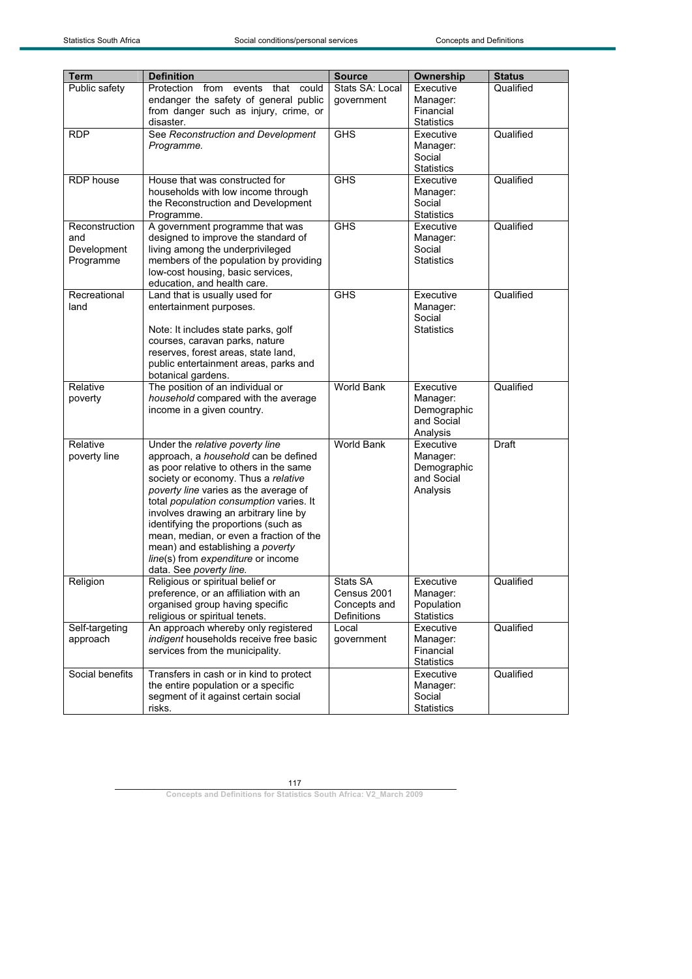| <b>Term</b>                                       | <b>Definition</b>                                                                                                                                                                                                                                                                                                                                                                                                                                                             | <b>Source</b>                                          | Ownership                                                      | <b>Status</b> |
|---------------------------------------------------|-------------------------------------------------------------------------------------------------------------------------------------------------------------------------------------------------------------------------------------------------------------------------------------------------------------------------------------------------------------------------------------------------------------------------------------------------------------------------------|--------------------------------------------------------|----------------------------------------------------------------|---------------|
| Public safety                                     | Protection from events that<br>could<br>endanger the safety of general public<br>from danger such as injury, crime, or<br>disaster.                                                                                                                                                                                                                                                                                                                                           | Stats SA: Local<br>government                          | Executive<br>Manager:<br>Financial<br><b>Statistics</b>        | Qualified     |
| <b>RDP</b>                                        | See Reconstruction and Development<br>Programme.                                                                                                                                                                                                                                                                                                                                                                                                                              | <b>GHS</b>                                             | Executive<br>Manager:<br>Social<br><b>Statistics</b>           | Qualified     |
| RDP house                                         | House that was constructed for<br>households with low income through<br>the Reconstruction and Development<br>Programme.                                                                                                                                                                                                                                                                                                                                                      | <b>GHS</b>                                             | Executive<br>Manager:<br>Social<br><b>Statistics</b>           | Qualified     |
| Reconstruction<br>and<br>Development<br>Programme | A government programme that was<br>designed to improve the standard of<br>living among the underprivileged<br>members of the population by providing<br>low-cost housing, basic services,<br>education, and health care.                                                                                                                                                                                                                                                      | <b>GHS</b>                                             | Executive<br>Manager:<br>Social<br><b>Statistics</b>           | Qualified     |
| Recreational<br>land                              | Land that is usually used for<br>entertainment purposes.<br>Note: It includes state parks, golf<br>courses, caravan parks, nature<br>reserves, forest areas, state land,<br>public entertainment areas, parks and<br>botanical gardens.                                                                                                                                                                                                                                       | <b>GHS</b>                                             | Executive<br>Manager:<br>Social<br><b>Statistics</b>           | Qualified     |
| Relative<br>poverty                               | The position of an individual or<br>household compared with the average<br>income in a given country.                                                                                                                                                                                                                                                                                                                                                                         | World Bank                                             | Executive<br>Manager:<br>Demographic<br>and Social<br>Analysis | Qualified     |
| Relative<br>poverty line                          | Under the relative poverty line<br>approach, a household can be defined<br>as poor relative to others in the same<br>society or economy. Thus a relative<br>poverty line varies as the average of<br>total population consumption varies. It<br>involves drawing an arbitrary line by<br>identifying the proportions (such as<br>mean, median, or even a fraction of the<br>mean) and establishing a poverty<br>line(s) from expenditure or income<br>data. See poverty line. | World Bank                                             | Executive<br>Manager:<br>Demographic<br>and Social<br>Analysis | Draft         |
| Religion                                          | Religious or spiritual belief or<br>preference, or an affiliation with an<br>organised group having specific<br>religious or spiritual tenets.                                                                                                                                                                                                                                                                                                                                | Stats SA<br>Census 2001<br>Concepts and<br>Definitions | Executive<br>Manager:<br>Population<br><b>Statistics</b>       | Qualified     |
| Self-targeting<br>approach                        | An approach whereby only registered<br>indigent households receive free basic<br>services from the municipality.                                                                                                                                                                                                                                                                                                                                                              | Local<br>government                                    | Executive<br>Manager:<br>Financial<br><b>Statistics</b>        | Qualified     |
| Social benefits                                   | Transfers in cash or in kind to protect<br>the entire population or a specific<br>segment of it against certain social<br>risks.                                                                                                                                                                                                                                                                                                                                              |                                                        | Executive<br>Manager:<br>Social<br><b>Statistics</b>           | Qualified     |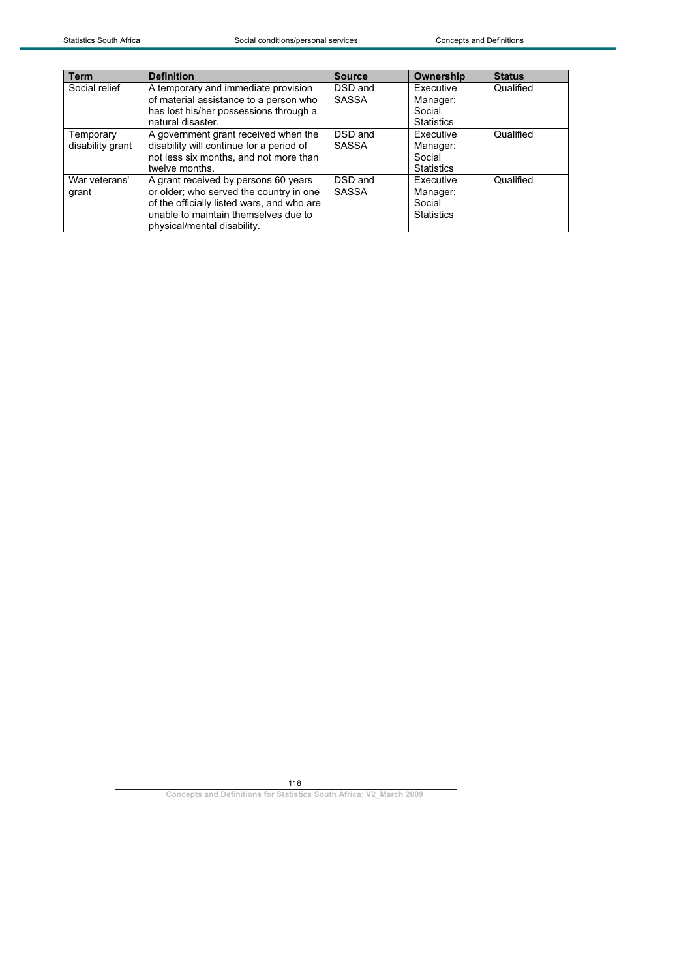| <b>Term</b>      | <b>Definition</b>                          | <b>Source</b> | Ownership         | <b>Status</b> |
|------------------|--------------------------------------------|---------------|-------------------|---------------|
| Social relief    | A temporary and immediate provision        | DSD and       | Executive         | Qualified     |
|                  | of material assistance to a person who     | <b>SASSA</b>  | Manager:          |               |
|                  | has lost his/her possessions through a     |               | Social            |               |
|                  | natural disaster.                          |               | <b>Statistics</b> |               |
| Temporary        | A government grant received when the       | DSD and       | Executive         | Qualified     |
| disability grant | disability will continue for a period of   | <b>SASSA</b>  | Manager:          |               |
|                  | not less six months, and not more than     |               | Social            |               |
|                  | twelve months.                             |               | <b>Statistics</b> |               |
| War veterans'    | A grant received by persons 60 years       | DSD and       | Executive         | Qualified     |
| grant            | or older; who served the country in one    | <b>SASSA</b>  | Manager:          |               |
|                  | of the officially listed wars, and who are |               | Social            |               |
|                  | unable to maintain themselves due to       |               | <b>Statistics</b> |               |
|                  | physical/mental disability.                |               |                   |               |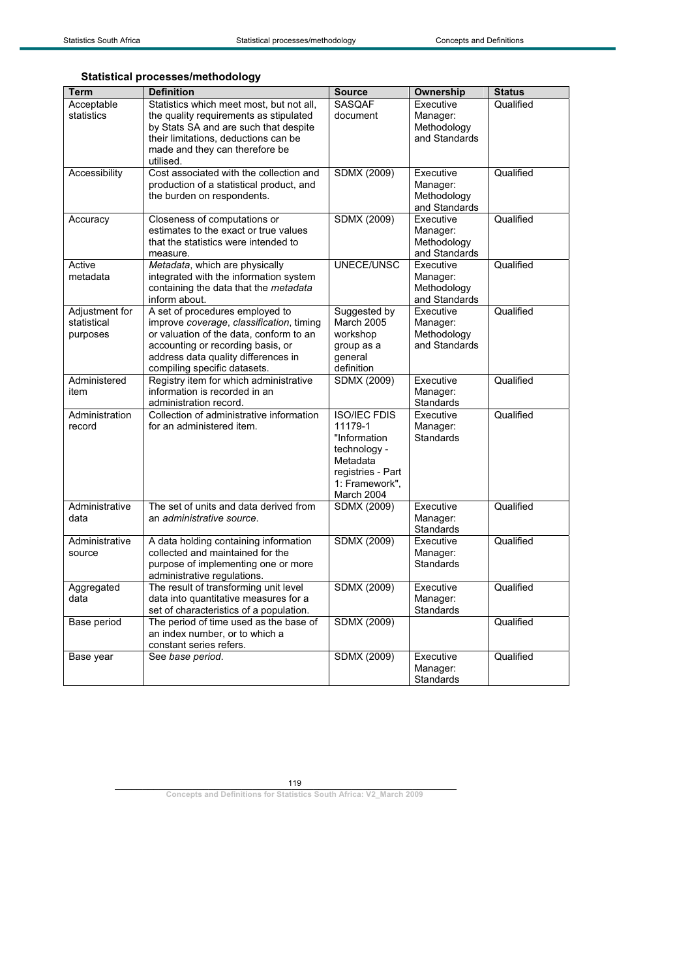|  |  | <b>Statistical processes/methodology</b> |
|--|--|------------------------------------------|
|--|--|------------------------------------------|

| <b>Term</b>            | <b>Definition</b>                                                               | <b>Source</b>           | <b>Ownership</b>             | <b>Status</b> |
|------------------------|---------------------------------------------------------------------------------|-------------------------|------------------------------|---------------|
| Acceptable             | Statistics which meet most, but not all,                                        | <b>SASQAF</b>           | Executive                    | Qualified     |
| statistics             | the quality requirements as stipulated<br>by Stats SA and are such that despite | document                | Manager:<br>Methodology      |               |
|                        | their limitations, deductions can be                                            |                         | and Standards                |               |
|                        | made and they can therefore be                                                  |                         |                              |               |
|                        | utilised.                                                                       |                         |                              |               |
| Accessibility          | Cost associated with the collection and                                         | <b>SDMX (2009)</b>      | Executive                    | Qualified     |
|                        | production of a statistical product, and                                        |                         | Manager:                     |               |
|                        | the burden on respondents.                                                      |                         | Methodology<br>and Standards |               |
| Accuracy               | Closeness of computations or                                                    | <b>SDMX (2009)</b>      | Executive                    | Qualified     |
|                        | estimates to the exact or true values                                           |                         | Manager:                     |               |
|                        | that the statistics were intended to                                            |                         | Methodology                  |               |
|                        | measure.                                                                        |                         | and Standards                |               |
| Active                 | Metadata, which are physically                                                  | UNECE/UNSC              | Executive                    | Qualified     |
| metadata               | integrated with the information system<br>containing the data that the metadata |                         | Manager:<br>Methodology      |               |
|                        | inform about.                                                                   |                         | and Standards                |               |
| Adjustment for         | A set of procedures employed to                                                 | Suggested by            | Executive                    | Qualified     |
| statistical            | improve coverage, classification, timing                                        | March 2005              | Manager:                     |               |
| purposes               | or valuation of the data, conform to an                                         | workshop                | Methodology                  |               |
|                        | accounting or recording basis, or                                               | group as a              | and Standards                |               |
|                        | address data quality differences in<br>compiling specific datasets.             | deneral<br>definition   |                              |               |
| Administered           | Registry item for which administrative                                          | <b>SDMX (2009)</b>      | Executive                    | Qualified     |
| item                   | information is recorded in an                                                   |                         | Manager:                     |               |
|                        | administration record.                                                          |                         | <b>Standards</b>             |               |
| Administration         | Collection of administrative information                                        | <b>ISO/IEC FDIS</b>     | Executive                    | Qualified     |
| record                 | for an administered item.                                                       | 11179-1<br>"Information | Manager:<br><b>Standards</b> |               |
|                        |                                                                                 | technology -            |                              |               |
|                        |                                                                                 | Metadata                |                              |               |
|                        |                                                                                 | registries - Part       |                              |               |
|                        |                                                                                 | 1: Framework",          |                              |               |
|                        |                                                                                 | March 2004              |                              |               |
| Administrative<br>data | The set of units and data derived from<br>an administrative source.             | <b>SDMX (2009)</b>      | Executive<br>Manager:        | Qualified     |
|                        |                                                                                 |                         | Standards                    |               |
| Administrative         | A data holding containing information                                           | <b>SDMX (2009)</b>      | Executive                    | Qualified     |
| source                 | collected and maintained for the                                                |                         | Manager:                     |               |
|                        | purpose of implementing one or more                                             |                         | <b>Standards</b>             |               |
|                        | administrative regulations.                                                     |                         |                              |               |
| Aggregated<br>data     | The result of transforming unit level<br>data into quantitative measures for a  | <b>SDMX (2009)</b>      | Executive<br>Manager:        | Qualified     |
|                        | set of characteristics of a population.                                         |                         | Standards                    |               |
| <b>Base period</b>     | The period of time used as the base of                                          | <b>SDMX (2009)</b>      |                              | Qualified     |
|                        | an index number, or to which a                                                  |                         |                              |               |
|                        | constant series refers.                                                         |                         |                              |               |
| Base year              | See base period.                                                                | <b>SDMX (2009)</b>      | Executive<br>Manager:        | Qualified     |
|                        |                                                                                 |                         | Standards                    |               |
|                        |                                                                                 |                         |                              |               |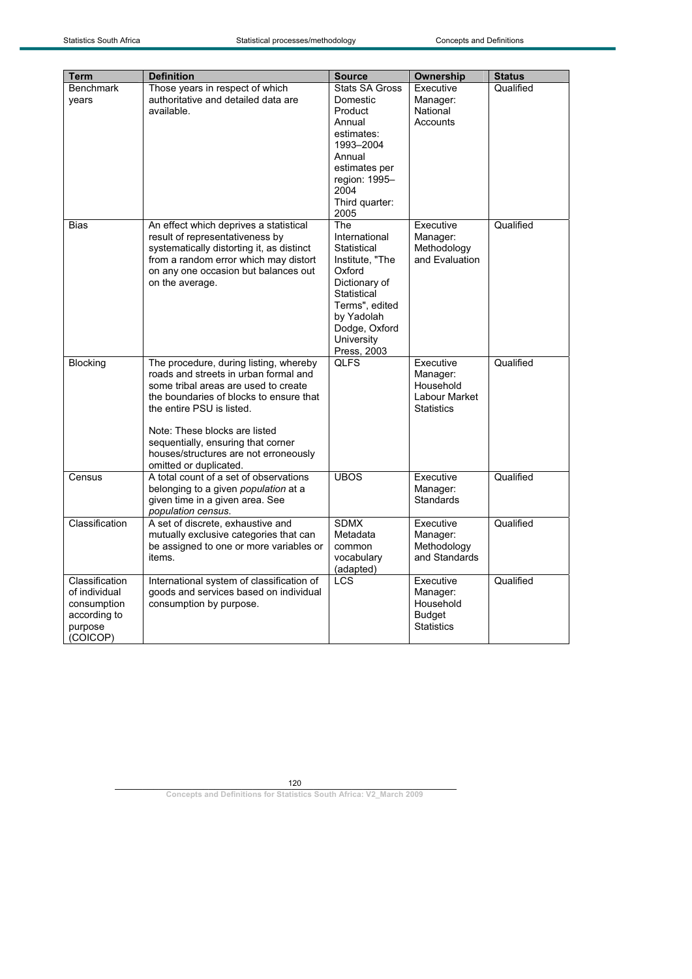| <b>Term</b>                                                                           | <b>Definition</b>                                                                                                                                                                                                                                                                                                                         | <b>Source</b>                                                                                                                                                                  | Ownership                                                                | <b>Status</b> |
|---------------------------------------------------------------------------------------|-------------------------------------------------------------------------------------------------------------------------------------------------------------------------------------------------------------------------------------------------------------------------------------------------------------------------------------------|--------------------------------------------------------------------------------------------------------------------------------------------------------------------------------|--------------------------------------------------------------------------|---------------|
| <b>Benchmark</b><br>years                                                             | Those years in respect of which<br>authoritative and detailed data are<br>available.                                                                                                                                                                                                                                                      | <b>Stats SA Gross</b><br>Domestic<br>Product<br>Annual<br>estimates:<br>1993-2004<br>Annual<br>estimates per<br>region: 1995-<br>2004<br>Third quarter:<br>2005                | Executive<br>Manager:<br>National<br>Accounts                            | Qualified     |
| <b>Bias</b>                                                                           | An effect which deprives a statistical<br>result of representativeness by<br>systematically distorting it, as distinct<br>from a random error which may distort<br>on any one occasion but balances out<br>on the average.                                                                                                                | The<br>International<br>Statistical<br>Institute, "The<br>Oxford<br>Dictionary of<br>Statistical<br>Terms", edited<br>by Yadolah<br>Dodge, Oxford<br>University<br>Press, 2003 | Executive<br>Manager:<br>Methodology<br>and Evaluation                   | Qualified     |
| <b>Blocking</b>                                                                       | The procedure, during listing, whereby<br>roads and streets in urban formal and<br>some tribal areas are used to create<br>the boundaries of blocks to ensure that<br>the entire PSU is listed.<br>Note: These blocks are listed<br>sequentially, ensuring that corner<br>houses/structures are not erroneously<br>omitted or duplicated. | <b>QLFS</b>                                                                                                                                                                    | Executive<br>Manager:<br>Household<br>Labour Market<br><b>Statistics</b> | Qualified     |
| Census                                                                                | A total count of a set of observations<br>belonging to a given <i>population</i> at a<br>given time in a given area. See<br>population census.                                                                                                                                                                                            | <b>UBOS</b>                                                                                                                                                                    | Executive<br>Manager:<br>Standards                                       | Qualified     |
| Classification                                                                        | A set of discrete, exhaustive and<br>mutually exclusive categories that can<br>be assigned to one or more variables or<br>items.                                                                                                                                                                                                          | <b>SDMX</b><br>Metadata<br>common<br>vocabulary<br>(adapted)                                                                                                                   | Executive<br>Manager:<br>Methodology<br>and Standards                    | Qualified     |
| Classification<br>of individual<br>consumption<br>according to<br>purpose<br>(COICOP) | International system of classification of<br>goods and services based on individual<br>consumption by purpose.                                                                                                                                                                                                                            | <b>LCS</b>                                                                                                                                                                     | Executive<br>Manager:<br>Household<br><b>Budget</b><br><b>Statistics</b> | Qualified     |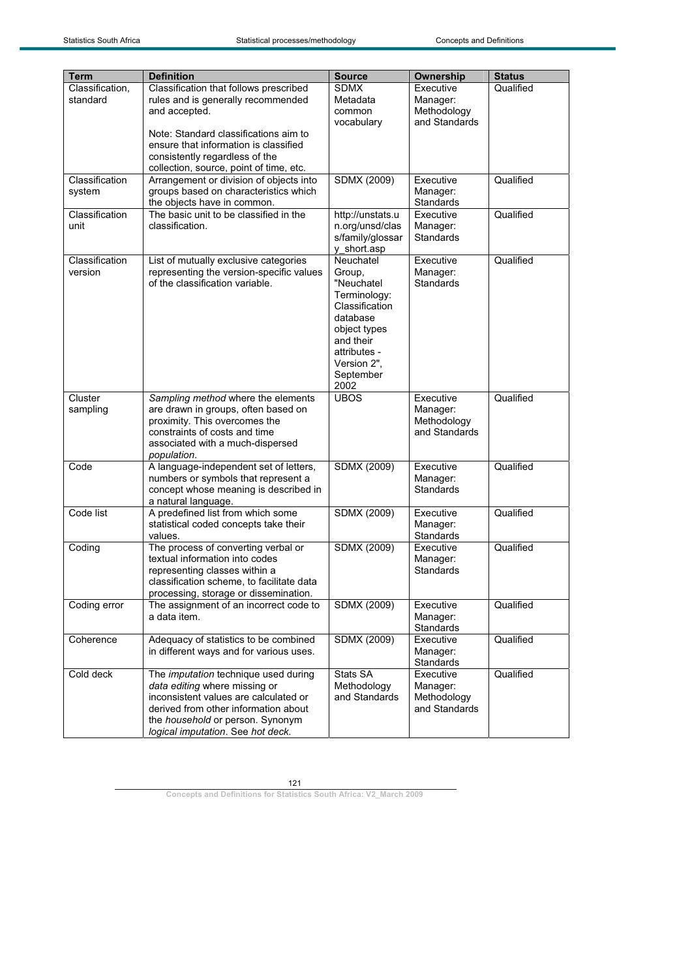| <b>Term</b>     | <b>Definition</b>                         | <b>Source</b>      | Ownership             | <b>Status</b> |
|-----------------|-------------------------------------------|--------------------|-----------------------|---------------|
| Classification, | Classification that follows prescribed    | <b>SDMX</b>        | Executive             | Qualified     |
| standard        | rules and is generally recommended        | Metadata           | Manager:              |               |
|                 | and accepted.                             | common             | Methodology           |               |
|                 |                                           | vocabulary         | and Standards         |               |
|                 | Note: Standard classifications aim to     |                    |                       |               |
|                 | ensure that information is classified     |                    |                       |               |
|                 | consistently regardless of the            |                    |                       |               |
|                 | collection, source, point of time, etc.   |                    |                       |               |
| Classification  | Arrangement or division of objects into   | SDMX (2009)        | Executive             | Qualified     |
| system          | groups based on characteristics which     |                    | Manager:              |               |
|                 | the objects have in common.               |                    | Standards             |               |
| Classification  | The basic unit to be classified in the    | http://unstats.u   | Executive             | Qualified     |
| unit            | classification.                           | n.org/unsd/clas    | Manager:              |               |
|                 |                                           | s/family/glossar   | <b>Standards</b>      |               |
|                 |                                           | y_short.asp        |                       |               |
| Classification  | List of mutually exclusive categories     | Neuchatel          | Executive             | Qualified     |
| version         | representing the version-specific values  | Group,             | Manager:              |               |
|                 | of the classification variable.           | "Neuchatel         | <b>Standards</b>      |               |
|                 |                                           | Terminology:       |                       |               |
|                 |                                           | Classification     |                       |               |
|                 |                                           | database           |                       |               |
|                 |                                           | object types       |                       |               |
|                 |                                           | and their          |                       |               |
|                 |                                           | attributes -       |                       |               |
|                 |                                           | Version 2",        |                       |               |
|                 |                                           | September<br>2002  |                       |               |
| Cluster         | Sampling method where the elements        | <b>UBOS</b>        | Executive             | Qualified     |
| sampling        | are drawn in groups, often based on       |                    | Manager:              |               |
|                 | proximity. This overcomes the             |                    | Methodology           |               |
|                 | constraints of costs and time             |                    | and Standards         |               |
|                 | associated with a much-dispersed          |                    |                       |               |
|                 | population.                               |                    |                       |               |
| Code            | A language-independent set of letters,    | SDMX (2009)        | Executive             | Qualified     |
|                 | numbers or symbols that represent a       |                    | Manager:              |               |
|                 | concept whose meaning is described in     |                    | <b>Standards</b>      |               |
|                 | a natural language.                       |                    |                       |               |
| Code list       | A predefined list from which some         | SDMX (2009)        | Executive             | Qualified     |
|                 | statistical coded concepts take their     |                    | Manager:              |               |
|                 | values.                                   |                    | Standards             |               |
| Coding          | The process of converting verbal or       | <b>SDMX (2009)</b> | Executive             | Qualified     |
|                 | textual information into codes            |                    | Manager:              |               |
|                 | representing classes within a             |                    | <b>Standards</b>      |               |
|                 | classification scheme, to facilitate data |                    |                       |               |
|                 | processing, storage or dissemination.     |                    |                       |               |
| Coding error    | The assignment of an incorrect code to    | <b>SDMX (2009)</b> | Executive             | Qualified     |
|                 | a data item.                              |                    | Manager:              |               |
|                 | Adequacy of statistics to be combined     |                    | Standards             |               |
| Coherence       | in different ways and for various uses.   | SDMX (2009)        | Executive<br>Manager: | Qualified     |
|                 |                                           |                    | Standards             |               |
| Cold deck       | The imputation technique used during      | Stats SA           | Executive             | Qualified     |
|                 | data editing where missing or             | Methodology        | Manager:              |               |
|                 | inconsistent values are calculated or     | and Standards      | Methodology           |               |
|                 | derived from other information about      |                    | and Standards         |               |
|                 | the household or person. Synonym          |                    |                       |               |
|                 | logical imputation. See hot deck.         |                    |                       |               |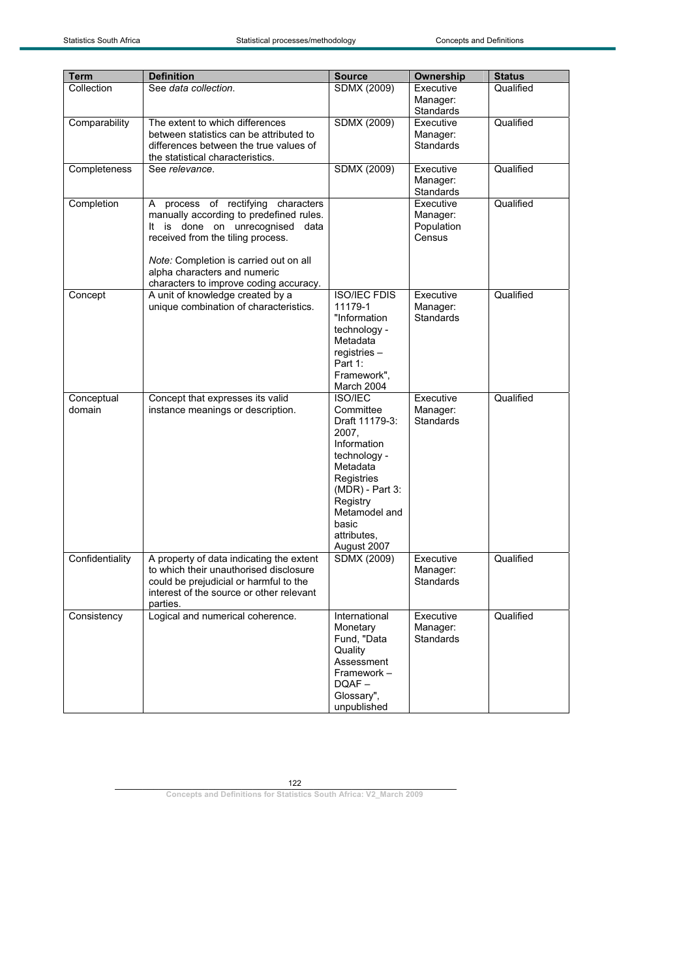| <b>Term</b>          | <b>Definition</b>                                                                                                                                                                                                                                                         | <b>Source</b>                                                                                                                                                                                          | Ownership                                     | <b>Status</b> |
|----------------------|---------------------------------------------------------------------------------------------------------------------------------------------------------------------------------------------------------------------------------------------------------------------------|--------------------------------------------------------------------------------------------------------------------------------------------------------------------------------------------------------|-----------------------------------------------|---------------|
| Collection           | See data collection.                                                                                                                                                                                                                                                      | SDMX (2009)                                                                                                                                                                                            | Executive<br>Manager:<br>Standards            | Qualified     |
| Comparability        | The extent to which differences<br>between statistics can be attributed to<br>differences between the true values of<br>the statistical characteristics.                                                                                                                  | SDMX (2009)                                                                                                                                                                                            | Executive<br>Manager:<br><b>Standards</b>     | Qualified     |
| Completeness         | See relevance.                                                                                                                                                                                                                                                            | SDMX (2009)                                                                                                                                                                                            | Executive<br>Manager:<br>Standards            | Qualified     |
| Completion           | A process of rectifying characters<br>manually according to predefined rules.<br>It is done on unrecognised data<br>received from the tiling process.<br>Note: Completion is carried out on all<br>alpha characters and numeric<br>characters to improve coding accuracy. |                                                                                                                                                                                                        | Executive<br>Manager:<br>Population<br>Census | Qualified     |
| Concept              | A unit of knowledge created by a<br>unique combination of characteristics.                                                                                                                                                                                                | <b>ISO/IEC FDIS</b><br>11179-1<br>"Information<br>technology -<br>Metadata<br>$registries -$<br>Part 1:<br>Framework",<br>March 2004                                                                   | Executive<br>Manager:<br><b>Standards</b>     | Qualified     |
| Conceptual<br>domain | Concept that expresses its valid<br>instance meanings or description.                                                                                                                                                                                                     | <b>ISO/IEC</b><br>Committee<br>Draft 11179-3:<br>2007,<br>Information<br>technology -<br>Metadata<br>Registries<br>(MDR) - Part 3:<br>Registry<br>Metamodel and<br>basic<br>attributes.<br>August 2007 | Executive<br>Manager:<br><b>Standards</b>     | Qualified     |
| Confidentiality      | A property of data indicating the extent<br>to which their unauthorised disclosure<br>could be prejudicial or harmful to the<br>interest of the source or other relevant<br>parties.                                                                                      | <b>SDMX (2009)</b>                                                                                                                                                                                     | Executive<br>Manager:<br>Standards            | Qualified     |
| Consistency          | Logical and numerical coherence.                                                                                                                                                                                                                                          | International<br>Monetary<br>Fund, "Data<br>Quality<br>Assessment<br>Framework-<br>$DQAF -$<br>Glossary",<br>unpublished                                                                               | Executive<br>Manager:<br><b>Standards</b>     | Qualified     |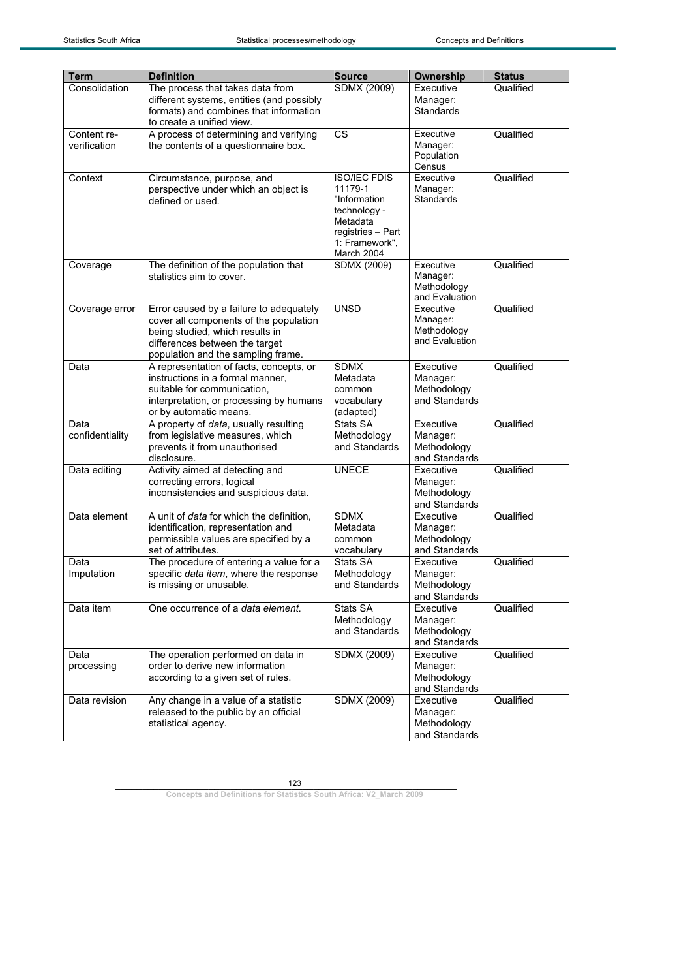| <b>Term</b>     | <b>Definition</b>                                                  | <b>Source</b>          | <b>Ownership</b>             | <b>Status</b> |
|-----------------|--------------------------------------------------------------------|------------------------|------------------------------|---------------|
| Consolidation   | The process that takes data from                                   | SDMX (2009)            | Executive                    | Qualified     |
|                 | different systems, entities (and possibly                          |                        | Manager:                     |               |
|                 | formats) and combines that information                             |                        | Standards                    |               |
|                 | to create a unified view.                                          |                        |                              |               |
| Content re-     | A process of determining and verifying                             | <b>CS</b>              | Executive                    | Qualified     |
| verification    | the contents of a questionnaire box.                               |                        | Manager:                     |               |
|                 |                                                                    |                        | Population                   |               |
| Context         |                                                                    | <b>ISO/IEC FDIS</b>    | Census<br>Executive          | Qualified     |
|                 | Circumstance, purpose, and<br>perspective under which an object is | 11179-1                | Manager:                     |               |
|                 | defined or used.                                                   | "Information           | Standards                    |               |
|                 |                                                                    | technology -           |                              |               |
|                 |                                                                    | Metadata               |                              |               |
|                 |                                                                    | registries - Part      |                              |               |
|                 |                                                                    | 1: Framework",         |                              |               |
|                 |                                                                    | March 2004             | Executive                    |               |
| Coverage        | The definition of the population that<br>statistics aim to cover.  | SDMX (2009)            | Manager:                     | Qualified     |
|                 |                                                                    |                        | Methodology                  |               |
|                 |                                                                    |                        | and Evaluation               |               |
| Coverage error  | Error caused by a failure to adequately                            | <b>UNSD</b>            | Executive                    | Qualified     |
|                 | cover all components of the population                             |                        | Manager:                     |               |
|                 | being studied, which results in                                    |                        | Methodology                  |               |
|                 | differences between the target                                     |                        | and Evaluation               |               |
|                 | population and the sampling frame.                                 |                        |                              |               |
| Data            | A representation of facts, concepts, or                            | <b>SDMX</b>            | Executive                    | Qualified     |
|                 | instructions in a formal manner,                                   | Metadata               | Manager:                     |               |
|                 | suitable for communication,                                        | common                 | Methodology                  |               |
|                 | interpretation, or processing by humans                            | vocabulary             | and Standards                |               |
| Data            | or by automatic means.<br>A property of data, usually resulting    | (adapted)<br>Stats SA  | Executive                    | Qualified     |
| confidentiality | from legislative measures, which                                   | Methodology            | Manager:                     |               |
|                 | prevents it from unauthorised                                      | and Standards          | Methodology                  |               |
|                 | disclosure.                                                        |                        | and Standards                |               |
| Data editing    | Activity aimed at detecting and                                    | <b>UNECE</b>           | Executive                    | Qualified     |
|                 | correcting errors, logical                                         |                        | Manager:                     |               |
|                 | inconsistencies and suspicious data.                               |                        | Methodology                  |               |
|                 |                                                                    |                        | and Standards                |               |
| Data element    | A unit of data for which the definition,                           | <b>SDMX</b>            | Executive                    | Qualified     |
|                 | identification, representation and                                 | Metadata               | Manager:                     |               |
|                 | permissible values are specified by a<br>set of attributes.        | common                 | Methodology<br>and Standards |               |
| Data            | The procedure of entering a value for a                            | vocabulary<br>Stats SA | Executive                    | Qualified     |
| Imputation      | specific data item, where the response                             | Methodology            | Manager:                     |               |
|                 | is missing or unusable.                                            | and Standards          | Methodology                  |               |
|                 |                                                                    |                        | and Standards                |               |
| Data item       | One occurrence of a data element.                                  | Stats SA               | Executive                    | Qualified     |
|                 |                                                                    | Methodology            | Manager:                     |               |
|                 |                                                                    | and Standards          | Methodology                  |               |
|                 |                                                                    |                        | and Standards                |               |
| Data            | The operation performed on data in                                 | SDMX (2009)            | Executive                    | Qualified     |
| processing      | order to derive new information                                    |                        | Manager:                     |               |
|                 | according to a given set of rules.                                 |                        | Methodology                  |               |
|                 |                                                                    |                        | and Standards                |               |
| Data revision   | Any change in a value of a statistic                               | <b>SDMX (2009)</b>     | Executive                    | Qualified     |
|                 | released to the public by an official                              |                        | Manager:                     |               |
|                 | statistical agency.                                                |                        | Methodology<br>and Standards |               |
|                 |                                                                    |                        |                              |               |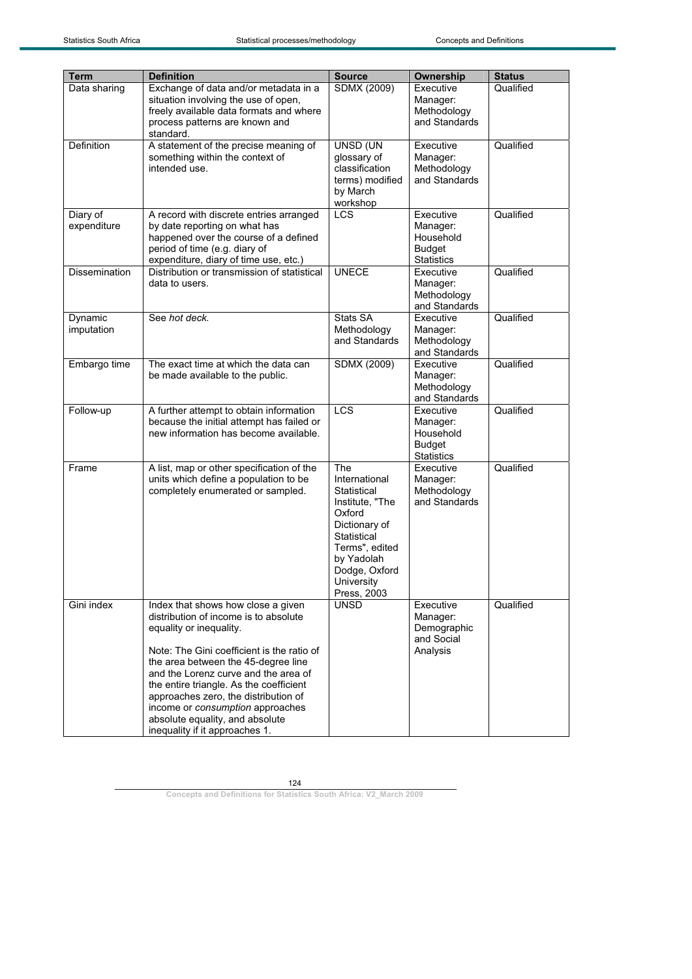| Term                  | <b>Definition</b>                                                   | <b>Source</b>               | <b>Ownership</b>                   | <b>Status</b> |
|-----------------------|---------------------------------------------------------------------|-----------------------------|------------------------------------|---------------|
| Data sharing          | Exchange of data and/or metadata in a                               | SDMX (2009)                 | Executive                          | Qualified     |
|                       | situation involving the use of open,                                |                             | Manager:                           |               |
|                       | freely available data formats and where                             |                             | Methodology                        |               |
|                       | process patterns are known and                                      |                             | and Standards                      |               |
|                       | standard.                                                           |                             |                                    |               |
| Definition            | A statement of the precise meaning of                               | UNSD (UN                    | Executive                          | Qualified     |
|                       | something within the context of                                     | glossary of                 | Manager:                           |               |
|                       | intended use.                                                       | classification              | Methodology                        |               |
|                       |                                                                     | terms) modified<br>by March | and Standards                      |               |
|                       |                                                                     | workshop                    |                                    |               |
| Diary of              | A record with discrete entries arranged                             | LCS                         | Executive                          | Qualified     |
| expenditure           | by date reporting on what has                                       |                             | Manager:                           |               |
|                       | happened over the course of a defined                               |                             | Household                          |               |
|                       | period of time (e.g. diary of                                       |                             | <b>Budget</b>                      |               |
|                       | expenditure, diary of time use, etc.)                               |                             | <b>Statistics</b>                  |               |
| <b>Dissemination</b>  | Distribution or transmission of statistical                         | <b>UNECE</b>                | Executive                          | Qualified     |
|                       | data to users.                                                      |                             | Manager:                           |               |
|                       |                                                                     |                             | Methodology                        |               |
|                       | See hot deck.                                                       | Stats SA                    | and Standards<br>Executive         | Qualified     |
| Dynamic<br>imputation |                                                                     | Methodology                 | Manager:                           |               |
|                       |                                                                     | and Standards               | Methodology                        |               |
|                       |                                                                     |                             | and Standards                      |               |
| Embargo time          | The exact time at which the data can                                | SDMX (2009)                 | Executive                          | Qualified     |
|                       | be made available to the public.                                    |                             | Manager:                           |               |
|                       |                                                                     |                             | Methodology                        |               |
|                       |                                                                     |                             | and Standards                      |               |
| Follow-up             | A further attempt to obtain information                             | <b>LCS</b>                  | Executive                          | Qualified     |
|                       | because the initial attempt has failed or                           |                             | Manager:                           |               |
|                       | new information has become available.                               |                             | Household                          |               |
|                       |                                                                     |                             | <b>Budget</b><br><b>Statistics</b> |               |
| Frame                 | A list, map or other specification of the                           | <b>The</b>                  | Executive                          | Qualified     |
|                       | units which define a population to be                               | International               | Manager:                           |               |
|                       | completely enumerated or sampled.                                   | Statistical                 | Methodology                        |               |
|                       |                                                                     | Institute, "The             | and Standards                      |               |
|                       |                                                                     | Oxford                      |                                    |               |
|                       |                                                                     | Dictionary of               |                                    |               |
|                       |                                                                     | Statistical                 |                                    |               |
|                       |                                                                     | Terms", edited              |                                    |               |
|                       |                                                                     | by Yadolah                  |                                    |               |
|                       |                                                                     | Dodge, Oxford               |                                    |               |
|                       |                                                                     | University<br>Press, 2003   |                                    |               |
| Gini index            | Index that shows how close a given                                  | <b>UNSD</b>                 | Executive                          | Qualified     |
|                       | distribution of income is to absolute                               |                             | Manager:                           |               |
|                       | equality or inequality.                                             |                             | Demographic                        |               |
|                       |                                                                     |                             | and Social                         |               |
|                       | Note: The Gini coefficient is the ratio of                          |                             | Analysis                           |               |
|                       | the area between the 45-degree line                                 |                             |                                    |               |
|                       | and the Lorenz curve and the area of                                |                             |                                    |               |
|                       | the entire triangle. As the coefficient                             |                             |                                    |               |
|                       | approaches zero, the distribution of                                |                             |                                    |               |
|                       | income or consumption approaches<br>absolute equality, and absolute |                             |                                    |               |
|                       | inequality if it approaches 1.                                      |                             |                                    |               |
|                       |                                                                     |                             |                                    |               |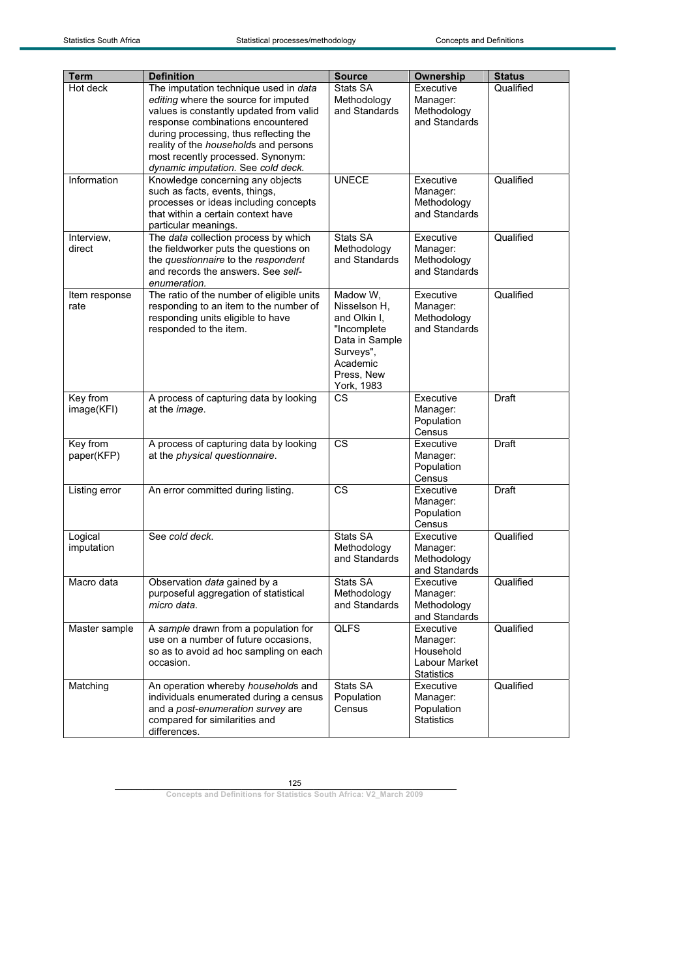|                        | <b>Definition</b>                                                                                                                                                                                                                                | <b>Source</b>                                                                                                                  | Ownership                                                                |                            |
|------------------------|--------------------------------------------------------------------------------------------------------------------------------------------------------------------------------------------------------------------------------------------------|--------------------------------------------------------------------------------------------------------------------------------|--------------------------------------------------------------------------|----------------------------|
| Term<br>Hot deck       | The imputation technique used in data<br>editing where the source for imputed<br>values is constantly updated from valid<br>response combinations encountered<br>during processing, thus reflecting the<br>reality of the households and persons | Stats SA<br>Methodology<br>and Standards                                                                                       | Executive<br>Manager:<br>Methodology<br>and Standards                    | <b>Status</b><br>Qualified |
|                        | most recently processed. Synonym:<br>dynamic imputation. See cold deck.                                                                                                                                                                          |                                                                                                                                |                                                                          |                            |
| Information            | Knowledge concerning any objects<br>such as facts, events, things,<br>processes or ideas including concepts<br>that within a certain context have<br>particular meanings.                                                                        | <b>UNECE</b>                                                                                                                   | Executive<br>Manager:<br>Methodology<br>and Standards                    | Qualified                  |
| Interview,<br>direct   | The data collection process by which<br>the fieldworker puts the questions on<br>the questionnaire to the respondent<br>and records the answers. See self-<br>enumeration.                                                                       | Stats SA<br>Methodology<br>and Standards                                                                                       | Executive<br>Manager:<br>Methodology<br>and Standards                    | Qualified                  |
| Item response<br>rate  | The ratio of the number of eligible units<br>responding to an item to the number of<br>responding units eligible to have<br>responded to the item.                                                                                               | Madow W,<br>Nisselson H.<br>and Olkin I,<br>"Incomplete<br>Data in Sample<br>Surveys",<br>Academic<br>Press, New<br>York, 1983 | Executive<br>Manager:<br>Methodology<br>and Standards                    | Qualified                  |
| Key from<br>image(KFI) | A process of capturing data by looking<br>at the image.                                                                                                                                                                                          | CS                                                                                                                             | Executive<br>Manager:<br>Population<br>Census                            | Draft                      |
| Key from<br>paper(KFP) | A process of capturing data by looking<br>at the physical questionnaire.                                                                                                                                                                         | <b>CS</b>                                                                                                                      | Executive<br>Manager:<br>Population<br>Census                            | Draft                      |
| Listing error          | An error committed during listing.                                                                                                                                                                                                               | <b>CS</b>                                                                                                                      | Executive<br>Manager:<br>Population<br>Census                            | Draft                      |
| Logical<br>imputation  | See cold deck.                                                                                                                                                                                                                                   | <b>Stats SA</b><br>Methodology<br>and Standards                                                                                | Executive<br>Manager:<br>Methodology<br>and Standards                    | Qualified                  |
| Macro data             | Observation data gained by a<br>purposeful aggregation of statistical<br>micro data.                                                                                                                                                             | Stats SA<br>Methodology<br>and Standards                                                                                       | Executive<br>Manager:<br>Methodology<br>and Standards                    | Qualified                  |
| Master sample          | A sample drawn from a population for<br>use on a number of future occasions,<br>so as to avoid ad hoc sampling on each<br>occasion.                                                                                                              | QLFS                                                                                                                           | Executive<br>Manager:<br>Household<br>Labour Market<br><b>Statistics</b> | Qualified                  |
| Matching               | An operation whereby households and<br>individuals enumerated during a census<br>and a post-enumeration survey are<br>compared for similarities and<br>differences.                                                                              | Stats SA<br>Population<br>Census                                                                                               | Executive<br>Manager:<br>Population<br><b>Statistics</b>                 | Qualified                  |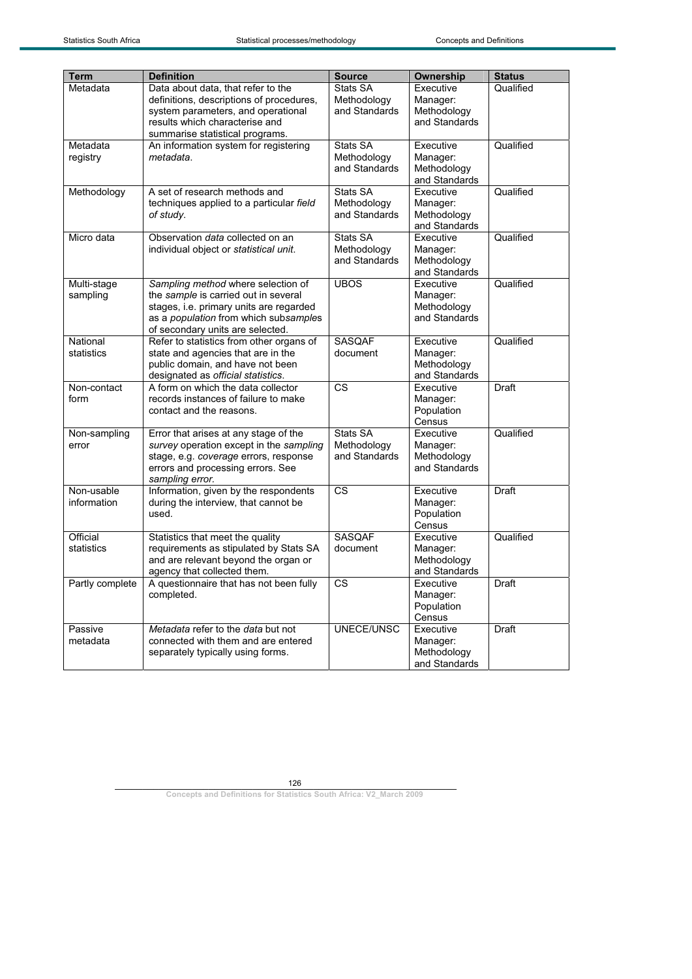| <b>Term</b>               | <b>Definition</b>                                                                                                                                                                                  | <b>Source</b>                            | Ownership                                             | <b>Status</b> |
|---------------------------|----------------------------------------------------------------------------------------------------------------------------------------------------------------------------------------------------|------------------------------------------|-------------------------------------------------------|---------------|
| Metadata                  | Data about data, that refer to the<br>definitions, descriptions of procedures,<br>system parameters, and operational<br>results which characterise and                                             | Stats SA<br>Methodology<br>and Standards | Executive<br>Manager:<br>Methodology<br>and Standards | Qualified     |
| Metadata<br>registry      | summarise statistical programs.<br>An information system for registering<br>metadata.                                                                                                              | Stats SA<br>Methodology<br>and Standards | Executive<br>Manager:<br>Methodology<br>and Standards | Qualified     |
| Methodology               | A set of research methods and<br>techniques applied to a particular field<br>of study.                                                                                                             | Stats SA<br>Methodology<br>and Standards | Executive<br>Manager:<br>Methodology<br>and Standards | Qualified     |
| Micro data                | Observation data collected on an<br>individual object or statistical unit.                                                                                                                         | Stats SA<br>Methodology<br>and Standards | Executive<br>Manager:<br>Methodology<br>and Standards | Qualified     |
| Multi-stage<br>sampling   | Sampling method where selection of<br>the sample is carried out in several<br>stages, i.e. primary units are regarded<br>as a population from which subsamples<br>of secondary units are selected. | <b>UBOS</b>                              | Executive<br>Manager:<br>Methodology<br>and Standards | Qualified     |
| National<br>statistics    | Refer to statistics from other organs of<br>state and agencies that are in the<br>public domain, and have not been<br>designated as official statistics.                                           | <b>SASQAF</b><br>document                | Executive<br>Manager:<br>Methodology<br>and Standards | Qualified     |
| Non-contact<br>form       | A form on which the data collector<br>records instances of failure to make<br>contact and the reasons.                                                                                             | <b>CS</b>                                | Executive<br>Manager:<br>Population<br>Census         | Draft         |
| Non-sampling<br>error     | Error that arises at any stage of the<br>survey operation except in the sampling<br>stage, e.g. coverage errors, response<br>errors and processing errors. See<br>sampling error.                  | Stats SA<br>Methodology<br>and Standards | Executive<br>Manager:<br>Methodology<br>and Standards | Qualified     |
| Non-usable<br>information | Information, given by the respondents<br>during the interview, that cannot be<br>used.                                                                                                             | <b>CS</b>                                | Executive<br>Manager:<br>Population<br>Census         | Draft         |
| Official<br>statistics    | Statistics that meet the quality<br>requirements as stipulated by Stats SA<br>and are relevant beyond the organ or<br>agency that collected them.                                                  | <b>SASQAF</b><br>document                | Executive<br>Manager:<br>Methodology<br>and Standards | Qualified     |
| Partly complete           | A questionnaire that has not been fully<br>completed.                                                                                                                                              | $\overline{\text{cs}}$                   | Executive<br>Manager:<br>Population<br>Census         | Draft         |
| Passive<br>metadata       | Metadata refer to the data but not<br>connected with them and are entered<br>separately typically using forms.                                                                                     | UNECE/UNSC                               | Executive<br>Manager:<br>Methodology<br>and Standards | Draft         |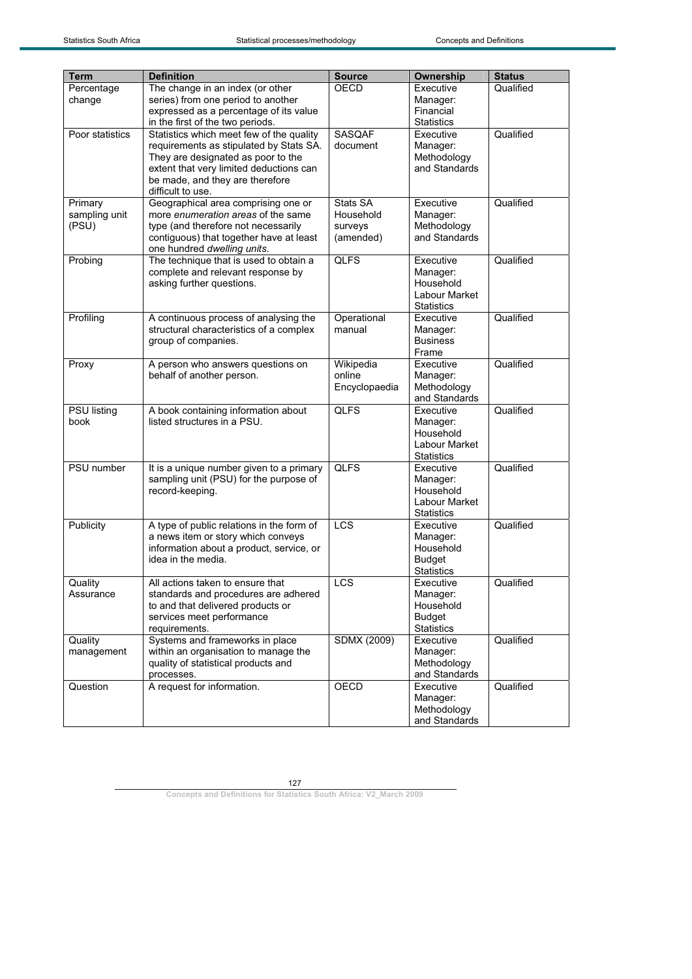| <b>Term</b>                       | <b>Definition</b>                                                                                                                                                                                                            | <b>Source</b>                                 | <b>Ownership</b>                                                         | <b>Status</b> |
|-----------------------------------|------------------------------------------------------------------------------------------------------------------------------------------------------------------------------------------------------------------------------|-----------------------------------------------|--------------------------------------------------------------------------|---------------|
| Percentage<br>change              | The change in an index (or other<br>series) from one period to another<br>expressed as a percentage of its value<br>in the first of the two periods.                                                                         | <b>OECD</b>                                   | Executive<br>Manager:<br>Financial<br><b>Statistics</b>                  | Qualified     |
| Poor statistics                   | Statistics which meet few of the quality<br>requirements as stipulated by Stats SA.<br>They are designated as poor to the<br>extent that very limited deductions can<br>be made, and they are therefore<br>difficult to use. | <b>SASQAF</b><br>document                     | Executive<br>Manager:<br>Methodology<br>and Standards                    | Qualified     |
| Primary<br>sampling unit<br>(PSU) | Geographical area comprising one or<br>more enumeration areas of the same<br>type (and therefore not necessarily<br>contiguous) that together have at least<br>one hundred dwelling units.                                   | Stats SA<br>Household<br>surveys<br>(amended) | Executive<br>Manager:<br>Methodology<br>and Standards                    | Qualified     |
| Probing                           | The technique that is used to obtain a<br>complete and relevant response by<br>asking further questions.                                                                                                                     | <b>QLFS</b>                                   | Executive<br>Manager:<br>Household<br>Labour Market<br><b>Statistics</b> | Qualified     |
| Profiling                         | A continuous process of analysing the<br>structural characteristics of a complex<br>group of companies.                                                                                                                      | Operational<br>manual                         | Executive<br>Manager:<br><b>Business</b><br>Frame                        | Qualified     |
| Proxy                             | A person who answers questions on<br>behalf of another person.                                                                                                                                                               | Wikipedia<br>online<br>Encyclopaedia          | Executive<br>Manager:<br>Methodology<br>and Standards                    | Qualified     |
| <b>PSU</b> listing<br>book        | A book containing information about<br>listed structures in a PSU.                                                                                                                                                           | <b>QLFS</b>                                   | Executive<br>Manager:<br>Household<br>Labour Market<br><b>Statistics</b> | Qualified     |
| <b>PSU</b> number                 | It is a unique number given to a primary<br>sampling unit (PSU) for the purpose of<br>record-keeping.                                                                                                                        | <b>QLFS</b>                                   | Executive<br>Manager:<br>Household<br>Labour Market<br><b>Statistics</b> | Qualified     |
| Publicity                         | A type of public relations in the form of<br>a news item or story which conveys<br>information about a product, service, or<br>idea in the media.                                                                            | LCS                                           | Executive<br>Manager:<br>Household<br><b>Budget</b><br><b>Statistics</b> | Qualified     |
| Quality<br>Assurance              | All actions taken to ensure that<br>standards and procedures are adhered<br>to and that delivered products or<br>services meet performance<br>requirements.                                                                  | LCS                                           | Executive<br>Manager:<br>Household<br><b>Budget</b><br><b>Statistics</b> | Qualified     |
| Quality<br>management             | Systems and frameworks in place<br>within an organisation to manage the<br>quality of statistical products and<br>processes.                                                                                                 | <b>SDMX (2009)</b>                            | Executive<br>Manager:<br>Methodology<br>and Standards                    | Qualified     |
| Question                          | A request for information.                                                                                                                                                                                                   | <b>OECD</b>                                   | Executive<br>Manager:<br>Methodology<br>and Standards                    | Qualified     |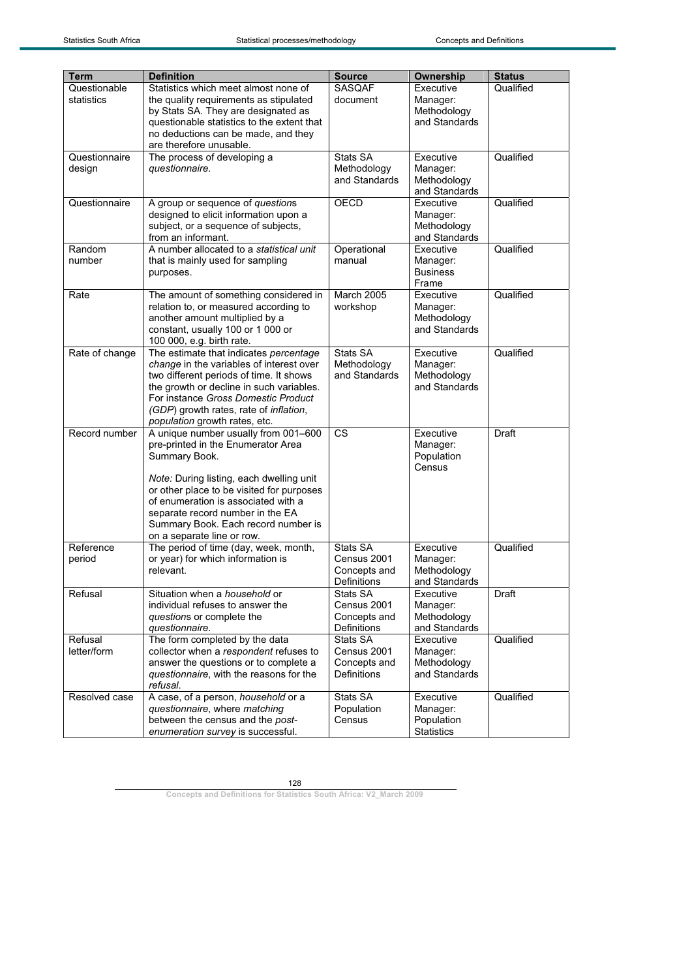| Term           | <b>Definition</b>                                                                | <b>Source</b>                | Ownership                  | <b>Status</b> |
|----------------|----------------------------------------------------------------------------------|------------------------------|----------------------------|---------------|
| Questionable   | Statistics which meet almost none of                                             | <b>SASQAF</b>                | Executive                  | Qualified     |
| statistics     | the quality requirements as stipulated                                           | document                     | Manager:                   |               |
|                | by Stats SA. They are designated as                                              |                              | Methodology                |               |
|                | questionable statistics to the extent that                                       |                              | and Standards              |               |
|                | no deductions can be made, and they                                              |                              |                            |               |
|                | are therefore unusable.                                                          |                              |                            |               |
| Questionnaire  | The process of developing a                                                      | Stats SA                     | Executive                  | Qualified     |
| design         | questionnaire.                                                                   | Methodology<br>and Standards | Manager:<br>Methodology    |               |
|                |                                                                                  |                              | and Standards              |               |
| Questionnaire  | A group or sequence of questions                                                 | OECD                         | Executive                  | Qualified     |
|                | designed to elicit information upon a                                            |                              | Manager:                   |               |
|                | subject, or a sequence of subjects,                                              |                              | Methodology                |               |
|                | from an informant.                                                               |                              | and Standards              |               |
| Random         | A number allocated to a statistical unit                                         | Operational                  | Executive                  | Qualified     |
| number         | that is mainly used for sampling                                                 | manual                       | Manager:                   |               |
|                | purposes.                                                                        |                              | <b>Business</b>            |               |
| Rate           | The amount of something considered in                                            | <b>March 2005</b>            | Frame<br>Executive         | Qualified     |
|                | relation to, or measured according to                                            | workshop                     | Manager:                   |               |
|                | another amount multiplied by a                                                   |                              | Methodology                |               |
|                | constant, usually 100 or 1 000 or                                                |                              | and Standards              |               |
|                | 100 000, e.g. birth rate.                                                        |                              |                            |               |
| Rate of change | The estimate that indicates percentage                                           | Stats SA                     | Executive                  | Qualified     |
|                | change in the variables of interest over                                         | Methodology                  | Manager:                   |               |
|                | two different periods of time. It shows                                          | and Standards                | Methodology                |               |
|                | the growth or decline in such variables.<br>For instance Gross Domestic Product  |                              | and Standards              |               |
|                | (GDP) growth rates, rate of inflation,                                           |                              |                            |               |
|                | population growth rates, etc.                                                    |                              |                            |               |
| Record number  | A unique number usually from 001-600                                             | <b>CS</b>                    | Executive                  | Draft         |
|                | pre-printed in the Enumerator Area                                               |                              | Manager:                   |               |
|                | Summary Book.                                                                    |                              | Population                 |               |
|                |                                                                                  |                              | Census                     |               |
|                | Note: During listing, each dwelling unit                                         |                              |                            |               |
|                | or other place to be visited for purposes<br>of enumeration is associated with a |                              |                            |               |
|                | separate record number in the EA                                                 |                              |                            |               |
|                | Summary Book. Each record number is                                              |                              |                            |               |
|                | on a separate line or row.                                                       |                              |                            |               |
| Reference      | The period of time (day, week, month,                                            | Stats SA                     | Executive                  | Qualified     |
| period         | or year) for which information is                                                | Census 2001                  | Manager:                   |               |
|                | relevant.                                                                        | Concepts and                 | Methodology                |               |
| Refusal        | Situation when a household or                                                    | Definitions<br>Stats SA      | and Standards<br>Executive | Draft         |
|                | individual refuses to answer the                                                 | Census 2001                  | Manager:                   |               |
|                | questions or complete the                                                        | Concepts and                 | Methodology                |               |
|                | questionnaire.                                                                   | <b>Definitions</b>           | and Standards              |               |
| Refusal        | The form completed by the data                                                   | Stats SA                     | Executive                  | Qualified     |
| letter/form    | collector when a respondent refuses to                                           | Census 2001                  | Manager:                   |               |
|                | answer the questions or to complete a                                            | Concepts and                 | Methodology                |               |
|                | questionnaire, with the reasons for the<br>refusal.                              | Definitions                  | and Standards              |               |
| Resolved case  | A case, of a person, household or a                                              | Stats SA                     | Executive                  | Qualified     |
|                | questionnaire, where matching                                                    | Population                   | Manager:                   |               |
|                | between the census and the post-                                                 | Census                       | Population                 |               |
|                | enumeration survey is successful.                                                |                              | <b>Statistics</b>          |               |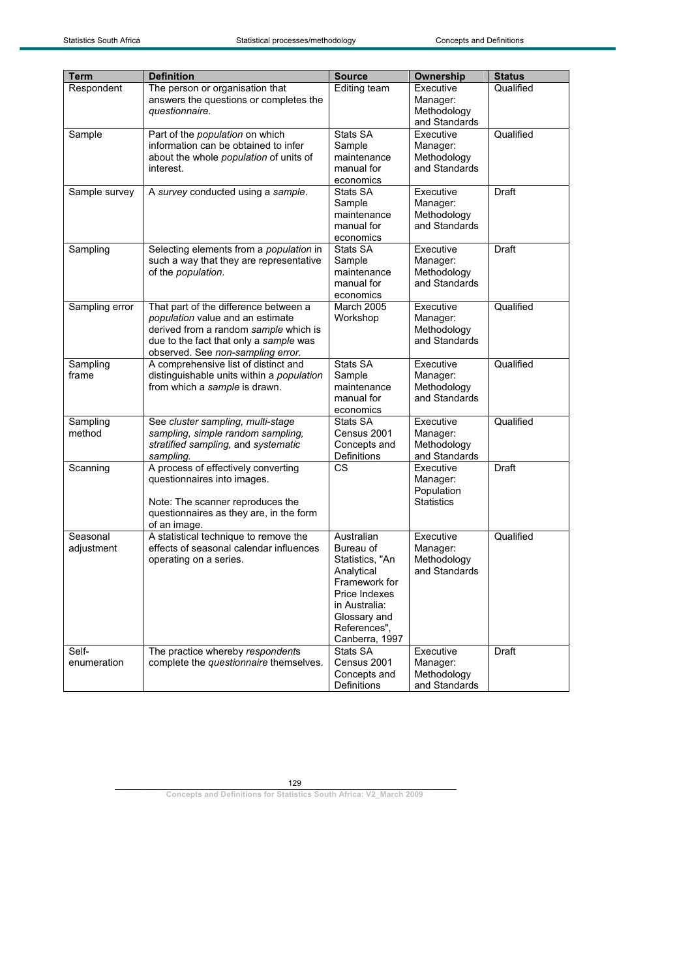| <b>Term</b>            | <b>Definition</b>                                                                                                                                                                                 | <b>Source</b>                                                                                                                                                 | Ownership                                                | <b>Status</b> |
|------------------------|---------------------------------------------------------------------------------------------------------------------------------------------------------------------------------------------------|---------------------------------------------------------------------------------------------------------------------------------------------------------------|----------------------------------------------------------|---------------|
| Respondent             | The person or organisation that<br>answers the questions or completes the<br>questionnaire.                                                                                                       | Editing team                                                                                                                                                  | Executive<br>Manager:<br>Methodology<br>and Standards    | Qualified     |
| Sample                 | Part of the population on which<br>information can be obtained to infer<br>about the whole population of units of<br>interest.                                                                    | Stats SA<br>Sample<br>maintenance<br>manual for<br>economics                                                                                                  | Executive<br>Manager:<br>Methodology<br>and Standards    | Qualified     |
| Sample survey          | A survey conducted using a sample.                                                                                                                                                                | Stats SA<br>Sample<br>maintenance<br>manual for<br>economics                                                                                                  | Executive<br>Manager:<br>Methodology<br>and Standards    | <b>Draft</b>  |
| Sampling               | Selecting elements from a population in<br>such a way that they are representative<br>of the population.                                                                                          | Stats SA<br>Sample<br>maintenance<br>manual for<br>economics                                                                                                  | Executive<br>Manager:<br>Methodology<br>and Standards    | Draft         |
| Sampling error         | That part of the difference between a<br>population value and an estimate<br>derived from a random sample which is<br>due to the fact that only a sample was<br>observed. See non-sampling error. | <b>March 2005</b><br>Workshop                                                                                                                                 | Executive<br>Manager:<br>Methodology<br>and Standards    | Qualified     |
| Sampling<br>frame      | A comprehensive list of distinct and<br>distinguishable units within a population<br>from which a sample is drawn.                                                                                | Stats SA<br>Sample<br>maintenance<br>manual for<br>economics                                                                                                  | Executive<br>Manager:<br>Methodology<br>and Standards    | Qualified     |
| Sampling<br>method     | See cluster sampling, multi-stage<br>sampling, simple random sampling,<br>stratified sampling, and systematic<br>sampling.                                                                        | Stats SA<br>Census 2001<br>Concepts and<br>Definitions                                                                                                        | Executive<br>Manager:<br>Methodology<br>and Standards    | Qualified     |
| Scanning               | A process of effectively converting<br>questionnaires into images.<br>Note: The scanner reproduces the<br>questionnaires as they are, in the form<br>of an image.                                 | <b>CS</b>                                                                                                                                                     | Executive<br>Manager:<br>Population<br><b>Statistics</b> | Draft         |
| Seasonal<br>adjustment | A statistical technique to remove the<br>effects of seasonal calendar influences<br>operating on a series.                                                                                        | Australian<br>Bureau of<br>Statistics, "An<br>Analytical<br>Framework for<br>Price Indexes<br>in Australia:<br>Glossary and<br>References",<br>Canberra, 1997 | Executive<br>Manager:<br>Methodology<br>and Standards    | Qualified     |
| Self-<br>enumeration   | The practice whereby respondents<br>complete the questionnaire themselves.                                                                                                                        | Stats SA<br>Census 2001<br>Concepts and<br>Definitions                                                                                                        | Executive<br>Manager:<br>Methodology<br>and Standards    | <b>Draft</b>  |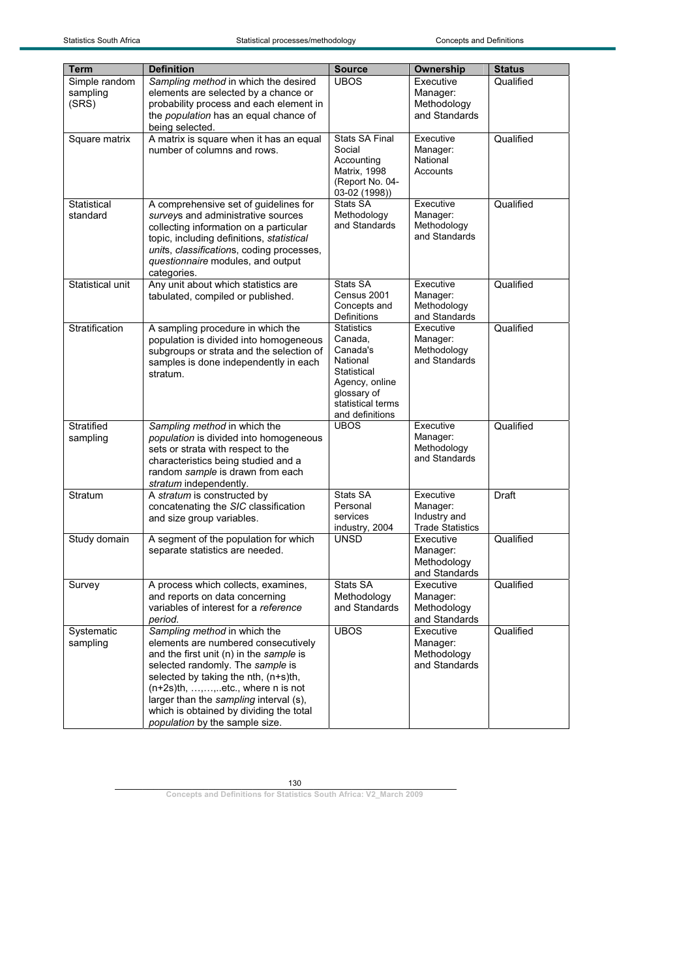| <b>Term</b>      | <b>Definition</b>                                                                   | <b>Source</b>                 | <b>Ownership</b>        | <b>Status</b> |
|------------------|-------------------------------------------------------------------------------------|-------------------------------|-------------------------|---------------|
| Simple random    | Sampling method in which the desired                                                | <b>UBOS</b>                   | Executive               | Qualified     |
| sampling         | elements are selected by a chance or                                                |                               | Manager:                |               |
| (SRS)            | probability process and each element in                                             |                               | Methodology             |               |
|                  | the population has an equal chance of                                               |                               | and Standards           |               |
|                  | being selected.                                                                     |                               |                         |               |
| Square matrix    | A matrix is square when it has an equal                                             | <b>Stats SA Final</b>         | Executive               | Qualified     |
|                  | number of columns and rows.                                                         | Social                        | Manager:                |               |
|                  |                                                                                     | Accounting                    | National                |               |
|                  |                                                                                     | Matrix, 1998                  | Accounts                |               |
|                  |                                                                                     | (Report No. 04-               |                         |               |
|                  |                                                                                     | 03-02 (1998))                 |                         |               |
| Statistical      | A comprehensive set of guidelines for                                               | Stats SA                      | Executive<br>Manager:   | Qualified     |
| standard         | surveys and administrative sources                                                  | Methodology<br>and Standards  | Methodology             |               |
|                  | collecting information on a particular<br>topic, including definitions, statistical |                               | and Standards           |               |
|                  | units, classifications, coding processes,                                           |                               |                         |               |
|                  | questionnaire modules, and output                                                   |                               |                         |               |
|                  | categories.                                                                         |                               |                         |               |
| Statistical unit | Any unit about which statistics are                                                 | Stats SA                      | Executive               | Qualified     |
|                  | tabulated, compiled or published.                                                   | Census 2001                   | Manager:                |               |
|                  |                                                                                     | Concepts and                  | Methodology             |               |
|                  |                                                                                     | <b>Definitions</b>            | and Standards           |               |
| Stratification   | A sampling procedure in which the                                                   | <b>Statistics</b>             | Executive               | Qualified     |
|                  | population is divided into homogeneous                                              | Canada.                       | Manager:                |               |
|                  | subgroups or strata and the selection of                                            | Canada's                      | Methodology             |               |
|                  | samples is done independently in each                                               | National                      | and Standards           |               |
|                  | stratum.                                                                            | Statistical<br>Agency, online |                         |               |
|                  |                                                                                     | qlossary of                   |                         |               |
|                  |                                                                                     | statistical terms             |                         |               |
|                  |                                                                                     | and definitions               |                         |               |
| Stratified       | Sampling method in which the                                                        | <b>UBOS</b>                   | Executive               | Qualified     |
| sampling         | population is divided into homogeneous                                              |                               | Manager:                |               |
|                  | sets or strata with respect to the                                                  |                               | Methodology             |               |
|                  | characteristics being studied and a                                                 |                               | and Standards           |               |
|                  | random sample is drawn from each                                                    |                               |                         |               |
|                  | stratum independently.                                                              | Stats SA                      | Executive               |               |
| Stratum          | A stratum is constructed by<br>concatenating the SIC classification                 | Personal                      | Manager:                | Draft         |
|                  | and size group variables.                                                           | services                      | Industry and            |               |
|                  |                                                                                     | industry, 2004                | <b>Trade Statistics</b> |               |
| Study domain     | A segment of the population for which                                               | <b>UNSD</b>                   | Executive               | Qualified     |
|                  | separate statistics are needed.                                                     |                               | Manager:                |               |
|                  |                                                                                     |                               | Methodology             |               |
|                  |                                                                                     |                               | and Standards           |               |
| Survey           | A process which collects, examines,                                                 | Stats SA                      | Executive               | Qualified     |
|                  | and reports on data concerning                                                      | Methodology                   | Manager:                |               |
|                  | variables of interest for a reference                                               | and Standards                 | Methodology             |               |
|                  | period.                                                                             |                               | and Standards           |               |
| Systematic       | Sampling method in which the                                                        | <b>UBOS</b>                   | Executive               | Qualified     |
| sampling         | elements are numbered consecutively                                                 |                               | Manager:                |               |
|                  | and the first unit (n) in the sample is                                             |                               | Methodology             |               |
|                  | selected randomly. The sample is                                                    |                               | and Standards           |               |
|                  | selected by taking the nth, (n+s)th,                                                |                               |                         |               |
|                  | $(n+2s)$ th, , ,  etc., where n is not                                              |                               |                         |               |
|                  | larger than the sampling interval (s),<br>which is obtained by dividing the total   |                               |                         |               |
|                  | population by the sample size.                                                      |                               |                         |               |
|                  |                                                                                     |                               |                         |               |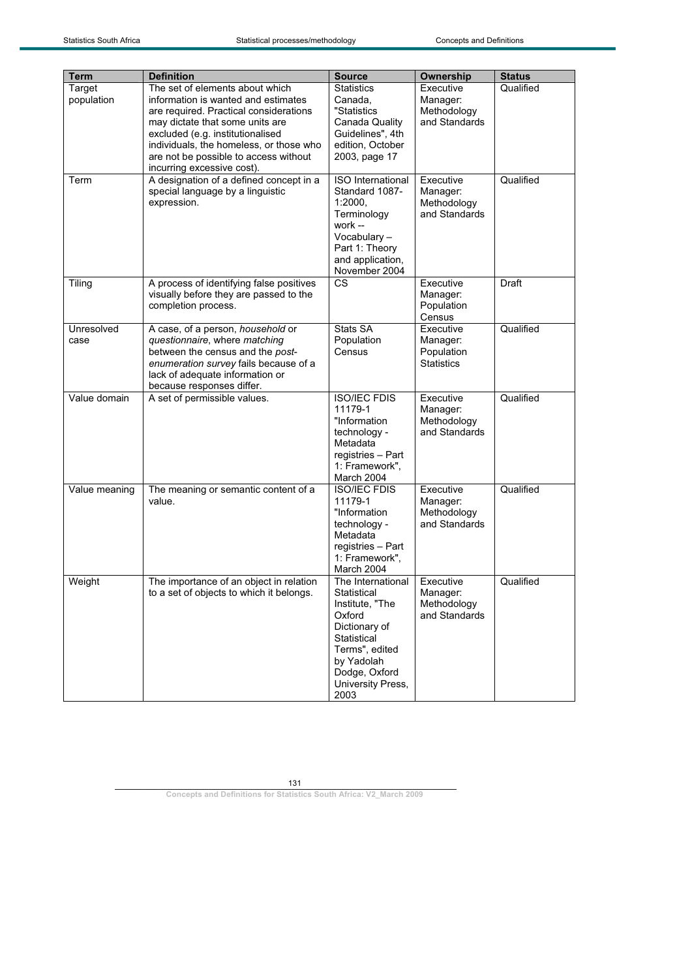| Term          | <b>Definition</b>                        | <b>Source</b>            | Ownership         | <b>Status</b> |
|---------------|------------------------------------------|--------------------------|-------------------|---------------|
| Target        | The set of elements about which          | <b>Statistics</b>        | Executive         | Qualified     |
| population    | information is wanted and estimates      | Canada,                  | Manager:          |               |
|               | are required. Practical considerations   | "Statistics              | Methodology       |               |
|               | may dictate that some units are          | Canada Quality           | and Standards     |               |
|               | excluded (e.g. institutionalised         | Guidelines", 4th         |                   |               |
|               | individuals, the homeless, or those who  | edition, October         |                   |               |
|               | are not be possible to access without    | 2003, page 17            |                   |               |
|               | incurring excessive cost).               |                          |                   |               |
| Term          | A designation of a defined concept in a  | <b>ISO</b> International | Executive         | Qualified     |
|               | special language by a linguistic         | Standard 1087-           | Manager:          |               |
|               | expression.                              | 1:2000.                  | Methodology       |               |
|               |                                          | Terminology              | and Standards     |               |
|               |                                          | work --                  |                   |               |
|               |                                          |                          |                   |               |
|               |                                          | Vocabulary-              |                   |               |
|               |                                          | Part 1: Theory           |                   |               |
|               |                                          | and application,         |                   |               |
|               |                                          | November 2004            |                   |               |
| Tiling        | A process of identifying false positives | $\overline{\text{cs}}$   | Executive         | Draft         |
|               | visually before they are passed to the   |                          | Manager:          |               |
|               | completion process.                      |                          | Population        |               |
|               |                                          |                          | Census            |               |
| Unresolved    | A case, of a person, household or        | Stats SA                 | Executive         | Qualified     |
| case          | questionnaire, where matching            | Population               | Manager:          |               |
|               | between the census and the post-         | Census                   | Population        |               |
|               | enumeration survey fails because of a    |                          | <b>Statistics</b> |               |
|               | lack of adequate information or          |                          |                   |               |
|               | because responses differ.                |                          |                   |               |
| Value domain  | A set of permissible values.             | <b>ISO/IEC FDIS</b>      | Executive         | Qualified     |
|               |                                          | 11179-1                  | Manager:          |               |
|               |                                          | "Information             | Methodology       |               |
|               |                                          | technology -             | and Standards     |               |
|               |                                          | Metadata                 |                   |               |
|               |                                          | registries - Part        |                   |               |
|               |                                          | 1: Framework",           |                   |               |
|               |                                          | March 2004               |                   |               |
| Value meaning | The meaning or semantic content of a     | <b>ISO/IEC FDIS</b>      | Executive         | Qualified     |
|               | value.                                   | 11179-1                  | Manager:          |               |
|               |                                          | "Information             | Methodology       |               |
|               |                                          | technology -             | and Standards     |               |
|               |                                          | Metadata                 |                   |               |
|               |                                          | registries - Part        |                   |               |
|               |                                          | 1: Framework",           |                   |               |
|               |                                          | March 2004               |                   |               |
| Weight        | The importance of an object in relation  | The International        | Executive         | Qualified     |
|               | to a set of objects to which it belongs. | Statistical              | Manager:          |               |
|               |                                          | Institute, "The          | Methodology       |               |
|               |                                          | Oxford                   | and Standards     |               |
|               |                                          | Dictionary of            |                   |               |
|               |                                          | Statistical              |                   |               |
|               |                                          | Terms", edited           |                   |               |
|               |                                          | by Yadolah               |                   |               |
|               |                                          | Dodge, Oxford            |                   |               |
|               |                                          | University Press,        |                   |               |
|               |                                          | 2003                     |                   |               |
|               |                                          |                          |                   |               |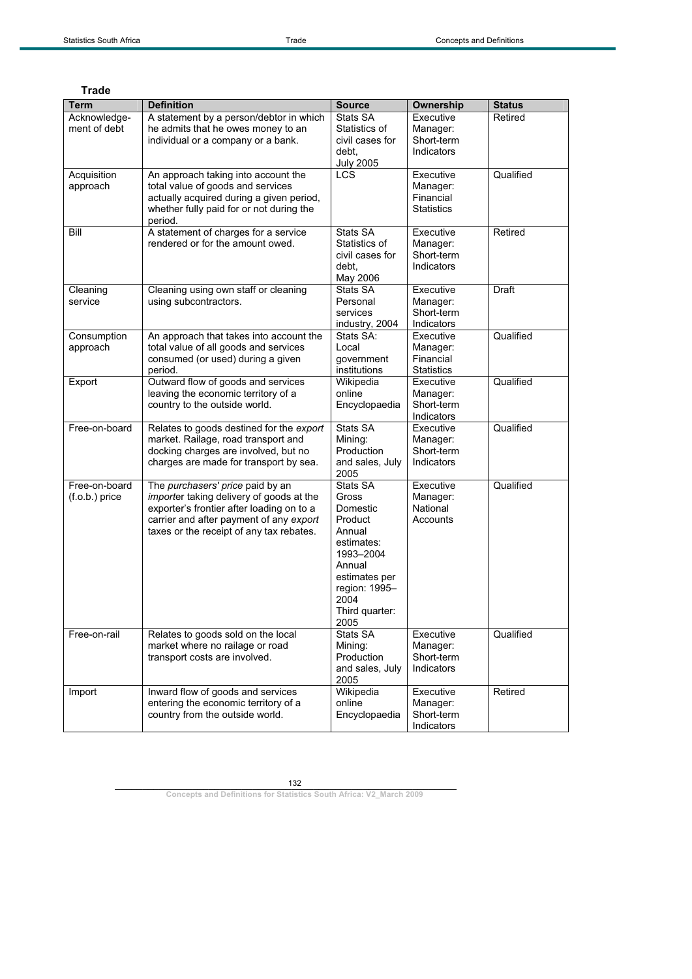| <b>Trade</b>                      |                                                                                                                                                                                                                  |                                                                                                                                                             |                                                         |                      |
|-----------------------------------|------------------------------------------------------------------------------------------------------------------------------------------------------------------------------------------------------------------|-------------------------------------------------------------------------------------------------------------------------------------------------------------|---------------------------------------------------------|----------------------|
| <b>Term</b>                       | <b>Definition</b>                                                                                                                                                                                                | <b>Source</b>                                                                                                                                               | Ownership                                               | <b>Status</b>        |
| Acknowledge-<br>ment of debt      | A statement by a person/debtor in which<br>he admits that he owes money to an<br>individual or a company or a bank.                                                                                              | Stats SA<br>Statistics of<br>civil cases for<br>debt.<br><b>July 2005</b><br>LCS                                                                            | Executive<br>Manager:<br>Short-term<br>Indicators       | Retired<br>Qualified |
| Acquisition<br>approach           | An approach taking into account the<br>total value of goods and services<br>actually acquired during a given period,<br>whether fully paid for or not during the<br>period.                                      |                                                                                                                                                             | Executive<br>Manager:<br>Financial<br><b>Statistics</b> |                      |
| Bill                              | A statement of charges for a service<br>rendered or for the amount owed.                                                                                                                                         | Stats SA<br>Statistics of<br>civil cases for<br>debt.<br>May 2006                                                                                           | Executive<br>Manager:<br>Short-term<br>Indicators       | Retired              |
| Cleaning<br>service               | Cleaning using own staff or cleaning<br>using subcontractors.                                                                                                                                                    | Stats SA<br>Personal<br>services<br>industry, 2004                                                                                                          | Executive<br>Manager:<br>Short-term<br>Indicators       | Draft                |
| Consumption<br>approach           | An approach that takes into account the<br>total value of all goods and services<br>consumed (or used) during a given<br>period.                                                                                 | Stats SA:<br>Local<br>government<br>institutions                                                                                                            | Executive<br>Manager:<br>Financial<br><b>Statistics</b> | Qualified            |
| Export                            | Outward flow of goods and services<br>leaving the economic territory of a<br>country to the outside world.                                                                                                       | Wikipedia<br>online<br>Encyclopaedia                                                                                                                        | Executive<br>Manager:<br>Short-term<br>Indicators       | Qualified            |
| Free-on-board                     | Relates to goods destined for the export<br>market. Railage, road transport and<br>docking charges are involved, but no<br>charges are made for transport by sea.                                                | Stats SA<br>Mining:<br>Production<br>and sales, July<br>2005                                                                                                | Executive<br>Manager:<br>Short-term<br>Indicators       | Qualified            |
| Free-on-board<br>$(f.o.b.)$ price | The purchasers' price paid by an<br>importer taking delivery of goods at the<br>exporter's frontier after loading on to a<br>carrier and after payment of any export<br>taxes or the receipt of any tax rebates. | Stats SA<br>Gross<br>Domestic<br>Product<br>Annual<br>estimates:<br>1993-2004<br>Annual<br>estimates per<br>region: 1995-<br>2004<br>Third quarter:<br>2005 | Executive<br>Manager:<br>National<br>Accounts           | Qualified            |
| Free-on-rail                      | Relates to goods sold on the local<br>market where no railage or road<br>transport costs are involved.                                                                                                           | Stats SA<br>Mining:<br>Production<br>and sales, July<br>2005                                                                                                | Executive<br>Manager:<br>Short-term<br>Indicators       | Qualified            |
| Import                            | Inward flow of goods and services<br>entering the economic territory of a<br>country from the outside world.                                                                                                     | Wikipedia<br>online<br>Encyclopaedia                                                                                                                        | Executive<br>Manager:<br>Short-term<br>Indicators       | Retired              |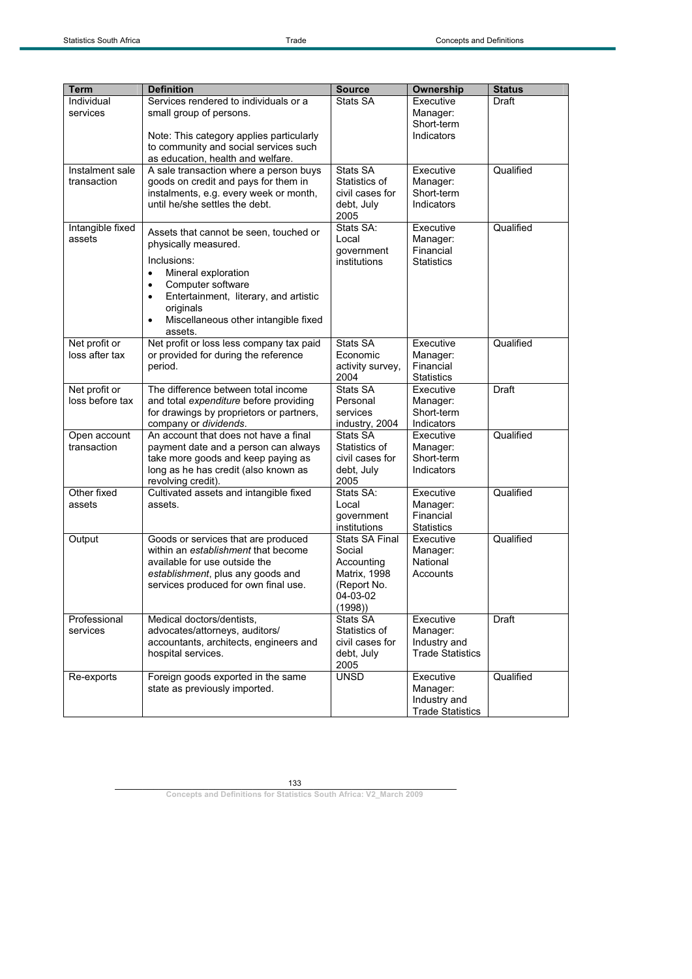| <b>Term</b>                      | <b>Definition</b>                                                                                                                                                                                                                                                                      | <b>Source</b>                                                                                      | Ownership                                                        | <b>Status</b> |
|----------------------------------|----------------------------------------------------------------------------------------------------------------------------------------------------------------------------------------------------------------------------------------------------------------------------------------|----------------------------------------------------------------------------------------------------|------------------------------------------------------------------|---------------|
| Individual<br>services           | Services rendered to individuals or a<br>small group of persons.<br>Note: This category applies particularly<br>to community and social services such<br>as education, health and welfare.                                                                                             | Stats SA                                                                                           | Executive<br>Manager:<br>Short-term<br>Indicators                | Draft         |
| Instalment sale<br>transaction   | A sale transaction where a person buys<br>goods on credit and pays for them in<br>instalments, e.g. every week or month,<br>until he/she settles the debt.                                                                                                                             | Stats SA<br>Statistics of<br>civil cases for<br>debt, July<br>2005                                 | Executive<br>Manager:<br>Short-term<br>Indicators                | Qualified     |
| Intangible fixed<br>assets       | Assets that cannot be seen, touched or<br>physically measured.<br>Inclusions:<br>Mineral exploration<br>$\bullet$<br>Computer software<br>$\bullet$<br>Entertainment, literary, and artistic<br>$\bullet$<br>originals<br>Miscellaneous other intangible fixed<br>$\bullet$<br>assets. | Stats SA:<br>Local<br>government<br>institutions                                                   | Executive<br>Manager:<br>Financial<br><b>Statistics</b>          | Qualified     |
| Net profit or<br>loss after tax  | Net profit or loss less company tax paid<br>or provided for during the reference<br>period.                                                                                                                                                                                            | Stats SA<br>Economic<br>activity survey,<br>2004                                                   | Executive<br>Manager:<br>Financial<br><b>Statistics</b>          | Qualified     |
| Net profit or<br>loss before tax | The difference between total income<br>and total expenditure before providing<br>for drawings by proprietors or partners,<br>company or dividends.                                                                                                                                     | Stats SA<br>Personal<br>services<br>industry, 2004                                                 | Executive<br>Manager:<br>Short-term<br>Indicators                | Draft         |
| Open account<br>transaction      | An account that does not have a final<br>payment date and a person can always<br>take more goods and keep paying as<br>long as he has credit (also known as<br>revolving credit).                                                                                                      | Stats SA<br>Statistics of<br>civil cases for<br>debt, July<br>2005                                 | Executive<br>Manager:<br>Short-term<br>Indicators                | Qualified     |
| Other fixed<br>assets            | Cultivated assets and intangible fixed<br>assets.                                                                                                                                                                                                                                      | Stats SA:<br>Local<br>government<br>institutions                                                   | Executive<br>Manager:<br>Financial<br><b>Statistics</b>          | Qualified     |
| Output                           | Goods or services that are produced<br>within an establishment that become<br>available for use outside the<br>establishment, plus any goods and<br>services produced for own final use.                                                                                               | <b>Stats SA Final</b><br>Social<br>Accounting<br>Matrix, 1998<br>(Report No.<br>04-03-02<br>(1998) | Executive<br>Manager:<br>National<br>Accounts                    | Qualified     |
| Professional<br>services         | Medical doctors/dentists,<br>advocates/attorneys, auditors/<br>accountants, architects, engineers and<br>hospital services.                                                                                                                                                            | Stats SA<br>Statistics of<br>civil cases for<br>debt, July<br>2005                                 | Executive<br>Manager:<br>Industry and<br><b>Trade Statistics</b> | Draft         |
| Re-exports                       | Foreign goods exported in the same<br>state as previously imported.                                                                                                                                                                                                                    | <b>UNSD</b>                                                                                        | Executive<br>Manager:<br>Industry and<br><b>Trade Statistics</b> | Qualified     |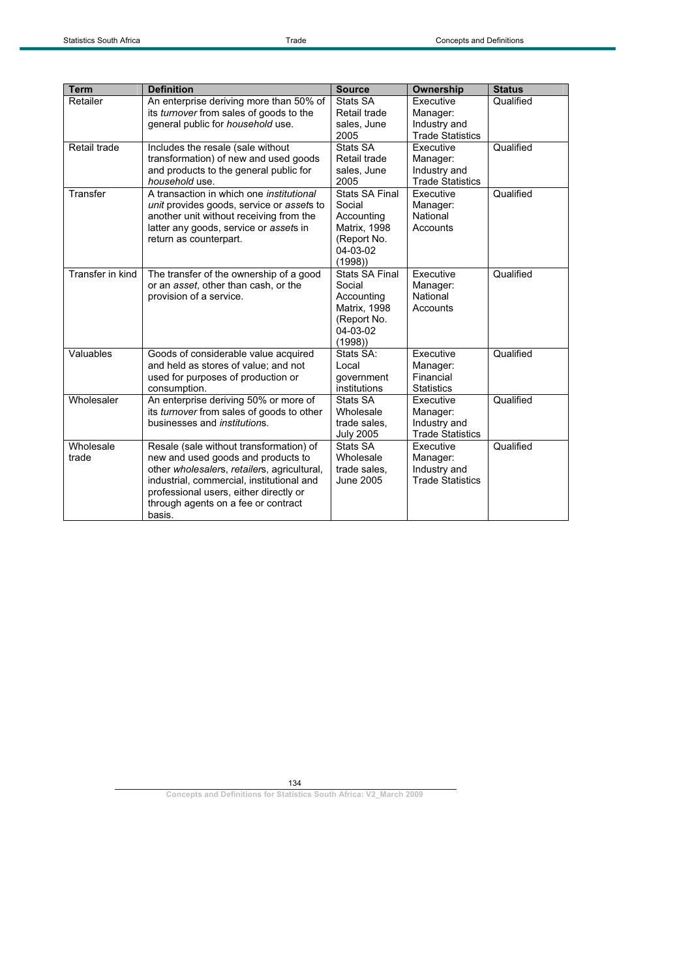| <b>Term</b>      | <b>Definition</b>                                                                    | <b>Source</b>                   | Ownership                               | <b>Status</b> |
|------------------|--------------------------------------------------------------------------------------|---------------------------------|-----------------------------------------|---------------|
| Retailer         | An enterprise deriving more than 50% of<br>its turnover from sales of goods to the   | Stats SA<br>Retail trade        | Executive<br>Manager:                   | Qualified     |
|                  | general public for household use.                                                    | sales, June                     | Industry and                            |               |
|                  |                                                                                      | 2005                            | <b>Trade Statistics</b>                 |               |
| Retail trade     | Includes the resale (sale without                                                    | Stats SA                        | Executive                               | Qualified     |
|                  | transformation) of new and used goods                                                | Retail trade                    | Manager:                                |               |
|                  | and products to the general public for                                               | sales, June                     | Industry and                            |               |
|                  | household use.                                                                       | 2005                            | <b>Trade Statistics</b>                 |               |
| Transfer         | A transaction in which one institutional                                             | <b>Stats SA Final</b><br>Social | Executive                               | Qualified     |
|                  | unit provides goods, service or assets to<br>another unit without receiving from the | Accounting                      | Manager:<br>National                    |               |
|                  | latter any goods, service or assets in                                               | <b>Matrix, 1998</b>             | Accounts                                |               |
|                  | return as counterpart.                                                               | (Report No.                     |                                         |               |
|                  |                                                                                      | 04-03-02                        |                                         |               |
|                  |                                                                                      | (1998)                          |                                         |               |
| Transfer in kind | The transfer of the ownership of a good                                              | <b>Stats SA Final</b>           | Executive                               | Qualified     |
|                  | or an asset, other than cash, or the                                                 | Social                          | Manager:                                |               |
|                  | provision of a service.                                                              | Accounting                      | National                                |               |
|                  |                                                                                      | Matrix, 1998                    | Accounts                                |               |
|                  |                                                                                      | (Report No.                     |                                         |               |
|                  |                                                                                      | 04-03-02                        |                                         |               |
| Valuables        | Goods of considerable value acquired                                                 | (1998)<br>Stats SA:             | Executive                               | Qualified     |
|                  | and held as stores of value; and not                                                 | Local                           | Manager:                                |               |
|                  | used for purposes of production or                                                   | qovernment                      | Financial                               |               |
|                  | consumption.                                                                         | institutions                    | <b>Statistics</b>                       |               |
| Wholesaler       | An enterprise deriving 50% or more of                                                | Stats SA                        | Executive                               | Qualified     |
|                  | its turnover from sales of goods to other                                            | Wholesale                       | Manager:                                |               |
|                  | businesses and <i>institutions</i> .                                                 | trade sales,                    | Industry and                            |               |
|                  |                                                                                      | <b>July 2005</b>                | <b>Trade Statistics</b>                 |               |
| Wholesale        | Resale (sale without transformation) of                                              | Stats SA                        | Executive                               | Qualified     |
| trade            | new and used goods and products to                                                   | Wholesale                       | Manager:                                |               |
|                  | other wholesalers, retailers, agricultural,                                          | trade sales,<br>June 2005       | Industry and<br><b>Trade Statistics</b> |               |
|                  | industrial, commercial, institutional and<br>professional users, either directly or  |                                 |                                         |               |
|                  | through agents on a fee or contract                                                  |                                 |                                         |               |
|                  | basis.                                                                               |                                 |                                         |               |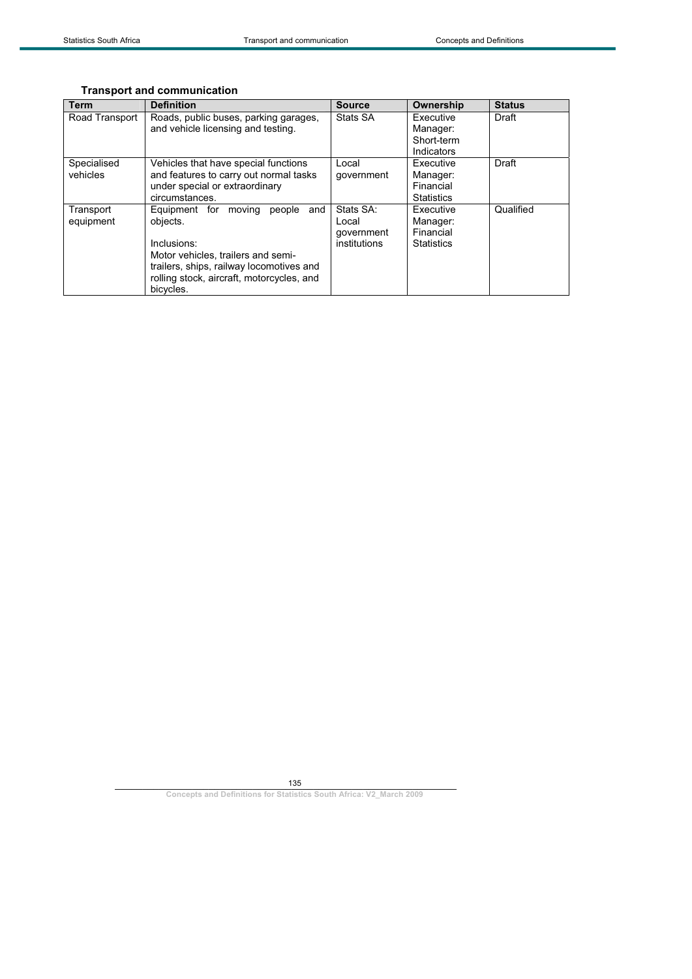## **Transport and communication**

| <b>Term</b>    | <b>Definition</b>                         | <b>Source</b> | Ownership         | <b>Status</b> |
|----------------|-------------------------------------------|---------------|-------------------|---------------|
| Road Transport | Roads, public buses, parking garages,     | Stats SA      | Executive         | Draft         |
|                | and vehicle licensing and testing.        |               | Manager:          |               |
|                |                                           |               | Short-term        |               |
|                |                                           |               | Indicators        |               |
| Specialised    | Vehicles that have special functions      | Local         | Executive         | Draft         |
| vehicles       | and features to carry out normal tasks    | qovernment    | Manager:          |               |
|                | under special or extraordinary            |               | Financial         |               |
|                | circumstances.                            |               | <b>Statistics</b> |               |
| Transport      | Equipment for moving<br>and<br>people     | Stats SA:     | Executive         | Qualified     |
| equipment      | objects.                                  | Local         | Manager:          |               |
|                |                                           | government    | Financial         |               |
|                | Inclusions:                               | institutions  | <b>Statistics</b> |               |
|                | Motor vehicles, trailers and semi-        |               |                   |               |
|                | trailers, ships, railway locomotives and  |               |                   |               |
|                | rolling stock, aircraft, motorcycles, and |               |                   |               |
|                | bicycles.                                 |               |                   |               |

135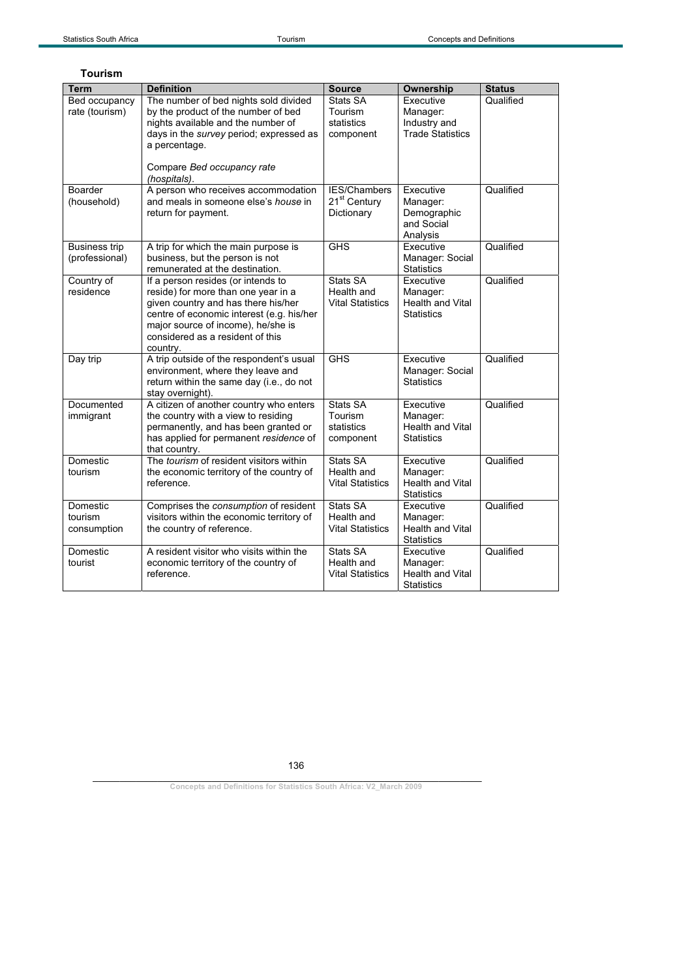| <b>Tourism</b>                         |                                                                                                                                                                                                                                                     |                                                        |                                                                       |               |
|----------------------------------------|-----------------------------------------------------------------------------------------------------------------------------------------------------------------------------------------------------------------------------------------------------|--------------------------------------------------------|-----------------------------------------------------------------------|---------------|
| Term                                   | <b>Definition</b>                                                                                                                                                                                                                                   | <b>Source</b>                                          | Ownership                                                             | <b>Status</b> |
| <b>Bed occupancy</b><br>rate (tourism) | The number of bed nights sold divided<br>by the product of the number of bed<br>nights available and the number of<br>days in the survey period; expressed as<br>a percentage.<br>Compare Bed occupancy rate<br>(hospitals).                        | Stats SA<br>Tourism<br>statistics<br>component         | Executive<br>Manager:<br>Industry and<br><b>Trade Statistics</b>      | Qualified     |
| Boarder<br>(household)                 | A person who receives accommodation<br>and meals in someone else's <i>house</i> in<br>return for payment.                                                                                                                                           | IES/Chambers<br>21 <sup>st</sup> Century<br>Dictionary | Executive<br>Manager:<br>Demographic<br>and Social<br>Analysis        | Qualified     |
| <b>Business trip</b><br>(professional) | A trip for which the main purpose is<br>business, but the person is not<br>remunerated at the destination.                                                                                                                                          | <b>GHS</b>                                             | Executive<br>Manager: Social<br><b>Statistics</b>                     | Qualified     |
| Country of<br>residence                | If a person resides (or intends to<br>reside) for more than one year in a<br>given country and has there his/her<br>centre of economic interest (e.g. his/her<br>major source of income), he/she is<br>considered as a resident of this<br>country. | Stats SA<br>Health and<br><b>Vital Statistics</b>      | Executive<br>Manager:<br><b>Health and Vital</b><br><b>Statistics</b> | Qualified     |
| Day trip                               | A trip outside of the respondent's usual<br>environment, where they leave and<br>return within the same day (i.e., do not<br>stay overnight).                                                                                                       | <b>GHS</b>                                             | Executive<br>Manager: Social<br><b>Statistics</b>                     | Qualified     |
| Documented<br>immigrant                | A citizen of another country who enters<br>the country with a view to residing<br>permanently, and has been granted or<br>has applied for permanent residence of<br>that country.                                                                   | Stats SA<br>Tourism<br>statistics<br>component         | Executive<br>Manager:<br><b>Health and Vital</b><br><b>Statistics</b> | Qualified     |
| Domestic<br>tourism                    | The tourism of resident visitors within<br>the economic territory of the country of<br>reference.                                                                                                                                                   | Stats SA<br>Health and<br><b>Vital Statistics</b>      | Executive<br>Manager:<br><b>Health and Vital</b><br><b>Statistics</b> | Qualified     |
| Domestic<br>tourism<br>consumption     | Comprises the consumption of resident<br>visitors within the economic territory of<br>the country of reference.                                                                                                                                     | Stats SA<br>Health and<br><b>Vital Statistics</b>      | Executive<br>Manager:<br><b>Health and Vital</b><br><b>Statistics</b> | Qualified     |
| Domestic<br>tourist                    | A resident visitor who visits within the<br>economic territory of the country of<br>reference.                                                                                                                                                      | Stats SA<br>Health and<br><b>Vital Statistics</b>      | Executive<br>Manager:<br><b>Health and Vital</b><br><b>Statistics</b> | Qualified     |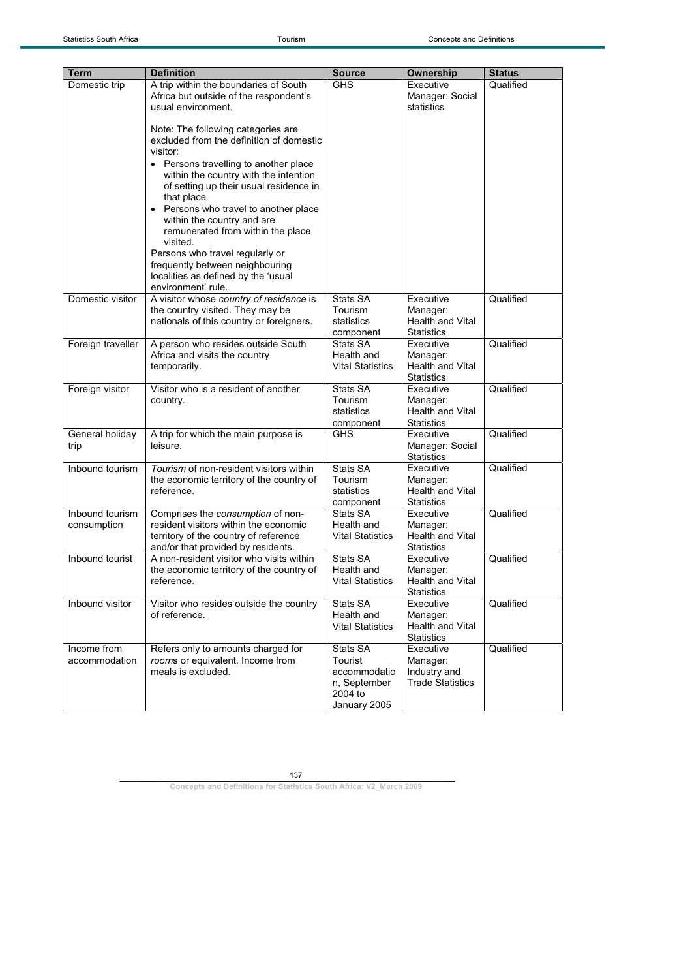| Term                           | <b>Definition</b>                                                                                                                                                                                             | <b>Source</b>                                                                  | <b>Ownership</b>                                                      | <b>Status</b> |
|--------------------------------|---------------------------------------------------------------------------------------------------------------------------------------------------------------------------------------------------------------|--------------------------------------------------------------------------------|-----------------------------------------------------------------------|---------------|
| Domestic trip                  | A trip within the boundaries of South                                                                                                                                                                         | <b>GHS</b>                                                                     | Executive                                                             | Qualified     |
|                                | Africa but outside of the respondent's<br>usual environment.                                                                                                                                                  |                                                                                | Manager: Social<br>statistics                                         |               |
|                                | Note: The following categories are<br>excluded from the definition of domestic<br>visitor:<br>Persons travelling to another place<br>within the country with the intention                                    |                                                                                |                                                                       |               |
|                                | of setting up their usual residence in<br>that place<br>Persons who travel to another place<br>within the country and are<br>remunerated from within the place<br>visited.<br>Persons who travel regularly or |                                                                                |                                                                       |               |
|                                | frequently between neighbouring<br>localities as defined by the 'usual<br>environment' rule.                                                                                                                  |                                                                                |                                                                       |               |
| Domestic visitor               | A visitor whose country of residence is<br>the country visited. They may be<br>nationals of this country or foreigners.                                                                                       | Stats SA<br>Tourism<br>statistics<br>component                                 | Executive<br>Manager:<br>Health and Vital<br><b>Statistics</b>        | Qualified     |
| Foreign traveller              | A person who resides outside South<br>Africa and visits the country<br>temporarily.                                                                                                                           | Stats SA<br>Health and<br><b>Vital Statistics</b>                              | Executive<br>Manager:<br>Health and Vital<br><b>Statistics</b>        | Qualified     |
| Foreign visitor                | Visitor who is a resident of another<br>country.                                                                                                                                                              | Stats SA<br>Tourism<br>statistics<br>component                                 | Executive<br>Manager:<br>Health and Vital<br><b>Statistics</b>        | Qualified     |
| General holiday<br>trip        | A trip for which the main purpose is<br>leisure.                                                                                                                                                              | <b>GHS</b>                                                                     | Executive<br>Manager: Social<br><b>Statistics</b>                     | Qualified     |
| Inbound tourism                | Tourism of non-resident visitors within<br>the economic territory of the country of<br>reference.                                                                                                             | Stats SA<br>Tourism<br>statistics<br>component                                 | Executive<br>Manager:<br>Health and Vital<br><b>Statistics</b>        | Qualified     |
| Inbound tourism<br>consumption | Comprises the consumption of non-<br>resident visitors within the economic<br>territory of the country of reference<br>and/or that provided by residents.                                                     | Stats SA<br>Health and<br><b>Vital Statistics</b>                              | Executive<br>Manager:<br>Health and Vital<br><b>Statistics</b>        | Qualified     |
| Inbound tourist                | A non-resident visitor who visits within<br>the economic territory of the country of<br>reference.                                                                                                            | Stats SA<br>Health and<br><b>Vital Statistics</b>                              | Executive<br>Manager:<br><b>Health and Vital</b><br><b>Statistics</b> | Qualified     |
| Inbound visitor                | Visitor who resides outside the country<br>of reference.                                                                                                                                                      | Stats SA<br>Health and<br><b>Vital Statistics</b>                              | Executive<br>Manager:<br><b>Health and Vital</b><br><b>Statistics</b> | Qualified     |
| Income from<br>accommodation   | Refers only to amounts charged for<br>rooms or equivalent. Income from<br>meals is excluded.                                                                                                                  | Stats SA<br>Tourist<br>accommodatio<br>n, September<br>2004 to<br>January 2005 | Executive<br>Manager:<br>Industry and<br><b>Trade Statistics</b>      | Qualified     |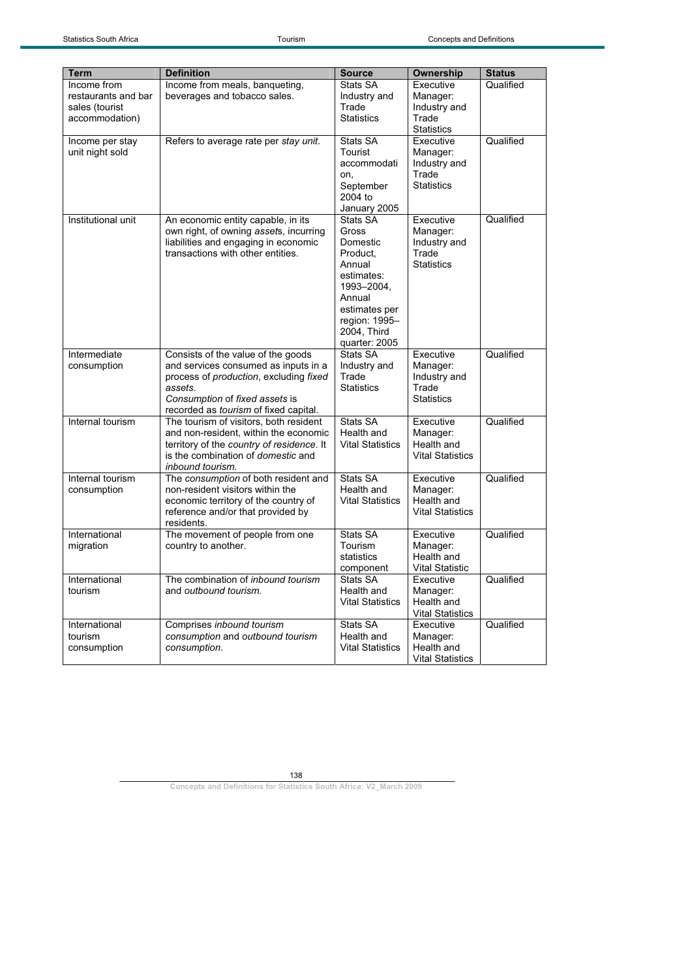| <b>Term</b>                                                            | <b>Definition</b>                                                                                                                                                                                          | <b>Source</b>                                                                                                                                               | <b>Ownership</b>                                                    | <b>Status</b> |
|------------------------------------------------------------------------|------------------------------------------------------------------------------------------------------------------------------------------------------------------------------------------------------------|-------------------------------------------------------------------------------------------------------------------------------------------------------------|---------------------------------------------------------------------|---------------|
| Income from<br>restaurants and bar<br>sales (tourist<br>accommodation) | Income from meals, banqueting,<br>beverages and tobacco sales.                                                                                                                                             | Stats SA<br>Industry and<br>Trade<br><b>Statistics</b>                                                                                                      | Executive<br>Manager:<br>Industry and<br>Trade<br><b>Statistics</b> | Qualified     |
| Income per stay<br>unit night sold                                     | Refers to average rate per stay unit.                                                                                                                                                                      | Stats SA<br>Tourist<br>accommodati<br>on,<br>September<br>2004 to<br>January 2005                                                                           | Executive<br>Manager:<br>Industry and<br>Trade<br><b>Statistics</b> | Qualified     |
| Institutional unit                                                     | An economic entity capable, in its<br>own right, of owning assets, incurring<br>liabilities and engaging in economic<br>transactions with other entities.                                                  | Stats SA<br>Gross<br>Domestic<br>Product,<br>Annual<br>estimates:<br>1993-2004,<br>Annual<br>estimates per<br>region: 1995-<br>2004, Third<br>quarter: 2005 | Executive<br>Manager:<br>Industry and<br>Trade<br><b>Statistics</b> | Qualified     |
| Intermediate<br>consumption                                            | Consists of the value of the goods<br>and services consumed as inputs in a<br>process of production, excluding fixed<br>assets.<br>Consumption of fixed assets is<br>recorded as tourism of fixed capital. | Stats SA<br>Industry and<br>Trade<br><b>Statistics</b>                                                                                                      | Executive<br>Manager:<br>Industry and<br>Trade<br><b>Statistics</b> | Qualified     |
| Internal tourism                                                       | The tourism of visitors, both resident<br>and non-resident, within the economic<br>territory of the country of residence. It<br>is the combination of <i>domestic</i> and<br>inbound tourism.              | Stats SA<br>Health and<br><b>Vital Statistics</b>                                                                                                           | Executive<br>Manager:<br>Health and<br><b>Vital Statistics</b>      | Qualified     |
| Internal tourism<br>consumption                                        | The consumption of both resident and<br>non-resident visitors within the<br>economic territory of the country of<br>reference and/or that provided by<br>residents.                                        | Stats SA<br>Health and<br><b>Vital Statistics</b>                                                                                                           | Executive<br>Manager:<br>Health and<br><b>Vital Statistics</b>      | Qualified     |
| International<br>migration                                             | The movement of people from one<br>country to another.                                                                                                                                                     | Stats SA<br>Tourism<br>statistics<br>component                                                                                                              | Executive<br>Manager:<br>Health and<br><b>Vital Statistic</b>       | Qualified     |
| International<br>tourism                                               | The combination of <i>inbound tourism</i><br>and outbound tourism.                                                                                                                                         | Stats SA<br>Health and<br><b>Vital Statistics</b>                                                                                                           | Executive<br>Manager:<br>Health and<br><b>Vital Statistics</b>      | Qualified     |
| International<br>tourism<br>consumption                                | Comprises inbound tourism<br>consumption and outbound tourism<br>consumption.                                                                                                                              | Stats SA<br>Health and<br><b>Vital Statistics</b>                                                                                                           | Executive<br>Manager:<br>Health and<br><b>Vital Statistics</b>      | Qualified     |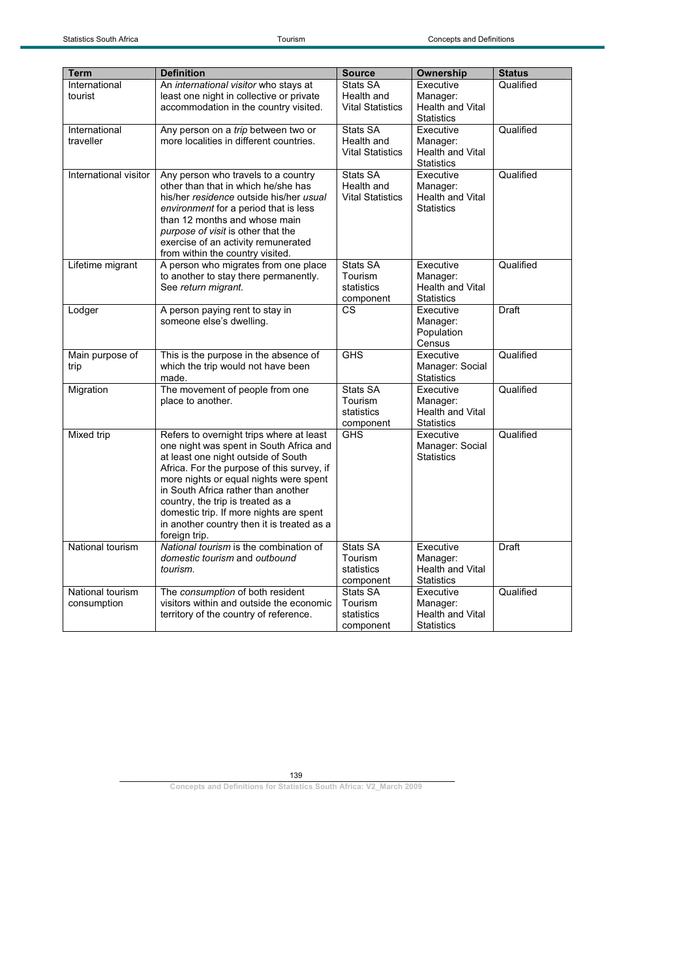| <b>Term</b>           | <b>Definition</b>                                                         | <b>Source</b>           | Ownership               | <b>Status</b> |
|-----------------------|---------------------------------------------------------------------------|-------------------------|-------------------------|---------------|
| International         | An international visitor who stays at                                     | Stats SA                | Executive               | Qualified     |
| tourist               | least one night in collective or private                                  | Health and              | Manager:                |               |
|                       | accommodation in the country visited.                                     | <b>Vital Statistics</b> | <b>Health and Vital</b> |               |
|                       |                                                                           |                         | <b>Statistics</b>       |               |
| International         | Any person on a trip between two or                                       | Stats SA                | Executive               | Qualified     |
| traveller             | more localities in different countries.                                   | Health and              | Manager:                |               |
|                       |                                                                           | <b>Vital Statistics</b> | Health and Vital        |               |
|                       |                                                                           |                         | <b>Statistics</b>       |               |
| International visitor | Any person who travels to a country                                       | Stats SA                | Executive               | Qualified     |
|                       | other than that in which he/she has                                       | Health and              | Manager:                |               |
|                       | his/her residence outside his/her usual                                   | <b>Vital Statistics</b> | <b>Health and Vital</b> |               |
|                       | environment for a period that is less                                     |                         | <b>Statistics</b>       |               |
|                       | than 12 months and whose main                                             |                         |                         |               |
|                       | purpose of visit is other that the<br>exercise of an activity remunerated |                         |                         |               |
|                       | from within the country visited.                                          |                         |                         |               |
| Lifetime migrant      | A person who migrates from one place                                      | Stats SA                | Executive               | Qualified     |
|                       | to another to stay there permanently.                                     | Tourism                 | Manager:                |               |
|                       | See return migrant.                                                       | statistics              | Health and Vital        |               |
|                       |                                                                           | component               | <b>Statistics</b>       |               |
| Lodger                | A person paying rent to stay in                                           | CS                      | Executive               | Draft         |
|                       | someone else's dwelling.                                                  |                         | Manager:                |               |
|                       |                                                                           |                         | Population              |               |
|                       |                                                                           |                         | Census                  |               |
| Main purpose of       | This is the purpose in the absence of                                     | <b>GHS</b>              | Executive               | Qualified     |
| trip                  | which the trip would not have been                                        |                         | Manager: Social         |               |
|                       | made.                                                                     |                         | <b>Statistics</b>       |               |
| Migration             | The movement of people from one                                           | Stats SA                | Executive               | Qualified     |
|                       | place to another.                                                         | Tourism                 | Manager:                |               |
|                       |                                                                           | statistics              | <b>Health and Vital</b> |               |
|                       |                                                                           | component               | <b>Statistics</b>       |               |
| Mixed trip            | Refers to overnight trips where at least                                  | <b>GHS</b>              | Executive               | Qualified     |
|                       | one night was spent in South Africa and                                   |                         | Manager: Social         |               |
|                       | at least one night outside of South                                       |                         | <b>Statistics</b>       |               |
|                       | Africa. For the purpose of this survey, if                                |                         |                         |               |
|                       | more nights or equal nights were spent                                    |                         |                         |               |
|                       | in South Africa rather than another                                       |                         |                         |               |
|                       | country, the trip is treated as a                                         |                         |                         |               |
|                       | domestic trip. If more nights are spent                                   |                         |                         |               |
|                       | in another country then it is treated as a                                |                         |                         |               |
|                       | foreign trip.                                                             |                         |                         |               |
| National tourism      | National tourism is the combination of                                    | Stats SA                | Executive               | Draft         |
|                       | domestic tourism and outbound                                             | Tourism                 | Manager:                |               |
|                       | tourism.                                                                  | statistics              | <b>Health and Vital</b> |               |
|                       |                                                                           | component               | <b>Statistics</b>       |               |
| National tourism      | The consumption of both resident                                          | Stats SA                | Executive               | Qualified     |
| consumption           | visitors within and outside the economic                                  | Tourism                 | Manager:                |               |
|                       | territory of the country of reference.                                    | statistics              | Health and Vital        |               |
|                       |                                                                           | component               | <b>Statistics</b>       |               |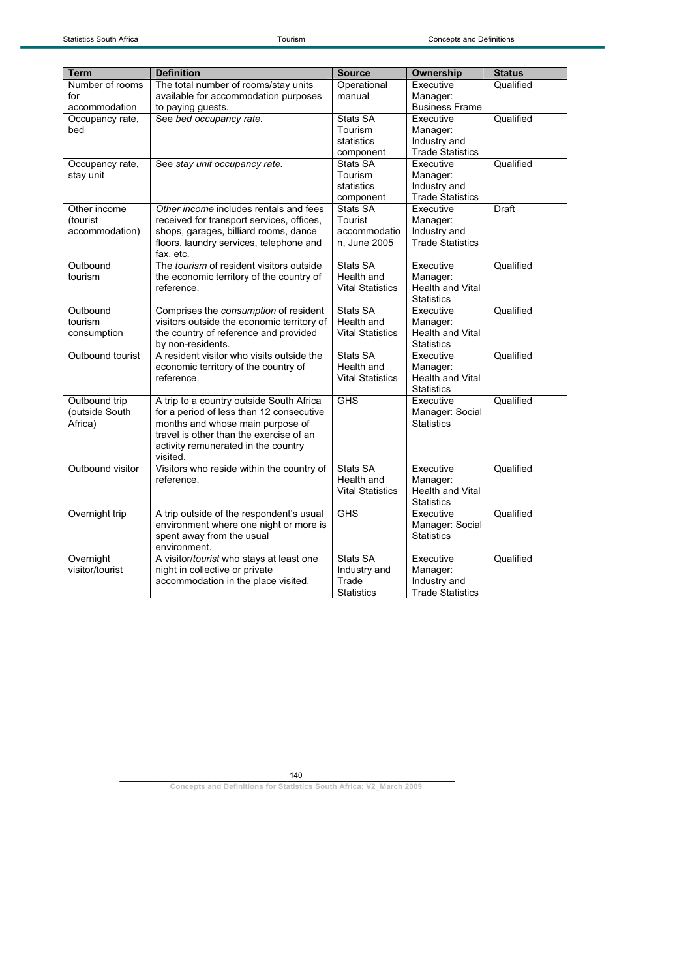| <b>Term</b>      | <b>Definition</b>                               | <b>Source</b>           | Ownership               | <b>Status</b> |
|------------------|-------------------------------------------------|-------------------------|-------------------------|---------------|
| Number of rooms  | The total number of rooms/stay units            | Operational             | Executive               | Qualified     |
| for              | available for accommodation purposes            | manual                  | Manager:                |               |
| accommodation    | to paying guests.                               |                         | <b>Business Frame</b>   |               |
| Occupancy rate,  | See bed occupancy rate.                         | Stats SA                | Executive               | Qualified     |
| bed              |                                                 | Tourism                 | Manager:                |               |
|                  |                                                 | statistics              | Industry and            |               |
|                  |                                                 | component               | <b>Trade Statistics</b> |               |
| Occupancy rate,  | See stay unit occupancy rate.                   | Stats SA                | Executive               | Qualified     |
| stay unit        |                                                 | Tourism                 | Manager:                |               |
|                  |                                                 | statistics              | Industry and            |               |
|                  |                                                 | component               | <b>Trade Statistics</b> |               |
| Other income     | Other income includes rentals and fees          | Stats SA                | Executive               | Draft         |
| (tourist         | received for transport services, offices,       | Tourist                 | Manager:                |               |
| accommodation)   | shops, garages, billiard rooms, dance           | accommodatio            | Industry and            |               |
|                  | floors, laundry services, telephone and         | n. June 2005            | <b>Trade Statistics</b> |               |
|                  | fax, etc.                                       |                         |                         |               |
| Outbound         | The <i>tourism</i> of resident visitors outside | Stats SA                | Executive               | Qualified     |
| tourism          | the economic territory of the country of        | Health and              | Manager:                |               |
|                  | reference.                                      | <b>Vital Statistics</b> | Health and Vital        |               |
|                  |                                                 |                         | <b>Statistics</b>       |               |
| Outbound         | Comprises the consumption of resident           | <b>Stats SA</b>         | Executive               | Qualified     |
| tourism          | visitors outside the economic territory of      | Health and              | Manager:                |               |
| consumption      | the country of reference and provided           | <b>Vital Statistics</b> | <b>Health and Vital</b> |               |
|                  | by non-residents.                               |                         | <b>Statistics</b>       |               |
| Outbound tourist | A resident visitor who visits outside the       | Stats SA                | Executive               | Qualified     |
|                  | economic territory of the country of            | Health and              | Manager:                |               |
|                  | reference.                                      | <b>Vital Statistics</b> | <b>Health and Vital</b> |               |
|                  |                                                 |                         | <b>Statistics</b>       |               |
| Outbound trip    | A trip to a country outside South Africa        | <b>GHS</b>              | Executive               | Qualified     |
| (outside South   | for a period of less than 12 consecutive        |                         | Manager: Social         |               |
| Africa)          | months and whose main purpose of                |                         | <b>Statistics</b>       |               |
|                  | travel is other than the exercise of an         |                         |                         |               |
|                  | activity remunerated in the country             |                         |                         |               |
|                  | visited.                                        |                         |                         |               |
| Outbound visitor | Visitors who reside within the country of       | Stats SA                | Executive               | Qualified     |
|                  | reference.                                      | Health and              | Manager:                |               |
|                  |                                                 | <b>Vital Statistics</b> | <b>Health and Vital</b> |               |
|                  |                                                 |                         | <b>Statistics</b>       |               |
| Overnight trip   | A trip outside of the respondent's usual        | <b>GHS</b>              | Executive               | Qualified     |
|                  | environment where one night or more is          |                         | Manager: Social         |               |
|                  | spent away from the usual                       |                         | <b>Statistics</b>       |               |
|                  | environment.                                    |                         |                         |               |
| Overnight        | A visitor/tourist who stays at least one        | Stats SA                | Executive               | Qualified     |
| visitor/tourist  | night in collective or private                  | Industry and            | Manager:                |               |
|                  | accommodation in the place visited.             | Trade                   | Industry and            |               |
|                  |                                                 | <b>Statistics</b>       | <b>Trade Statistics</b> |               |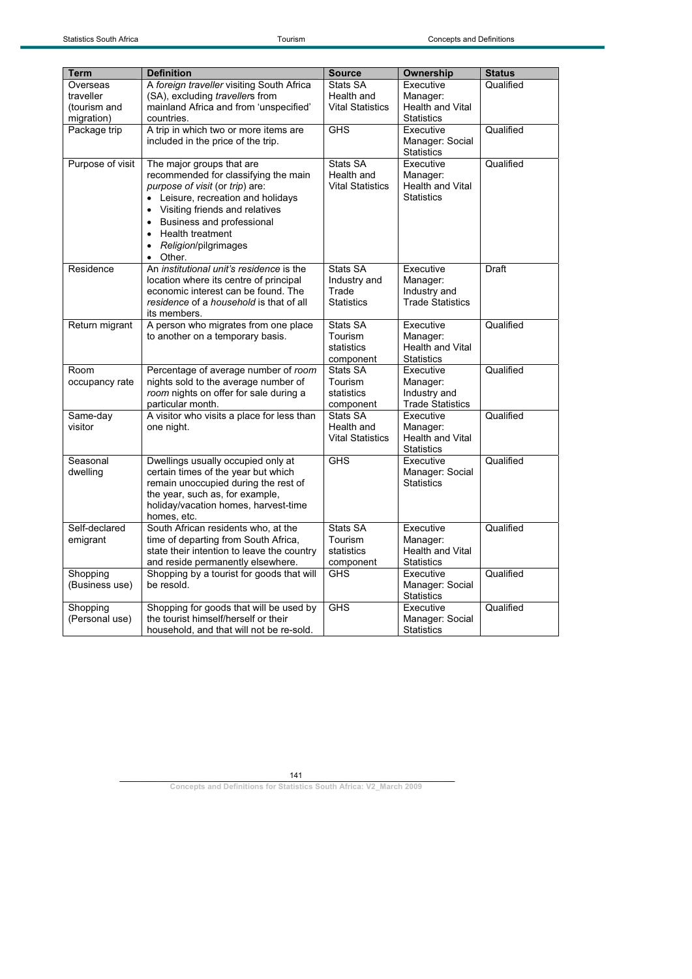| <b>Term</b>      | <b>Definition</b>                                    | <b>Source</b>           | <b>Ownership</b>                     | <b>Status</b> |
|------------------|------------------------------------------------------|-------------------------|--------------------------------------|---------------|
| Overseas         | A foreign traveller visiting South Africa            | Stats SA                | Executive                            | Qualified     |
| traveller        | (SA), excluding travellers from                      | Health and              | Manager:                             |               |
| (tourism and     | mainland Africa and from 'unspecified'               | <b>Vital Statistics</b> | <b>Health and Vital</b>              |               |
| migration)       | countries.                                           |                         | <b>Statistics</b>                    |               |
| Package trip     | A trip in which two or more items are                | <b>GHS</b>              | Executive                            | Qualified     |
|                  | included in the price of the trip.                   |                         | Manager: Social<br><b>Statistics</b> |               |
| Purpose of visit | The major groups that are                            | Stats SA                | Executive                            | Qualified     |
|                  | recommended for classifying the main                 | Health and              | Manager:                             |               |
|                  | purpose of visit (or trip) are:                      | <b>Vital Statistics</b> | Health and Vital                     |               |
|                  | • Leisure, recreation and holidays                   |                         | <b>Statistics</b>                    |               |
|                  | • Visiting friends and relatives                     |                         |                                      |               |
|                  | Business and professional                            |                         |                                      |               |
|                  | Health treatment                                     |                         |                                      |               |
|                  | Religion/pilgrimages                                 |                         |                                      |               |
|                  | Other.<br>$\bullet$                                  |                         |                                      |               |
| Residence        | An <i>institutional unit's residence</i> is the      | Stats SA                | Executive                            | Draft         |
|                  | location where its centre of principal               | Industry and            | Manager:                             |               |
|                  | economic interest can be found. The                  | Trade                   | Industry and                         |               |
|                  | residence of a household is that of all              | <b>Statistics</b>       | <b>Trade Statistics</b>              |               |
| Return migrant   | its members.<br>A person who migrates from one place | Stats SA                | Executive                            | Qualified     |
|                  | to another on a temporary basis.                     | Tourism                 | Manager:                             |               |
|                  |                                                      | statistics              | <b>Health and Vital</b>              |               |
|                  |                                                      | component               | <b>Statistics</b>                    |               |
| Room             | Percentage of average number of room                 | Stats SA                | Executive                            | Qualified     |
| occupancy rate   | nights sold to the average number of                 | Tourism                 | Manager:                             |               |
|                  | room nights on offer for sale during a               | statistics              | Industry and                         |               |
|                  | particular month.                                    | component               | <b>Trade Statistics</b>              |               |
| Same-day         | A visitor who visits a place for less than           | Stats SA                | Executive                            | Qualified     |
| visitor          | one night.                                           | Health and              | Manager:                             |               |
|                  |                                                      | <b>Vital Statistics</b> | <b>Health and Vital</b>              |               |
|                  |                                                      |                         | <b>Statistics</b>                    |               |
| Seasonal         | Dwellings usually occupied only at                   | <b>GHS</b>              | Executive                            | Qualified     |
| dwelling         | certain times of the year but which                  |                         | Manager: Social                      |               |
|                  | remain unoccupied during the rest of                 |                         | <b>Statistics</b>                    |               |
|                  | the year, such as, for example,                      |                         |                                      |               |
|                  | holiday/vacation homes, harvest-time<br>homes, etc.  |                         |                                      |               |
| Self-declared    | South African residents who, at the                  | Stats SA                | Executive                            | Qualified     |
| emigrant         | time of departing from South Africa,                 | Tourism                 | Manager:                             |               |
|                  | state their intention to leave the country           | statistics              | <b>Health and Vital</b>              |               |
|                  | and reside permanently elsewhere.                    | component               | <b>Statistics</b>                    |               |
| Shopping         | Shopping by a tourist for goods that will            | <b>GHS</b>              | Executive                            | Qualified     |
| (Business use)   | be resold.                                           |                         | Manager: Social                      |               |
|                  |                                                      |                         | <b>Statistics</b>                    |               |
| Shopping         | Shopping for goods that will be used by              | <b>GHS</b>              | Executive                            | Qualified     |
| (Personal use)   | the tourist himself/herself or their                 |                         | Manager: Social                      |               |
|                  | household, and that will not be re-sold.             |                         | <b>Statistics</b>                    |               |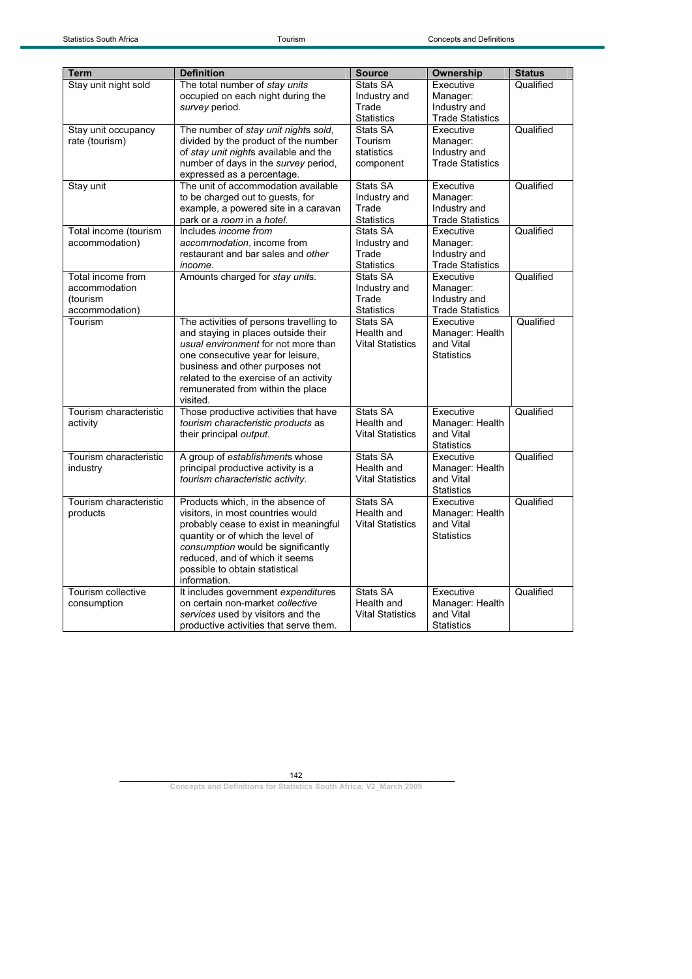| <b>Term</b>                                                      | <b>Definition</b>                                                                                                                                                                                                                                                                        | <b>Source</b>                                          | Ownership                                                        | <b>Status</b> |
|------------------------------------------------------------------|------------------------------------------------------------------------------------------------------------------------------------------------------------------------------------------------------------------------------------------------------------------------------------------|--------------------------------------------------------|------------------------------------------------------------------|---------------|
| Stay unit night sold                                             | The total number of stay units<br>occupied on each night during the<br>survey period.                                                                                                                                                                                                    | Stats SA<br>Industry and<br>Trade<br><b>Statistics</b> | Executive<br>Manager:<br>Industry and<br><b>Trade Statistics</b> | Qualified     |
| Stay unit occupancy<br>rate (tourism)                            | The number of stay unit nights sold,<br>divided by the product of the number<br>of stay unit nights available and the<br>number of days in the survey period,<br>expressed as a percentage.                                                                                              | Stats SA<br>Tourism<br>statistics<br>component         | Executive<br>Manager:<br>Industry and<br><b>Trade Statistics</b> | Qualified     |
| Stay unit                                                        | The unit of accommodation available<br>to be charged out to guests, for<br>example, a powered site in a caravan<br>park or a room in a hotel.                                                                                                                                            | Stats SA<br>Industry and<br>Trade<br><b>Statistics</b> | Executive<br>Manager:<br>Industry and<br><b>Trade Statistics</b> | Qualified     |
| Total income (tourism<br>accommodation)                          | Includes <i>income from</i><br>accommodation, income from<br>restaurant and bar sales and other<br>income.                                                                                                                                                                               | Stats SA<br>Industry and<br>Trade<br><b>Statistics</b> | Executive<br>Manager:<br>Industry and<br><b>Trade Statistics</b> | Qualified     |
| Total income from<br>accommodation<br>(tourism<br>accommodation) | Amounts charged for stay units.                                                                                                                                                                                                                                                          | Stats SA<br>Industry and<br>Trade<br><b>Statistics</b> | Executive<br>Manager:<br>Industry and<br><b>Trade Statistics</b> | Qualified     |
| Tourism                                                          | The activities of persons travelling to<br>and staying in places outside their<br>usual environment for not more than<br>one consecutive year for leisure,<br>business and other purposes not<br>related to the exercise of an activity<br>remunerated from within the place<br>visited. | Stats SA<br>Health and<br><b>Vital Statistics</b>      | Executive<br>Manager: Health<br>and Vital<br><b>Statistics</b>   | Qualified     |
| Tourism characteristic<br>activity                               | Those productive activities that have<br>tourism characteristic products as<br>their principal output.                                                                                                                                                                                   | Stats SA<br>Health and<br><b>Vital Statistics</b>      | Executive<br>Manager: Health<br>and Vital<br><b>Statistics</b>   | Qualified     |
| Tourism characteristic<br>industry                               | A group of establishments whose<br>principal productive activity is a<br>tourism characteristic activity.                                                                                                                                                                                | Stats SA<br>Health and<br><b>Vital Statistics</b>      | Executive<br>Manager: Health<br>and Vital<br><b>Statistics</b>   | Qualified     |
| Tourism characteristic<br>products                               | Products which, in the absence of<br>visitors, in most countries would<br>probably cease to exist in meaningful<br>quantity or of which the level of<br>consumption would be significantly<br>reduced, and of which it seems<br>possible to obtain statistical<br>information.           | Stats SA<br>Health and<br><b>Vital Statistics</b>      | Executive<br>Manager: Health<br>and Vital<br><b>Statistics</b>   | Qualified     |
| Tourism collective<br>consumption                                | It includes government expenditures<br>on certain non-market collective<br>services used by visitors and the<br>productive activities that serve them.                                                                                                                                   | Stats SA<br>Health and<br><b>Vital Statistics</b>      | Executive<br>Manager: Health<br>and Vital<br><b>Statistics</b>   | Qualified     |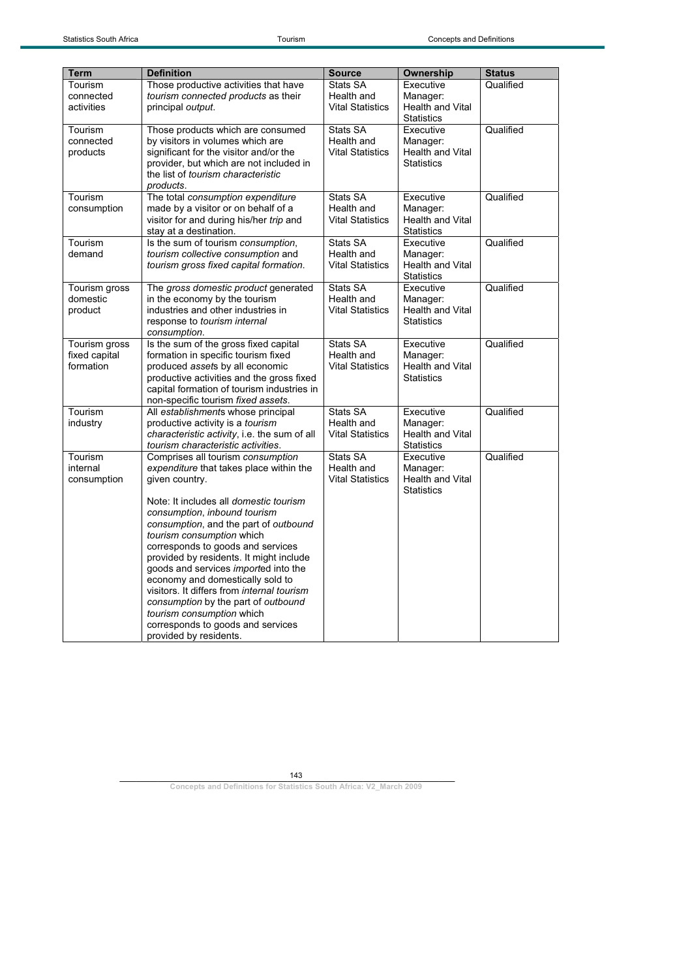| <b>Term</b>   | <b>Definition</b>                                                                  | <b>Source</b>                         | <b>Ownership</b>                      | <b>Status</b> |
|---------------|------------------------------------------------------------------------------------|---------------------------------------|---------------------------------------|---------------|
| Tourism       | Those productive activities that have                                              | Stats SA                              | Executive                             | Qualified     |
| connected     | tourism connected products as their                                                | Health and                            | Manager:                              |               |
| activities    | principal output.                                                                  | <b>Vital Statistics</b>               | <b>Health and Vital</b>               |               |
|               |                                                                                    |                                       | <b>Statistics</b>                     |               |
| Tourism       | Those products which are consumed                                                  | Stats SA                              | Executive                             | Qualified     |
| connected     | by visitors in volumes which are                                                   | Health and                            | Manager:                              |               |
| products      | significant for the visitor and/or the                                             | <b>Vital Statistics</b>               | Health and Vital<br><b>Statistics</b> |               |
|               | provider, but which are not included in<br>the list of tourism characteristic      |                                       |                                       |               |
|               | products.                                                                          |                                       |                                       |               |
| Tourism       | The total consumption expenditure                                                  | Stats SA                              | Executive                             | Qualified     |
| consumption   | made by a visitor or on behalf of a                                                | Health and                            | Manager:                              |               |
|               | visitor for and during his/her trip and                                            | <b>Vital Statistics</b>               | <b>Health and Vital</b>               |               |
|               | stay at a destination.                                                             |                                       | <b>Statistics</b>                     |               |
| Tourism       | Is the sum of tourism consumption,                                                 | Stats SA                              | Executive                             | Qualified     |
| demand        | tourism collective consumption and                                                 | Health and                            | Manager:                              |               |
|               | tourism gross fixed capital formation.                                             | <b>Vital Statistics</b>               | <b>Health and Vital</b>               |               |
|               |                                                                                    |                                       | <b>Statistics</b>                     |               |
| Tourism gross | The gross domestic product generated                                               | Stats SA                              | Executive                             | Qualified     |
| domestic      | in the economy by the tourism<br>industries and other industries in                | Health and<br><b>Vital Statistics</b> | Manager:                              |               |
| product       | response to tourism internal                                                       |                                       | Health and Vital<br><b>Statistics</b> |               |
|               | consumption.                                                                       |                                       |                                       |               |
| Tourism gross | Is the sum of the gross fixed capital                                              | Stats SA                              | Executive                             | Qualified     |
| fixed capital | formation in specific tourism fixed                                                | Health and                            | Manager:                              |               |
| formation     | produced assets by all economic                                                    | <b>Vital Statistics</b>               | <b>Health and Vital</b>               |               |
|               | productive activities and the gross fixed                                          |                                       | <b>Statistics</b>                     |               |
|               | capital formation of tourism industries in                                         |                                       |                                       |               |
|               | non-specific tourism fixed assets.                                                 |                                       |                                       |               |
| Tourism       | All establishments whose principal                                                 | Stats SA                              | Executive                             | Qualified     |
| industry      | productive activity is a <i>tourism</i>                                            | Health and                            | Manager:                              |               |
|               | characteristic activity, i.e. the sum of all<br>tourism characteristic activities. | <b>Vital Statistics</b>               | Health and Vital<br><b>Statistics</b> |               |
| Tourism       | Comprises all tourism consumption                                                  | Stats SA                              | Executive                             | Qualified     |
| internal      | expenditure that takes place within the                                            | Health and                            | Manager:                              |               |
| consumption   | given country.                                                                     | <b>Vital Statistics</b>               | Health and Vital                      |               |
|               |                                                                                    |                                       | <b>Statistics</b>                     |               |
|               | Note: It includes all <i>domestic tourism</i>                                      |                                       |                                       |               |
|               | consumption, inbound tourism                                                       |                                       |                                       |               |
|               | consumption, and the part of outbound                                              |                                       |                                       |               |
|               | tourism consumption which                                                          |                                       |                                       |               |
|               | corresponds to goods and services                                                  |                                       |                                       |               |
|               | provided by residents. It might include                                            |                                       |                                       |               |
|               | goods and services <i>imported</i> into the<br>economy and domestically sold to    |                                       |                                       |               |
|               | visitors. It differs from internal tourism                                         |                                       |                                       |               |
|               | consumption by the part of outbound                                                |                                       |                                       |               |
|               | tourism consumption which                                                          |                                       |                                       |               |
|               | corresponds to goods and services                                                  |                                       |                                       |               |
|               | provided by residents.                                                             |                                       |                                       |               |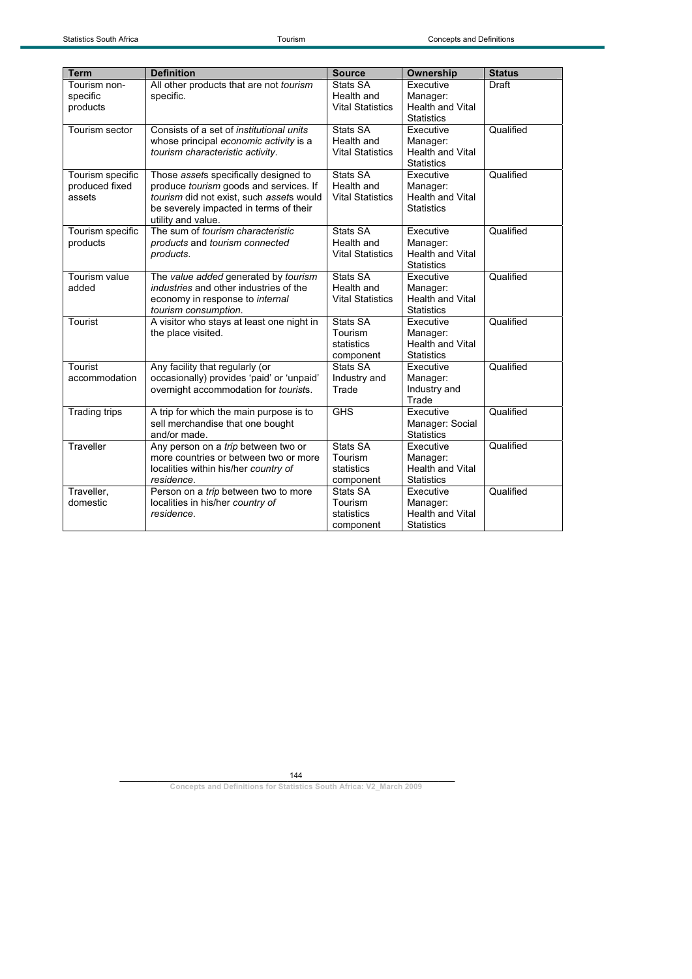| <b>Term</b>                                  | <b>Definition</b>                                                                                                                                                                           | <b>Source</b>                                     | Ownership                                                             | <b>Status</b> |
|----------------------------------------------|---------------------------------------------------------------------------------------------------------------------------------------------------------------------------------------------|---------------------------------------------------|-----------------------------------------------------------------------|---------------|
| Tourism non-<br>specific<br>products         | All other products that are not tourism<br>specific.                                                                                                                                        | Stats SA<br>Health and<br><b>Vital Statistics</b> | Executive<br>Manager:<br><b>Health and Vital</b><br><b>Statistics</b> | Draft         |
| Tourism sector                               | Consists of a set of <i>institutional units</i><br>whose principal economic activity is a<br>tourism characteristic activity.                                                               | Stats SA<br>Health and<br><b>Vital Statistics</b> | Executive<br>Manager:<br><b>Health and Vital</b><br><b>Statistics</b> | Qualified     |
| Tourism specific<br>produced fixed<br>assets | Those assets specifically designed to<br>produce tourism goods and services. If<br>tourism did not exist, such assets would<br>be severely impacted in terms of their<br>utility and value. | Stats SA<br>Health and<br><b>Vital Statistics</b> | Executive<br>Manager:<br><b>Health and Vital</b><br><b>Statistics</b> | Qualified     |
| Tourism specific<br>products                 | The sum of tourism characteristic<br>products and tourism connected<br>products.                                                                                                            | Stats SA<br>Health and<br><b>Vital Statistics</b> | Executive<br>Manager:<br><b>Health and Vital</b><br><b>Statistics</b> | Qualified     |
| Tourism value<br>added                       | The value added generated by tourism<br><i>industries</i> and other industries of the<br>economy in response to internal<br>tourism consumption.                                            | Stats SA<br>Health and<br><b>Vital Statistics</b> | Executive<br>Manager:<br><b>Health and Vital</b><br><b>Statistics</b> | Qualified     |
| Tourist                                      | A visitor who stays at least one night in<br>the place visited.                                                                                                                             | Stats SA<br>Tourism<br>statistics<br>component    | Executive<br>Manager:<br><b>Health and Vital</b><br><b>Statistics</b> | Qualified     |
| Tourist<br>accommodation                     | Any facility that regularly (or<br>occasionally) provides 'paid' or 'unpaid'<br>overnight accommodation for <i>tourists</i> .                                                               | Stats SA<br>Industry and<br>Trade                 | Executive<br>Manager:<br>Industry and<br>Trade                        | Qualified     |
| <b>Trading trips</b>                         | A trip for which the main purpose is to<br>sell merchandise that one bought<br>and/or made.                                                                                                 | <b>GHS</b>                                        | Executive<br>Manager: Social<br><b>Statistics</b>                     | Qualified     |
| Traveller                                    | Any person on a trip between two or<br>more countries or between two or more<br>localities within his/her country of<br>residence.                                                          | Stats SA<br>Tourism<br>statistics<br>component    | Executive<br>Manager:<br><b>Health and Vital</b><br><b>Statistics</b> | Qualified     |
| Traveller,<br>domestic                       | Person on a trip between two to more<br>localities in his/her country of<br>residence.                                                                                                      | Stats SA<br>Tourism<br>statistics<br>component    | Executive<br>Manager:<br><b>Health and Vital</b><br><b>Statistics</b> | Qualified     |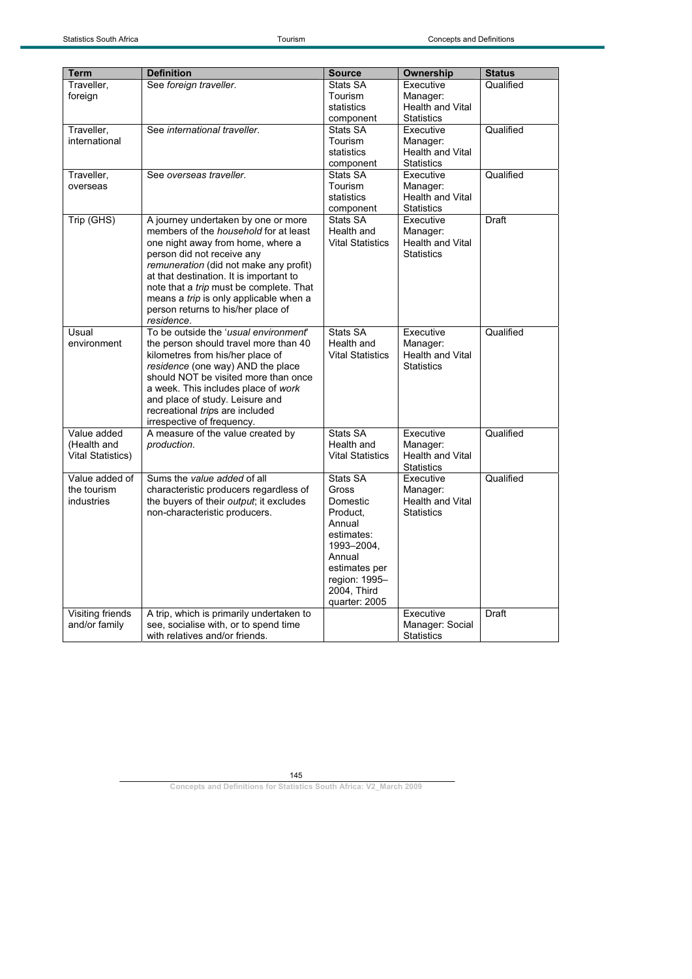| <b>Term</b>              | <b>Definition</b>                                                      | <b>Source</b>            | Ownership                                    | <b>Status</b> |
|--------------------------|------------------------------------------------------------------------|--------------------------|----------------------------------------------|---------------|
| Traveller,               | See foreign traveller.                                                 | Stats SA                 | Executive                                    | Qualified     |
| foreign                  |                                                                        | Tourism<br>statistics    | Manager:<br><b>Health and Vital</b>          |               |
|                          |                                                                        | component                | <b>Statistics</b>                            |               |
| Traveller,               | See international traveller.                                           | Stats SA                 | Executive                                    | Qualified     |
| international            |                                                                        | Tourism                  | Manager:                                     |               |
|                          |                                                                        | statistics               | Health and Vital                             |               |
|                          |                                                                        | component                | <b>Statistics</b>                            |               |
| Traveller,<br>overseas   | See overseas traveller.                                                | Stats SA<br>Tourism      | Executive<br>Manager:                        | Qualified     |
|                          |                                                                        | statistics               | Health and Vital                             |               |
|                          |                                                                        | component                | <b>Statistics</b>                            |               |
| Trip (GHS)               | A journey undertaken by one or more                                    | Stats SA                 | Executive                                    | Draft         |
|                          | members of the <i>household</i> for at least                           | Health and               | Manager:                                     |               |
|                          | one night away from home, where a<br>person did not receive any        | <b>Vital Statistics</b>  | <b>Health and Vital</b><br><b>Statistics</b> |               |
|                          | remuneration (did not make any profit)                                 |                          |                                              |               |
|                          | at that destination. It is important to                                |                          |                                              |               |
|                          | note that a trip must be complete. That                                |                          |                                              |               |
|                          | means a trip is only applicable when a                                 |                          |                                              |               |
|                          | person returns to his/her place of<br>residence.                       |                          |                                              |               |
| Usual                    | To be outside the 'usual environment'                                  | Stats SA                 | Executive                                    | Qualified     |
| environment              | the person should travel more than 40                                  | Health and               | Manager:                                     |               |
|                          | kilometres from his/her place of                                       | <b>Vital Statistics</b>  | Health and Vital                             |               |
|                          | residence (one way) AND the place                                      |                          | <b>Statistics</b>                            |               |
|                          | should NOT be visited more than once                                   |                          |                                              |               |
|                          | a week. This includes place of work<br>and place of study. Leisure and |                          |                                              |               |
|                          | recreational trips are included                                        |                          |                                              |               |
|                          | irrespective of frequency.                                             |                          |                                              |               |
| Value added              | A measure of the value created by                                      | Stats SA                 | Executive                                    | Qualified     |
| (Health and              | production.                                                            | Health and               | Manager:                                     |               |
| <b>Vital Statistics)</b> |                                                                        | <b>Vital Statistics</b>  | Health and Vital<br><b>Statistics</b>        |               |
| Value added of           | Sums the value added of all                                            | Stats SA                 | Executive                                    | Qualified     |
| the tourism              | characteristic producers regardless of                                 | Gross                    | Manager:                                     |               |
| industries               | the buyers of their output; it excludes                                | Domestic                 | Health and Vital                             |               |
|                          | non-characteristic producers.                                          | Product,                 | <b>Statistics</b>                            |               |
|                          |                                                                        | Annual                   |                                              |               |
|                          |                                                                        | estimates:<br>1993-2004, |                                              |               |
|                          |                                                                        | Annual                   |                                              |               |
|                          |                                                                        | estimates per            |                                              |               |
|                          |                                                                        | region: 1995-            |                                              |               |
|                          |                                                                        | 2004, Third              |                                              |               |
| <b>Visiting friends</b>  | A trip, which is primarily undertaken to                               | quarter: 2005            | Executive                                    | Draft         |
| and/or family            | see, socialise with, or to spend time                                  |                          | Manager: Social                              |               |
|                          | with relatives and/or friends.                                         |                          | <b>Statistics</b>                            |               |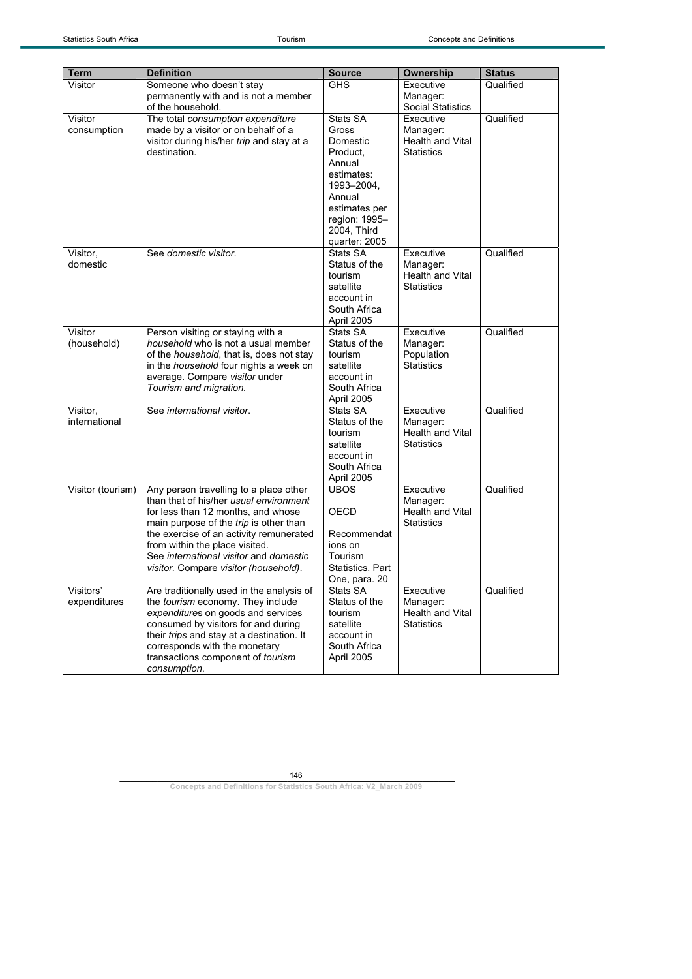| <b>Term</b>               | <b>Definition</b>                                                                                                                                                                                                                                                                                                                | <b>Source</b>                                                                                                                                               | <b>Ownership</b>                                               | <b>Status</b> |
|---------------------------|----------------------------------------------------------------------------------------------------------------------------------------------------------------------------------------------------------------------------------------------------------------------------------------------------------------------------------|-------------------------------------------------------------------------------------------------------------------------------------------------------------|----------------------------------------------------------------|---------------|
| Visitor                   | Someone who doesn't stay                                                                                                                                                                                                                                                                                                         | <b>GHS</b>                                                                                                                                                  | Executive                                                      | Qualified     |
|                           | permanently with and is not a member<br>of the household.                                                                                                                                                                                                                                                                        |                                                                                                                                                             | Manager:<br><b>Social Statistics</b>                           |               |
| Visitor<br>consumption    | The total consumption expenditure<br>made by a visitor or on behalf of a<br>visitor during his/her trip and stay at a<br>destination.                                                                                                                                                                                            | Stats SA<br>Gross<br>Domestic<br>Product,<br>Annual<br>estimates:<br>1993-2004,<br>Annual<br>estimates per<br>region: 1995-<br>2004, Third<br>quarter: 2005 | Executive<br>Manager:<br>Health and Vital<br><b>Statistics</b> | Qualified     |
| Visitor,<br>domestic      | See domestic visitor.                                                                                                                                                                                                                                                                                                            | Stats SA<br>Status of the<br>tourism<br>satellite<br>account in<br>South Africa<br>April 2005                                                               | Executive<br>Manager:<br>Health and Vital<br><b>Statistics</b> | Qualified     |
| Visitor<br>(household)    | Person visiting or staying with a<br>household who is not a usual member<br>of the household, that is, does not stay<br>in the <i>household</i> four nights a week on<br>average. Compare visitor under<br>Tourism and migration.                                                                                                | Stats SA<br>Status of the<br>tourism<br>satellite<br>account in<br>South Africa<br>April 2005                                                               | Executive<br>Manager:<br>Population<br><b>Statistics</b>       | Qualified     |
| Visitor,<br>international | See international visitor.                                                                                                                                                                                                                                                                                                       | Stats SA<br>Status of the<br>tourism<br>satellite<br>account in<br>South Africa<br>April 2005                                                               | Executive<br>Manager:<br>Health and Vital<br><b>Statistics</b> | Qualified     |
| Visitor (tourism)         | Any person travelling to a place other<br>than that of his/her usual environment<br>for less than 12 months, and whose<br>main purpose of the trip is other than<br>the exercise of an activity remunerated<br>from within the place visited.<br>See international visitor and domestic<br>visitor. Compare visitor (household). | <b>UBOS</b><br>OECD<br>Recommendat<br>ions on<br>Tourism<br>Statistics, Part<br>One, para. 20                                                               | Executive<br>Manager:<br>Health and Vital<br><b>Statistics</b> | Qualified     |
| Visitors'<br>expenditures | Are traditionally used in the analysis of<br>the tourism economy. They include<br>expenditures on goods and services<br>consumed by visitors for and during<br>their trips and stay at a destination. It<br>corresponds with the monetary<br>transactions component of tourism<br>consumption.                                   | Stats SA<br>Status of the<br>tourism<br>satellite<br>account in<br>South Africa<br>April 2005                                                               | Executive<br>Manager:<br>Health and Vital<br><b>Statistics</b> | Qualified     |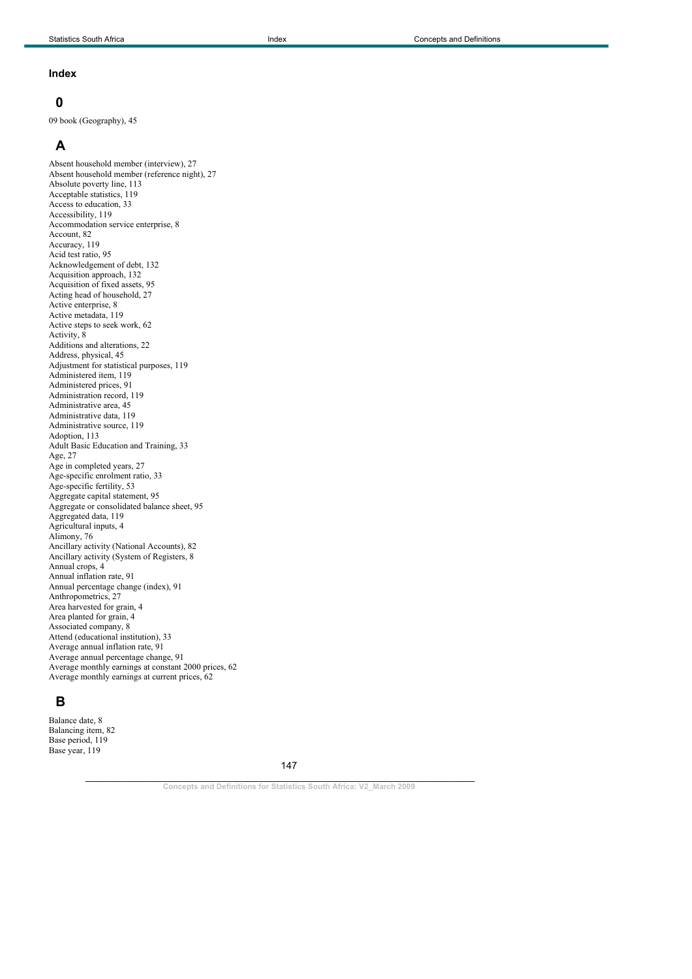#### **Index**

#### **0**

09 book (Geography), 45

# **A**

Absent household member (interview), 27 Absent household member (reference night), 27 Absolute poverty line, 113 Acceptable statistics, 119 Access to education, 33 Accessibility, 119 Accommodation service enterprise, 8 Account, 82 Accuracy, 119 Acid test ratio, 95 Acknowledgement of debt, 132 Acquisition approach, 132 Acquisition of fixed assets, 95 Acting head of household, 27 Active enterprise, 8 Active metadata, 119 Active steps to seek work, 62 Activity, 8 Additions and alterations, 22 Address, physical, 45 Adjustment for statistical purposes, 119 Administered item, 119 Administered prices, 91 Administration record, 119 Administrative area, 45 Administrative data, 119 Administrative source, 119 Adoption, 113 Adult Basic Education and Training, 33 Age, 27 Age in completed years, 27 Age-specific enrolment ratio, 33 Age-specific fertility, 53 Aggregate capital statement, 95 Aggregate or consolidated balance sheet, 95 Aggregated data, 119 Agricultural inputs, 4 Alimony, 76 Ancillary activity (National Accounts), 82 Ancillary activity (System of Registers, 8 Annual crops, 4 Annual inflation rate, 91 Annual percentage change (index), 91 Anthropometrics, 27 Area harvested for grain, 4 Area planted for grain, 4 Associated company, 8 Attend (educational institution), 33 Average annual inflation rate, 91 Average annual percentage change, 91 Average monthly earnings at constant 2000 prices, 62 Average monthly earnings at current prices, 62

#### **B**

Balance date, 8 Balancing item, 82 Base period, 119 Base year, 119

147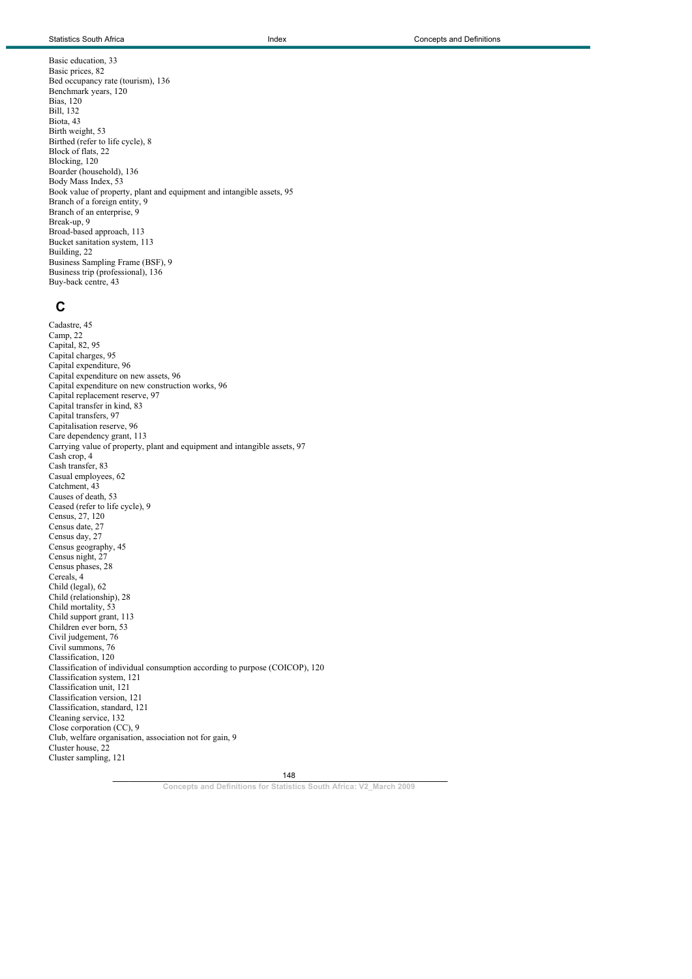Basic education, 33 Basic prices, 82 Bed occupancy rate (tourism), 136 Benchmark years, 120 Bias, 120 Bill, 132 Biota, 43 Birth weight, 53 Birthed (refer to life cycle), 8 Block of flats, 22 Blocking, 120 Boarder (household), 136 Body Mass Index, 53 Book value of property, plant and equipment and intangible assets, 95 Branch of a foreign entity, 9 Branch of an enterprise, 9 Break-up, 9 Broad-based approach, 113 Bucket sanitation system, 113 Building, 22 Business Sampling Frame (BSF), 9 Business trip (professional), 136 Buy-back centre, 43

### **C**

Cadastre, 45 Camp, 22 Capital, 82, 95 Capital charges, 95 Capital expenditure, 96 Capital expenditure on new assets, 96 Capital expenditure on new construction works, 96 Capital replacement reserve, 97 Capital transfer in kind, 83 Capital transfers, 97 Capitalisation reserve, 96 Care dependency grant, 113 Carrying value of property, plant and equipment and intangible assets, 97 Cash crop, 4 Cash transfer, 83 Casual employees, 62 Catchment, 43 Causes of death, 53 Ceased (refer to life cycle), 9 Census, 27, 120 Census date, 27 Census day, 27 Census geography, 45 Census night, 27 Census phases, 28 Cereals, 4 Child (legal), 62 Child (relationship), 28 Child mortality, 53 Child support grant, 113 Children ever born, 53 Civil judgement, 76 Civil summons, 76 Classification, 120 Classification of individual consumption according to purpose (COICOP), 120 Classification system, 121 Classification unit, 121 Classification version, 121 Classification, standard, 121 Cleaning service, 132 Close corporation (CC), 9 Club, welfare organisation, association not for gain, 9 Cluster house, 22 Cluster sampling, 121

> $148$ 148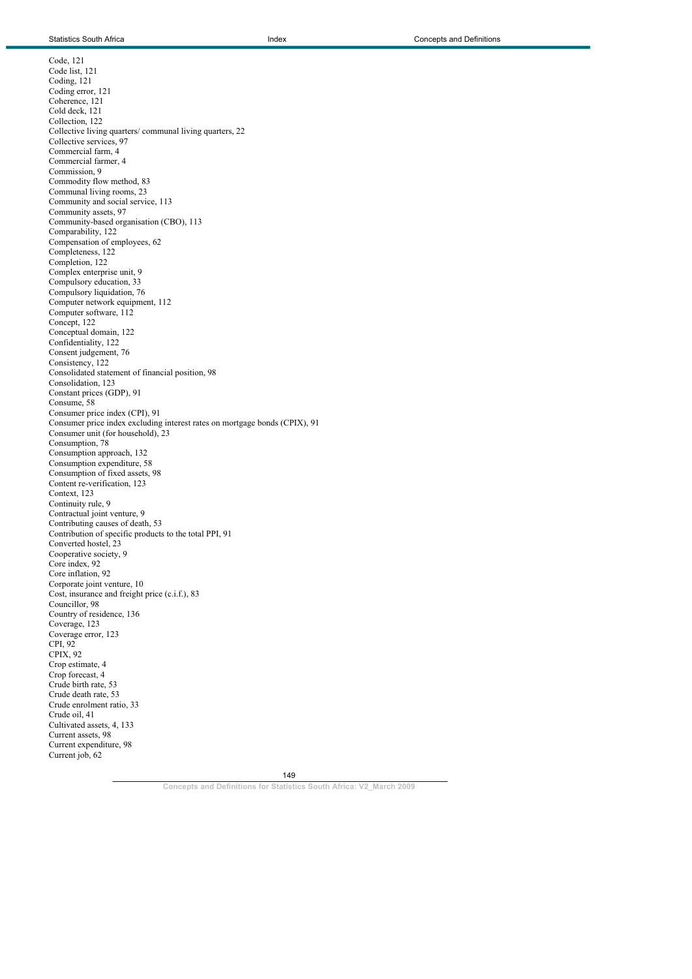Current job, 62

Code, 121 Code list, 121 Coding, 121 Coding error, 121 Coherence, 121 Cold deck, 121 Collection, 122 Collective living quarters/ communal living quarters, 22 Collective services, 97 Commercial farm, 4 Commercial farmer, 4 Commission, 9 Commodity flow method, 83 Communal living rooms, 23 Community and social service, 113 Community assets, 97 Community-based organisation (CBO), 113 Comparability, 122 Compensation of employees, 62 Completeness, 122 Completion, 122 Complex enterprise unit, 9 Compulsory education, 33 Compulsory liquidation, 76 Computer network equipment, 112 Computer software, 112 Concept, 122 Conceptual domain, 122 Confidentiality, 122 Consent judgement, 76 Consistency, 122 Consolidated statement of financial position, 98 Consolidation, 123 Constant prices (GDP), 91 Consume, 58 Consumer price index (CPI), 91 Consumer price index excluding interest rates on mortgage bonds (CPIX), 91 Consumer unit (for household), 23 Consumption, 78 Consumption approach, 132 Consumption expenditure, 58 Consumption of fixed assets, 98 Content re-verification, 123 Context, 123 Continuity rule, 9 Contractual joint venture, 9 Contributing causes of death, 53 Contribution of specific products to the total PPI, 91 Converted hostel, 23 Cooperative society, 9 Core index, 92 Core inflation, 92 Corporate joint venture, 10 Cost, insurance and freight price (c.i.f.), 83 Councillor, 98 Country of residence, 136 Coverage, 123 Coverage error, 123 CPI, 92 CPIX, 92 Crop estimate, 4 Crop forecast, 4 Crude birth rate, 53 Crude death rate, 53 Crude enrolment ratio, 33 Crude oil, 41 Cultivated assets, 4, 133 Current assets, 98 Current expenditure, 98

> $149$ 149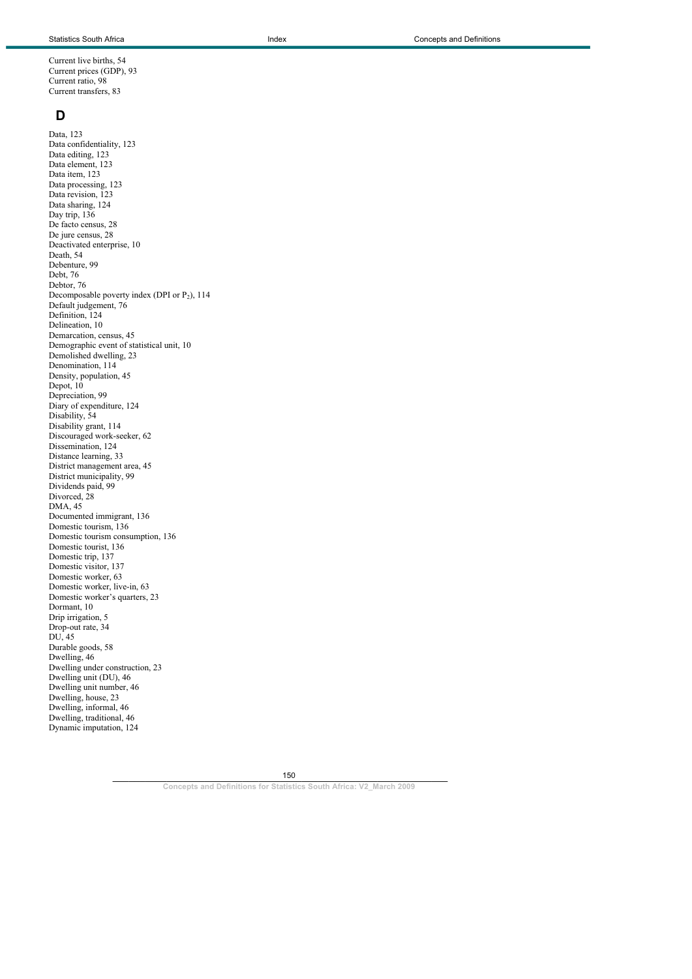Current live births, 54 Current prices (GDP), 93 Current ratio, 98 Current transfers, 83

#### **D**

Data, 123 Data confidentiality, 123 Data editing, 123 Data element, 123 Data item, 123 Data processing, 123 Data revision, 123 Data sharing, 124 Day trip, 136 De facto census, 28 De jure census, 28 Deactivated enterprise, 10 Death, 54 Debenture, 99 Debt, 76 Debtor, 76 Decomposable poverty index (DPI or  $P_2$ ), 114 Default judgement, 76 Definition, 124 Delineation, 10 Demarcation, census, 45 Demographic event of statistical unit, 10 Demolished dwelling, 23 Denomination, 114 Density, population, 45 Depot, 10 Depreciation, 99 Diary of expenditure, 124 Disability, 54 Disability grant, 114 Discouraged work-seeker, 62 Dissemination, 124 Distance learning, 33 District management area, 45 District municipality, 99 Dividends paid, 99 Divorced, 28 DMA, 45 Documented immigrant, 136 Domestic tourism, 136 Domestic tourism consumption, 136 Domestic tourist, 136 Domestic trip, 137 Domestic visitor, 137 Domestic worker, 63 Domestic worker, live-in, 63 Domestic worker's quarters, 23 Dormant, 10 Drip irrigation, 5 Drop-out rate, 34 DU, 45 Durable goods, 58 Dwelling, 46 Dwelling under construction, 23 Dwelling unit (DU), 46 Dwelling unit number, 46 Dwelling, house, 23 Dwelling, informal, 46 Dwelling, traditional, 46 Dynamic imputation, 124

150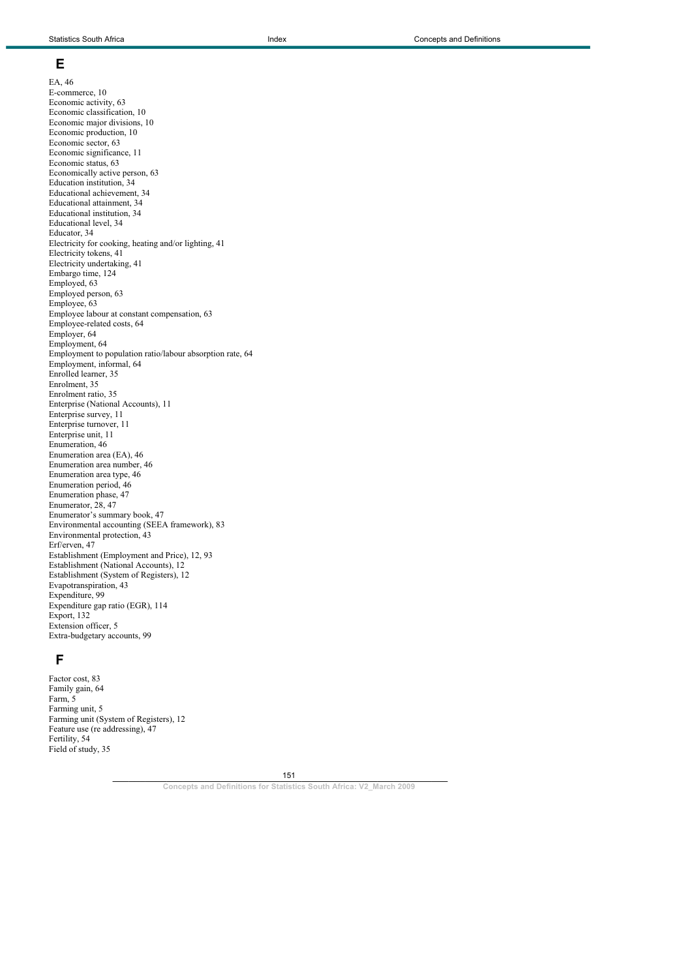#### **E**

EA, 46 E-commerce, 10 Economic activity, 63 Economic classification, 10 Economic major divisions, 10 Economic production, 10 Economic sector, 63 Economic significance, 11 Economic status, 63 Economically active person, 63 Education institution, 34 Educational achievement, 34 Educational attainment, 34 Educational institution, 34 Educational level, 34 Educator, 34 Electricity for cooking, heating and/or lighting, 41 Electricity tokens, 41 Electricity undertaking, 41 Embargo time, 124 Employed, 63 Employed person, 63 Employee, 63 Employee labour at constant compensation, 63 Employee-related costs, 64 Employer, 64 Employment, 64 Employment to population ratio/labour absorption rate, 64 Employment, informal, 64 Enrolled learner, 35 Enrolment, 35 Enrolment ratio, 35 Enterprise (National Accounts), 11 Enterprise survey, 11 Enterprise turnover, 11 Enterprise unit, 11 Enumeration, 46 Enumeration area (EA), 46 Enumeration area number, 46 Enumeration area type, 46 Enumeration period, 46 Enumeration phase, 47 Enumerator, 28, 47 Enumerator's summary book, 47 Environmental accounting (SEEA framework), 83 Environmental protection, 43 Erf/erven, 47 Establishment (Employment and Price), 12, 93 Establishment (National Accounts), 12 Establishment (System of Registers), 12 Evapotranspiration, 43 Expenditure, 99 Expenditure gap ratio (EGR), 114 Export, 132 Extension officer, 5 Extra-budgetary accounts, 99

## **F**

Factor cost, 83 Family gain, 64 Farm, 5 Farming unit, 5 Farming unit (System of Registers), 12 Feature use (re addressing), 47 Fertility, 54 Field of study, 35

151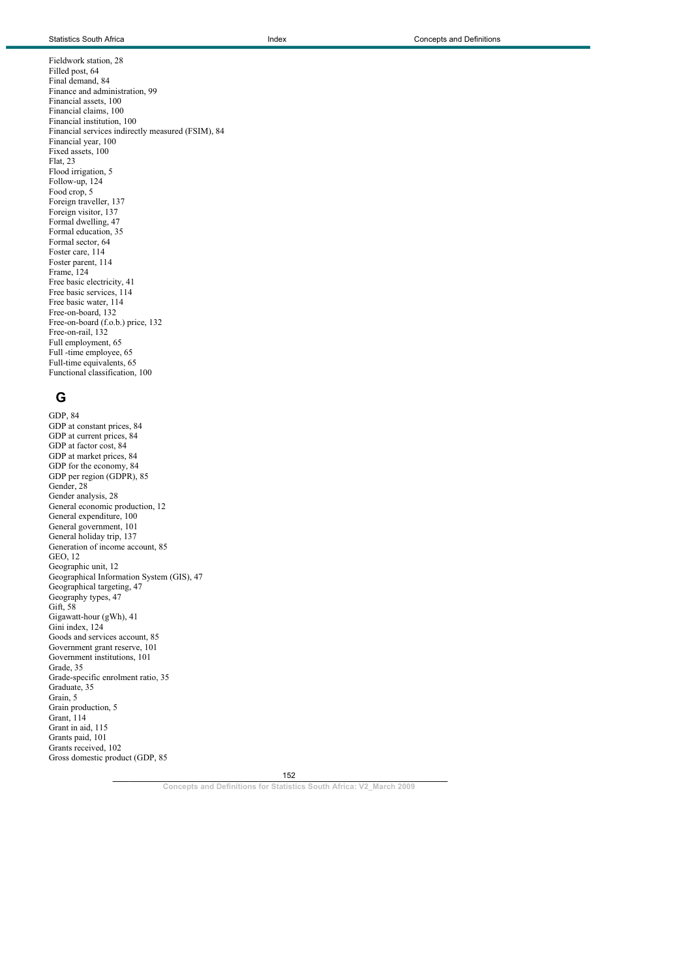Fieldwork station, 28 Filled post, 64 Final demand, 84 Finance and administration, 99 Financial assets, 100 Financial claims, 100 Financial institution, 100 Financial services indirectly measured (FSIM), 84 Financial year, 100 Fixed assets, 100 Flat, 23 Flood irrigation, 5 Follow-up, 124 Food crop, 5 Foreign traveller, 137 Foreign visitor, 137 Formal dwelling, 47 Formal education, 35 Formal sector, 64 Foster care, 114 Foster parent, 114 Frame, 124 Free basic electricity, 41 Free basic services, 114 Free basic water, 114 Free-on-board, 132 Free-on-board (f.o.b.) price, 132 Free-on-rail, 132 Full employment, 65 Full -time employee, 65 Full-time equivalents, 65 Functional classification, 100

# **G**

GDP, 84 GDP at constant prices, 84 GDP at current prices, 84 GDP at factor cost, 84 GDP at market prices, 84 GDP for the economy, 84 GDP per region (GDPR), 85 Gender, 28 Gender analysis, 28 General economic production, 12 General expenditure, 100 General government, 101 General holiday trip, 137 Generation of income account, 85 GEO, 12 Geographic unit, 12 Geographical Information System (GIS), 47 Geographical targeting, 47 Geography types, 47 Gift, 58 Gigawatt-hour (gWh), 41 Gini index, 124 Goods and services account, 85 Government grant reserve, 101 Government institutions, 101 Grade, 35 Grade-specific enrolment ratio, 35 Graduate, 35 Grain, 5 Grain production, 5 Grant, 114 Grant in aid, 115 Grants paid, 101 Grants received, 102 Gross domestic product (GDP, 85

152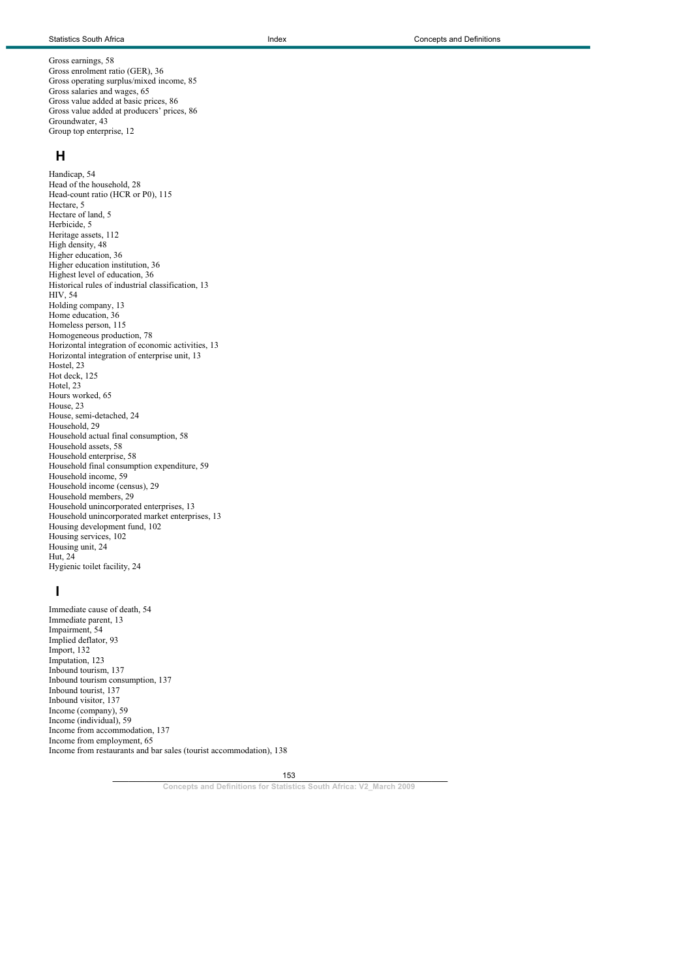Gross earnings, 58 Gross enrolment ratio (GER), 36 Gross operating surplus/mixed income, 85 Gross salaries and wages, 65 Gross value added at basic prices, 86 Gross value added at producers' prices, 86 Groundwater, 43 Group top enterprise, 12

#### **H**

Handicap, 54 Head of the household, 28 Head-count ratio (HCR or P0), 115 Hectare, 5 Hectare of land, 5 Herbicide, 5 Heritage assets, 112 High density, 48 Higher education, 36 Higher education institution, 36 Highest level of education, 36 Historical rules of industrial classification, 13 HIV, 54 Holding company, 13 Home education, 36 Homeless person, 115 Homogeneous production, 78 Horizontal integration of economic activities, 13 Horizontal integration of enterprise unit, 13 Hostel, 23 Hot deck, 125 Hotel, 23 Hours worked, 65 House, 23 House, semi-detached, 24 Household, 29 Household actual final consumption, 58 Household assets, 58 Household enterprise, 58 Household final consumption expenditure, 59 Household income, 59 Household income (census), 29 Household members, 29 Household unincorporated enterprises, 13 Household unincorporated market enterprises, 13 Housing development fund, 102 Housing services, 102 Housing unit, 24 Hut, 24 Hygienic toilet facility, 24

## **I**

Immediate cause of death, 54 Immediate parent, 13 Impairment, 54 Implied deflator, 93 Import, 132 Imputation, 123 Inbound tourism, 137 Inbound tourism consumption, 137 Inbound tourist, 137 Inbound visitor, 137 Income (company), 59 Income (individual), 59 Income from accommodation, 137 Income from employment, 65 Income from restaurants and bar sales (tourist accommodation), 138

153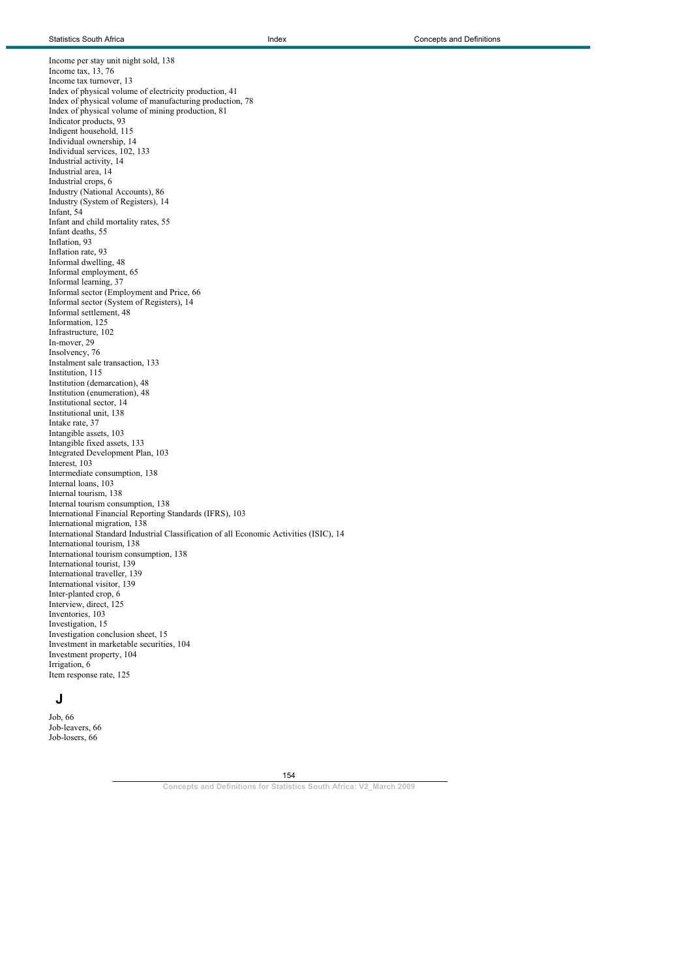Income per stay unit night sold, 138 Income tax, 13, 76 Income tax turnover, 13 Index of physical volume of electricity production, 41 Index of physical volume of manufacturing production, 78 Index of physical volume of mining production, 81 Indicator products, 93 Indigent household, 115 Individual ownership, 14 Individual services, 102, 133 Industrial activity, 14 Industrial area, 14 Industrial crops, 6 Industry (National Accounts), 86 Industry (System of Registers), 14 Infant, 54 Infant and child mortality rates, 55 Infant deaths, 55 Inflation, 93 Inflation rate, 93 Informal dwelling, 48 Informal employment, 65 Informal learning, 37 Informal sector (Employment and Price, 66 Informal sector (System of Registers), 14 Informal settlement, 48 Information, 125 Infrastructure, 102 In-mover, 29 Insolvency, 76 Instalment sale transaction, 133 Institution, 115 Institution (demarcation), 48 Institution (enumeration), 48 Institutional sector, 14 Institutional unit, 138 Intake rate, 37 Intangible assets, 103 Intangible fixed assets, 133 Integrated Development Plan, 103 Interest, 103 Intermediate consumption, 138 Internal loans, 103 Internal tourism, 138 Internal tourism consumption, 138 International Financial Reporting Standards (IFRS), 103 International migration, 138 International Standard Industrial Classification of all Economic Activities (ISIC), 14 International tourism, 138 International tourism consumption, 138 International tourist, 139 International traveller, 139 International visitor, 139 Inter-planted crop, 6 Interview, direct, 125 Inventories, 103 Investigation, 15 Investigation conclusion sheet, 15 Investment in marketable securities, 104 Investment property, 104 Irrigation, 6 Item response rate, 125

## **J**

Job, 66 Job-leavers, 66 Job-losers, 66

> $154$ 154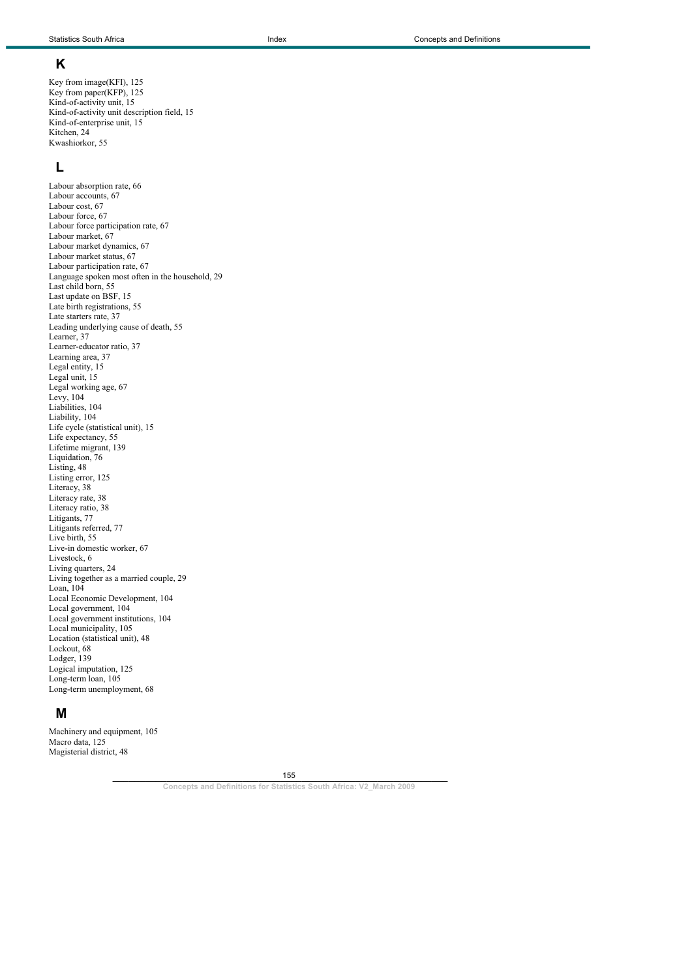## **K**

Key from image(KFI), 125 Key from paper(KFP), 125 Kind-of-activity unit, 15 Kind-of-activity unit description field, 15 Kind-of-enterprise unit, 15 Kitchen, 24 Kwashiorkor, 55

## **L**

Labour absorption rate, 66 Labour accounts, 67 Labour cost, 67 Labour force, 67 Labour force participation rate, 67 Labour market, 67 Labour market dynamics, 67 Labour market status, 67 Labour participation rate, 67 Language spoken most often in the household, 29 Last child born, 55 Last update on BSF, 15 Late birth registrations, 55 Late starters rate, 37 Leading underlying cause of death, 55 Learner, 37 Learner-educator ratio, 37 Learning area, 37 Legal entity, 15 Legal unit, 15 Legal working age, 67 Levy, 104 Liabilities, 104 Liability, 104 Life cycle (statistical unit), 15 Life expectancy, 55 Lifetime migrant, 139 Liquidation, 76 Listing, 48 Listing error, 125 Literacy, 38 Literacy rate, 38 Literacy ratio, 38 Litigants, 77 Litigants referred, 77 Live birth, 55 Live-in domestic worker, 67 Livestock, 6 Living quarters, 24 Living together as a married couple, 29 Loan, 104 Local Economic Development, 104 Local government, 104 Local government institutions, 104 Local municipality, 105 Location (statistical unit), 48 Lockout, 68 Lodger, 139 Logical imputation, 125 Long-term loan, 105 Long-term unemployment, 68

## **M**

Machinery and equipment, 105 Macro data, 125 Magisterial district, 48

155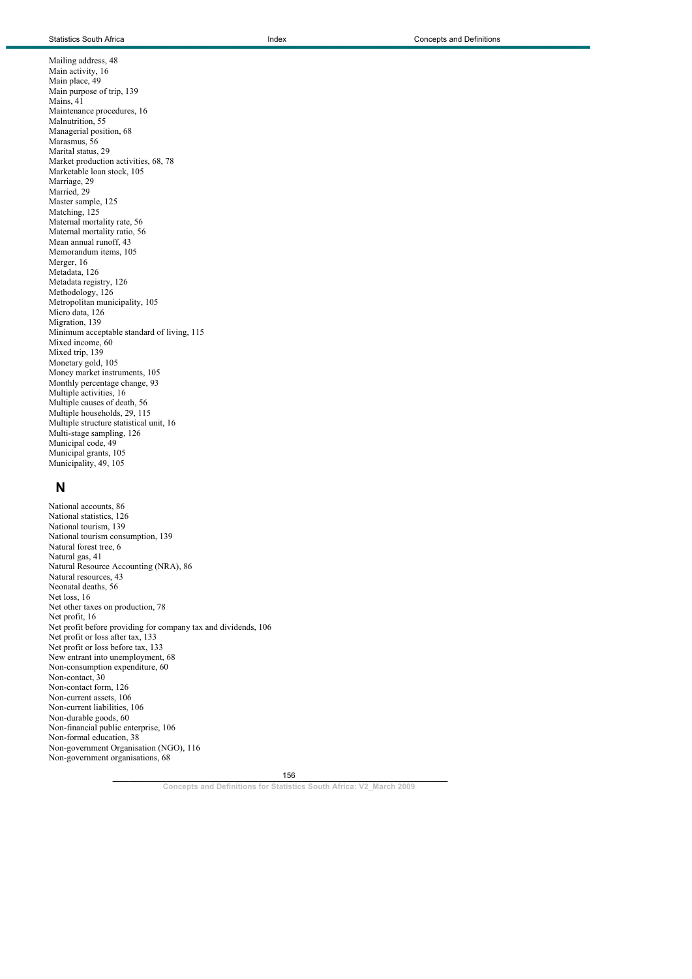Mailing address, 48 Main activity, 16 Main place, 49 Main purpose of trip, 139 Mains, 41 Maintenance procedures, 16 Malnutrition, 55 Managerial position, 68 Marasmus, 56 Marital status, 29 Market production activities, 68, 78 Marketable loan stock, 105 Marriage, 29 Married, 29 Master sample, 125 Matching, 125 Maternal mortality rate, 56 Maternal mortality ratio, 56 Mean annual runoff, 43 Memorandum items, 105 Merger, 16 Metadata, 126 Metadata registry, 126 Methodology, 126 Metropolitan municipality, 105 Micro data, 126 Migration, 139 Minimum acceptable standard of living, 115 Mixed income, 60 Mixed trip, 139 Monetary gold, 105 Money market instruments, 105 Monthly percentage change, 93 Multiple activities, 16 Multiple causes of death, 56 Multiple households, 29, 115 Multiple structure statistical unit, 16 Multi-stage sampling, 126 Municipal code, 49 Municipal grants, 105 Municipality, 49, 105

#### **N**

National accounts, 86 National statistics, 126 National tourism, 139 National tourism consumption, 139 Natural forest tree, 6 Natural gas, 41 Natural Resource Accounting (NRA), 86 Natural resources, 43 Neonatal deaths, 56 Net loss, 16 Net other taxes on production, 78 Net profit, 16 Net profit before providing for company tax and dividends, 106 Net profit or loss after tax, 133 Net profit or loss before tax, 133 New entrant into unemployment, 68 Non-consumption expenditure, 60 Non-contact, 30 Non-contact form, 126 Non-current assets, 106 Non-current liabilities, 106 Non-durable goods, 60 Non-financial public enterprise, 106 Non-formal education, 38 Non-government Organisation (NGO), 116 Non-government organisations, 68

156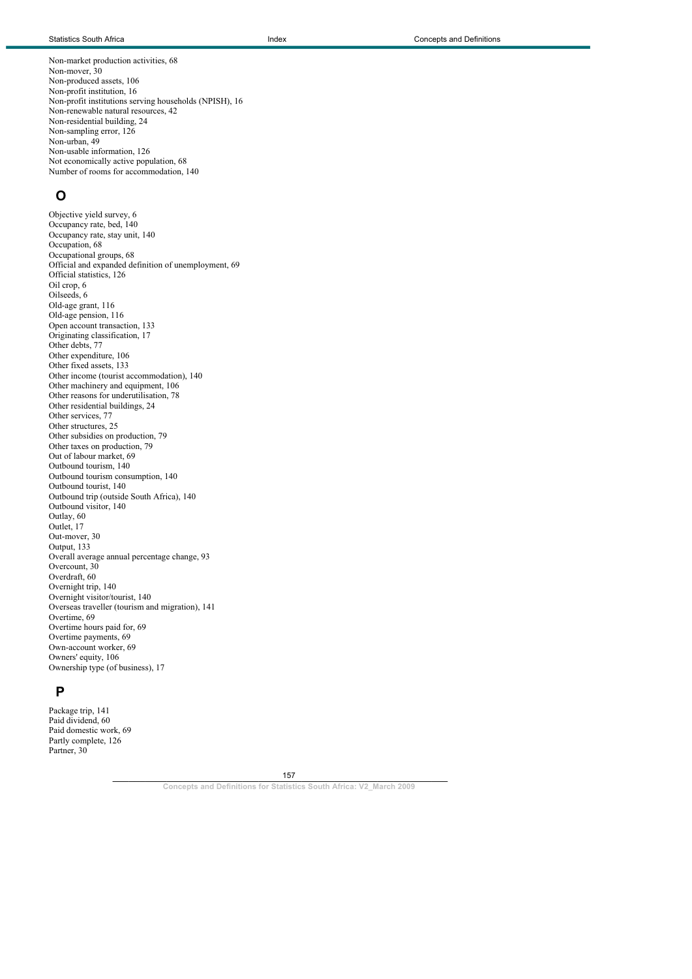Non-market production activities, 68 Non-mover, 30 Non-produced assets, 106 Non-profit institution, 16 Non-profit institutions serving households (NPISH), 16 Non-renewable natural resources, 42 Non-residential building, 24 Non-sampling error, 126 Non-urban, 49 Non-usable information, 126 Not economically active population, 68 Number of rooms for accommodation, 140

### **O**

Objective yield survey, 6 Occupancy rate, bed, 140 Occupancy rate, stay unit, 140 Occupation, 68 Occupational groups, 68 Official and expanded definition of unemployment, 69 Official statistics, 126 Oil crop, 6 Oilseeds, 6 Old-age grant, 116 Old-age pension, 116 Open account transaction, 133 Originating classification, 17 Other debts, 77 Other expenditure, 106 Other fixed assets, 133 Other income (tourist accommodation), 140 Other machinery and equipment, 106 Other reasons for underutilisation, 78 Other residential buildings, 24 Other services, 77 Other structures, 25 Other subsidies on production, 79 Other taxes on production, 79 Out of labour market, 69 Outbound tourism, 140 Outbound tourism consumption, 140 Outbound tourist, 140 Outbound trip (outside South Africa), 140 Outbound visitor, 140 Outlay, 60 Outlet, 17 Out-mover, 30 Output, 133 Overall average annual percentage change, 93 Overcount, 30 Overdraft, 60 Overnight trip, 140 Overnight visitor/tourist, 140 Overseas traveller (tourism and migration), 141 Overtime, 69 Overtime hours paid for, 69 Overtime payments, 69 Own-account worker, 69 Owners' equity, 106 Ownership type (of business), 17

### **P**

Package trip, 141 Paid dividend, 60 Paid domestic work, 69 Partly complete, 126 Partner, 30

157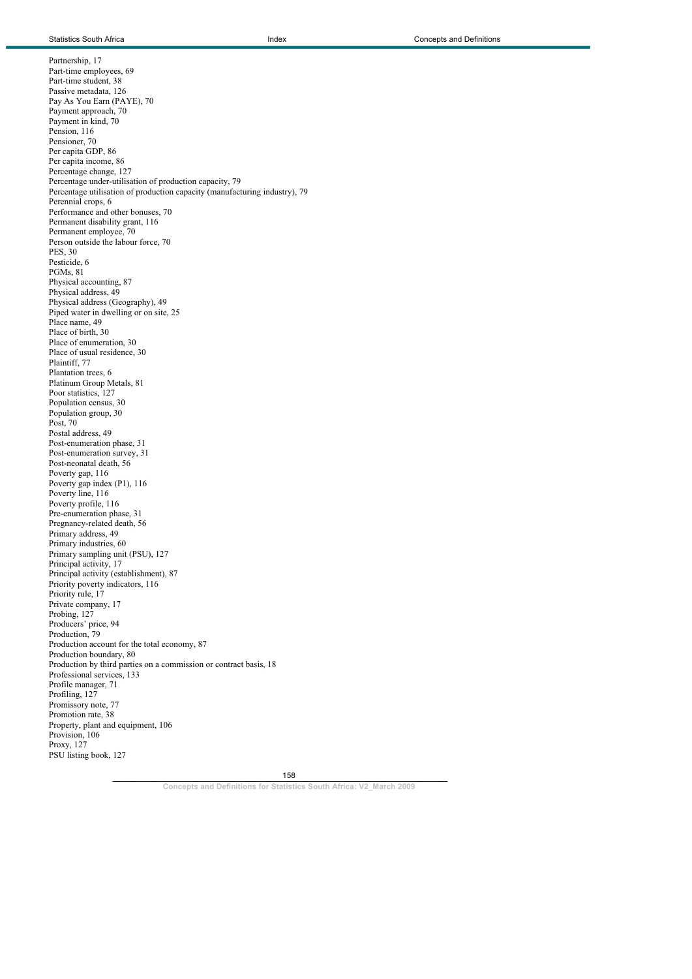Partnership, 17 Part-time employees, 69 Part-time student, 38 Passive metadata, 126 Pay As You Earn (PAYE), 70 Payment approach, 70 Payment in kind, 70 Pension, 116 Pensioner, 70 Per capita GDP, 86 Per capita income, 86 Percentage change, 127 Percentage under-utilisation of production capacity, 79 Percentage utilisation of production capacity (manufacturing industry), 79 Perennial crops, 6 Performance and other bonuses, 70 Permanent disability grant, 116 Permanent employee, 70 Person outside the labour force, 70 PES, 30 Pesticide, 6 PGMs, 81 Physical accounting, 87 Physical address, 49 Physical address (Geography), 49 Piped water in dwelling or on site, 25 Place name, 49 Place of birth, 30 Place of enumeration, 30 Place of usual residence, 30 Plaintiff, 77 Plantation trees, 6 Platinum Group Metals, 81 Poor statistics, 127 Population census, 30 Population group, 30 Post, 70 Postal address, 49 Post-enumeration phase, 31 Post-enumeration survey, 31 Post-neonatal death, 56 Poverty gap, 116 Poverty gap index (P1), 116 Poverty line, 116 Poverty profile, 116 Pre-enumeration phase, 31 Pregnancy-related death, 56 Primary address, 49 Primary industries, 60 Primary sampling unit (PSU), 127 Principal activity, 17 Principal activity (establishment), 87 Priority poverty indicators, 116 Priority rule, 17 Private company, 17 Probing, 127 Producers' price, 94 Production, 79 Production account for the total economy, 87 Production boundary, 80 Production by third parties on a commission or contract basis, 18 Professional services, 133 Profile manager, 71 Profiling, 127 Promissory note, 77 Promotion rate, 38 Property, plant and equipment, 106 Provision, 106 Proxy, 127 PSU listing book, 127

158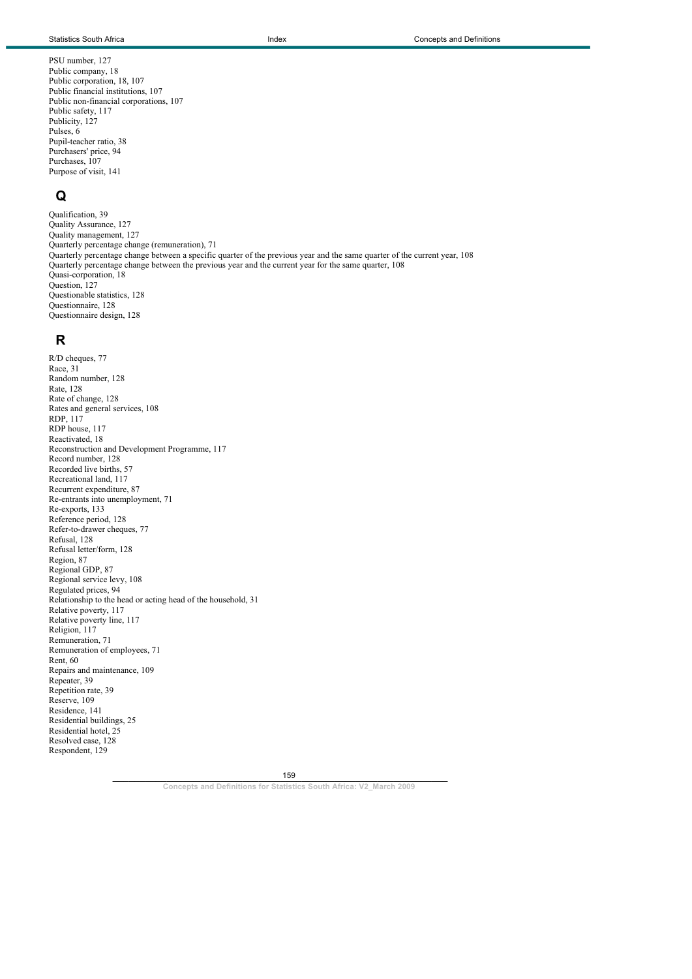PSU number, 127 Public company, 18 Public corporation, 18, 107 Public financial institutions, 107 Public non-financial corporations, 107 Public safety, 117 Publicity, 127 Pulses, 6 Pupil-teacher ratio, 38 Purchasers' price, 94 Purchases, 107 Purpose of visit, 141

## **Q**

Qualification, 39 Quality Assurance, 127 Quality management, 127 Quarterly percentage change (remuneration), 71 Quarterly percentage change between a specific quarter of the previous year and the same quarter of the current year, 108 Quarterly percentage change between the previous year and the current year for the same quarter, 108 Quasi-corporation, 18 Question, 127 Questionable statistics, 128 Questionnaire, 128 Questionnaire design, 128

## **R**

R/D cheques, 77 Race, 31 Random number, 128 Rate, 128 Rate of change, 128 Rates and general services, 108 RDP, 117 RDP house, 117 Reactivated, 18 Reconstruction and Development Programme, 117 Record number, 128 Recorded live births, 57 Recreational land, 117 Recurrent expenditure, 87 Re-entrants into unemployment, 71 Re-exports, 133 Reference period, 128 Refer-to-drawer cheques, 77 Refusal, 128 Refusal letter/form, 128 Region, 87 Regional GDP, 87 Regional service levy, 108 Regulated prices, 94 Relationship to the head or acting head of the household, 31 Relative poverty, 117 Relative poverty line, 117 Religion, 117 Remuneration, 71 Remuneration of employees, 71 Rent, 60 Repairs and maintenance, 109 Repeater, 39 Repetition rate, 39 Reserve, 109 Residence, 141 Residential buildings, 25 Residential hotel, 25 Resolved case, 128 Respondent, 129

159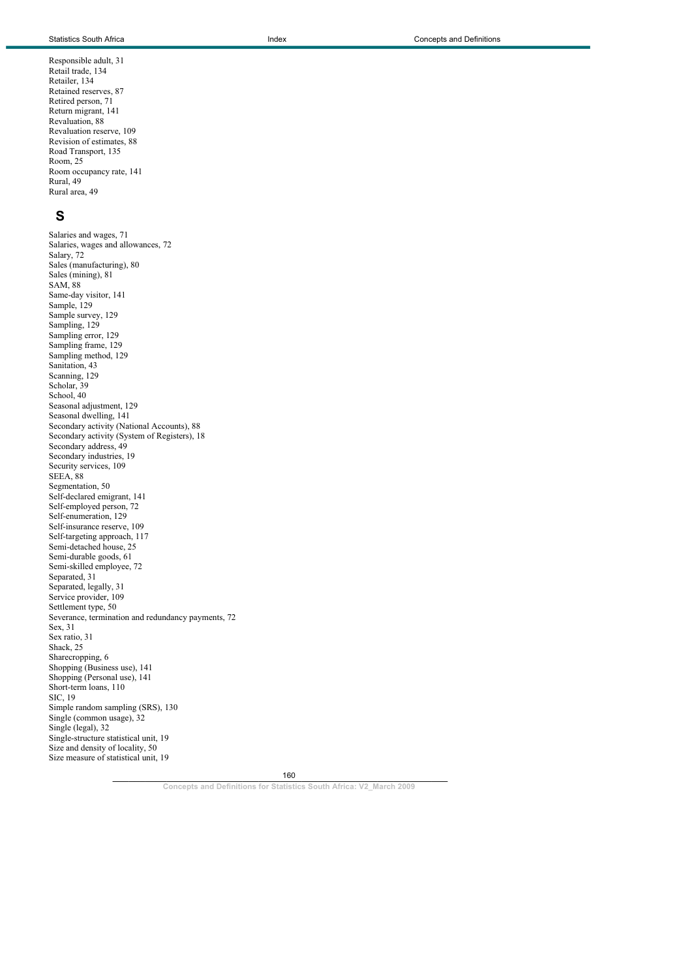Responsible adult, 31 Retail trade, 134 Retailer, 134 Retained reserves, 87 Retired person, 71 Return migrant, 141 Revaluation, 88 Revaluation reserve, 109 Revision of estimates, 88 Road Transport, 135 Room, 25 Room occupancy rate, 141 Rural, 49 Rural area, 49

# **S**

Salaries and wages, 71 Salaries, wages and allowances, 72 Salary, 72 Sales (manufacturing), 80 Sales (mining), 81 SAM, 88 Same-day visitor, 141 Sample, 129 Sample survey, 129 Sampling, 129 Sampling error, 129 Sampling frame, 129 Sampling method, 129 Sanitation, 43 Scanning, 129 Scholar, 39 School, 40 Seasonal adjustment, 129 Seasonal dwelling, 141 Secondary activity (National Accounts), 88 Secondary activity (System of Registers), 18 Secondary address, 49 Secondary industries, 19 Security services, 109 SEEA, 88 Segmentation, 50 Self-declared emigrant, 141 Self-employed person, 72 Self-enumeration, 129 Self-insurance reserve, 109 Self-targeting approach, 117 Semi-detached house, 25 Semi-durable goods, 61 Semi-skilled employee, 72 Separated, 31 Separated, legally, 31 Service provider, 109 Settlement type, 50 Severance, termination and redundancy payments, 72 Sex, 31 Sex ratio, 31 Shack, 25 Sharecropping, 6 Shopping (Business use), 141 Shopping (Personal use), 141 Short-term loans, 110 SIC, 19 Simple random sampling (SRS), 130 Single (common usage), 32 Single (legal), 32 Single-structure statistical unit, 19 Size and density of locality, 50 Size measure of statistical unit, 19

160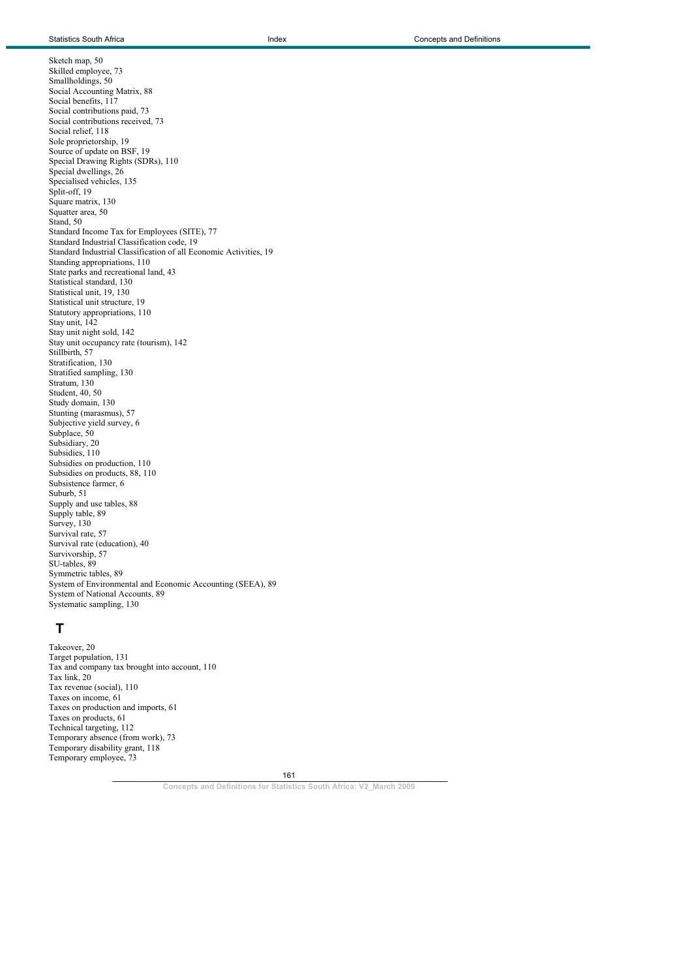Sketch map, 50 Skilled employee, 73 Smallholdings, 50 Social Accounting Matrix, 88 Social benefits, 117 Social contributions paid, 73 Social contributions received, 73 Social relief, 118 Sole proprietorship, 19 Source of update on BSF, 19 Special Drawing Rights (SDRs), 110 Special dwellings, 26 Specialised vehicles, 135 Split-off, 19 Square matrix, 130 Squatter area, 50 Stand, 50 Standard Income Tax for Employees (SITE), 77 Standard Industrial Classification code, 19 Standard Industrial Classification of all Economic Activities, 19 Standing appropriations, 110 State parks and recreational land, 43 Statistical standard, 130 Statistical unit, 19, 130 Statistical unit structure, 19 Statutory appropriations, 110 Stay unit, 142 Stay unit night sold, 142 Stay unit occupancy rate (tourism), 142 Stillbirth, 57 Stratification, 130 Stratified sampling, 130 Stratum, 130 Student, 40, 50 Study domain, 130 Stunting (marasmus), 57 Subjective yield survey, 6 Subplace, 50 Subsidiary, 20 Subsidies, 110 Subsidies on production, 110 Subsidies on products, 88, 110 Subsistence farmer, 6 Suburb, 51 Supply and use tables, 88 Supply table, 89 Survey, 130 Survival rate, 57 Survival rate (education), 40 Survivorship, 57 SU-tables, 89 Symmetric tables, 89 System of Environmental and Economic Accounting (SEEA), 89 System of National Accounts, 89 Systematic sampling, 130

# **T**

Takeover, 20 Target population, 131 Tax and company tax brought into account, 110 Tax link, 20 Tax revenue (social), 110 Taxes on income, 61 Taxes on production and imports, 61 Taxes on products, 61 Technical targeting, 112 Temporary absence (from work), 73 Temporary disability grant, 118 Temporary employee, 73

> $161$ 161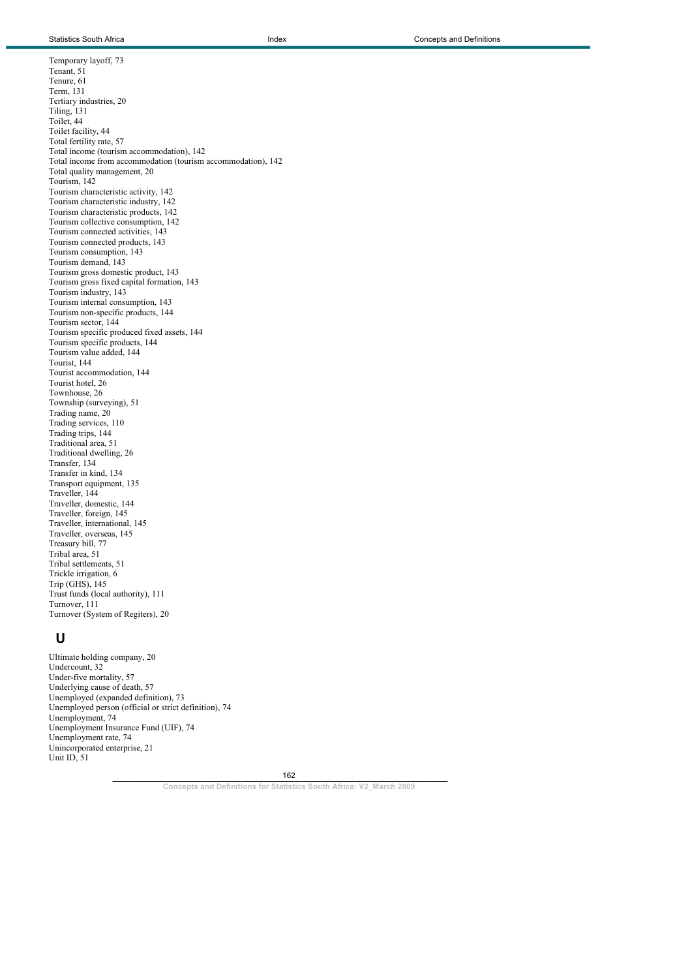Temporary layoff, 73 Tenant, 51 Tenure, 61 Term, 131 Tertiary industries, 20 Tiling, 131 Toilet, 44 Toilet facility, 44 Total fertility rate, 57 Total income (tourism accommodation), 142 Total income from accommodation (tourism accommodation), 142 Total quality management, 20 Tourism, 142 Tourism characteristic activity, 142 Tourism characteristic industry, 142 Tourism characteristic products, 142 Tourism collective consumption, 142 Tourism connected activities, 143 Tourism connected products, 143 Tourism consumption, 143 Tourism demand, 143 Tourism gross domestic product, 143 Tourism gross fixed capital formation, 143 Tourism industry, 143 Tourism internal consumption, 143 Tourism non-specific products, 144 Tourism sector, 144 Tourism specific produced fixed assets, 144 Tourism specific products, 144 Tourism value added, 144 Tourist, 144 Tourist accommodation, 144 Tourist hotel, 26 Townhouse, 26 Township (surveying), 51 Trading name, 20 Trading services, 110 Trading trips, 144 Traditional area, 51 Traditional dwelling, 26 Transfer, 134 Transfer in kind, 134 Transport equipment, 135 Traveller, 144 Traveller, domestic, 144 Traveller, foreign, 145 Traveller, international, 145 Traveller, overseas, 145 Treasury bill, 77 Tribal area, 51 Tribal settlements, 51 Trickle irrigation, 6 Trip (GHS), 145 Trust funds (local authority), 111 Turnover, 111 Turnover (System of Regiters), 20

## **U**

Ultimate holding company, 20 Undercount, 32 Under-five mortality, 57 Underlying cause of death, 57 Unemployed (expanded definition), 73 Unemployed person (official or strict definition), 74 Unemployment, 74 Unemployment Insurance Fund (UIF), 74 Unemployment rate, 74 Unincorporated enterprise, 21 Unit ID, 51

> $162$ 162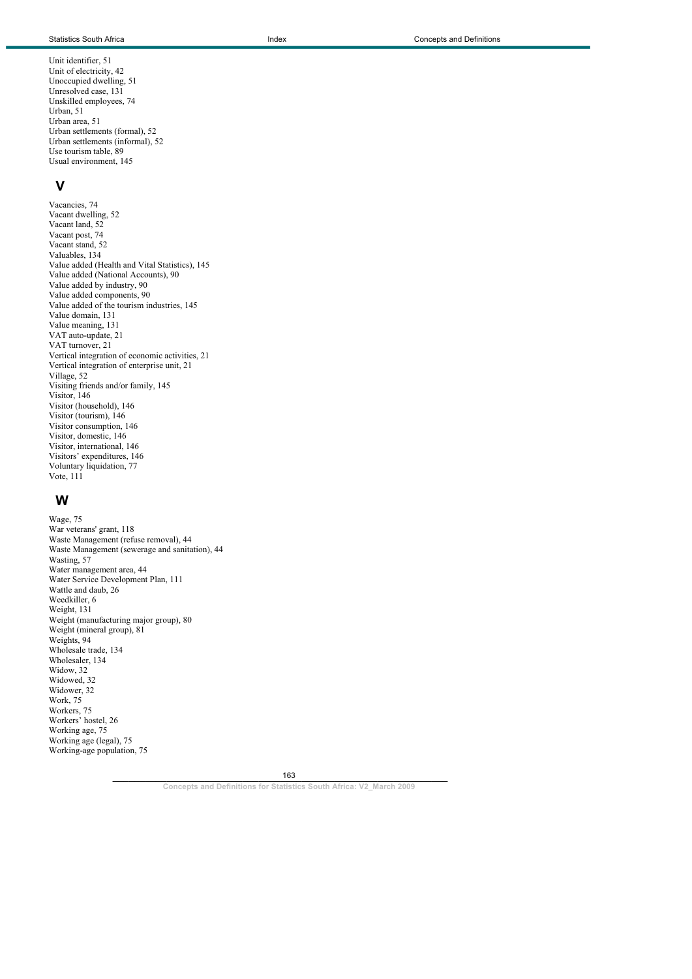Unit identifier, 51 Unit of electricity, 42 Unoccupied dwelling, 51 Unresolved case, 131 Unskilled employees, 74 Urban, 51 Urban area, 51 Urban settlements (formal), 52 Urban settlements (informal), 52 Use tourism table, 89 Usual environment, 145

### **V**

Vacancies, 74 Vacant dwelling, 52 Vacant land, 52 Vacant post, 74 Vacant stand, 52 Valuables, 134 Value added (Health and Vital Statistics), 145 Value added (National Accounts), 90 Value added by industry, 90 Value added components, 90 Value added of the tourism industries, 145 Value domain, 131 Value meaning, 131 VAT auto-update, 21 VAT turnover, 21 Vertical integration of economic activities, 21 Vertical integration of enterprise unit, 21 Village, 52 Visiting friends and/or family, 145 Visitor, 146 Visitor (household), 146 Visitor (tourism), 146 Visitor consumption, 146 Visitor, domestic, 146 Visitor, international, 146 Visitors' expenditures, 146 Voluntary liquidation, 77 Vote, 111

### **W**

Wage, 75 War veterans' grant, 118 Waste Management (refuse removal), 44 Waste Management (sewerage and sanitation), 44 Wasting, 57 Water management area, 44 Water Service Development Plan, 111 Wattle and daub, 26 Weedkiller, 6 Weight, 131 Weight (manufacturing major group), 80 Weight (mineral group), 81 Weights, 94 Wholesale trade, 134 Wholesaler, 134 Widow, 32 Widowed, 32 Widower, 32 Work, 75 Workers, 75 Workers' hostel, 26 Working age, 75 Working age (legal), 75 Working-age population, 75

163